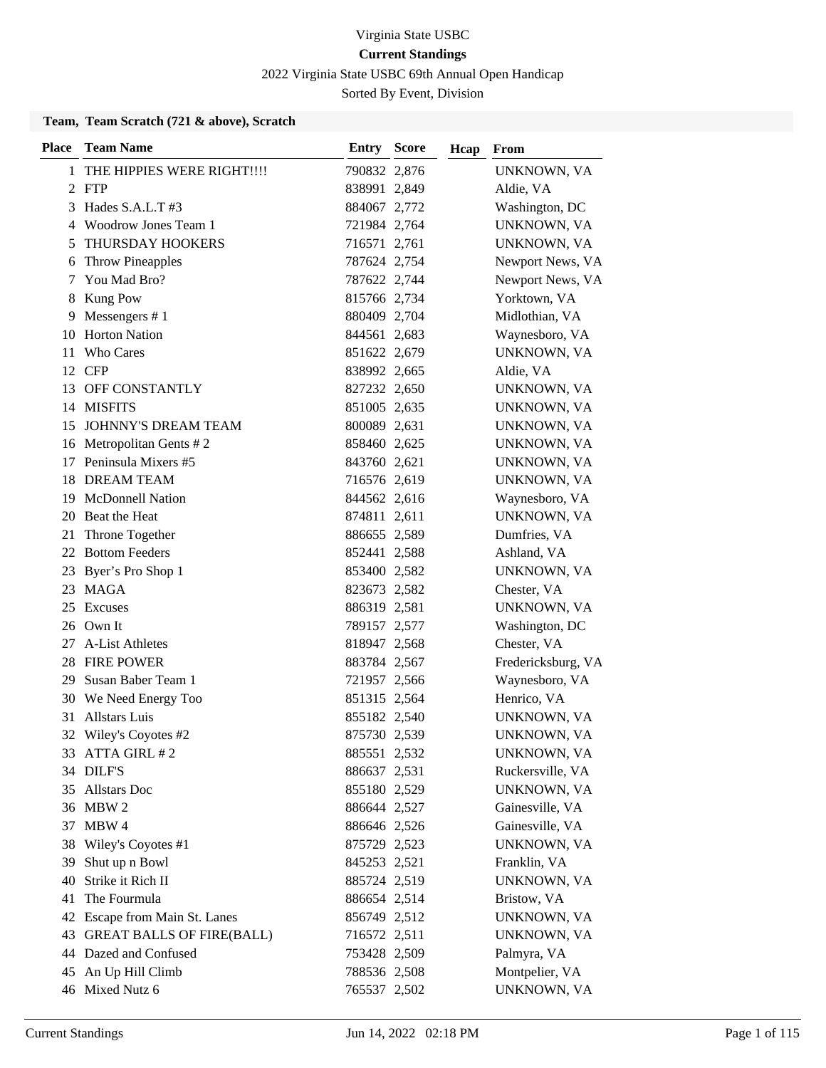2022 Virginia State USBC 69th Annual Open Handicap

Sorted By Event, Division

### **Team, Team Scratch (721 & above), Scratch**

| <b>Place</b> | <b>Team Name</b>              | <b>Entry Score</b> | Hcap | From               |
|--------------|-------------------------------|--------------------|------|--------------------|
| 1            | THE HIPPIES WERE RIGHT!!!!    | 790832 2,876       |      | UNKNOWN, VA        |
|              | 2 FTP                         | 838991 2,849       |      | Aldie, VA          |
| 3            | Hades S.A.L.T#3               | 884067 2,772       |      | Washington, DC     |
| 4            | Woodrow Jones Team 1          | 721984 2,764       |      | UNKNOWN, VA        |
| 5            | <b>THURSDAY HOOKERS</b>       | 716571 2,761       |      | UNKNOWN, VA        |
| 6            | <b>Throw Pineapples</b>       | 787624 2,754       |      | Newport News, VA   |
| 7            | You Mad Bro?                  | 787622 2,744       |      | Newport News, VA   |
| 8            | Kung Pow                      | 815766 2,734       |      | Yorktown, VA       |
| 9            | Messengers $# 1$              | 880409 2,704       |      | Midlothian, VA     |
| 10           | <b>Horton Nation</b>          | 844561 2,683       |      | Waynesboro, VA     |
| 11           | <b>Who Cares</b>              | 851622 2,679       |      | UNKNOWN, VA        |
| 12           | CFP                           | 838992 2,665       |      | Aldie, VA          |
| 13           | OFF CONSTANTLY                | 827232 2,650       |      | UNKNOWN, VA        |
| 14           | <b>MISFITS</b>                | 851005 2,635       |      | UNKNOWN, VA        |
| 15           | <b>JOHNNY'S DREAM TEAM</b>    | 800089 2,631       |      | UNKNOWN, VA        |
|              | 16 Metropolitan Gents #2      | 858460 2,625       |      | UNKNOWN, VA        |
| 17           | Peninsula Mixers #5           | 843760 2,621       |      | UNKNOWN, VA        |
| 18           | <b>DREAM TEAM</b>             | 716576 2,619       |      | UNKNOWN, VA        |
| 19           | <b>McDonnell Nation</b>       | 844562 2,616       |      | Waynesboro, VA     |
| 20           | Beat the Heat                 | 874811 2,611       |      | UNKNOWN, VA        |
| 21           | Throne Together               | 886655 2,589       |      | Dumfries, VA       |
| 22           | <b>Bottom Feeders</b>         | 852441 2,588       |      | Ashland, VA        |
|              | 23 Byer's Pro Shop 1          | 853400 2,582       |      | UNKNOWN, VA        |
|              | 23 MAGA                       | 823673 2,582       |      | Chester, VA        |
| 25           | Excuses                       | 886319 2,581       |      | UNKNOWN, VA        |
| 26           | Own It                        | 789157 2,577       |      | Washington, DC     |
| 27           | A-List Athletes               | 818947 2,568       |      | Chester, VA        |
|              | 28 FIRE POWER                 | 883784 2,567       |      | Fredericksburg, VA |
| 29           | Susan Baber Team 1            | 721957 2,566       |      | Waynesboro, VA     |
|              | 30 We Need Energy Too         | 851315 2,564       |      | Henrico, VA        |
| 31           | <b>Allstars Luis</b>          | 855182 2,540       |      | UNKNOWN, VA        |
| 32           | Wiley's Coyotes #2            | 875730 2,539       |      | UNKNOWN, VA        |
|              | 33 ATTA GIRL #2               | 885551 2,532       |      | UNKNOWN, VA        |
|              | 34 DILF'S                     | 886637 2,531       |      | Ruckersville, VA   |
|              | 35 Allstars Doc               | 855180 2,529       |      | UNKNOWN, VA        |
|              | 36 MBW 2                      | 886644 2,527       |      | Gainesville, VA    |
| 37           | MBW 4                         | 886646 2,526       |      | Gainesville, VA    |
| 38           | Wiley's Coyotes #1            | 875729 2,523       |      | UNKNOWN, VA        |
| 39           | Shut up n Bowl                | 845253 2,521       |      | Franklin, VA       |
| 40           | Strike it Rich II             | 885724 2,519       |      | UNKNOWN, VA        |
| 41           | The Fourmula                  | 886654 2,514       |      | Bristow, VA        |
|              | 42 Escape from Main St. Lanes | 856749 2,512       |      | UNKNOWN, VA        |
|              | 43 GREAT BALLS OF FIRE(BALL)  | 716572 2,511       |      | UNKNOWN, VA        |
|              | 44 Dazed and Confused         | 753428 2,509       |      | Palmyra, VA        |
| 45           | An Up Hill Climb              | 788536 2,508       |      | Montpelier, VA     |
|              | 46 Mixed Nutz 6               | 765537 2,502       |      | UNKNOWN, VA        |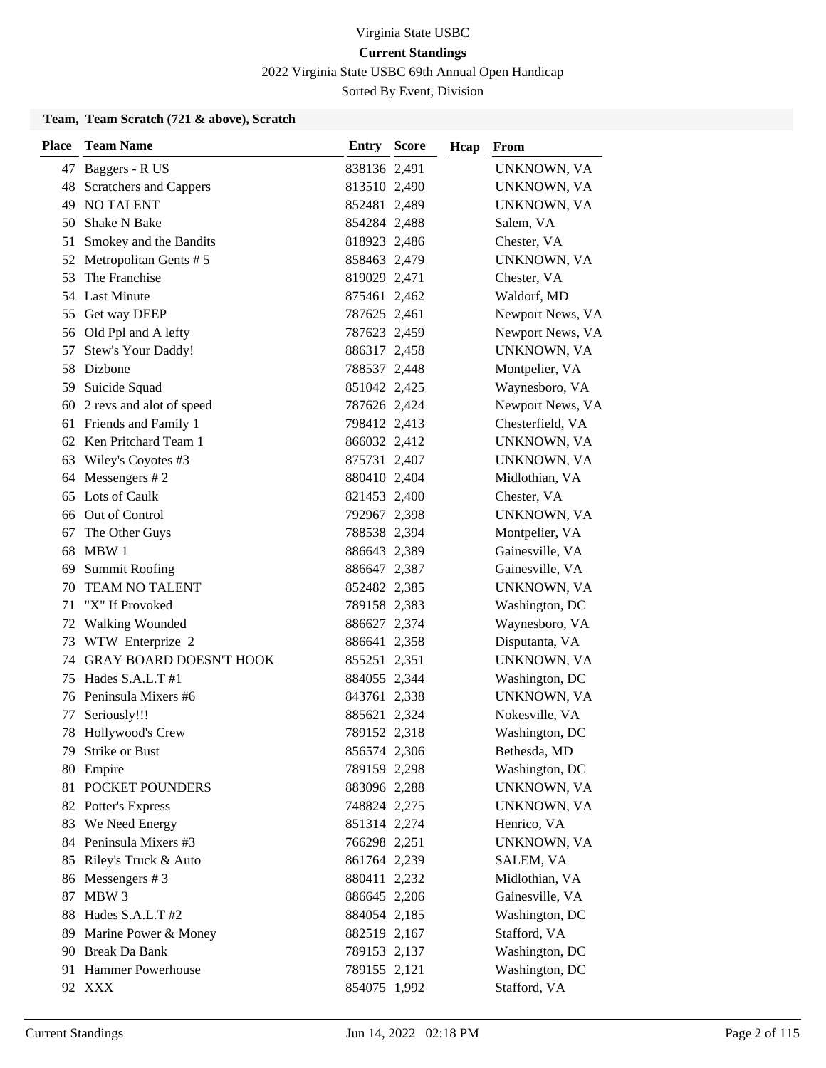2022 Virginia State USBC 69th Annual Open Handicap

Sorted By Event, Division

### **Team, Team Scratch (721 & above), Scratch**

| <b>Place</b> | <b>Team Name</b>            | <b>Entry Score</b> | Hcap | From             |
|--------------|-----------------------------|--------------------|------|------------------|
|              | 47 Baggers - R US           | 838136 2,491       |      | UNKNOWN, VA      |
|              | 48 Scratchers and Cappers   | 813510 2,490       |      | UNKNOWN, VA      |
| 49           | <b>NO TALENT</b>            | 852481 2,489       |      | UNKNOWN, VA      |
| 50.          | <b>Shake N Bake</b>         | 854284 2,488       |      | Salem, VA        |
| 51           | Smokey and the Bandits      | 818923 2,486       |      | Chester, VA      |
| 52           | Metropolitan Gents #5       | 858463 2,479       |      | UNKNOWN, VA      |
| 53           | The Franchise               | 819029 2,471       |      | Chester, VA      |
|              | 54 Last Minute              | 875461 2,462       |      | Waldorf, MD      |
| 55           | Get way DEEP                | 787625 2,461       |      | Newport News, VA |
|              | 56 Old Ppl and A lefty      | 787623 2,459       |      | Newport News, VA |
| 57           | Stew's Your Daddy!          | 886317 2,458       |      | UNKNOWN, VA      |
|              | 58 Dizbone                  | 788537 2,448       |      | Montpelier, VA   |
|              | 59 Suicide Squad            | 851042 2,425       |      | Waynesboro, VA   |
|              | 60 2 revs and alot of speed | 787626 2,424       |      | Newport News, VA |
|              | 61 Friends and Family 1     | 798412 2,413       |      | Chesterfield, VA |
|              | 62 Ken Pritchard Team 1     | 866032 2,412       |      | UNKNOWN, VA      |
| 63           | Wiley's Coyotes #3          | 875731 2,407       |      | UNKNOWN, VA      |
|              | 64 Messengers #2            | 880410 2,404       |      | Midlothian, VA   |
|              | 65 Lots of Caulk            | 821453 2,400       |      | Chester, VA      |
|              | 66 Out of Control           | 792967 2,398       |      | UNKNOWN, VA      |
| 67           | The Other Guys              | 788538 2,394       |      | Montpelier, VA   |
| 68           | MBW 1                       | 886643 2,389       |      | Gainesville, VA  |
| 69           | <b>Summit Roofing</b>       | 886647 2,387       |      | Gainesville, VA  |
| 70           | TEAM NO TALENT              | 852482 2,385       |      | UNKNOWN, VA      |
| 71           | "X" If Provoked             | 789158 2,383       |      | Washington, DC   |
| 72           | <b>Walking Wounded</b>      | 886627 2,374       |      | Waynesboro, VA   |
| 73           | WTW Enterprize 2            | 886641 2,358       |      | Disputanta, VA   |
|              | 74 GRAY BOARD DOESN'T HOOK  | 855251 2,351       |      | UNKNOWN, VA      |
| 75           | Hades S.A.L.T #1            | 884055 2,344       |      | Washington, DC   |
|              | 76 Peninsula Mixers #6      | 843761 2,338       |      | UNKNOWN, VA      |
| 77           | Seriously!!!                | 885621 2,324       |      | Nokesville, VA   |
|              | 78 Hollywood's Crew         | 789152 2,318       |      | Washington, DC   |
| 79.          | <b>Strike or Bust</b>       | 856574 2,306       |      | Bethesda, MD     |
|              | 80 Empire                   | 789159 2,298       |      | Washington, DC   |
| 81           | POCKET POUNDERS             | 883096 2,288       |      | UNKNOWN, VA      |
|              | 82 Potter's Express         | 748824 2,275       |      | UNKNOWN, VA      |
| 83           | We Need Energy              | 851314 2,274       |      | Henrico, VA      |
|              | 84 Peninsula Mixers #3      | 766298 2,251       |      | UNKNOWN, VA      |
| 85           | Riley's Truck & Auto        | 861764 2,239       |      | SALEM, VA        |
|              | 86 Messengers #3            | 880411 2,232       |      | Midlothian, VA   |
| 87           | MBW 3                       | 886645 2,206       |      | Gainesville, VA  |
|              | 88 Hades S.A.L.T #2         | 884054 2,185       |      | Washington, DC   |
| 89           | Marine Power & Money        | 882519 2,167       |      | Stafford, VA     |
|              | 90 Break Da Bank            | 789153 2,137       |      | Washington, DC   |
|              | 91 Hammer Powerhouse        | 789155 2,121       |      | Washington, DC   |
|              | 92 XXX                      | 854075 1,992       |      | Stafford, VA     |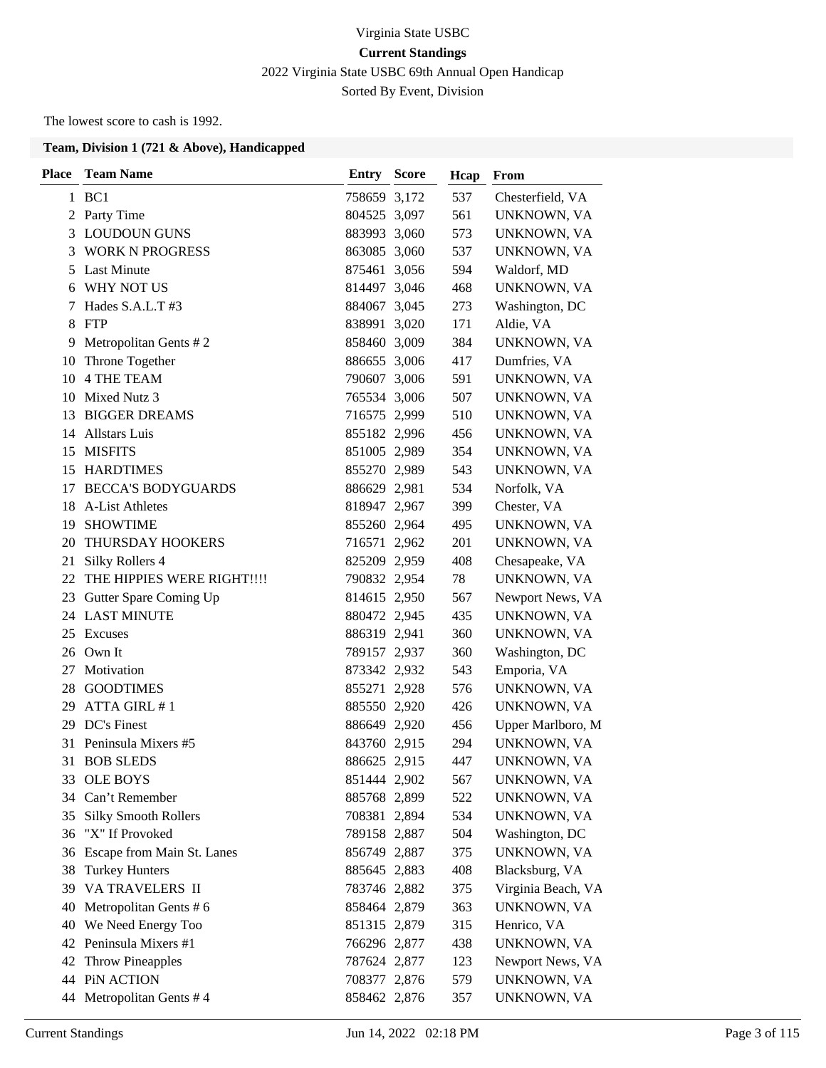# Virginia State USBC **Current Standings** 2022 Virginia State USBC 69th Annual Open Handicap Sorted By Event, Division

The lowest score to cash is 1992.

| Place | <b>Team Name</b>            | <b>Entry Score</b> | Hcap | From               |
|-------|-----------------------------|--------------------|------|--------------------|
|       | 1 BC1                       | 758659 3,172       | 537  | Chesterfield, VA   |
|       | 2 Party Time                | 804525 3,097       | 561  | UNKNOWN, VA        |
|       | 3 LOUDOUN GUNS              | 883993 3,060       | 573  | UNKNOWN, VA        |
| 3     | <b>WORK N PROGRESS</b>      | 863085 3,060       | 537  | UNKNOWN, VA        |
| 5     | <b>Last Minute</b>          | 875461 3,056       | 594  | Waldorf, MD        |
| 6     | WHY NOT US                  | 814497 3,046       | 468  | UNKNOWN, VA        |
| 7     | Hades S.A.L.T #3            | 884067 3,045       | 273  | Washington, DC     |
| 8     | FTP                         | 838991 3,020       | 171  | Aldie, VA          |
| 9     | Metropolitan Gents #2       | 858460 3,009       | 384  | UNKNOWN, VA        |
| 10    | Throne Together             | 886655 3,006       | 417  | Dumfries, VA       |
|       | 10 4 THE TEAM               | 790607 3,006       | 591  | UNKNOWN, VA        |
| 10    | Mixed Nutz 3                | 765534 3,006       | 507  | UNKNOWN, VA        |
| 13    | <b>BIGGER DREAMS</b>        | 716575 2,999       | 510  | UNKNOWN, VA        |
|       | 14 Allstars Luis            | 855182 2,996       | 456  | UNKNOWN, VA        |
|       | 15 MISFITS                  | 851005 2,989       | 354  | UNKNOWN, VA        |
| 15    | <b>HARDTIMES</b>            | 855270 2,989       | 543  | UNKNOWN, VA        |
|       | 17 BECCA'S BODYGUARDS       | 886629 2,981       | 534  | Norfolk, VA        |
| 18    | <b>A-List Athletes</b>      | 818947 2,967       | 399  | Chester, VA        |
| 19    | <b>SHOWTIME</b>             | 855260 2,964       | 495  | UNKNOWN, VA        |
| 20    | THURSDAY HOOKERS            | 716571 2,962       | 201  | UNKNOWN, VA        |
| 21    | Silky Rollers 4             | 825209 2,959       | 408  | Chesapeake, VA     |
| 22    | THE HIPPIES WERE RIGHT!!!!  | 790832 2,954       | 78   | UNKNOWN, VA        |
|       | 23 Gutter Spare Coming Up   | 814615 2,950       | 567  | Newport News, VA   |
|       | 24 LAST MINUTE              | 880472 2,945       | 435  | UNKNOWN, VA        |
| 25    | Excuses                     | 886319 2,941       | 360  | UNKNOWN, VA        |
|       | 26 Own It                   | 789157 2,937       | 360  | Washington, DC     |
| 27    | Motivation                  | 873342 2,932       | 543  | Emporia, VA        |
| 28    | <b>GOODTIMES</b>            | 855271 2,928       | 576  | UNKNOWN, VA        |
| 29    | ATTA GIRL #1                | 885550 2,920       | 426  | UNKNOWN, VA        |
|       | 29 DC's Finest              | 886649 2,920       | 456  | Upper Marlboro, M  |
|       | 31 Peninsula Mixers #5      | 843760 2,915       | 294  | UNKNOWN, VA        |
| 31    | <b>BOB SLEDS</b>            | 886625 2,915       | 447  | UNKNOWN, VA        |
| 33    | <b>OLE BOYS</b>             | 851444 2,902       | 567  | UNKNOWN, VA        |
| 34    | Can't Remember              | 885768 2,899       | 522  | UNKNOWN, VA        |
| 35    | <b>Silky Smooth Rollers</b> | 708381 2,894       | 534  | UNKNOWN, VA        |
| 36    | "X" If Provoked             | 789158 2,887       | 504  | Washington, DC     |
| 36    | Escape from Main St. Lanes  | 856749 2,887       | 375  | <b>UNKNOWN, VA</b> |
| 38    | <b>Turkey Hunters</b>       | 885645 2,883       | 408  | Blacksburg, VA     |
| 39    | VA TRAVELERS II             | 783746 2,882       | 375  | Virginia Beach, VA |
| 40    | Metropolitan Gents #6       | 858464 2,879       | 363  | UNKNOWN, VA        |
| 40    | We Need Energy Too          | 851315 2,879       | 315  | Henrico, VA        |
| 42    | Peninsula Mixers #1         | 766296 2,877       | 438  | UNKNOWN, VA        |
| 42    | <b>Throw Pineapples</b>     | 787624 2,877       | 123  | Newport News, VA   |
| 44    | PiN ACTION                  | 708377 2,876       | 579  | UNKNOWN, VA        |
| 44    | Metropolitan Gents #4       | 858462 2,876       | 357  | UNKNOWN, VA        |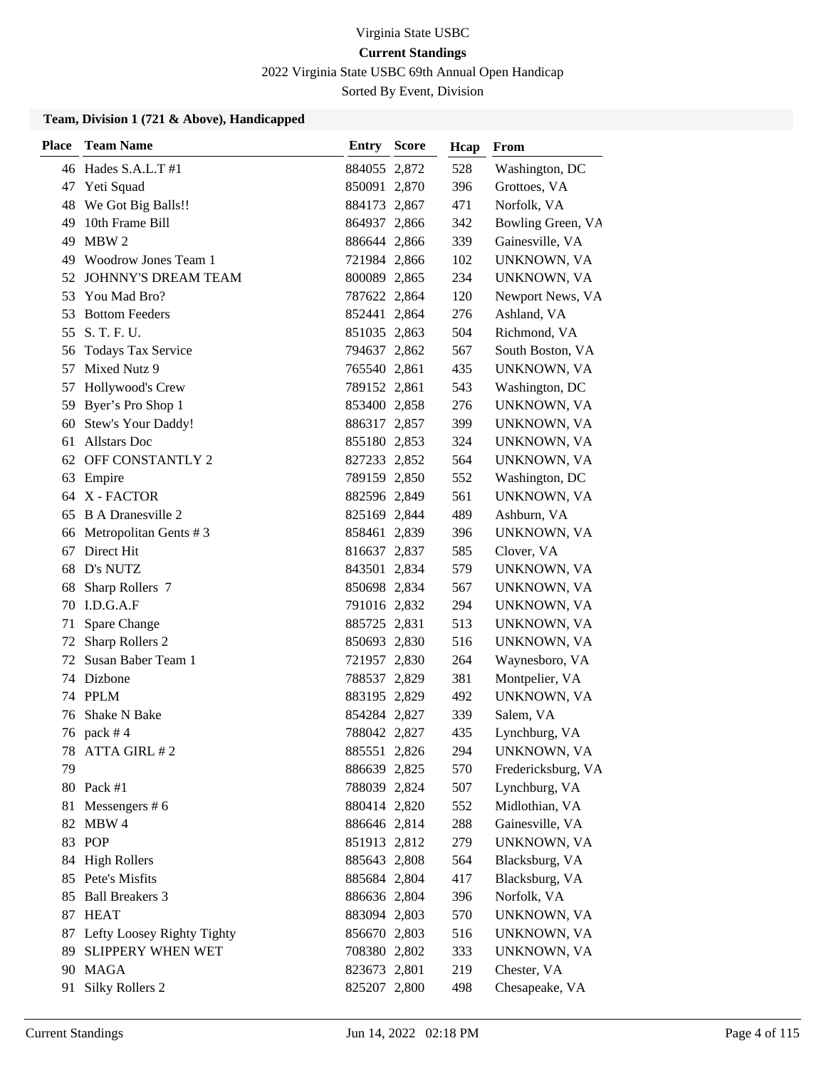2022 Virginia State USBC 69th Annual Open Handicap

Sorted By Event, Division

| <b>Place</b> | <b>Team Name</b>                    | <b>Entry Score</b>           | Hcap       | From                       |
|--------------|-------------------------------------|------------------------------|------------|----------------------------|
|              | 46 Hades S.A.L.T #1                 | 884055 2,872                 | 528        | Washington, DC             |
| 47           | Yeti Squad                          | 850091 2,870                 | 396        | Grottoes, VA               |
|              | 48 We Got Big Balls!!               | 884173 2,867                 | 471        | Norfolk, VA                |
| 49           | 10th Frame Bill                     | 864937 2,866                 | 342        | Bowling Green, VA          |
| 49           | MBW 2                               | 886644 2,866                 | 339        | Gainesville, VA            |
| 49           | Woodrow Jones Team 1                | 721984 2,866                 | 102        | UNKNOWN, VA                |
| 52           | <b>JOHNNY'S DREAM TEAM</b>          | 800089 2,865                 | 234        | UNKNOWN, VA                |
| 53           | You Mad Bro?                        | 787622 2,864                 | 120        | Newport News, VA           |
| 53           | <b>Bottom Feeders</b>               | 852441 2,864                 | 276        | Ashland, VA                |
| 55           | S. T. F. U.                         | 851035 2,863                 | 504        | Richmond, VA               |
| 56           | <b>Todays Tax Service</b>           | 794637 2,862                 | 567        | South Boston, VA           |
| 57           | Mixed Nutz 9                        | 765540 2,861                 | 435        | UNKNOWN, VA                |
| 57           | Hollywood's Crew                    | 789152 2,861                 | 543        | Washington, DC             |
| 59           | Byer's Pro Shop 1                   | 853400 2,858                 | 276        | UNKNOWN, VA                |
| 60           | Stew's Your Daddy!                  | 886317 2,857                 | 399        | UNKNOWN, VA                |
| 61           | <b>Allstars Doc</b>                 | 855180 2,853                 | 324        | UNKNOWN, VA                |
| 62           | OFF CONSTANTLY 2                    | 827233 2,852                 | 564        | UNKNOWN, VA                |
| 63           | Empire                              | 789159 2,850                 | 552        | Washington, DC             |
| 64           | X - FACTOR                          | 882596 2,849                 | 561        | UNKNOWN, VA                |
| 65           | B A Dranesville 2                   | 825169 2,844                 | 489        | Ashburn, VA                |
| 66           | Metropolitan Gents #3               | 858461 2,839                 | 396        | UNKNOWN, VA                |
| 67           | Direct Hit                          | 816637 2,837                 | 585        | Clover, VA                 |
|              | 68 D's NUTZ                         | 843501 2,834                 | 579        | UNKNOWN, VA                |
| 68           | Sharp Rollers 7                     | 850698 2,834                 | 567        | UNKNOWN, VA                |
| 70           | I.D.G.A.F                           | 791016 2,832                 | 294        | UNKNOWN, VA                |
| 71           | Spare Change                        | 885725 2,831                 | 513        | UNKNOWN, VA                |
| 72           | Sharp Rollers 2                     | 850693 2,830                 | 516        | UNKNOWN, VA                |
| 72           | Susan Baber Team 1                  | 721957 2,830                 | 264        | Waynesboro, VA             |
|              | 74 Dizbone                          | 788537 2,829                 | 381        | Montpelier, VA             |
|              | 74 PPLM                             | 883195 2,829                 | 492        | UNKNOWN, VA                |
| 76           | Shake N Bake                        | 854284 2,827                 | 339        | Salem, VA                  |
|              | 76 pack #4                          | 788042 2,827                 | 435        | Lynchburg, VA              |
|              | 78 ATTA GIRL #2                     | 885551 2,826                 | 294        | UNKNOWN, VA                |
| 79           |                                     | 886639 2,825                 | 570        | Fredericksburg, VA         |
|              | 80 Pack #1                          | 788039 2,824                 | 507        | Lynchburg, VA              |
| 81           | Messengers $# 6$                    | 880414 2,820                 | 552        | Midlothian, VA             |
| 82           | MBW 4                               | 886646 2,814                 | 288        | Gainesville, VA            |
| 83           | <b>POP</b>                          | 851913 2,812                 | 279        | UNKNOWN, VA                |
| 84           | <b>High Rollers</b>                 | 885643 2,808                 | 564        | Blacksburg, VA             |
|              | 85 Pete's Misfits                   | 885684 2,804                 | 417        | Blacksburg, VA             |
| 85           | <b>Ball Breakers 3</b><br>87 HEAT   | 886636 2,804                 | 396        | Norfolk, VA                |
|              |                                     | 883094 2,803                 | 570        | UNKNOWN, VA                |
|              | 87 Lefty Loosey Righty Tighty       | 856670 2,803                 | 516        | UNKNOWN, VA<br>UNKNOWN, VA |
| 89           | <b>SLIPPERY WHEN WET</b><br>90 MAGA | 708380 2,802                 | 333<br>219 | Chester, VA                |
|              |                                     | 823673 2,801<br>825207 2,800 | 498        |                            |
| 91           | <b>Silky Rollers 2</b>              |                              |            | Chesapeake, VA             |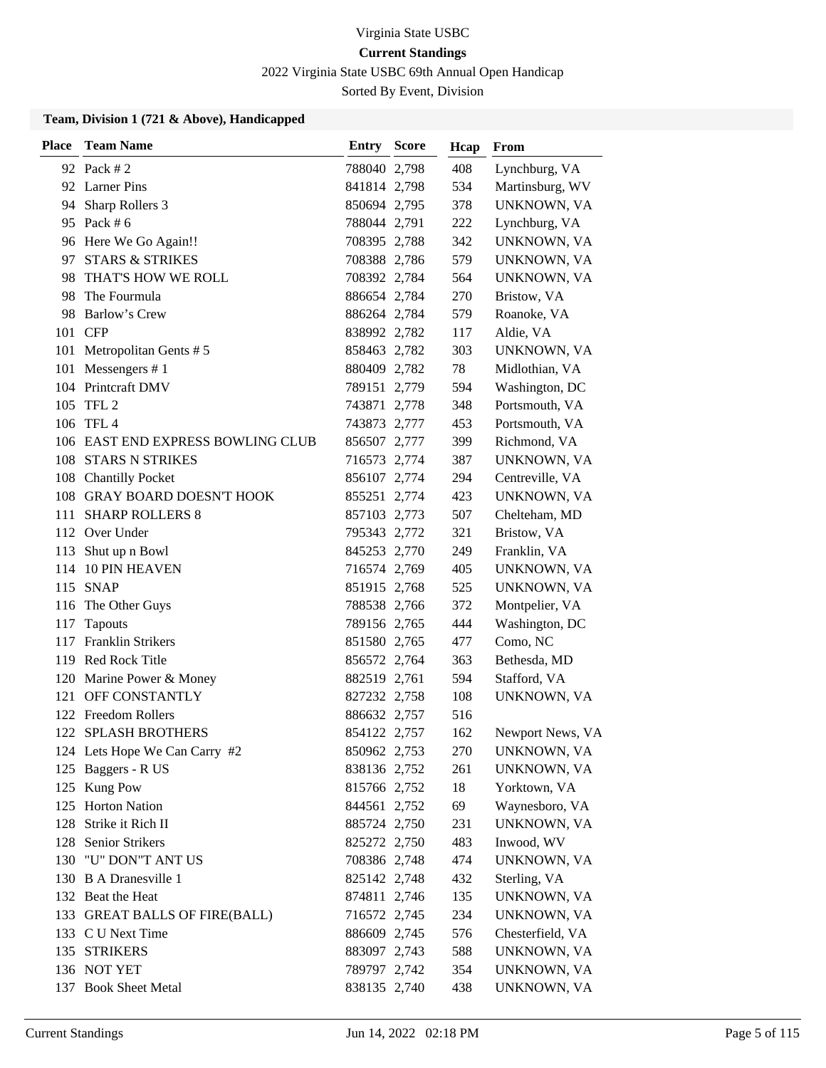2022 Virginia State USBC 69th Annual Open Handicap

Sorted By Event, Division

| <b>Place</b> | <b>Team Name</b>                  | <b>Entry Score</b> | Hcap | From             |
|--------------|-----------------------------------|--------------------|------|------------------|
|              | 92 Pack # 2                       | 788040 2,798       | 408  | Lynchburg, VA    |
|              | 92 Larner Pins                    | 841814 2,798       | 534  | Martinsburg, WV  |
|              | 94 Sharp Rollers 3                | 850694 2,795       | 378  | UNKNOWN, VA      |
|              | 95 Pack # 6                       | 788044 2,791       | 222  | Lynchburg, VA    |
|              | 96 Here We Go Again!!             | 708395 2,788       | 342  | UNKNOWN, VA      |
| 97           | <b>STARS &amp; STRIKES</b>        | 708388 2,786       | 579  | UNKNOWN, VA      |
| 98           | THAT'S HOW WE ROLL                | 708392 2,784       | 564  | UNKNOWN, VA      |
|              | 98 The Fourmula                   | 886654 2,784       | 270  | Bristow, VA      |
| 98           | Barlow's Crew                     | 886264 2,784       | 579  | Roanoke, VA      |
|              | 101 CFP                           | 838992 2,782       | 117  | Aldie, VA        |
| 101          | Metropolitan Gents #5             | 858463 2,782       | 303  | UNKNOWN, VA      |
| 101          | Messengers $# 1$                  | 880409 2,782       | 78   | Midlothian, VA   |
|              | 104 Printcraft DMV                | 789151 2,779       | 594  | Washington, DC   |
|              | 105 TFL 2                         | 743871 2,778       | 348  | Portsmouth, VA   |
|              | 106 TFL 4                         | 743873 2,777       | 453  | Portsmouth, VA   |
|              | 106 EAST END EXPRESS BOWLING CLUB | 856507 2,777       | 399  | Richmond, VA     |
|              | 108 STARS N STRIKES               | 716573 2,774       | 387  | UNKNOWN, VA      |
| 108          | <b>Chantilly Pocket</b>           | 856107 2,774       | 294  | Centreville, VA  |
|              | 108 GRAY BOARD DOESN'T HOOK       | 855251 2,774       | 423  | UNKNOWN, VA      |
| 111          | <b>SHARP ROLLERS 8</b>            | 857103 2,773       | 507  | Chelteham, MD    |
|              | 112 Over Under                    | 795343 2,772       | 321  | Bristow, VA      |
| 113          | Shut up n Bowl                    | 845253 2,770       | 249  | Franklin, VA     |
| 114          | <b>10 PIN HEAVEN</b>              | 716574 2,769       | 405  | UNKNOWN, VA      |
| 115          | <b>SNAP</b>                       | 851915 2,768       | 525  | UNKNOWN, VA      |
| 116          | The Other Guys                    | 788538 2,766       | 372  | Montpelier, VA   |
| 117          | Tapouts                           | 789156 2,765       | 444  | Washington, DC   |
| 117          | <b>Franklin Strikers</b>          | 851580 2,765       | 477  | Como, NC         |
|              | 119 Red Rock Title                | 856572 2,764       | 363  | Bethesda, MD     |
|              | 120 Marine Power & Money          | 882519 2,761       | 594  | Stafford, VA     |
| 121          | OFF CONSTANTLY                    | 827232 2,758       | 108  | UNKNOWN, VA      |
|              | 122 Freedom Rollers               | 886632 2,757       | 516  |                  |
|              | 122 SPLASH BROTHERS               | 854122 2,757       | 162  | Newport News, VA |
|              | 124 Lets Hope We Can Carry #2     | 850962 2,753       | 270  | UNKNOWN, VA      |
|              | 125 Baggers - R US                | 838136 2,752       | 261  | UNKNOWN, VA      |
|              | 125 Kung Pow                      | 815766 2,752       | 18   | Yorktown, VA     |
|              | 125 Horton Nation                 | 844561 2,752       | 69   | Waynesboro, VA   |
| 128          | Strike it Rich II                 | 885724 2,750       | 231  | UNKNOWN, VA      |
| 128          | Senior Strikers                   | 825272 2,750       | 483  | Inwood, WV       |
| 130          | "U" DON"T ANT US                  | 708386 2,748       | 474  | UNKNOWN, VA      |
|              | 130 B A Dranesville 1             | 825142 2,748       | 432  | Sterling, VA     |
|              | 132 Beat the Heat                 | 874811 2,746       | 135  | UNKNOWN, VA      |
|              | 133 GREAT BALLS OF FIRE(BALL)     | 716572 2,745       | 234  | UNKNOWN, VA      |
|              | 133 C U Next Time                 | 886609 2,745       | 576  | Chesterfield, VA |
|              | 135 STRIKERS                      | 883097 2,743       | 588  | UNKNOWN, VA      |
|              | 136 NOT YET                       | 789797 2,742       | 354  | UNKNOWN, VA      |
|              | 137 Book Sheet Metal              | 838135 2,740       | 438  | UNKNOWN, VA      |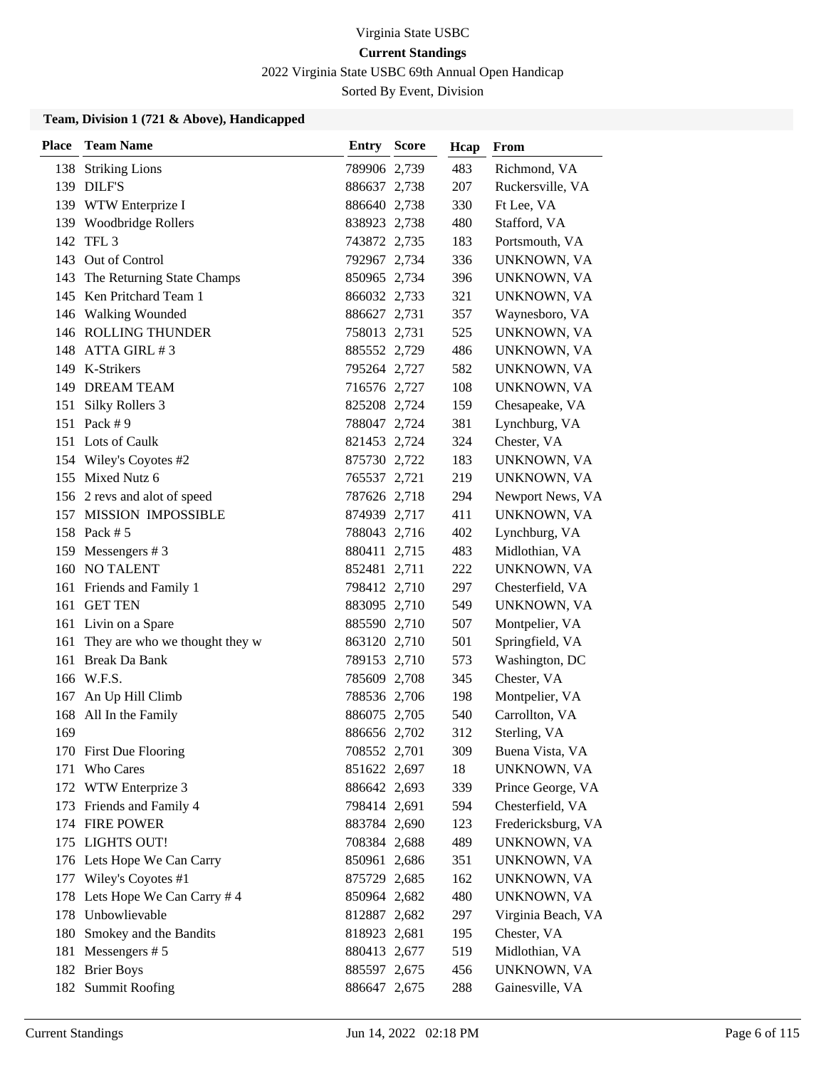2022 Virginia State USBC 69th Annual Open Handicap

Sorted By Event, Division

| <b>Place</b> | <b>Team Name</b>               | <b>Entry Score</b> | Hcap | From               |
|--------------|--------------------------------|--------------------|------|--------------------|
|              | 138 Striking Lions             | 789906 2,739       | 483  | Richmond, VA       |
|              | 139 DILF'S                     | 886637 2,738       | 207  | Ruckersville, VA   |
|              | 139 WTW Enterprize I           | 886640 2,738       | 330  | Ft Lee, VA         |
|              | 139 Woodbridge Rollers         | 838923 2,738       | 480  | Stafford, VA       |
|              | 142 TFL 3                      | 743872 2,735       | 183  | Portsmouth, VA     |
|              | 143 Out of Control             | 792967 2,734       | 336  | UNKNOWN, VA        |
| 143          | The Returning State Champs     | 850965 2,734       | 396  | UNKNOWN, VA        |
|              | 145 Ken Pritchard Team 1       | 866032 2,733       | 321  | UNKNOWN, VA        |
|              | 146 Walking Wounded            | 886627 2,731       | 357  | Waynesboro, VA     |
|              | <b>146 ROLLING THUNDER</b>     | 758013 2,731       | 525  | UNKNOWN, VA        |
|              | 148 ATTA GIRL #3               | 885552 2,729       | 486  | UNKNOWN, VA        |
|              | 149 K-Strikers                 | 795264 2,727       | 582  | UNKNOWN, VA        |
|              | 149 DREAM TEAM                 | 716576 2,727       | 108  | UNKNOWN, VA        |
|              | 151 Silky Rollers 3            | 825208 2,724       | 159  | Chesapeake, VA     |
|              | 151 Pack #9                    | 788047 2,724       | 381  | Lynchburg, VA      |
|              | 151 Lots of Caulk              | 821453 2,724       | 324  | Chester, VA        |
|              | 154 Wiley's Coyotes #2         | 875730 2,722       | 183  | UNKNOWN, VA        |
|              | 155 Mixed Nutz 6               | 765537 2,721       | 219  | UNKNOWN, VA        |
|              | 156 2 revs and alot of speed   | 787626 2,718       | 294  | Newport News, VA   |
|              | 157 MISSION IMPOSSIBLE         | 874939 2,717       | 411  | UNKNOWN, VA        |
|              | 158 Pack # 5                   | 788043 2,716       | 402  | Lynchburg, VA      |
| 159          | Messengers #3                  | 880411 2,715       | 483  | Midlothian, VA     |
|              | 160 NO TALENT                  | 852481 2,711       | 222  | UNKNOWN, VA        |
|              | 161 Friends and Family 1       | 798412 2,710       | 297  | Chesterfield, VA   |
|              | 161 GET TEN                    | 883095 2,710       | 549  | UNKNOWN, VA        |
|              | 161 Livin on a Spare           | 885590 2,710       | 507  | Montpelier, VA     |
| 161          | They are who we thought they w | 863120 2,710       | 501  | Springfield, VA    |
|              | 161 Break Da Bank              | 789153 2,710       | 573  | Washington, DC     |
|              | 166 W.F.S.                     | 785609 2,708       | 345  | Chester, VA        |
| 167          | An Up Hill Climb               | 788536 2,706       | 198  | Montpelier, VA     |
| 168          | All In the Family              | 886075 2,705       | 540  | Carrollton, VA     |
| 169          |                                | 886656 2,702       | 312  | Sterling, VA       |
|              | 170 First Due Flooring         | 708552 2,701       | 309  | Buena Vista, VA    |
| 171          | Who Cares                      | 851622 2,697       | 18   | UNKNOWN, VA        |
|              | 172 WTW Enterprize 3           | 886642 2,693       | 339  | Prince George, VA  |
|              | 173 Friends and Family 4       | 798414 2,691       | 594  | Chesterfield, VA   |
|              | 174 FIRE POWER                 | 883784 2,690       | 123  | Fredericksburg, VA |
|              | 175 LIGHTS OUT!                | 708384 2,688       | 489  | UNKNOWN, VA        |
|              | 176 Lets Hope We Can Carry     | 850961 2,686       | 351  | UNKNOWN, VA        |
|              | 177 Wiley's Coyotes #1         | 875729 2,685       | 162  | UNKNOWN, VA        |
| 178          | Lets Hope We Can Carry # 4     | 850964 2,682       | 480  | UNKNOWN, VA        |
| 178          | Unbowlievable                  | 812887 2,682       | 297  | Virginia Beach, VA |
| 180          | Smokey and the Bandits         | 818923 2,681       | 195  | Chester, VA        |
|              | 181 Messengers #5              | 880413 2,677       | 519  | Midlothian, VA     |
|              | 182 Brier Boys                 | 885597 2,675       | 456  | UNKNOWN, VA        |
|              | 182 Summit Roofing             | 886647 2,675       | 288  | Gainesville, VA    |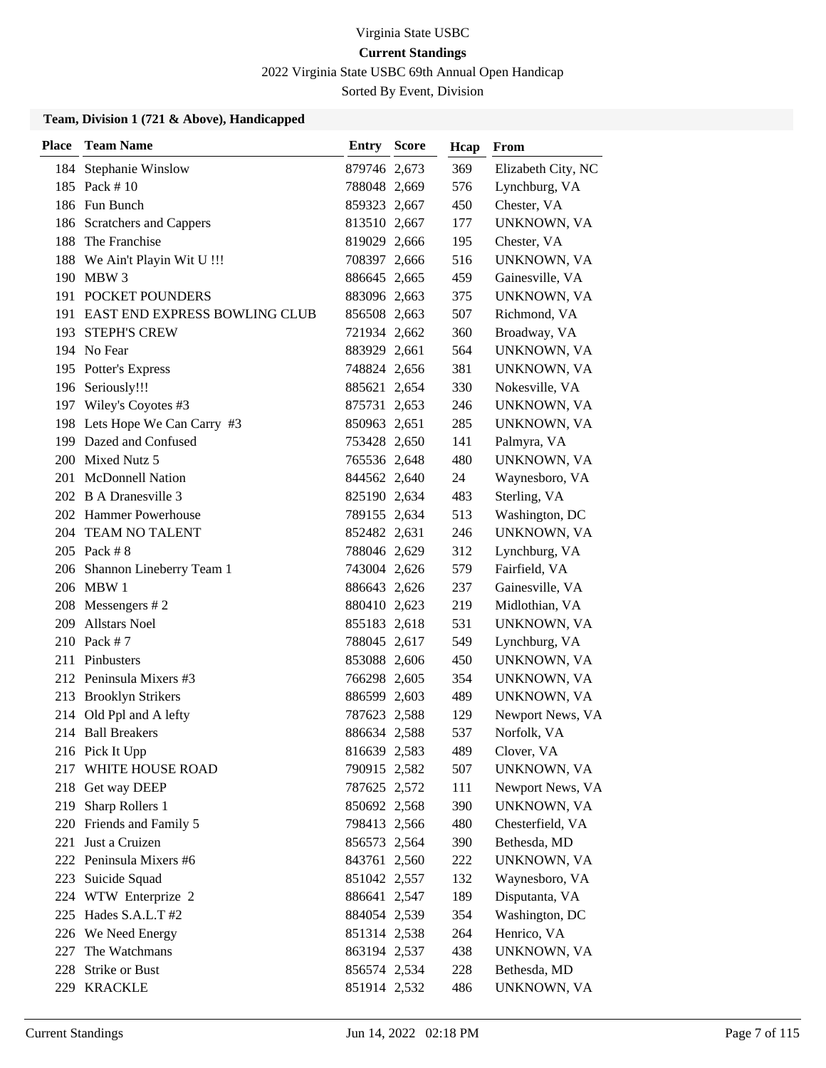2022 Virginia State USBC 69th Annual Open Handicap

Sorted By Event, Division

| <b>Place</b> | <b>Team Name</b>                  | <b>Entry Score</b> | Hcap | From               |
|--------------|-----------------------------------|--------------------|------|--------------------|
|              | 184 Stephanie Winslow             | 879746 2,673       | 369  | Elizabeth City, NC |
|              | 185 Pack #10                      | 788048 2,669       | 576  | Lynchburg, VA      |
|              | 186 Fun Bunch                     | 859323 2,667       | 450  | Chester, VA        |
|              | 186 Scratchers and Cappers        | 813510 2,667       | 177  | UNKNOWN, VA        |
| 188          | The Franchise                     | 819029 2,666       | 195  | Chester, VA        |
| 188          | We Ain't Playin Wit U !!!         | 708397 2,666       | 516  | UNKNOWN, VA        |
|              | 190 MBW 3                         | 886645 2,665       | 459  | Gainesville, VA    |
|              | 191 POCKET POUNDERS               | 883096 2,663       | 375  | UNKNOWN, VA        |
|              | 191 EAST END EXPRESS BOWLING CLUB | 856508 2,663       | 507  | Richmond, VA       |
|              | 193 STEPH'S CREW                  | 721934 2,662       | 360  | Broadway, VA       |
|              | 194 No Fear                       | 883929 2,661       | 564  | UNKNOWN, VA        |
|              | 195 Potter's Express              | 748824 2,656       | 381  | UNKNOWN, VA        |
|              | 196 Seriously!!!                  | 885621 2,654       | 330  | Nokesville, VA     |
|              | 197 Wiley's Coyotes #3            | 875731 2,653       | 246  | UNKNOWN, VA        |
|              | 198 Lets Hope We Can Carry #3     | 850963 2,651       | 285  | UNKNOWN, VA        |
|              | 199 Dazed and Confused            | 753428 2,650       | 141  | Palmyra, VA        |
|              | 200 Mixed Nutz 5                  | 765536 2,648       | 480  | UNKNOWN, VA        |
|              | 201 McDonnell Nation              | 844562 2,640       | 24   | Waynesboro, VA     |
|              | 202 B A Dranesville 3             | 825190 2,634       | 483  | Sterling, VA       |
|              | 202 Hammer Powerhouse             | 789155 2,634       | 513  | Washington, DC     |
|              | 204 TEAM NO TALENT                | 852482 2,631       | 246  | UNKNOWN, VA        |
|              | 205 Pack # 8                      | 788046 2,629       | 312  | Lynchburg, VA      |
|              | 206 Shannon Lineberry Team 1      | 743004 2,626       | 579  | Fairfield, VA      |
|              | 206 MBW 1                         | 886643 2,626       | 237  | Gainesville, VA    |
| 208          | Messengers $# 2$                  | 880410 2,623       | 219  | Midlothian, VA     |
| 209          | <b>Allstars Noel</b>              | 855183 2,618       | 531  | UNKNOWN, VA        |
| 210          | Pack $# 7$                        | 788045 2,617       | 549  | Lynchburg, VA      |
|              | 211 Pinbusters                    | 853088 2,606       | 450  | UNKNOWN, VA        |
|              | 212 Peninsula Mixers #3           | 766298 2,605       | 354  | UNKNOWN, VA        |
| 213          | <b>Brooklyn Strikers</b>          | 886599 2,603       | 489  | UNKNOWN, VA        |
|              | 214 Old Ppl and A lefty           | 787623 2,588       | 129  | Newport News, VA   |
|              | 214 Ball Breakers                 | 886634 2,588       | 537  | Norfolk, VA        |
|              | 216 Pick It Upp                   | 816639 2,583       | 489  | Clover, VA         |
| 217          | WHITE HOUSE ROAD                  | 790915 2,582       | 507  | UNKNOWN, VA        |
|              | 218 Get way DEEP                  | 787625 2,572       | 111  | Newport News, VA   |
| 219          | Sharp Rollers 1                   | 850692 2,568       | 390  | UNKNOWN, VA        |
|              | 220 Friends and Family 5          | 798413 2,566       | 480  | Chesterfield, VA   |
| 221          | Just a Cruizen                    | 856573 2,564       | 390  | Bethesda, MD       |
|              | 222 Peninsula Mixers #6           | 843761 2,560       | 222  | UNKNOWN, VA        |
|              | 223 Suicide Squad                 | 851042 2,557       | 132  | Waynesboro, VA     |
|              | 224 WTW Enterprize 2              | 886641 2,547       | 189  | Disputanta, VA     |
| 225          | Hades S.A.L.T #2                  | 884054 2,539       | 354  | Washington, DC     |
|              | 226 We Need Energy                | 851314 2,538       | 264  | Henrico, VA        |
| 227          | The Watchmans                     | 863194 2,537       | 438  | UNKNOWN, VA        |
| 228          | <b>Strike or Bust</b>             | 856574 2,534       | 228  | Bethesda, MD       |
|              | 229 KRACKLE                       | 851914 2,532       | 486  | UNKNOWN, VA        |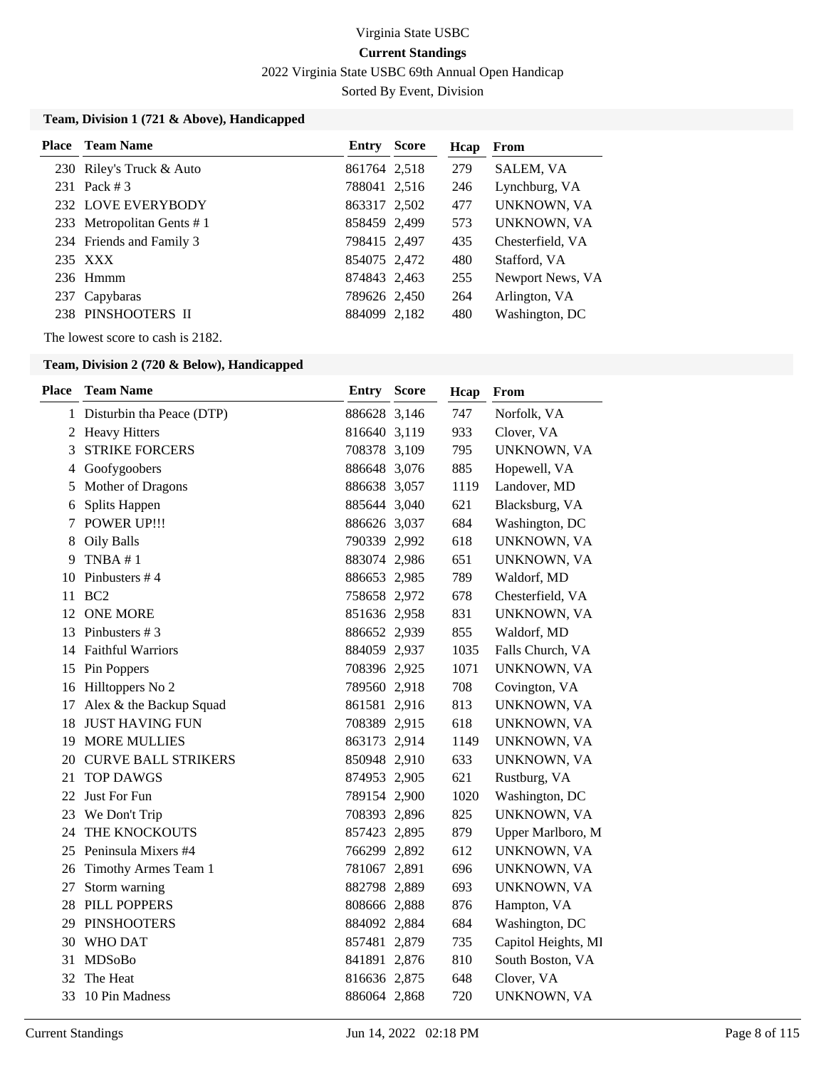2022 Virginia State USBC 69th Annual Open Handicap

Sorted By Event, Division

### **Team, Division 1 (721 & Above), Handicapped**

| <b>Place</b> Team Name    | <b>Entry Score</b> | Hcap | From             |
|---------------------------|--------------------|------|------------------|
| 230 Riley's Truck & Auto  | 861764 2.518       | 279  | SALEM, VA        |
| 231 Pack #3               | 788041 2,516       | 246  | Lynchburg, VA    |
| 232 LOVE EVERYBODY        | 863317 2,502       | 477  | UNKNOWN, VA      |
| 233 Metropolitan Gents #1 | 858459 2,499       | 573  | UNKNOWN, VA      |
| 234 Friends and Family 3  | 798415 2,497       | 435  | Chesterfield, VA |
| 235 XXX                   | 854075 2,472       | 480  | Stafford, VA     |
| $236$ Hmmm                | 874843 2,463       | 255  | Newport News, VA |
| 237 Capybaras             | 789626 2,450       | 264  | Arlington, VA    |
| 238 PINSHOOTERS II        | 884099 2,182       | 480  | Washington, DC   |

The lowest score to cash is 2182.

### **Team, Division 2 (720 & Below), Handicapped**

| <b>Place</b> | <b>Team Name</b>            | Entry        | <b>Score</b> | Hcap | From                |
|--------------|-----------------------------|--------------|--------------|------|---------------------|
|              | 1 Disturbin tha Peace (DTP) | 886628 3,146 |              | 747  | Norfolk, VA         |
| 2            | <b>Heavy Hitters</b>        | 816640 3,119 |              | 933  | Clover, VA          |
| 3            | <b>STRIKE FORCERS</b>       | 708378 3,109 |              | 795  | UNKNOWN, VA         |
| 4            | Goofygoobers                | 886648 3,076 |              | 885  | Hopewell, VA        |
| 5            | Mother of Dragons           | 886638 3,057 |              | 1119 | Landover, MD        |
| 6            | Splits Happen               | 885644 3,040 |              | 621  | Blacksburg, VA      |
| 7            | <b>POWER UP!!!</b>          | 886626 3,037 |              | 684  | Washington, DC      |
| 8            | <b>Oily Balls</b>           | 790339 2,992 |              | 618  | UNKNOWN, VA         |
| 9            | TNBA #1                     | 883074 2,986 |              | 651  | UNKNOWN, VA         |
| 10           | Pinbusters #4               | 886653 2,985 |              | 789  | Waldorf, MD         |
| 11           | BC <sub>2</sub>             | 758658 2,972 |              | 678  | Chesterfield, VA    |
| 12           | <b>ONE MORE</b>             | 851636 2,958 |              | 831  | UNKNOWN, VA         |
| 13           | Pinbusters #3               | 886652 2,939 |              | 855  | Waldorf, MD         |
| 14           | <b>Faithful Warriors</b>    | 884059 2,937 |              | 1035 | Falls Church, VA    |
| 15           | Pin Poppers                 | 708396 2,925 |              | 1071 | UNKNOWN, VA         |
| 16           | Hilltoppers No 2            | 789560 2,918 |              | 708  | Covington, VA       |
| 17           | Alex & the Backup Squad     | 861581 2,916 |              | 813  | UNKNOWN, VA         |
| 18           | <b>JUST HAVING FUN</b>      | 708389 2,915 |              | 618  | UNKNOWN, VA         |
| 19           | <b>MORE MULLIES</b>         | 863173 2,914 |              | 1149 | UNKNOWN, VA         |
| 20           | <b>CURVE BALL STRIKERS</b>  | 850948 2,910 |              | 633  | UNKNOWN, VA         |
| 21           | <b>TOP DAWGS</b>            | 874953 2,905 |              | 621  | Rustburg, VA        |
| 22           | Just For Fun                | 789154 2,900 |              | 1020 | Washington, DC      |
|              | 23 We Don't Trip            | 708393 2,896 |              | 825  | UNKNOWN, VA         |
| 24           | THE KNOCKOUTS               | 857423 2,895 |              | 879  | Upper Marlboro, M   |
| 25           | Peninsula Mixers #4         | 766299 2,892 |              | 612  | UNKNOWN, VA         |
| 26           | Timothy Armes Team 1        | 781067 2,891 |              | 696  | UNKNOWN, VA         |
| 27           | Storm warning               | 882798 2,889 |              | 693  | UNKNOWN, VA         |
| 28           | PILL POPPERS                | 808666 2,888 |              | 876  | Hampton, VA         |
| 29           | <b>PINSHOOTERS</b>          | 884092 2,884 |              | 684  | Washington, DC      |
| 30           | <b>WHO DAT</b>              | 857481 2,879 |              | 735  | Capitol Heights, Ml |
| 31           | <b>MDSoBo</b>               | 841891 2,876 |              | 810  | South Boston, VA    |
| 32           | The Heat                    | 816636 2,875 |              | 648  | Clover, VA          |
| 33           | 10 Pin Madness              | 886064 2,868 |              | 720  | UNKNOWN, VA         |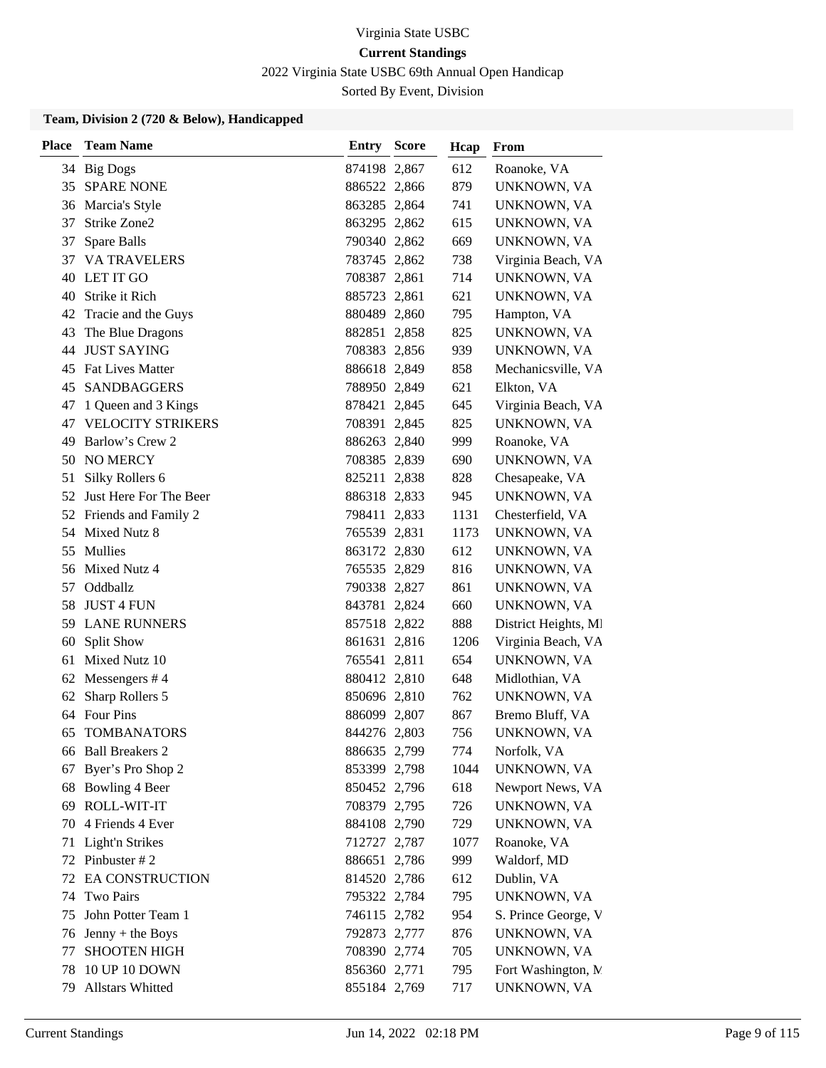2022 Virginia State USBC 69th Annual Open Handicap

Sorted By Event, Division

### **Team, Division 2 (720 & Below), Handicapped**

| <b>Place</b> | <b>Team Name</b>         | <b>Entry Score</b> | Hcap | From                 |
|--------------|--------------------------|--------------------|------|----------------------|
|              | 34 Big Dogs              | 874198 2,867       | 612  | Roanoke, VA          |
| 35           | <b>SPARE NONE</b>        | 886522 2,866       | 879  | UNKNOWN, VA          |
|              | 36 Marcia's Style        | 863285 2,864       | 741  | UNKNOWN, VA          |
| 37           | Strike Zone2             | 863295 2,862       | 615  | UNKNOWN, VA          |
| 37           | Spare Balls              | 790340 2,862       | 669  | UNKNOWN, VA          |
| 37           | <b>VA TRAVELERS</b>      | 783745 2,862       | 738  | Virginia Beach, VA   |
| 40           | LET IT GO                | 708387 2,861       | 714  | UNKNOWN, VA          |
| 40           | Strike it Rich           | 885723 2,861       | 621  | UNKNOWN, VA          |
| 42           | Tracie and the Guys      | 880489 2,860       | 795  | Hampton, VA          |
| 43           | The Blue Dragons         | 882851 2,858       | 825  | UNKNOWN, VA          |
| 44           | <b>JUST SAYING</b>       | 708383 2,856       | 939  | UNKNOWN, VA          |
|              | 45 Fat Lives Matter      | 886618 2,849       | 858  | Mechanicsville, VA   |
| 45           | SANDBAGGERS              | 788950 2,849       | 621  | Elkton, VA           |
| 47           | 1 Queen and 3 Kings      | 878421 2,845       | 645  | Virginia Beach, VA   |
| 47           | <b>VELOCITY STRIKERS</b> | 708391 2,845       | 825  | UNKNOWN, VA          |
| 49           | Barlow's Crew 2          | 886263 2,840       | 999  | Roanoke, VA          |
| 50           | <b>NO MERCY</b>          | 708385 2,839       | 690  | UNKNOWN, VA          |
| 51           | Silky Rollers 6          | 825211 2,838       | 828  | Chesapeake, VA       |
| 52           | Just Here For The Beer   | 886318 2,833       | 945  | UNKNOWN, VA          |
|              | 52 Friends and Family 2  | 798411 2,833       | 1131 | Chesterfield, VA     |
|              | 54 Mixed Nutz 8          | 765539 2,831       | 1173 | UNKNOWN, VA          |
| 55           | Mullies                  | 863172 2,830       | 612  | UNKNOWN, VA          |
| 56           | Mixed Nutz 4             | 765535 2,829       | 816  | UNKNOWN, VA          |
| 57           | Oddballz                 | 790338 2,827       | 861  | UNKNOWN, VA          |
| 58           | <b>JUST 4 FUN</b>        | 843781 2,824       | 660  | UNKNOWN, VA          |
| 59           | <b>LANE RUNNERS</b>      | 857518 2,822       | 888  | District Heights, MI |
| 60           | <b>Split Show</b>        | 861631 2,816       | 1206 | Virginia Beach, VA   |
| 61           | Mixed Nutz 10            | 765541 2,811       | 654  | UNKNOWN, VA          |
| 62           | Messengers $#4$          | 880412 2,810       | 648  | Midlothian, VA       |
| 62           | Sharp Rollers 5          | 850696 2,810       | 762  | UNKNOWN, VA          |
| 64           | <b>Four Pins</b>         | 886099 2,807       | 867  | Bremo Bluff, VA      |
| 65           | <b>TOMBANATORS</b>       | 844276 2,803       | 756  | UNKNOWN, VA          |
|              | 66 Ball Breakers 2       | 886635 2,799       | 774  | Norfolk, VA          |
| 67           | Byer's Pro Shop 2        | 853399 2,798       | 1044 | UNKNOWN, VA          |
| 68           | Bowling 4 Beer           | 850452 2,796       | 618  | Newport News, VA     |
| 69           | ROLL-WIT-IT              | 708379 2,795       | 726  | UNKNOWN, VA          |
| 70           | 4 Friends 4 Ever         | 884108 2,790       | 729  | UNKNOWN, VA          |
| 71           | Light'n Strikes          | 712727 2,787       | 1077 | Roanoke, VA          |
| 72           | Pinbuster #2             | 886651 2,786       | 999  | Waldorf, MD          |
| 72           | <b>EA CONSTRUCTION</b>   | 814520 2,786       | 612  | Dublin, VA           |
| 74           | <b>Two Pairs</b>         | 795322 2,784       | 795  | UNKNOWN, VA          |
| 75           | John Potter Team 1       | 746115 2,782       | 954  | S. Prince George, V  |
| 76           | Jenny + the Boys         | 792873 2,777       | 876  | UNKNOWN, VA          |
| 77           | <b>SHOOTEN HIGH</b>      | 708390 2,774       | 705  | UNKNOWN, VA          |
| 78           | 10 UP 10 DOWN            | 856360 2,771       | 795  | Fort Washington, N.  |
| 79           | Allstars Whitted         | 855184 2,769       | 717  | UNKNOWN, VA          |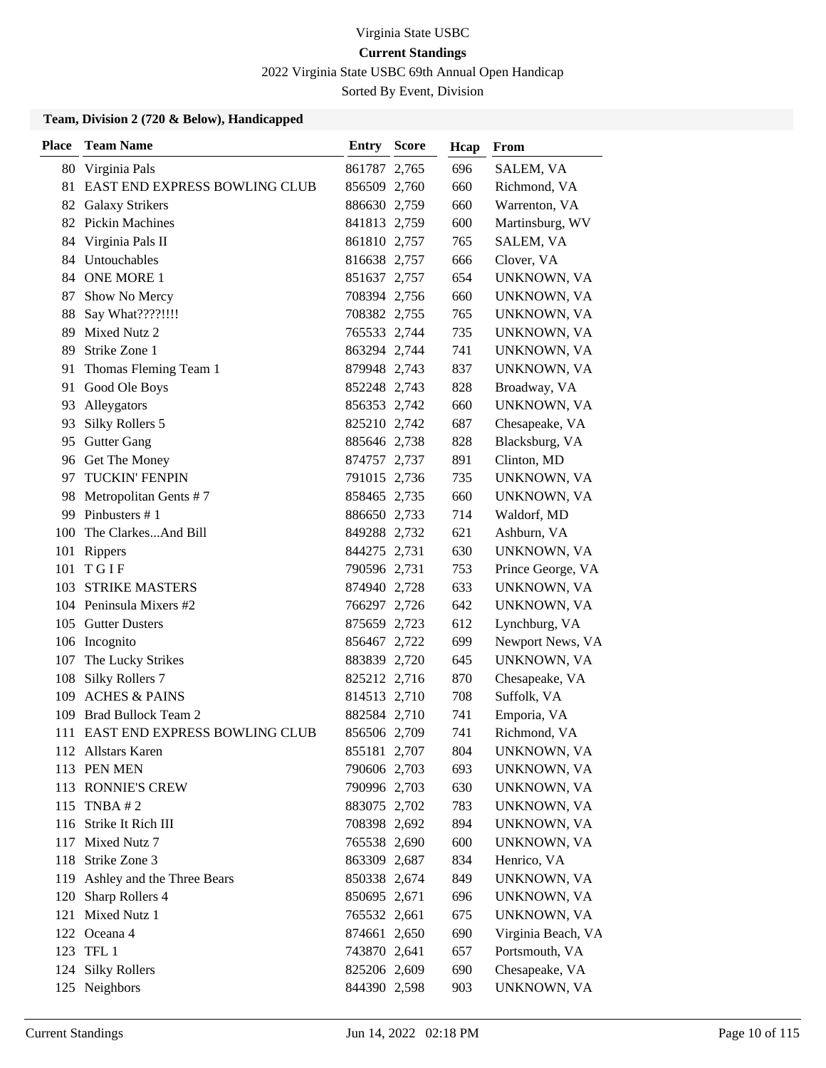2022 Virginia State USBC 69th Annual Open Handicap

Sorted By Event, Division

### **Team, Division 2 (720 & Below), Handicapped**

| <b>Place</b> | <b>Team Name</b>                 | <b>Entry Score</b> | Hcap | <b>From</b>        |
|--------------|----------------------------------|--------------------|------|--------------------|
|              | 80 Virginia Pals                 | 861787 2,765       | 696  | SALEM, VA          |
|              | 81 EAST END EXPRESS BOWLING CLUB | 856509 2,760       | 660  | Richmond, VA       |
|              | 82 Galaxy Strikers               | 886630 2,759       | 660  | Warrenton, VA      |
|              | 82 Pickin Machines               | 841813 2,759       | 600  | Martinsburg, WV    |
| 84           | Virginia Pals II                 | 861810 2,757       | 765  | SALEM, VA          |
|              | 84 Untouchables                  | 816638 2,757       | 666  | Clover, VA         |
|              | 84 ONE MORE 1                    | 851637 2,757       | 654  | UNKNOWN, VA        |
| 87           | Show No Mercy                    | 708394 2,756       | 660  | UNKNOWN, VA        |
| 88           | Say What????!!!!                 | 708382 2,755       | 765  | UNKNOWN, VA        |
| 89           | Mixed Nutz 2                     | 765533 2,744       | 735  | UNKNOWN, VA        |
| 89           | Strike Zone 1                    | 863294 2,744       | 741  | UNKNOWN, VA        |
| 91           | Thomas Fleming Team 1            | 879948 2,743       | 837  | UNKNOWN, VA        |
| 91           | Good Ole Boys                    | 852248 2,743       | 828  | Broadway, VA       |
| 93           | Alleygators                      | 856353 2,742       | 660  | UNKNOWN, VA        |
| 93           | Silky Rollers 5                  | 825210 2,742       | 687  | Chesapeake, VA     |
| 95           | <b>Gutter Gang</b>               | 885646 2,738       | 828  | Blacksburg, VA     |
| 96           | Get The Money                    | 874757 2,737       | 891  | Clinton, MD        |
| 97           | <b>TUCKIN' FENPIN</b>            | 791015 2,736       | 735  | UNKNOWN, VA        |
|              | 98 Metropolitan Gents #7         | 858465 2,735       | 660  | UNKNOWN, VA        |
| 99           | Pinbusters #1                    | 886650 2,733       | 714  | Waldorf, MD        |
| 100          | The ClarkesAnd Bill              | 849288 2,732       | 621  | Ashburn, VA        |
| 101          | Rippers                          | 844275 2,731       | 630  | UNKNOWN, VA        |
| 101          | TGIF                             | 790596 2,731       | 753  | Prince George, VA  |
| 103          | <b>STRIKE MASTERS</b>            | 874940 2,728       | 633  | UNKNOWN, VA        |
|              | 104 Peninsula Mixers #2          | 766297 2,726       | 642  | UNKNOWN, VA        |
|              | 105 Gutter Dusters               | 875659 2,723       | 612  | Lynchburg, VA      |
|              | 106 Incognito                    | 856467 2,722       | 699  | Newport News, VA   |
| 107          | The Lucky Strikes                | 883839 2,720       | 645  | UNKNOWN, VA        |
| 108          | Silky Rollers 7                  | 825212 2,716       | 870  | Chesapeake, VA     |
| 109          | <b>ACHES &amp; PAINS</b>         | 814513 2,710       | 708  | Suffolk, VA        |
| 109          | Brad Bullock Team 2              | 882584 2,710       | 741  | Emporia, VA        |
| 111          | EAST END EXPRESS BOWLING CLUB    | 856506 2,709       | 741  | Richmond, VA       |
|              | 112 Allstars Karen               | 855181 2,707       | 804  | UNKNOWN, VA        |
|              | 113 PEN MEN                      | 790606 2,703       | 693  | UNKNOWN, VA        |
|              | 113 RONNIE'S CREW                | 790996 2,703       | 630  | UNKNOWN, VA        |
|              | 115 TNBA #2                      | 883075 2,702       | 783  | UNKNOWN, VA        |
|              | 116 Strike It Rich III           | 708398 2,692       | 894  | UNKNOWN, VA        |
|              | 117 Mixed Nutz 7                 | 765538 2,690       | 600  | UNKNOWN, VA        |
|              | 118 Strike Zone 3                | 863309 2,687       | 834  | Henrico, VA        |
| 119          | Ashley and the Three Bears       | 850338 2,674       | 849  | UNKNOWN, VA        |
| 120          | Sharp Rollers 4                  | 850695 2,671       | 696  | UNKNOWN, VA        |
| 121          | Mixed Nutz 1                     | 765532 2,661       | 675  | UNKNOWN, VA        |
|              | 122 Oceana 4                     | 874661 2,650       | 690  | Virginia Beach, VA |
|              | 123 TFL 1                        | 743870 2,641       | 657  | Portsmouth, VA     |
| 124          | <b>Silky Rollers</b>             | 825206 2,609       | 690  | Chesapeake, VA     |
|              | 125 Neighbors                    | 844390 2,598       | 903  | UNKNOWN, VA        |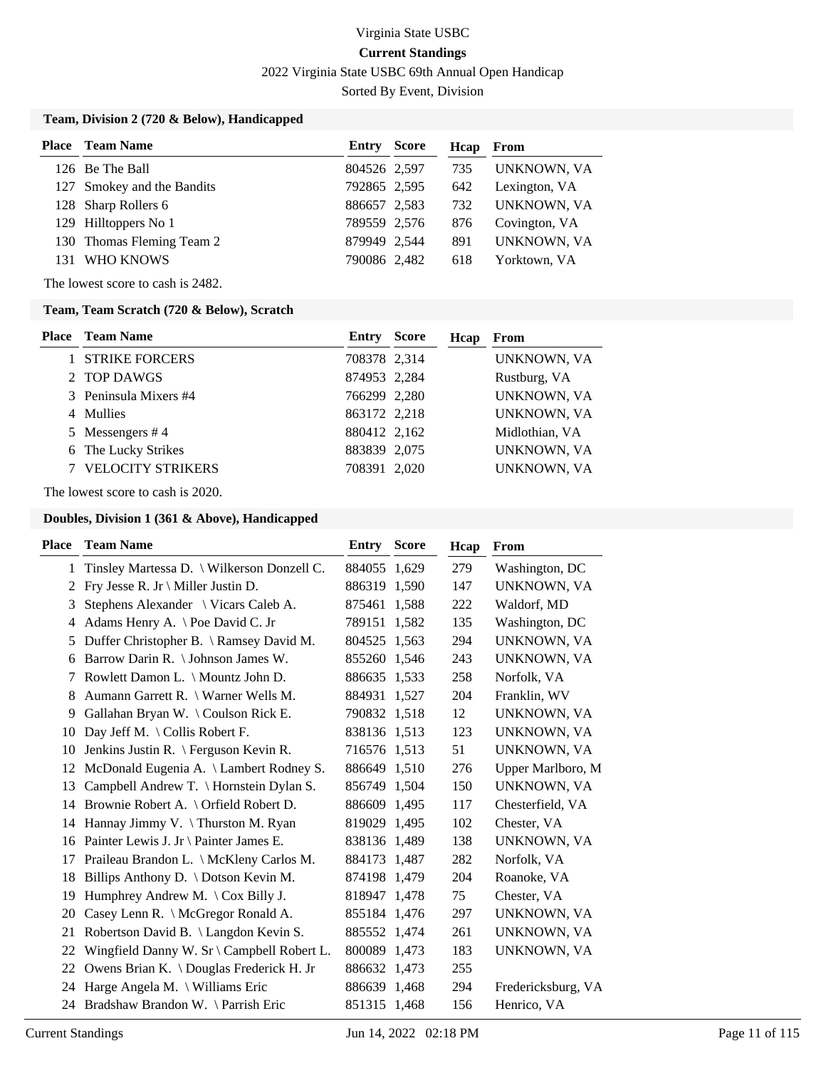2022 Virginia State USBC 69th Annual Open Handicap

Sorted By Event, Division

### **Team, Division 2 (720 & Below), Handicapped**

| <b>Place</b> Team Name     | Entry        | Score | Hcap | From          |
|----------------------------|--------------|-------|------|---------------|
| 126 Be The Ball            | 804526 2,597 |       | 735  | UNKNOWN, VA   |
| 127 Smokey and the Bandits | 792865 2,595 |       | 642  | Lexington, VA |
| 128 Sharp Rollers 6        | 886657 2,583 |       | 732  | UNKNOWN, VA   |
| 129 Hilltoppers No 1       | 789559 2,576 |       | 876  | Covington, VA |
| 130 Thomas Fleming Team 2  | 879949 2.544 |       | 891  | UNKNOWN, VA   |
| 131 WHO KNOWS              | 790086 2,482 |       | 618  | Yorktown, VA  |

The lowest score to cash is 2482.

### **Team, Team Scratch (720 & Below), Scratch**

| <b>Place</b> Team Name   | Entry        | Score<br>Hcap | From               |
|--------------------------|--------------|---------------|--------------------|
| <b>STRIKE FORCERS</b>    | 708378 2,314 |               | UNKNOWN, VA        |
| 2 TOP DAWGS              | 874953 2,284 |               | Rustburg, VA       |
| 3 Peninsula Mixers #4    | 766299 2,280 |               | UNKNOWN, VA        |
| 4 Mullies                | 863172 2,218 |               | UNKNOWN, VA        |
| 5 Messengers #4          | 880412 2,162 |               | Midlothian, VA     |
| 6 The Lucky Strikes      | 883839 2,075 |               | UNKNOWN, VA        |
| <b>VELOCITY STRIKERS</b> | 708391 2,020 |               | <b>UNKNOWN, VA</b> |

The lowest score to cash is 2020.

| Place        | <b>Team Name</b>                                            | Entry        | <b>Score</b> | Hcap | From               |
|--------------|-------------------------------------------------------------|--------------|--------------|------|--------------------|
| $\mathbf{1}$ | Tinsley Martessa D. \ Wilkerson Donzell C.                  | 884055 1.629 |              | 279  | Washington, DC     |
| 2            | Fry Jesse R. Jr \ Miller Justin D.                          | 886319 1,590 |              | 147  | UNKNOWN, VA        |
| 3            | Stephens Alexander \ Vicars Caleb A.                        | 875461 1,588 |              | 222  | Waldorf, MD        |
| 4            | Adams Henry A. $\heartsuit$ Poe David C. Jr                 | 789151 1,582 |              | 135  | Washington, DC     |
| 5            | Duffer Christopher B. \ Ramsey David M.                     | 804525 1,563 |              | 294  | UNKNOWN, VA        |
| 6            | Barrow Darin R. \ Johnson James W.                          | 855260 1,546 |              | 243  | UNKNOWN, VA        |
| 7            | Rowlett Damon L. \ Mountz John D.                           | 886635 1,533 |              | 258  | Norfolk, VA        |
| 8            | Aumann Garrett R. \ Warner Wells M.                         | 884931 1,527 |              | 204  | Franklin, WV       |
| 9            | Gallahan Bryan W. \Coulson Rick E.                          | 790832 1,518 |              | 12   | UNKNOWN, VA        |
| 10           | Day Jeff M. \ Collis Robert F.                              | 838136 1,513 |              | 123  | UNKNOWN, VA        |
| 10           | Jenkins Justin R. \ Ferguson Kevin R.                       | 716576 1,513 |              | 51   | UNKNOWN, VA        |
| 12           | McDonald Eugenia A. \ Lambert Rodney S.                     | 886649 1,510 |              | 276  | Upper Marlboro, M  |
| 13           | Campbell Andrew T. \ Hornstein Dylan S.                     | 856749 1,504 |              | 150  | UNKNOWN, VA        |
| 14           | Brownie Robert A. \ Orfield Robert D.                       | 886609 1,495 |              | 117  | Chesterfield, VA   |
| 14           | Hannay Jimmy V. \Thurston M. Ryan                           | 819029 1,495 |              | 102  | Chester, VA        |
| 16           | Painter Lewis J. Jr \ Painter James E.                      | 838136 1,489 |              | 138  | UNKNOWN, VA        |
| 17           | Praileau Brandon L. \ McKleny Carlos M.                     | 884173 1,487 |              | 282  | Norfolk, VA        |
| 18           | Billips Anthony D. \ Dotson Kevin M.                        | 874198 1,479 |              | 204  | Roanoke, VA        |
| 19           | Humphrey Andrew M. $\operatorname{\backslash}$ Cox Billy J. | 818947 1,478 |              | 75   | Chester, VA        |
| 20           | Casey Lenn R. \ McGregor Ronald A.                          | 855184 1,476 |              | 297  | UNKNOWN, VA        |
| 21           | Robertson David B. \ Langdon Kevin S.                       | 885552 1,474 |              | 261  | UNKNOWN, VA        |
| 22           | Wingfield Danny W. Sr \ Campbell Robert L.                  | 800089 1,473 |              | 183  | UNKNOWN, VA        |
| 22           | Owens Brian K. \Douglas Frederick H. Jr                     | 886632 1,473 |              | 255  |                    |
| 24           | Harge Angela M. \ Williams Eric                             | 886639 1,468 |              | 294  | Fredericksburg, VA |
| 24           | Bradshaw Brandon W. \Parrish Eric                           | 851315 1,468 |              | 156  | Henrico, VA        |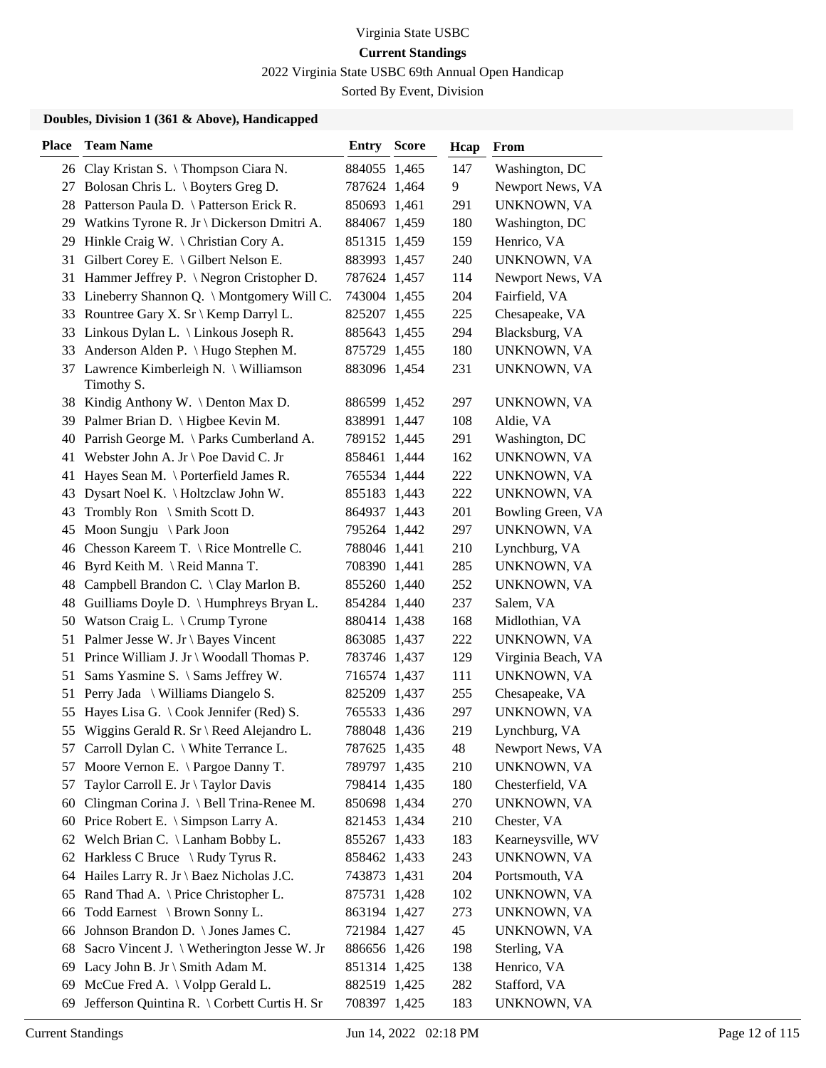2022 Virginia State USBC 69th Annual Open Handicap

Sorted By Event, Division

| Place | <b>Team Name</b>                                      | Entry        | <b>Score</b> | Hcap | <b>From</b>        |
|-------|-------------------------------------------------------|--------------|--------------|------|--------------------|
|       | 26 Clay Kristan S. \Thompson Ciara N.                 | 884055 1,465 |              | 147  | Washington, DC     |
|       | 27 Bolosan Chris L. \ Boyters Greg D.                 | 787624 1,464 |              | 9    | Newport News, VA   |
|       | 28 Patterson Paula D. \ Patterson Erick R.            | 850693 1,461 |              | 291  | UNKNOWN, VA        |
|       | 29 Watkins Tyrone R. Jr \ Dickerson Dmitri A.         | 884067 1,459 |              | 180  | Washington, DC     |
|       | 29 Hinkle Craig W. \ Christian Cory A.                | 851315 1,459 |              | 159  | Henrico, VA        |
| 31    | Gilbert Corey E. \ Gilbert Nelson E.                  | 883993 1,457 |              | 240  | UNKNOWN, VA        |
|       | 31 Hammer Jeffrey P. \ Negron Cristopher D.           | 787624 1,457 |              | 114  | Newport News, VA   |
|       | 33 Lineberry Shannon Q. \ Montgomery Will C.          | 743004 1,455 |              | 204  | Fairfield, VA      |
|       | 33 Rountree Gary X. Sr \ Kemp Darryl L.               | 825207 1,455 |              | 225  | Chesapeake, VA     |
|       | 33 Linkous Dylan L. \ Linkous Joseph R.               | 885643 1,455 |              | 294  | Blacksburg, VA     |
| 33    | Anderson Alden P. \ Hugo Stephen M.                   | 875729 1,455 |              | 180  | UNKNOWN, VA        |
|       | 37 Lawrence Kimberleigh N. \ Williamson<br>Timothy S. | 883096 1,454 |              | 231  | UNKNOWN, VA        |
|       | 38 Kindig Anthony W. \Denton Max D.                   | 886599 1,452 |              | 297  | UNKNOWN, VA        |
|       | 39 Palmer Brian D. \ Higbee Kevin M.                  | 838991 1,447 |              | 108  | Aldie, VA          |
|       | 40 Parrish George M. \ Parks Cumberland A.            | 789152 1,445 |              | 291  | Washington, DC     |
|       | 41 Webster John A. Jr \ Poe David C. Jr               | 858461 1,444 |              | 162  | UNKNOWN, VA        |
| 41    | Hayes Sean M. \ Porterfield James R.                  | 765534 1,444 |              | 222  | UNKNOWN, VA        |
| 43    | Dysart Noel K. \ Holtzclaw John W.                    | 855183 1,443 |              | 222  | UNKNOWN, VA        |
| 43    | Trombly Ron \ Smith Scott D.                          | 864937 1,443 |              | 201  | Bowling Green, VA  |
| 45    | Moon Sungju \ Park Joon                               | 795264 1,442 |              | 297  | UNKNOWN, VA        |
| 46    | Chesson Kareem T. \ Rice Montrelle C.                 | 788046 1,441 |              | 210  | Lynchburg, VA      |
| 46    | Byrd Keith M. \ Reid Manna T.                         | 708390 1,441 |              | 285  | UNKNOWN, VA        |
|       | 48 Campbell Brandon C. \ Clay Marlon B.               | 855260 1,440 |              | 252  | UNKNOWN, VA        |
|       | 48 Guilliams Doyle D. \ Humphreys Bryan L.            | 854284 1,440 |              | 237  | Salem, VA          |
|       | 50 Watson Craig L. \ Crump Tyrone                     | 880414 1,438 |              | 168  | Midlothian, VA     |
|       | 51 Palmer Jesse W. Jr \ Bayes Vincent                 | 863085 1,437 |              | 222  | UNKNOWN, VA        |
|       | 51 Prince William J. Jr \ Woodall Thomas P.           | 783746 1,437 |              | 129  | Virginia Beach, VA |
| 51    | Sams Yasmine S. \ Sams Jeffrey W.                     | 716574 1,437 |              | 111  | UNKNOWN, VA        |
| 51    | Perry Jada \ Williams Diangelo S.                     | 825209 1,437 |              | 255  | Chesapeake, VA     |
| 55    | Hayes Lisa G. $\setminus$ Cook Jennifer (Red) S.      | 765533 1,436 |              | 297  | UNKNOWN, VA        |
|       | 55 Wiggins Gerald R. Sr \ Reed Alejandro L.           | 788048 1,436 |              | 219  | Lynchburg, VA      |
|       | 57 Carroll Dylan C. \ White Terrance L.               | 787625 1,435 |              | 48   | Newport News, VA   |
| 57    | Moore Vernon E. \ Pargoe Danny T.                     | 789797 1,435 |              | 210  | UNKNOWN, VA        |
| 57    | Taylor Carroll E. Jr \ Taylor Davis                   | 798414 1,435 |              | 180  | Chesterfield, VA   |
| 60    | Clingman Corina J. \ Bell Trina-Renee M.              | 850698 1,434 |              | 270  | UNKNOWN, VA        |
| 60    | Price Robert E. \ Simpson Larry A.                    | 821453 1,434 |              | 210  | Chester, VA        |
| 62    | Welch Brian C. \ Lanham Bobby L.                      | 855267 1,433 |              | 183  | Kearneysville, WV  |
| 62    | Harkless C Bruce $\setminus$ Rudy Tyrus R.            | 858462 1,433 |              | 243  | UNKNOWN, VA        |
| 64    | Hailes Larry R. Jr \ Baez Nicholas J.C.               | 743873 1,431 |              | 204  | Portsmouth, VA     |
| 65    | Rand Thad A. \ Price Christopher L.                   | 875731 1,428 |              | 102  | UNKNOWN, VA        |
| 66    | Todd Earnest \ Brown Sonny L.                         | 863194 1,427 |              | 273  | UNKNOWN, VA        |
| 66    | Johnson Brandon D. \ Jones James C.                   | 721984 1,427 |              | 45   | UNKNOWN, VA        |
| 68    | Sacro Vincent J. \ Wetherington Jesse W. Jr           | 886656 1,426 |              | 198  | Sterling, VA       |
| 69    | Lacy John B. Jr \ Smith Adam M.                       | 851314 1,425 |              | 138  | Henrico, VA        |
| 69    | McCue Fred A. \ Volpp Gerald L.                       | 882519 1,425 |              | 282  | Stafford, VA       |
| 69    | Jefferson Quintina R. \ Corbett Curtis H. Sr          | 708397 1,425 |              | 183  | UNKNOWN, VA        |
|       |                                                       |              |              |      |                    |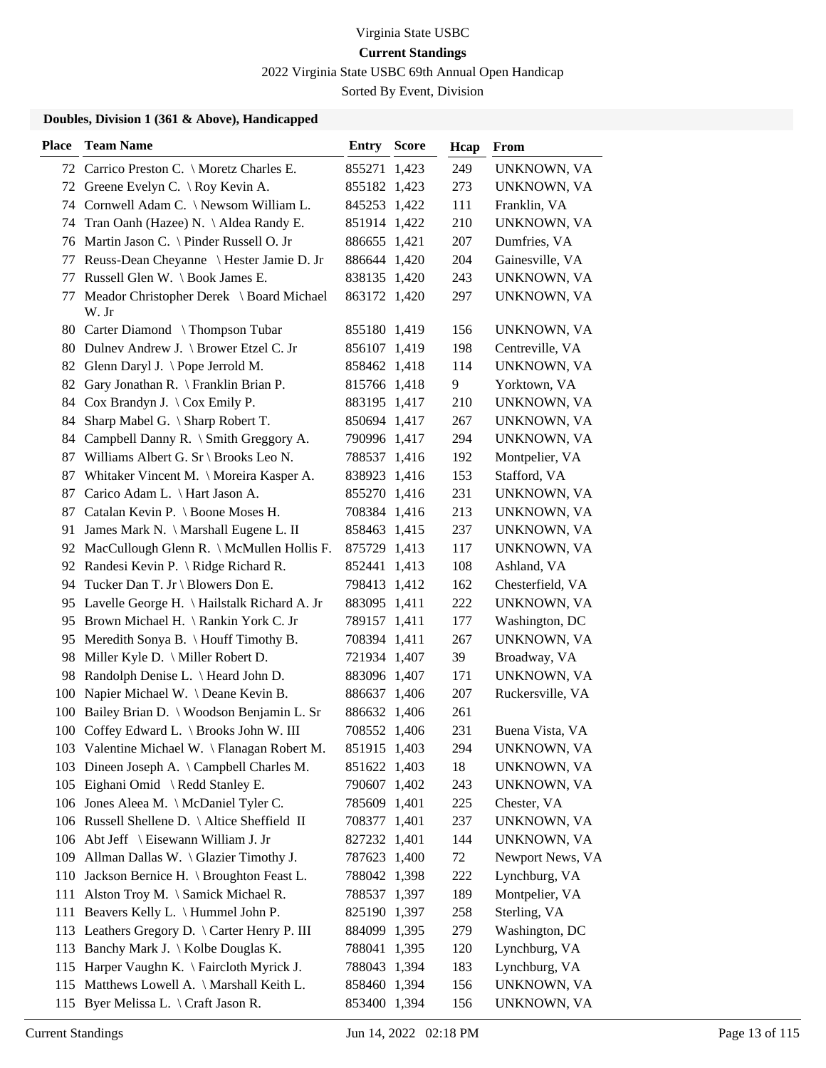2022 Virginia State USBC 69th Annual Open Handicap

Sorted By Event, Division

| 249<br>72 Carrico Preston C. \ Moretz Charles E.<br>855271 1,423<br>72 Greene Evelyn C. \ Roy Kevin A.<br>273<br>855182 1,423<br>74 Cornwell Adam C. \ Newsom William L.<br>845253 1,422<br>111<br>Franklin, VA<br>210<br>Tran Oanh (Hazee) N. \ Aldea Randy E.<br>851914 1,422<br>74<br>Martin Jason C. \ Pinder Russell O. Jr<br>Dumfries, VA<br>886655 1,421<br>207<br>76<br>Reuss-Dean Cheyanne \ Hester Jamie D. Jr<br>204<br>Gainesville, VA<br>886644 1,420<br>77<br>Russell Glen W. \ Book James E.<br>243<br>838135 1,420<br>77<br>Meador Christopher Derek \ Board Michael<br>863172 1,420<br>297<br>77<br>W. Jr<br>80 Carter Diamond \Thompson Tubar<br>156<br>855180 1,419<br>80 Dulnev Andrew J. \ Brower Etzel C. Jr<br>198<br>856107 1,419<br>Centreville, VA<br>Glenn Daryl J. $\Theta$ Pope Jerrold M.<br>114<br>82<br>858462 1,418<br>Gary Jonathan R. \ Franklin Brian P.<br>815766 1,418<br>9<br>Yorktown, VA<br>82<br>Cox Brandyn J. $\operatorname{\backslash}$ Cox Emily P.<br>883195 1,417<br>210<br>84<br>Sharp Mabel G. \ Sharp Robert T.<br>850694 1,417<br>267<br>84<br>Campbell Danny R. \ Smith Greggory A.<br>294<br>790996 1,417<br>84<br>87 Williams Albert G. Sr \ Brooks Leo N.<br>Montpelier, VA<br>788537 1,416<br>192<br>Whitaker Vincent M. \ Moreira Kasper A.<br>153<br>Stafford, VA<br>87<br>838923 1,416<br>Carico Adam L. \ Hart Jason A.<br>231<br>87<br>855270 1,416<br>Catalan Kevin P. \ Boone Moses H.<br>213<br>87<br>708384 1,416<br>237<br>91<br>James Mark N. \ Marshall Eugene L. II<br>858463 1,415<br>MacCullough Glenn R. \ McMullen Hollis F.<br>92<br>875729 1,413<br>117<br>Randesi Kevin P. \ Ridge Richard R.<br>108<br>Ashland, VA<br>852441 1,413<br>92<br>Tucker Dan T. Jr \ Blowers Don E.<br>162<br>Chesterfield, VA<br>798413 1,412<br>94<br>95 Lavelle George H. \Hailstalk Richard A. Jr<br>222<br>883095 1,411<br>Brown Michael H. \ Rankin York C. Jr<br>789157 1,411<br>177<br>Washington, DC<br>95<br>Meredith Sonya B. \ Houff Timothy B.<br>267<br>708394 1,411<br>95<br>Miller Kyle D. \ Miller Robert D.<br>39<br>Broadway, VA<br>98<br>721934 1,407<br>98 Randolph Denise L. \ Heard John D.<br>883096 1,407<br>171<br>Napier Michael W. \Deane Kevin B.<br>207<br>Ruckersville, VA<br>886637 1,406<br>100<br>Bailey Brian D.   Woodson Benjamin L. Sr<br>261<br>886632 1,406<br>100<br>231<br>100 Coffey Edward L. \ Brooks John W. III<br>708552 1,406<br>Buena Vista, VA<br>103 Valentine Michael W. \ Flanagan Robert M.<br>851915 1,403<br>294<br>103 Dineen Joseph A. \ Campbell Charles M.<br>851622 1,403<br>18<br>105 Eighani Omid \ Redd Stanley E.<br>790607 1,402<br>243<br>106 Jones Aleea M. \ McDaniel Tyler C.<br>785609 1,401<br>225<br>Chester, VA<br>106 Russell Shellene D. \ Altice Sheffield II<br>708377 1,401<br>237<br>106 Abt Jeff \ Eisewann William J. Jr<br>827232 1,401<br>144<br>109 Allman Dallas W. \ Glazier Timothy J.<br>72<br>787623 1,400<br>110 Jackson Bernice H. \ Broughton Feast L.<br>222<br>Lynchburg, VA<br>788042 1,398<br>111 Alston Troy M. \ Samick Michael R.<br>788537 1,397<br>189<br>Montpelier, VA<br>Beavers Kelly L. \ Hummel John P.<br>258<br>Sterling, VA<br>825190 1,397<br>111<br>113 Leathers Gregory D. \ Carter Henry P. III<br>Washington, DC<br>884099 1,395<br>279<br>113 Banchy Mark J. \ Kolbe Douglas K.<br>Lynchburg, VA<br>788041 1,395<br>120<br>Harper Vaughn K. \ Faircloth Myrick J.<br>788043 1,394<br>183<br>Lynchburg, VA<br>115<br>Matthews Lowell A. \ Marshall Keith L.<br>858460 1,394<br>156<br>115<br>Byer Melissa L. \ Craft Jason R.<br>853400 1,394<br>156<br>115 | <b>Place</b> | <b>Team Name</b> | Entry | <b>Score</b> | Hcap | From             |
|-------------------------------------------------------------------------------------------------------------------------------------------------------------------------------------------------------------------------------------------------------------------------------------------------------------------------------------------------------------------------------------------------------------------------------------------------------------------------------------------------------------------------------------------------------------------------------------------------------------------------------------------------------------------------------------------------------------------------------------------------------------------------------------------------------------------------------------------------------------------------------------------------------------------------------------------------------------------------------------------------------------------------------------------------------------------------------------------------------------------------------------------------------------------------------------------------------------------------------------------------------------------------------------------------------------------------------------------------------------------------------------------------------------------------------------------------------------------------------------------------------------------------------------------------------------------------------------------------------------------------------------------------------------------------------------------------------------------------------------------------------------------------------------------------------------------------------------------------------------------------------------------------------------------------------------------------------------------------------------------------------------------------------------------------------------------------------------------------------------------------------------------------------------------------------------------------------------------------------------------------------------------------------------------------------------------------------------------------------------------------------------------------------------------------------------------------------------------------------------------------------------------------------------------------------------------------------------------------------------------------------------------------------------------------------------------------------------------------------------------------------------------------------------------------------------------------------------------------------------------------------------------------------------------------------------------------------------------------------------------------------------------------------------------------------------------------------------------------------------------------------------------------------------------------------------------------------------------------------------------------------------------------------------------------------------------------------------------------------------------------------------------------------------------------------------------------------------------------------------------------------------------------------------------------------------------------------------------------------------------------------------------|--------------|------------------|-------|--------------|------|------------------|
|                                                                                                                                                                                                                                                                                                                                                                                                                                                                                                                                                                                                                                                                                                                                                                                                                                                                                                                                                                                                                                                                                                                                                                                                                                                                                                                                                                                                                                                                                                                                                                                                                                                                                                                                                                                                                                                                                                                                                                                                                                                                                                                                                                                                                                                                                                                                                                                                                                                                                                                                                                                                                                                                                                                                                                                                                                                                                                                                                                                                                                                                                                                                                                                                                                                                                                                                                                                                                                                                                                                                                                                                                                           |              |                  |       |              |      | UNKNOWN, VA      |
|                                                                                                                                                                                                                                                                                                                                                                                                                                                                                                                                                                                                                                                                                                                                                                                                                                                                                                                                                                                                                                                                                                                                                                                                                                                                                                                                                                                                                                                                                                                                                                                                                                                                                                                                                                                                                                                                                                                                                                                                                                                                                                                                                                                                                                                                                                                                                                                                                                                                                                                                                                                                                                                                                                                                                                                                                                                                                                                                                                                                                                                                                                                                                                                                                                                                                                                                                                                                                                                                                                                                                                                                                                           |              |                  |       |              |      | UNKNOWN, VA      |
|                                                                                                                                                                                                                                                                                                                                                                                                                                                                                                                                                                                                                                                                                                                                                                                                                                                                                                                                                                                                                                                                                                                                                                                                                                                                                                                                                                                                                                                                                                                                                                                                                                                                                                                                                                                                                                                                                                                                                                                                                                                                                                                                                                                                                                                                                                                                                                                                                                                                                                                                                                                                                                                                                                                                                                                                                                                                                                                                                                                                                                                                                                                                                                                                                                                                                                                                                                                                                                                                                                                                                                                                                                           |              |                  |       |              |      |                  |
|                                                                                                                                                                                                                                                                                                                                                                                                                                                                                                                                                                                                                                                                                                                                                                                                                                                                                                                                                                                                                                                                                                                                                                                                                                                                                                                                                                                                                                                                                                                                                                                                                                                                                                                                                                                                                                                                                                                                                                                                                                                                                                                                                                                                                                                                                                                                                                                                                                                                                                                                                                                                                                                                                                                                                                                                                                                                                                                                                                                                                                                                                                                                                                                                                                                                                                                                                                                                                                                                                                                                                                                                                                           |              |                  |       |              |      | UNKNOWN, VA      |
|                                                                                                                                                                                                                                                                                                                                                                                                                                                                                                                                                                                                                                                                                                                                                                                                                                                                                                                                                                                                                                                                                                                                                                                                                                                                                                                                                                                                                                                                                                                                                                                                                                                                                                                                                                                                                                                                                                                                                                                                                                                                                                                                                                                                                                                                                                                                                                                                                                                                                                                                                                                                                                                                                                                                                                                                                                                                                                                                                                                                                                                                                                                                                                                                                                                                                                                                                                                                                                                                                                                                                                                                                                           |              |                  |       |              |      |                  |
|                                                                                                                                                                                                                                                                                                                                                                                                                                                                                                                                                                                                                                                                                                                                                                                                                                                                                                                                                                                                                                                                                                                                                                                                                                                                                                                                                                                                                                                                                                                                                                                                                                                                                                                                                                                                                                                                                                                                                                                                                                                                                                                                                                                                                                                                                                                                                                                                                                                                                                                                                                                                                                                                                                                                                                                                                                                                                                                                                                                                                                                                                                                                                                                                                                                                                                                                                                                                                                                                                                                                                                                                                                           |              |                  |       |              |      |                  |
|                                                                                                                                                                                                                                                                                                                                                                                                                                                                                                                                                                                                                                                                                                                                                                                                                                                                                                                                                                                                                                                                                                                                                                                                                                                                                                                                                                                                                                                                                                                                                                                                                                                                                                                                                                                                                                                                                                                                                                                                                                                                                                                                                                                                                                                                                                                                                                                                                                                                                                                                                                                                                                                                                                                                                                                                                                                                                                                                                                                                                                                                                                                                                                                                                                                                                                                                                                                                                                                                                                                                                                                                                                           |              |                  |       |              |      | UNKNOWN, VA      |
|                                                                                                                                                                                                                                                                                                                                                                                                                                                                                                                                                                                                                                                                                                                                                                                                                                                                                                                                                                                                                                                                                                                                                                                                                                                                                                                                                                                                                                                                                                                                                                                                                                                                                                                                                                                                                                                                                                                                                                                                                                                                                                                                                                                                                                                                                                                                                                                                                                                                                                                                                                                                                                                                                                                                                                                                                                                                                                                                                                                                                                                                                                                                                                                                                                                                                                                                                                                                                                                                                                                                                                                                                                           |              |                  |       |              |      | UNKNOWN, VA      |
|                                                                                                                                                                                                                                                                                                                                                                                                                                                                                                                                                                                                                                                                                                                                                                                                                                                                                                                                                                                                                                                                                                                                                                                                                                                                                                                                                                                                                                                                                                                                                                                                                                                                                                                                                                                                                                                                                                                                                                                                                                                                                                                                                                                                                                                                                                                                                                                                                                                                                                                                                                                                                                                                                                                                                                                                                                                                                                                                                                                                                                                                                                                                                                                                                                                                                                                                                                                                                                                                                                                                                                                                                                           |              |                  |       |              |      | UNKNOWN, VA      |
|                                                                                                                                                                                                                                                                                                                                                                                                                                                                                                                                                                                                                                                                                                                                                                                                                                                                                                                                                                                                                                                                                                                                                                                                                                                                                                                                                                                                                                                                                                                                                                                                                                                                                                                                                                                                                                                                                                                                                                                                                                                                                                                                                                                                                                                                                                                                                                                                                                                                                                                                                                                                                                                                                                                                                                                                                                                                                                                                                                                                                                                                                                                                                                                                                                                                                                                                                                                                                                                                                                                                                                                                                                           |              |                  |       |              |      |                  |
|                                                                                                                                                                                                                                                                                                                                                                                                                                                                                                                                                                                                                                                                                                                                                                                                                                                                                                                                                                                                                                                                                                                                                                                                                                                                                                                                                                                                                                                                                                                                                                                                                                                                                                                                                                                                                                                                                                                                                                                                                                                                                                                                                                                                                                                                                                                                                                                                                                                                                                                                                                                                                                                                                                                                                                                                                                                                                                                                                                                                                                                                                                                                                                                                                                                                                                                                                                                                                                                                                                                                                                                                                                           |              |                  |       |              |      | UNKNOWN, VA      |
|                                                                                                                                                                                                                                                                                                                                                                                                                                                                                                                                                                                                                                                                                                                                                                                                                                                                                                                                                                                                                                                                                                                                                                                                                                                                                                                                                                                                                                                                                                                                                                                                                                                                                                                                                                                                                                                                                                                                                                                                                                                                                                                                                                                                                                                                                                                                                                                                                                                                                                                                                                                                                                                                                                                                                                                                                                                                                                                                                                                                                                                                                                                                                                                                                                                                                                                                                                                                                                                                                                                                                                                                                                           |              |                  |       |              |      |                  |
|                                                                                                                                                                                                                                                                                                                                                                                                                                                                                                                                                                                                                                                                                                                                                                                                                                                                                                                                                                                                                                                                                                                                                                                                                                                                                                                                                                                                                                                                                                                                                                                                                                                                                                                                                                                                                                                                                                                                                                                                                                                                                                                                                                                                                                                                                                                                                                                                                                                                                                                                                                                                                                                                                                                                                                                                                                                                                                                                                                                                                                                                                                                                                                                                                                                                                                                                                                                                                                                                                                                                                                                                                                           |              |                  |       |              |      | UNKNOWN, VA      |
|                                                                                                                                                                                                                                                                                                                                                                                                                                                                                                                                                                                                                                                                                                                                                                                                                                                                                                                                                                                                                                                                                                                                                                                                                                                                                                                                                                                                                                                                                                                                                                                                                                                                                                                                                                                                                                                                                                                                                                                                                                                                                                                                                                                                                                                                                                                                                                                                                                                                                                                                                                                                                                                                                                                                                                                                                                                                                                                                                                                                                                                                                                                                                                                                                                                                                                                                                                                                                                                                                                                                                                                                                                           |              |                  |       |              |      | UNKNOWN, VA      |
|                                                                                                                                                                                                                                                                                                                                                                                                                                                                                                                                                                                                                                                                                                                                                                                                                                                                                                                                                                                                                                                                                                                                                                                                                                                                                                                                                                                                                                                                                                                                                                                                                                                                                                                                                                                                                                                                                                                                                                                                                                                                                                                                                                                                                                                                                                                                                                                                                                                                                                                                                                                                                                                                                                                                                                                                                                                                                                                                                                                                                                                                                                                                                                                                                                                                                                                                                                                                                                                                                                                                                                                                                                           |              |                  |       |              |      | UNKNOWN, VA      |
|                                                                                                                                                                                                                                                                                                                                                                                                                                                                                                                                                                                                                                                                                                                                                                                                                                                                                                                                                                                                                                                                                                                                                                                                                                                                                                                                                                                                                                                                                                                                                                                                                                                                                                                                                                                                                                                                                                                                                                                                                                                                                                                                                                                                                                                                                                                                                                                                                                                                                                                                                                                                                                                                                                                                                                                                                                                                                                                                                                                                                                                                                                                                                                                                                                                                                                                                                                                                                                                                                                                                                                                                                                           |              |                  |       |              |      |                  |
|                                                                                                                                                                                                                                                                                                                                                                                                                                                                                                                                                                                                                                                                                                                                                                                                                                                                                                                                                                                                                                                                                                                                                                                                                                                                                                                                                                                                                                                                                                                                                                                                                                                                                                                                                                                                                                                                                                                                                                                                                                                                                                                                                                                                                                                                                                                                                                                                                                                                                                                                                                                                                                                                                                                                                                                                                                                                                                                                                                                                                                                                                                                                                                                                                                                                                                                                                                                                                                                                                                                                                                                                                                           |              |                  |       |              |      |                  |
|                                                                                                                                                                                                                                                                                                                                                                                                                                                                                                                                                                                                                                                                                                                                                                                                                                                                                                                                                                                                                                                                                                                                                                                                                                                                                                                                                                                                                                                                                                                                                                                                                                                                                                                                                                                                                                                                                                                                                                                                                                                                                                                                                                                                                                                                                                                                                                                                                                                                                                                                                                                                                                                                                                                                                                                                                                                                                                                                                                                                                                                                                                                                                                                                                                                                                                                                                                                                                                                                                                                                                                                                                                           |              |                  |       |              |      | UNKNOWN, VA      |
|                                                                                                                                                                                                                                                                                                                                                                                                                                                                                                                                                                                                                                                                                                                                                                                                                                                                                                                                                                                                                                                                                                                                                                                                                                                                                                                                                                                                                                                                                                                                                                                                                                                                                                                                                                                                                                                                                                                                                                                                                                                                                                                                                                                                                                                                                                                                                                                                                                                                                                                                                                                                                                                                                                                                                                                                                                                                                                                                                                                                                                                                                                                                                                                                                                                                                                                                                                                                                                                                                                                                                                                                                                           |              |                  |       |              |      | UNKNOWN, VA      |
|                                                                                                                                                                                                                                                                                                                                                                                                                                                                                                                                                                                                                                                                                                                                                                                                                                                                                                                                                                                                                                                                                                                                                                                                                                                                                                                                                                                                                                                                                                                                                                                                                                                                                                                                                                                                                                                                                                                                                                                                                                                                                                                                                                                                                                                                                                                                                                                                                                                                                                                                                                                                                                                                                                                                                                                                                                                                                                                                                                                                                                                                                                                                                                                                                                                                                                                                                                                                                                                                                                                                                                                                                                           |              |                  |       |              |      | UNKNOWN, VA      |
|                                                                                                                                                                                                                                                                                                                                                                                                                                                                                                                                                                                                                                                                                                                                                                                                                                                                                                                                                                                                                                                                                                                                                                                                                                                                                                                                                                                                                                                                                                                                                                                                                                                                                                                                                                                                                                                                                                                                                                                                                                                                                                                                                                                                                                                                                                                                                                                                                                                                                                                                                                                                                                                                                                                                                                                                                                                                                                                                                                                                                                                                                                                                                                                                                                                                                                                                                                                                                                                                                                                                                                                                                                           |              |                  |       |              |      | UNKNOWN, VA      |
|                                                                                                                                                                                                                                                                                                                                                                                                                                                                                                                                                                                                                                                                                                                                                                                                                                                                                                                                                                                                                                                                                                                                                                                                                                                                                                                                                                                                                                                                                                                                                                                                                                                                                                                                                                                                                                                                                                                                                                                                                                                                                                                                                                                                                                                                                                                                                                                                                                                                                                                                                                                                                                                                                                                                                                                                                                                                                                                                                                                                                                                                                                                                                                                                                                                                                                                                                                                                                                                                                                                                                                                                                                           |              |                  |       |              |      |                  |
|                                                                                                                                                                                                                                                                                                                                                                                                                                                                                                                                                                                                                                                                                                                                                                                                                                                                                                                                                                                                                                                                                                                                                                                                                                                                                                                                                                                                                                                                                                                                                                                                                                                                                                                                                                                                                                                                                                                                                                                                                                                                                                                                                                                                                                                                                                                                                                                                                                                                                                                                                                                                                                                                                                                                                                                                                                                                                                                                                                                                                                                                                                                                                                                                                                                                                                                                                                                                                                                                                                                                                                                                                                           |              |                  |       |              |      |                  |
|                                                                                                                                                                                                                                                                                                                                                                                                                                                                                                                                                                                                                                                                                                                                                                                                                                                                                                                                                                                                                                                                                                                                                                                                                                                                                                                                                                                                                                                                                                                                                                                                                                                                                                                                                                                                                                                                                                                                                                                                                                                                                                                                                                                                                                                                                                                                                                                                                                                                                                                                                                                                                                                                                                                                                                                                                                                                                                                                                                                                                                                                                                                                                                                                                                                                                                                                                                                                                                                                                                                                                                                                                                           |              |                  |       |              |      | UNKNOWN, VA      |
|                                                                                                                                                                                                                                                                                                                                                                                                                                                                                                                                                                                                                                                                                                                                                                                                                                                                                                                                                                                                                                                                                                                                                                                                                                                                                                                                                                                                                                                                                                                                                                                                                                                                                                                                                                                                                                                                                                                                                                                                                                                                                                                                                                                                                                                                                                                                                                                                                                                                                                                                                                                                                                                                                                                                                                                                                                                                                                                                                                                                                                                                                                                                                                                                                                                                                                                                                                                                                                                                                                                                                                                                                                           |              |                  |       |              |      |                  |
|                                                                                                                                                                                                                                                                                                                                                                                                                                                                                                                                                                                                                                                                                                                                                                                                                                                                                                                                                                                                                                                                                                                                                                                                                                                                                                                                                                                                                                                                                                                                                                                                                                                                                                                                                                                                                                                                                                                                                                                                                                                                                                                                                                                                                                                                                                                                                                                                                                                                                                                                                                                                                                                                                                                                                                                                                                                                                                                                                                                                                                                                                                                                                                                                                                                                                                                                                                                                                                                                                                                                                                                                                                           |              |                  |       |              |      | UNKNOWN, VA      |
|                                                                                                                                                                                                                                                                                                                                                                                                                                                                                                                                                                                                                                                                                                                                                                                                                                                                                                                                                                                                                                                                                                                                                                                                                                                                                                                                                                                                                                                                                                                                                                                                                                                                                                                                                                                                                                                                                                                                                                                                                                                                                                                                                                                                                                                                                                                                                                                                                                                                                                                                                                                                                                                                                                                                                                                                                                                                                                                                                                                                                                                                                                                                                                                                                                                                                                                                                                                                                                                                                                                                                                                                                                           |              |                  |       |              |      |                  |
|                                                                                                                                                                                                                                                                                                                                                                                                                                                                                                                                                                                                                                                                                                                                                                                                                                                                                                                                                                                                                                                                                                                                                                                                                                                                                                                                                                                                                                                                                                                                                                                                                                                                                                                                                                                                                                                                                                                                                                                                                                                                                                                                                                                                                                                                                                                                                                                                                                                                                                                                                                                                                                                                                                                                                                                                                                                                                                                                                                                                                                                                                                                                                                                                                                                                                                                                                                                                                                                                                                                                                                                                                                           |              |                  |       |              |      | UNKNOWN, VA      |
|                                                                                                                                                                                                                                                                                                                                                                                                                                                                                                                                                                                                                                                                                                                                                                                                                                                                                                                                                                                                                                                                                                                                                                                                                                                                                                                                                                                                                                                                                                                                                                                                                                                                                                                                                                                                                                                                                                                                                                                                                                                                                                                                                                                                                                                                                                                                                                                                                                                                                                                                                                                                                                                                                                                                                                                                                                                                                                                                                                                                                                                                                                                                                                                                                                                                                                                                                                                                                                                                                                                                                                                                                                           |              |                  |       |              |      |                  |
|                                                                                                                                                                                                                                                                                                                                                                                                                                                                                                                                                                                                                                                                                                                                                                                                                                                                                                                                                                                                                                                                                                                                                                                                                                                                                                                                                                                                                                                                                                                                                                                                                                                                                                                                                                                                                                                                                                                                                                                                                                                                                                                                                                                                                                                                                                                                                                                                                                                                                                                                                                                                                                                                                                                                                                                                                                                                                                                                                                                                                                                                                                                                                                                                                                                                                                                                                                                                                                                                                                                                                                                                                                           |              |                  |       |              |      |                  |
|                                                                                                                                                                                                                                                                                                                                                                                                                                                                                                                                                                                                                                                                                                                                                                                                                                                                                                                                                                                                                                                                                                                                                                                                                                                                                                                                                                                                                                                                                                                                                                                                                                                                                                                                                                                                                                                                                                                                                                                                                                                                                                                                                                                                                                                                                                                                                                                                                                                                                                                                                                                                                                                                                                                                                                                                                                                                                                                                                                                                                                                                                                                                                                                                                                                                                                                                                                                                                                                                                                                                                                                                                                           |              |                  |       |              |      |                  |
|                                                                                                                                                                                                                                                                                                                                                                                                                                                                                                                                                                                                                                                                                                                                                                                                                                                                                                                                                                                                                                                                                                                                                                                                                                                                                                                                                                                                                                                                                                                                                                                                                                                                                                                                                                                                                                                                                                                                                                                                                                                                                                                                                                                                                                                                                                                                                                                                                                                                                                                                                                                                                                                                                                                                                                                                                                                                                                                                                                                                                                                                                                                                                                                                                                                                                                                                                                                                                                                                                                                                                                                                                                           |              |                  |       |              |      | UNKNOWN, VA      |
|                                                                                                                                                                                                                                                                                                                                                                                                                                                                                                                                                                                                                                                                                                                                                                                                                                                                                                                                                                                                                                                                                                                                                                                                                                                                                                                                                                                                                                                                                                                                                                                                                                                                                                                                                                                                                                                                                                                                                                                                                                                                                                                                                                                                                                                                                                                                                                                                                                                                                                                                                                                                                                                                                                                                                                                                                                                                                                                                                                                                                                                                                                                                                                                                                                                                                                                                                                                                                                                                                                                                                                                                                                           |              |                  |       |              |      | UNKNOWN, VA      |
|                                                                                                                                                                                                                                                                                                                                                                                                                                                                                                                                                                                                                                                                                                                                                                                                                                                                                                                                                                                                                                                                                                                                                                                                                                                                                                                                                                                                                                                                                                                                                                                                                                                                                                                                                                                                                                                                                                                                                                                                                                                                                                                                                                                                                                                                                                                                                                                                                                                                                                                                                                                                                                                                                                                                                                                                                                                                                                                                                                                                                                                                                                                                                                                                                                                                                                                                                                                                                                                                                                                                                                                                                                           |              |                  |       |              |      | UNKNOWN, VA      |
|                                                                                                                                                                                                                                                                                                                                                                                                                                                                                                                                                                                                                                                                                                                                                                                                                                                                                                                                                                                                                                                                                                                                                                                                                                                                                                                                                                                                                                                                                                                                                                                                                                                                                                                                                                                                                                                                                                                                                                                                                                                                                                                                                                                                                                                                                                                                                                                                                                                                                                                                                                                                                                                                                                                                                                                                                                                                                                                                                                                                                                                                                                                                                                                                                                                                                                                                                                                                                                                                                                                                                                                                                                           |              |                  |       |              |      |                  |
|                                                                                                                                                                                                                                                                                                                                                                                                                                                                                                                                                                                                                                                                                                                                                                                                                                                                                                                                                                                                                                                                                                                                                                                                                                                                                                                                                                                                                                                                                                                                                                                                                                                                                                                                                                                                                                                                                                                                                                                                                                                                                                                                                                                                                                                                                                                                                                                                                                                                                                                                                                                                                                                                                                                                                                                                                                                                                                                                                                                                                                                                                                                                                                                                                                                                                                                                                                                                                                                                                                                                                                                                                                           |              |                  |       |              |      | UNKNOWN, VA      |
|                                                                                                                                                                                                                                                                                                                                                                                                                                                                                                                                                                                                                                                                                                                                                                                                                                                                                                                                                                                                                                                                                                                                                                                                                                                                                                                                                                                                                                                                                                                                                                                                                                                                                                                                                                                                                                                                                                                                                                                                                                                                                                                                                                                                                                                                                                                                                                                                                                                                                                                                                                                                                                                                                                                                                                                                                                                                                                                                                                                                                                                                                                                                                                                                                                                                                                                                                                                                                                                                                                                                                                                                                                           |              |                  |       |              |      | UNKNOWN, VA      |
|                                                                                                                                                                                                                                                                                                                                                                                                                                                                                                                                                                                                                                                                                                                                                                                                                                                                                                                                                                                                                                                                                                                                                                                                                                                                                                                                                                                                                                                                                                                                                                                                                                                                                                                                                                                                                                                                                                                                                                                                                                                                                                                                                                                                                                                                                                                                                                                                                                                                                                                                                                                                                                                                                                                                                                                                                                                                                                                                                                                                                                                                                                                                                                                                                                                                                                                                                                                                                                                                                                                                                                                                                                           |              |                  |       |              |      | Newport News, VA |
|                                                                                                                                                                                                                                                                                                                                                                                                                                                                                                                                                                                                                                                                                                                                                                                                                                                                                                                                                                                                                                                                                                                                                                                                                                                                                                                                                                                                                                                                                                                                                                                                                                                                                                                                                                                                                                                                                                                                                                                                                                                                                                                                                                                                                                                                                                                                                                                                                                                                                                                                                                                                                                                                                                                                                                                                                                                                                                                                                                                                                                                                                                                                                                                                                                                                                                                                                                                                                                                                                                                                                                                                                                           |              |                  |       |              |      |                  |
|                                                                                                                                                                                                                                                                                                                                                                                                                                                                                                                                                                                                                                                                                                                                                                                                                                                                                                                                                                                                                                                                                                                                                                                                                                                                                                                                                                                                                                                                                                                                                                                                                                                                                                                                                                                                                                                                                                                                                                                                                                                                                                                                                                                                                                                                                                                                                                                                                                                                                                                                                                                                                                                                                                                                                                                                                                                                                                                                                                                                                                                                                                                                                                                                                                                                                                                                                                                                                                                                                                                                                                                                                                           |              |                  |       |              |      |                  |
|                                                                                                                                                                                                                                                                                                                                                                                                                                                                                                                                                                                                                                                                                                                                                                                                                                                                                                                                                                                                                                                                                                                                                                                                                                                                                                                                                                                                                                                                                                                                                                                                                                                                                                                                                                                                                                                                                                                                                                                                                                                                                                                                                                                                                                                                                                                                                                                                                                                                                                                                                                                                                                                                                                                                                                                                                                                                                                                                                                                                                                                                                                                                                                                                                                                                                                                                                                                                                                                                                                                                                                                                                                           |              |                  |       |              |      |                  |
|                                                                                                                                                                                                                                                                                                                                                                                                                                                                                                                                                                                                                                                                                                                                                                                                                                                                                                                                                                                                                                                                                                                                                                                                                                                                                                                                                                                                                                                                                                                                                                                                                                                                                                                                                                                                                                                                                                                                                                                                                                                                                                                                                                                                                                                                                                                                                                                                                                                                                                                                                                                                                                                                                                                                                                                                                                                                                                                                                                                                                                                                                                                                                                                                                                                                                                                                                                                                                                                                                                                                                                                                                                           |              |                  |       |              |      |                  |
|                                                                                                                                                                                                                                                                                                                                                                                                                                                                                                                                                                                                                                                                                                                                                                                                                                                                                                                                                                                                                                                                                                                                                                                                                                                                                                                                                                                                                                                                                                                                                                                                                                                                                                                                                                                                                                                                                                                                                                                                                                                                                                                                                                                                                                                                                                                                                                                                                                                                                                                                                                                                                                                                                                                                                                                                                                                                                                                                                                                                                                                                                                                                                                                                                                                                                                                                                                                                                                                                                                                                                                                                                                           |              |                  |       |              |      |                  |
|                                                                                                                                                                                                                                                                                                                                                                                                                                                                                                                                                                                                                                                                                                                                                                                                                                                                                                                                                                                                                                                                                                                                                                                                                                                                                                                                                                                                                                                                                                                                                                                                                                                                                                                                                                                                                                                                                                                                                                                                                                                                                                                                                                                                                                                                                                                                                                                                                                                                                                                                                                                                                                                                                                                                                                                                                                                                                                                                                                                                                                                                                                                                                                                                                                                                                                                                                                                                                                                                                                                                                                                                                                           |              |                  |       |              |      |                  |
|                                                                                                                                                                                                                                                                                                                                                                                                                                                                                                                                                                                                                                                                                                                                                                                                                                                                                                                                                                                                                                                                                                                                                                                                                                                                                                                                                                                                                                                                                                                                                                                                                                                                                                                                                                                                                                                                                                                                                                                                                                                                                                                                                                                                                                                                                                                                                                                                                                                                                                                                                                                                                                                                                                                                                                                                                                                                                                                                                                                                                                                                                                                                                                                                                                                                                                                                                                                                                                                                                                                                                                                                                                           |              |                  |       |              |      | UNKNOWN, VA      |
|                                                                                                                                                                                                                                                                                                                                                                                                                                                                                                                                                                                                                                                                                                                                                                                                                                                                                                                                                                                                                                                                                                                                                                                                                                                                                                                                                                                                                                                                                                                                                                                                                                                                                                                                                                                                                                                                                                                                                                                                                                                                                                                                                                                                                                                                                                                                                                                                                                                                                                                                                                                                                                                                                                                                                                                                                                                                                                                                                                                                                                                                                                                                                                                                                                                                                                                                                                                                                                                                                                                                                                                                                                           |              |                  |       |              |      | UNKNOWN, VA      |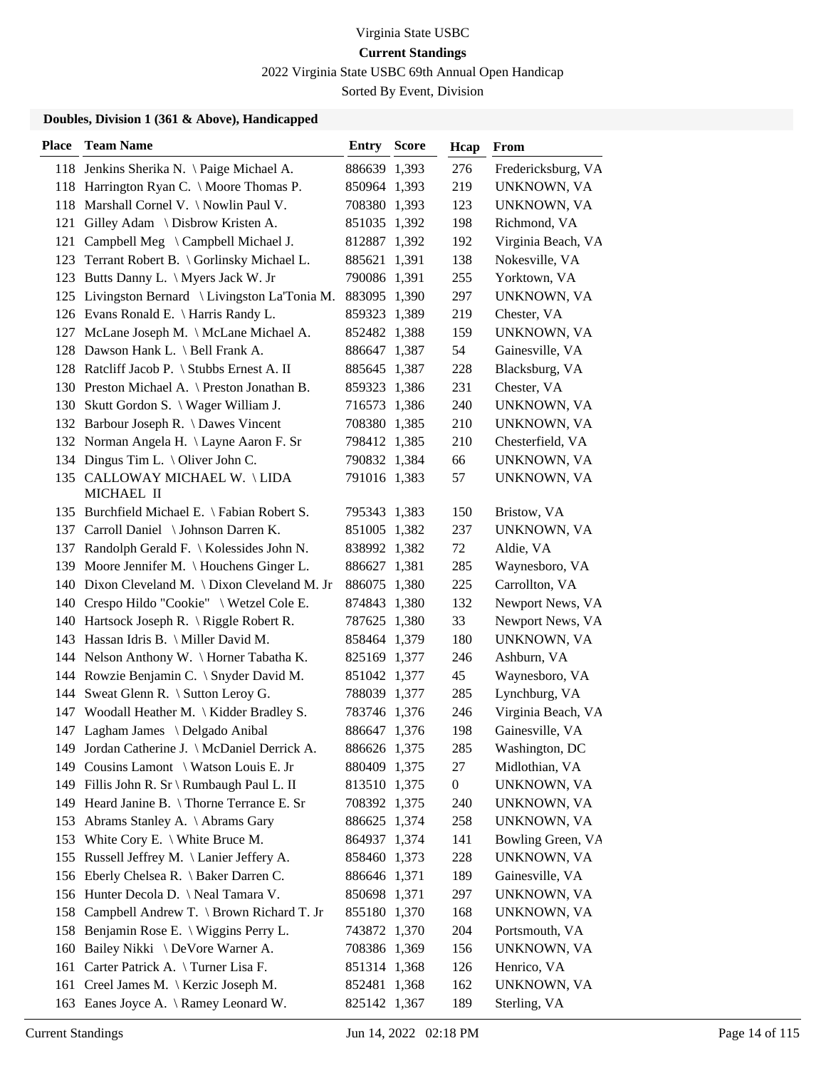2022 Virginia State USBC 69th Annual Open Handicap

Sorted By Event, Division

| <b>Place</b> | <b>Team Name</b>                                 | Entry        | <b>Score</b> | Hcap             | <b>From</b>        |
|--------------|--------------------------------------------------|--------------|--------------|------------------|--------------------|
|              | 118 Jenkins Sherika N. \Paige Michael A.         | 886639 1,393 |              | 276              | Fredericksburg, VA |
|              | 118 Harrington Ryan C. \ Moore Thomas P.         | 850964 1,393 |              | 219              | UNKNOWN, VA        |
|              | 118 Marshall Cornel V. \ Nowlin Paul V.          | 708380 1,393 |              | 123              | UNKNOWN, VA        |
|              | 121 Gilley Adam \ Disbrow Kristen A.             | 851035 1,392 |              | 198              | Richmond, VA       |
| 121          | Campbell Meg \ Campbell Michael J.               | 812887 1,392 |              | 192              | Virginia Beach, VA |
| 123          | Terrant Robert B. \ Gorlinsky Michael L.         | 885621 1,391 |              | 138              | Nokesville, VA     |
|              | 123 Butts Danny L. \ Myers Jack W. Jr            | 790086 1,391 |              | 255              | Yorktown, VA       |
|              | 125 Livingston Bernard \ Livingston La'Tonia M.  | 883095 1,390 |              | 297              | UNKNOWN, VA        |
|              | 126 Evans Ronald E. \ Harris Randy L.            | 859323 1,389 |              | 219              | Chester, VA        |
| 127          | McLane Joseph M. \ McLane Michael A.             | 852482 1,388 |              | 159              | UNKNOWN, VA        |
|              | 128 Dawson Hank L. \ Bell Frank A.               | 886647 1,387 |              | 54               | Gainesville, VA    |
|              | 128 Ratcliff Jacob P. \ Stubbs Ernest A. II      | 885645 1,387 |              | 228              | Blacksburg, VA     |
|              | 130 Preston Michael A. \ Preston Jonathan B.     | 859323 1,386 |              | 231              | Chester, VA        |
|              | 130 Skutt Gordon S. \ Wager William J.           | 716573 1,386 |              | 240              | UNKNOWN, VA        |
|              | 132 Barbour Joseph R. \ Dawes Vincent            | 708380 1,385 |              | 210              | UNKNOWN, VA        |
|              | 132 Norman Angela H. \ Layne Aaron F. Sr         | 798412 1,385 |              | 210              | Chesterfield, VA   |
|              | 134 Dingus Tim L. \ Oliver John C.               | 790832 1,384 |              | 66               | UNKNOWN, VA        |
|              | 135 CALLOWAY MICHAEL W. \LIDA<br>MICHAEL II      | 791016 1,383 |              | 57               | UNKNOWN, VA        |
|              | 135 Burchfield Michael E. \ Fabian Robert S.     | 795343 1,383 |              | 150              | Bristow, VA        |
|              | 137 Carroll Daniel \ Johnson Darren K.           | 851005 1,382 |              | 237              | UNKNOWN, VA        |
| 137          | Randolph Gerald F. \ Kolessides John N.          | 838992 1,382 |              | 72               | Aldie, VA          |
| 139          | Moore Jennifer M. $\setminus$ Houchens Ginger L. | 886627 1,381 |              | 285              | Waynesboro, VA     |
|              | 140 Dixon Cleveland M. \ Dixon Cleveland M. Jr   | 886075 1,380 |              | 225              | Carrollton, VA     |
|              | 140 Crespo Hildo "Cookie" \ Wetzel Cole E.       | 874843 1,380 |              | 132              | Newport News, VA   |
|              | 140 Hartsock Joseph R. \ Riggle Robert R.        | 787625 1,380 |              | 33               | Newport News, VA   |
|              | 143 Hassan Idris B. \ Miller David M.            | 858464 1,379 |              | 180              | UNKNOWN, VA        |
|              | 144 Nelson Anthony W. \ Horner Tabatha K.        | 825169 1,377 |              | 246              | Ashburn, VA        |
|              | 144 Rowzie Benjamin C. \ Snyder David M.         | 851042 1,377 |              | 45               | Waynesboro, VA     |
|              | 144 Sweat Glenn R. \ Sutton Leroy G.             | 788039 1,377 |              | 285              | Lynchburg, VA      |
|              | 147 Woodall Heather M. \ Kidder Bradley S.       | 783746 1,376 |              | 246              | Virginia Beach, VA |
|              | 147 Lagham James \ Delgado Anibal                | 886647 1,376 |              | 198              | Gainesville, VA    |
|              | 149 Jordan Catherine J. \ McDaniel Derrick A.    | 886626 1,375 |              | 285              | Washington, DC     |
|              | 149 Cousins Lamont \ Watson Louis E. Jr          | 880409 1,375 |              | 27               | Midlothian, VA     |
|              | 149 Fillis John R. Sr \ Rumbaugh Paul L. II      | 813510 1,375 |              | $\boldsymbol{0}$ | UNKNOWN, VA        |
|              | 149 Heard Janine B. \Thorne Terrance E. Sr       | 708392 1,375 |              | 240              | UNKNOWN, VA        |
|              | 153 Abrams Stanley A. \ Abrams Gary              | 886625 1,374 |              | 258              | UNKNOWN, VA        |
|              | 153 White Cory E. \ White Bruce M.               | 864937 1,374 |              | 141              | Bowling Green, VA  |
|              | 155 Russell Jeffrey M. \Lanier Jeffery A.        | 858460 1,373 |              | 228              | UNKNOWN, VA        |
|              | 156 Eberly Chelsea R. \ Baker Darren C.          | 886646 1,371 |              | 189              | Gainesville, VA    |
|              | 156 Hunter Decola D. \ Neal Tamara V.            | 850698 1,371 |              | 297              | UNKNOWN, VA        |
| 158          | Campbell Andrew T. \ Brown Richard T. Jr         | 855180 1,370 |              | 168              | UNKNOWN, VA        |
|              | 158 Benjamin Rose E. \ Wiggins Perry L.          | 743872 1,370 |              | 204              | Portsmouth, VA     |
| 160          | Bailey Nikki \ DeVore Warner A.                  | 708386 1,369 |              | 156              | UNKNOWN, VA        |
| 161          | Carter Patrick A. \Turner Lisa F.                | 851314 1,368 |              | 126              | Henrico, VA        |
| 161          | Creel James M. \ Kerzic Joseph M.                | 852481 1,368 |              | 162              | UNKNOWN, VA        |
|              | 163 Eanes Joyce A. \ Ramey Leonard W.            | 825142 1,367 |              | 189              | Sterling, VA       |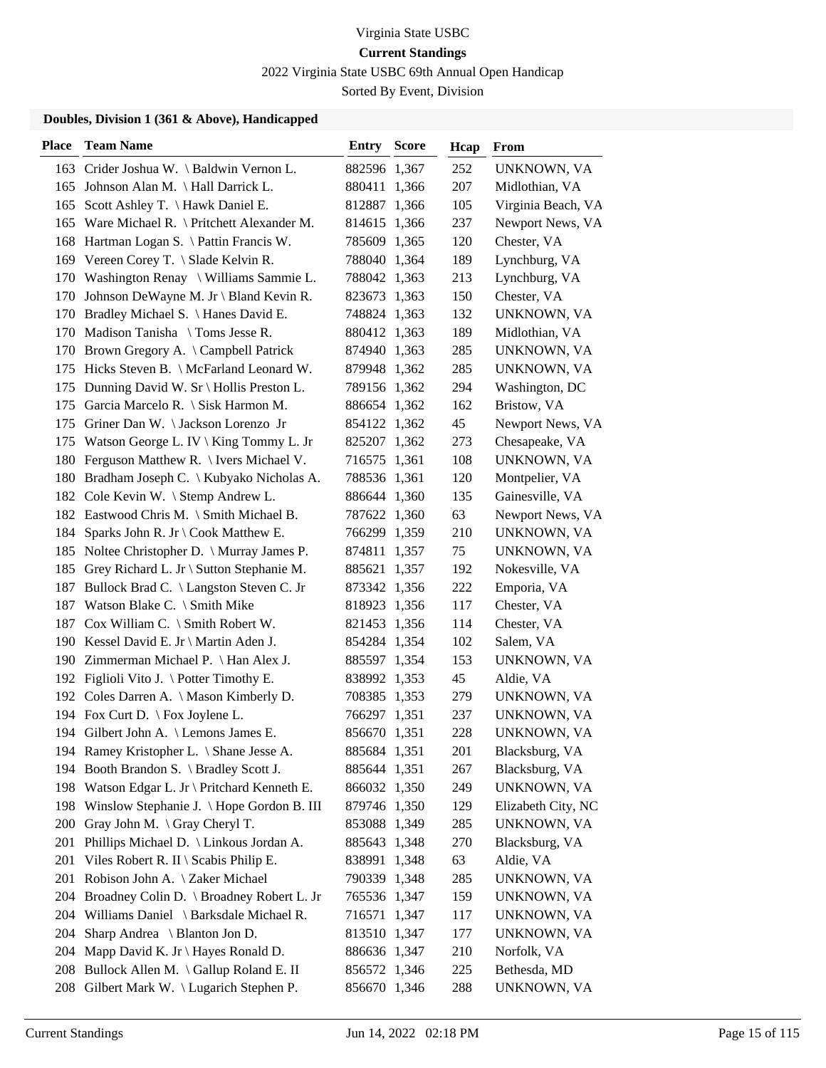2022 Virginia State USBC 69th Annual Open Handicap

Sorted By Event, Division

| <b>Place</b> | <b>Team Name</b>                                                                | <b>Entry Score</b>           | Hcap      | <b>From</b>                         |
|--------------|---------------------------------------------------------------------------------|------------------------------|-----------|-------------------------------------|
|              | 163 Crider Joshua W. \ Baldwin Vernon L.                                        | 882596 1,367                 | 252       | UNKNOWN, VA                         |
|              | 165 Johnson Alan M. \ Hall Darrick L.                                           | 880411 1,366                 | 207       | Midlothian, VA                      |
| 165          | Scott Ashley T. \ Hawk Daniel E.                                                | 812887 1,366                 | 105       | Virginia Beach, VA                  |
| 165          | Ware Michael R. $\langle$ Pritchett Alexander M.                                | 814615 1,366                 | 237       | Newport News, VA                    |
| 168          | Hartman Logan S. \ Pattin Francis W.                                            | 785609 1,365                 | 120       | Chester, VA                         |
| 169          | Vereen Corey T. $\setminus$ Slade Kelvin R.                                     | 788040 1,364                 | 189       | Lynchburg, VA                       |
|              | 170 Washington Renay \ Williams Sammie L.                                       | 788042 1,363                 | 213       | Lynchburg, VA                       |
| 170          | Johnson DeWayne M. Jr \ Bland Kevin R.                                          | 823673 1,363                 | 150       | Chester, VA                         |
|              | 170 Bradley Michael S. \ Hanes David E.                                         | 748824 1,363                 | 132       | UNKNOWN, VA                         |
| 170          | Madison Tanisha \ Toms Jesse R.                                                 | 880412 1,363                 | 189       | Midlothian, VA                      |
|              | 170 Brown Gregory A. \ Campbell Patrick                                         | 874940 1,363                 | 285       | UNKNOWN, VA                         |
| 175          | Hicks Steven B. \ McFarland Leonard W.                                          | 879948 1,362                 | 285       | UNKNOWN, VA                         |
| 175          | Dunning David W. Sr \ Hollis Preston L.                                         | 789156 1,362                 | 294       | Washington, DC                      |
| 175          | Garcia Marcelo R. \ Sisk Harmon M.                                              | 886654 1,362                 | 162       | Bristow, VA                         |
|              | 175 Griner Dan W. \Jackson Lorenzo Jr                                           | 854122 1,362                 | 45        | Newport News, VA                    |
|              | 175 Watson George L. IV \ King Tommy L. Jr                                      | 825207 1,362                 | 273       | Chesapeake, VA                      |
| 180          | Ferguson Matthew R. \ Ivers Michael V.                                          | 716575 1,361                 | 108       | UNKNOWN, VA                         |
| 180          | Bradham Joseph C. \ Kubyako Nicholas A.                                         | 788536 1,361                 | 120       | Montpelier, VA                      |
|              | 182 Cole Kevin W. \ Stemp Andrew L.                                             | 886644 1,360<br>787622 1,360 | 135<br>63 | Gainesville, VA<br>Newport News, VA |
| 184          | 182 Eastwood Chris M. \ Smith Michael B.<br>Sparks John R. Jr \ Cook Matthew E. | 766299 1,359                 | 210       | UNKNOWN, VA                         |
| 185          | Noltee Christopher D. \ Murray James P.                                         | 874811 1,357                 | 75        | UNKNOWN, VA                         |
|              | 185 Grey Richard L. Jr \ Sutton Stephanie M.                                    | 885621 1,357                 | 192       | Nokesville, VA                      |
| 187          | Bullock Brad C. \ Langston Steven C. Jr                                         | 873342 1,356                 | 222       | Emporia, VA                         |
| 187          | Watson Blake C. \ Smith Mike                                                    | 818923 1,356                 | 117       | Chester, VA                         |
| 187          | Cox William C. $\mathcal$ Smith Robert W.                                       | 821453 1,356                 | 114       | Chester, VA                         |
|              | 190 Kessel David E. Jr \ Martin Aden J.                                         | 854284 1,354                 | 102       | Salem, VA                           |
|              | 190 Zimmerman Michael P. \ Han Alex J.                                          | 885597 1,354                 | 153       | UNKNOWN, VA                         |
|              | 192 Figlioli Vito J. \ Potter Timothy E.                                        | 838992 1,353                 | 45        | Aldie, VA                           |
|              | 192 Coles Darren A. \ Mason Kimberly D.                                         | 708385 1,353                 | 279       | UNKNOWN, VA                         |
|              | 194 Fox Curt D. \ Fox Joylene L.                                                | 766297 1,351                 | 237       | UNKNOWN, VA                         |
|              | 194 Gilbert John A. \ Lemons James E.                                           | 856670 1,351                 | 228       | UNKNOWN, VA                         |
|              | 194 Ramey Kristopher L. \ Shane Jesse A.                                        | 885684 1,351                 | 201       | Blacksburg, VA                      |
|              | 194 Booth Brandon S. \ Bradley Scott J.                                         | 885644 1,351                 | 267       | Blacksburg, VA                      |
|              | 198 Watson Edgar L. Jr \ Pritchard Kenneth E.                                   | 866032 1,350                 | 249       | UNKNOWN, VA                         |
| 198          | Winslow Stephanie J. \ Hope Gordon B. III                                       | 879746 1,350                 | 129       | Elizabeth City, NC                  |
| <b>200</b>   | Gray John M. $\operatorname{\backslash}$ Gray Cheryl T.                         | 853088 1,349                 | 285       | UNKNOWN, VA                         |
| 201          | Phillips Michael D. \ Linkous Jordan A.                                         | 885643 1,348                 | 270       | Blacksburg, VA                      |
| 201          | Viles Robert R. II \ Scabis Philip E.                                           | 838991 1,348                 | 63        | Aldie, VA                           |
| 201          | Robison John A. \ Zaker Michael                                                 | 790339 1,348                 | 285       | UNKNOWN, VA                         |
| 204          | Broadney Colin D. \ Broadney Robert L. Jr                                       | 765536 1,347                 | 159       | UNKNOWN, VA                         |
| 204          | Williams Daniel \ Barksdale Michael R.                                          | 716571 1,347                 | 117       | UNKNOWN, VA                         |
| 204          | Sharp Andrea \ Blanton Jon D.                                                   | 813510 1,347                 | 177       | UNKNOWN, VA                         |
| 204          | Mapp David K. Jr \ Hayes Ronald D.                                              | 886636 1,347                 | 210       | Norfolk, VA                         |
|              | 208 Bullock Allen M. \Gallup Roland E. II                                       | 856572 1,346                 | 225       | Bethesda, MD                        |
|              | 208 Gilbert Mark W. \ Lugarich Stephen P.                                       | 856670 1,346                 | 288       | UNKNOWN, VA                         |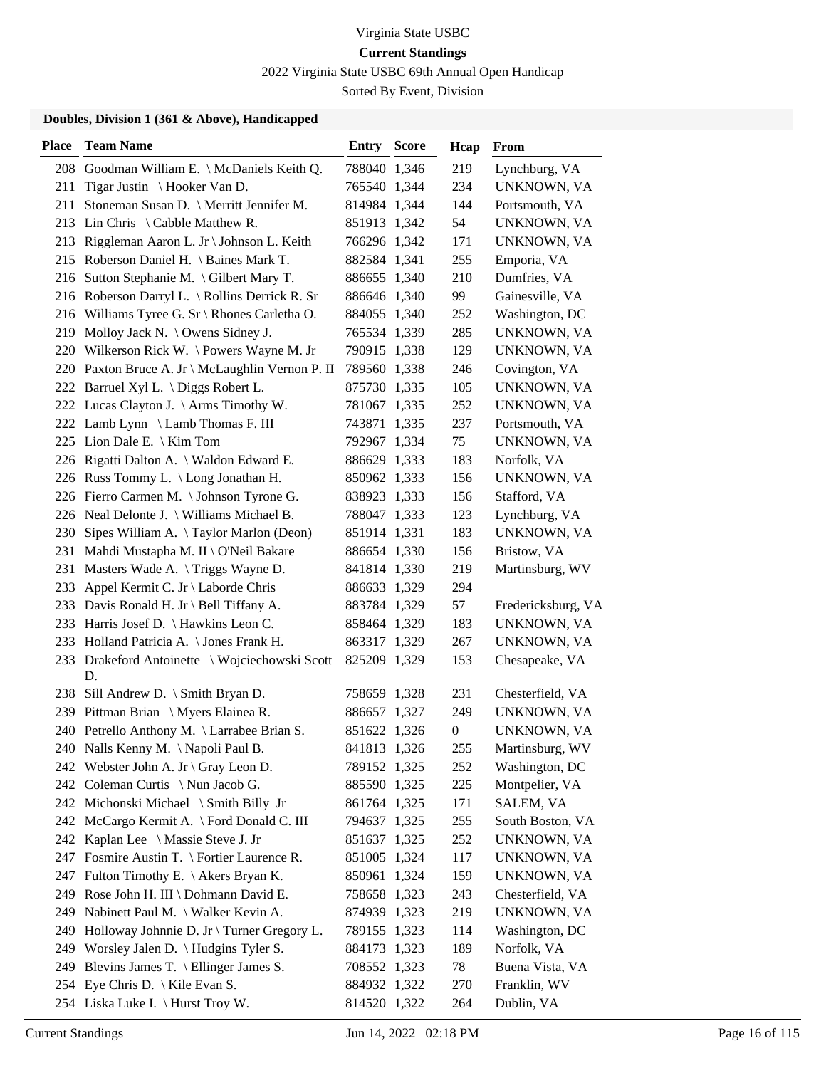2022 Virginia State USBC 69th Annual Open Handicap

Sorted By Event, Division

| <b>Place</b> | <b>Team Name</b>                                     | <b>Entry Score</b> | Hcap             | From               |
|--------------|------------------------------------------------------|--------------------|------------------|--------------------|
|              | 208 Goodman William E. \ McDaniels Keith Q.          | 788040 1,346       | 219              | Lynchburg, VA      |
| 211          | Tigar Justin \ Hooker Van D.                         | 765540 1,344       | 234              | UNKNOWN, VA        |
| 211          | Stoneman Susan D. \ Merritt Jennifer M.              | 814984 1,344       | 144              | Portsmouth, VA     |
|              | 213 Lin Chris \ Cabble Matthew R.                    | 851913 1,342       | 54               | UNKNOWN, VA        |
|              | 213 Riggleman Aaron L. Jr \ Johnson L. Keith         | 766296 1,342       | 171              | UNKNOWN, VA        |
|              | 215 Roberson Daniel H. \ Baines Mark T.              | 882584 1,341       | 255              | Emporia, VA        |
|              | 216 Sutton Stephanie M. \ Gilbert Mary T.            | 886655 1,340       | 210              | Dumfries, VA       |
|              | 216 Roberson Darryl L. \ Rollins Derrick R. Sr       | 886646 1,340       | 99               | Gainesville, VA    |
|              | 216 Williams Tyree G. Sr \ Rhones Carletha O.        | 884055 1,340       | 252              | Washington, DC     |
|              | 219 Molloy Jack N. \ Owens Sidney J.                 | 765534 1,339       | 285              | UNKNOWN, VA        |
|              | 220 Wilkerson Rick W. \Powers Wayne M. Jr            | 790915 1,338       | 129              | UNKNOWN, VA        |
|              | 220 Paxton Bruce A. Jr \ McLaughlin Vernon P. II     | 789560 1,338       | 246              | Covington, VA      |
|              | 222 Barruel Xyl L. \ Diggs Robert L.                 | 875730 1,335       | 105              | UNKNOWN, VA        |
|              | 222 Lucas Clayton J. \ Arms Timothy W.               | 781067 1,335       | 252              | UNKNOWN, VA        |
|              | 222 Lamb Lynn \ Lamb Thomas F. III                   | 743871 1,335       | 237              | Portsmouth, VA     |
|              | 225 Lion Dale E. \ Kim Tom                           | 792967 1,334       | 75               | UNKNOWN, VA        |
|              | 226 Rigatti Dalton A. \ Waldon Edward E.             | 886629 1,333       | 183              | Norfolk, VA        |
|              | 226 Russ Tommy L. \ Long Jonathan H.                 | 850962 1,333       | 156              | UNKNOWN, VA        |
|              | 226 Fierro Carmen M. \ Johnson Tyrone G.             | 838923 1,333       | 156              | Stafford, VA       |
|              | 226 Neal Delonte J. \ Williams Michael B.            | 788047 1,333       | 123              | Lynchburg, VA      |
| 230          | Sipes William A. $\{Taylor\,Marlon\, (Deon)\}$       | 851914 1,331       | 183              | UNKNOWN, VA        |
| 231          | Mahdi Mustapha M. II \ O'Neil Bakare                 | 886654 1,330       | 156              | Bristow, VA        |
| 231          | Masters Wade A. \Triggs Wayne D.                     | 841814 1,330       | 219              | Martinsburg, WV    |
|              | 233 Appel Kermit C. Jr \ Laborde Chris               | 886633 1,329       | 294              |                    |
|              | 233 Davis Ronald H. Jr \ Bell Tiffany A.             | 883784 1,329       | 57               | Fredericksburg, VA |
|              | 233 Harris Josef D. \ Hawkins Leon C.                | 858464 1,329       | 183              | UNKNOWN, VA        |
|              | 233 Holland Patricia A. \ Jones Frank H.             | 863317 1,329       | 267              | UNKNOWN, VA        |
|              | 233 Drakeford Antoinette \ Wojciechowski Scott<br>D. | 825209 1,329       | 153              | Chesapeake, VA     |
|              | 238 Sill Andrew D. \ Smith Bryan D.                  | 758659 1,328       | 231              | Chesterfield, VA   |
|              | 239 Pittman Brian \ Myers Elainea R.                 | 886657 1,327       | 249              | UNKNOWN, VA        |
|              | 240 Petrello Anthony M. \ Larrabee Brian S.          | 851622 1,326       | $\boldsymbol{0}$ | UNKNOWN, VA        |
|              | 240 Nalls Kenny M. \Napoli Paul B.                   | 841813 1,326       | 255              | Martinsburg, WV    |
|              | 242 Webster John A. Jr \ Gray Leon D.                | 789152 1,325       | 252              | Washington, DC     |
|              | 242 Coleman Curtis \ Nun Jacob G.                    | 885590 1,325       | 225              | Montpelier, VA     |
|              | 242 Michonski Michael \ Smith Billy Jr               | 861764 1,325       | 171              | SALEM, VA          |
|              | 242 McCargo Kermit A. \ Ford Donald C. III           | 794637 1,325       | 255              | South Boston, VA   |
|              | 242 Kaplan Lee \ Massie Steve J. Jr                  | 851637 1,325       | 252              | UNKNOWN, VA        |
|              | 247 Fosmire Austin T. \ Fortier Laurence R.          | 851005 1,324       | 117              | UNKNOWN, VA        |
|              | 247 Fulton Timothy E. \ Akers Bryan K.               | 850961 1,324       | 159              | UNKNOWN, VA        |
|              | 249 Rose John H. III \ Dohmann David E.              | 758658 1,323       | 243              | Chesterfield, VA   |
| 249          | Nabinett Paul M. \ Walker Kevin A.                   | 874939 1,323       | 219              | UNKNOWN, VA        |
| 249          | Holloway Johnnie D. Jr \ Turner Gregory L.           | 789155 1,323       | 114              | Washington, DC     |
|              | 249 Worsley Jalen D. \ Hudgins Tyler S.              | 884173 1,323       | 189              | Norfolk, VA        |
|              | 249 Blevins James T. \ Ellinger James S.             | 708552 1,323       | 78               | Buena Vista, VA    |
|              | 254 Eye Chris D. \ Kile Evan S.                      | 884932 1,322       | 270              | Franklin, WV       |
|              | 254 Liska Luke I. \ Hurst Troy W.                    | 814520 1,322       | 264              | Dublin, VA         |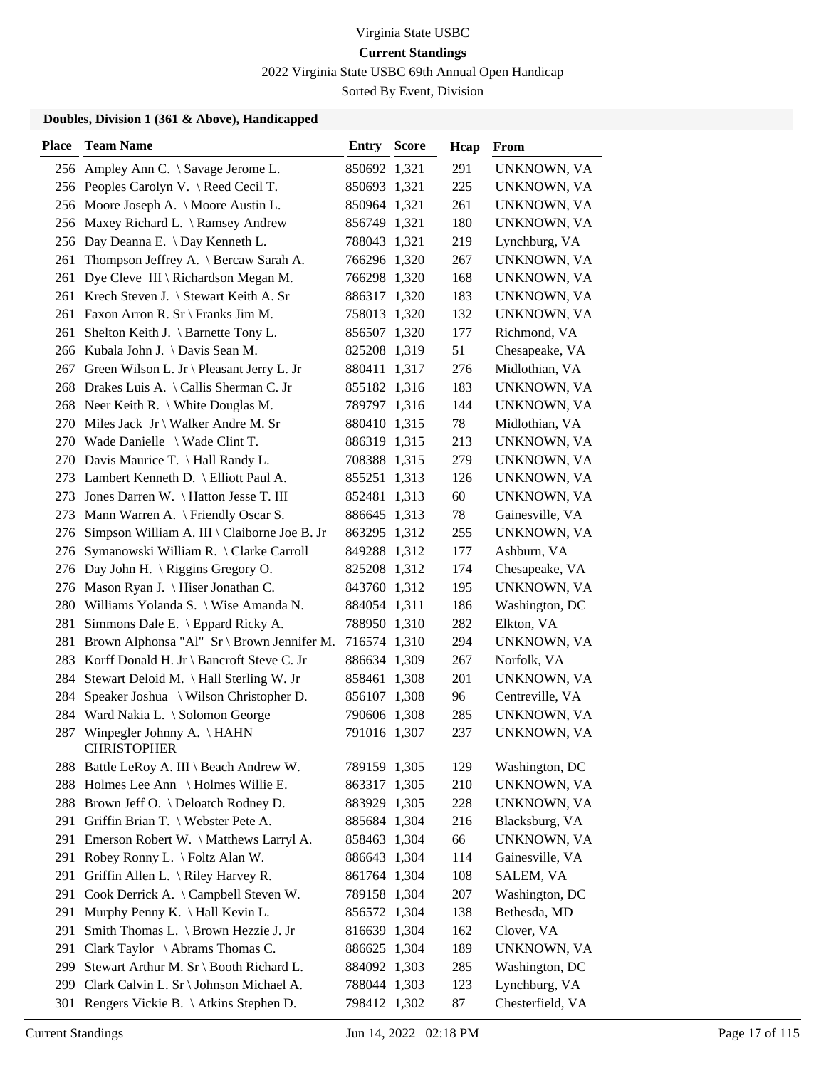2022 Virginia State USBC 69th Annual Open Handicap

Sorted By Event, Division

| <b>Place</b> | <b>Team Name</b>                                    | <b>Entry Score</b> | Hcap | From             |
|--------------|-----------------------------------------------------|--------------------|------|------------------|
|              | 256 Ampley Ann C. \ Savage Jerome L.                | 850692 1,321       | 291  | UNKNOWN, VA      |
|              | 256 Peoples Carolyn V. \ Reed Cecil T.              | 850693 1,321       | 225  | UNKNOWN, VA      |
|              | 256 Moore Joseph A. \ Moore Austin L.               | 850964 1,321       | 261  | UNKNOWN, VA      |
| 256          | Maxey Richard L. \ Ramsey Andrew                    | 856749 1,321       | 180  | UNKNOWN, VA      |
| 256          | Day Deanna E. \ Day Kenneth L.                      | 788043 1,321       | 219  | Lynchburg, VA    |
| 261          | Thompson Jeffrey A. \ Bercaw Sarah A.               | 766296 1,320       | 267  | UNKNOWN, VA      |
| 261          | Dye Cleve III \ Richardson Megan M.                 | 766298 1,320       | 168  | UNKNOWN, VA      |
|              | 261 Krech Steven J. \ Stewart Keith A. Sr           | 886317 1,320       | 183  | UNKNOWN, VA      |
|              | 261 Faxon Arron R. Sr \ Franks Jim M.               | 758013 1,320       | 132  | UNKNOWN, VA      |
| 261          | Shelton Keith J. \ Barnette Tony L.                 | 856507 1,320       | 177  | Richmond, VA     |
| 266          | Kubala John J. \ Davis Sean M.                      | 825208 1,319       | 51   | Chesapeake, VA   |
| 267          | Green Wilson L. Jr \ Pleasant Jerry L. Jr           | 880411 1,317       | 276  | Midlothian, VA   |
| 268          | Drakes Luis A. \ Callis Sherman C. Jr               | 855182 1,316       | 183  | UNKNOWN, VA      |
| 268          | Neer Keith R. $\setminus$ White Douglas M.          | 789797 1,316       | 144  | UNKNOWN, VA      |
| 270          | Miles Jack Jr \ Walker Andre M. Sr                  | 880410 1,315       | 78   | Midlothian, VA   |
|              | 270 Wade Danielle \ Wade Clint T.                   | 886319 1,315       | 213  | UNKNOWN, VA      |
|              | 270 Davis Maurice T. \ Hall Randy L.                | 708388 1,315       | 279  | UNKNOWN, VA      |
|              | 273 Lambert Kenneth D. \ Elliott Paul A.            | 855251 1,313       | 126  | UNKNOWN, VA      |
| 273          | Jones Darren W. \ Hatton Jesse T. III               | 852481 1,313       | 60   | UNKNOWN, VA      |
| 273          | Mann Warren A. \ Friendly Oscar S.                  | 886645 1,313       | 78   | Gainesville, VA  |
| 276          | Simpson William A. III \ Claiborne Joe B. Jr        | 863295 1,312       | 255  | UNKNOWN, VA      |
| 276          | Symanowski William R. \ Clarke Carroll              | 849288 1,312       | 177  | Ashburn, VA      |
| 276          | Day John H. $\langle$ Riggins Gregory O.            | 825208 1,312       | 174  | Chesapeake, VA   |
| 276          | Mason Ryan J.   Hiser Jonathan C.                   | 843760 1,312       | 195  | UNKNOWN, VA      |
| 280          | Williams Yolanda S. \ Wise Amanda N.                | 884054 1,311       | 186  | Washington, DC   |
| 281          | Simmons Dale E. \ Eppard Ricky A.                   | 788950 1,310       | 282  | Elkton, VA       |
| 281          | Brown Alphonsa "Al" Sr \ Brown Jennifer M.          | 716574 1,310       | 294  | UNKNOWN, VA      |
| 283          | Korff Donald H. Jr \ Bancroft Steve C. Jr           | 886634 1,309       | 267  | Norfolk, VA      |
| 284          | Stewart Deloid M. \ Hall Sterling W. Jr             | 858461 1,308       | 201  | UNKNOWN, VA      |
| 284          | Speaker Joshua \ Wilson Christopher D.              | 856107 1,308       | 96   | Centreville, VA  |
|              | 284 Ward Nakia L. \ Solomon George                  | 790606 1,308       | 285  | UNKNOWN, VA      |
|              | 287 Winpegler Johnny A. \HAHN<br><b>CHRISTOPHER</b> | 791016 1,307       | 237  | UNKNOWN, VA      |
|              | 288 Battle LeRoy A. III \ Beach Andrew W.           | 789159 1,305       | 129  | Washington, DC   |
| 288          | Holmes Lee Ann \ Holmes Willie E.                   | 863317 1,305       | 210  | UNKNOWN, VA      |
|              | 288 Brown Jeff O. \ Deloatch Rodney D.              | 883929 1,305       | 228  | UNKNOWN, VA      |
|              | 291 Griffin Brian T. \ Webster Pete A.              | 885684 1,304       | 216  | Blacksburg, VA   |
| 291          | Emerson Robert W. \ Matthews Larryl A.              | 858463 1,304       | 66   | UNKNOWN, VA      |
| 291          | Robey Ronny L. \ Foltz Alan W.                      | 886643 1,304       | 114  | Gainesville, VA  |
| 291          | Griffin Allen L. $\langle$ Riley Harvey R.          | 861764 1,304       | 108  | SALEM, VA        |
| 291          | Cook Derrick A. \ Campbell Steven W.                | 789158 1,304       | 207  | Washington, DC   |
| 291          | Murphy Penny K. \ Hall Kevin L.                     | 856572 1,304       | 138  | Bethesda, MD     |
| 291          | Smith Thomas L. \ Brown Hezzie J. Jr                | 816639 1,304       | 162  | Clover, VA       |
| 291          | Clark Taylor $\setminus$ Abrams Thomas C.           | 886625 1,304       | 189  | UNKNOWN, VA      |
| 299          | Stewart Arthur M. Sr \ Booth Richard L.             | 884092 1,303       | 285  | Washington, DC   |
| 299          | Clark Calvin L. Sr \ Johnson Michael A.             | 788044 1,303       | 123  | Lynchburg, VA    |
| 301          | Rengers Vickie B. \ Atkins Stephen D.               | 798412 1,302       | 87   | Chesterfield, VA |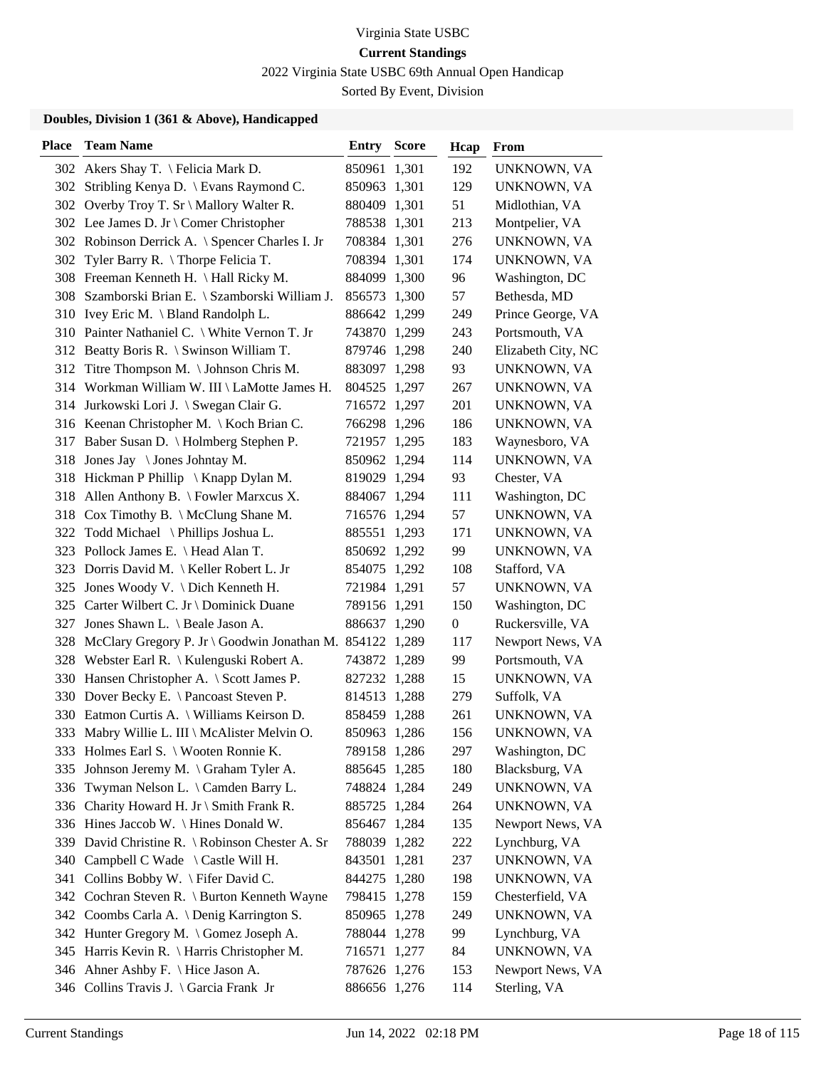2022 Virginia State USBC 69th Annual Open Handicap

Sorted By Event, Division

| <b>Place</b> | <b>Team Name</b>                                         | <b>Entry Score</b> | Hcap             | From               |
|--------------|----------------------------------------------------------|--------------------|------------------|--------------------|
|              | 302 Akers Shay T. \ Felicia Mark D.                      | 850961 1,301       | 192              | UNKNOWN, VA        |
| 302          | Stribling Kenya D. \ Evans Raymond C.                    | 850963 1,301       | 129              | UNKNOWN, VA        |
|              | 302 Overby Troy T. Sr \ Mallory Walter R.                | 880409 1,301       | 51               | Midlothian, VA     |
|              | 302 Lee James D. Jr \ Comer Christopher                  | 788538 1,301       | 213              | Montpelier, VA     |
|              | 302 Robinson Derrick A. \ Spencer Charles I. Jr          | 708384 1,301       | 276              | UNKNOWN, VA        |
| 302          | Tyler Barry R. $\langle$ Thorpe Felicia T.               | 708394 1,301       | 174              | UNKNOWN, VA        |
|              | 308 Freeman Kenneth H. \ Hall Ricky M.                   | 884099 1,300       | 96               | Washington, DC     |
|              | 308 Szamborski Brian E. \ Szamborski William J.          | 856573 1,300       | 57               | Bethesda, MD       |
|              | 310 Ivey Eric M. \ Bland Randolph L.                     | 886642 1,299       | 249              | Prince George, VA  |
|              | 310 Painter Nathaniel C. \ White Vernon T. Jr            | 743870 1,299       | 243              | Portsmouth, VA     |
|              | 312 Beatty Boris R. \ Swinson William T.                 | 879746 1,298       | 240              | Elizabeth City, NC |
|              | 312 Titre Thompson M. \Johnson Chris M.                  | 883097 1,298       | 93               | UNKNOWN, VA        |
|              | 314 Workman William W. III \ LaMotte James H.            | 804525 1,297       | 267              | UNKNOWN, VA        |
|              | 314 Jurkowski Lori J. \ Swegan Clair G.                  | 716572 1,297       | 201              | UNKNOWN, VA        |
|              | 316 Keenan Christopher M. \ Koch Brian C.                | 766298 1,296       | 186              | UNKNOWN, VA        |
|              | 317 Baber Susan D. \ Holmberg Stephen P.                 | 721957 1,295       | 183              | Waynesboro, VA     |
| 318          | Jones Jay $\setminus$ Jones Johntay M.                   | 850962 1,294       | 114              | UNKNOWN, VA        |
|              | 318 Hickman P Phillip \ Knapp Dylan M.                   | 819029 1,294       | 93               | Chester, VA        |
| 318          | Allen Anthony B. $\backslash$ Fowler Marxcus X.          | 884067 1,294       | 111              | Washington, DC     |
|              | 318 Cox Timothy B. \ McClung Shane M.                    | 716576 1,294       | 57               | UNKNOWN, VA        |
| 322          | Todd Michael \ Phillips Joshua L.                        | 885551 1,293       | 171              | UNKNOWN, VA        |
|              | 323 Pollock James E. \ Head Alan T.                      | 850692 1,292       | 99               | UNKNOWN, VA        |
|              | 323 Dorris David M.   Keller Robert L. Jr                | 854075 1,292       | 108              | Stafford, VA       |
|              | 325 Jones Woody V. \ Dich Kenneth H.                     | 721984 1,291       | 57               | UNKNOWN, VA        |
|              | 325 Carter Wilbert C. Jr \ Dominick Duane                | 789156 1,291       | 150              | Washington, DC     |
| 327          | Jones Shawn L. \ Beale Jason A.                          | 886637 1,290       | $\boldsymbol{0}$ | Ruckersville, VA   |
| 328          | McClary Gregory P. Jr \ Goodwin Jonathan M. 854122 1,289 |                    | 117              | Newport News, VA   |
|              | 328 Webster Earl R. \ Kulenguski Robert A.               | 743872 1,289       | 99               | Portsmouth, VA     |
| 330          | Hansen Christopher A. \ Scott James P.                   | 827232 1,288       | 15               | UNKNOWN, VA        |
|              | 330 Dover Becky E. \ Pancoast Steven P.                  | 814513 1,288       | 279              | Suffolk, VA        |
|              | 330 Eatmon Curtis A. \ Williams Keirson D.               | 858459 1,288       | 261              | UNKNOWN, VA        |
|              | 333 Mabry Willie L. III \ McAlister Melvin O.            | 850963 1,286       | 156              | UNKNOWN, VA        |
|              | 333 Holmes Earl S. \ Wooten Ronnie K.                    | 789158 1,286       | 297              | Washington, DC     |
| 335          | Johnson Jeremy M. \ Graham Tyler A.                      | 885645 1,285       | 180              | Blacksburg, VA     |
| 336          | Twyman Nelson L. \ Camden Barry L.                       | 748824 1,284       | 249              | UNKNOWN, VA        |
| 336          | Charity Howard H. Jr \ Smith Frank R.                    | 885725 1,284       | 264              | UNKNOWN, VA        |
| 336          | Hines Jaccob W. $\langle$ Hines Donald W.                | 856467 1,284       | 135              | Newport News, VA   |
| 339          | David Christine R. \ Robinson Chester A. Sr              | 788039 1,282       | 222              | Lynchburg, VA      |
| 340          | Campbell C Wade \ Castle Will H.                         | 843501 1,281       | 237              | UNKNOWN, VA        |
| 341          | Collins Bobby W. \ Fifer David C.                        | 844275 1,280       | 198              | UNKNOWN, VA        |
|              | 342 Cochran Steven R. \ Burton Kenneth Wayne             | 798415 1,278       | 159              | Chesterfield, VA   |
|              | 342 Coombs Carla A. \ Denig Karrington S.                | 850965 1,278       | 249              | UNKNOWN, VA        |
|              | 342 Hunter Gregory M. \ Gomez Joseph A.                  | 788044 1,278       | 99               | Lynchburg, VA      |
|              | 345 Harris Kevin R. \ Harris Christopher M.              | 716571 1,277       | 84               | UNKNOWN, VA        |
|              | 346 Ahner Ashby F. \ Hice Jason A.                       | 787626 1,276       | 153              | Newport News, VA   |
|              | 346 Collins Travis J. \ Garcia Frank Jr                  | 886656 1,276       | 114              | Sterling, VA       |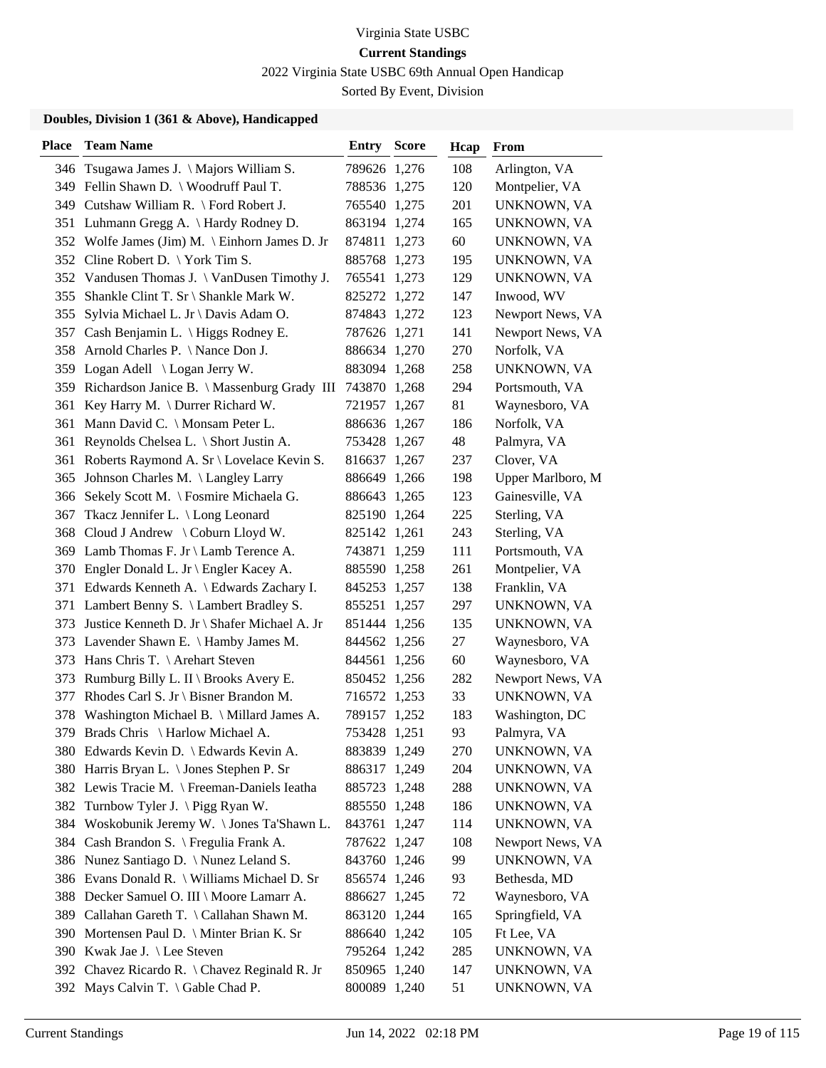2022 Virginia State USBC 69th Annual Open Handicap

Sorted By Event, Division

| <b>Place</b> | <b>Team Name</b>                               | <b>Entry Score</b> | Hcap | From              |
|--------------|------------------------------------------------|--------------------|------|-------------------|
|              | 346 Tsugawa James J. \Majors William S.        | 789626 1,276       | 108  | Arlington, VA     |
|              | 349 Fellin Shawn D. \ Woodruff Paul T.         | 788536 1,275       | 120  | Montpelier, VA    |
|              | 349 Cutshaw William R. \ Ford Robert J.        | 765540 1,275       | 201  | UNKNOWN, VA       |
|              | 351 Luhmann Gregg A. \ Hardy Rodney D.         | 863194 1,274       | 165  | UNKNOWN, VA       |
|              | 352 Wolfe James (Jim) M. \ Einhorn James D. Jr | 874811 1,273       | 60   | UNKNOWN, VA       |
|              | 352 Cline Robert D. \York Tim S.               | 885768 1,273       | 195  | UNKNOWN, VA       |
|              | 352 Vandusen Thomas J. \ VanDusen Timothy J.   | 765541 1,273       | 129  | UNKNOWN, VA       |
|              | 355 Shankle Clint T. Sr \ Shankle Mark W.      | 825272 1,272       | 147  | Inwood, WV        |
| 355          | Sylvia Michael L. Jr \ Davis Adam O.           | 874843 1,272       | 123  | Newport News, VA  |
| 357          | Cash Benjamin L. \ Higgs Rodney E.             | 787626 1,271       | 141  | Newport News, VA  |
|              | 358 Arnold Charles P. \ Nance Don J.           | 886634 1,270       | 270  | Norfolk, VA       |
|              | 359 Logan Adell \ Logan Jerry W.               | 883094 1,268       | 258  | UNKNOWN, VA       |
| 359          | Richardson Janice B. \ Massenburg Grady III    | 743870 1,268       | 294  | Portsmouth, VA    |
| 361          | Key Harry M. \ Durrer Richard W.               | 721957 1,267       | 81   | Waynesboro, VA    |
|              | 361 Mann David C. \ Monsam Peter L.            | 886636 1,267       | 186  | Norfolk, VA       |
| 361          | Reynolds Chelsea L. \ Short Justin A.          | 753428 1,267       | 48   | Palmyra, VA       |
| 361          | Roberts Raymond A. Sr \ Lovelace Kevin S.      | 816637 1,267       | 237  | Clover, VA        |
| 365          | Johnson Charles M. \ Langley Larry             | 886649 1,266       | 198  | Upper Marlboro, M |
|              | 366 Sekely Scott M. \ Fosmire Michaela G.      | 886643 1,265       | 123  | Gainesville, VA   |
| 367          | Tkacz Jennifer L. \ Long Leonard               | 825190 1,264       | 225  | Sterling, VA      |
| 368          | Cloud J Andrew \ Coburn Lloyd W.               | 825142 1,261       | 243  | Sterling, VA      |
|              | 369 Lamb Thomas F. Jr \ Lamb Terence A.        | 743871 1,259       | 111  | Portsmouth, VA    |
|              | 370 Engler Donald L. Jr \ Engler Kacey A.      | 885590 1,258       | 261  | Montpelier, VA    |
|              | 371 Edwards Kenneth A. \ Edwards Zachary I.    | 845253 1,257       | 138  | Franklin, VA      |
|              | 371 Lambert Benny S. \ Lambert Bradley S.      | 855251 1,257       | 297  | UNKNOWN, VA       |
| 373          | Justice Kenneth D. Jr \ Shafer Michael A. Jr   | 851444 1,256       | 135  | UNKNOWN, VA       |
|              | 373 Lavender Shawn E. \ Hamby James M.         | 844562 1,256       | 27   | Waynesboro, VA    |
| 373          | Hans Chris T. \ Arehart Steven                 | 844561 1,256       | 60   | Waynesboro, VA    |
| 373          | Rumburg Billy L. II \ Brooks Avery E.          | 850452 1,256       | 282  | Newport News, VA  |
| 377          | Rhodes Carl S. Jr \ Bisner Brandon M.          | 716572 1,253       | 33   | UNKNOWN, VA       |
|              | 378 Washington Michael B. \ Millard James A.   | 789157 1,252       | 183  | Washington, DC    |
|              | 379 Brads Chris \ Harlow Michael A.            | 753428 1,251       | 93   | Palmyra, VA       |
|              | 380 Edwards Kevin D. \ Edwards Kevin A.        | 883839 1,249       | 270  | UNKNOWN, VA       |
|              | 380 Harris Bryan L. \ Jones Stephen P. Sr      | 886317 1,249       | 204  | UNKNOWN, VA       |
|              | 382 Lewis Tracie M. \ Freeman-Daniels Ieatha   | 885723 1,248       | 288  | UNKNOWN, VA       |
|              | 382 Turnbow Tyler J. \Pigg Ryan W.             | 885550 1,248       | 186  | UNKNOWN, VA       |
|              | 384 Woskobunik Jeremy W. \Jones Ta'Shawn L.    | 843761 1,247       | 114  | UNKNOWN, VA       |
|              | 384 Cash Brandon S. \ Fregulia Frank A.        | 787622 1,247       | 108  | Newport News, VA  |
|              | 386 Nunez Santiago D. \ Nunez Leland S.        | 843760 1,246       | 99   | UNKNOWN, VA       |
|              | 386 Evans Donald R. \ Williams Michael D. Sr   | 856574 1,246       | 93   | Bethesda, MD      |
|              | 388 Decker Samuel O. III \ Moore Lamarr A.     | 886627 1,245       | 72   | Waynesboro, VA    |
|              | 389 Callahan Gareth T. \ Callahan Shawn M.     | 863120 1,244       | 165  | Springfield, VA   |
|              | 390 Mortensen Paul D. \ Minter Brian K. Sr     | 886640 1,242       | 105  | Ft Lee, VA        |
|              | 390 Kwak Jae J. \ Lee Steven                   | 795264 1,242       | 285  | UNKNOWN, VA       |
|              | 392 Chavez Ricardo R. \ Chavez Reginald R. Jr  | 850965 1,240       | 147  | UNKNOWN, VA       |
|              | 392 Mays Calvin T. \ Gable Chad P.             | 800089 1,240       | 51   | UNKNOWN, VA       |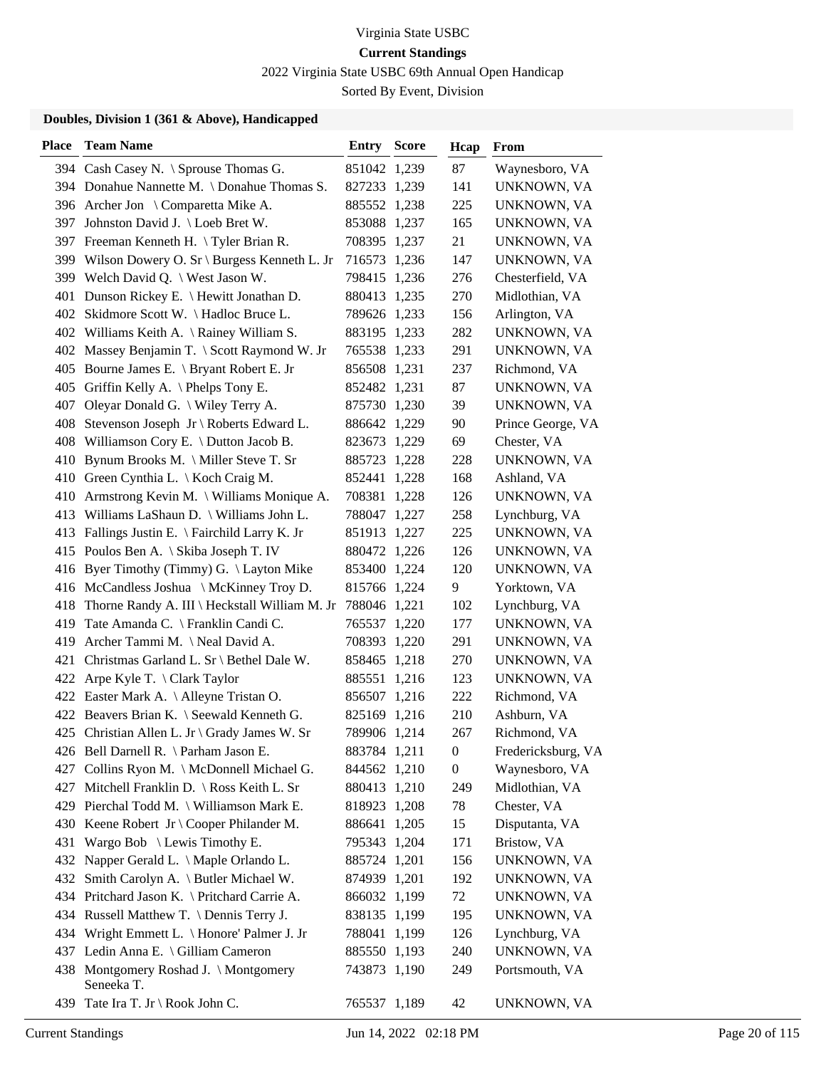2022 Virginia State USBC 69th Annual Open Handicap

Sorted By Event, Division

| <b>Place</b> | <b>Team Name</b>                                   | <b>Entry Score</b> | Hcap             | From               |
|--------------|----------------------------------------------------|--------------------|------------------|--------------------|
|              | 394 Cash Casey N. \ Sprouse Thomas G.              | 851042 1,239       | 87               | Waynesboro, VA     |
|              | 394 Donahue Nannette M. \ Donahue Thomas S.        | 827233 1,239       | 141              | UNKNOWN, VA        |
|              | 396 Archer Jon \ Comparetta Mike A.                | 885552 1,238       | 225              | UNKNOWN, VA        |
| 397          | Johnston David J. \ Loeb Bret W.                   | 853088 1,237       | 165              | UNKNOWN, VA        |
| 397          | Freeman Kenneth H. \Tyler Brian R.                 | 708395 1,237       | 21               | UNKNOWN, VA        |
|              | 399 Wilson Dowery O. Sr \ Burgess Kenneth L. Jr    | 716573 1,236       | 147              | UNKNOWN, VA        |
|              | 399 Welch David Q. \ West Jason W.                 | 798415 1,236       | 276              | Chesterfield, VA   |
|              | 401 Dunson Rickey E. \ Hewitt Jonathan D.          | 880413 1,235       | 270              | Midlothian, VA     |
|              | 402 Skidmore Scott W. \Hadloc Bruce L.             | 789626 1,233       | 156              | Arlington, VA      |
|              | 402 Williams Keith A. \ Rainey William S.          | 883195 1,233       | 282              | UNKNOWN, VA        |
|              | 402 Massey Benjamin T. \ Scott Raymond W. Jr       | 765538 1,233       | 291              | UNKNOWN, VA        |
|              | 405 Bourne James E. \ Bryant Robert E. Jr          | 856508 1,231       | 237              | Richmond, VA       |
| 405          | Griffin Kelly A. $\Phi$ Phelps Tony E.             | 852482 1,231       | 87               | UNKNOWN, VA        |
| 407          | Oleyar Donald G. \ Wiley Terry A.                  | 875730 1,230       | 39               | UNKNOWN, VA        |
| 408          | Stevenson Joseph Jr \ Roberts Edward L.            | 886642 1,229       | 90               | Prince George, VA  |
|              | 408 Williamson Cory E. \ Dutton Jacob B.           | 823673 1,229       | 69               | Chester, VA        |
| 410          | Bynum Brooks M. \ Miller Steve T. Sr               | 885723 1,228       | 228              | UNKNOWN, VA        |
|              | 410 Green Cynthia L. \ Koch Craig M.               | 852441 1,228       | 168              | Ashland, VA        |
|              | 410 Armstrong Kevin M. \ Williams Monique A.       | 708381 1,228       | 126              | UNKNOWN, VA        |
|              | 413 Williams LaShaun D. \ Williams John L.         | 788047 1,227       | 258              | Lynchburg, VA      |
|              | 413 Fallings Justin E. \ Fairchild Larry K. Jr     | 851913 1,227       | 225              | UNKNOWN, VA        |
|              | 415 Poulos Ben A. \ Skiba Joseph T. IV             | 880472 1,226       | 126              | UNKNOWN, VA        |
|              | 416 Byer Timothy (Timmy) G. \Layton Mike           | 853400 1,224       | 120              | UNKNOWN, VA        |
|              | 416 McCandless Joshua \ McKinney Troy D.           | 815766 1,224       | 9                | Yorktown, VA       |
| 418          | Thorne Randy A. III \ Heckstall William M. Jr      | 788046 1,221       | 102              | Lynchburg, VA      |
| 419          | Tate Amanda C. \ Franklin Candi C.                 | 765537 1,220       | 177              | UNKNOWN, VA        |
| 419          | Archer Tammi M. \ Neal David A.                    | 708393 1,220       | 291              | UNKNOWN, VA        |
| 421          | Christmas Garland L. Sr \ Bethel Dale W.           | 858465 1,218       | 270              | UNKNOWN, VA        |
| 422          | Arpe Kyle T. $\langle$ Clark Taylor                | 885551 1,216       | 123              | UNKNOWN, VA        |
|              | 422 Easter Mark A. \ Alleyne Tristan O.            | 856507 1,216       | 222              | Richmond, VA       |
|              | 422 Beavers Brian K. \ Seewald Kenneth G.          | 825169 1,216       | 210              | Ashburn, VA        |
|              | 425 Christian Allen L. Jr \ Grady James W. Sr      | 789906 1,214       | 267              | Richmond, VA       |
|              | 426 Bell Darnell R. \ Parham Jason E.              | 883784 1,211       | $\boldsymbol{0}$ | Fredericksburg, VA |
|              | 427 Collins Ryon M. \ McDonnell Michael G.         | 844562 1,210       | $\boldsymbol{0}$ | Waynesboro, VA     |
|              | 427 Mitchell Franklin D. \ Ross Keith L. Sr        | 880413 1,210       | 249              | Midlothian, VA     |
|              | 429 Pierchal Todd M. \ Williamson Mark E.          | 818923 1,208       | 78               | Chester, VA        |
|              | 430 Keene Robert Jr \ Cooper Philander M.          | 886641 1,205       | 15               | Disputanta, VA     |
|              | 431 Wargo Bob \ Lewis Timothy E.                   | 795343 1,204       | 171              | Bristow, VA        |
|              | 432 Napper Gerald L. \ Maple Orlando L.            | 885724 1,201       | 156              | UNKNOWN, VA        |
|              | 432 Smith Carolyn A. \ Butler Michael W.           | 874939 1,201       | 192              | UNKNOWN, VA        |
|              | 434 Pritchard Jason K. \ Pritchard Carrie A.       | 866032 1,199       | 72               | UNKNOWN, VA        |
|              | 434 Russell Matthew T. \ Dennis Terry J.           | 838135 1,199       | 195              | UNKNOWN, VA        |
|              | 434 Wright Emmett L. \ Honore' Palmer J. Jr        | 788041 1,199       | 126              | Lynchburg, VA      |
|              | 437 Ledin Anna E. \ Gilliam Cameron                | 885550 1,193       | 240              | UNKNOWN, VA        |
|              | 438 Montgomery Roshad J. \Montgomery<br>Seneeka T. | 743873 1,190       | 249              | Portsmouth, VA     |
|              | 439 Tate Ira T. Jr \ Rook John C.                  | 765537 1,189       | 42               | UNKNOWN, VA        |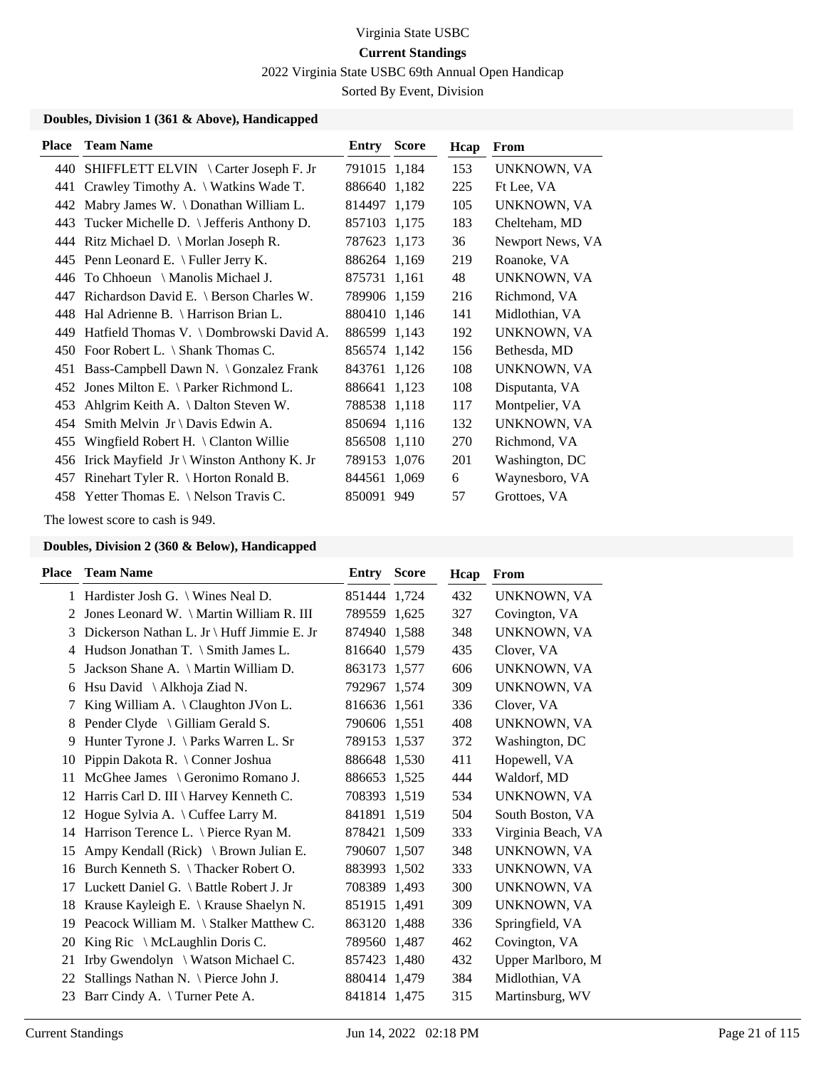2022 Virginia State USBC 69th Annual Open Handicap

Sorted By Event, Division

### **Doubles, Division 1 (361 & Above), Handicapped**

| <b>Place</b> | <b>Team Name</b>                               | <b>Entry Score</b> |     | Hcap | From             |
|--------------|------------------------------------------------|--------------------|-----|------|------------------|
|              | 440 SHIFFLETT ELVIN \ Carter Joseph F. Jr      | 791015 1,184       |     | 153  | UNKNOWN, VA      |
|              | 441 Crawley Timothy A. \ Watkins Wade T.       | 886640 1,182       |     | 225  | Ft Lee, VA       |
| 442          | Mabry James W. \ Donathan William L.           | 814497 1.179       |     | 105  | UNKNOWN, VA      |
| 443          | Tucker Michelle D. \ Jefferis Anthony D.       | 857103 1,175       |     | 183  | Chelteham, MD    |
| 444          | Ritz Michael D. $\backslash$ Morlan Joseph R.  | 787623 1,173       |     | 36   | Newport News, VA |
|              | 445 Penn Leonard E. $\ell$ Fuller Jerry K.     | 886264 1,169       |     | 219  | Roanoke, VA      |
| 446          | To Chhoeun $\setminus$ Manolis Michael J.      | 875731 1,161       |     | 48   | UNKNOWN, VA      |
| 447          | Richardson David E. \ Berson Charles W.        | 789906 1,159       |     | 216  | Richmond, VA     |
|              | 448 Hal Adrienne B. \ Harrison Brian L.        | 880410 1,146       |     | 141  | Midlothian, VA   |
| 449.         | Hatfield Thomas V. \ Dombrowski David A.       | 886599 1,143       |     | 192  | UNKNOWN, VA      |
| 450          | Foor Robert L. \ Shank Thomas C.               | 856574 1,142       |     | 156  | Bethesda, MD     |
| 451          | Bass-Campbell Dawn N. \ Gonzalez Frank         | 843761 1,126       |     | 108  | UNKNOWN, VA      |
| 452          | Jones Milton E. $\{$ Parker Richmond L.        | 886641 1,123       |     | 108  | Disputanta, VA   |
| 453          | Ahlgrim Keith A. \ Dalton Steven W.            | 788538 1,118       |     | 117  | Montpelier, VA   |
| 454          | Smith Melvin $Jr \ Davis$ Edwin A.             | 850694 1,116       |     | 132  | UNKNOWN, VA      |
| 455          | Wingfield Robert H. $\setminus$ Clanton Willie | 856508 1,110       |     | 270  | Richmond, VA     |
| 456          | Irick Mayfield Jr \ Winston Anthony K. Jr      | 789153 1,076       |     | 201  | Washington, DC   |
| 457          | Rinehart Tyler R. \ Horton Ronald B.           | 844561 1,069       |     | 6    | Waynesboro, VA   |
|              | 458 Yetter Thomas E. \ Nelson Travis C.        | 850091             | 949 | 57   | Grottoes, VA     |

The lowest score to cash is 949.

| Place | <b>Team Name</b>                                | <b>Entry Score</b> | Hcap | From               |
|-------|-------------------------------------------------|--------------------|------|--------------------|
|       | 1 Hardister Josh G. \ Wines Neal D.             | 851444 1,724       | 432  | UNKNOWN, VA        |
| 2     | Jones Leonard W. \ Martin William R. III        | 789559 1,625       | 327  | Covington, VA      |
| 3     | Dickerson Nathan L. Jr \ Huff Jimmie E. Jr      | 874940 1.588       | 348  | UNKNOWN, VA        |
| 4     | Hudson Jonathan T. $\Im$ Smith James L.         | 816640 1.579       | 435  | Clover, VA         |
| 5     | Jackson Shane A. \ Martin William D.            | 863173 1,577       | 606  | UNKNOWN, VA        |
| 6     | Hsu David \ Alkhoja Ziad N.                     | 792967 1,574       | 309  | UNKNOWN, VA        |
| 7     | King William A. \Claughton JVon L.              | 816636 1,561       | 336  | Clover, VA         |
| 8     | Pender Clyde \ Gilliam Gerald S.                | 790606 1,551       | 408  | UNKNOWN, VA        |
| 9     | Hunter Tyrone J. \Parks Warren L. Sr            | 789153 1,537       | 372  | Washington, DC     |
| 10    | Pippin Dakota R. \ Conner Joshua                | 886648 1.530       | 411  | Hopewell, VA       |
| 11    | McGhee James \ Geronimo Romano J.               | 886653 1,525       | 444  | Waldorf, MD        |
| 12    | Harris Carl D. III \ Harvey Kenneth C.          | 708393 1,519       | 534  | UNKNOWN, VA        |
| 12    | Hogue Sylvia A. \ Cuffee Larry M.               | 841891 1,519       | 504  | South Boston, VA   |
| 14    | Harrison Terence L. \ Pierce Ryan M.            | 878421 1.509       | 333  | Virginia Beach, VA |
| 15    | Ampy Kendall (Rick) $\setminus$ Brown Julian E. | 790607 1,507       | 348  | <b>UNKNOWN, VA</b> |
| 16    | Burch Kenneth S. \Thacker Robert O.             | 883993 1,502       | 333  | UNKNOWN, VA        |
| 17    | Luckett Daniel G. \ Battle Robert J. Jr         | 708389 1,493       | 300  | <b>UNKNOWN, VA</b> |
| 18    | Krause Kayleigh E. \ Krause Shaelyn N.          | 851915 1,491       | 309  | UNKNOWN, VA        |
| 19    | Peacock William M. \ Stalker Matthew C.         | 863120 1,488       | 336  | Springfield, VA    |
| 20    | King Ric $\setminus$ McLaughlin Doris C.        | 789560 1,487       | 462  | Covington, VA      |
| 21    | Irby Gwendolyn \ Watson Michael C.              | 857423 1,480       | 432  | Upper Marlboro, M  |
| 22    | Stallings Nathan N. \ Pierce John J.            | 880414 1,479       | 384  | Midlothian, VA     |
| 23    | Barr Cindy A. \Turner Pete A.                   | 841814 1,475       | 315  | Martinsburg, WV    |
|       |                                                 |                    |      |                    |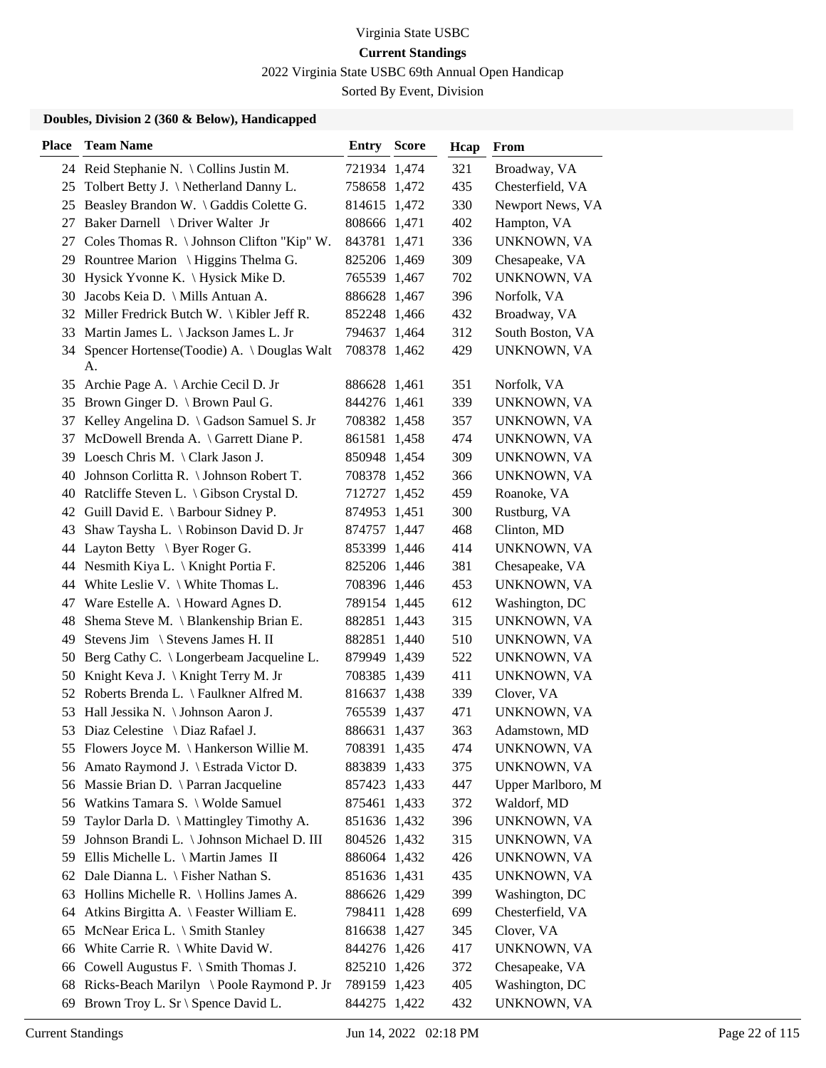2022 Virginia State USBC 69th Annual Open Handicap

Sorted By Event, Division

| <b>Place</b> | <b>Team Name</b>                                   | <b>Entry Score</b> | Hcap | From              |
|--------------|----------------------------------------------------|--------------------|------|-------------------|
|              | 24 Reid Stephanie N. \ Collins Justin M.           | 721934 1,474       | 321  | Broadway, VA      |
|              | 25 Tolbert Betty J. \Netherland Danny L.           | 758658 1,472       | 435  | Chesterfield, VA  |
|              | 25 Beasley Brandon W. \ Gaddis Colette G.          | 814615 1,472       | 330  | Newport News, VA  |
| 27           | Baker Darnell \ Driver Walter Jr                   | 808666 1,471       | 402  | Hampton, VA       |
| 27           | Coles Thomas R. \ Johnson Clifton "Kip" W.         | 843781 1,471       | 336  | UNKNOWN, VA       |
|              | 29 Rountree Marion \ Higgins Thelma G.             | 825206 1,469       | 309  | Chesapeake, VA    |
|              | 30 Hysick Yvonne K. \ Hysick Mike D.               | 765539 1,467       | 702  | UNKNOWN, VA       |
|              | 30 Jacobs Keia D. \ Mills Antuan A.                | 886628 1,467       | 396  | Norfolk, VA       |
|              | 32 Miller Fredrick Butch W. \ Kibler Jeff R.       | 852248 1,466       | 432  | Broadway, VA      |
|              | 33 Martin James L. \ Jackson James L. Jr           | 794637 1,464       | 312  | South Boston, VA  |
|              | 34 Spencer Hortense(Toodie) A. \Douglas Walt<br>А. | 708378 1,462       | 429  | UNKNOWN, VA       |
| 35           | Archie Page A. \ Archie Cecil D. Jr                | 886628 1,461       | 351  | Norfolk, VA       |
|              | 35 Brown Ginger D. \ Brown Paul G.                 | 844276 1,461       | 339  | UNKNOWN, VA       |
| 37           | Kelley Angelina D. \ Gadson Samuel S. Jr           | 708382 1,458       | 357  | UNKNOWN, VA       |
|              | 37 McDowell Brenda A. \ Garrett Diane P.           | 861581 1,458       | 474  | UNKNOWN, VA       |
|              | 39 Loesch Chris M. \ Clark Jason J.                | 850948 1,454       | 309  | UNKNOWN, VA       |
|              | 40 Johnson Corlitta R. \ Johnson Robert T.         | 708378 1,452       | 366  | UNKNOWN, VA       |
|              | 40 Ratcliffe Steven L. \ Gibson Crystal D.         | 712727 1,452       | 459  | Roanoke, VA       |
|              | 42 Guill David E. \ Barbour Sidney P.              | 874953 1,451       | 300  | Rustburg, VA      |
|              | 43 Shaw Taysha L. \ Robinson David D. Jr           | 874757 1,447       | 468  | Clinton, MD       |
|              | 44 Layton Betty \ Byer Roger G.                    | 853399 1,446       | 414  | UNKNOWN, VA       |
|              | 44 Nesmith Kiya L. \ Knight Portia F.              | 825206 1,446       | 381  | Chesapeake, VA    |
|              | 44 White Leslie V. \ White Thomas L.               | 708396 1,446       | 453  | UNKNOWN, VA       |
| 47           | Ware Estelle A. \ Howard Agnes D.                  | 789154 1,445       | 612  | Washington, DC    |
| 48           | Shema Steve M. \ Blankenship Brian E.              | 882851 1,443       | 315  | UNKNOWN, VA       |
| 49           | Stevens Jim \ Stevens James H. II                  | 882851 1,440       | 510  | UNKNOWN, VA       |
| 50           | Berg Cathy C. \ Longerbeam Jacqueline L.           | 879949 1,439       | 522  | UNKNOWN, VA       |
| 50           | Knight Keva J. \ Knight Terry M. Jr                | 708385 1,439       | 411  | UNKNOWN, VA       |
|              | 52 Roberts Brenda L. \ Faulkner Alfred M.          | 816637 1,438       | 339  | Clover, VA        |
|              | 53 Hall Jessika N. \ Johnson Aaron J.              | 765539 1,437       | 471  | UNKNOWN, VA       |
|              | 53 Diaz Celestine \ Diaz Rafael J.                 | 886631 1,437       | 363  | Adamstown, MD     |
|              | 55 Flowers Joyce M. \ Hankerson Willie M.          | 708391 1,435       | 474  | UNKNOWN, VA       |
|              | 56 Amato Raymond J. \ Estrada Victor D.            | 883839 1,433       | 375  | UNKNOWN, VA       |
|              | 56 Massie Brian D. \ Parran Jacqueline             | 857423 1,433       | 447  | Upper Marlboro, M |
|              | 56 Watkins Tamara S. \ Wolde Samuel                | 875461 1,433       | 372  | Waldorf, MD       |
| 59           | Taylor Darla D. \ Mattingley Timothy A.            | 851636 1,432       | 396  | UNKNOWN, VA       |
| 59           | Johnson Brandi L. \ Johnson Michael D. III         | 804526 1,432       | 315  | UNKNOWN, VA       |
| 59           | Ellis Michelle L. \ Martin James II                | 886064 1,432       | 426  | UNKNOWN, VA       |
|              | 62 Dale Dianna L. \ Fisher Nathan S.               | 851636 1,431       | 435  | UNKNOWN, VA       |
| 63           | Hollins Michelle R. \ Hollins James A.             | 886626 1,429       | 399  | Washington, DC    |
| 64           | Atkins Birgitta A. \ Feaster William E.            | 798411 1,428       | 699  | Chesterfield, VA  |
| 65           | McNear Erica L. \ Smith Stanley                    | 816638 1,427       | 345  | Clover, VA        |
|              | 66 White Carrie R. \ White David W.                | 844276 1,426       | 417  | UNKNOWN, VA       |
| 66           | Cowell Augustus F. $\Im$ Smith Thomas J.           | 825210 1,426       | 372  | Chesapeake, VA    |
| 68           | Ricks-Beach Marilyn \ Poole Raymond P. Jr          | 789159 1,423       | 405  | Washington, DC    |
| 69           | Brown Troy L. Sr \ Spence David L.                 | 844275 1,422       | 432  | UNKNOWN, VA       |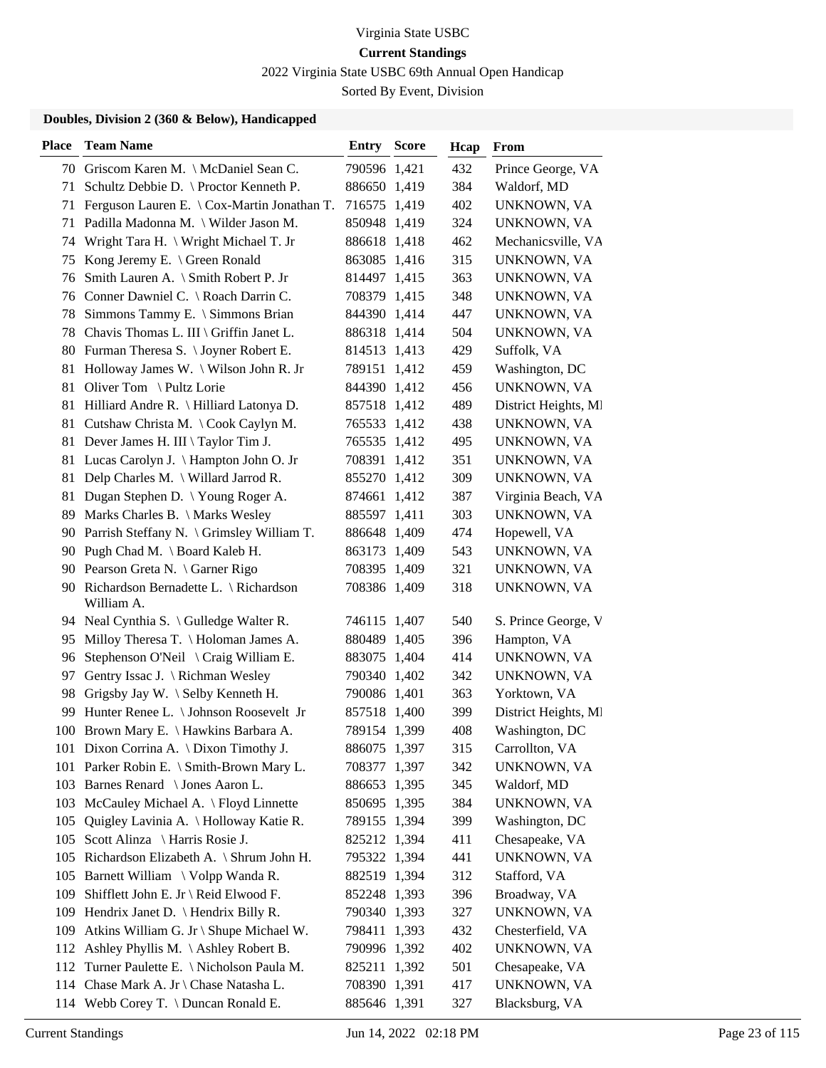2022 Virginia State USBC 69th Annual Open Handicap

Sorted By Event, Division

| <b>Place</b> | <b>Team Name</b>                                       | <b>Entry Score</b> | Hcap | From                 |
|--------------|--------------------------------------------------------|--------------------|------|----------------------|
|              | 70 Griscom Karen M. \ McDaniel Sean C.                 | 790596 1,421       | 432  | Prince George, VA    |
| 71           | Schultz Debbie D. \ Proctor Kenneth P.                 | 886650 1,419       | 384  | Waldorf, MD          |
| 71           | Ferguson Lauren E. $\setminus$ Cox-Martin Jonathan T.  | 716575 1,419       | 402  | UNKNOWN, VA          |
| 71           | Padilla Madonna M. \ Wilder Jason M.                   | 850948 1,419       | 324  | UNKNOWN, VA          |
| 74           | Wright Tara H. \ Wright Michael T. Jr                  | 886618 1,418       | 462  | Mechanicsville, VA   |
| 75           | Kong Jeremy E. \ Green Ronald                          | 863085 1,416       | 315  | UNKNOWN, VA          |
| 76           | Smith Lauren A. \ Smith Robert P. Jr                   | 814497 1,415       | 363  | UNKNOWN, VA          |
|              | 76 Conner Dawniel C. \ Roach Darrin C.                 | 708379 1,415       | 348  | UNKNOWN, VA          |
| 78           | Simmons Tammy E. \ Simmons Brian                       | 844390 1,414       | 447  | UNKNOWN, VA          |
| 78           | Chavis Thomas L. III \ Griffin Janet L.                | 886318 1,414       | 504  | UNKNOWN, VA          |
|              | 80 Furman Theresa S. \Joyner Robert E.                 | 814513 1,413       | 429  | Suffolk, VA          |
| 81           | Holloway James W. \ Wilson John R. Jr                  | 789151 1,412       | 459  | Washington, DC       |
| 81           | Oliver Tom \ Pultz Lorie                               | 844390 1,412       | 456  | UNKNOWN, VA          |
| 81           | Hilliard Andre R. \ Hilliard Latonya D.                | 857518 1,412       | 489  | District Heights, MI |
|              | 81 Cutshaw Christa M. \Cook Caylyn M.                  | 765533 1,412       | 438  | UNKNOWN, VA          |
| 81           | Dever James H. III \ Taylor Tim J.                     | 765535 1,412       | 495  | UNKNOWN, VA          |
| 81           | Lucas Carolyn J. \ Hampton John O. Jr                  | 708391 1,412       | 351  | UNKNOWN, VA          |
| 81           | Delp Charles M. \ Willard Jarrod R.                    | 855270 1,412       | 309  | UNKNOWN, VA          |
| 81           | Dugan Stephen D. \ Young Roger A.                      | 874661 1,412       | 387  | Virginia Beach, VA   |
| 89           | Marks Charles B. \ Marks Wesley                        | 885597 1,411       | 303  | UNKNOWN, VA          |
|              | 90 Parrish Steffany N. \ Grimsley William T.           | 886648 1,409       | 474  | Hopewell, VA         |
|              | 90 Pugh Chad M. \ Board Kaleb H.                       | 863173 1,409       | 543  | UNKNOWN, VA          |
|              | 90 Pearson Greta N. \ Garner Rigo                      | 708395 1,409       | 321  | UNKNOWN, VA          |
|              | 90 Richardson Bernadette L. \ Richardson<br>William A. | 708386 1,409       | 318  | UNKNOWN, VA          |
|              | 94 Neal Cynthia S. \ Gulledge Walter R.                | 746115 1,407       | 540  | S. Prince George, V  |
| 95           | Milloy Theresa T. \ Holoman James A.                   | 880489 1,405       | 396  | Hampton, VA          |
| 96           | Stephenson O'Neil \ Craig William E.                   | 883075 1,404       | 414  | UNKNOWN, VA          |
| 97           | Gentry Issac J. \ Richman Wesley                       | 790340 1,402       | 342  | UNKNOWN, VA          |
| 98           | Grigsby Jay W. \ Selby Kenneth H.                      | 790086 1,401       | 363  | Yorktown, VA         |
| 99           | Hunter Renee L. \ Johnson Roosevelt Jr                 | 857518 1,400       | 399  | District Heights, MI |
|              | 100 Brown Mary E. \ Hawkins Barbara A.                 | 789154 1,399       | 408  | Washington, DC       |
|              | 101 Dixon Corrina A. \ Dixon Timothy J.                | 886075 1,397       | 315  | Carrollton, VA       |
|              | 101 Parker Robin E. \ Smith-Brown Mary L.              | 708377 1,397       | 342  | <b>UNKNOWN, VA</b>   |
| 103          | Barnes Renard \ Jones Aaron L.                         | 886653 1,395       | 345  | Waldorf, MD          |
|              | 103 McCauley Michael A. \ Floyd Linnette               | 850695 1,395       | 384  | UNKNOWN, VA          |
| 105          | Quigley Lavinia A. \ Holloway Katie R.                 | 789155 1,394       | 399  | Washington, DC       |
| 105          | Scott Alinza \ Harris Rosie J.                         | 825212 1,394       | 411  | Chesapeake, VA       |
| 105          | Richardson Elizabeth A. \ Shrum John H.                | 795322 1,394       | 441  | UNKNOWN, VA          |
|              | 105 Barnett William \ Volpp Wanda R.                   | 882519 1,394       | 312  | Stafford, VA         |
| 109          | Shifflett John E. Jr \ Reid Elwood F.                  | 852248 1,393       | 396  | Broadway, VA         |
| 109          | Hendrix Janet D. $\{$ Hendrix Billy R.                 | 790340 1,393       | 327  | UNKNOWN, VA          |
| 109          | Atkins William G. Jr \ Shupe Michael W.                | 798411 1,393       | 432  | Chesterfield, VA     |
|              | 112 Ashley Phyllis M. \Ashley Robert B.                | 790996 1,392       | 402  | UNKNOWN, VA          |
|              | 112 Turner Paulette E. \ Nicholson Paula M.            | 825211 1,392       | 501  | Chesapeake, VA       |
|              | 114 Chase Mark A. Jr \ Chase Natasha L.                | 708390 1,391       | 417  | UNKNOWN, VA          |
|              | 114 Webb Corey T. \ Duncan Ronald E.                   | 885646 1,391       | 327  | Blacksburg, VA       |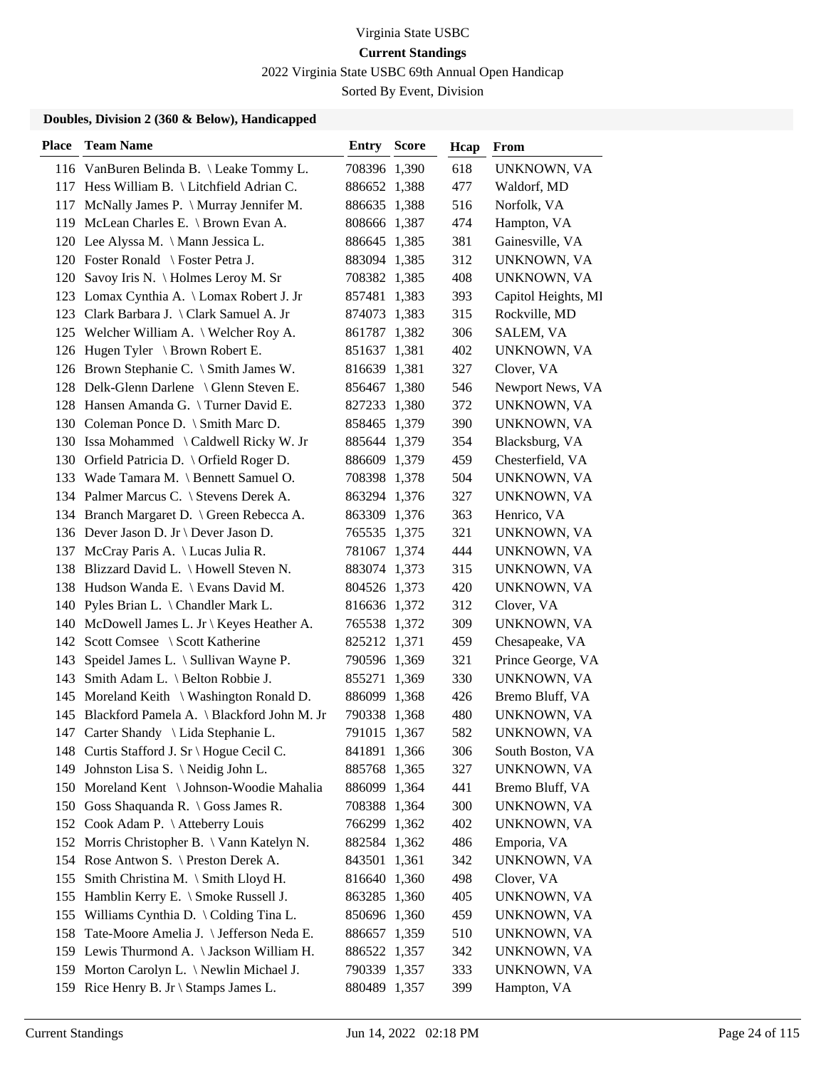2022 Virginia State USBC 69th Annual Open Handicap

Sorted By Event, Division

| <b>Place</b> | <b>Team Name</b>                               | <b>Entry Score</b> | Hcap | From                |
|--------------|------------------------------------------------|--------------------|------|---------------------|
|              | 116 VanBuren Belinda B. \ Leake Tommy L.       | 708396 1,390       | 618  | UNKNOWN, VA         |
|              | 117 Hess William B. \ Litchfield Adrian C.     | 886652 1,388       | 477  | Waldorf, MD         |
|              | 117 McNally James P. \ Murray Jennifer M.      | 886635 1,388       | 516  | Norfolk, VA         |
| 119          | McLean Charles E. \ Brown Evan A.              | 808666 1,387       | 474  | Hampton, VA         |
|              | 120 Lee Alyssa M. \ Mann Jessica L.            | 886645 1,385       | 381  | Gainesville, VA     |
|              | 120 Foster Ronald \ Foster Petra J.            | 883094 1,385       | 312  | UNKNOWN, VA         |
|              | 120 Savoy Iris N. \ Holmes Leroy M. Sr         | 708382 1,385       | 408  | UNKNOWN, VA         |
|              | 123 Lomax Cynthia A. \ Lomax Robert J. Jr      | 857481 1,383       | 393  | Capitol Heights, MI |
|              | 123 Clark Barbara J. \ Clark Samuel A. Jr      | 874073 1,383       | 315  | Rockville, MD       |
|              | 125 Welcher William A. \ Welcher Roy A.        | 861787 1,382       | 306  | SALEM, VA           |
|              | 126 Hugen Tyler \ Brown Robert E.              | 851637 1,381       | 402  | UNKNOWN, VA         |
|              | 126 Brown Stephanie C. \ Smith James W.        | 816639 1,381       | 327  | Clover, VA          |
|              | 128 Delk-Glenn Darlene \ Glenn Steven E.       | 856467 1,380       | 546  | Newport News, VA    |
|              | 128 Hansen Amanda G. \Turner David E.          | 827233 1,380       | 372  | UNKNOWN, VA         |
|              | 130 Coleman Ponce D. \ Smith Marc D.           | 858465 1,379       | 390  | UNKNOWN, VA         |
|              | 130 Issa Mohammed \ Caldwell Ricky W. Jr       | 885644 1,379       | 354  | Blacksburg, VA      |
|              | 130 Orfield Patricia D. \ Orfield Roger D.     | 886609 1,379       | 459  | Chesterfield, VA    |
|              | 133 Wade Tamara M. \ Bennett Samuel O.         | 708398 1,378       | 504  | UNKNOWN, VA         |
|              | 134 Palmer Marcus C. \ Stevens Derek A.        | 863294 1,376       | 327  | UNKNOWN, VA         |
|              | 134 Branch Margaret D. \ Green Rebecca A.      | 863309 1,376       | 363  | Henrico, VA         |
|              | 136 Dever Jason D. Jr \ Dever Jason D.         | 765535 1,375       | 321  | UNKNOWN, VA         |
| 137          | McCray Paris A. \ Lucas Julia R.               | 781067 1,374       | 444  | UNKNOWN, VA         |
|              | 138 Blizzard David L. \ Howell Steven N.       | 883074 1,373       | 315  | UNKNOWN, VA         |
|              | 138 Hudson Wanda E. \ Evans David M.           | 804526 1,373       | 420  | UNKNOWN, VA         |
| 140          | Pyles Brian L. \ Chandler Mark L.              | 816636 1,372       | 312  | Clover, VA          |
| 140          | McDowell James L. Jr \ Keyes Heather A.        | 765538 1,372       | 309  | UNKNOWN, VA         |
|              | 142 Scott Comsee \ Scott Katherine             | 825212 1,371       | 459  | Chesapeake, VA      |
| 143          | Speidel James L. \ Sullivan Wayne P.           | 790596 1,369       | 321  | Prince George, VA   |
| 143          | Smith Adam L. \ Belton Robbie J.               | 855271 1,369       | 330  | UNKNOWN, VA         |
| 145          | Moreland Keith \ Washington Ronald D.          | 886099 1,368       | 426  | Bremo Bluff, VA     |
|              | 145 Blackford Pamela A. \ Blackford John M. Jr | 790338 1,368       | 480  | UNKNOWN, VA         |
|              | 147 Carter Shandy \ Lida Stephanie L.          | 791015 1,367       | 582  | UNKNOWN, VA         |
|              | 148 Curtis Stafford J. Sr \ Hogue Cecil C.     | 841891 1,366       | 306  | South Boston, VA    |
| 149          | Johnston Lisa S. \ Neidig John L.              | 885768 1,365       | 327  | UNKNOWN, VA         |
| 150          | Moreland Kent \ Johnson-Woodie Mahalia         | 886099 1,364       | 441  | Bremo Bluff, VA     |
|              | 150 Goss Shaquanda R. \ Goss James R.          | 708388 1,364       | 300  | UNKNOWN, VA         |
| 152          | Cook Adam P. \ Atteberry Louis                 | 766299 1,362       | 402  | UNKNOWN, VA         |
| 152          | Morris Christopher B. \ Vann Katelyn N.        | 882584 1,362       | 486  | Emporia, VA         |
|              | 154 Rose Antwon S. \ Preston Derek A.          | 843501 1,361       | 342  | UNKNOWN, VA         |
| 155          | Smith Christina M. \ Smith Lloyd H.            | 816640 1,360       | 498  | Clover, VA          |
| 155          | Hamblin Kerry E. \ Smoke Russell J.            | 863285 1,360       | 405  | UNKNOWN, VA         |
| 155          | Williams Cynthia D. \ Colding Tina L.          | 850696 1,360       | 459  | UNKNOWN, VA         |
| 158          | Tate-Moore Amelia J. \ Jefferson Neda E.       | 886657 1,359       | 510  | UNKNOWN, VA         |
|              | 159 Lewis Thurmond A. \Jackson William H.      | 886522 1,357       | 342  | UNKNOWN, VA         |
| 159          | Morton Carolyn L. \ Newlin Michael J.          | 790339 1,357       | 333  | UNKNOWN, VA         |
|              | 159 Rice Henry B. Jr \ Stamps James L.         | 880489 1,357       | 399  | Hampton, VA         |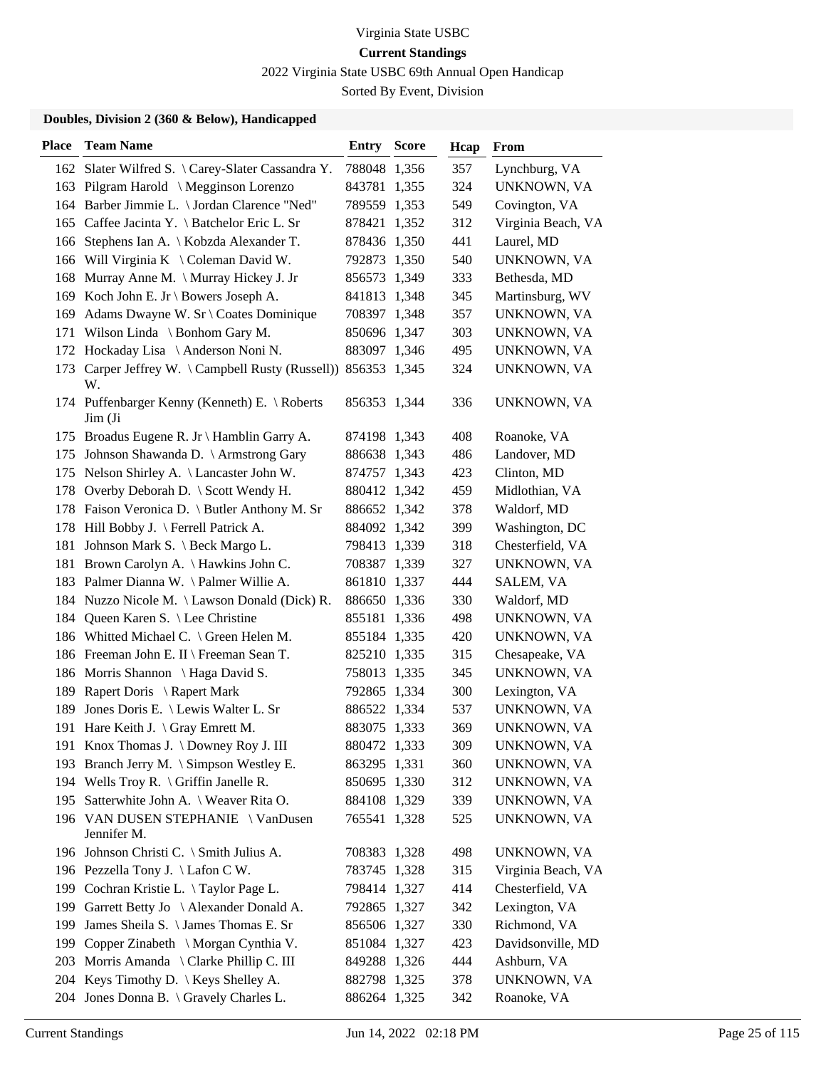2022 Virginia State USBC 69th Annual Open Handicap

Sorted By Event, Division

| <b>Place</b> | <b>Team Name</b>                                                    | <b>Entry Score</b> | Hcap | From               |
|--------------|---------------------------------------------------------------------|--------------------|------|--------------------|
|              | 162 Slater Wilfred S. \Carey-Slater Cassandra Y.                    | 788048 1,356       | 357  | Lynchburg, VA      |
|              | 163 Pilgram Harold \ Megginson Lorenzo                              | 843781 1,355       | 324  | UNKNOWN, VA        |
|              | 164 Barber Jimmie L. \ Jordan Clarence "Ned"                        | 789559 1,353       | 549  | Covington, VA      |
|              | 165 Caffee Jacinta Y. \ Batchelor Eric L. Sr                        | 878421 1,352       | 312  | Virginia Beach, VA |
| 166          | Stephens Ian A. \ Kobzda Alexander T.                               | 878436 1,350       | 441  | Laurel, MD         |
| 166          | Will Virginia K \ Coleman David W.                                  | 792873 1,350       | 540  | UNKNOWN, VA        |
| 168          | Murray Anne M. \ Murray Hickey J. Jr                                | 856573 1,349       | 333  | Bethesda, MD       |
|              | 169 Koch John E. Jr \ Bowers Joseph A.                              | 841813 1,348       | 345  | Martinsburg, WV    |
| 169          | Adams Dwayne W. Sr \ Coates Dominique                               | 708397 1,348       | 357  | UNKNOWN, VA        |
| 171          | Wilson Linda $\setminus$ Bonhom Gary M.                             | 850696 1,347       | 303  | UNKNOWN, VA        |
|              | 172 Hockaday Lisa \ Anderson Noni N.                                | 883097 1,346       | 495  | UNKNOWN, VA        |
|              | 173 Carper Jeffrey W. \Campbell Rusty (Russell)) 856353 1,345<br>W. |                    | 324  | UNKNOWN, VA        |
|              | 174 Puffenbarger Kenny (Kenneth) E. \ Roberts<br>Jim(Ji)            | 856353 1,344       | 336  | UNKNOWN, VA        |
|              | 175 Broadus Eugene R. Jr \ Hamblin Garry A.                         | 874198 1,343       | 408  | Roanoke, VA        |
|              | 175 Johnson Shawanda D. \ Armstrong Gary                            | 886638 1,343       | 486  | Landover, MD       |
|              | 175 Nelson Shirley A. \ Lancaster John W.                           | 874757 1,343       | 423  | Clinton, MD        |
| 178          | Overby Deborah D. \ Scott Wendy H.                                  | 880412 1,342       | 459  | Midlothian, VA     |
|              | 178 Faison Veronica D. \ Butler Anthony M. Sr                       | 886652 1,342       | 378  | Waldorf, MD        |
|              | 178 Hill Bobby J. \ Ferrell Patrick A.                              | 884092 1,342       | 399  | Washington, DC     |
|              | 181 Johnson Mark S. \ Beck Margo L.                                 | 798413 1,339       | 318  | Chesterfield, VA   |
| 181          | Brown Carolyn A. \ Hawkins John C.                                  | 708387 1,339       | 327  | UNKNOWN, VA        |
|              | 183 Palmer Dianna W. \Palmer Willie A.                              | 861810 1,337       | 444  | SALEM, VA          |
|              | 184 Nuzzo Nicole M. \ Lawson Donald (Dick) R.                       | 886650 1,336       | 330  | Waldorf, MD        |
|              | 184 Queen Karen S. \ Lee Christine                                  | 855181 1,336       | 498  | UNKNOWN, VA        |
|              | 186 Whitted Michael C. \ Green Helen M.                             | 855184 1,335       | 420  | UNKNOWN, VA        |
|              | 186 Freeman John E. II \ Freeman Sean T.                            | 825210 1,335       | 315  | Chesapeake, VA     |
|              | 186 Morris Shannon \ Haga David S.                                  | 758013 1,335       | 345  | UNKNOWN, VA        |
| 189          | Rapert Doris \ Rapert Mark                                          | 792865 1,334       | 300  | Lexington, VA      |
| 189          | Jones Doris E. \ Lewis Walter L. Sr                                 | 886522 1,334       | 537  | UNKNOWN, VA        |
|              | 191 Hare Keith J. \ Gray Emrett M.                                  | 883075 1,333       | 369  | UNKNOWN, VA        |
|              | 191 Knox Thomas J. \Downey Roy J. III                               | 880472 1,333       | 309  | UNKNOWN, VA        |
|              | 193 Branch Jerry M. \ Simpson Westley E.                            | 863295 1,331       | 360  | UNKNOWN, VA        |
|              | 194 Wells Troy R. \ Griffin Janelle R.                              | 850695 1,330       | 312  | UNKNOWN, VA        |
|              | 195 Satterwhite John A. \ Weaver Rita O.                            | 884108 1,329       | 339  | UNKNOWN, VA        |
|              | 196 VAN DUSEN STEPHANIE \ VanDusen<br>Jennifer M.                   | 765541 1,328       | 525  | UNKNOWN, VA        |
|              | 196 Johnson Christi C. \ Smith Julius A.                            | 708383 1,328       | 498  | UNKNOWN, VA        |
|              | 196 Pezzella Tony J. \ Lafon C W.                                   | 783745 1,328       | 315  | Virginia Beach, VA |
|              | 199 Cochran Kristie L. \Taylor Page L.                              | 798414 1,327       | 414  | Chesterfield, VA   |
| 199          | Garrett Betty Jo \ Alexander Donald A.                              | 792865 1,327       | 342  | Lexington, VA      |
|              | 199 James Sheila S. \James Thomas E. Sr                             | 856506 1,327       | 330  | Richmond, VA       |
|              | 199 Copper Zinabeth \ Morgan Cynthia V.                             | 851084 1,327       | 423  | Davidsonville, MD  |
| 203          | Morris Amanda \ Clarke Phillip C. III                               | 849288 1,326       | 444  | Ashburn, VA        |
|              | 204 Keys Timothy D. \ Keys Shelley A.                               | 882798 1,325       | 378  | UNKNOWN, VA        |
|              | 204 Jones Donna B. \ Gravely Charles L.                             | 886264 1,325       | 342  | Roanoke, VA        |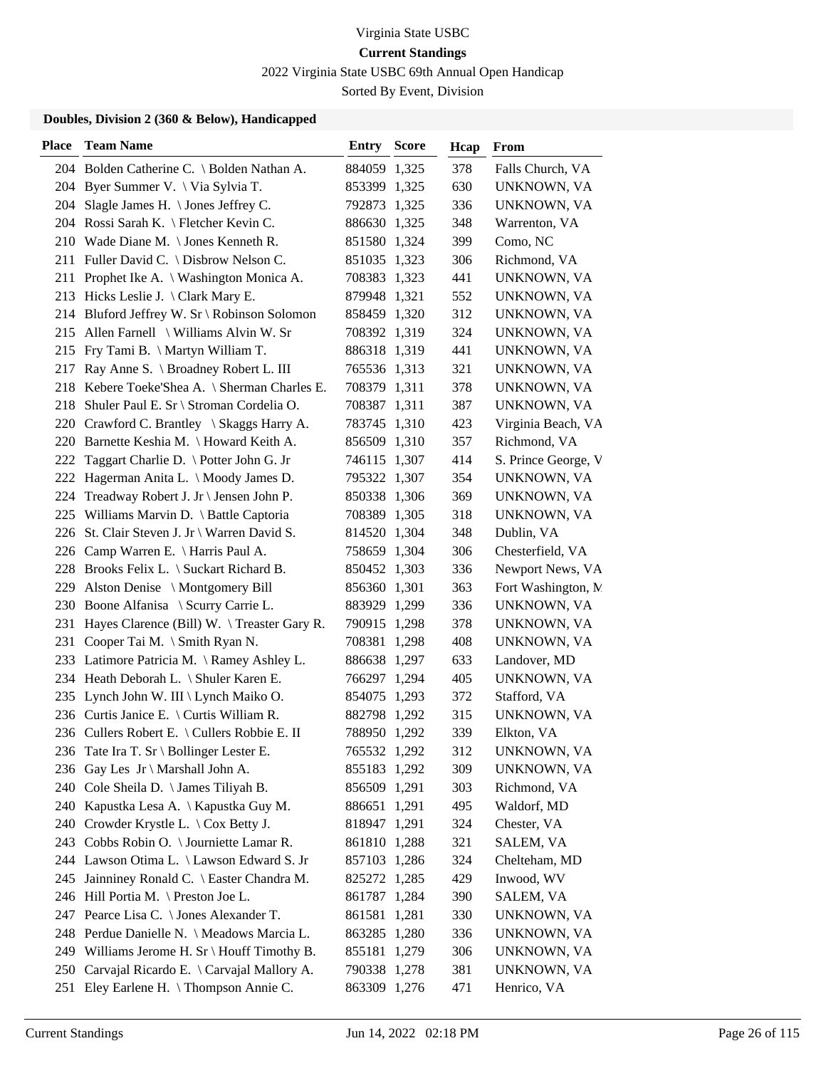2022 Virginia State USBC 69th Annual Open Handicap

Sorted By Event, Division

| <b>Place</b> | <b>Team Name</b>                             | Entry        | <b>Score</b> | Hcap | From                |
|--------------|----------------------------------------------|--------------|--------------|------|---------------------|
|              | 204 Bolden Catherine C. \ Bolden Nathan A.   | 884059 1,325 |              | 378  | Falls Church, VA    |
| 204          | Byer Summer V. \ Via Sylvia T.               | 853399 1,325 |              | 630  | UNKNOWN, VA         |
|              | 204 Slagle James H. \ Jones Jeffrey C.       | 792873 1,325 |              | 336  | UNKNOWN, VA         |
|              | 204 Rossi Sarah K. \ Fletcher Kevin C.       | 886630 1,325 |              | 348  | Warrenton, VA       |
|              | 210 Wade Diane M. \Jones Kenneth R.          | 851580 1,324 |              | 399  | Como, NC            |
|              | 211 Fuller David C. \ Disbrow Nelson C.      | 851035 1,323 |              | 306  | Richmond, VA        |
|              | 211 Prophet Ike A. \ Washington Monica A.    | 708383 1,323 |              | 441  | UNKNOWN, VA         |
|              | 213 Hicks Leslie J. \ Clark Mary E.          | 879948 1,321 |              | 552  | UNKNOWN, VA         |
|              | 214 Bluford Jeffrey W. Sr \ Robinson Solomon | 858459 1,320 |              | 312  | UNKNOWN, VA         |
| 215          | Allen Farnell \ Williams Alvin W. Sr         | 708392 1,319 |              | 324  | UNKNOWN, VA         |
| 215          | Fry Tami B. \ Martyn William T.              | 886318 1,319 |              | 441  | UNKNOWN, VA         |
| 217          | Ray Anne S. \ Broadney Robert L. III         | 765536 1,313 |              | 321  | UNKNOWN, VA         |
| 218          | Kebere Toeke'Shea A. \ Sherman Charles E.    | 708379 1,311 |              | 378  | UNKNOWN, VA         |
| 218          | Shuler Paul E. Sr \ Stroman Cordelia O.      | 708387 1,311 |              | 387  | UNKNOWN, VA         |
|              | 220 Crawford C. Brantley \ Skaggs Harry A.   | 783745 1,310 |              | 423  | Virginia Beach, VA  |
|              | 220 Barnette Keshia M. \ Howard Keith A.     | 856509 1,310 |              | 357  | Richmond, VA        |
| 222          | Taggart Charlie D. \ Potter John G. Jr       | 746115 1,307 |              | 414  | S. Prince George, V |
| 222          | Hagerman Anita L. \ Moody James D.           | 795322 1,307 |              | 354  | UNKNOWN, VA         |
|              | 224 Treadway Robert J. Jr \ Jensen John P.   | 850338 1,306 |              | 369  | UNKNOWN, VA         |
|              | 225 Williams Marvin D. \ Battle Captoria     | 708389 1,305 |              | 318  | UNKNOWN, VA         |
|              | 226 St. Clair Steven J. Jr \ Warren David S. | 814520 1,304 |              | 348  | Dublin, VA          |
|              | 226 Camp Warren E. \ Harris Paul A.          | 758659 1,304 |              | 306  | Chesterfield, VA    |
|              | 228 Brooks Felix L. \ Suckart Richard B.     | 850452 1,303 |              | 336  | Newport News, VA    |
| 229          | Alston Denise \ Montgomery Bill              | 856360 1,301 |              | 363  | Fort Washington, M. |
|              | 230 Boone Alfanisa \ Scurry Carrie L.        | 883929 1,299 |              | 336  | UNKNOWN, VA         |
| 231          | Hayes Clarence (Bill) W. \Treaster Gary R.   | 790915 1,298 |              | 378  | UNKNOWN, VA         |
|              | 231 Cooper Tai M. \ Smith Ryan N.            | 708381 1,298 |              | 408  | <b>UNKNOWN, VA</b>  |
|              | 233 Latimore Patricia M. \ Ramey Ashley L.   | 886638 1,297 |              | 633  | Landover, MD        |
|              | 234 Heath Deborah L. \ Shuler Karen E.       | 766297 1,294 |              | 405  | <b>UNKNOWN, VA</b>  |
| 235          | Lynch John W. III \ Lynch Maiko O.           | 854075 1,293 |              | 372  | Stafford, VA        |
|              | 236 Curtis Janice E. \ Curtis William R.     | 882798 1,292 |              | 315  | UNKNOWN, VA         |
|              | 236 Cullers Robert E. \ Cullers Robbie E. II | 788950 1,292 |              | 339  | Elkton, VA          |
|              | 236 Tate Ira T. Sr \ Bollinger Lester E.     | 765532 1,292 |              | 312  | UNKNOWN, VA         |
|              | 236 Gay Les Jr \ Marshall John A.            | 855183 1,292 |              | 309  | UNKNOWN, VA         |
|              | 240 Cole Sheila D. \ James Tiliyah B.        | 856509 1,291 |              | 303  | Richmond, VA        |
| 240          | Kapustka Lesa A. \ Kapustka Guy M.           | 886651 1,291 |              | 495  | Waldorf, MD         |
|              | 240 Crowder Krystle L. \ Cox Betty J.        | 818947 1,291 |              | 324  | Chester, VA         |
| 243          | Cobbs Robin O. \ Journiette Lamar R.         | 861810 1,288 |              | 321  | SALEM, VA           |
|              | 244 Lawson Otima L. \ Lawson Edward S. Jr    | 857103 1,286 |              | 324  | Chelteham, MD       |
| 245          | Jainniney Ronald C. \ Easter Chandra M.      | 825272 1,285 |              | 429  | Inwood, WV          |
|              | 246 Hill Portia M. \ Preston Joe L.          | 861787 1,284 |              | 390  | SALEM, VA           |
| 247          | Pearce Lisa C. \ Jones Alexander T.          | 861581 1,281 |              | 330  | UNKNOWN, VA         |
|              | 248 Perdue Danielle N. \ Meadows Marcia L.   | 863285 1,280 |              | 336  | UNKNOWN, VA         |
|              | 249 Williams Jerome H. Sr \ Houff Timothy B. | 855181 1,279 |              | 306  | UNKNOWN, VA         |
| 250          | Carvajal Ricardo E. \ Carvajal Mallory A.    | 790338 1,278 |              | 381  | UNKNOWN, VA         |
| 251          | Eley Earlene H. \Thompson Annie C.           | 863309 1,276 |              | 471  | Henrico, VA         |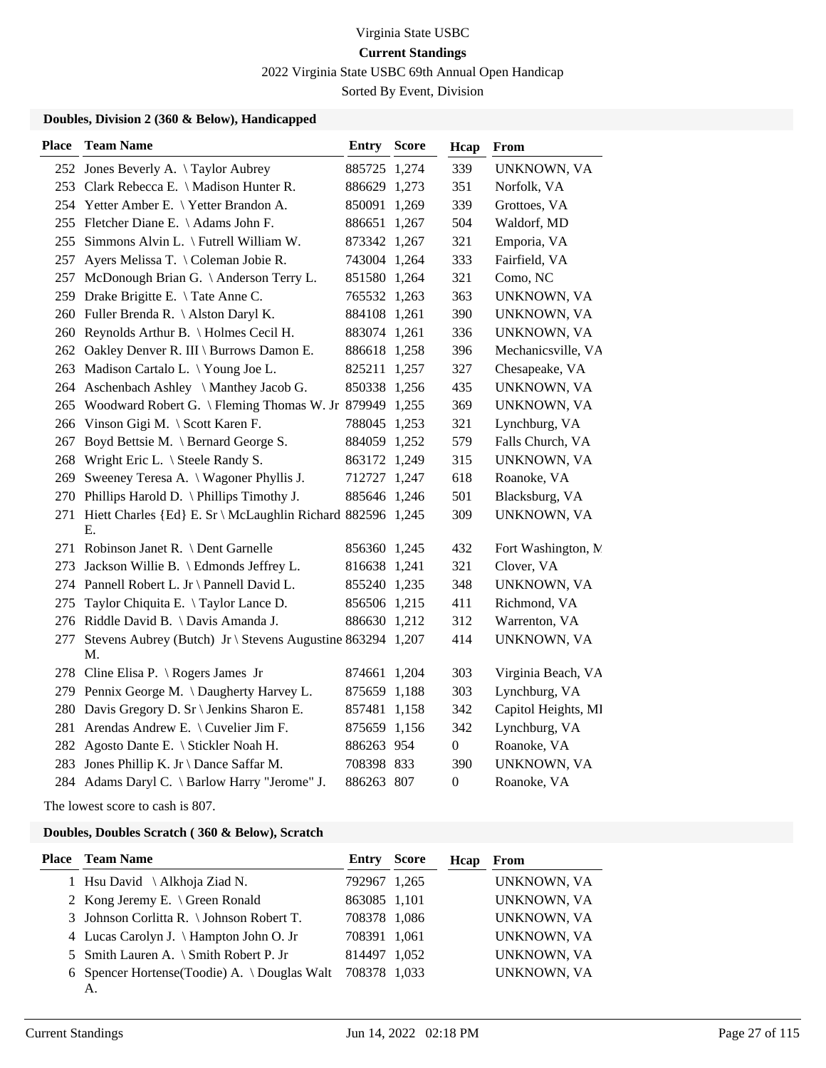2022 Virginia State USBC 69th Annual Open Handicap

Sorted By Event, Division

### **Doubles, Division 2 (360 & Below), Handicapped**

| <b>Place</b> | <b>Team Name</b>                                                 | Entry        | <b>Score</b> | Hcap             | From                |
|--------------|------------------------------------------------------------------|--------------|--------------|------------------|---------------------|
|              | 252 Jones Beverly A. \Taylor Aubrey                              | 885725 1,274 |              | 339              | UNKNOWN, VA         |
|              | 253 Clark Rebecca E. \ Madison Hunter R.                         | 886629 1,273 |              | 351              | Norfolk, VA         |
|              | 254 Yetter Amber E. \ Yetter Brandon A.                          | 850091 1,269 |              | 339              | Grottoes, VA        |
|              | 255 Fletcher Diane E. \ Adams John F.                            | 886651 1,267 |              | 504              | Waldorf, MD         |
| 255          | Simmons Alvin L. \ Futrell William W.                            | 873342 1,267 |              | 321              | Emporia, VA         |
| 257          | Ayers Melissa T. \ Coleman Jobie R.                              | 743004 1,264 |              | 333              | Fairfield, VA       |
| 257          | McDonough Brian G. \ Anderson Terry L.                           | 851580 1,264 |              | 321              | Como, NC            |
| 259          | Drake Brigitte E. \Tate Anne C.                                  | 765532 1,263 |              | 363              | UNKNOWN, VA         |
|              | 260 Fuller Brenda R. \Alston Daryl K.                            | 884108 1,261 |              | 390              | UNKNOWN, VA         |
|              | 260 Reynolds Arthur B. \ Holmes Cecil H.                         | 883074 1,261 |              | 336              | UNKNOWN, VA         |
|              | 262 Oakley Denver R. III \ Burrows Damon E.                      | 886618 1,258 |              | 396              | Mechanicsville, VA  |
|              | 263 Madison Cartalo L. \Young Joe L.                             | 825211 1,257 |              | 327              | Chesapeake, VA      |
|              | 264 Aschenbach Ashley \ Manthey Jacob G.                         | 850338 1,256 |              | 435              | UNKNOWN, VA         |
| 265          | Woodward Robert G.   Fleming Thomas W. Jr 879949 1,255           |              |              | 369              | UNKNOWN, VA         |
|              | 266 Vinson Gigi M. \ Scott Karen F.                              | 788045 1,253 |              | 321              | Lynchburg, VA       |
| 267          | Boyd Bettsie M. \ Bernard George S.                              | 884059 1,252 |              | 579              | Falls Church, VA    |
| 268          | Wright Eric L. \ Steele Randy S.                                 | 863172 1,249 |              | 315              | UNKNOWN, VA         |
| 269          | Sweeney Teresa A. \ Wagoner Phyllis J.                           | 712727 1,247 |              | 618              | Roanoke, VA         |
|              | 270 Phillips Harold D. \Phillips Timothy J.                      | 885646 1,246 |              | 501              | Blacksburg, VA      |
| 271          | Hiett Charles {Ed} E. Sr \ McLaughlin Richard 882596 1,245<br>Е. |              |              | 309              | UNKNOWN, VA         |
|              | 271 Robinson Janet R. \ Dent Garnelle                            | 856360 1,245 |              | 432              | Fort Washington, N. |
| 273          | Jackson Willie B. \ Edmonds Jeffrey L.                           | 816638 1,241 |              | 321              | Clover, VA          |
|              | 274 Pannell Robert L. Jr \ Pannell David L.                      | 855240 1,235 |              | 348              | UNKNOWN, VA         |
| 275          | Taylor Chiquita E. \Taylor Lance D.                              | 856506 1,215 |              | 411              | Richmond, VA        |
|              | 276 Riddle David B. \ Davis Amanda J.                            | 886630 1,212 |              | 312              | Warrenton, VA       |
| 277          | Stevens Aubrey (Butch) Jr \ Stevens Augustine 863294 1,207<br>М. |              |              | 414              | UNKNOWN, VA         |
|              | 278 Cline Elisa P. \ Rogers James Jr                             | 874661       | 1,204        | 303              | Virginia Beach, VA  |
|              | 279 Pennix George M. \Daugherty Harvey L.                        | 875659 1,188 |              | 303              | Lynchburg, VA       |
|              | 280 Davis Gregory D. Sr \ Jenkins Sharon E.                      | 857481       | 1,158        | 342              | Capitol Heights, MI |
|              | 281 Arendas Andrew E. \ Cuvelier Jim F.                          | 875659 1,156 |              | 342              | Lynchburg, VA       |
| 282          | Agosto Dante E. \ Stickler Noah H.                               | 886263 954   |              | $\boldsymbol{0}$ | Roanoke, VA         |
|              | 283 Jones Phillip K. Jr \ Dance Saffar M.                        | 708398 833   |              | 390              | UNKNOWN, VA         |
|              | 284 Adams Daryl C. \ Barlow Harry "Jerome" J.                    | 886263 807   |              | $\boldsymbol{0}$ | Roanoke, VA         |

The lowest score to cash is 807.

### **Doubles, Doubles Scratch ( 360 & Below), Scratch**

| <b>Place</b> Team Name                             | Entry        | Score | Hcap | From        |
|----------------------------------------------------|--------------|-------|------|-------------|
| 1 Hsu David $\Lambda$ khoja Ziad N.                | 792967 1,265 |       |      | UNKNOWN, VA |
| 2 Kong Jeremy E. \ Green Ronald                    | 863085 1,101 |       |      | UNKNOWN, VA |
| 3 Johnson Corlitta R. \ Johnson Robert T.          | 708378 1,086 |       |      | UNKNOWN, VA |
| 4 Lucas Carolyn J. \ Hampton John O. Jr            | 708391 1,061 |       |      | UNKNOWN, VA |
| 5 Smith Lauren A. \ Smith Robert P. Jr             | 814497 1,052 |       |      | UNKNOWN, VA |
| 6 Spencer Hortense (Toodie) A. \times Douglas Walt | 708378 1,033 |       |      | UNKNOWN, VA |
| A.                                                 |              |       |      |             |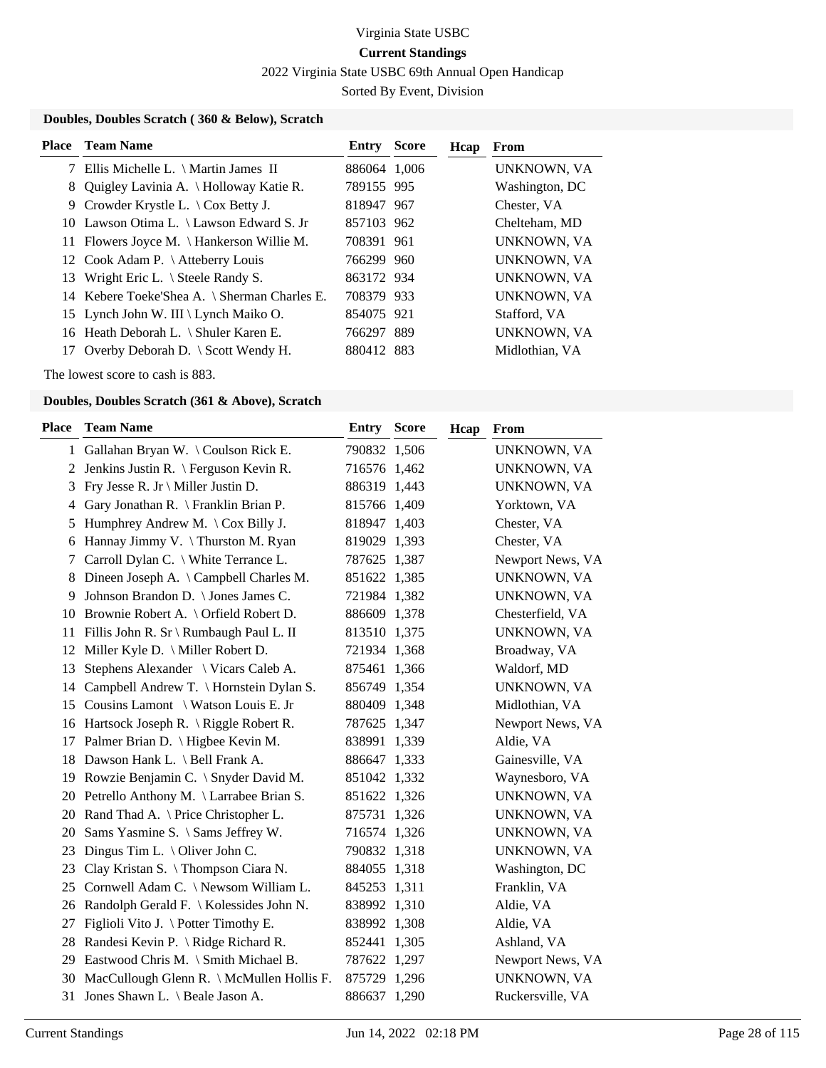2022 Virginia State USBC 69th Annual Open Handicap

Sorted By Event, Division

### **Doubles, Doubles Scratch ( 360 & Below), Scratch**

|    | <b>Place</b> Team Name                        | Entry        | <b>Score</b> | Hcap | From               |
|----|-----------------------------------------------|--------------|--------------|------|--------------------|
|    | 7 Ellis Michelle L. \ Martin James II         | 886064 1,006 |              |      | UNKNOWN, VA        |
| 8. | Quigley Lavinia A. \ Holloway Katie R.        | 789155 995   |              |      | Washington, DC     |
|    | 9 Crowder Krystle L. $\setminus$ Cox Betty J. | 818947 967   |              |      | Chester, VA        |
|    | 10 Lawson Otima L. \ Lawson Edward S. Jr      | 857103 962   |              |      | Chelteham, MD      |
|    | 11 Flowers Joyce M. \ Hankerson Willie M.     | 708391 961   |              |      | UNKNOWN, VA        |
|    | 12 Cook Adam P. \ Atteberry Louis             | 766299 960   |              |      | UNKNOWN, VA        |
|    | 13 Wright Eric L. \ Steele Randy S.           | 863172 934   |              |      | UNKNOWN, VA        |
|    | 14 Kebere Toeke'Shea A. \ Sherman Charles E.  | 708379 933   |              |      | <b>UNKNOWN, VA</b> |
|    | 15 Lynch John W. III \ Lynch Maiko O.         | 854075 921   |              |      | Stafford, VA       |
|    | 16 Heath Deborah L. \ Shuler Karen E.         | 766297 889   |              |      | UNKNOWN, VA        |
|    | 17 Overby Deborah D. \ Scott Wendy H.         | 880412 883   |              |      | Midlothian, VA     |
|    |                                               |              |              |      |                    |

The lowest score to cash is 883.

| Place | <b>Team Name</b>                                            | Entry        | <b>Score</b> | Hcap | From             |
|-------|-------------------------------------------------------------|--------------|--------------|------|------------------|
|       | 1 Gallahan Bryan W. \Coulson Rick E.                        | 790832 1,506 |              |      | UNKNOWN, VA      |
| 2     | Jenkins Justin R. \ Ferguson Kevin R.                       | 716576 1,462 |              |      | UNKNOWN, VA      |
| 3     | Fry Jesse R. Jr \ Miller Justin D.                          | 886319 1,443 |              |      | UNKNOWN, VA      |
| 4     | Gary Jonathan R. \ Franklin Brian P.                        | 815766 1,409 |              |      | Yorktown, VA     |
| 5     | Humphrey Andrew M. $\operatorname{\backslash}$ Cox Billy J. | 818947 1,403 |              |      | Chester, VA      |
| 6     | Hannay Jimmy V. \Thurston M. Ryan                           | 819029 1,393 |              |      | Chester, VA      |
| 7     | Carroll Dylan C. \ White Terrance L.                        | 787625 1,387 |              |      | Newport News, VA |
| 8     | Dineen Joseph A. \ Campbell Charles M.                      | 851622 1,385 |              |      | UNKNOWN, VA      |
| 9     | Johnson Brandon D. \ Jones James C.                         | 721984 1,382 |              |      | UNKNOWN, VA      |
|       | 10 Brownie Robert A. \ Orfield Robert D.                    | 886609 1,378 |              |      | Chesterfield, VA |
|       | 11 Fillis John R. Sr \ Rumbaugh Paul L. II                  | 813510 1,375 |              |      | UNKNOWN, VA      |
|       | 12 Miller Kyle D. \ Miller Robert D.                        | 721934 1,368 |              |      | Broadway, VA     |
| 13    | Stephens Alexander \ Vicars Caleb A.                        | 875461 1,366 |              |      | Waldorf, MD      |
| 14    | Campbell Andrew T. \ Hornstein Dylan S.                     | 856749 1,354 |              |      | UNKNOWN, VA      |
| 15    | Cousins Lamont \ Watson Louis E. Jr                         | 880409 1,348 |              |      | Midlothian, VA   |
|       | 16 Hartsock Joseph R. \ Riggle Robert R.                    | 787625 1,347 |              |      | Newport News, VA |
|       | 17 Palmer Brian D. \ Higbee Kevin M.                        | 838991 1,339 |              |      | Aldie, VA        |
|       | 18 Dawson Hank L. \ Bell Frank A.                           | 886647 1,333 |              |      | Gainesville, VA  |
|       | 19 Rowzie Benjamin C. \ Snyder David M.                     | 851042 1,332 |              |      | Waynesboro, VA   |
|       | 20 Petrello Anthony M. \Larrabee Brian S.                   | 851622 1,326 |              |      | UNKNOWN, VA      |
| 20    | Rand Thad A. \ Price Christopher L.                         | 875731 1,326 |              |      | UNKNOWN, VA      |
| 20    | Sams Yasmine S. \ Sams Jeffrey W.                           | 716574 1,326 |              |      | UNKNOWN, VA      |
| 23    | Dingus Tim L. $\setminus$ Oliver John C.                    | 790832 1,318 |              |      | UNKNOWN, VA      |
| 23    | Clay Kristan S. \Thompson Ciara N.                          | 884055 1,318 |              |      | Washington, DC   |
|       | 25 Cornwell Adam C. \ Newsom William L.                     | 845253 1,311 |              |      | Franklin, VA     |
| 26    | Randolph Gerald F. \ Kolessides John N.                     | 838992 1,310 |              |      | Aldie, VA        |
| 27    | Figlioli Vito J. \ Potter Timothy E.                        | 838992 1,308 |              |      | Aldie, VA        |
| 28    | Randesi Kevin P. \ Ridge Richard R.                         | 852441 1,305 |              |      | Ashland, VA      |
| 29    | Eastwood Chris M. \ Smith Michael B.                        | 787622 1,297 |              |      | Newport News, VA |
| 30    | MacCullough Glenn R. \ McMullen Hollis F.                   | 875729 1,296 |              |      | UNKNOWN, VA      |
| 31    | Jones Shawn L. \ Beale Jason A.                             | 886637 1,290 |              |      | Ruckersville, VA |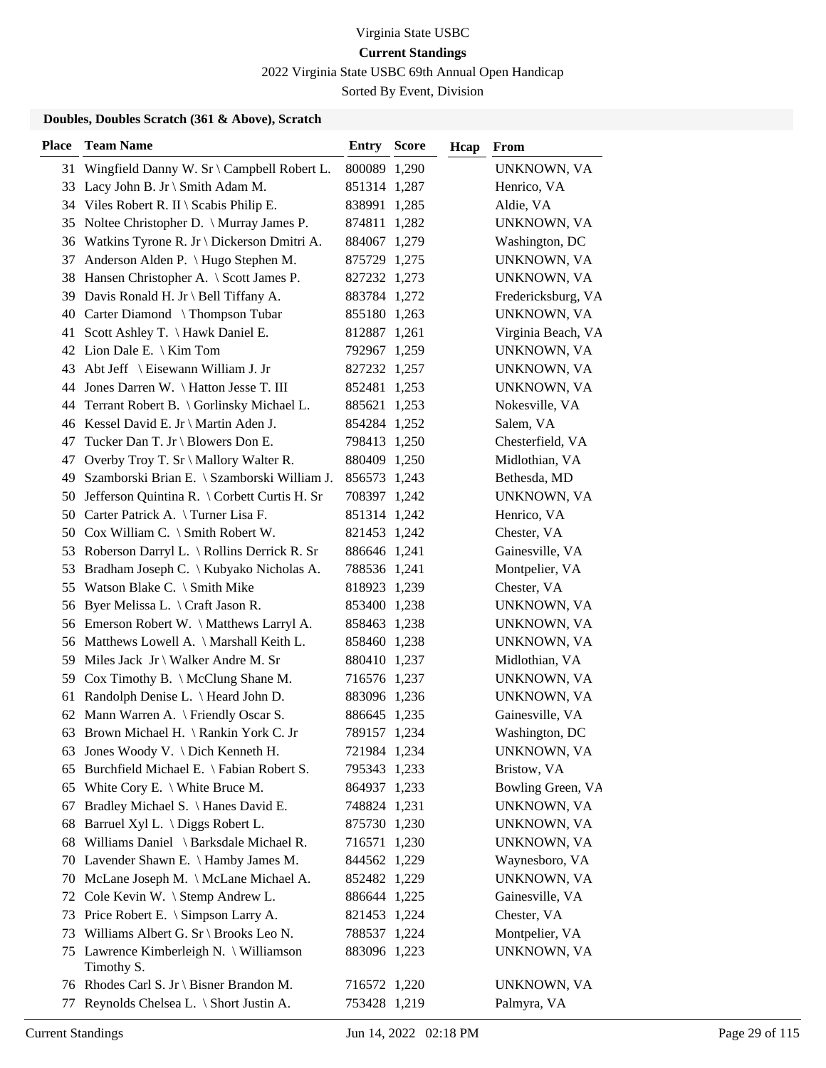2022 Virginia State USBC 69th Annual Open Handicap

Sorted By Event, Division

| Wingfield Danny W. Sr \ Campbell Robert L.<br>800089 1,290<br>UNKNOWN, VA<br>31<br>Lacy John B. Jr \ Smith Adam M.<br>851314 1,287<br>Henrico, VA<br>33<br>Viles Robert R. II \ Scabis Philip E.<br>838991 1,285<br>Aldie, VA<br>34<br>Noltee Christopher D. \ Murray James P.<br>35<br>874811 1,282<br>UNKNOWN, VA<br>36 Watkins Tyrone R. Jr \ Dickerson Dmitri A.<br>Washington, DC<br>884067 1,279<br>Anderson Alden P. \ Hugo Stephen M.<br>37<br>875729 1,275<br>UNKNOWN, VA<br>Hansen Christopher A. \ Scott James P.<br>38<br>827232 1,273<br>UNKNOWN, VA<br>39 Davis Ronald H. Jr \ Bell Tiffany A.<br>883784 1,272<br>Fredericksburg, VA<br>40 Carter Diamond \Thompson Tubar<br>UNKNOWN, VA<br>855180 1,263<br>Scott Ashley T. \ Hawk Daniel E.<br>41<br>812887 1,261<br>Virginia Beach, VA<br>42 Lion Dale E. \ Kim Tom<br>792967 1,259<br>UNKNOWN, VA<br>Abt Jeff $\setminus$ Eisewann William J. Jr<br>43<br>827232 1,257<br>UNKNOWN, VA<br>44<br>Jones Darren W. \ Hatton Jesse T. III<br>852481 1,253<br>UNKNOWN, VA<br>Terrant Robert B. \ Gorlinsky Michael L.<br>Nokesville, VA<br>44<br>885621 1,253<br>46 Kessel David E. Jr \ Martin Aden J.<br>Salem, VA<br>854284 1,252<br>Tucker Dan T. Jr \ Blowers Don E.<br>Chesterfield, VA<br>47<br>798413 1,250<br>47<br>Overby Troy T. Sr \ Mallory Walter R.<br>Midlothian, VA<br>880409 1,250<br>Szamborski Brian E. \ Szamborski William J.<br>Bethesda, MD<br>49<br>856573 1,243<br>Jefferson Quintina R. \ Corbett Curtis H. Sr<br>50<br>708397 1,242<br>UNKNOWN, VA<br>50 Carter Patrick A. \Turner Lisa F.<br>851314 1,242<br>Henrico, VA<br>50 Cox William C. \ Smith Robert W.<br>821453 1,242<br>Chester, VA<br>53 Roberson Darryl L. \ Rollins Derrick R. Sr<br>Gainesville, VA<br>886646 1,241<br>Bradham Joseph C. \ Kubyako Nicholas A.<br>Montpelier, VA<br>53<br>788536 1,241<br>Watson Blake C. \ Smith Mike<br>55<br>818923 1,239<br>Chester, VA<br>Byer Melissa L. \ Craft Jason R.<br>56<br>853400 1,238<br>UNKNOWN, VA<br>Emerson Robert W. \ Matthews Larryl A.<br>UNKNOWN, VA<br>56<br>858463 1,238<br>Matthews Lowell A. \ Marshall Keith L.<br>56<br>858460 1,238<br>UNKNOWN, VA<br>Miles Jack Jr \ Walker Andre M. Sr<br>Midlothian, VA<br>59<br>880410 1,237<br>59<br>Cox Timothy B. $\Lambda$ McClung Shane M.<br>716576 1,237<br>UNKNOWN, VA<br>Randolph Denise L. \ Heard John D.<br>61<br>883096 1,236<br>UNKNOWN, VA<br>62 Mann Warren A. \ Friendly Oscar S.<br>Gainesville, VA<br>886645 1,235<br>63 Brown Michael H. \ Rankin York C. Jr<br>789157 1,234<br>Washington, DC<br>63 Jones Woody V. \ Dich Kenneth H.<br>721984 1,234<br>UNKNOWN, VA<br>Burchfield Michael E. \ Fabian Robert S.<br>Bristow, VA<br>65<br>795343 1,233<br>65 White Cory E. \ White Bruce M.<br>Bowling Green, VA<br>864937 1,233<br>Bradley Michael S. \ Hanes David E.<br>748824 1,231<br>UNKNOWN, VA<br>67<br>Barruel Xyl L. \ Diggs Robert L.<br>875730 1,230<br>68<br>UNKNOWN, VA<br>Williams Daniel \ Barksdale Michael R.<br>68<br>716571 1,230<br>UNKNOWN, VA<br>Lavender Shawn E. \ Hamby James M.<br>844562 1,229<br>Waynesboro, VA<br>70<br>McLane Joseph M. \ McLane Michael A.<br>UNKNOWN, VA<br>852482 1,229<br>70<br>72 Cole Kevin W. \ Stemp Andrew L.<br>Gainesville, VA<br>886644 1,225<br>Price Robert E. \ Simpson Larry A.<br>Chester, VA<br>73<br>821453 1,224<br>Williams Albert G. Sr \ Brooks Leo N.<br>Montpelier, VA<br>788537 1,224<br>73<br>75 Lawrence Kimberleigh N. \ Williamson<br>UNKNOWN, VA<br>883096 1,223<br>Timothy S.<br>76 Rhodes Carl S. Jr \ Bisner Brandon M.<br>716572 1,220<br>UNKNOWN, VA<br>753428 1,219 | <b>Place</b> | <b>Team Name</b>                      | <b>Entry Score</b> | Hcap | From        |
|---------------------------------------------------------------------------------------------------------------------------------------------------------------------------------------------------------------------------------------------------------------------------------------------------------------------------------------------------------------------------------------------------------------------------------------------------------------------------------------------------------------------------------------------------------------------------------------------------------------------------------------------------------------------------------------------------------------------------------------------------------------------------------------------------------------------------------------------------------------------------------------------------------------------------------------------------------------------------------------------------------------------------------------------------------------------------------------------------------------------------------------------------------------------------------------------------------------------------------------------------------------------------------------------------------------------------------------------------------------------------------------------------------------------------------------------------------------------------------------------------------------------------------------------------------------------------------------------------------------------------------------------------------------------------------------------------------------------------------------------------------------------------------------------------------------------------------------------------------------------------------------------------------------------------------------------------------------------------------------------------------------------------------------------------------------------------------------------------------------------------------------------------------------------------------------------------------------------------------------------------------------------------------------------------------------------------------------------------------------------------------------------------------------------------------------------------------------------------------------------------------------------------------------------------------------------------------------------------------------------------------------------------------------------------------------------------------------------------------------------------------------------------------------------------------------------------------------------------------------------------------------------------------------------------------------------------------------------------------------------------------------------------------------------------------------------------------------------------------------------------------------------------------------------------------------------------------------------------------------------------------------------------------------------------------------------------------------------------------------------------------------------------------------------------------------------------------------------------------------------------------------------------------------------------------------------------------------------------------------------------------------|--------------|---------------------------------------|--------------------|------|-------------|
|                                                                                                                                                                                                                                                                                                                                                                                                                                                                                                                                                                                                                                                                                                                                                                                                                                                                                                                                                                                                                                                                                                                                                                                                                                                                                                                                                                                                                                                                                                                                                                                                                                                                                                                                                                                                                                                                                                                                                                                                                                                                                                                                                                                                                                                                                                                                                                                                                                                                                                                                                                                                                                                                                                                                                                                                                                                                                                                                                                                                                                                                                                                                                                                                                                                                                                                                                                                                                                                                                                                                                                                                                                       |              |                                       |                    |      |             |
|                                                                                                                                                                                                                                                                                                                                                                                                                                                                                                                                                                                                                                                                                                                                                                                                                                                                                                                                                                                                                                                                                                                                                                                                                                                                                                                                                                                                                                                                                                                                                                                                                                                                                                                                                                                                                                                                                                                                                                                                                                                                                                                                                                                                                                                                                                                                                                                                                                                                                                                                                                                                                                                                                                                                                                                                                                                                                                                                                                                                                                                                                                                                                                                                                                                                                                                                                                                                                                                                                                                                                                                                                                       |              |                                       |                    |      |             |
|                                                                                                                                                                                                                                                                                                                                                                                                                                                                                                                                                                                                                                                                                                                                                                                                                                                                                                                                                                                                                                                                                                                                                                                                                                                                                                                                                                                                                                                                                                                                                                                                                                                                                                                                                                                                                                                                                                                                                                                                                                                                                                                                                                                                                                                                                                                                                                                                                                                                                                                                                                                                                                                                                                                                                                                                                                                                                                                                                                                                                                                                                                                                                                                                                                                                                                                                                                                                                                                                                                                                                                                                                                       |              |                                       |                    |      |             |
|                                                                                                                                                                                                                                                                                                                                                                                                                                                                                                                                                                                                                                                                                                                                                                                                                                                                                                                                                                                                                                                                                                                                                                                                                                                                                                                                                                                                                                                                                                                                                                                                                                                                                                                                                                                                                                                                                                                                                                                                                                                                                                                                                                                                                                                                                                                                                                                                                                                                                                                                                                                                                                                                                                                                                                                                                                                                                                                                                                                                                                                                                                                                                                                                                                                                                                                                                                                                                                                                                                                                                                                                                                       |              |                                       |                    |      |             |
|                                                                                                                                                                                                                                                                                                                                                                                                                                                                                                                                                                                                                                                                                                                                                                                                                                                                                                                                                                                                                                                                                                                                                                                                                                                                                                                                                                                                                                                                                                                                                                                                                                                                                                                                                                                                                                                                                                                                                                                                                                                                                                                                                                                                                                                                                                                                                                                                                                                                                                                                                                                                                                                                                                                                                                                                                                                                                                                                                                                                                                                                                                                                                                                                                                                                                                                                                                                                                                                                                                                                                                                                                                       |              |                                       |                    |      |             |
|                                                                                                                                                                                                                                                                                                                                                                                                                                                                                                                                                                                                                                                                                                                                                                                                                                                                                                                                                                                                                                                                                                                                                                                                                                                                                                                                                                                                                                                                                                                                                                                                                                                                                                                                                                                                                                                                                                                                                                                                                                                                                                                                                                                                                                                                                                                                                                                                                                                                                                                                                                                                                                                                                                                                                                                                                                                                                                                                                                                                                                                                                                                                                                                                                                                                                                                                                                                                                                                                                                                                                                                                                                       |              |                                       |                    |      |             |
|                                                                                                                                                                                                                                                                                                                                                                                                                                                                                                                                                                                                                                                                                                                                                                                                                                                                                                                                                                                                                                                                                                                                                                                                                                                                                                                                                                                                                                                                                                                                                                                                                                                                                                                                                                                                                                                                                                                                                                                                                                                                                                                                                                                                                                                                                                                                                                                                                                                                                                                                                                                                                                                                                                                                                                                                                                                                                                                                                                                                                                                                                                                                                                                                                                                                                                                                                                                                                                                                                                                                                                                                                                       |              |                                       |                    |      |             |
|                                                                                                                                                                                                                                                                                                                                                                                                                                                                                                                                                                                                                                                                                                                                                                                                                                                                                                                                                                                                                                                                                                                                                                                                                                                                                                                                                                                                                                                                                                                                                                                                                                                                                                                                                                                                                                                                                                                                                                                                                                                                                                                                                                                                                                                                                                                                                                                                                                                                                                                                                                                                                                                                                                                                                                                                                                                                                                                                                                                                                                                                                                                                                                                                                                                                                                                                                                                                                                                                                                                                                                                                                                       |              |                                       |                    |      |             |
|                                                                                                                                                                                                                                                                                                                                                                                                                                                                                                                                                                                                                                                                                                                                                                                                                                                                                                                                                                                                                                                                                                                                                                                                                                                                                                                                                                                                                                                                                                                                                                                                                                                                                                                                                                                                                                                                                                                                                                                                                                                                                                                                                                                                                                                                                                                                                                                                                                                                                                                                                                                                                                                                                                                                                                                                                                                                                                                                                                                                                                                                                                                                                                                                                                                                                                                                                                                                                                                                                                                                                                                                                                       |              |                                       |                    |      |             |
|                                                                                                                                                                                                                                                                                                                                                                                                                                                                                                                                                                                                                                                                                                                                                                                                                                                                                                                                                                                                                                                                                                                                                                                                                                                                                                                                                                                                                                                                                                                                                                                                                                                                                                                                                                                                                                                                                                                                                                                                                                                                                                                                                                                                                                                                                                                                                                                                                                                                                                                                                                                                                                                                                                                                                                                                                                                                                                                                                                                                                                                                                                                                                                                                                                                                                                                                                                                                                                                                                                                                                                                                                                       |              |                                       |                    |      |             |
|                                                                                                                                                                                                                                                                                                                                                                                                                                                                                                                                                                                                                                                                                                                                                                                                                                                                                                                                                                                                                                                                                                                                                                                                                                                                                                                                                                                                                                                                                                                                                                                                                                                                                                                                                                                                                                                                                                                                                                                                                                                                                                                                                                                                                                                                                                                                                                                                                                                                                                                                                                                                                                                                                                                                                                                                                                                                                                                                                                                                                                                                                                                                                                                                                                                                                                                                                                                                                                                                                                                                                                                                                                       |              |                                       |                    |      |             |
|                                                                                                                                                                                                                                                                                                                                                                                                                                                                                                                                                                                                                                                                                                                                                                                                                                                                                                                                                                                                                                                                                                                                                                                                                                                                                                                                                                                                                                                                                                                                                                                                                                                                                                                                                                                                                                                                                                                                                                                                                                                                                                                                                                                                                                                                                                                                                                                                                                                                                                                                                                                                                                                                                                                                                                                                                                                                                                                                                                                                                                                                                                                                                                                                                                                                                                                                                                                                                                                                                                                                                                                                                                       |              |                                       |                    |      |             |
|                                                                                                                                                                                                                                                                                                                                                                                                                                                                                                                                                                                                                                                                                                                                                                                                                                                                                                                                                                                                                                                                                                                                                                                                                                                                                                                                                                                                                                                                                                                                                                                                                                                                                                                                                                                                                                                                                                                                                                                                                                                                                                                                                                                                                                                                                                                                                                                                                                                                                                                                                                                                                                                                                                                                                                                                                                                                                                                                                                                                                                                                                                                                                                                                                                                                                                                                                                                                                                                                                                                                                                                                                                       |              |                                       |                    |      |             |
|                                                                                                                                                                                                                                                                                                                                                                                                                                                                                                                                                                                                                                                                                                                                                                                                                                                                                                                                                                                                                                                                                                                                                                                                                                                                                                                                                                                                                                                                                                                                                                                                                                                                                                                                                                                                                                                                                                                                                                                                                                                                                                                                                                                                                                                                                                                                                                                                                                                                                                                                                                                                                                                                                                                                                                                                                                                                                                                                                                                                                                                                                                                                                                                                                                                                                                                                                                                                                                                                                                                                                                                                                                       |              |                                       |                    |      |             |
|                                                                                                                                                                                                                                                                                                                                                                                                                                                                                                                                                                                                                                                                                                                                                                                                                                                                                                                                                                                                                                                                                                                                                                                                                                                                                                                                                                                                                                                                                                                                                                                                                                                                                                                                                                                                                                                                                                                                                                                                                                                                                                                                                                                                                                                                                                                                                                                                                                                                                                                                                                                                                                                                                                                                                                                                                                                                                                                                                                                                                                                                                                                                                                                                                                                                                                                                                                                                                                                                                                                                                                                                                                       |              |                                       |                    |      |             |
|                                                                                                                                                                                                                                                                                                                                                                                                                                                                                                                                                                                                                                                                                                                                                                                                                                                                                                                                                                                                                                                                                                                                                                                                                                                                                                                                                                                                                                                                                                                                                                                                                                                                                                                                                                                                                                                                                                                                                                                                                                                                                                                                                                                                                                                                                                                                                                                                                                                                                                                                                                                                                                                                                                                                                                                                                                                                                                                                                                                                                                                                                                                                                                                                                                                                                                                                                                                                                                                                                                                                                                                                                                       |              |                                       |                    |      |             |
|                                                                                                                                                                                                                                                                                                                                                                                                                                                                                                                                                                                                                                                                                                                                                                                                                                                                                                                                                                                                                                                                                                                                                                                                                                                                                                                                                                                                                                                                                                                                                                                                                                                                                                                                                                                                                                                                                                                                                                                                                                                                                                                                                                                                                                                                                                                                                                                                                                                                                                                                                                                                                                                                                                                                                                                                                                                                                                                                                                                                                                                                                                                                                                                                                                                                                                                                                                                                                                                                                                                                                                                                                                       |              |                                       |                    |      |             |
|                                                                                                                                                                                                                                                                                                                                                                                                                                                                                                                                                                                                                                                                                                                                                                                                                                                                                                                                                                                                                                                                                                                                                                                                                                                                                                                                                                                                                                                                                                                                                                                                                                                                                                                                                                                                                                                                                                                                                                                                                                                                                                                                                                                                                                                                                                                                                                                                                                                                                                                                                                                                                                                                                                                                                                                                                                                                                                                                                                                                                                                                                                                                                                                                                                                                                                                                                                                                                                                                                                                                                                                                                                       |              |                                       |                    |      |             |
|                                                                                                                                                                                                                                                                                                                                                                                                                                                                                                                                                                                                                                                                                                                                                                                                                                                                                                                                                                                                                                                                                                                                                                                                                                                                                                                                                                                                                                                                                                                                                                                                                                                                                                                                                                                                                                                                                                                                                                                                                                                                                                                                                                                                                                                                                                                                                                                                                                                                                                                                                                                                                                                                                                                                                                                                                                                                                                                                                                                                                                                                                                                                                                                                                                                                                                                                                                                                                                                                                                                                                                                                                                       |              |                                       |                    |      |             |
|                                                                                                                                                                                                                                                                                                                                                                                                                                                                                                                                                                                                                                                                                                                                                                                                                                                                                                                                                                                                                                                                                                                                                                                                                                                                                                                                                                                                                                                                                                                                                                                                                                                                                                                                                                                                                                                                                                                                                                                                                                                                                                                                                                                                                                                                                                                                                                                                                                                                                                                                                                                                                                                                                                                                                                                                                                                                                                                                                                                                                                                                                                                                                                                                                                                                                                                                                                                                                                                                                                                                                                                                                                       |              |                                       |                    |      |             |
|                                                                                                                                                                                                                                                                                                                                                                                                                                                                                                                                                                                                                                                                                                                                                                                                                                                                                                                                                                                                                                                                                                                                                                                                                                                                                                                                                                                                                                                                                                                                                                                                                                                                                                                                                                                                                                                                                                                                                                                                                                                                                                                                                                                                                                                                                                                                                                                                                                                                                                                                                                                                                                                                                                                                                                                                                                                                                                                                                                                                                                                                                                                                                                                                                                                                                                                                                                                                                                                                                                                                                                                                                                       |              |                                       |                    |      |             |
|                                                                                                                                                                                                                                                                                                                                                                                                                                                                                                                                                                                                                                                                                                                                                                                                                                                                                                                                                                                                                                                                                                                                                                                                                                                                                                                                                                                                                                                                                                                                                                                                                                                                                                                                                                                                                                                                                                                                                                                                                                                                                                                                                                                                                                                                                                                                                                                                                                                                                                                                                                                                                                                                                                                                                                                                                                                                                                                                                                                                                                                                                                                                                                                                                                                                                                                                                                                                                                                                                                                                                                                                                                       |              |                                       |                    |      |             |
|                                                                                                                                                                                                                                                                                                                                                                                                                                                                                                                                                                                                                                                                                                                                                                                                                                                                                                                                                                                                                                                                                                                                                                                                                                                                                                                                                                                                                                                                                                                                                                                                                                                                                                                                                                                                                                                                                                                                                                                                                                                                                                                                                                                                                                                                                                                                                                                                                                                                                                                                                                                                                                                                                                                                                                                                                                                                                                                                                                                                                                                                                                                                                                                                                                                                                                                                                                                                                                                                                                                                                                                                                                       |              |                                       |                    |      |             |
|                                                                                                                                                                                                                                                                                                                                                                                                                                                                                                                                                                                                                                                                                                                                                                                                                                                                                                                                                                                                                                                                                                                                                                                                                                                                                                                                                                                                                                                                                                                                                                                                                                                                                                                                                                                                                                                                                                                                                                                                                                                                                                                                                                                                                                                                                                                                                                                                                                                                                                                                                                                                                                                                                                                                                                                                                                                                                                                                                                                                                                                                                                                                                                                                                                                                                                                                                                                                                                                                                                                                                                                                                                       |              |                                       |                    |      |             |
|                                                                                                                                                                                                                                                                                                                                                                                                                                                                                                                                                                                                                                                                                                                                                                                                                                                                                                                                                                                                                                                                                                                                                                                                                                                                                                                                                                                                                                                                                                                                                                                                                                                                                                                                                                                                                                                                                                                                                                                                                                                                                                                                                                                                                                                                                                                                                                                                                                                                                                                                                                                                                                                                                                                                                                                                                                                                                                                                                                                                                                                                                                                                                                                                                                                                                                                                                                                                                                                                                                                                                                                                                                       |              |                                       |                    |      |             |
|                                                                                                                                                                                                                                                                                                                                                                                                                                                                                                                                                                                                                                                                                                                                                                                                                                                                                                                                                                                                                                                                                                                                                                                                                                                                                                                                                                                                                                                                                                                                                                                                                                                                                                                                                                                                                                                                                                                                                                                                                                                                                                                                                                                                                                                                                                                                                                                                                                                                                                                                                                                                                                                                                                                                                                                                                                                                                                                                                                                                                                                                                                                                                                                                                                                                                                                                                                                                                                                                                                                                                                                                                                       |              |                                       |                    |      |             |
|                                                                                                                                                                                                                                                                                                                                                                                                                                                                                                                                                                                                                                                                                                                                                                                                                                                                                                                                                                                                                                                                                                                                                                                                                                                                                                                                                                                                                                                                                                                                                                                                                                                                                                                                                                                                                                                                                                                                                                                                                                                                                                                                                                                                                                                                                                                                                                                                                                                                                                                                                                                                                                                                                                                                                                                                                                                                                                                                                                                                                                                                                                                                                                                                                                                                                                                                                                                                                                                                                                                                                                                                                                       |              |                                       |                    |      |             |
|                                                                                                                                                                                                                                                                                                                                                                                                                                                                                                                                                                                                                                                                                                                                                                                                                                                                                                                                                                                                                                                                                                                                                                                                                                                                                                                                                                                                                                                                                                                                                                                                                                                                                                                                                                                                                                                                                                                                                                                                                                                                                                                                                                                                                                                                                                                                                                                                                                                                                                                                                                                                                                                                                                                                                                                                                                                                                                                                                                                                                                                                                                                                                                                                                                                                                                                                                                                                                                                                                                                                                                                                                                       |              |                                       |                    |      |             |
|                                                                                                                                                                                                                                                                                                                                                                                                                                                                                                                                                                                                                                                                                                                                                                                                                                                                                                                                                                                                                                                                                                                                                                                                                                                                                                                                                                                                                                                                                                                                                                                                                                                                                                                                                                                                                                                                                                                                                                                                                                                                                                                                                                                                                                                                                                                                                                                                                                                                                                                                                                                                                                                                                                                                                                                                                                                                                                                                                                                                                                                                                                                                                                                                                                                                                                                                                                                                                                                                                                                                                                                                                                       |              |                                       |                    |      |             |
|                                                                                                                                                                                                                                                                                                                                                                                                                                                                                                                                                                                                                                                                                                                                                                                                                                                                                                                                                                                                                                                                                                                                                                                                                                                                                                                                                                                                                                                                                                                                                                                                                                                                                                                                                                                                                                                                                                                                                                                                                                                                                                                                                                                                                                                                                                                                                                                                                                                                                                                                                                                                                                                                                                                                                                                                                                                                                                                                                                                                                                                                                                                                                                                                                                                                                                                                                                                                                                                                                                                                                                                                                                       |              |                                       |                    |      |             |
|                                                                                                                                                                                                                                                                                                                                                                                                                                                                                                                                                                                                                                                                                                                                                                                                                                                                                                                                                                                                                                                                                                                                                                                                                                                                                                                                                                                                                                                                                                                                                                                                                                                                                                                                                                                                                                                                                                                                                                                                                                                                                                                                                                                                                                                                                                                                                                                                                                                                                                                                                                                                                                                                                                                                                                                                                                                                                                                                                                                                                                                                                                                                                                                                                                                                                                                                                                                                                                                                                                                                                                                                                                       |              |                                       |                    |      |             |
|                                                                                                                                                                                                                                                                                                                                                                                                                                                                                                                                                                                                                                                                                                                                                                                                                                                                                                                                                                                                                                                                                                                                                                                                                                                                                                                                                                                                                                                                                                                                                                                                                                                                                                                                                                                                                                                                                                                                                                                                                                                                                                                                                                                                                                                                                                                                                                                                                                                                                                                                                                                                                                                                                                                                                                                                                                                                                                                                                                                                                                                                                                                                                                                                                                                                                                                                                                                                                                                                                                                                                                                                                                       |              |                                       |                    |      |             |
|                                                                                                                                                                                                                                                                                                                                                                                                                                                                                                                                                                                                                                                                                                                                                                                                                                                                                                                                                                                                                                                                                                                                                                                                                                                                                                                                                                                                                                                                                                                                                                                                                                                                                                                                                                                                                                                                                                                                                                                                                                                                                                                                                                                                                                                                                                                                                                                                                                                                                                                                                                                                                                                                                                                                                                                                                                                                                                                                                                                                                                                                                                                                                                                                                                                                                                                                                                                                                                                                                                                                                                                                                                       |              |                                       |                    |      |             |
|                                                                                                                                                                                                                                                                                                                                                                                                                                                                                                                                                                                                                                                                                                                                                                                                                                                                                                                                                                                                                                                                                                                                                                                                                                                                                                                                                                                                                                                                                                                                                                                                                                                                                                                                                                                                                                                                                                                                                                                                                                                                                                                                                                                                                                                                                                                                                                                                                                                                                                                                                                                                                                                                                                                                                                                                                                                                                                                                                                                                                                                                                                                                                                                                                                                                                                                                                                                                                                                                                                                                                                                                                                       |              |                                       |                    |      |             |
|                                                                                                                                                                                                                                                                                                                                                                                                                                                                                                                                                                                                                                                                                                                                                                                                                                                                                                                                                                                                                                                                                                                                                                                                                                                                                                                                                                                                                                                                                                                                                                                                                                                                                                                                                                                                                                                                                                                                                                                                                                                                                                                                                                                                                                                                                                                                                                                                                                                                                                                                                                                                                                                                                                                                                                                                                                                                                                                                                                                                                                                                                                                                                                                                                                                                                                                                                                                                                                                                                                                                                                                                                                       |              |                                       |                    |      |             |
|                                                                                                                                                                                                                                                                                                                                                                                                                                                                                                                                                                                                                                                                                                                                                                                                                                                                                                                                                                                                                                                                                                                                                                                                                                                                                                                                                                                                                                                                                                                                                                                                                                                                                                                                                                                                                                                                                                                                                                                                                                                                                                                                                                                                                                                                                                                                                                                                                                                                                                                                                                                                                                                                                                                                                                                                                                                                                                                                                                                                                                                                                                                                                                                                                                                                                                                                                                                                                                                                                                                                                                                                                                       |              |                                       |                    |      |             |
|                                                                                                                                                                                                                                                                                                                                                                                                                                                                                                                                                                                                                                                                                                                                                                                                                                                                                                                                                                                                                                                                                                                                                                                                                                                                                                                                                                                                                                                                                                                                                                                                                                                                                                                                                                                                                                                                                                                                                                                                                                                                                                                                                                                                                                                                                                                                                                                                                                                                                                                                                                                                                                                                                                                                                                                                                                                                                                                                                                                                                                                                                                                                                                                                                                                                                                                                                                                                                                                                                                                                                                                                                                       |              |                                       |                    |      |             |
|                                                                                                                                                                                                                                                                                                                                                                                                                                                                                                                                                                                                                                                                                                                                                                                                                                                                                                                                                                                                                                                                                                                                                                                                                                                                                                                                                                                                                                                                                                                                                                                                                                                                                                                                                                                                                                                                                                                                                                                                                                                                                                                                                                                                                                                                                                                                                                                                                                                                                                                                                                                                                                                                                                                                                                                                                                                                                                                                                                                                                                                                                                                                                                                                                                                                                                                                                                                                                                                                                                                                                                                                                                       |              |                                       |                    |      |             |
|                                                                                                                                                                                                                                                                                                                                                                                                                                                                                                                                                                                                                                                                                                                                                                                                                                                                                                                                                                                                                                                                                                                                                                                                                                                                                                                                                                                                                                                                                                                                                                                                                                                                                                                                                                                                                                                                                                                                                                                                                                                                                                                                                                                                                                                                                                                                                                                                                                                                                                                                                                                                                                                                                                                                                                                                                                                                                                                                                                                                                                                                                                                                                                                                                                                                                                                                                                                                                                                                                                                                                                                                                                       |              |                                       |                    |      |             |
|                                                                                                                                                                                                                                                                                                                                                                                                                                                                                                                                                                                                                                                                                                                                                                                                                                                                                                                                                                                                                                                                                                                                                                                                                                                                                                                                                                                                                                                                                                                                                                                                                                                                                                                                                                                                                                                                                                                                                                                                                                                                                                                                                                                                                                                                                                                                                                                                                                                                                                                                                                                                                                                                                                                                                                                                                                                                                                                                                                                                                                                                                                                                                                                                                                                                                                                                                                                                                                                                                                                                                                                                                                       |              |                                       |                    |      |             |
|                                                                                                                                                                                                                                                                                                                                                                                                                                                                                                                                                                                                                                                                                                                                                                                                                                                                                                                                                                                                                                                                                                                                                                                                                                                                                                                                                                                                                                                                                                                                                                                                                                                                                                                                                                                                                                                                                                                                                                                                                                                                                                                                                                                                                                                                                                                                                                                                                                                                                                                                                                                                                                                                                                                                                                                                                                                                                                                                                                                                                                                                                                                                                                                                                                                                                                                                                                                                                                                                                                                                                                                                                                       |              |                                       |                    |      |             |
|                                                                                                                                                                                                                                                                                                                                                                                                                                                                                                                                                                                                                                                                                                                                                                                                                                                                                                                                                                                                                                                                                                                                                                                                                                                                                                                                                                                                                                                                                                                                                                                                                                                                                                                                                                                                                                                                                                                                                                                                                                                                                                                                                                                                                                                                                                                                                                                                                                                                                                                                                                                                                                                                                                                                                                                                                                                                                                                                                                                                                                                                                                                                                                                                                                                                                                                                                                                                                                                                                                                                                                                                                                       |              |                                       |                    |      |             |
|                                                                                                                                                                                                                                                                                                                                                                                                                                                                                                                                                                                                                                                                                                                                                                                                                                                                                                                                                                                                                                                                                                                                                                                                                                                                                                                                                                                                                                                                                                                                                                                                                                                                                                                                                                                                                                                                                                                                                                                                                                                                                                                                                                                                                                                                                                                                                                                                                                                                                                                                                                                                                                                                                                                                                                                                                                                                                                                                                                                                                                                                                                                                                                                                                                                                                                                                                                                                                                                                                                                                                                                                                                       |              |                                       |                    |      |             |
|                                                                                                                                                                                                                                                                                                                                                                                                                                                                                                                                                                                                                                                                                                                                                                                                                                                                                                                                                                                                                                                                                                                                                                                                                                                                                                                                                                                                                                                                                                                                                                                                                                                                                                                                                                                                                                                                                                                                                                                                                                                                                                                                                                                                                                                                                                                                                                                                                                                                                                                                                                                                                                                                                                                                                                                                                                                                                                                                                                                                                                                                                                                                                                                                                                                                                                                                                                                                                                                                                                                                                                                                                                       |              |                                       |                    |      |             |
|                                                                                                                                                                                                                                                                                                                                                                                                                                                                                                                                                                                                                                                                                                                                                                                                                                                                                                                                                                                                                                                                                                                                                                                                                                                                                                                                                                                                                                                                                                                                                                                                                                                                                                                                                                                                                                                                                                                                                                                                                                                                                                                                                                                                                                                                                                                                                                                                                                                                                                                                                                                                                                                                                                                                                                                                                                                                                                                                                                                                                                                                                                                                                                                                                                                                                                                                                                                                                                                                                                                                                                                                                                       |              |                                       |                    |      |             |
|                                                                                                                                                                                                                                                                                                                                                                                                                                                                                                                                                                                                                                                                                                                                                                                                                                                                                                                                                                                                                                                                                                                                                                                                                                                                                                                                                                                                                                                                                                                                                                                                                                                                                                                                                                                                                                                                                                                                                                                                                                                                                                                                                                                                                                                                                                                                                                                                                                                                                                                                                                                                                                                                                                                                                                                                                                                                                                                                                                                                                                                                                                                                                                                                                                                                                                                                                                                                                                                                                                                                                                                                                                       | 77           | Reynolds Chelsea L. \ Short Justin A. |                    |      | Palmyra, VA |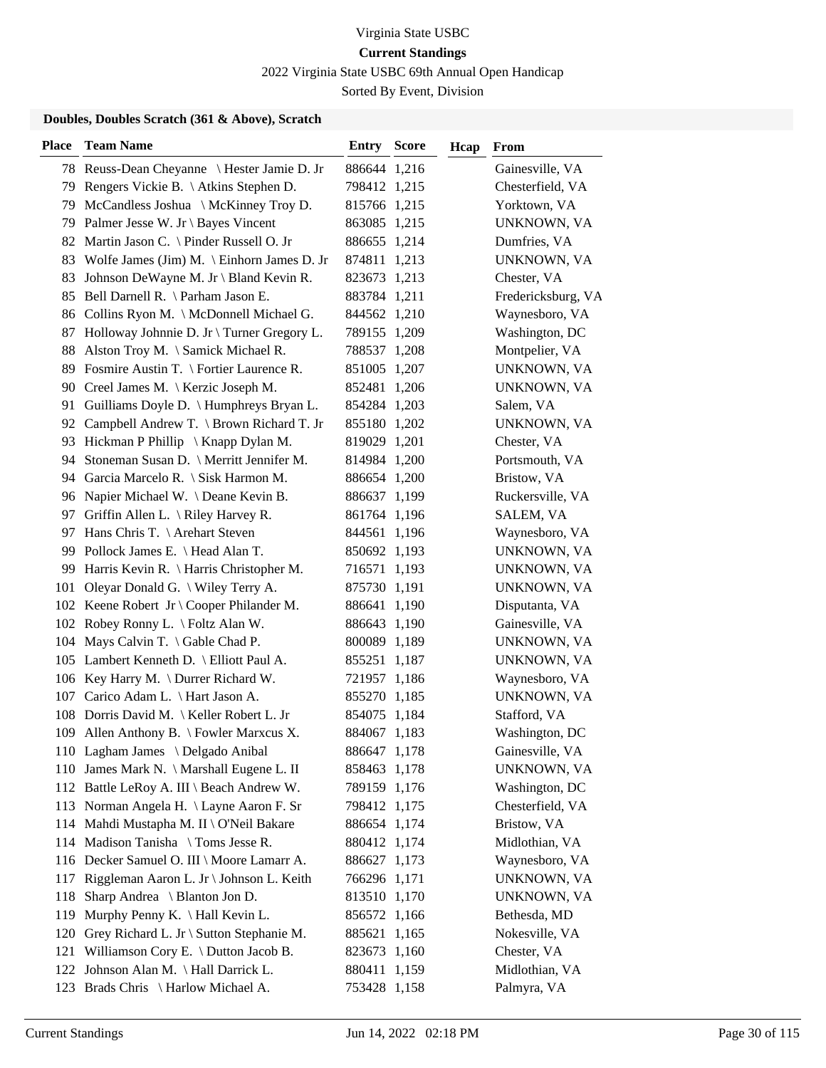2022 Virginia State USBC 69th Annual Open Handicap

Sorted By Event, Division

| <b>Place</b> | <b>Team Name</b>                              | Entry        | <b>Score</b> | Hcap | From               |
|--------------|-----------------------------------------------|--------------|--------------|------|--------------------|
|              | 78 Reuss-Dean Cheyanne \ Hester Jamie D. Jr   | 886644 1,216 |              |      | Gainesville, VA    |
| 79           | Rengers Vickie B. \ Atkins Stephen D.         | 798412 1,215 |              |      | Chesterfield, VA   |
| 79           | McCandless Joshua \ McKinney Troy D.          | 815766 1,215 |              |      | Yorktown, VA       |
|              | 79 Palmer Jesse W. Jr \ Bayes Vincent         | 863085 1,215 |              |      | UNKNOWN, VA        |
| 82           | Martin Jason C. \ Pinder Russell O. Jr        | 886655 1,214 |              |      | Dumfries, VA       |
|              | 83 Wolfe James (Jim) M. \ Einhorn James D. Jr | 874811 1,213 |              |      | UNKNOWN, VA        |
| 83           | Johnson DeWayne M. Jr \ Bland Kevin R.        | 823673 1,213 |              |      | Chester, VA        |
|              | 85 Bell Darnell R. \ Parham Jason E.          | 883784 1,211 |              |      | Fredericksburg, VA |
|              | 86 Collins Ryon M. \ McDonnell Michael G.     | 844562 1,210 |              |      | Waynesboro, VA     |
| 87           | Holloway Johnnie D. Jr \ Turner Gregory L.    | 789155 1,209 |              |      | Washington, DC     |
| 88           | Alston Troy M. \ Samick Michael R.            | 788537 1,208 |              |      | Montpelier, VA     |
|              | 89 Fosmire Austin T. \ Fortier Laurence R.    | 851005 1,207 |              |      | UNKNOWN, VA        |
|              | 90 Creel James M.   Kerzic Joseph M.          | 852481 1,206 |              |      | UNKNOWN, VA        |
| 91           | Guilliams Doyle D. \ Humphreys Bryan L.       | 854284 1,203 |              |      | Salem, VA          |
|              | 92 Campbell Andrew T. \ Brown Richard T. Jr   | 855180 1,202 |              |      | UNKNOWN, VA        |
|              | 93 Hickman P Phillip \ Knapp Dylan M.         | 819029 1,201 |              |      | Chester, VA        |
| 94           | Stoneman Susan D. \ Merritt Jennifer M.       | 814984 1,200 |              |      | Portsmouth, VA     |
| 94           | Garcia Marcelo R. \ Sisk Harmon M.            | 886654 1,200 |              |      | Bristow, VA        |
|              | 96 Napier Michael W. \Deane Kevin B.          | 886637 1,199 |              |      | Ruckersville, VA   |
|              | 97 Griffin Allen L. \ Riley Harvey R.         | 861764 1,196 |              |      | SALEM, VA          |
| 97           | Hans Chris T. \ Arehart Steven                | 844561 1,196 |              |      | Waynesboro, VA     |
|              | 99 Pollock James E. \ Head Alan T.            | 850692 1,193 |              |      | UNKNOWN, VA        |
|              | 99 Harris Kevin R. \ Harris Christopher M.    | 716571 1,193 |              |      | UNKNOWN, VA        |
|              | 101 Oleyar Donald G. \ Wiley Terry A.         | 875730 1,191 |              |      | UNKNOWN, VA        |
|              | 102 Keene Robert Jr \ Cooper Philander M.     | 886641       | 1,190        |      | Disputanta, VA     |
|              | 102 Robey Ronny L. \ Foltz Alan W.            | 886643       | 1,190        |      | Gainesville, VA    |
|              | 104 Mays Calvin T. \ Gable Chad P.            | 800089 1,189 |              |      | UNKNOWN, VA        |
|              | 105 Lambert Kenneth D. \ Elliott Paul A.      | 855251 1,187 |              |      | UNKNOWN, VA        |
|              | 106 Key Harry M. \ Durrer Richard W.          | 721957 1,186 |              |      | Waynesboro, VA     |
| 107          | Carico Adam L. \ Hart Jason A.                | 855270 1,185 |              |      | UNKNOWN, VA        |
|              | 108 Dorris David M. \ Keller Robert L. Jr     | 854075 1,184 |              |      | Stafford, VA       |
|              | 109 Allen Anthony B. \ Fowler Marxcus X.      | 884067 1,183 |              |      | Washington, DC     |
|              | 110 Lagham James \ Delgado Anibal             | 886647 1,178 |              |      | Gainesville, VA    |
|              | 110 James Mark N. \ Marshall Eugene L. II     | 858463 1,178 |              |      | UNKNOWN, VA        |
|              | 112 Battle LeRoy A. III \ Beach Andrew W.     | 789159 1,176 |              |      | Washington, DC     |
|              | 113 Norman Angela H. \ Layne Aaron F. Sr      | 798412 1,175 |              |      | Chesterfield, VA   |
|              | 114 Mahdi Mustapha M. II \ O'Neil Bakare      | 886654 1,174 |              |      | Bristow, VA        |
|              | 114 Madison Tanisha \ Toms Jesse R.           | 880412 1,174 |              |      | Midlothian, VA     |
|              | 116 Decker Samuel O. III \ Moore Lamarr A.    | 886627 1,173 |              |      | Waynesboro, VA     |
|              | 117 Riggleman Aaron L. Jr \ Johnson L. Keith  | 766296 1,171 |              |      | UNKNOWN, VA        |
| 118          | Sharp Andrea \ Blanton Jon D.                 | 813510 1,170 |              |      | UNKNOWN, VA        |
| 119          | Murphy Penny K. \ Hall Kevin L.               | 856572 1,166 |              |      | Bethesda, MD       |
|              | 120 Grey Richard L. Jr \ Sutton Stephanie M.  | 885621 1,165 |              |      | Nokesville, VA     |
|              | 121 Williamson Cory E. \ Dutton Jacob B.      | 823673 1,160 |              |      | Chester, VA        |
| 122          | Johnson Alan M. \ Hall Darrick L.             | 880411 1,159 |              |      | Midlothian, VA     |
|              | 123 Brads Chris \ Harlow Michael A.           | 753428 1,158 |              |      | Palmyra, VA        |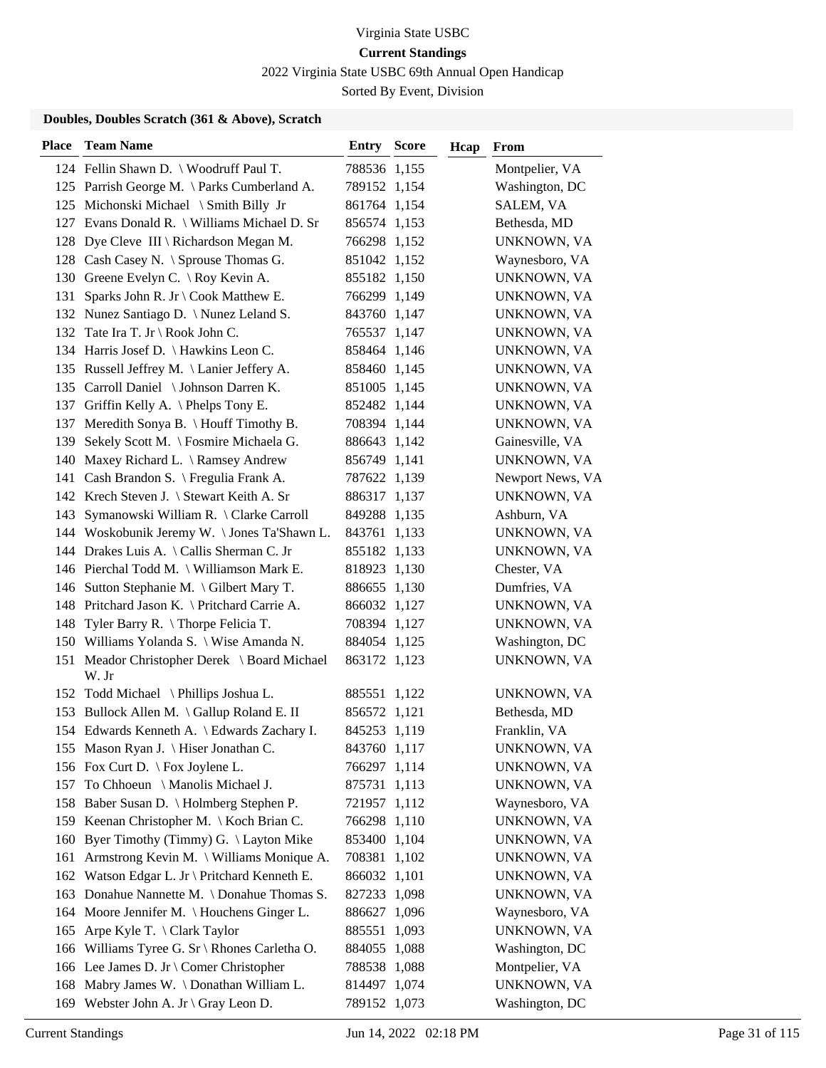2022 Virginia State USBC 69th Annual Open Handicap

Sorted By Event, Division

| <b>Place</b> | <b>Team Name</b>                                            | <b>Entry Score</b> |       | Hcap | From               |
|--------------|-------------------------------------------------------------|--------------------|-------|------|--------------------|
|              | 124 Fellin Shawn D. \ Woodruff Paul T.                      | 788536 1,155       |       |      | Montpelier, VA     |
|              | 125 Parrish George M. \ Parks Cumberland A.                 | 789152 1,154       |       |      | Washington, DC     |
|              | 125 Michonski Michael \ Smith Billy Jr                      | 861764 1,154       |       |      | SALEM, VA          |
|              | 127 Evans Donald R. \ Williams Michael D. Sr                | 856574 1,153       |       |      | Bethesda, MD       |
|              | 128 Dye Cleve III \ Richardson Megan M.                     | 766298 1,152       |       |      | UNKNOWN, VA        |
|              | 128 Cash Casey N. \ Sprouse Thomas G.                       | 851042 1,152       |       |      | Waynesboro, VA     |
|              | 130 Greene Evelyn C. \ Roy Kevin A.                         | 855182 1,150       |       |      | UNKNOWN, VA        |
|              | 131 Sparks John R. Jr \ Cook Matthew E.                     | 766299 1,149       |       |      | UNKNOWN, VA        |
|              | 132 Nunez Santiago D. \ Nunez Leland S.                     | 843760 1,147       |       |      | UNKNOWN, VA        |
| 132          | Tate Ira T. Jr \ Rook John C.                               | 765537 1,147       |       |      | UNKNOWN, VA        |
|              | 134 Harris Josef D. \ Hawkins Leon C.                       | 858464 1,146       |       |      | UNKNOWN, VA        |
|              | 135 Russell Jeffrey M. \ Lanier Jeffery A.                  | 858460 1,145       |       |      | UNKNOWN, VA        |
|              | 135 Carroll Daniel \ Johnson Darren K.                      | 851005 1,145       |       |      | UNKNOWN, VA        |
|              | 137 Griffin Kelly A. \Phelps Tony E.                        | 852482 1,144       |       |      | UNKNOWN, VA        |
| 137          | Meredith Sonya B. \ Houff Timothy B.                        | 708394 1,144       |       |      | UNKNOWN, VA        |
|              | 139 Sekely Scott M. \ Fosmire Michaela G.                   | 886643 1,142       |       |      | Gainesville, VA    |
| 140          | Maxey Richard L. \ Ramsey Andrew                            | 856749 1,141       |       |      | UNKNOWN, VA        |
|              | 141 Cash Brandon S. \ Fregulia Frank A.                     | 787622 1,139       |       |      | Newport News, VA   |
|              | 142 Krech Steven J. \ Stewart Keith A. Sr                   | 886317 1,137       |       |      | UNKNOWN, VA        |
|              | 143 Symanowski William R. \ Clarke Carroll                  | 849288 1,135       |       |      | Ashburn, VA        |
|              | 144 Woskobunik Jeremy W. \Jones Ta'Shawn L.                 | 843761 1,133       |       |      | UNKNOWN, VA        |
|              | 144 Drakes Luis A. \ Callis Sherman C. Jr                   | 855182 1,133       |       |      | UNKNOWN, VA        |
|              | 146 Pierchal Todd M. \ Williamson Mark E.                   | 818923 1,130       |       |      | Chester, VA        |
|              | 146 Sutton Stephanie M. \ Gilbert Mary T.                   | 886655 1,130       |       |      | Dumfries, VA       |
|              | 148 Pritchard Jason K. \ Pritchard Carrie A.                | 866032 1,127       |       |      | UNKNOWN, VA        |
| 148          | Tyler Barry R. $\langle$ Thorpe Felicia T.                  | 708394 1,127       |       |      | UNKNOWN, VA        |
|              | 150 Williams Yolanda S. \ Wise Amanda N.                    | 884054 1,125       |       |      | Washington, DC     |
|              | 151 Meador Christopher Derek \ Board Michael<br>W. Jr       | 863172 1,123       |       |      | <b>UNKNOWN, VA</b> |
|              | 152 Todd Michael \ Phillips Joshua L.                       | 885551 1,122       |       |      | UNKNOWN, VA        |
|              | 153 Bullock Allen M. \Gallup Roland E. II                   | 856572 1,121       |       |      | Bethesda, MD       |
|              | 154 Edwards Kenneth A. \ Edwards Zachary I.                 | 845253 1,119       |       |      | Franklin, VA       |
|              | 155 Mason Ryan J. \ Hiser Jonathan C.                       | 843760 1,117       |       |      | UNKNOWN, VA        |
|              | 156 Fox Curt D. \ Fox Joylene L.                            | 766297 1,114       |       |      | UNKNOWN, VA        |
| 157          | To Chhoeun \ Manolis Michael J.                             | 875731 1,113       |       |      | UNKNOWN, VA        |
|              | 158 Baber Susan D. \ Holmberg Stephen P.                    | 721957 1,112       |       |      | Waynesboro, VA     |
|              | 159 Keenan Christopher M. \ Koch Brian C.                   | 766298 1,110       |       |      | UNKNOWN, VA        |
|              | 160 Byer Timothy (Timmy) G. \ Layton Mike                   | 853400 1,104       |       |      | UNKNOWN, VA        |
| 161          | Armstrong Kevin M. \ Williams Monique A.                    | 708381 1,102       |       |      | UNKNOWN, VA        |
| 162          | Watson Edgar L. Jr \ Pritchard Kenneth E.                   | 866032 1,101       |       |      | UNKNOWN, VA        |
| 163          | Donahue Nannette M. \ Donahue Thomas S.                     | 827233 1,098       |       |      | UNKNOWN, VA        |
| 164          | Moore Jennifer M. $\setminus$ Houchens Ginger L.            | 886627             | 1,096 |      | Waynesboro, VA     |
| 165          | Arpe Kyle T. \ Clark Taylor                                 | 885551             | 1,093 |      | UNKNOWN, VA        |
|              | 166 Williams Tyree G. Sr \ Rhones Carletha O.               | 884055 1,088       |       |      | Washington, DC     |
|              | 166 Lee James D. Jr \ Comer Christopher                     | 788538 1,088       |       |      | Montpelier, VA     |
| 168          | Mabry James W. \Donathan William L.                         | 814497 1,074       |       |      | UNKNOWN, VA        |
| 169          | Webster John A. Jr $\operatorname{\backslash}$ Gray Leon D. | 789152 1,073       |       |      | Washington, DC     |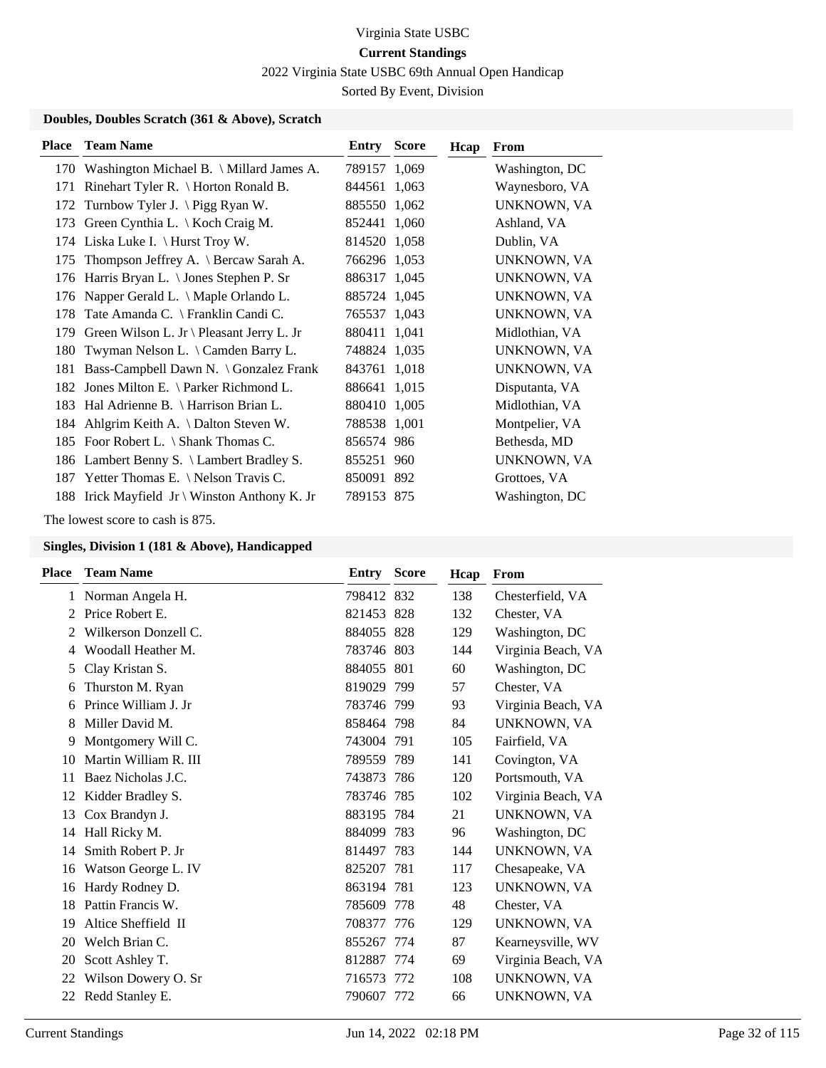2022 Virginia State USBC 69th Annual Open Handicap

Sorted By Event, Division

### **Doubles, Doubles Scratch (361 & Above), Scratch**

| <b>Place</b> | <b>Team Name</b>                                 | <b>Entry Score</b> | Hcap | From           |
|--------------|--------------------------------------------------|--------------------|------|----------------|
| 170          | Washington Michael B. \ Millard James A.         | 789157 1,069       |      | Washington, DC |
| 171          | Rinehart Tyler R. \ Horton Ronald B.             | 844561 1,063       |      | Waynesboro, VA |
| 172          | Turnbow Tyler J. $\sum$ Pigg Ryan W.             | 885550 1,062       |      | UNKNOWN, VA    |
| 173          | Green Cynthia L. $\setminus$ Koch Craig M.       | 852441 1,060       |      | Ashland, VA    |
|              | 174 Liska Luke I. \ Hurst Troy W.                | 814520 1,058       |      | Dublin, VA     |
| 175          | Thompson Jeffrey A. $\mathcal A$ Bercaw Sarah A. | 766296 1,053       |      | UNKNOWN, VA    |
| 176          | Harris Bryan L. \ Jones Stephen P. Sr            | 886317 1,045       |      | UNKNOWN, VA    |
| 176          | Napper Gerald L. $\setminus$ Maple Orlando L.    | 885724 1,045       |      | UNKNOWN, VA    |
|              | 178 Tate Amanda C. \ Franklin Candi C.           | 765537 1,043       |      | UNKNOWN, VA    |
| 179          | Green Wilson L. Jr \ Pleasant Jerry L. Jr        | 880411 1,041       |      | Midlothian, VA |
| 180          | Twyman Nelson L. \ Camden Barry L.               | 748824 1,035       |      | UNKNOWN, VA    |
| 181          | Bass-Campbell Dawn N. \ Gonzalez Frank           | 843761 1,018       |      | UNKNOWN, VA    |
| 182          | Jones Milton E. $\{$ Parker Richmond L.          | 886641 1,015       |      | Disputanta, VA |
| 183          | Hal Adrienne B. $\langle$ Harrison Brian L.      | 880410 1,005       |      | Midlothian, VA |
|              | 184 Ahlgrim Keith A. \Dalton Steven W.           | 788538 1,001       |      | Montpelier, VA |
|              | 185 Foor Robert L. \ Shank Thomas C.             | 856574 986         |      | Bethesda, MD   |
|              | 186 Lambert Benny S. \ Lambert Bradley S.        | 855251 960         |      | UNKNOWN, VA    |
| 187          | Yetter Thomas E. \ Nelson Travis C.              | 850091 892         |      | Grottoes, VA   |
|              | 188 Irick Mayfield Jr \ Winston Anthony K. Jr    | 789153 875         |      | Washington, DC |

The lowest score to cash is 875.

| <b>Team Name</b>      | Entry  | <b>Score</b> | Hcap                                                                                                                                                                                                                                                                                                      | From               |
|-----------------------|--------|--------------|-----------------------------------------------------------------------------------------------------------------------------------------------------------------------------------------------------------------------------------------------------------------------------------------------------------|--------------------|
| Norman Angela H.      |        |              | 138                                                                                                                                                                                                                                                                                                       | Chesterfield, VA   |
| Price Robert E.       |        |              | 132                                                                                                                                                                                                                                                                                                       | Chester, VA        |
| Wilkerson Donzell C.  |        |              | 129                                                                                                                                                                                                                                                                                                       | Washington, DC     |
| Woodall Heather M.    |        |              | 144                                                                                                                                                                                                                                                                                                       | Virginia Beach, VA |
| Clay Kristan S.       |        |              | 60                                                                                                                                                                                                                                                                                                        | Washington, DC     |
| Thurston M. Ryan      |        |              | 57                                                                                                                                                                                                                                                                                                        | Chester, VA        |
| Prince William J. Jr  |        |              | 93                                                                                                                                                                                                                                                                                                        | Virginia Beach, VA |
| Miller David M.       |        |              | 84                                                                                                                                                                                                                                                                                                        | UNKNOWN, VA        |
| Montgomery Will C.    |        |              | 105                                                                                                                                                                                                                                                                                                       | Fairfield, VA      |
| Martin William R. III |        |              | 141                                                                                                                                                                                                                                                                                                       | Covington, VA      |
| Baez Nicholas J.C.    |        |              | 120                                                                                                                                                                                                                                                                                                       | Portsmouth, VA     |
| Kidder Bradley S.     |        |              | 102                                                                                                                                                                                                                                                                                                       | Virginia Beach, VA |
| Cox Brandyn J.        |        |              | 21                                                                                                                                                                                                                                                                                                        | UNKNOWN, VA        |
| Hall Ricky M.         |        |              | 96                                                                                                                                                                                                                                                                                                        | Washington, DC     |
| Smith Robert P. Jr    |        |              | 144                                                                                                                                                                                                                                                                                                       | <b>UNKNOWN, VA</b> |
| Watson George L. IV   | 825207 |              | 117                                                                                                                                                                                                                                                                                                       | Chesapeake, VA     |
| Hardy Rodney D.       |        |              | 123                                                                                                                                                                                                                                                                                                       | UNKNOWN, VA        |
| Pattin Francis W.     | 785609 | 778          | 48                                                                                                                                                                                                                                                                                                        | Chester, VA        |
| Altice Sheffield II   |        |              | 129                                                                                                                                                                                                                                                                                                       | UNKNOWN, VA        |
| Welch Brian C.        |        |              | 87                                                                                                                                                                                                                                                                                                        | Kearneysville, WV  |
| Scott Ashley T.       |        |              | 69                                                                                                                                                                                                                                                                                                        | Virginia Beach, VA |
| Wilson Dowery O. Sr   |        |              | 108                                                                                                                                                                                                                                                                                                       | UNKNOWN, VA        |
| Redd Stanley E.       |        |              | 66                                                                                                                                                                                                                                                                                                        | UNKNOWN, VA        |
|                       |        |              | 798412 832<br>821453 828<br>884055 828<br>783746 803<br>884055 801<br>819029 799<br>783746 799<br>858464 798<br>743004 791<br>789559 789<br>743873 786<br>783746 785<br>883195 784<br>884099 783<br>814497 783<br>781<br>863194 781<br>708377 776<br>855267 774<br>812887 774<br>716573 772<br>790607 772 |                    |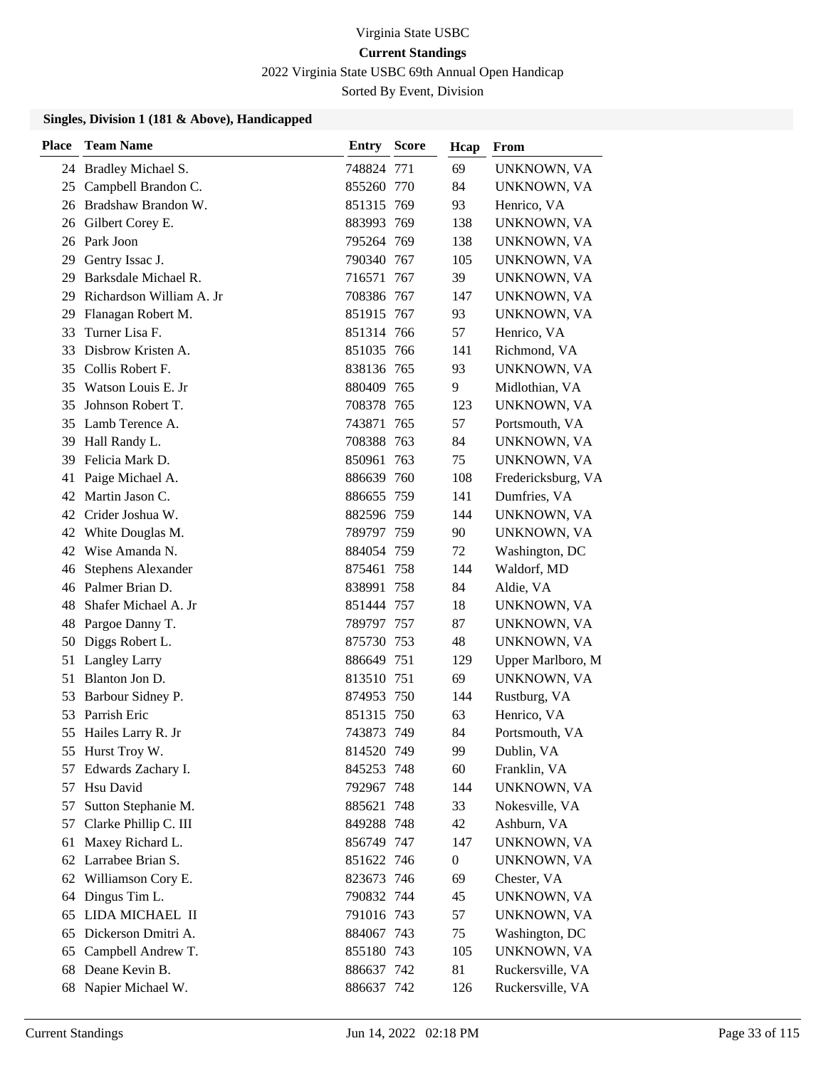2022 Virginia State USBC 69th Annual Open Handicap

Sorted By Event, Division

| <b>Place</b> | <b>Team Name</b>          | Entry      | <b>Score</b> | Hcap             | From               |
|--------------|---------------------------|------------|--------------|------------------|--------------------|
|              | 24 Bradley Michael S.     | 748824 771 |              | 69               | UNKNOWN, VA        |
| 25           | Campbell Brandon C.       | 855260 770 |              | 84               | UNKNOWN, VA        |
|              | 26 Bradshaw Brandon W.    | 851315 769 |              | 93               | Henrico, VA        |
|              | 26 Gilbert Corey E.       | 883993     | 769          | 138              | UNKNOWN, VA        |
|              | 26 Park Joon              | 795264 769 |              | 138              | UNKNOWN, VA        |
| 29           | Gentry Issac J.           | 790340 767 |              | 105              | UNKNOWN, VA        |
| 29           | Barksdale Michael R.      | 716571 767 |              | 39               | UNKNOWN, VA        |
| 29           | Richardson William A. Jr  | 708386 767 |              | 147              | UNKNOWN, VA        |
| 29           | Flanagan Robert M.        | 851915 767 |              | 93               | UNKNOWN, VA        |
| 33           | Turner Lisa F.            | 851314 766 |              | 57               | Henrico, VA        |
| 33           | Disbrow Kristen A.        | 851035 766 |              | 141              | Richmond, VA       |
|              | 35 Collis Robert F.       | 838136 765 |              | 93               | UNKNOWN, VA        |
| 35           | Watson Louis E. Jr        | 880409 765 |              | 9                | Midlothian, VA     |
| 35           | Johnson Robert T.         | 708378 765 |              | 123              | UNKNOWN, VA        |
| 35           | Lamb Terence A.           | 743871     | 765          | 57               | Portsmouth, VA     |
| 39           | Hall Randy L.             | 708388 763 |              | 84               | UNKNOWN, VA        |
| 39           | Felicia Mark D.           | 850961     | 763          | 75               | UNKNOWN, VA        |
| 41           | Paige Michael A.          | 886639 760 |              | 108              | Fredericksburg, VA |
| 42           | Martin Jason C.           | 886655     | 759          | 141              | Dumfries, VA       |
|              | 42 Crider Joshua W.       | 882596 759 |              | 144              | UNKNOWN, VA        |
| 42           | White Douglas M.          | 789797 759 |              | 90               | UNKNOWN, VA        |
| 42           | Wise Amanda N.            | 884054 759 |              | 72               | Washington, DC     |
| 46           | <b>Stephens Alexander</b> | 875461 758 |              | 144              | Waldorf, MD        |
|              | 46 Palmer Brian D.        | 838991 758 |              | 84               | Aldie, VA          |
| 48           | Shafer Michael A. Jr      | 851444 757 |              | 18               | UNKNOWN, VA        |
| 48           | Pargoe Danny T.           | 789797 757 |              | 87               | UNKNOWN, VA        |
| 50           | Diggs Robert L.           | 875730     | 753          | 48               | UNKNOWN, VA        |
| 51           | <b>Langley Larry</b>      | 886649     | -751         | 129              | Upper Marlboro, M  |
| 51           | Blanton Jon D.            | 813510 751 |              | 69               | UNKNOWN, VA        |
| 53           | Barbour Sidney P.         | 874953 750 |              | 144              | Rustburg, VA       |
| 53           | Parrish Eric              | 851315     | 750          | 63               | Henrico, VA        |
| 55           | Hailes Larry R. Jr        | 743873     | 749          | 84               | Portsmouth, VA     |
|              | 55 Hurst Troy W.          | 814520 749 |              | 99               | Dublin, VA         |
| 57           | Edwards Zachary I.        | 845253 748 |              | 60               | Franklin, VA       |
| 57           | Hsu David                 | 792967 748 |              | 144              | UNKNOWN, VA        |
| 57           | Sutton Stephanie M.       | 885621 748 |              | 33               | Nokesville, VA     |
| 57           | Clarke Phillip C. III     | 849288 748 |              | 42               | Ashburn, VA        |
| 61           | Maxey Richard L.          | 856749 747 |              | 147              | UNKNOWN, VA        |
| 62           | Larrabee Brian S.         | 851622 746 |              | $\boldsymbol{0}$ | UNKNOWN, VA        |
| 62           | Williamson Cory E.        | 823673 746 |              | 69               | Chester, VA        |
| 64           | Dingus Tim L.             | 790832 744 |              | 45               | <b>UNKNOWN, VA</b> |
| 65           | LIDA MICHAEL II           | 791016 743 |              | 57               | UNKNOWN, VA        |
| 65           | Dickerson Dmitri A.       | 884067 743 |              | 75               | Washington, DC     |
| 65           | Campbell Andrew T.        | 855180 743 |              | 105              | UNKNOWN, VA        |
| 68           | Deane Kevin B.            | 886637 742 |              | 81               | Ruckersville, VA   |
| 68           | Napier Michael W.         | 886637 742 |              | 126              | Ruckersville, VA   |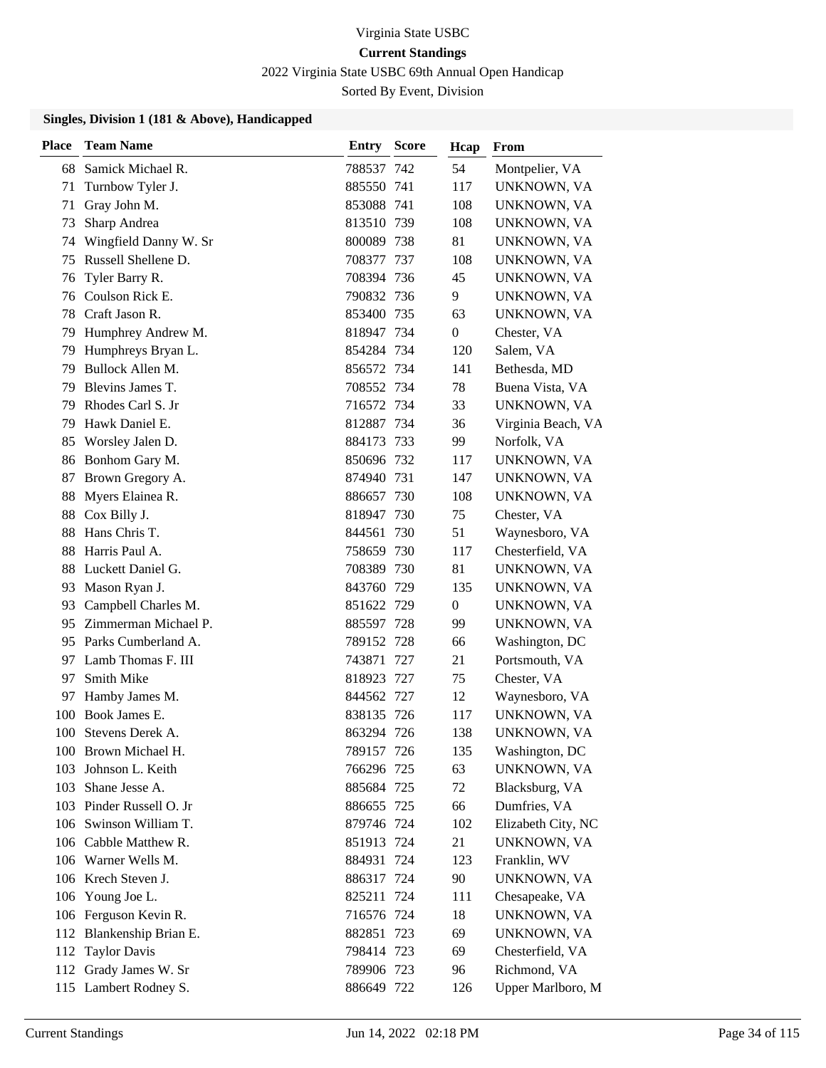2022 Virginia State USBC 69th Annual Open Handicap

Sorted By Event, Division

| <b>Place</b> | <b>Team Name</b>         | Entry      | <b>Score</b> | Hcap             | From               |
|--------------|--------------------------|------------|--------------|------------------|--------------------|
| 68           | Samick Michael R.        | 788537 742 |              | 54               | Montpelier, VA     |
| 71           | Turnbow Tyler J.         | 885550 741 |              | 117              | UNKNOWN, VA        |
| 71           | Gray John M.             | 853088 741 |              | 108              | UNKNOWN, VA        |
| 73           | Sharp Andrea             | 813510 739 |              | 108              | UNKNOWN, VA        |
| 74           | Wingfield Danny W. Sr    | 800089 738 |              | 81               | UNKNOWN, VA        |
| 75           | Russell Shellene D.      | 708377 737 |              | 108              | UNKNOWN, VA        |
| 76           | Tyler Barry R.           | 708394 736 |              | 45               | UNKNOWN, VA        |
| 76           | Coulson Rick E.          | 790832 736 |              | 9                | UNKNOWN, VA        |
| 78           | Craft Jason R.           | 853400 735 |              | 63               | UNKNOWN, VA        |
| 79           | Humphrey Andrew M.       | 818947 734 |              | 0                | Chester, VA        |
| 79           | Humphreys Bryan L.       | 854284 734 |              | 120              | Salem, VA          |
| 79           | Bullock Allen M.         | 856572 734 |              | 141              | Bethesda, MD       |
| 79           | Blevins James T.         | 708552 734 |              | 78               | Buena Vista, VA    |
| 79           | Rhodes Carl S. Jr        | 716572 734 |              | 33               | UNKNOWN, VA        |
| 79           | Hawk Daniel E.           | 812887 734 |              | 36               | Virginia Beach, VA |
| 85           | Worsley Jalen D.         | 884173 733 |              | 99               | Norfolk, VA        |
| 86           | Bonhom Gary M.           | 850696 732 |              | 117              | UNKNOWN, VA        |
| 87           | Brown Gregory A.         | 874940 731 |              | 147              | UNKNOWN, VA        |
| 88           | Myers Elainea R.         | 886657 730 |              | 108              | UNKNOWN, VA        |
| 88           | Cox Billy J.             | 818947     | -730         | 75               | Chester, VA        |
| 88           | Hans Chris T.            | 844561     | 730          | 51               | Waynesboro, VA     |
| 88           | Harris Paul A.           | 758659 730 |              | 117              | Chesterfield, VA   |
| 88           | Luckett Daniel G.        | 708389 730 |              | 81               | UNKNOWN, VA        |
| 93           | Mason Ryan J.            | 843760 729 |              | 135              | UNKNOWN, VA        |
| 93           | Campbell Charles M.      | 851622 729 |              | $\boldsymbol{0}$ | UNKNOWN, VA        |
| 95           | Zimmerman Michael P.     | 885597 728 |              | 99               | UNKNOWN, VA        |
|              | 95 Parks Cumberland A.   | 789152 728 |              | 66               | Washington, DC     |
| 97           | Lamb Thomas F. III       | 743871     | -727         | 21               | Portsmouth, VA     |
| 97           | Smith Mike               | 818923 727 |              | 75               | Chester, VA        |
| 97           | Hamby James M.           | 844562 727 |              | 12               | Waynesboro, VA     |
| 100          | Book James E.            | 838135 726 |              | 117              | UNKNOWN, VA        |
| 100          | Stevens Derek A.         | 863294 726 |              | 138              | UNKNOWN, VA        |
|              | 100 Brown Michael H.     | 789157 726 |              | 135              | Washington, DC     |
| 103          | Johnson L. Keith         | 766296 725 |              | 63               | UNKNOWN, VA        |
| 103          | Shane Jesse A.           | 885684 725 |              | 72               | Blacksburg, VA     |
|              | 103 Pinder Russell O. Jr | 886655 725 |              | 66               | Dumfries, VA       |
|              | 106 Swinson William T.   | 879746 724 |              | 102              | Elizabeth City, NC |
|              | 106 Cabble Matthew R.    | 851913 724 |              | 21               | UNKNOWN, VA        |
|              | 106 Warner Wells M.      | 884931 724 |              | 123              | Franklin, WV       |
|              | 106 Krech Steven J.      | 886317 724 |              | 90               | UNKNOWN, VA        |
|              | 106 Young Joe L.         | 825211 724 |              | 111              | Chesapeake, VA     |
|              | 106 Ferguson Kevin R.    | 716576 724 |              | 18               | UNKNOWN, VA        |
|              | 112 Blankenship Brian E. | 882851 723 |              | 69               | UNKNOWN, VA        |
|              | 112 Taylor Davis         | 798414 723 |              | 69               | Chesterfield, VA   |
|              | 112 Grady James W. Sr    | 789906 723 |              | 96               | Richmond, VA       |
|              | 115 Lambert Rodney S.    | 886649 722 |              | 126              | Upper Marlboro, M  |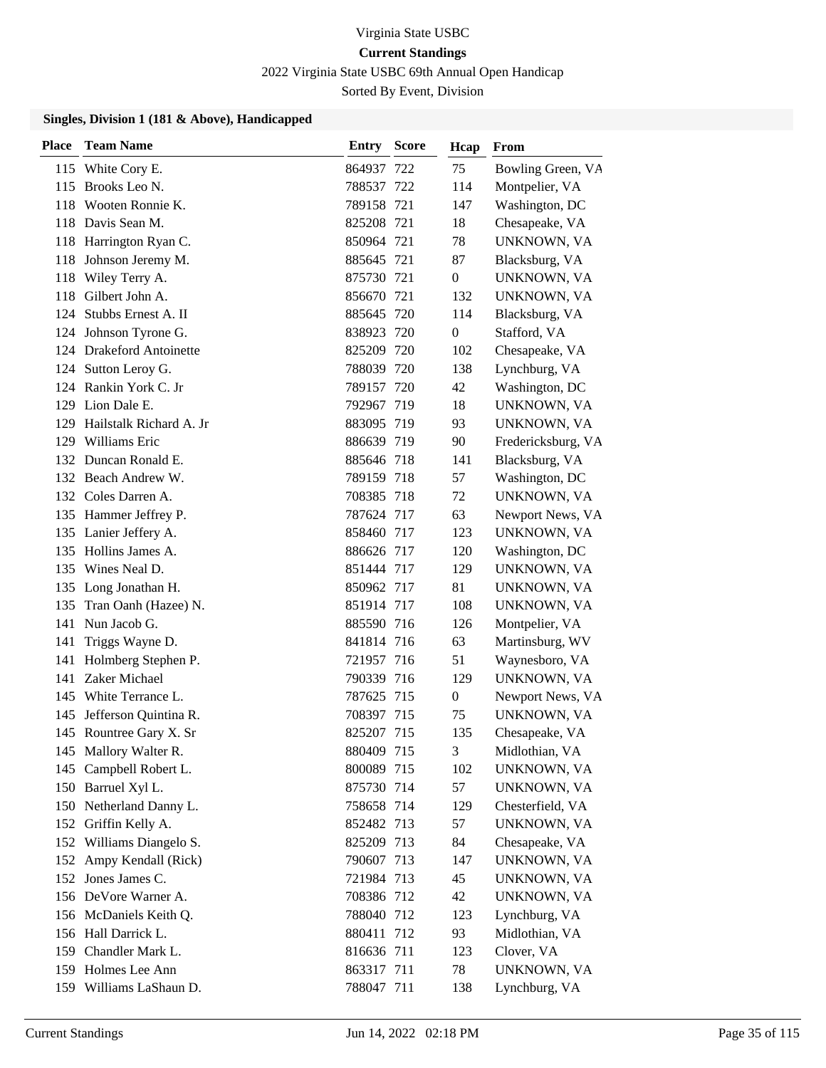2022 Virginia State USBC 69th Annual Open Handicap

Sorted By Event, Division

| Place | <b>Team Name</b>            | Entry      | <b>Score</b> | Hcap           | From               |
|-------|-----------------------------|------------|--------------|----------------|--------------------|
|       | 115 White Cory E.           | 864937 722 |              | 75             | Bowling Green, VA  |
|       | 115 Brooks Leo N.           | 788537 722 |              | 114            | Montpelier, VA     |
| 118   | Wooten Ronnie K.            | 789158 721 |              | 147            | Washington, DC     |
|       | 118 Davis Sean M.           | 825208 721 |              | 18             | Chesapeake, VA     |
|       | 118 Harrington Ryan C.      | 850964 721 |              | 78             | UNKNOWN, VA        |
|       | 118 Johnson Jeremy M.       | 885645 721 |              | 87             | Blacksburg, VA     |
| 118   | Wiley Terry A.              | 875730 721 |              | $\overline{0}$ | UNKNOWN, VA        |
| 118   | Gilbert John A.             | 856670 721 |              | 132            | UNKNOWN, VA        |
| 124   | Stubbs Ernest A. II         | 885645 720 |              | 114            | Blacksburg, VA     |
|       | 124 Johnson Tyrone G.       | 838923 720 |              | $\mathbf{0}$   | Stafford, VA       |
|       | 124 Drakeford Antoinette    | 825209 720 |              | 102            | Chesapeake, VA     |
|       | 124 Sutton Leroy G.         | 788039 720 |              | 138            | Lynchburg, VA      |
|       | 124 Rankin York C. Jr       | 789157 720 |              | 42             | Washington, DC     |
|       | 129 Lion Dale E.            | 792967 719 |              | 18             | UNKNOWN, VA        |
|       | 129 Hailstalk Richard A. Jr | 883095 719 |              | 93             | UNKNOWN, VA        |
|       | 129 Williams Eric           | 886639 719 |              | 90             | Fredericksburg, VA |
|       | 132 Duncan Ronald E.        | 885646 718 |              | 141            | Blacksburg, VA     |
|       | 132 Beach Andrew W.         | 789159 718 |              | 57             | Washington, DC     |
|       | 132 Coles Darren A.         | 708385 718 |              | 72             | UNKNOWN, VA        |
|       | 135 Hammer Jeffrey P.       | 787624 717 |              | 63             | Newport News, VA   |
|       | 135 Lanier Jeffery A.       | 858460 717 |              | 123            | UNKNOWN, VA        |
|       | 135 Hollins James A.        | 886626 717 |              | 120            | Washington, DC     |
|       | 135 Wines Neal D.           | 851444 717 |              | 129            | UNKNOWN, VA        |
|       | 135 Long Jonathan H.        | 850962 717 |              | 81             | UNKNOWN, VA        |
| 135   | Tran Oanh (Hazee) N.        | 851914 717 |              | 108            | UNKNOWN, VA        |
| 141   | Nun Jacob G.                | 885590 716 |              | 126            | Montpelier, VA     |
| 141   | Triggs Wayne D.             | 841814 716 |              | 63             | Martinsburg, WV    |
| 141   | Holmberg Stephen P.         | 721957 716 |              | 51             | Waynesboro, VA     |
| 141   | Zaker Michael               | 790339 716 |              | 129            | UNKNOWN, VA        |
|       | 145 White Terrance L.       | 787625 715 |              | $\overline{0}$ | Newport News, VA   |
|       | 145 Jefferson Quintina R.   | 708397 715 |              | 75             | UNKNOWN, VA        |
|       | 145 Rountree Gary X. Sr     | 825207 715 |              | 135            | Chesapeake, VA     |
|       | 145 Mallory Walter R.       | 880409 715 |              | 3              | Midlothian, VA     |
|       | 145 Campbell Robert L.      | 800089 715 |              | 102            | UNKNOWN, VA        |
|       | 150 Barruel Xyl L.          | 875730 714 |              | 57             | UNKNOWN, VA        |
|       | 150 Netherland Danny L.     | 758658 714 |              | 129            | Chesterfield, VA   |
|       | 152 Griffin Kelly A.        | 852482 713 |              | 57             | UNKNOWN, VA        |
|       | 152 Williams Diangelo S.    | 825209 713 |              | 84             | Chesapeake, VA     |
|       | 152 Ampy Kendall (Rick)     | 790607 713 |              | 147            | UNKNOWN, VA        |
|       | 152 Jones James C.          | 721984 713 |              | 45             | UNKNOWN, VA        |
|       | 156 DeVore Warner A.        | 708386 712 |              | 42             | UNKNOWN, VA        |
|       | 156 McDaniels Keith Q.      | 788040 712 |              | 123            | Lynchburg, VA      |
|       | 156 Hall Darrick L.         | 880411 712 |              | 93             | Midlothian, VA     |
|       | 159 Chandler Mark L.        | 816636 711 |              | 123            | Clover, VA         |
|       | 159 Holmes Lee Ann          | 863317 711 |              | 78             | UNKNOWN, VA        |
|       | 159 Williams LaShaun D.     | 788047 711 |              | 138            | Lynchburg, VA      |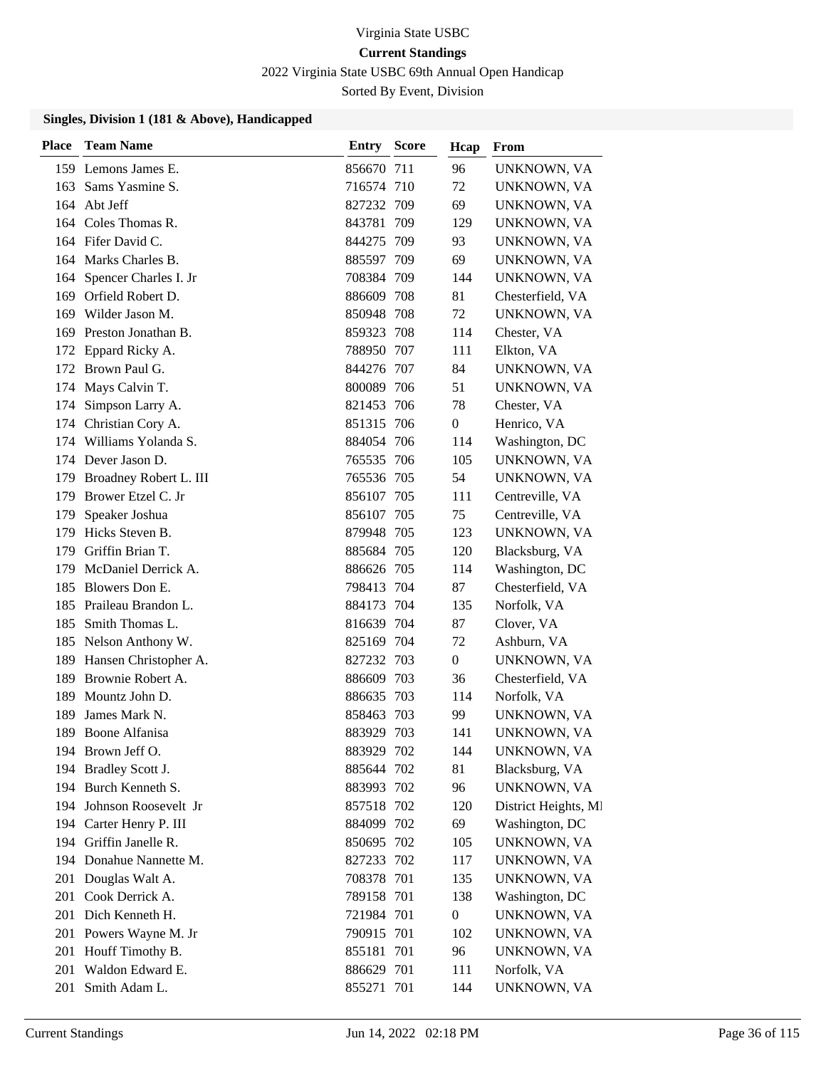2022 Virginia State USBC 69th Annual Open Handicap

Sorted By Event, Division

| <b>Place</b> | <b>Team Name</b>         | Entry      | <b>Score</b> | Hcap             | From                 |
|--------------|--------------------------|------------|--------------|------------------|----------------------|
|              | 159 Lemons James E.      | 856670 711 |              | 96               | UNKNOWN, VA          |
| 163          | Sams Yasmine S.          | 716574 710 |              | 72               | UNKNOWN, VA          |
|              | 164 Abt Jeff             | 827232 709 |              | 69               | UNKNOWN, VA          |
|              | 164 Coles Thomas R.      | 843781     | 709          | 129              | UNKNOWN, VA          |
|              | 164 Fifer David C.       | 844275 709 |              | 93               | UNKNOWN, VA          |
|              | 164 Marks Charles B.     | 885597 709 |              | 69               | UNKNOWN, VA          |
| 164          | Spencer Charles I. Jr    | 708384 709 |              | 144              | UNKNOWN, VA          |
|              | 169 Orfield Robert D.    | 886609 708 |              | 81               | Chesterfield, VA     |
| 169          | Wilder Jason M.          | 850948 708 |              | 72               | UNKNOWN, VA          |
| 169          | Preston Jonathan B.      | 859323 708 |              | 114              | Chester, VA          |
| 172          | Eppard Ricky A.          | 788950 707 |              | 111              | Elkton, VA           |
|              | 172 Brown Paul G.        | 844276 707 |              | 84               | UNKNOWN, VA          |
| 174          | Mays Calvin T.           | 800089 706 |              | 51               | UNKNOWN, VA          |
| 174          | Simpson Larry A.         | 821453 706 |              | 78               | Chester, VA          |
| 174          | Christian Cory A.        | 851315 706 |              | $\overline{0}$   | Henrico, VA          |
|              | 174 Williams Yolanda S.  | 884054 706 |              | 114              | Washington, DC       |
|              | 174 Dever Jason D.       | 765535 706 |              | 105              | UNKNOWN, VA          |
| 179          | Broadney Robert L. III   | 765536 705 |              | 54               | UNKNOWN, VA          |
| 179          | Brower Etzel C. Jr       | 856107 705 |              | 111              | Centreville, VA      |
| 179          | Speaker Joshua           | 856107 705 |              | 75               | Centreville, VA      |
| 179          | Hicks Steven B.          | 879948 705 |              | 123              | UNKNOWN, VA          |
| 179          | Griffin Brian T.         | 885684 705 |              | 120              | Blacksburg, VA       |
| 179          | McDaniel Derrick A.      | 886626 705 |              | 114              | Washington, DC       |
| 185          | Blowers Don E.           | 798413 704 |              | 87               | Chesterfield, VA     |
| 185          | Praileau Brandon L.      | 884173 704 |              | 135              | Norfolk, VA          |
| 185          | Smith Thomas L.          | 816639 704 |              | 87               | Clover, VA           |
|              | 185 Nelson Anthony W.    | 825169 704 |              | 72               | Ashburn, VA          |
| 189          | Hansen Christopher A.    | 827232 703 |              | $\overline{0}$   | UNKNOWN, VA          |
| 189          | Brownie Robert A.        | 886609 703 |              | 36               | Chesterfield, VA     |
| 189          | Mountz John D.           | 886635 703 |              | 114              | Norfolk, VA          |
| 189          | James Mark N.            | 858463 703 |              | 99               | UNKNOWN, VA          |
|              | 189 Boone Alfanisa       | 883929 703 |              | 141              | UNKNOWN, VA          |
|              | 194 Brown Jeff O.        | 883929 702 |              | 144              | UNKNOWN, VA          |
|              | 194 Bradley Scott J.     | 885644 702 |              | 81               | Blacksburg, VA       |
|              | 194 Burch Kenneth S.     | 883993 702 |              | 96               | UNKNOWN, VA          |
|              | 194 Johnson Roosevelt Jr | 857518 702 |              | 120              | District Heights, MI |
|              | 194 Carter Henry P. III  | 884099 702 |              | 69               | Washington, DC       |
| 194          | Griffin Janelle R.       | 850695 702 |              | 105              | UNKNOWN, VA          |
|              | 194 Donahue Nannette M.  | 827233 702 |              | 117              | UNKNOWN, VA          |
| 201          | Douglas Walt A.          | 708378 701 |              | 135              | UNKNOWN, VA          |
| 201          | Cook Derrick A.          | 789158 701 |              | 138              | Washington, DC       |
| 201          | Dich Kenneth H.          | 721984 701 |              | $\boldsymbol{0}$ | UNKNOWN, VA          |
| 201          | Powers Wayne M. Jr       | 790915 701 |              | 102              | UNKNOWN, VA          |
| 201          | Houff Timothy B.         | 855181 701 |              | 96               | UNKNOWN, VA          |
| 201          | Waldon Edward E.         | 886629 701 |              | 111              | Norfolk, VA          |
| 201          | Smith Adam L.            | 855271 701 |              | 144              | UNKNOWN, VA          |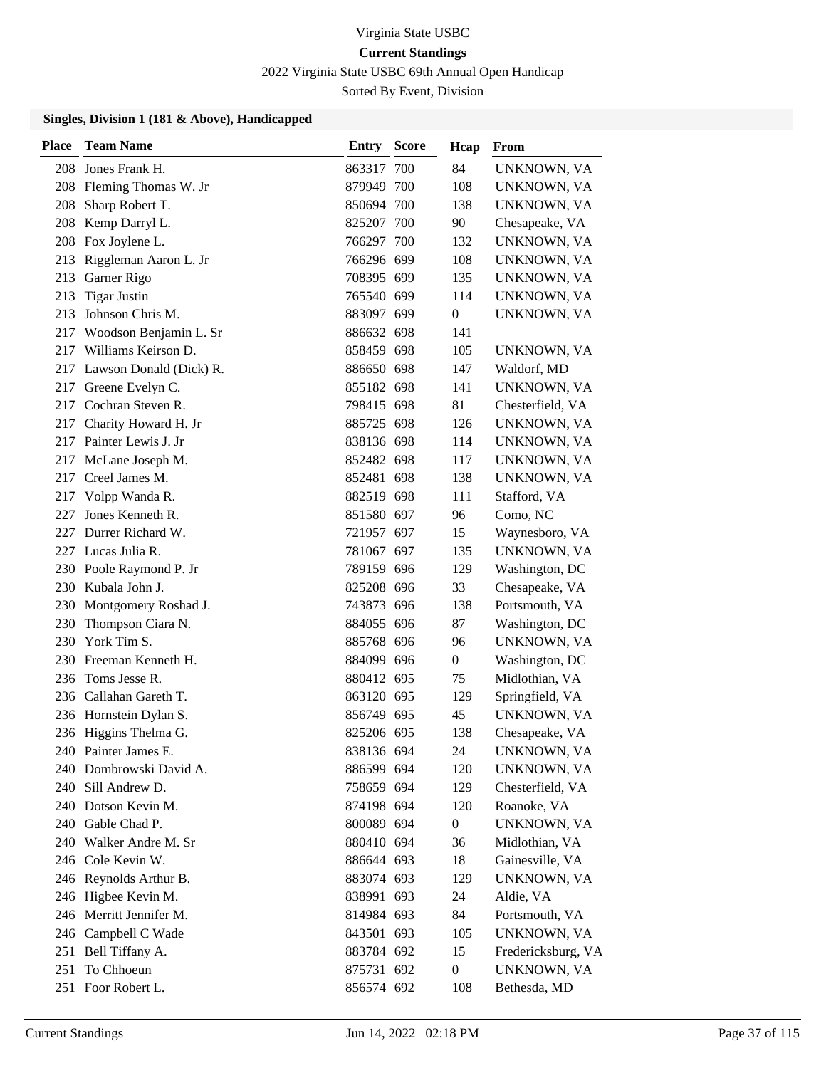2022 Virginia State USBC 69th Annual Open Handicap

Sorted By Event, Division

| <b>Place</b> | <b>Team Name</b>            | <b>Entry Score</b> | Hcap             | From               |
|--------------|-----------------------------|--------------------|------------------|--------------------|
| 208          | Jones Frank H.              | 863317 700         | 84               | UNKNOWN, VA        |
|              | 208 Fleming Thomas W. Jr    | 879949 700         | 108              | UNKNOWN, VA        |
| 208          | Sharp Robert T.             | 850694 700         | 138              | UNKNOWN, VA        |
| 208          | Kemp Darryl L.              | 825207 700         | 90               | Chesapeake, VA     |
| 208          | Fox Joylene L.              | 766297 700         | 132              | UNKNOWN, VA        |
| 213          | Riggleman Aaron L. Jr       | 766296 699         | 108              | UNKNOWN, VA        |
| 213          | Garner Rigo                 | 708395 699         | 135              | UNKNOWN, VA        |
| 213          | <b>Tigar Justin</b>         | 765540 699         | 114              | UNKNOWN, VA        |
| 213          | Johnson Chris M.            | 883097 699         | $\boldsymbol{0}$ | UNKNOWN, VA        |
| 217          | Woodson Benjamin L. Sr      | 886632 698         | 141              |                    |
| 217          | Williams Keirson D.         | 858459 698         | 105              | UNKNOWN, VA        |
|              | 217 Lawson Donald (Dick) R. | 886650 698         | 147              | Waldorf, MD        |
| 217          | Greene Evelyn C.            | 855182 698         | 141              | UNKNOWN, VA        |
| 217          | Cochran Steven R.           | 798415 698         | 81               | Chesterfield, VA   |
| 217          | Charity Howard H. Jr        | 885725 698         | 126              | UNKNOWN, VA        |
|              | 217 Painter Lewis J. Jr     | 838136 698         | 114              | UNKNOWN, VA        |
| 217          | McLane Joseph M.            | 852482 698         | 117              | UNKNOWN, VA        |
| 217          | Creel James M.              | 852481 698         | 138              | UNKNOWN, VA        |
| 217          | Volpp Wanda R.              | 882519 698         | 111              | Stafford, VA       |
| 227          | Jones Kenneth R.            | 851580 697         | 96               | Como, NC           |
| 227          | Durrer Richard W.           | 721957 697         | 15               | Waynesboro, VA     |
| 227          | Lucas Julia R.              | 781067 697         | 135              | UNKNOWN, VA        |
|              | 230 Poole Raymond P. Jr     | 789159 696         | 129              | Washington, DC     |
| 230          | Kubala John J.              | 825208 696         | 33               | Chesapeake, VA     |
| 230          | Montgomery Roshad J.        | 743873 696         | 138              | Portsmouth, VA     |
| 230          | Thompson Ciara N.           | 884055 696         | 87               | Washington, DC     |
| 230          | York Tim S.                 | 885768 696         | 96               | UNKNOWN, VA        |
| 230          | Freeman Kenneth H.          | 884099 696         | $\boldsymbol{0}$ | Washington, DC     |
| 236          | Toms Jesse R.               | 880412 695         | 75               | Midlothian, VA     |
|              | 236 Callahan Gareth T.      | 863120 695         | 129              | Springfield, VA    |
|              | 236 Hornstein Dylan S.      | 856749 695         | 45               | UNKNOWN, VA        |
|              | 236 Higgins Thelma G.       | 825206 695         | 138              | Chesapeake, VA     |
|              | 240 Painter James E.        | 838136 694         | 24               | UNKNOWN, VA        |
| 240          | Dombrowski David A.         | 886599 694         | 120              | UNKNOWN, VA        |
|              | 240 Sill Andrew D.          | 758659 694         | 129              | Chesterfield, VA   |
|              | 240 Dotson Kevin M.         | 874198 694         | 120              | Roanoke, VA        |
|              | 240 Gable Chad P.           | 800089 694         | $\boldsymbol{0}$ | UNKNOWN, VA        |
| 240          | Walker Andre M. Sr          | 880410 694         | 36               | Midlothian, VA     |
|              | 246 Cole Kevin W.           | 886644 693         | 18               | Gainesville, VA    |
|              | 246 Reynolds Arthur B.      | 883074 693         | 129              | UNKNOWN, VA        |
|              | 246 Higbee Kevin M.         | 838991 693         | 24               | Aldie, VA          |
|              | 246 Merritt Jennifer M.     | 814984 693         | 84               | Portsmouth, VA     |
|              | 246 Campbell C Wade         | 843501 693         | 105              | UNKNOWN, VA        |
| 251          | Bell Tiffany A.             | 883784 692         | 15               | Fredericksburg, VA |
| 251          | To Chhoeun                  | 875731 692         | $\boldsymbol{0}$ | UNKNOWN, VA        |
|              | 251 Foor Robert L.          | 856574 692         | 108              | Bethesda, MD       |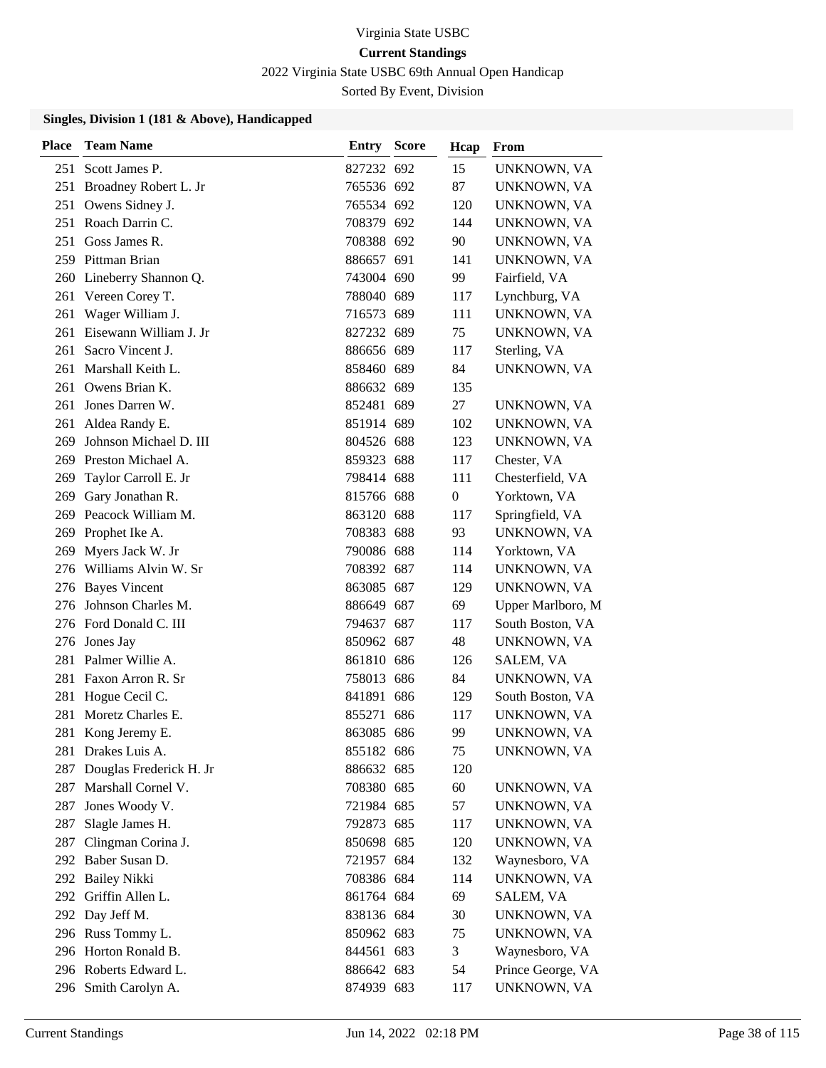2022 Virginia State USBC 69th Annual Open Handicap

Sorted By Event, Division

| <b>Place</b> | <b>Team Name</b>            | Entry      | <b>Score</b> | Hcap             | From              |
|--------------|-----------------------------|------------|--------------|------------------|-------------------|
|              | 251 Scott James P.          | 827232 692 |              | 15               | UNKNOWN, VA       |
|              | 251 Broadney Robert L. Jr   | 765536 692 |              | 87               | UNKNOWN, VA       |
|              | 251 Owens Sidney J.         | 765534 692 |              | 120              | UNKNOWN, VA       |
|              | 251 Roach Darrin C.         | 708379 692 |              | 144              | UNKNOWN, VA       |
| 251          | Goss James R.               | 708388 692 |              | 90               | UNKNOWN, VA       |
|              | 259 Pittman Brian           | 886657 691 |              | 141              | UNKNOWN, VA       |
|              | 260 Lineberry Shannon Q.    | 743004 690 |              | 99               | Fairfield, VA     |
| 261          | Vereen Corey T.             | 788040 689 |              | 117              | Lynchburg, VA     |
| 261          | Wager William J.            | 716573 689 |              | 111              | UNKNOWN, VA       |
| 261          | Eisewann William J. Jr      | 827232 689 |              | 75               | UNKNOWN, VA       |
| 261          | Sacro Vincent J.            | 886656 689 |              | 117              | Sterling, VA      |
| 261          | Marshall Keith L.           | 858460 689 |              | 84               | UNKNOWN, VA       |
| 261          | Owens Brian K.              | 886632 689 |              | 135              |                   |
| 261          | Jones Darren W.             | 852481 689 |              | 27               | UNKNOWN, VA       |
| 261          | Aldea Randy E.              | 851914 689 |              | 102              | UNKNOWN, VA       |
| 269          | Johnson Michael D. III      | 804526 688 |              | 123              | UNKNOWN, VA       |
| 269          | Preston Michael A.          | 859323 688 |              | 117              | Chester, VA       |
| 269          | Taylor Carroll E. Jr        | 798414 688 |              | 111              | Chesterfield, VA  |
| 269          | Gary Jonathan R.            | 815766 688 |              | $\boldsymbol{0}$ | Yorktown, VA      |
|              | 269 Peacock William M.      | 863120 688 |              | 117              | Springfield, VA   |
| 269          | Prophet Ike A.              | 708383 688 |              | 93               | UNKNOWN, VA       |
| 269          | Myers Jack W. Jr            | 790086 688 |              | 114              | Yorktown, VA      |
|              | 276 Williams Alvin W. Sr    | 708392 687 |              | 114              | UNKNOWN, VA       |
|              | 276 Bayes Vincent           | 863085 687 |              | 129              | UNKNOWN, VA       |
| 276          | Johnson Charles M.          | 886649 687 |              | 69               | Upper Marlboro, M |
|              | 276 Ford Donald C. III      | 794637 687 |              | 117              | South Boston, VA  |
|              | 276 Jones Jay               | 850962 687 |              | 48               | UNKNOWN, VA       |
| 281          | Palmer Willie A.            | 861810 686 |              | 126              | SALEM, VA         |
| 281          | Faxon Arron R. Sr           | 758013 686 |              | 84               | UNKNOWN, VA       |
| 281          | Hogue Cecil C.              | 841891 686 |              | 129              | South Boston, VA  |
| 281          | Moretz Charles E.           | 855271 686 |              | 117              | UNKNOWN, VA       |
| 281          | Kong Jeremy E.              | 863085 686 |              | 99               | UNKNOWN, VA       |
|              | 281 Drakes Luis A.          | 855182 686 |              | 75               | UNKNOWN, VA       |
|              | 287 Douglas Frederick H. Jr | 886632 685 |              | 120              |                   |
|              | 287 Marshall Cornel V.      | 708380 685 |              | 60               | UNKNOWN, VA       |
| 287          | Jones Woody V.              | 721984 685 |              | 57               | UNKNOWN, VA       |
| 287          | Slagle James H.             | 792873 685 |              | 117              | UNKNOWN, VA       |
| 287          | Clingman Corina J.          | 850698 685 |              | 120              | UNKNOWN, VA       |
|              | 292 Baber Susan D.          | 721957 684 |              | 132              | Waynesboro, VA    |
|              | 292 Bailey Nikki            | 708386 684 |              | 114              | UNKNOWN, VA       |
| 292          | Griffin Allen L.            | 861764 684 |              | 69               | SALEM, VA         |
|              | 292 Day Jeff M.             | 838136 684 |              | 30               | UNKNOWN, VA       |
|              | 296 Russ Tommy L.           | 850962 683 |              | 75               | UNKNOWN, VA       |
|              | 296 Horton Ronald B.        | 844561 683 |              | 3                | Waynesboro, VA    |
|              | 296 Roberts Edward L.       | 886642 683 |              | 54               | Prince George, VA |
|              | 296 Smith Carolyn A.        | 874939 683 |              | 117              | UNKNOWN, VA       |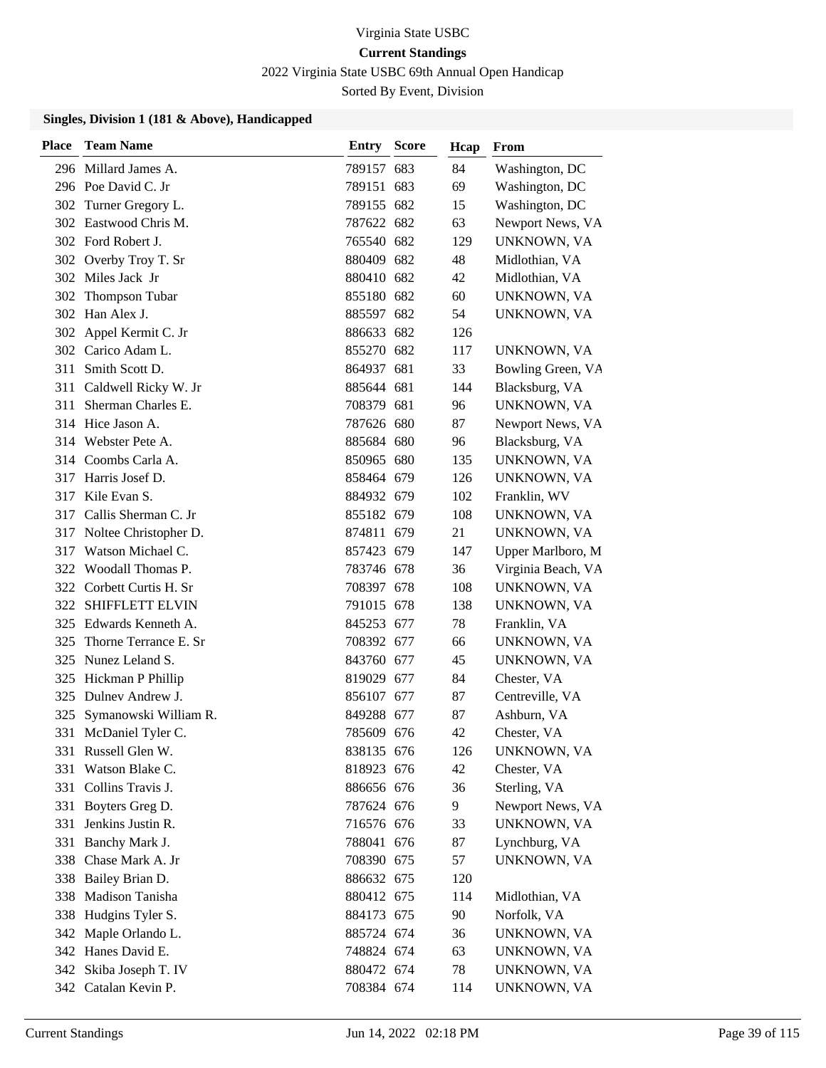2022 Virginia State USBC 69th Annual Open Handicap

Sorted By Event, Division

| <b>Place</b> | <b>Team Name</b>         | <b>Entry Score</b> | Hcap | From               |
|--------------|--------------------------|--------------------|------|--------------------|
|              | 296 Millard James A.     | 789157 683         | 84   | Washington, DC     |
|              | 296 Poe David C. Jr      | 789151 683         | 69   | Washington, DC     |
|              | 302 Turner Gregory L.    | 789155 682         | 15   | Washington, DC     |
|              | 302 Eastwood Chris M.    | 787622 682         | 63   | Newport News, VA   |
|              | 302 Ford Robert J.       | 765540 682         | 129  | UNKNOWN, VA        |
|              | 302 Overby Troy T. Sr    | 880409 682         | 48   | Midlothian, VA     |
|              | 302 Miles Jack Jr        | 880410 682         | 42   | Midlothian, VA     |
|              | 302 Thompson Tubar       | 855180 682         | 60   | UNKNOWN, VA        |
|              | 302 Han Alex J.          | 885597 682         | 54   | UNKNOWN, VA        |
|              | 302 Appel Kermit C. Jr   | 886633 682         | 126  |                    |
|              | 302 Carico Adam L.       | 855270 682         | 117  | UNKNOWN, VA        |
|              | 311 Smith Scott D.       | 864937 681         | 33   | Bowling Green, VA  |
| 311          | Caldwell Ricky W. Jr     | 885644 681         | 144  | Blacksburg, VA     |
| 311          | Sherman Charles E.       | 708379 681         | 96   | UNKNOWN, VA        |
|              | 314 Hice Jason A.        | 787626 680         | 87   | Newport News, VA   |
|              | 314 Webster Pete A.      | 885684 680         | 96   | Blacksburg, VA     |
|              | 314 Coombs Carla A.      | 850965 680         | 135  | UNKNOWN, VA        |
| 317          | Harris Josef D.          | 858464 679         | 126  | UNKNOWN, VA        |
|              | 317 Kile Evan S.         | 884932 679         | 102  | Franklin, WV       |
|              | 317 Callis Sherman C. Jr | 855182 679         | 108  | UNKNOWN, VA        |
| 317          | Noltee Christopher D.    | 874811 679         | 21   | UNKNOWN, VA        |
| 317          | Watson Michael C.        | 857423 679         | 147  | Upper Marlboro, M  |
|              | 322 Woodall Thomas P.    | 783746 678         | 36   | Virginia Beach, VA |
|              | 322 Corbett Curtis H. Sr | 708397 678         | 108  | UNKNOWN, VA        |
|              | 322 SHIFFLETT ELVIN      | 791015 678         | 138  | UNKNOWN, VA        |
|              | 325 Edwards Kenneth A.   | 845253 677         | 78   | Franklin, VA       |
| 325          | Thorne Terrance E. Sr    | 708392 677         | 66   | UNKNOWN, VA        |
| 325          | Nunez Leland S.          | 843760 677         | 45   | UNKNOWN, VA        |
| 325          | Hickman P Phillip        | 819029 677         | 84   | Chester, VA        |
| 325          | Dulney Andrew J.         | 856107 677         | 87   | Centreville, VA    |
| 325          | Symanowski William R.    | 849288 677         | 87   | Ashburn, VA        |
| 331          | McDaniel Tyler C.        | 785609 676         | 42   | Chester, VA        |
|              | 331 Russell Glen W.      | 838135 676         | 126  | UNKNOWN, VA        |
| 331          | Watson Blake C.          | 818923 676         | 42   | Chester, VA        |
|              | 331 Collins Travis J.    | 886656 676         | 36   | Sterling, VA       |
| 331          | Boyters Greg D.          | 787624 676         | 9    | Newport News, VA   |
| 331          | Jenkins Justin R.        | 716576 676         | 33   | UNKNOWN, VA        |
| 331          | Banchy Mark J.           | 788041 676         | 87   | Lynchburg, VA      |
|              | 338 Chase Mark A. Jr     | 708390 675         | 57   | UNKNOWN, VA        |
|              | 338 Bailey Brian D.      | 886632 675         | 120  |                    |
| 338          | Madison Tanisha          | 880412 675         | 114  | Midlothian, VA     |
| 338          | Hudgins Tyler S.         | 884173 675         | 90   | Norfolk, VA        |
|              | 342 Maple Orlando L.     | 885724 674         | 36   | UNKNOWN, VA        |
|              | 342 Hanes David E.       | 748824 674         | 63   | UNKNOWN, VA        |
|              | 342 Skiba Joseph T. IV   | 880472 674         | 78   | UNKNOWN, VA        |
|              | 342 Catalan Kevin P.     | 708384 674         | 114  | UNKNOWN, VA        |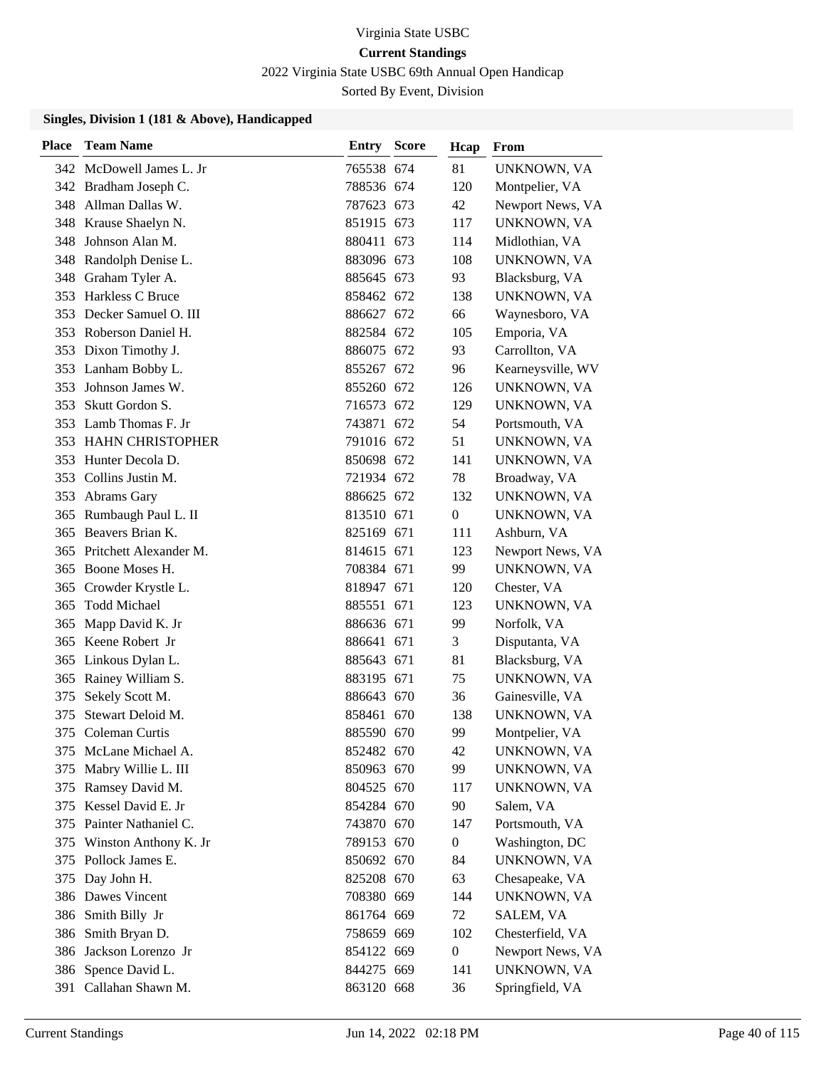2022 Virginia State USBC 69th Annual Open Handicap

Sorted By Event, Division

| Place | <b>Team Name</b>         | Entry      | <b>Score</b> | Hcap             | From              |
|-------|--------------------------|------------|--------------|------------------|-------------------|
|       | 342 McDowell James L. Jr | 765538 674 |              | 81               | UNKNOWN, VA       |
|       | 342 Bradham Joseph C.    | 788536 674 |              | 120              | Montpelier, VA    |
|       | 348 Allman Dallas W.     | 787623 673 |              | 42               | Newport News, VA  |
|       | 348 Krause Shaelyn N.    | 851915 673 |              | 117              | UNKNOWN, VA       |
| 348   | Johnson Alan M.          | 880411 673 |              | 114              | Midlothian, VA    |
| 348   | Randolph Denise L.       | 883096 673 |              | 108              | UNKNOWN, VA       |
|       | 348 Graham Tyler A.      | 885645 673 |              | 93               | Blacksburg, VA    |
| 353   | Harkless C Bruce         | 858462 672 |              | 138              | UNKNOWN, VA       |
| 353   | Decker Samuel O. III     | 886627 672 |              | 66               | Waynesboro, VA    |
| 353   | Roberson Daniel H.       | 882584 672 |              | 105              | Emporia, VA       |
|       | 353 Dixon Timothy J.     | 886075 672 |              | 93               | Carrollton, VA    |
|       | 353 Lanham Bobby L.      | 855267 672 |              | 96               | Kearneysville, WV |
| 353   | Johnson James W.         | 855260 672 |              | 126              | UNKNOWN, VA       |
| 353   | Skutt Gordon S.          | 716573 672 |              | 129              | UNKNOWN, VA       |
|       | 353 Lamb Thomas F. Jr    | 743871 672 |              | 54               | Portsmouth, VA    |
|       | 353 HAHN CHRISTOPHER     | 791016 672 |              | 51               | UNKNOWN, VA       |
| 353   | Hunter Decola D.         | 850698 672 |              | 141              | UNKNOWN, VA       |
| 353   | Collins Justin M.        | 721934 672 |              | 78               | Broadway, VA      |
| 353   | Abrams Gary              | 886625 672 |              | 132              | UNKNOWN, VA       |
| 365   | Rumbaugh Paul L. II      | 813510 671 |              | $\overline{0}$   | UNKNOWN, VA       |
| 365   | Beavers Brian K.         | 825169 671 |              | 111              | Ashburn, VA       |
| 365   | Pritchett Alexander M.   | 814615 671 |              | 123              | Newport News, VA  |
| 365   | Boone Moses H.           | 708384 671 |              | 99               | UNKNOWN, VA       |
| 365   | Crowder Krystle L.       | 818947 671 |              | 120              | Chester, VA       |
| 365   | <b>Todd Michael</b>      | 885551 671 |              | 123              | UNKNOWN, VA       |
| 365   | Mapp David K. Jr         | 886636 671 |              | 99               | Norfolk, VA       |
|       | 365 Keene Robert Jr      | 886641 671 |              | 3                | Disputanta, VA    |
| 365   | Linkous Dylan L.         | 885643 671 |              | 81               | Blacksburg, VA    |
| 365   | Rainey William S.        | 883195 671 |              | 75               | UNKNOWN, VA       |
| 375   | Sekely Scott M.          | 886643 670 |              | 36               | Gainesville, VA   |
| 375   | Stewart Deloid M.        | 858461 670 |              | 138              | UNKNOWN, VA       |
| 375   | Coleman Curtis           | 885590 670 |              | 99               | Montpelier, VA    |
| 375   | McLane Michael A.        | 852482 670 |              | 42               | UNKNOWN, VA       |
| 375   | Mabry Willie L. III      | 850963 670 |              | 99               | UNKNOWN, VA       |
| 375   | Ramsey David M.          | 804525 670 |              | 117              | UNKNOWN, VA       |
| 375   | Kessel David E. Jr       | 854284 670 |              | 90               | Salem, VA         |
|       | 375 Painter Nathaniel C. | 743870 670 |              | 147              | Portsmouth, VA    |
| 375   | Winston Anthony K. Jr    | 789153 670 |              | $\overline{0}$   | Washington, DC    |
| 375   | Pollock James E.         | 850692 670 |              | 84               | UNKNOWN, VA       |
| 375   | Day John H.              | 825208 670 |              | 63               | Chesapeake, VA    |
|       | 386 Dawes Vincent        | 708380 669 |              | 144              | UNKNOWN, VA       |
| 386   | Smith Billy Jr           | 861764 669 |              | 72               | SALEM, VA         |
| 386   | Smith Bryan D.           | 758659 669 |              | 102              | Chesterfield, VA  |
| 386   | Jackson Lorenzo Jr       | 854122 669 |              | $\boldsymbol{0}$ | Newport News, VA  |
| 386   | Spence David L.          | 844275 669 |              | 141              | UNKNOWN, VA       |
|       | 391 Callahan Shawn M.    | 863120 668 |              | 36               | Springfield, VA   |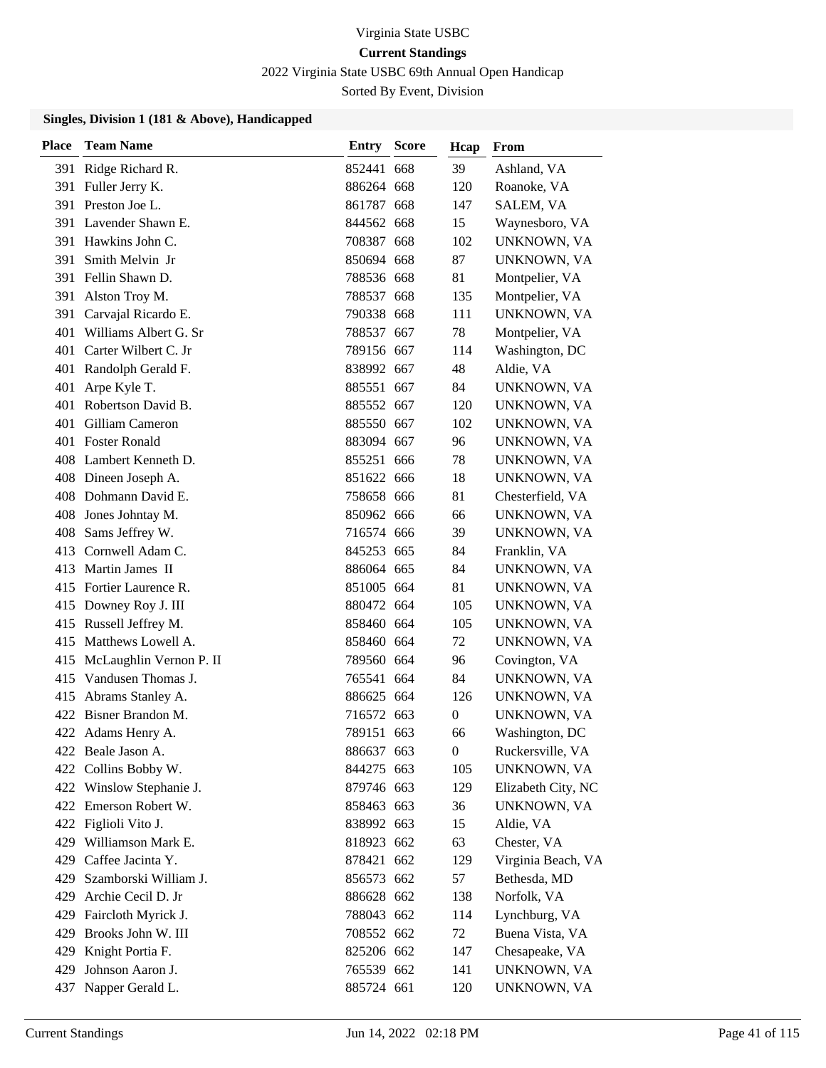2022 Virginia State USBC 69th Annual Open Handicap

Sorted By Event, Division

| <b>Place</b> | <b>Team Name</b>         | <b>Entry Score</b> | Hcap             | From               |
|--------------|--------------------------|--------------------|------------------|--------------------|
| 391          | Ridge Richard R.         | 852441 668         | 39               | Ashland, VA        |
| 391          | Fuller Jerry K.          | 886264 668         | 120              | Roanoke, VA        |
|              | 391 Preston Joe L.       | 861787 668         | 147              | SALEM, VA          |
| 391          | Lavender Shawn E.        | 844562 668         | 15               | Waynesboro, VA     |
| 391          | Hawkins John C.          | 708387 668         | 102              | UNKNOWN, VA        |
| 391          | Smith Melvin Jr          | 850694 668         | 87               | UNKNOWN, VA        |
|              | 391 Fellin Shawn D.      | 788536 668         | 81               | Montpelier, VA     |
| 391          | Alston Troy M.           | 788537 668         | 135              | Montpelier, VA     |
| 391          | Carvajal Ricardo E.      | 790338 668         | 111              | UNKNOWN, VA        |
| 401          | Williams Albert G. Sr    | 788537 667         | 78               | Montpelier, VA     |
|              | 401 Carter Wilbert C. Jr | 789156 667         | 114              | Washington, DC     |
| 401          | Randolph Gerald F.       | 838992 667         | 48               | Aldie, VA          |
| 401          | Arpe Kyle T.             | 885551 667         | 84               | UNKNOWN, VA        |
| 401          | Robertson David B.       | 885552 667         | 120              | UNKNOWN, VA        |
| 401          | Gilliam Cameron          | 885550 667         | 102              | UNKNOWN, VA        |
|              | 401 Foster Ronald        | 883094 667         | 96               | UNKNOWN, VA        |
|              | 408 Lambert Kenneth D.   | 855251 666         | 78               | UNKNOWN, VA        |
|              | 408 Dineen Joseph A.     | 851622 666         | 18               | UNKNOWN, VA        |
|              | 408 Dohmann David E.     | 758658 666         | 81               | Chesterfield, VA   |
|              | 408 Jones Johntay M.     | 850962 666         | 66               | UNKNOWN, VA        |
|              | 408 Sams Jeffrey W.      | 716574 666         | 39               | UNKNOWN, VA        |
|              | 413 Cornwell Adam C.     | 845253 665         | 84               | Franklin, VA       |
|              | 413 Martin James II      | 886064 665         | 84               | UNKNOWN, VA        |
|              | 415 Fortier Laurence R.  | 851005 664         | 81               | UNKNOWN, VA        |
|              | 415 Downey Roy J. III    | 880472 664         | 105              | UNKNOWN, VA        |
|              | 415 Russell Jeffrey M.   | 858460 664         | 105              | UNKNOWN, VA        |
|              | 415 Matthews Lowell A.   | 858460 664         | 72               | UNKNOWN, VA        |
| 415          | McLaughlin Vernon P. II  | 789560 664         | 96               | Covington, VA      |
|              | 415 Vandusen Thomas J.   | 765541 664         | 84               | UNKNOWN, VA        |
| 415          | Abrams Stanley A.        | 886625 664         | 126              | UNKNOWN, VA        |
|              | 422 Bisner Brandon M.    | 716572 663         | $\boldsymbol{0}$ | UNKNOWN, VA        |
|              | 422 Adams Henry A.       | 789151 663         | 66               | Washington, DC     |
|              | 422 Beale Jason A.       | 886637 663         | $\overline{0}$   | Ruckersville, VA   |
| 422          | Collins Bobby W.         | 844275 663         | 105              | UNKNOWN, VA        |
|              | 422 Winslow Stephanie J. | 879746 663         | 129              | Elizabeth City, NC |
|              | 422 Emerson Robert W.    | 858463 663         | 36               | UNKNOWN, VA        |
|              | 422 Figlioli Vito J.     | 838992 663         | 15               | Aldie, VA          |
| 429          | Williamson Mark E.       | 818923 662         | 63               | Chester, VA        |
| 429 -        | Caffee Jacinta Y.        | 878421 662         | 129              | Virginia Beach, VA |
| 429.         | Szamborski William J.    | 856573 662         | 57               | Bethesda, MD       |
|              | 429 Archie Cecil D. Jr   | 886628 662         | 138              | Norfolk, VA        |
| 429          | Faircloth Myrick J.      | 788043 662         | 114              | Lynchburg, VA      |
|              | 429 Brooks John W. III   | 708552 662         | 72               | Buena Vista, VA    |
| 429          | Knight Portia F.         | 825206 662         | 147              | Chesapeake, VA     |
| 429          | Johnson Aaron J.         | 765539 662         | 141              | UNKNOWN, VA        |
| 437          | Napper Gerald L.         | 885724 661         | 120              | UNKNOWN, VA        |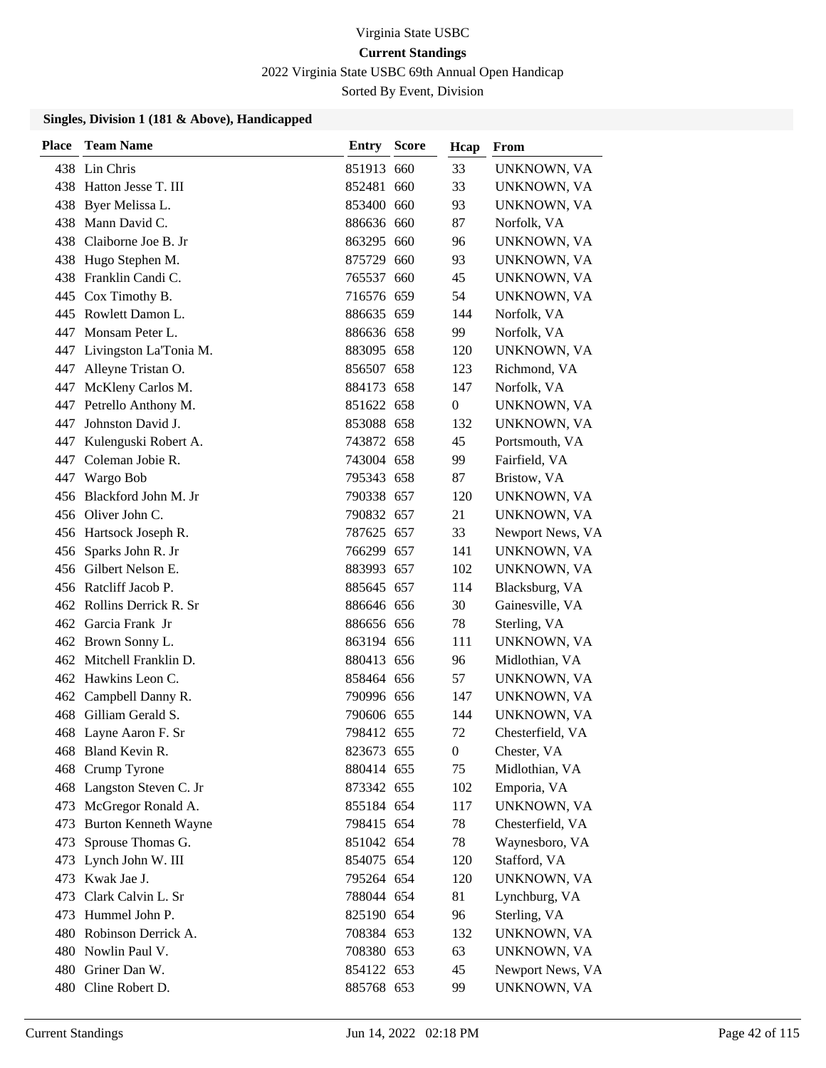2022 Virginia State USBC 69th Annual Open Handicap

Sorted By Event, Division

| Place | <b>Team Name</b>            | <b>Entry Score</b> | Hcap           | From             |
|-------|-----------------------------|--------------------|----------------|------------------|
|       | 438 Lin Chris               | 851913 660         | 33             | UNKNOWN, VA      |
|       | 438 Hatton Jesse T. III     | 852481 660         | 33             | UNKNOWN, VA      |
|       | 438 Byer Melissa L.         | 853400 660         | 93             | UNKNOWN, VA      |
| 438.  | Mann David C.               | 886636 660         | 87             | Norfolk, VA      |
| 438.  | Claiborne Joe B. Jr         | 863295 660         | 96             | UNKNOWN, VA      |
|       | 438 Hugo Stephen M.         | 875729 660         | 93             | UNKNOWN, VA      |
|       | 438 Franklin Candi C.       | 765537 660         | 45             | UNKNOWN, VA      |
|       | 445 Cox Timothy B.          | 716576 659         | 54             | UNKNOWN, VA      |
|       | 445 Rowlett Damon L.        | 886635 659         | 144            | Norfolk, VA      |
|       | 447 Monsam Peter L.         | 886636 658         | 99             | Norfolk, VA      |
|       | 447 Livingston La'Tonia M.  | 883095 658         | 120            | UNKNOWN, VA      |
|       | 447 Alleyne Tristan O.      | 856507 658         | 123            | Richmond, VA     |
|       | 447 McKleny Carlos M.       | 884173 658         | 147            | Norfolk, VA      |
|       | 447 Petrello Anthony M.     | 851622 658         | 0              | UNKNOWN, VA      |
|       | 447 Johnston David J.       | 853088 658         | 132            | UNKNOWN, VA      |
|       | 447 Kulenguski Robert A.    | 743872 658         | 45             | Portsmouth, VA   |
|       | 447 Coleman Jobie R.        | 743004 658         | 99             | Fairfield, VA    |
|       | 447 Wargo Bob               | 795343 658         | 87             | Bristow, VA      |
|       | 456 Blackford John M. Jr    | 790338 657         | 120            | UNKNOWN, VA      |
|       | 456 Oliver John C.          | 790832 657         | 21             | UNKNOWN, VA      |
|       | 456 Hartsock Joseph R.      | 787625 657         | 33             | Newport News, VA |
|       | 456 Sparks John R. Jr       | 766299 657         | 141            | UNKNOWN, VA      |
|       | 456 Gilbert Nelson E.       | 883993 657         | 102            | UNKNOWN, VA      |
|       | 456 Ratcliff Jacob P.       | 885645 657         | 114            | Blacksburg, VA   |
|       | 462 Rollins Derrick R. Sr   | 886646 656         | 30             | Gainesville, VA  |
|       | 462 Garcia Frank Jr         | 886656 656         | 78             | Sterling, VA     |
|       | 462 Brown Sonny L.          | 863194 656         | 111            | UNKNOWN, VA      |
|       | 462 Mitchell Franklin D.    | 880413 656         | 96             | Midlothian, VA   |
|       | 462 Hawkins Leon C.         | 858464 656         | 57             | UNKNOWN, VA      |
|       | 462 Campbell Danny R.       | 790996 656         | 147            | UNKNOWN, VA      |
|       | 468 Gilliam Gerald S.       | 790606 655         | 144            | UNKNOWN, VA      |
|       | 468 Layne Aaron F. Sr       | 798412 655         | 72             | Chesterfield, VA |
|       | 468 Bland Kevin R.          | 823673 655         | $\overline{0}$ | Chester, VA      |
| 468   | Crump Tyrone                | 880414 655         | 75             | Midlothian, VA   |
|       | 468 Langston Steven C. Jr   | 873342 655         | 102            | Emporia, VA      |
|       | 473 McGregor Ronald A.      | 855184 654         | 117            | UNKNOWN, VA      |
| 473   | <b>Burton Kenneth Wayne</b> | 798415 654         | 78             | Chesterfield, VA |
| 473   | Sprouse Thomas G.           | 851042 654         | 78             | Waynesboro, VA   |
|       | 473 Lynch John W. III       | 854075 654         | 120            | Stafford, VA     |
|       | 473 Kwak Jae J.             | 795264 654         | 120            | UNKNOWN, VA      |
|       | 473 Clark Calvin L. Sr      | 788044 654         | 81             | Lynchburg, VA    |
| 473   | Hummel John P.              | 825190 654         | 96             | Sterling, VA     |
|       | 480 Robinson Derrick A.     | 708384 653         | 132            | UNKNOWN, VA      |
|       | 480 Nowlin Paul V.          | 708380 653         | 63             | UNKNOWN, VA      |
|       | 480 Griner Dan W.           | 854122 653         | 45             | Newport News, VA |
|       | 480 Cline Robert D.         | 885768 653         | 99             | UNKNOWN, VA      |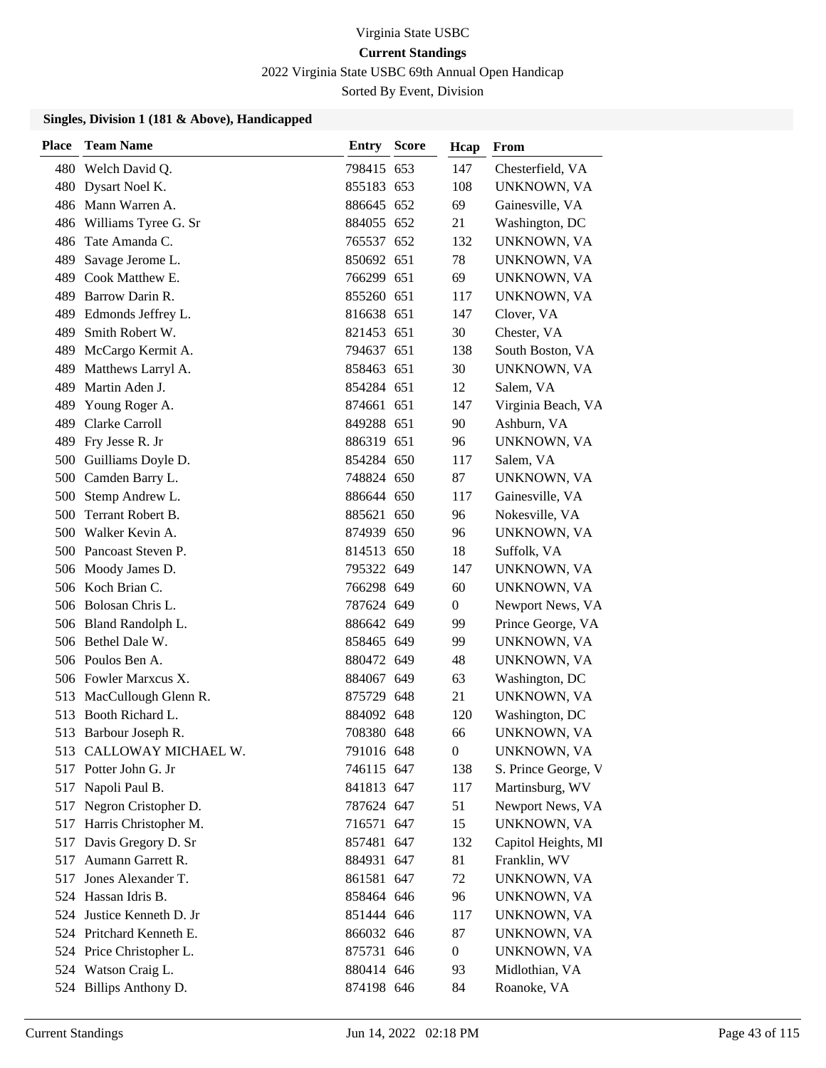2022 Virginia State USBC 69th Annual Open Handicap

Sorted By Event, Division

| <b>Place</b> | <b>Team Name</b>          | <b>Entry Score</b> | Hcap             | From                |
|--------------|---------------------------|--------------------|------------------|---------------------|
| 480          | Welch David Q.            | 798415 653         | 147              | Chesterfield, VA    |
| 480          | Dysart Noel K.            | 855183 653         | 108              | UNKNOWN, VA         |
|              | 486 Mann Warren A.        | 886645 652         | 69               | Gainesville, VA     |
|              | 486 Williams Tyree G. Sr  | 884055 652         | 21               | Washington, DC      |
| 486          | Tate Amanda C.            | 765537 652         | 132              | UNKNOWN, VA         |
| 489          | Savage Jerome L.          | 850692 651         | 78               | UNKNOWN, VA         |
|              | 489 Cook Matthew E.       | 766299 651         | 69               | UNKNOWN, VA         |
| 489          | Barrow Darin R.           | 855260 651         | 117              | UNKNOWN, VA         |
| 489          | Edmonds Jeffrey L.        | 816638 651         | 147              | Clover, VA          |
| 489          | Smith Robert W.           | 821453 651         | 30               | Chester, VA         |
| 489          | McCargo Kermit A.         | 794637 651         | 138              | South Boston, VA    |
| 489          | Matthews Larryl A.        | 858463 651         | 30               | UNKNOWN, VA         |
| 489          | Martin Aden J.            | 854284 651         | 12               | Salem, VA           |
| 489          | Young Roger A.            | 874661 651         | 147              | Virginia Beach, VA  |
|              | 489 Clarke Carroll        | 849288 651         | 90               | Ashburn, VA         |
| 489          | Fry Jesse R. Jr           | 886319 651         | 96               | UNKNOWN, VA         |
|              | 500 Guilliams Doyle D.    | 854284 650         | 117              | Salem, VA           |
| 500          | Camden Barry L.           | 748824 650         | 87               | UNKNOWN, VA         |
|              | 500 Stemp Andrew L.       | 886644 650         | 117              | Gainesville, VA     |
| 500          | Terrant Robert B.         | 885621 650         | 96               | Nokesville, VA      |
| 500          | Walker Kevin A.           | 874939 650         | 96               | UNKNOWN, VA         |
|              | 500 Pancoast Steven P.    | 814513 650         | 18               | Suffolk, VA         |
|              | 506 Moody James D.        | 795322 649         | 147              | UNKNOWN, VA         |
|              | 506 Koch Brian C.         | 766298 649         | 60               | UNKNOWN, VA         |
|              | 506 Bolosan Chris L.      | 787624 649         | $\boldsymbol{0}$ | Newport News, VA    |
|              | 506 Bland Randolph L.     | 886642 649         | 99               | Prince George, VA   |
|              | 506 Bethel Dale W.        | 858465 649         | 99               | UNKNOWN, VA         |
|              | 506 Poulos Ben A.         | 880472 649         | 48               | UNKNOWN, VA         |
|              | 506 Fowler Marxcus X.     | 884067 649         | 63               | Washington, DC      |
| 513          | MacCullough Glenn R.      | 875729 648         | 21               | UNKNOWN, VA         |
|              | 513 Booth Richard L.      | 884092 648         | 120              | Washington, DC      |
| 513          | Barbour Joseph R.         | 708380 648         | 66               | UNKNOWN, VA         |
|              | 513 CALLOWAY MICHAEL W.   | 791016 648         | $\boldsymbol{0}$ | UNKNOWN, VA         |
|              | 517 Potter John G. Jr     | 746115 647         | 138              | S. Prince George, V |
|              | 517 Napoli Paul B.        | 841813 647         | 117              | Martinsburg, WV     |
|              | 517 Negron Cristopher D.  | 787624 647         | 51               | Newport News, VA    |
|              | 517 Harris Christopher M. | 716571 647         | 15               | UNKNOWN, VA         |
| 517          | Davis Gregory D. Sr       | 857481 647         | 132              | Capitol Heights, MI |
|              | 517 Aumann Garrett R.     | 884931 647         | 81               | Franklin, WV        |
| 517          | Jones Alexander T.        | 861581 647         | 72               | UNKNOWN, VA         |
|              | 524 Hassan Idris B.       | 858464 646         | 96               | UNKNOWN, VA         |
|              | 524 Justice Kenneth D. Jr | 851444 646         | 117              | UNKNOWN, VA         |
|              | 524 Pritchard Kenneth E.  | 866032 646         | 87               | UNKNOWN, VA         |
|              | 524 Price Christopher L.  | 875731 646         | $\mathbf{0}$     | UNKNOWN, VA         |
|              | 524 Watson Craig L.       | 880414 646         | 93               | Midlothian, VA      |
|              | 524 Billips Anthony D.    | 874198 646         | 84               | Roanoke, VA         |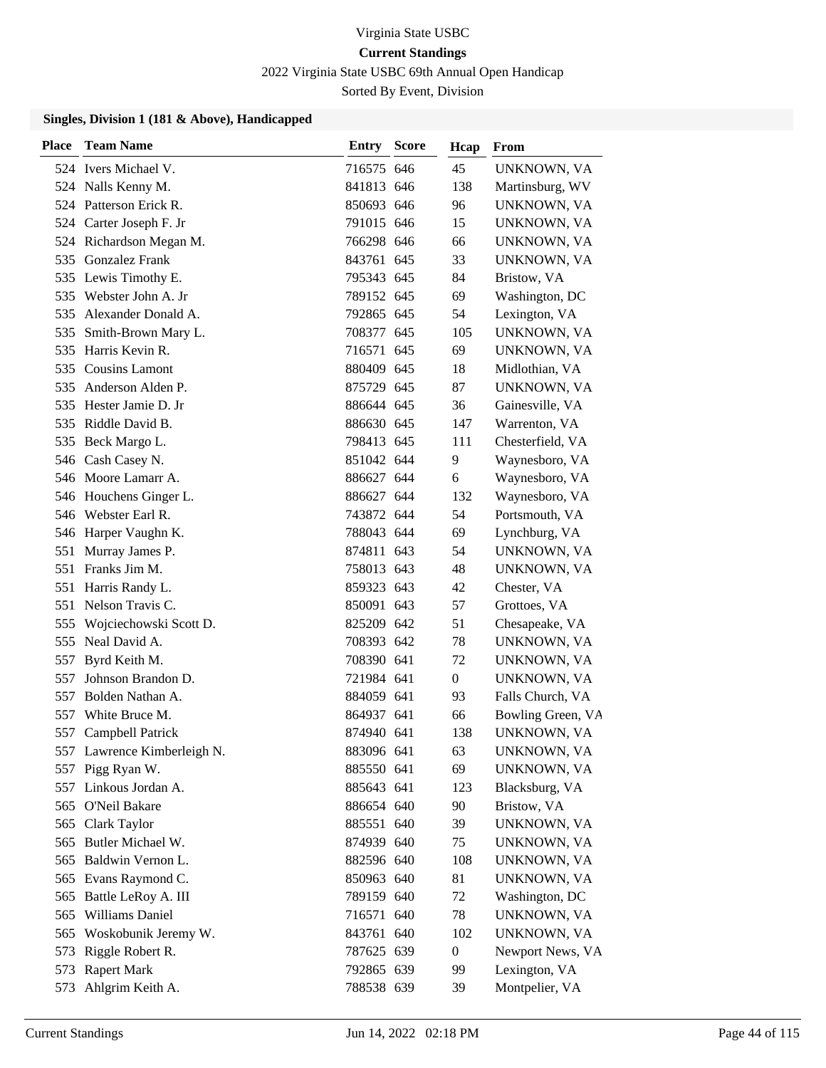2022 Virginia State USBC 69th Annual Open Handicap

Sorted By Event, Division

| <b>Place</b> | <b>Team Name</b>            | <b>Entry Score</b> | Hcap         | From              |
|--------------|-----------------------------|--------------------|--------------|-------------------|
|              | 524 Ivers Michael V.        | 716575 646         | 45           | UNKNOWN, VA       |
|              | 524 Nalls Kenny M.          | 841813 646         | 138          | Martinsburg, WV   |
|              | 524 Patterson Erick R.      | 850693 646         | 96           | UNKNOWN, VA       |
|              | 524 Carter Joseph F. Jr     | 791015 646         | 15           | UNKNOWN, VA       |
|              | 524 Richardson Megan M.     | 766298 646         | 66           | UNKNOWN, VA       |
|              | 535 Gonzalez Frank          | 843761 645         | 33           | UNKNOWN, VA       |
|              | 535 Lewis Timothy E.        | 795343 645         | 84           | Bristow, VA       |
|              | 535 Webster John A. Jr      | 789152 645         | 69           | Washington, DC    |
| 535          | Alexander Donald A.         | 792865 645         | 54           | Lexington, VA     |
| 535          | Smith-Brown Mary L.         | 708377 645         | 105          | UNKNOWN, VA       |
| 535          | Harris Kevin R.             | 716571 645         | 69           | UNKNOWN, VA       |
|              | 535 Cousins Lamont          | 880409 645         | 18           | Midlothian, VA    |
| 535          | Anderson Alden P.           | 875729 645         | 87           | UNKNOWN, VA       |
| 535          | Hester Jamie D. Jr          | 886644 645         | 36           | Gainesville, VA   |
|              | 535 Riddle David B.         | 886630 645         | 147          | Warrenton, VA     |
|              | 535 Beck Margo L.           | 798413 645         | 111          | Chesterfield, VA  |
|              | 546 Cash Casey N.           | 851042 644         | 9            | Waynesboro, VA    |
|              | 546 Moore Lamarr A.         | 886627 644         | 6            | Waynesboro, VA    |
|              | 546 Houchens Ginger L.      | 886627 644         | 132          | Waynesboro, VA    |
|              | 546 Webster Earl R.         | 743872 644         | 54           | Portsmouth, VA    |
|              | 546 Harper Vaughn K.        | 788043 644         | 69           | Lynchburg, VA     |
| 551          | Murray James P.             | 874811 643         | 54           | UNKNOWN, VA       |
| 551          | Franks Jim M.               | 758013 643         | 48           | UNKNOWN, VA       |
| 551          | Harris Randy L.             | 859323 643         | 42           | Chester, VA       |
| 551          | Nelson Travis C.            | 850091 643         | 57           | Grottoes, VA      |
| 555          | Wojciechowski Scott D.      | 825209 642         | 51           | Chesapeake, VA    |
|              | 555 Neal David A.           | 708393 642         | 78           | UNKNOWN, VA       |
| 557          | Byrd Keith M.               | 708390 641         | 72           | UNKNOWN, VA       |
| 557          | Johnson Brandon D.          | 721984 641         | 0            | UNKNOWN, VA       |
| 557          | Bolden Nathan A.            | 884059 641         | 93           | Falls Church, VA  |
| 557          | White Bruce M.              | 864937 641         | 66           | Bowling Green, VA |
| 557          | <b>Campbell Patrick</b>     | 874940 641         | 138          | UNKNOWN, VA       |
|              | 557 Lawrence Kimberleigh N. | 883096 641         | 63           | UNKNOWN, VA       |
|              | 557 Pigg Ryan W.            | 885550 641         | 69           | UNKNOWN, VA       |
|              | 557 Linkous Jordan A.       | 885643 641         | 123          | Blacksburg, VA    |
|              | 565 O'Neil Bakare           | 886654 640         | 90           | Bristow, VA       |
|              | 565 Clark Taylor            | 885551 640         | 39           | UNKNOWN, VA       |
| 565          | Butler Michael W.           | 874939 640         | 75           | UNKNOWN, VA       |
|              | 565 Baldwin Vernon L.       | 882596 640         | 108          | UNKNOWN, VA       |
|              | 565 Evans Raymond C.        | 850963 640         | 81           | UNKNOWN, VA       |
| 565          | Battle LeRoy A. III         | 789159 640         | 72           | Washington, DC    |
| 565          | Williams Daniel             | 716571 640         | 78           | UNKNOWN, VA       |
|              | 565 Woskobunik Jeremy W.    | 843761 640         | 102          | UNKNOWN, VA       |
| 573          | Riggle Robert R.            | 787625 639         | $\mathbf{0}$ | Newport News, VA  |
| 573          | <b>Rapert Mark</b>          | 792865 639         | 99           | Lexington, VA     |
| 573          | Ahlgrim Keith A.            | 788538 639         | 39           | Montpelier, VA    |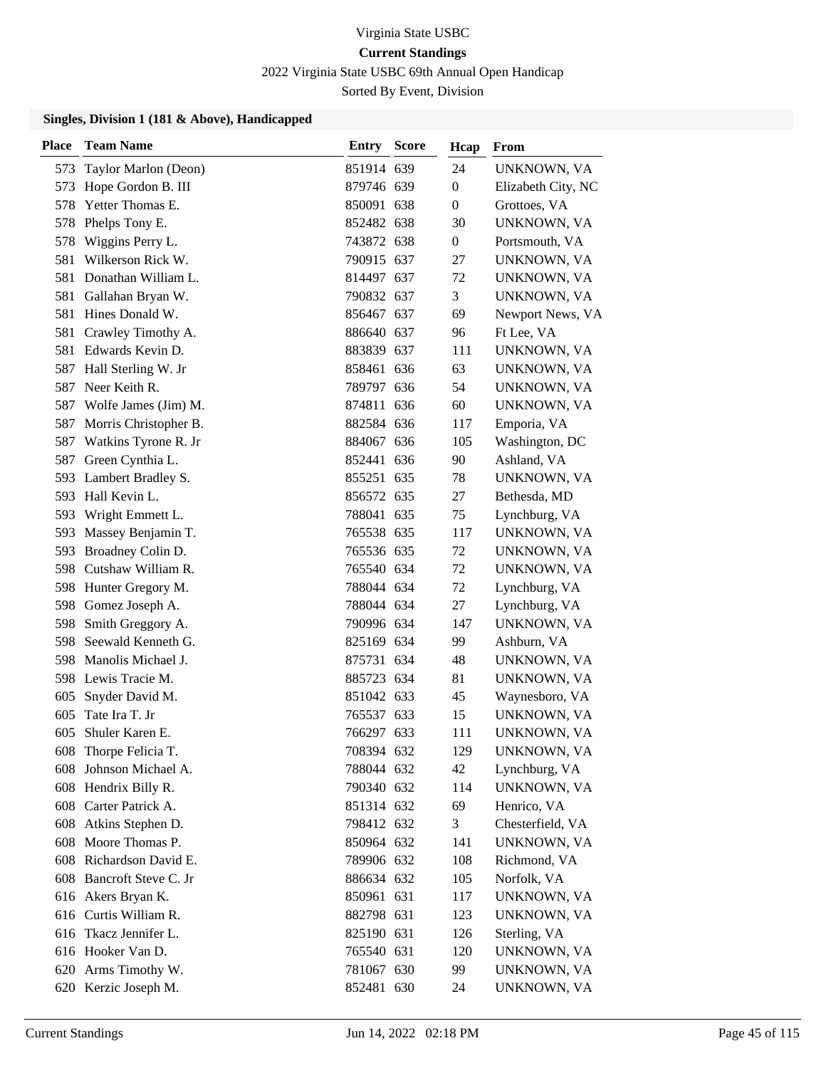2022 Virginia State USBC 69th Annual Open Handicap

Sorted By Event, Division

| <b>Place</b> | <b>Team Name</b>          | <b>Entry Score</b> | Hcap             | From               |
|--------------|---------------------------|--------------------|------------------|--------------------|
| 573          | Taylor Marlon (Deon)      | 851914 639         | 24               | UNKNOWN, VA        |
| 573          | Hope Gordon B. III        | 879746 639         | $\boldsymbol{0}$ | Elizabeth City, NC |
| 578          | Yetter Thomas E.          | 850091 638         | $\overline{0}$   | Grottoes, VA       |
| 578          | Phelps Tony E.            | 852482 638         | 30               | UNKNOWN, VA        |
| 578          | Wiggins Perry L.          | 743872 638         | $\overline{0}$   | Portsmouth, VA     |
| 581          | Wilkerson Rick W.         | 790915 637         | 27               | UNKNOWN, VA        |
| 581          | Donathan William L.       | 814497 637         | 72               | UNKNOWN, VA        |
| 581          | Gallahan Bryan W.         | 790832 637         | 3                | UNKNOWN, VA        |
| 581          | Hines Donald W.           | 856467 637         | 69               | Newport News, VA   |
| 581          | Crawley Timothy A.        | 886640 637         | 96               | Ft Lee, VA         |
| 581          | Edwards Kevin D.          | 883839 637         | 111              | UNKNOWN, VA        |
| 587          | Hall Sterling W. Jr       | 858461 636         | 63               | UNKNOWN, VA        |
| 587          | Neer Keith R.             | 789797 636         | 54               | UNKNOWN, VA        |
| 587          | Wolfe James (Jim) M.      | 874811 636         | 60               | UNKNOWN, VA        |
|              | 587 Morris Christopher B. | 882584 636         | 117              | Emporia, VA        |
| 587          | Watkins Tyrone R. Jr      | 884067 636         | 105              | Washington, DC     |
| 587          | Green Cynthia L.          | 852441 636         | 90               | Ashland, VA        |
| 593          | Lambert Bradley S.        | 855251 635         | 78               | UNKNOWN, VA        |
|              | 593 Hall Kevin L.         | 856572 635         | 27               | Bethesda, MD       |
| 593          | Wright Emmett L.          | 788041 635         | 75               | Lynchburg, VA      |
| 593          | Massey Benjamin T.        | 765538 635         | 117              | UNKNOWN, VA        |
| 593          | Broadney Colin D.         | 765536 635         | 72               | UNKNOWN, VA        |
|              | 598 Cutshaw William R.    | 765540 634         | 72               | UNKNOWN, VA        |
| 598          | Hunter Gregory M.         | 788044 634         | 72               | Lynchburg, VA      |
| 598          | Gomez Joseph A.           | 788044 634         | 27               | Lynchburg, VA      |
| 598          | Smith Greggory A.         | 790996 634         | 147              | UNKNOWN, VA        |
| 598          | Seewald Kenneth G.        | 825169 634         | 99               | Ashburn, VA        |
| 598          | Manolis Michael J.        | 875731 634         | 48               | UNKNOWN, VA        |
|              | 598 Lewis Tracie M.       | 885723 634         | 81               | UNKNOWN, VA        |
| 605          | Snyder David M.           | 851042 633         | 45               | Waynesboro, VA     |
| 605          | Tate Ira T. Jr            | 765537 633         | 15               | UNKNOWN, VA        |
| 605          | Shuler Karen E.           | 766297 633         | 111              | UNKNOWN, VA        |
|              | 608 Thorpe Felicia T.     | 708394 632         | 129              | UNKNOWN, VA        |
| 608          | Johnson Michael A.        | 788044 632         | 42               | Lynchburg, VA      |
|              | 608 Hendrix Billy R.      | 790340 632         | 114              | UNKNOWN, VA        |
|              | 608 Carter Patrick A.     | 851314 632         | 69               | Henrico, VA        |
|              | 608 Atkins Stephen D.     | 798412 632         | 3                | Chesterfield, VA   |
|              | 608 Moore Thomas P.       | 850964 632         | 141              | UNKNOWN, VA        |
|              | 608 Richardson David E.   | 789906 632         | 108              | Richmond, VA       |
|              | 608 Bancroft Steve C. Jr  | 886634 632         | 105              | Norfolk, VA        |
|              | 616 Akers Bryan K.        | 850961 631         | 117              | UNKNOWN, VA        |
|              | 616 Curtis William R.     | 882798 631         | 123              | UNKNOWN, VA        |
|              | 616 Tkacz Jennifer L.     | 825190 631         | 126              | Sterling, VA       |
|              | 616 Hooker Van D.         | 765540 631         | 120              | UNKNOWN, VA        |
|              | 620 Arms Timothy W.       | 781067 630         | 99               | UNKNOWN, VA        |
|              | 620 Kerzic Joseph M.      | 852481 630         | 24               | UNKNOWN, VA        |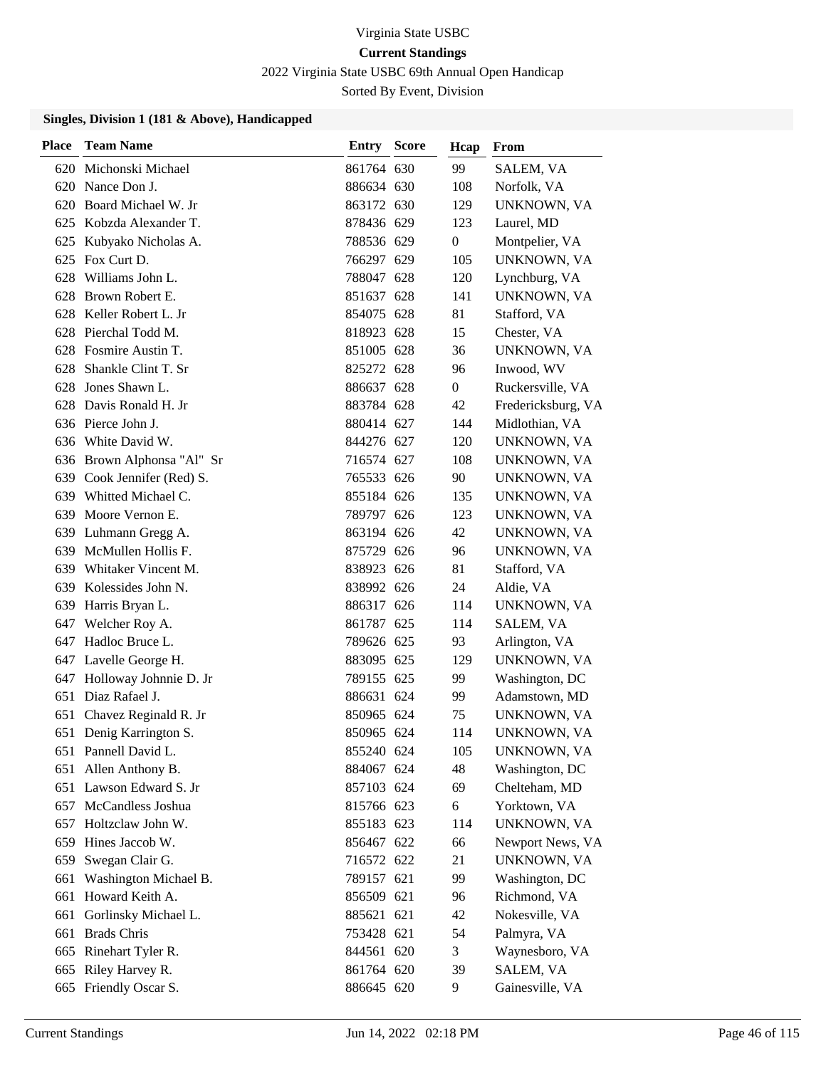2022 Virginia State USBC 69th Annual Open Handicap

Sorted By Event, Division

| <b>Place</b> | <b>Team Name</b>           | Entry      | <b>Score</b> | Hcap             | From               |
|--------------|----------------------------|------------|--------------|------------------|--------------------|
| 620          | Michonski Michael          | 861764 630 |              | 99               | SALEM, VA          |
| 620          | Nance Don J.               | 886634 630 |              | 108              | Norfolk, VA        |
| 620          | Board Michael W. Jr        | 863172 630 |              | 129              | UNKNOWN, VA        |
|              | 625 Kobzda Alexander T.    | 878436 629 |              | 123              | Laurel, MD         |
| 625          | Kubyako Nicholas A.        | 788536 629 |              | $\boldsymbol{0}$ | Montpelier, VA     |
| 625          | Fox Curt D.                | 766297 629 |              | 105              | UNKNOWN, VA        |
| 628          | Williams John L.           | 788047 628 |              | 120              | Lynchburg, VA      |
| 628          | Brown Robert E.            | 851637 628 |              | 141              | UNKNOWN, VA        |
| 628          | Keller Robert L. Jr        | 854075 628 |              | 81               | Stafford, VA       |
| 628          | Pierchal Todd M.           | 818923 628 |              | 15               | Chester, VA        |
| 628          | Fosmire Austin T.          | 851005 628 |              | 36               | UNKNOWN, VA        |
| 628          | Shankle Clint T. Sr        | 825272 628 |              | 96               | Inwood, WV         |
| 628          | Jones Shawn L.             | 886637 628 |              | $\overline{0}$   | Ruckersville, VA   |
| 628          | Davis Ronald H. Jr         | 883784 628 |              | 42               | Fredericksburg, VA |
|              | 636 Pierce John J.         | 880414 627 |              | 144              | Midlothian, VA     |
|              | 636 White David W.         | 844276 627 |              | 120              | UNKNOWN, VA        |
|              | 636 Brown Alphonsa "Al" Sr | 716574 627 |              | 108              | UNKNOWN, VA        |
| 639          | Cook Jennifer (Red) S.     | 765533 626 |              | 90               | UNKNOWN, VA        |
| 639          | Whitted Michael C.         | 855184 626 |              | 135              | UNKNOWN, VA        |
| 639          | Moore Vernon E.            | 789797 626 |              | 123              | UNKNOWN, VA        |
| 639          | Luhmann Gregg A.           | 863194 626 |              | 42               | UNKNOWN, VA        |
| 639          | McMullen Hollis F.         | 875729 626 |              | 96               | UNKNOWN, VA        |
| 639          | Whitaker Vincent M.        | 838923 626 |              | 81               | Stafford, VA       |
| 639          | Kolessides John N.         | 838992 626 |              | 24               | Aldie, VA          |
| 639          | Harris Bryan L.            | 886317 626 |              | 114              | UNKNOWN, VA        |
| 647          | Welcher Roy A.             | 861787 625 |              | 114              | SALEM, VA          |
|              | 647 Hadloc Bruce L.        | 789626 625 |              | 93               | Arlington, VA      |
|              | 647 Lavelle George H.      | 883095 625 |              | 129              | UNKNOWN, VA        |
| 647          | Holloway Johnnie D. Jr     | 789155 625 |              | 99               | Washington, DC     |
| 651          | Diaz Rafael J.             | 886631 624 |              | 99               | Adamstown, MD      |
| 651          | Chavez Reginald R. Jr      | 850965 624 |              | 75               | UNKNOWN, VA        |
|              | 651 Denig Karrington S.    | 850965 624 |              | 114              | UNKNOWN, VA        |
|              | 651 Pannell David L.       | 855240 624 |              | 105              | UNKNOWN, VA        |
| 651          | Allen Anthony B.           | 884067 624 |              | 48               | Washington, DC     |
|              | 651 Lawson Edward S. Jr    | 857103 624 |              | 69               | Chelteham, MD      |
|              | 657 McCandless Joshua      | 815766 623 |              | 6                | Yorktown, VA       |
| 657          | Holtzclaw John W.          | 855183 623 |              | 114              | UNKNOWN, VA        |
| 659          | Hines Jaccob W.            | 856467 622 |              | 66               | Newport News, VA   |
| 659          | Swegan Clair G.            | 716572 622 |              | 21               | UNKNOWN, VA        |
| 661          | Washington Michael B.      | 789157 621 |              | 99               | Washington, DC     |
| 661          | Howard Keith A.            | 856509 621 |              | 96               | Richmond, VA       |
| 661          | Gorlinsky Michael L.       | 885621 621 |              | 42               | Nokesville, VA     |
| 661          | <b>Brads Chris</b>         | 753428 621 |              | 54               | Palmyra, VA        |
|              | 665 Rinehart Tyler R.      | 844561 620 |              | 3                | Waynesboro, VA     |
| 665          | Riley Harvey R.            | 861764 620 |              | 39               | SALEM, VA          |
| 665          | Friendly Oscar S.          | 886645 620 |              | 9                | Gainesville, VA    |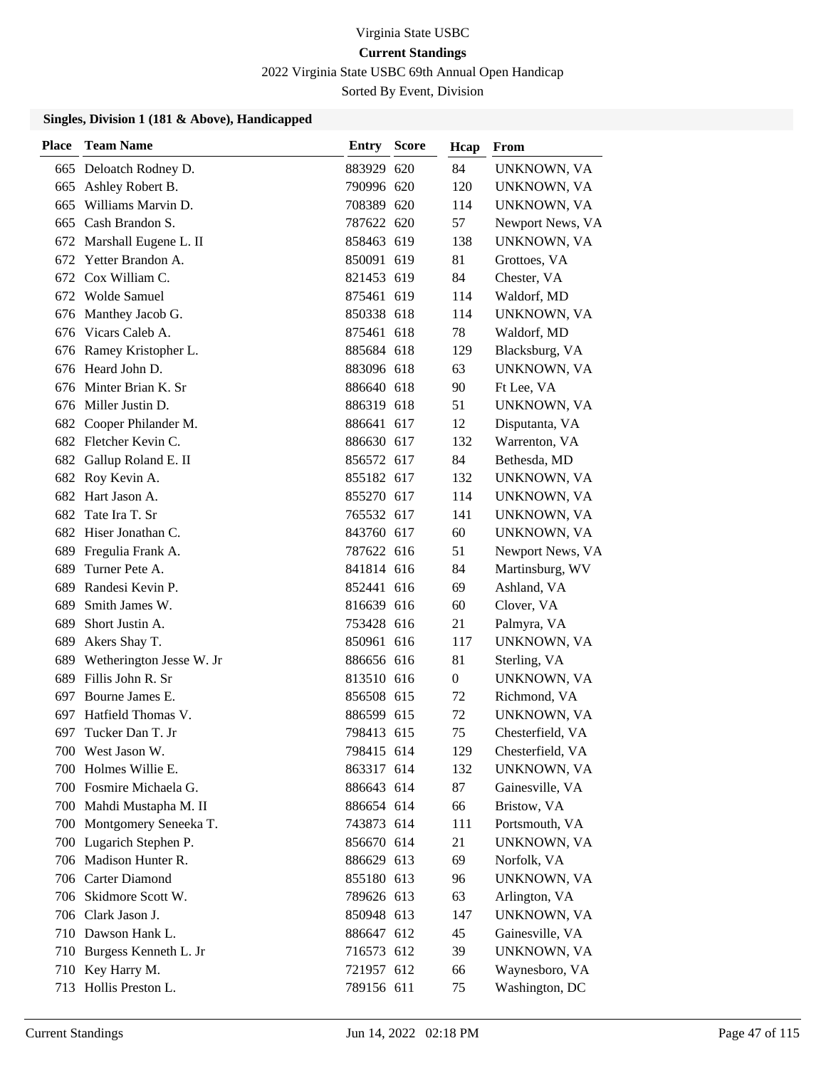2022 Virginia State USBC 69th Annual Open Handicap

Sorted By Event, Division

| <b>Place</b> | <b>Team Name</b>          | Entry      | <b>Score</b> | Hcap | From             |
|--------------|---------------------------|------------|--------------|------|------------------|
|              | 665 Deloatch Rodney D.    | 883929 620 |              | 84   | UNKNOWN, VA      |
|              | 665 Ashley Robert B.      | 790996 620 |              | 120  | UNKNOWN, VA      |
| 665          | Williams Marvin D.        | 708389 620 |              | 114  | UNKNOWN, VA      |
|              | 665 Cash Brandon S.       | 787622 620 |              | 57   | Newport News, VA |
| 672          | Marshall Eugene L. II     | 858463 619 |              | 138  | UNKNOWN, VA      |
|              | 672 Yetter Brandon A.     | 850091 619 |              | 81   | Grottoes, VA     |
|              | 672 Cox William C.        | 821453 619 |              | 84   | Chester, VA      |
|              | 672 Wolde Samuel          | 875461 619 |              | 114  | Waldorf, MD      |
|              | 676 Manthey Jacob G.      | 850338 618 |              | 114  | UNKNOWN, VA      |
|              | 676 Vicars Caleb A.       | 875461 618 |              | 78   | Waldorf, MD      |
|              | 676 Ramey Kristopher L.   | 885684 618 |              | 129  | Blacksburg, VA   |
|              | 676 Heard John D.         | 883096 618 |              | 63   | UNKNOWN, VA      |
| 676          | Minter Brian K. Sr        | 886640 618 |              | 90   | Ft Lee, VA       |
|              | 676 Miller Justin D.      | 886319 618 |              | 51   | UNKNOWN, VA      |
|              | 682 Cooper Philander M.   | 886641 617 |              | 12   | Disputanta, VA   |
|              | 682 Fletcher Kevin C.     | 886630 617 |              | 132  | Warrenton, VA    |
| 682          | Gallup Roland E. II       | 856572 617 |              | 84   | Bethesda, MD     |
|              | 682 Roy Kevin A.          | 855182 617 |              | 132  | UNKNOWN, VA      |
|              | 682 Hart Jason A.         | 855270 617 |              | 114  | UNKNOWN, VA      |
|              | 682 Tate Ira T. Sr        | 765532 617 |              | 141  | UNKNOWN, VA      |
| 682          | Hiser Jonathan C.         | 843760 617 |              | 60   | UNKNOWN, VA      |
| 689          | Fregulia Frank A.         | 787622 616 |              | 51   | Newport News, VA |
| 689          | Turner Pete A.            | 841814 616 |              | 84   | Martinsburg, WV  |
| 689          | Randesi Kevin P.          | 852441 616 |              | 69   | Ashland, VA      |
| 689          | Smith James W.            | 816639 616 |              | 60   | Clover, VA       |
| 689          | Short Justin A.           | 753428 616 |              | 21   | Palmyra, VA      |
| 689          | Akers Shay T.             | 850961 616 |              | 117  | UNKNOWN, VA      |
| 689          | Wetherington Jesse W. Jr  | 886656 616 |              | 81   | Sterling, VA     |
| 689          | Fillis John R. Sr         | 813510 616 |              | 0    | UNKNOWN, VA      |
| 697          | Bourne James E.           | 856508 615 |              | 72   | Richmond, VA     |
| 697          | Hatfield Thomas V.        | 886599 615 |              | 72   | UNKNOWN, VA      |
| 697          | Tucker Dan T. Jr          | 798413 615 |              | 75   | Chesterfield, VA |
|              | 700 West Jason W.         | 798415 614 |              | 129  | Chesterfield, VA |
|              | 700 Holmes Willie E.      | 863317 614 |              | 132  | UNKNOWN, VA      |
|              | 700 Fosmire Michaela G.   | 886643 614 |              | 87   | Gainesville, VA  |
|              | 700 Mahdi Mustapha M. II  | 886654 614 |              | 66   | Bristow, VA      |
|              | 700 Montgomery Seneeka T. | 743873 614 |              | 111  | Portsmouth, VA   |
|              | 700 Lugarich Stephen P.   | 856670 614 |              | 21   | UNKNOWN, VA      |
|              | 706 Madison Hunter R.     | 886629 613 |              | 69   | Norfolk, VA      |
|              | 706 Carter Diamond        | 855180 613 |              | 96   | UNKNOWN, VA      |
|              | 706 Skidmore Scott W.     | 789626 613 |              | 63   | Arlington, VA    |
|              | 706 Clark Jason J.        | 850948 613 |              | 147  | UNKNOWN, VA      |
|              | 710 Dawson Hank L.        | 886647 612 |              | 45   | Gainesville, VA  |
|              | 710 Burgess Kenneth L. Jr | 716573 612 |              | 39   | UNKNOWN, VA      |
|              | 710 Key Harry M.          | 721957 612 |              | 66   | Waynesboro, VA   |
|              | 713 Hollis Preston L.     | 789156 611 |              | 75   | Washington, DC   |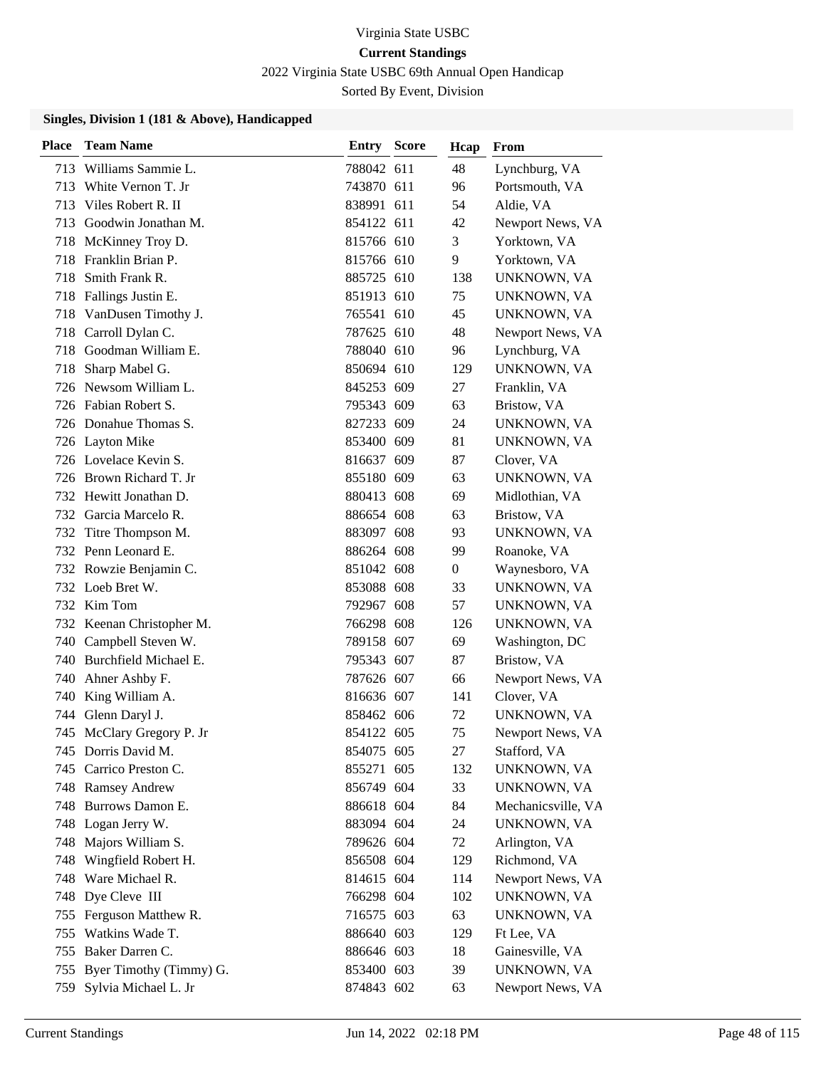2022 Virginia State USBC 69th Annual Open Handicap

Sorted By Event, Division

| <b>Place</b> | <b>Team Name</b>          | <b>Entry Score</b> | Hcap           | From               |
|--------------|---------------------------|--------------------|----------------|--------------------|
|              | 713 Williams Sammie L.    | 788042 611         | 48             | Lynchburg, VA      |
| 713          | White Vernon T. Jr        | 743870 611         | 96             | Portsmouth, VA     |
| 713          | Viles Robert R. II        | 838991 611         | 54             | Aldie, VA          |
|              | 713 Goodwin Jonathan M.   | 854122 611         | 42             | Newport News, VA   |
|              | 718 McKinney Troy D.      | 815766 610         | 3              | Yorktown, VA       |
| 718          | Franklin Brian P.         | 815766 610         | 9              | Yorktown, VA       |
|              | 718 Smith Frank R.        | 885725 610         | 138            | UNKNOWN, VA        |
|              | 718 Fallings Justin E.    | 851913 610         | 75             | UNKNOWN, VA        |
|              | 718 VanDusen Timothy J.   | 765541 610         | 45             | UNKNOWN, VA        |
|              | 718 Carroll Dylan C.      | 787625 610         | 48             | Newport News, VA   |
|              | 718 Goodman William E.    | 788040 610         | 96             | Lynchburg, VA      |
| 718          | Sharp Mabel G.            | 850694 610         | 129            | UNKNOWN, VA        |
|              | 726 Newsom William L.     | 845253 609         | 27             | Franklin, VA       |
|              | 726 Fabian Robert S.      | 795343 609         | 63             | Bristow, VA        |
|              | 726 Donahue Thomas S.     | 827233 609         | 24             | UNKNOWN, VA        |
|              | 726 Layton Mike           | 853400 609         | 81             | UNKNOWN, VA        |
|              | 726 Lovelace Kevin S.     | 816637 609         | 87             | Clover, VA         |
|              | 726 Brown Richard T. Jr   | 855180 609         | 63             | UNKNOWN, VA        |
|              | 732 Hewitt Jonathan D.    | 880413 608         | 69             | Midlothian, VA     |
|              | 732 Garcia Marcelo R.     | 886654 608         | 63             | Bristow, VA        |
| 732          | Titre Thompson M.         | 883097 608         | 93             | UNKNOWN, VA        |
|              | 732 Penn Leonard E.       | 886264 608         | 99             | Roanoke, VA        |
|              | 732 Rowzie Benjamin C.    | 851042 608         | $\overline{0}$ | Waynesboro, VA     |
|              | 732 Loeb Bret W.          | 853088 608         | 33             | UNKNOWN, VA        |
|              | 732 Kim Tom               | 792967 608         | 57             | UNKNOWN, VA        |
|              | 732 Keenan Christopher M. | 766298 608         | 126            | UNKNOWN, VA        |
|              | 740 Campbell Steven W.    | 789158 607         | 69             | Washington, DC     |
|              | 740 Burchfield Michael E. | 795343 607         | 87             | Bristow, VA        |
| 740          | Ahner Ashby F.            | 787626 607         | 66             | Newport News, VA   |
| 740          | King William A.           | 816636 607         | 141            | Clover, VA         |
|              | 744 Glenn Daryl J.        | 858462 606         | 72             | UNKNOWN, VA        |
|              | 745 McClary Gregory P. Jr | 854122 605         | 75             | Newport News, VA   |
|              | 745 Dorris David M.       | 854075 605         | 27             | Stafford, VA       |
|              | 745 Carrico Preston C.    | 855271 605         | 132            | UNKNOWN, VA        |
|              | 748 Ramsey Andrew         | 856749 604         | 33             | UNKNOWN, VA        |
|              | 748 Burrows Damon E.      | 886618 604         | 84             | Mechanicsville, VA |
|              | 748 Logan Jerry W.        | 883094 604         | 24             | UNKNOWN, VA        |
| 748          | Majors William S.         | 789626 604         | 72             | Arlington, VA      |
|              | 748 Wingfield Robert H.   | 856508 604         | 129            | Richmond, VA       |
| 748          | Ware Michael R.           | 814615 604         | 114            | Newport News, VA   |
| 748          | Dye Cleve III             | 766298 604         | 102            | UNKNOWN, VA        |
|              | 755 Ferguson Matthew R.   | 716575 603         | 63             | UNKNOWN, VA        |
|              | 755 Watkins Wade T.       | 886640 603         | 129            | Ft Lee, VA         |
| 755          | Baker Darren C.           | 886646 603         | 18             | Gainesville, VA    |
| 755          | Byer Timothy (Timmy) G.   | 853400 603         | 39             | UNKNOWN, VA        |
| 759          | Sylvia Michael L. Jr      | 874843 602         | 63             | Newport News, VA   |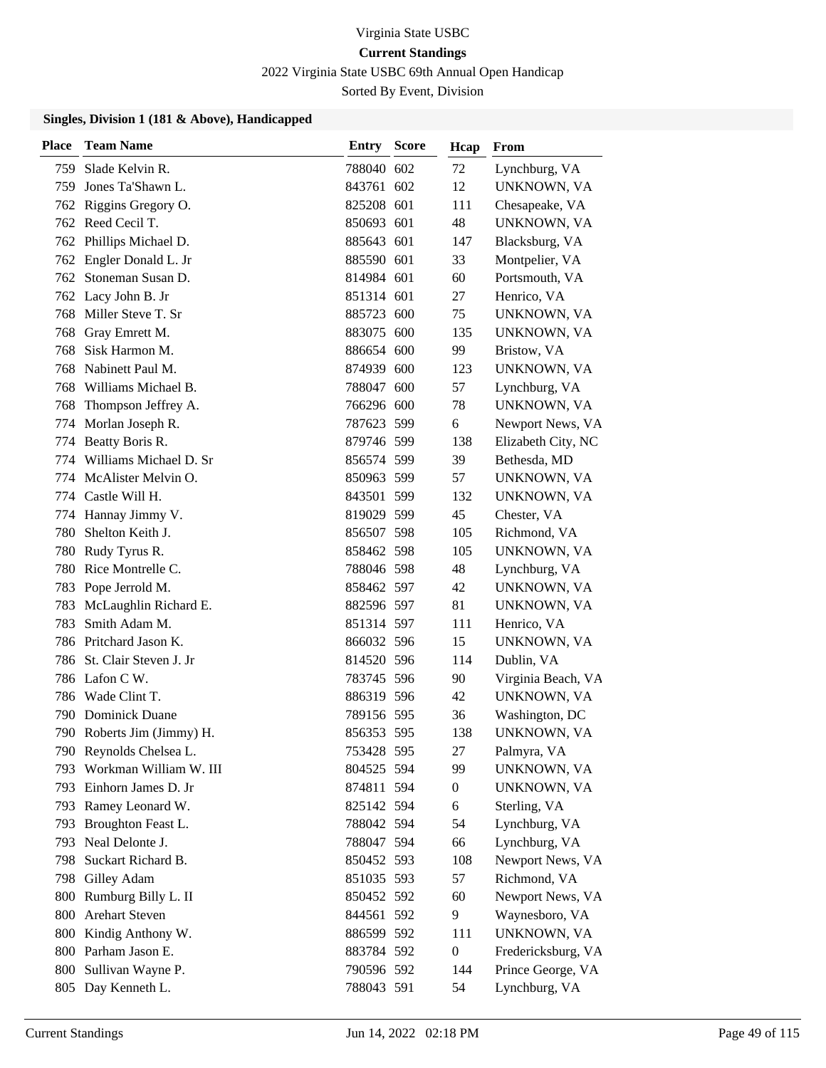2022 Virginia State USBC 69th Annual Open Handicap

Sorted By Event, Division

| <b>Place</b> | <b>Team Name</b>           | Entry      | <b>Score</b> | Hcap             | From               |
|--------------|----------------------------|------------|--------------|------------------|--------------------|
| 759          | Slade Kelvin R.            | 788040 602 |              | 72               | Lynchburg, VA      |
| 759          | Jones Ta'Shawn L.          | 843761 602 |              | 12               | UNKNOWN, VA        |
|              | 762 Riggins Gregory O.     | 825208 601 |              | 111              | Chesapeake, VA     |
|              | 762 Reed Cecil T.          | 850693 601 |              | 48               | UNKNOWN, VA        |
| 762          | Phillips Michael D.        | 885643 601 |              | 147              | Blacksburg, VA     |
|              | 762 Engler Donald L. Jr    | 885590 601 |              | 33               | Montpelier, VA     |
| 762          | Stoneman Susan D.          | 814984 601 |              | 60               | Portsmouth, VA     |
|              | 762 Lacy John B. Jr        | 851314 601 |              | 27               | Henrico, VA        |
| 768          | Miller Steve T. Sr         | 885723 600 |              | 75               | UNKNOWN, VA        |
| 768          | Gray Emrett M.             | 883075 600 |              | 135              | UNKNOWN, VA        |
| 768          | Sisk Harmon M.             | 886654 600 |              | 99               | Bristow, VA        |
| 768          | Nabinett Paul M.           | 874939 600 |              | 123              | UNKNOWN, VA        |
| 768          | Williams Michael B.        | 788047 600 |              | 57               | Lynchburg, VA      |
| 768          | Thompson Jeffrey A.        | 766296 600 |              | 78               | UNKNOWN, VA        |
|              | 774 Morlan Joseph R.       | 787623 599 |              | 6                | Newport News, VA   |
| 774          | Beatty Boris R.            | 879746 599 |              | 138              | Elizabeth City, NC |
| 774          | Williams Michael D. Sr     | 856574 599 |              | 39               | Bethesda, MD       |
| 774          | McAlister Melvin O.        | 850963 599 |              | 57               | UNKNOWN, VA        |
|              | 774 Castle Will H.         | 843501 599 |              | 132              | UNKNOWN, VA        |
| 774          | Hannay Jimmy V.            | 819029 599 |              | 45               | Chester, VA        |
| 780          | Shelton Keith J.           | 856507 598 |              | 105              | Richmond, VA       |
| 780          | Rudy Tyrus R.              | 858462 598 |              | 105              | UNKNOWN, VA        |
|              | 780 Rice Montrelle C.      | 788046 598 |              | 48               | Lynchburg, VA      |
| 783          | Pope Jerrold M.            | 858462 597 |              | 42               | UNKNOWN, VA        |
| 783          | McLaughlin Richard E.      | 882596 597 |              | 81               | UNKNOWN, VA        |
| 783          | Smith Adam M.              | 851314 597 |              | 111              | Henrico, VA        |
|              | 786 Pritchard Jason K.     | 866032 596 |              | 15               | UNKNOWN, VA        |
| 786          | St. Clair Steven J. Jr     | 814520 596 |              | 114              | Dublin, VA         |
|              | 786 Lafon C W.             | 783745 596 |              | 90               | Virginia Beach, VA |
| 786          | Wade Clint T.              | 886319 596 |              | 42               | UNKNOWN, VA        |
| 790          | <b>Dominick Duane</b>      | 789156 595 |              | 36               | Washington, DC     |
|              | 790 Roberts Jim (Jimmy) H. | 856353 595 |              | 138              | UNKNOWN, VA        |
|              | 790 Reynolds Chelsea L.    | 753428 595 |              | 27               | Palmyra, VA        |
| 793          | Workman William W. III     | 804525 594 |              | 99               | UNKNOWN, VA        |
|              | 793 Einhorn James D. Jr    | 874811 594 |              | $\overline{0}$   | UNKNOWN, VA        |
|              | 793 Ramey Leonard W.       | 825142 594 |              | 6                | Sterling, VA       |
| 793          | Broughton Feast L.         | 788042 594 |              | 54               | Lynchburg, VA      |
| 793          | Neal Delonte J.            | 788047 594 |              | 66               | Lynchburg, VA      |
| 798          | Suckart Richard B.         | 850452 593 |              | 108              | Newport News, VA   |
|              | 798 Gilley Adam            | 851035 593 |              | 57               | Richmond, VA       |
|              | 800 Rumburg Billy L. II    | 850452 592 |              | 60               | Newport News, VA   |
| 800          | <b>Arehart Steven</b>      | 844561 592 |              | 9                | Waynesboro, VA     |
|              | 800 Kindig Anthony W.      | 886599 592 |              | 111              | UNKNOWN, VA        |
|              | 800 Parham Jason E.        | 883784 592 |              | $\boldsymbol{0}$ | Fredericksburg, VA |
| 800          | Sullivan Wayne P.          | 790596 592 |              | 144              | Prince George, VA  |
|              | 805 Day Kenneth L.         | 788043 591 |              | 54               | Lynchburg, VA      |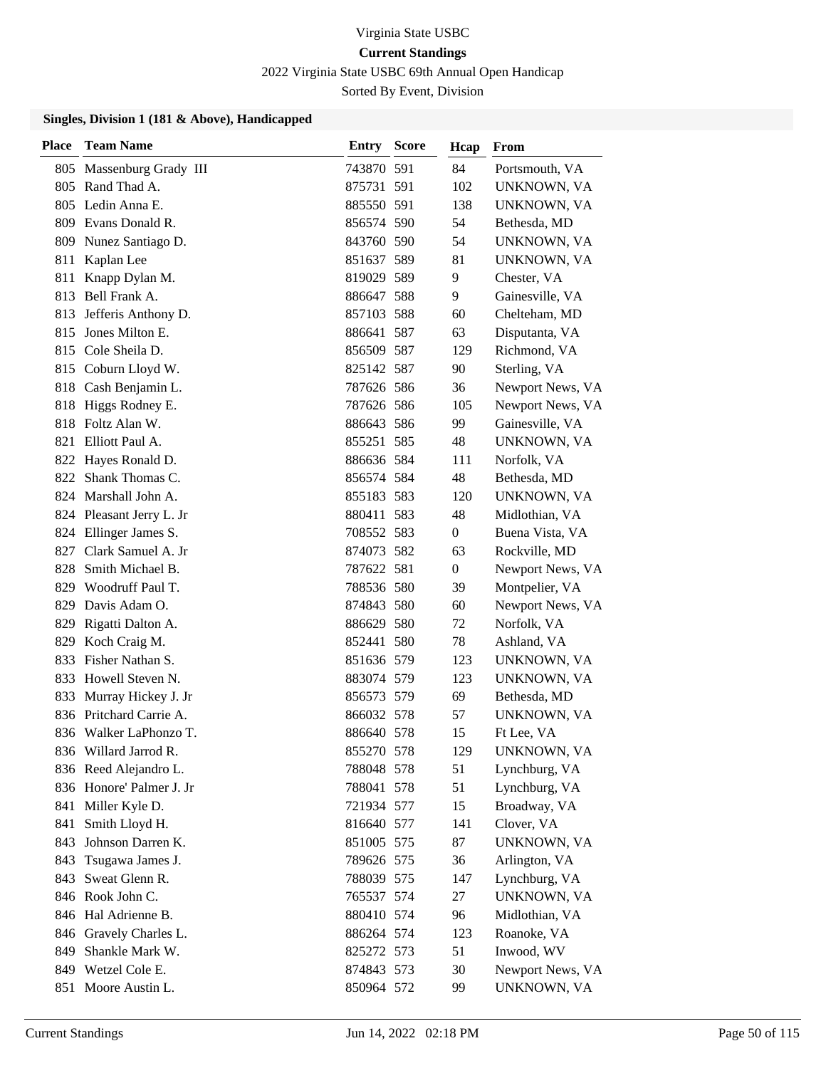2022 Virginia State USBC 69th Annual Open Handicap

Sorted By Event, Division

| <b>Place</b> | <b>Team Name</b>         | Entry      | <b>Score</b> | Hcap             | From               |
|--------------|--------------------------|------------|--------------|------------------|--------------------|
| 805          | Massenburg Grady III     | 743870 591 |              | 84               | Portsmouth, VA     |
| 805          | Rand Thad A.             | 875731 591 |              | 102              | UNKNOWN, VA        |
|              | 805 Ledin Anna E.        | 885550 591 |              | 138              | UNKNOWN, VA        |
|              | 809 Evans Donald R.      | 856574 590 |              | 54               | Bethesda, MD       |
| 809          | Nunez Santiago D.        | 843760 590 |              | 54               | UNKNOWN, VA        |
| 811          | Kaplan Lee               | 851637 589 |              | 81               | UNKNOWN, VA        |
| 811          | Knapp Dylan M.           | 819029 589 |              | 9                | Chester, VA        |
| 813          | Bell Frank A.            | 886647 588 |              | 9                | Gainesville, VA    |
| 813          | Jefferis Anthony D.      | 857103 588 |              | 60               | Chelteham, MD      |
| 815          | Jones Milton E.          | 886641 587 |              | 63               | Disputanta, VA     |
| 815          | Cole Sheila D.           | 856509 587 |              | 129              | Richmond, VA       |
|              | 815 Coburn Lloyd W.      | 825142 587 |              | 90               | Sterling, VA       |
| 818          | Cash Benjamin L.         | 787626 586 |              | 36               | Newport News, VA   |
| 818          | Higgs Rodney E.          | 787626 586 |              | 105              | Newport News, VA   |
| 818          | Foltz Alan W.            | 886643 586 |              | 99               | Gainesville, VA    |
|              | 821 Elliott Paul A.      | 855251 585 |              | 48               | UNKNOWN, VA        |
| 822          | Hayes Ronald D.          | 886636 584 |              | 111              | Norfolk, VA        |
| 822          | Shank Thomas C.          | 856574 584 |              | 48               | Bethesda, MD       |
|              | 824 Marshall John A.     | 855183 583 |              | 120              | UNKNOWN, VA        |
|              | 824 Pleasant Jerry L. Jr | 880411 583 |              | 48               | Midlothian, VA     |
| 824          | Ellinger James S.        | 708552 583 |              | $\mathbf{0}$     | Buena Vista, VA    |
| 827          | Clark Samuel A. Jr       | 874073 582 |              | 63               | Rockville, MD      |
| 828          | Smith Michael B.         | 787622 581 |              | $\boldsymbol{0}$ | Newport News, VA   |
| 829          | Woodruff Paul T.         | 788536 580 |              | 39               | Montpelier, VA     |
| 829          | Davis Adam O.            | 874843 580 |              | 60               | Newport News, VA   |
| 829          | Rigatti Dalton A.        | 886629 580 |              | 72               | Norfolk, VA        |
|              | 829 Koch Craig M.        | 852441 580 |              | 78               | Ashland, VA        |
| 833          | Fisher Nathan S.         | 851636 579 |              | 123              | UNKNOWN, VA        |
| 833          | Howell Steven N.         | 883074 579 |              | 123              | UNKNOWN, VA        |
| 833          | Murray Hickey J. Jr      | 856573 579 |              | 69               | Bethesda, MD       |
|              | 836 Pritchard Carrie A.  | 866032 578 |              | 57               | UNKNOWN, VA        |
|              | 836 Walker LaPhonzo T.   | 886640 578 |              | 15               | Ft Lee, VA         |
|              | 836 Willard Jarrod R.    | 855270 578 |              | 129              | UNKNOWN, VA        |
|              | 836 Reed Alejandro L.    | 788048 578 |              | 51               | Lynchburg, VA      |
|              | 836 Honore' Palmer J. Jr | 788041 578 |              | 51               | Lynchburg, VA      |
|              | 841 Miller Kyle D.       | 721934 577 |              | 15               | Broadway, VA       |
| 841          | Smith Lloyd H.           | 816640 577 |              | 141              | Clover, VA         |
| 843          | Johnson Darren K.        | 851005 575 |              | 87               | UNKNOWN, VA        |
| 843          | Tsugawa James J.         | 789626 575 |              | 36               | Arlington, VA      |
| 843          | Sweat Glenn R.           | 788039 575 |              | 147              | Lynchburg, VA      |
|              | 846 Rook John C.         | 765537 574 |              | 27               | <b>UNKNOWN, VA</b> |
|              | 846 Hal Adrienne B.      | 880410 574 |              | 96               | Midlothian, VA     |
|              | 846 Gravely Charles L.   | 886264 574 |              | 123              | Roanoke, VA        |
|              | 849 Shankle Mark W.      | 825272 573 |              | 51               | Inwood, WV         |
|              | 849 Wetzel Cole E.       | 874843 573 |              | 30               | Newport News, VA   |
|              | 851 Moore Austin L.      | 850964 572 |              | 99               | UNKNOWN, VA        |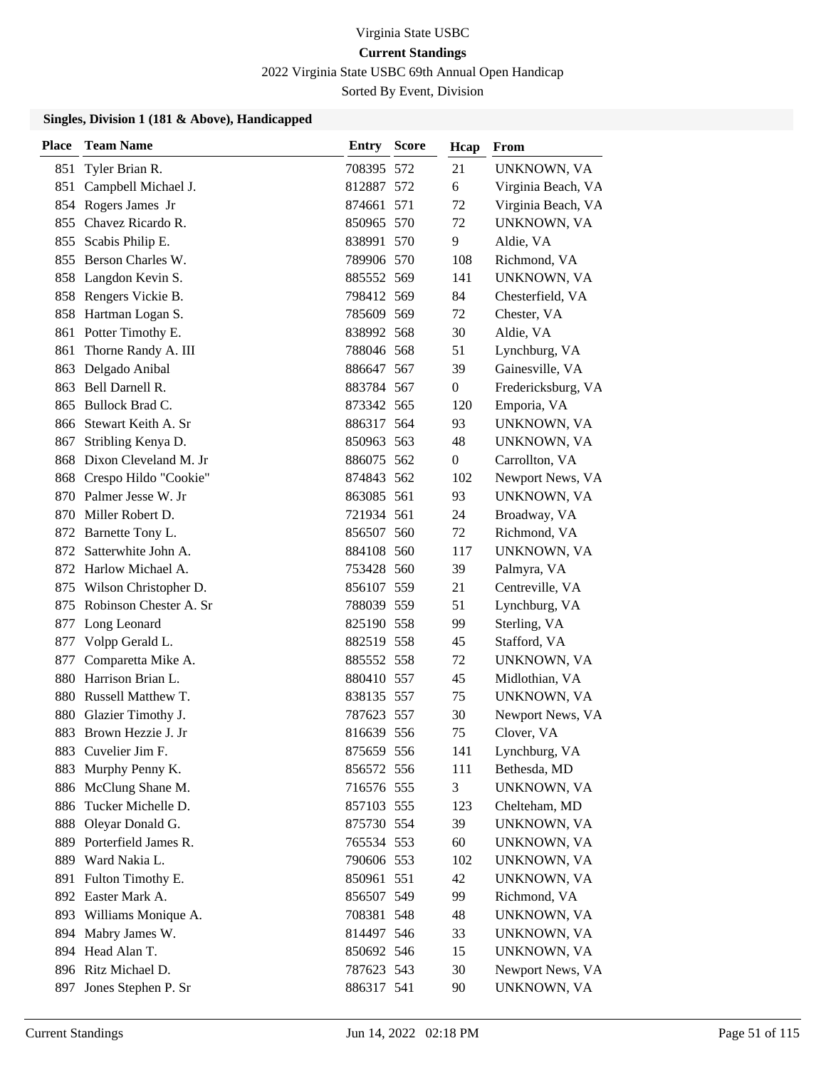2022 Virginia State USBC 69th Annual Open Handicap

Sorted By Event, Division

| <b>Place</b> | <b>Team Name</b>          | <b>Entry Score</b> | Hcap           | From               |
|--------------|---------------------------|--------------------|----------------|--------------------|
| 851          | Tyler Brian R.            | 708395 572         | 21             | UNKNOWN, VA        |
|              | 851 Campbell Michael J.   | 812887 572         | 6              | Virginia Beach, VA |
|              | 854 Rogers James Jr       | 874661 571         | 72             | Virginia Beach, VA |
| 855          | Chavez Ricardo R.         | 850965 570         | 72             | UNKNOWN, VA        |
| 855          | Scabis Philip E.          | 838991 570         | 9              | Aldie, VA          |
|              | 855 Berson Charles W.     | 789906 570         | 108            | Richmond, VA       |
|              | 858 Langdon Kevin S.      | 885552 569         | 141            | UNKNOWN, VA        |
| 858          | Rengers Vickie B.         | 798412 569         | 84             | Chesterfield, VA   |
|              | 858 Hartman Logan S.      | 785609 569         | 72             | Chester, VA        |
| 861          | Potter Timothy E.         | 838992 568         | 30             | Aldie, VA          |
| 861          | Thorne Randy A. III       | 788046 568         | 51             | Lynchburg, VA      |
| 863          | Delgado Anibal            | 886647 567         | 39             | Gainesville, VA    |
| 863          | Bell Darnell R.           | 883784 567         | $\overline{0}$ | Fredericksburg, VA |
| 865          | Bullock Brad C.           | 873342 565         | 120            | Emporia, VA        |
| 866          | Stewart Keith A. Sr       | 886317 564         | 93             | UNKNOWN, VA        |
| 867          | Stribling Kenya D.        | 850963 563         | 48             | UNKNOWN, VA        |
| 868          | Dixon Cleveland M. Jr     | 886075 562         | $\overline{0}$ | Carrollton, VA     |
|              | 868 Crespo Hildo "Cookie" | 874843 562         | 102            | Newport News, VA   |
|              | 870 Palmer Jesse W. Jr    | 863085 561         | 93             | UNKNOWN, VA        |
| 870          | Miller Robert D.          | 721934 561         | 24             | Broadway, VA       |
|              | 872 Barnette Tony L.      | 856507 560         | 72             | Richmond, VA       |
| 872          | Satterwhite John A.       | 884108 560         | 117            | UNKNOWN, VA        |
|              | 872 Harlow Michael A.     | 753428 560         | 39             | Palmyra, VA        |
| 875          | Wilson Christopher D.     | 856107 559         | 21             | Centreville, VA    |
| 875          | Robinson Chester A. Sr    | 788039 559         | 51             | Lynchburg, VA      |
| 877          | Long Leonard              | 825190 558         | 99             | Sterling, VA       |
| 877          | Volpp Gerald L.           | 882519 558         | 45             | Stafford, VA       |
| 877          | Comparetta Mike A.        | 885552 558         | 72             | UNKNOWN, VA        |
| 880          | Harrison Brian L.         | 880410 557         | 45             | Midlothian, VA     |
| 880          | Russell Matthew T.        | 838135 557         | 75             | UNKNOWN, VA        |
| 880          | Glazier Timothy J.        | 787623 557         | 30             | Newport News, VA   |
|              | 883 Brown Hezzie J. Jr    | 816639 556         | 75             | Clover, VA         |
| 883          | Cuvelier Jim F.           | 875659 556         | 141            | Lynchburg, VA      |
| 883          | Murphy Penny K.           | 856572 556         | 111            | Bethesda, MD       |
| 886          | McClung Shane M.          | 716576 555         | 3              | UNKNOWN, VA        |
| 886          | Tucker Michelle D.        | 857103 555         | 123            | Chelteham, MD      |
| 888          | Oleyar Donald G.          | 875730 554         | 39             | UNKNOWN, VA        |
| 889          | Porterfield James R.      | 765534 553         | 60             | UNKNOWN, VA        |
|              | 889 Ward Nakia L.         | 790606 553         | 102            | UNKNOWN, VA        |
| 891          | Fulton Timothy E.         | 850961 551         | 42             | UNKNOWN, VA        |
|              | 892 Easter Mark A.        | 856507 549         | 99             | Richmond, VA       |
|              | 893 Williams Monique A.   | 708381 548         | 48             | UNKNOWN, VA        |
|              | 894 Mabry James W.        | 814497 546         | 33             | UNKNOWN, VA        |
| 894          | Head Alan T.              | 850692 546         | 15             | UNKNOWN, VA        |
|              | 896 Ritz Michael D.       | 787623 543         | 30             | Newport News, VA   |
|              | 897 Jones Stephen P. Sr   | 886317 541         | 90             | UNKNOWN, VA        |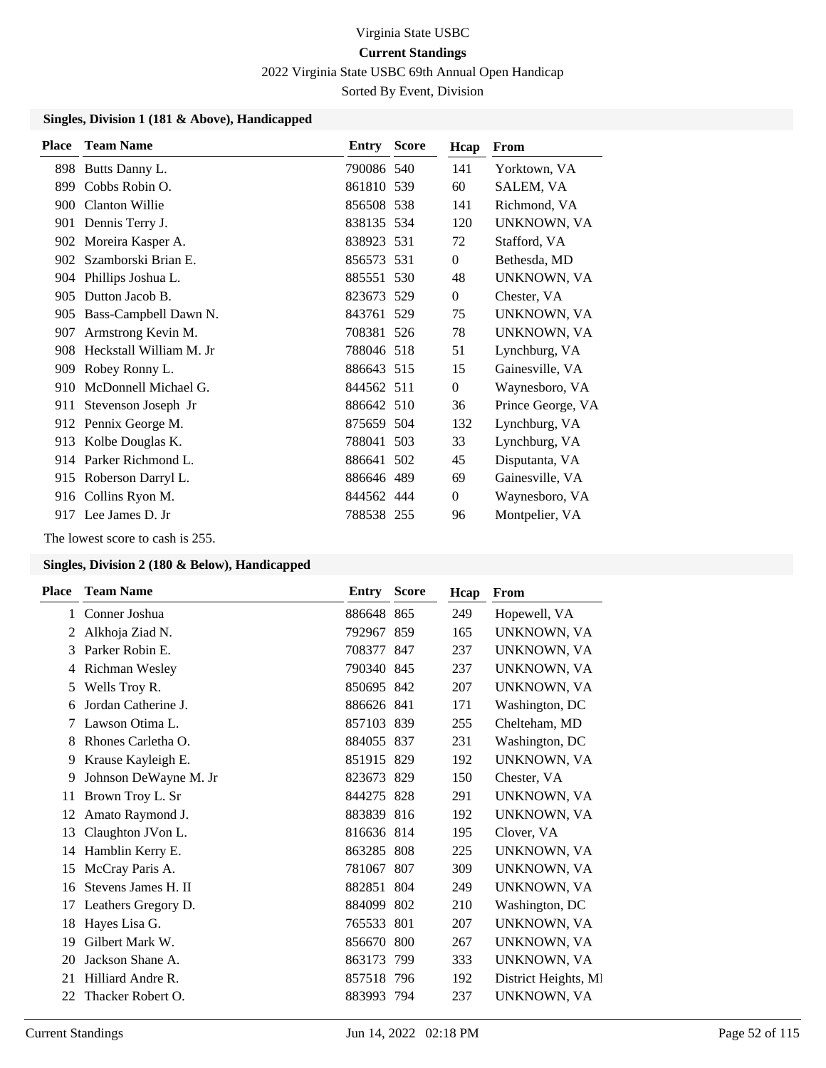2022 Virginia State USBC 69th Annual Open Handicap

Sorted By Event, Division

#### **Singles, Division 1 (181 & Above), Handicapped**

| <b>Place</b> | <b>Team Name</b>        | <b>Entry Score</b> | Hcap             | From              |
|--------------|-------------------------|--------------------|------------------|-------------------|
| 898          | Butts Danny L.          | 790086 540         | 141              | Yorktown, VA      |
| 899          | Cobbs Robin O.          | 861810 539         | 60               | SALEM, VA         |
| 900          | Clanton Willie          | 856508 538         | 141              | Richmond, VA      |
| 901          | Dennis Terry J.         | 838135 534         | 120              | UNKNOWN, VA       |
| 902          | Moreira Kasper A.       | 838923 531         | 72               | Stafford, VA      |
| 902          | Szamborski Brian E.     | 856573 531         | $\mathbf{0}$     | Bethesda, MD      |
| 904          | Phillips Joshua L.      | 885551 530         | 48               | UNKNOWN, VA       |
| 905          | Dutton Jacob B.         | 823673 529         | $\mathbf{0}$     | Chester, VA       |
| 905          | Bass-Campbell Dawn N.   | 843761 529         | 75               | UNKNOWN, VA       |
| 907          | Armstrong Kevin M.      | 708381 526         | 78               | UNKNOWN, VA       |
| 908          | Heckstall William M. Jr | 788046 518         | 51               | Lynchburg, VA     |
| 909          | Robey Ronny L.          | 886643 515         | 15               | Gainesville, VA   |
| 910          | McDonnell Michael G.    | 844562 511         | $\boldsymbol{0}$ | Waynesboro, VA    |
| 911          | Stevenson Joseph Jr     | 886642 510         | 36               | Prince George, VA |
| 912          | Pennix George M.        | 875659 504         | 132              | Lynchburg, VA     |
| 913          | Kolbe Douglas K.        | 788041 503         | 33               | Lynchburg, VA     |
| 914          | Parker Richmond L.      | 886641 502         | 45               | Disputanta, VA    |
|              | 915 Roberson Darryl L.  | 886646 489         | 69               | Gainesville, VA   |
| 916          | Collins Ryon M.         | 844562 444         | $\mathbf{0}$     | Waynesboro, VA    |
| 917          | Lee James D. Jr         | 788538 255         | 96               | Montpelier, VA    |

The lowest score to cash is 255.

| Place        | <b>Team Name</b>      | Entry      | <b>Score</b> | Hcap | From                 |
|--------------|-----------------------|------------|--------------|------|----------------------|
| $\mathbf{1}$ | Conner Joshua         | 886648 865 |              | 249  | Hopewell, VA         |
| 2            | Alkhoja Ziad N.       | 792967 859 |              | 165  | UNKNOWN, VA          |
| 3            | Parker Robin E.       | 708377 847 |              | 237  | UNKNOWN, VA          |
| 4            | Richman Wesley        | 790340 845 |              | 237  | UNKNOWN, VA          |
| 5            | Wells Troy R.         | 850695 842 |              | 207  | UNKNOWN, VA          |
| 6            | Jordan Catherine J.   | 886626 841 |              | 171  | Washington, DC       |
| 7            | Lawson Otima L.       | 857103 839 |              | 255  | Chelteham, MD        |
| 8            | Rhones Carletha O.    | 884055 837 |              | 231  | Washington, DC       |
| 9            | Krause Kayleigh E.    | 851915 829 |              | 192  | UNKNOWN, VA          |
| 9            | Johnson DeWayne M. Jr | 823673 829 |              | 150  | Chester, VA          |
| 11           | Brown Troy L. Sr      | 844275 828 |              | 291  | UNKNOWN, VA          |
| 12           | Amato Raymond J.      | 883839 816 |              | 192  | UNKNOWN, VA          |
| 13           | Claughton JVon L.     | 816636 814 |              | 195  | Clover, VA           |
| 14           | Hamblin Kerry E.      | 863285 808 |              | 225  | UNKNOWN, VA          |
| 15           | McCray Paris A.       | 781067 807 |              | 309  | UNKNOWN, VA          |
| 16           | Stevens James H. II   | 882851 804 |              | 249  | UNKNOWN, VA          |
| 17           | Leathers Gregory D.   | 884099 802 |              | 210  | Washington, DC       |
| 18           | Hayes Lisa G.         | 765533 801 |              | 207  | UNKNOWN, VA          |
| 19           | Gilbert Mark W.       | 856670 800 |              | 267  | UNKNOWN, VA          |
| 20           | Jackson Shane A.      | 863173     | -799         | 333  | UNKNOWN, VA          |
| 21           | Hilliard Andre R.     | 857518 796 |              | 192  | District Heights, MI |
| 22           | Thacker Robert O.     | 883993 794 |              | 237  | UNKNOWN, VA          |
|              |                       |            |              |      |                      |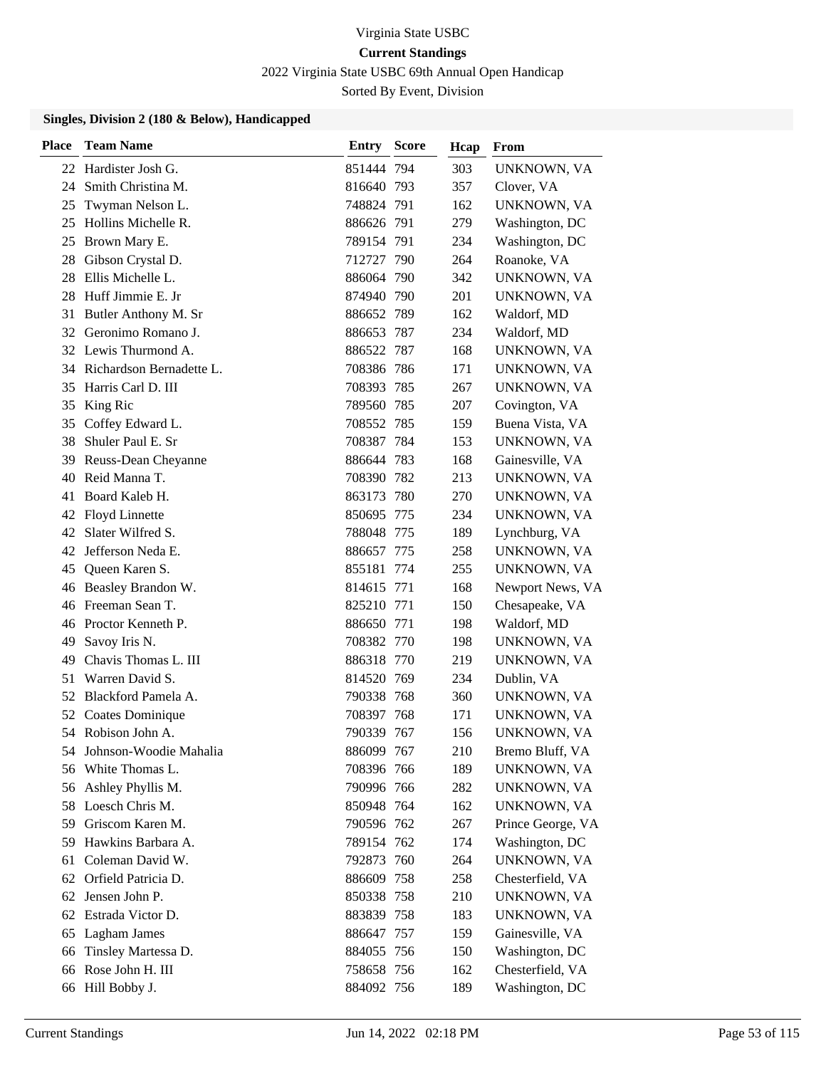2022 Virginia State USBC 69th Annual Open Handicap

Sorted By Event, Division

| <b>Place</b> | <b>Team Name</b>            | <b>Entry Score</b> | Hcap | From               |
|--------------|-----------------------------|--------------------|------|--------------------|
|              | 22 Hardister Josh G.        | 851444 794         | 303  | UNKNOWN, VA        |
| 24           | Smith Christina M.          | 816640 793         | 357  | Clover, VA         |
| 25           | Twyman Nelson L.            | 748824 791         | 162  | UNKNOWN, VA        |
| 25           | Hollins Michelle R.         | 886626 791         | 279  | Washington, DC     |
| 25           | Brown Mary E.               | 789154 791         | 234  | Washington, DC     |
| 28           | Gibson Crystal D.           | 712727 790         | 264  | Roanoke, VA        |
| 28           | Ellis Michelle L.           | 886064 790         | 342  | UNKNOWN, VA        |
| 28           | Huff Jimmie E. Jr           | 874940 790         | 201  | UNKNOWN, VA        |
| 31           | Butler Anthony M. Sr        | 886652 789         | 162  | Waldorf, MD        |
| 32           | Geronimo Romano J.          | 886653 787         | 234  | Waldorf, MD        |
|              | 32 Lewis Thurmond A.        | 886522 787         | 168  | UNKNOWN, VA        |
|              | 34 Richardson Bernadette L. | 708386 786         | 171  | UNKNOWN, VA        |
| 35           | Harris Carl D. III          | 708393 785         | 267  | UNKNOWN, VA        |
| 35           | King Ric                    | 789560 785         | 207  | Covington, VA      |
|              | 35 Coffey Edward L.         | 708552 785         | 159  | Buena Vista, VA    |
| 38           | Shuler Paul E. Sr           | 708387 784         | 153  | UNKNOWN, VA        |
| 39           | Reuss-Dean Cheyanne         | 886644 783         | 168  | Gainesville, VA    |
| 40           | Reid Manna T.               | 708390 782         | 213  | UNKNOWN, VA        |
| 41           | Board Kaleb H.              | 863173 780         | 270  | UNKNOWN, VA        |
|              | 42 Floyd Linnette           | 850695 775         | 234  | UNKNOWN, VA        |
| 42           | Slater Wilfred S.           | 788048 775         | 189  | Lynchburg, VA      |
|              | 42 Jefferson Neda E.        | 886657 775         | 258  | UNKNOWN, VA        |
|              | 45 Queen Karen S.           | 855181 774         | 255  | UNKNOWN, VA        |
|              | 46 Beasley Brandon W.       | 814615 771         | 168  | Newport News, VA   |
|              | 46 Freeman Sean T.          | 825210 771         | 150  | Chesapeake, VA     |
|              | 46 Proctor Kenneth P.       | 886650 771         | 198  | Waldorf, MD        |
| 49           | Savoy Iris N.               | 708382 770         | 198  | UNKNOWN, VA        |
| 49           | Chavis Thomas L. III        | 886318 770         | 219  | UNKNOWN, VA        |
| 51           | Warren David S.             | 814520 769         | 234  | Dublin, VA         |
|              | 52 Blackford Pamela A.      | 790338 768         | 360  | UNKNOWN, VA        |
|              | 52 Coates Dominique         | 708397 768         | 171  | UNKNOWN, VA        |
|              | 54 Robison John A.          | 790339 767         | 156  | <b>UNKNOWN, VA</b> |
| 54           | Johnson-Woodie Mahalia      | 886099 767         | 210  | Bremo Bluff, VA    |
| 56           | White Thomas L.             | 708396 766         | 189  | UNKNOWN, VA        |
| 56           | Ashley Phyllis M.           | 790996 766         | 282  | UNKNOWN, VA        |
|              | 58 Loesch Chris M.          | 850948 764         | 162  | UNKNOWN, VA        |
| 59           | Griscom Karen M.            | 790596 762         | 267  | Prince George, VA  |
| 59           | Hawkins Barbara A.          | 789154 762         | 174  | Washington, DC     |
| 61           | Coleman David W.            | 792873 760         | 264  | UNKNOWN, VA        |
|              | 62 Orfield Patricia D.      | 886609 758         | 258  | Chesterfield, VA   |
| 62           | Jensen John P.              | 850338 758         | 210  | UNKNOWN, VA        |
| 62           | Estrada Victor D.           | 883839 758         | 183  | UNKNOWN, VA        |
| 65           | <b>Lagham James</b>         | 886647 757         | 159  | Gainesville, VA    |
| 66           | Tinsley Martessa D.         | 884055 756         | 150  | Washington, DC     |
| 66           | Rose John H. III            | 758658 756         | 162  | Chesterfield, VA   |
|              | 66 Hill Bobby J.            | 884092 756         | 189  | Washington, DC     |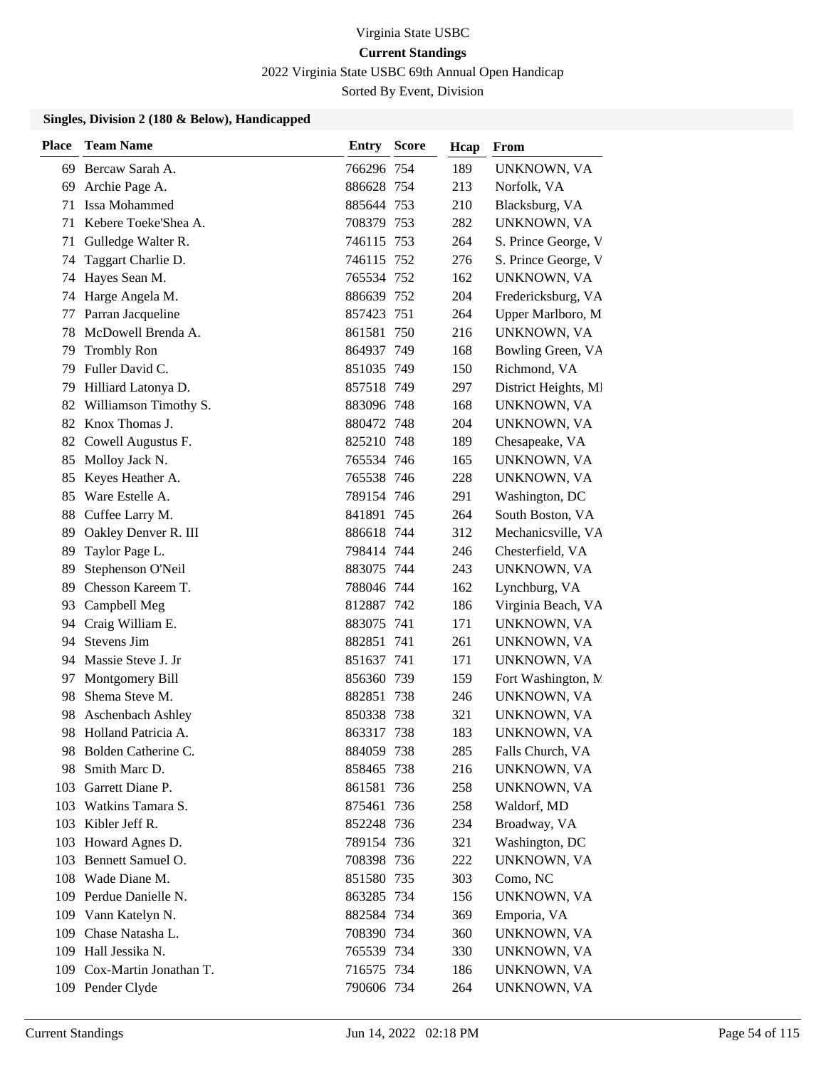2022 Virginia State USBC 69th Annual Open Handicap

Sorted By Event, Division

| <b>Place</b> | <b>Team Name</b>                        | Entry                    | <b>Score</b> | Hcap       | From                            |
|--------------|-----------------------------------------|--------------------------|--------------|------------|---------------------------------|
|              | 69 Bercaw Sarah A.                      | 766296 754               |              | 189        | UNKNOWN, VA                     |
| 69           | Archie Page A.                          | 886628 754               |              | 213        | Norfolk, VA                     |
| 71           | Issa Mohammed                           | 885644 753               |              | 210        | Blacksburg, VA                  |
| 71           | Kebere Toeke'Shea A.                    | 708379 753               |              | 282        | UNKNOWN, VA                     |
| 71           | Gulledge Walter R.                      | 746115 753               |              | 264        | S. Prince George, V             |
| 74           | Taggart Charlie D.                      | 746115 752               |              | 276        | S. Prince George, V             |
| 74           | Hayes Sean M.                           | 765534 752               |              | 162        | UNKNOWN, VA                     |
| 74           | Harge Angela M.                         | 886639 752               |              | 204        | Fredericksburg, VA              |
| 77           | Parran Jacqueline                       | 857423 751               |              | 264        | Upper Marlboro, M               |
| 78           | McDowell Brenda A.                      | 861581 750               |              | 216        | UNKNOWN, VA                     |
| 79           | <b>Trombly Ron</b>                      | 864937 749               |              | 168        | Bowling Green, VA               |
| 79           | Fuller David C.                         | 851035 749               |              | 150        | Richmond, VA                    |
| 79           | Hilliard Latonya D.                     | 857518 749               |              | 297        | District Heights, MI            |
| 82           | Williamson Timothy S.                   | 883096 748               |              | 168        | UNKNOWN, VA                     |
| 82           | Knox Thomas J.                          | 880472 748               |              | 204        | UNKNOWN, VA                     |
| 82           | Cowell Augustus F.                      | 825210 748               |              | 189        | Chesapeake, VA                  |
| 85           | Molloy Jack N.                          | 765534 746               |              | 165        | UNKNOWN, VA                     |
| 85           | Keyes Heather A.                        | 765538 746               |              | 228        | UNKNOWN, VA                     |
| 85           | Ware Estelle A.                         | 789154 746               |              | 291        | Washington, DC                  |
| 88           | Cuffee Larry M.                         | 841891 745               |              | 264        | South Boston, VA                |
| 89           | Oakley Denver R. III                    | 886618 744               |              | 312        | Mechanicsville, VA              |
| 89           | Taylor Page L.                          | 798414 744               |              | 246        | Chesterfield, VA                |
| 89           | Stephenson O'Neil                       | 883075 744               |              | 243        | UNKNOWN, VA                     |
| 89           | Chesson Kareem T.                       | 788046 744               |              | 162        | Lynchburg, VA                   |
| 93           | Campbell Meg                            | 812887 742               |              | 186        | Virginia Beach, VA              |
| 94           | Craig William E.                        | 883075 741               |              | 171        | UNKNOWN, VA                     |
| 94           | Stevens Jim                             | 882851                   | 741          | 261        | UNKNOWN, VA                     |
| 94           | Massie Steve J. Jr                      | 851637 741               |              | 171        | UNKNOWN, VA                     |
| 97           | Montgomery Bill                         | 856360 739               |              | 159        | Fort Washington, M.             |
| 98           | Shema Steve M.                          | 882851 738               |              | 246        | UNKNOWN, VA                     |
| 98           | <b>Aschenbach Ashley</b>                | 850338 738               |              | 321        | UNKNOWN, VA                     |
| 98           | Holland Patricia A.                     | 863317 738               |              | 183        | UNKNOWN, VA                     |
| 98           | 98 Bolden Catherine C.<br>Smith Marc D. | 884059 738<br>858465 738 |              | 285        | Falls Church, VA<br>UNKNOWN, VA |
|              | 103 Garrett Diane P.                    | 861581 736               |              | 216<br>258 | UNKNOWN, VA                     |
| 103          | Watkins Tamara S.                       | 875461 736               |              | 258        | Waldorf, MD                     |
| 103          | Kibler Jeff R.                          | 852248 736               |              | 234        | Broadway, VA                    |
| 103          | Howard Agnes D.                         | 789154 736               |              | 321        | Washington, DC                  |
| 103          | Bennett Samuel O.                       | 708398 736               |              | 222        | UNKNOWN, VA                     |
| 108          | Wade Diane M.                           | 851580 735               |              | 303        | Como, NC                        |
| 109          | Perdue Danielle N.                      | 863285 734               |              | 156        | UNKNOWN, VA                     |
| 109          | Vann Katelyn N.                         | 882584 734               |              | 369        | Emporia, VA                     |
|              | 109 Chase Natasha L.                    | 708390 734               |              | 360        | UNKNOWN, VA                     |
| 109          | Hall Jessika N.                         | 765539 734               |              | 330        | UNKNOWN, VA                     |
| 109          | Cox-Martin Jonathan T.                  | 716575 734               |              | 186        | UNKNOWN, VA                     |
|              | 109 Pender Clyde                        | 790606 734               |              | 264        | UNKNOWN, VA                     |
|              |                                         |                          |              |            |                                 |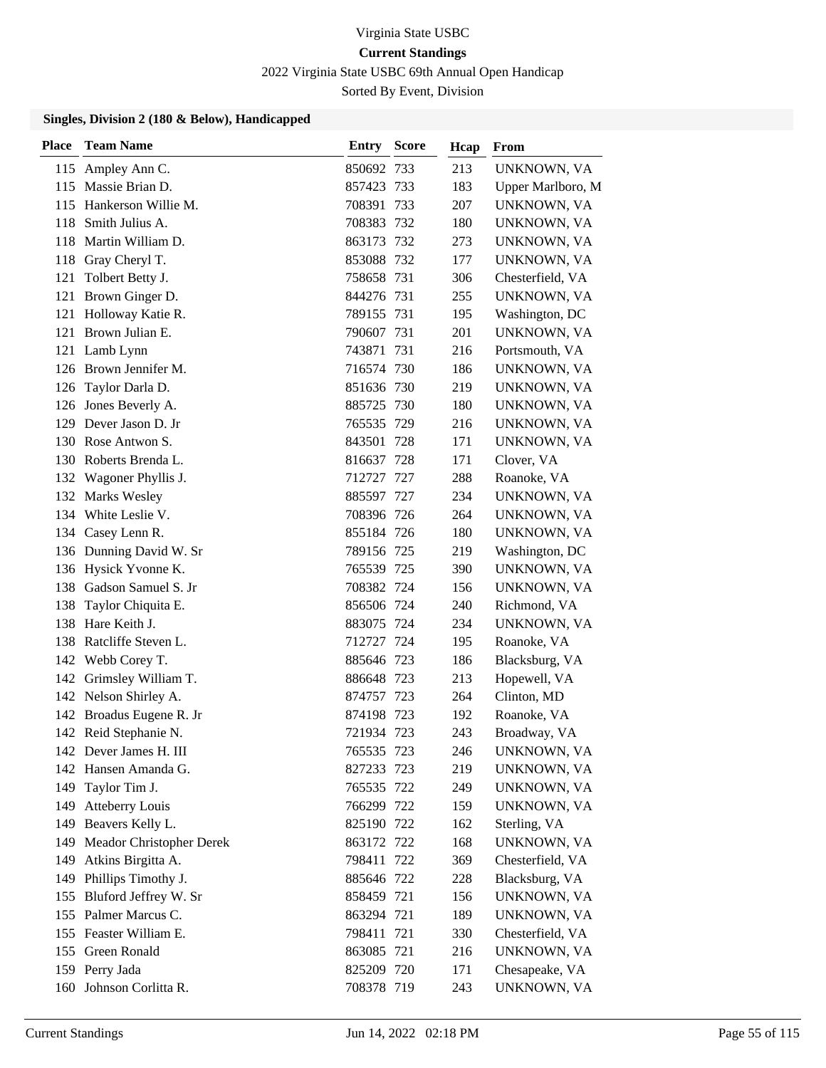2022 Virginia State USBC 69th Annual Open Handicap

Sorted By Event, Division

| Place | <b>Team Name</b>          | Entry      | <b>Score</b> | Hcap | From              |
|-------|---------------------------|------------|--------------|------|-------------------|
|       | 115 Ampley Ann C.         | 850692 733 |              | 213  | UNKNOWN, VA       |
|       | 115 Massie Brian D.       | 857423 733 |              | 183  | Upper Marlboro, M |
|       | 115 Hankerson Willie M.   | 708391 733 |              | 207  | UNKNOWN, VA       |
| 118   | Smith Julius A.           | 708383 732 |              | 180  | UNKNOWN, VA       |
| 118   | Martin William D.         | 863173 732 |              | 273  | UNKNOWN, VA       |
|       | 118 Gray Cheryl T.        | 853088 732 |              | 177  | UNKNOWN, VA       |
| 121   | Tolbert Betty J.          | 758658 731 |              | 306  | Chesterfield, VA  |
|       | 121 Brown Ginger D.       | 844276 731 |              | 255  | UNKNOWN, VA       |
| 121   | Holloway Katie R.         | 789155 731 |              | 195  | Washington, DC    |
|       | 121 Brown Julian E.       | 790607 731 |              | 201  | UNKNOWN, VA       |
|       | 121 Lamb Lynn             | 743871 731 |              | 216  | Portsmouth, VA    |
|       | 126 Brown Jennifer M.     | 716574 730 |              | 186  | UNKNOWN, VA       |
|       | 126 Taylor Darla D.       | 851636 730 |              | 219  | UNKNOWN, VA       |
|       | 126 Jones Beverly A.      | 885725 730 |              | 180  | UNKNOWN, VA       |
|       | 129 Dever Jason D. Jr     | 765535 729 |              | 216  | UNKNOWN, VA       |
|       | 130 Rose Antwon S.        | 843501 728 |              | 171  | UNKNOWN, VA       |
|       | 130 Roberts Brenda L.     | 816637 728 |              | 171  | Clover, VA        |
|       | 132 Wagoner Phyllis J.    | 712727 727 |              | 288  | Roanoke, VA       |
|       | 132 Marks Wesley          | 885597 727 |              | 234  | UNKNOWN, VA       |
|       | 134 White Leslie V.       | 708396 726 |              | 264  | UNKNOWN, VA       |
|       | 134 Casey Lenn R.         | 855184 726 |              | 180  | UNKNOWN, VA       |
|       | 136 Dunning David W. Sr   | 789156 725 |              | 219  | Washington, DC    |
|       | 136 Hysick Yvonne K.      | 765539 725 |              | 390  | UNKNOWN, VA       |
|       | 138 Gadson Samuel S. Jr   | 708382 724 |              | 156  | UNKNOWN, VA       |
| 138   | Taylor Chiquita E.        | 856506 724 |              | 240  | Richmond, VA      |
| 138   | Hare Keith J.             | 883075 724 |              | 234  | UNKNOWN, VA       |
|       | 138 Ratcliffe Steven L.   | 712727 724 |              | 195  | Roanoke, VA       |
|       | 142 Webb Corey T.         | 885646 723 |              | 186  | Blacksburg, VA    |
| 142   | Grimsley William T.       | 886648 723 |              | 213  | Hopewell, VA      |
|       | 142 Nelson Shirley A.     | 874757 723 |              | 264  | Clinton, MD       |
|       | 142 Broadus Eugene R. Jr  | 874198 723 |              | 192  | Roanoke, VA       |
|       | 142 Reid Stephanie N.     | 721934 723 |              | 243  | Broadway, VA      |
|       | 142 Dever James H. III    | 765535 723 |              | 246  | UNKNOWN, VA       |
|       | 142 Hansen Amanda G.      | 827233 723 |              | 219  | UNKNOWN, VA       |
|       | 149 Taylor Tim J.         | 765535 722 |              | 249  | UNKNOWN, VA       |
| 149   | <b>Atteberry Louis</b>    | 766299 722 |              | 159  | UNKNOWN, VA       |
|       | 149 Beavers Kelly L.      | 825190 722 |              | 162  | Sterling, VA      |
| 149   | Meador Christopher Derek  | 863172 722 |              | 168  | UNKNOWN, VA       |
| 149   | Atkins Birgitta A.        | 798411 722 |              | 369  | Chesterfield, VA  |
| 149   | Phillips Timothy J.       | 885646 722 |              | 228  | Blacksburg, VA    |
|       | 155 Bluford Jeffrey W. Sr | 858459 721 |              | 156  | UNKNOWN, VA       |
|       | 155 Palmer Marcus C.      | 863294 721 |              | 189  | UNKNOWN, VA       |
|       | 155 Feaster William E.    | 798411 721 |              | 330  | Chesterfield, VA  |
|       | 155 Green Ronald          | 863085 721 |              | 216  | UNKNOWN, VA       |
|       | 159 Perry Jada            | 825209 720 |              | 171  | Chesapeake, VA    |
|       | 160 Johnson Corlitta R.   | 708378 719 |              | 243  | UNKNOWN, VA       |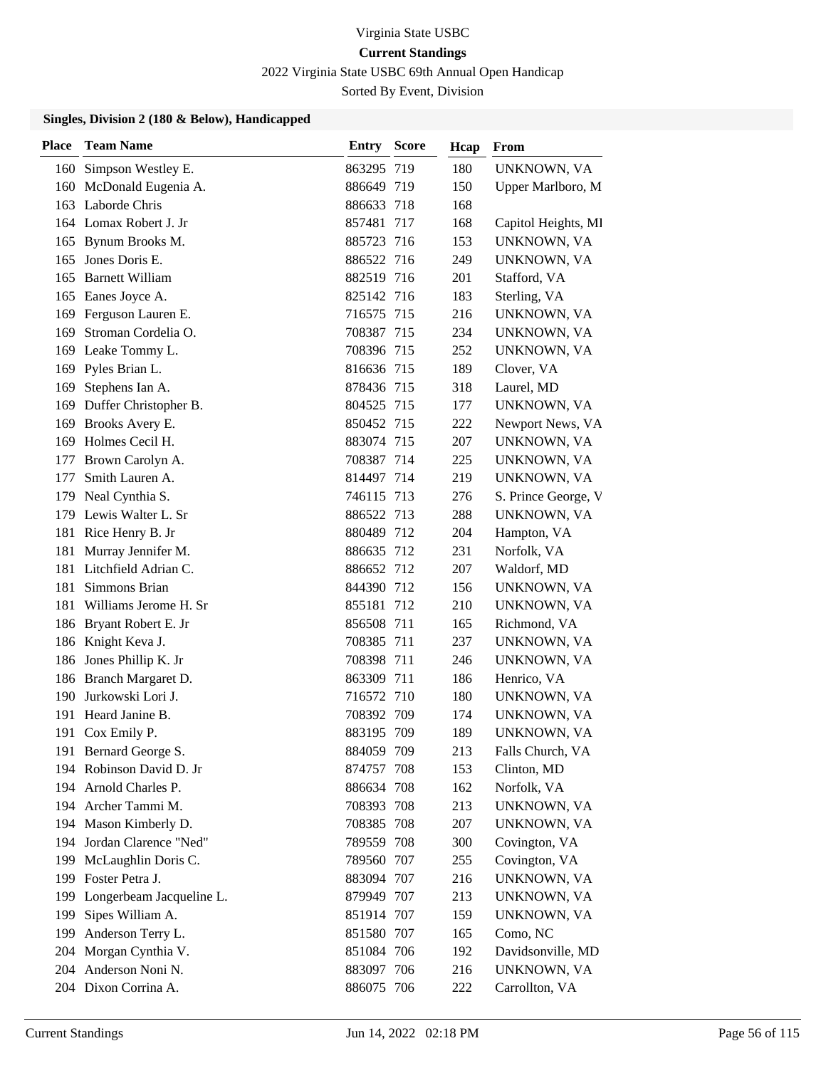2022 Virginia State USBC 69th Annual Open Handicap

Sorted By Event, Division

| Place | <b>Team Name</b>         | <b>Entry Score</b> |     | Hcap | From                |
|-------|--------------------------|--------------------|-----|------|---------------------|
|       | 160 Simpson Westley E.   | 863295 719         |     | 180  | UNKNOWN, VA         |
| 160   | McDonald Eugenia A.      | 886649 719         |     | 150  | Upper Marlboro, M   |
|       | 163 Laborde Chris        | 886633 718         |     | 168  |                     |
|       | 164 Lomax Robert J. Jr   | 857481             | 717 | 168  | Capitol Heights, Ml |
| 165   | Bynum Brooks M.          | 885723 716         |     | 153  | UNKNOWN, VA         |
| 165   | Jones Doris E.           | 886522 716         |     | 249  | UNKNOWN, VA         |
| 165   | <b>Barnett William</b>   | 882519 716         |     | 201  | Stafford, VA        |
|       | 165 Eanes Joyce A.       | 825142 716         |     | 183  | Sterling, VA        |
| 169   | Ferguson Lauren E.       | 716575 715         |     | 216  | UNKNOWN, VA         |
| 169   | Stroman Cordelia O.      | 708387 715         |     | 234  | UNKNOWN, VA         |
| 169   | Leake Tommy L.           | 708396 715         |     | 252  | UNKNOWN, VA         |
|       | 169 Pyles Brian L.       | 816636 715         |     | 189  | Clover, VA          |
| 169   | Stephens Ian A.          | 878436 715         |     | 318  | Laurel, MD          |
| 169   | Duffer Christopher B.    | 804525 715         |     | 177  | UNKNOWN, VA         |
| 169   | Brooks Avery E.          | 850452 715         |     | 222  | Newport News, VA    |
| 169   | Holmes Cecil H.          | 883074 715         |     | 207  | UNKNOWN, VA         |
| 177   | Brown Carolyn A.         | 708387 714         |     | 225  | UNKNOWN, VA         |
| 177   | Smith Lauren A.          | 814497 714         |     | 219  | UNKNOWN, VA         |
| 179   | Neal Cynthia S.          | 746115 713         |     | 276  | S. Prince George, V |
|       | 179 Lewis Walter L. Sr   | 886522 713         |     | 288  | UNKNOWN, VA         |
| 181   | Rice Henry B. Jr         | 880489 712         |     | 204  | Hampton, VA         |
| 181   | Murray Jennifer M.       | 886635 712         |     | 231  | Norfolk, VA         |
| 181   | Litchfield Adrian C.     | 886652 712         |     | 207  | Waldorf, MD         |
| 181   | Simmons Brian            | 844390 712         |     | 156  | UNKNOWN, VA         |
| 181   | Williams Jerome H. Sr    | 855181 712         |     | 210  | UNKNOWN, VA         |
| 186   | Bryant Robert E. Jr      | 856508 711         |     | 165  | Richmond, VA        |
|       | 186 Knight Keva J.       | 708385 711         |     | 237  | UNKNOWN, VA         |
| 186   | Jones Phillip K. Jr      | 708398 711         |     | 246  | UNKNOWN, VA         |
|       | 186 Branch Margaret D.   | 863309 711         |     | 186  | Henrico, VA         |
| 190   | Jurkowski Lori J.        | 716572 710         |     | 180  | UNKNOWN, VA         |
| 191   | Heard Janine B.          | 708392 709         |     | 174  | UNKNOWN, VA         |
|       | 191 Cox Emily P.         | 883195 709         |     | 189  | UNKNOWN, VA         |
|       | 191 Bernard George S.    | 884059 709         |     | 213  | Falls Church, VA    |
|       | 194 Robinson David D. Jr | 874757 708         |     | 153  | Clinton, MD         |
|       | 194 Arnold Charles P.    | 886634 708         |     | 162  | Norfolk, VA         |
|       | 194 Archer Tammi M.      | 708393 708         |     | 213  | UNKNOWN, VA         |
| 194   | Mason Kimberly D.        | 708385 708         |     | 207  | UNKNOWN, VA         |
| 194   | Jordan Clarence "Ned"    | 789559 708         |     | 300  | Covington, VA       |
| 199   | McLaughlin Doris C.      | 789560 707         |     | 255  | Covington, VA       |
| 199   | Foster Petra J.          | 883094 707         |     | 216  | UNKNOWN, VA         |
| 199   | Longerbeam Jacqueline L. | 879949 707         |     | 213  | UNKNOWN, VA         |
| 199   | Sipes William A.         | 851914 707         |     | 159  | UNKNOWN, VA         |
| 199   | Anderson Terry L.        | 851580 707         |     | 165  | Como, NC            |
| 204   | Morgan Cynthia V.        | 851084 706         |     | 192  | Davidsonville, MD   |
|       | 204 Anderson Noni N.     | 883097 706         |     | 216  | UNKNOWN, VA         |
|       | 204 Dixon Corrina A.     | 886075 706         |     | 222  | Carrollton, VA      |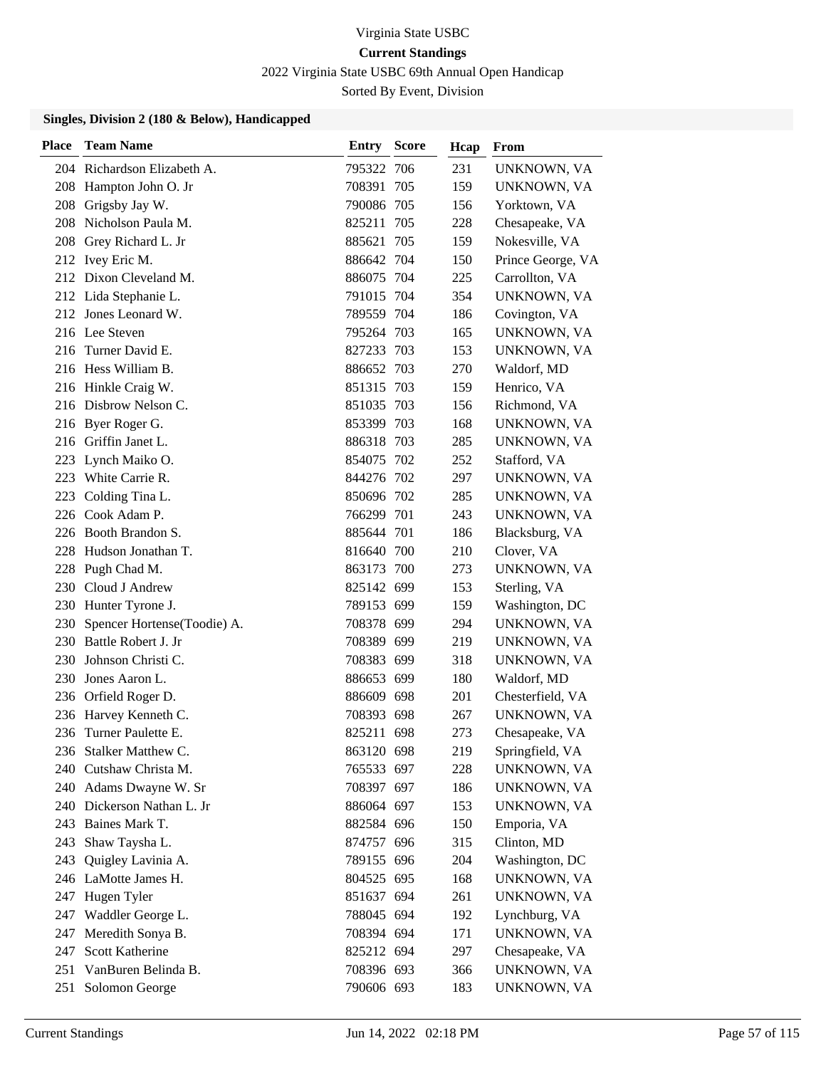2022 Virginia State USBC 69th Annual Open Handicap

Sorted By Event, Division

| <b>Place</b> | <b>Team Name</b>            | <b>Entry Score</b> | Hcap | From              |
|--------------|-----------------------------|--------------------|------|-------------------|
|              | 204 Richardson Elizabeth A. | 795322 706         | 231  | UNKNOWN, VA       |
|              | 208 Hampton John O. Jr      | 708391 705         | 159  | UNKNOWN, VA       |
|              | 208 Grigsby Jay W.          | 790086 705         | 156  | Yorktown, VA      |
| 208          | Nicholson Paula M.          | 825211 705         | 228  | Chesapeake, VA    |
| 208          | Grey Richard L. Jr          | 885621 705         | 159  | Nokesville, VA    |
|              | 212 Ivey Eric M.            | 886642 704         | 150  | Prince George, VA |
|              | 212 Dixon Cleveland M.      | 886075 704         | 225  | Carrollton, VA    |
|              | 212 Lida Stephanie L.       | 791015 704         | 354  | UNKNOWN, VA       |
|              | 212 Jones Leonard W.        | 789559 704         | 186  | Covington, VA     |
|              | 216 Lee Steven              | 795264 703         | 165  | UNKNOWN, VA       |
|              | 216 Turner David E.         | 827233 703         | 153  | UNKNOWN, VA       |
|              | 216 Hess William B.         | 886652 703         | 270  | Waldorf, MD       |
|              | 216 Hinkle Craig W.         | 851315 703         | 159  | Henrico, VA       |
|              | 216 Disbrow Nelson C.       | 851035 703         | 156  | Richmond, VA      |
|              | 216 Byer Roger G.           | 853399 703         | 168  | UNKNOWN, VA       |
|              | 216 Griffin Janet L.        | 886318 703         | 285  | UNKNOWN, VA       |
| 223          | Lynch Maiko O.              | 854075 702         | 252  | Stafford, VA      |
| 223          | White Carrie R.             | 844276 702         | 297  | UNKNOWN, VA       |
| 223.         | Colding Tina L.             | 850696 702         | 285  | UNKNOWN, VA       |
| 226          | Cook Adam P.                | 766299 701         | 243  | UNKNOWN, VA       |
|              | 226 Booth Brandon S.        | 885644 701         | 186  | Blacksburg, VA    |
| 228          | Hudson Jonathan T.          | 816640 700         | 210  | Clover, VA        |
| 228          | Pugh Chad M.                | 863173 700         | 273  | UNKNOWN, VA       |
|              | 230 Cloud J Andrew          | 825142 699         | 153  | Sterling, VA      |
|              | 230 Hunter Tyrone J.        | 789153 699         | 159  | Washington, DC    |
| 230          | Spencer Hortense(Toodie) A. | 708378 699         | 294  | UNKNOWN, VA       |
|              | 230 Battle Robert J. Jr     | 708389 699         | 219  | UNKNOWN, VA       |
| 230          | Johnson Christi C.          | 708383 699         | 318  | UNKNOWN, VA       |
| 230          | Jones Aaron L.              | 886653 699         | 180  | Waldorf, MD       |
| 236          | Orfield Roger D.            | 886609 698         | 201  | Chesterfield, VA  |
|              | 236 Harvey Kenneth C.       | 708393 698         | 267  | UNKNOWN, VA       |
|              | 236 Turner Paulette E.      | 825211 698         | 273  | Chesapeake, VA    |
|              | 236 Stalker Matthew C.      | 863120 698         | 219  | Springfield, VA   |
| 240          | Cutshaw Christa M.          | 765533 697         | 228  | UNKNOWN, VA       |
|              | 240 Adams Dwayne W. Sr      | 708397 697         | 186  | UNKNOWN, VA       |
|              | 240 Dickerson Nathan L. Jr  | 886064 697         | 153  | UNKNOWN, VA       |
|              | 243 Baines Mark T.          | 882584 696         | 150  | Emporia, VA       |
| 243          | Shaw Taysha L.              | 874757 696         | 315  | Clinton, MD       |
| 243          | Quigley Lavinia A.          | 789155 696         | 204  | Washington, DC    |
|              | 246 LaMotte James H.        | 804525 695         | 168  | UNKNOWN, VA       |
| 247          | Hugen Tyler                 | 851637 694         | 261  | UNKNOWN, VA       |
| 247          | Waddler George L.           | 788045 694         | 192  | Lynchburg, VA     |
| 247          | Meredith Sonya B.           | 708394 694         | 171  | UNKNOWN, VA       |
| 247          | <b>Scott Katherine</b>      | 825212 694         | 297  | Chesapeake, VA    |
| 251          | VanBuren Belinda B.         | 708396 693         | 366  | UNKNOWN, VA       |
| 251          | Solomon George              | 790606 693         | 183  | UNKNOWN, VA       |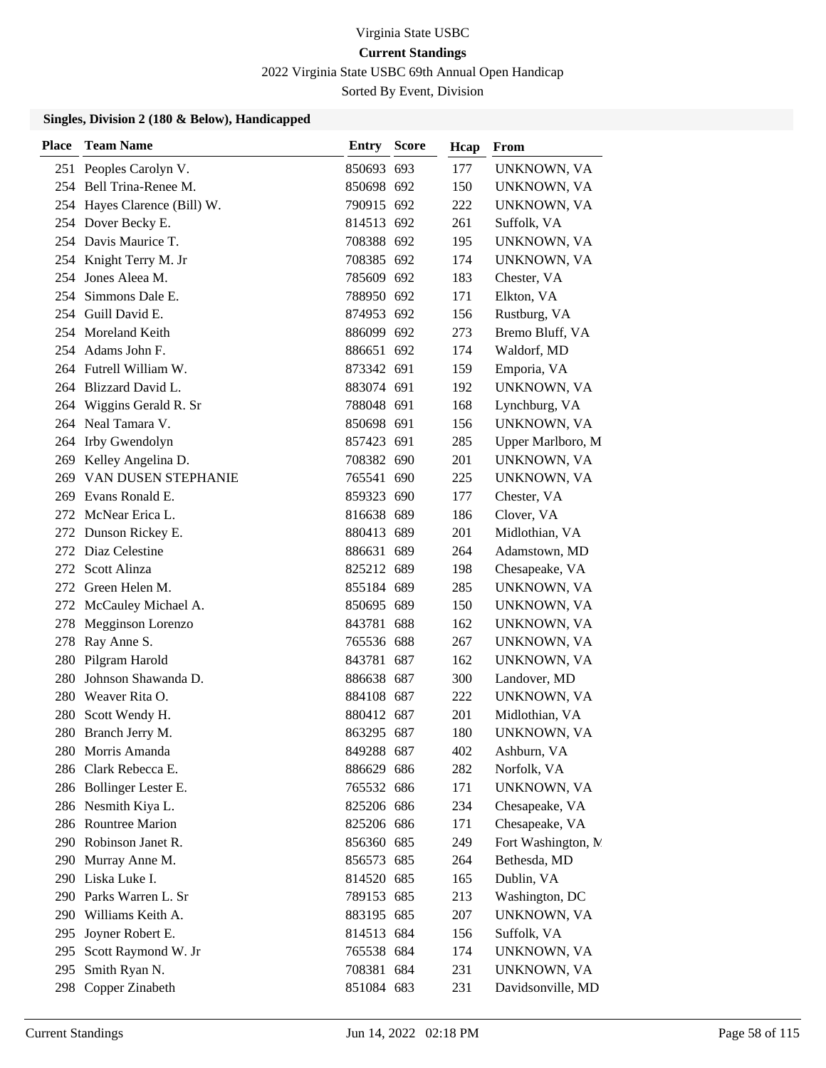2022 Virginia State USBC 69th Annual Open Handicap

Sorted By Event, Division

| <b>Place</b> | <b>Team Name</b>             | <b>Entry Score</b> | Hcap | From                |
|--------------|------------------------------|--------------------|------|---------------------|
|              | 251 Peoples Carolyn V.       | 850693 693         | 177  | UNKNOWN, VA         |
|              | 254 Bell Trina-Renee M.      | 850698 692         | 150  | UNKNOWN, VA         |
|              | 254 Hayes Clarence (Bill) W. | 790915 692         | 222  | UNKNOWN, VA         |
|              | 254 Dover Becky E.           | 814513 692         | 261  | Suffolk, VA         |
|              | 254 Davis Maurice T.         | 708388 692         | 195  | UNKNOWN, VA         |
|              | 254 Knight Terry M. Jr       | 708385 692         | 174  | UNKNOWN, VA         |
| 254          | Jones Aleea M.               | 785609 692         | 183  | Chester, VA         |
|              | 254 Simmons Dale E.          | 788950 692         | 171  | Elkton, VA          |
|              | 254 Guill David E.           | 874953 692         | 156  | Rustburg, VA        |
|              | 254 Moreland Keith           | 886099 692         | 273  | Bremo Bluff, VA     |
|              | 254 Adams John F.            | 886651 692         | 174  | Waldorf, MD         |
|              | 264 Futrell William W.       | 873342 691         | 159  | Emporia, VA         |
| 264          | Blizzard David L.            | 883074 691         | 192  | UNKNOWN, VA         |
| 264          | Wiggins Gerald R. Sr         | 788048 691         | 168  | Lynchburg, VA       |
|              | 264 Neal Tamara V.           | 850698 691         | 156  | UNKNOWN, VA         |
|              | 264 Irby Gwendolyn           | 857423 691         | 285  | Upper Marlboro, M   |
| 269          | Kelley Angelina D.           | 708382 690         | 201  | UNKNOWN, VA         |
| 269          | VAN DUSEN STEPHANIE          | 765541 690         | 225  | UNKNOWN, VA         |
| 269          | Evans Ronald E.              | 859323 690         | 177  | Chester, VA         |
|              | 272 McNear Erica L.          | 816638 689         | 186  | Clover, VA          |
| 272          | Dunson Rickey E.             | 880413 689         | 201  | Midlothian, VA      |
|              | 272 Diaz Celestine           | 886631 689         | 264  | Adamstown, MD       |
| 272          | Scott Alinza                 | 825212 689         | 198  | Chesapeake, VA      |
|              | 272 Green Helen M.           | 855184 689         | 285  | UNKNOWN, VA         |
| 272          | McCauley Michael A.          | 850695 689         | 150  | UNKNOWN, VA         |
| 278          | Megginson Lorenzo            | 843781 688         | 162  | UNKNOWN, VA         |
|              | 278 Ray Anne S.              | 765536 688         | 267  | UNKNOWN, VA         |
| 280          | Pilgram Harold               | 843781 687         | 162  | UNKNOWN, VA         |
| 280          | Johnson Shawanda D.          | 886638 687         | 300  | Landover, MD        |
| 280          | Weaver Rita O.               | 884108 687         | 222  | UNKNOWN, VA         |
| 280          | Scott Wendy H.               | 880412 687         | 201  | Midlothian, VA      |
|              | 280 Branch Jerry M.          | 863295 687         | 180  | UNKNOWN, VA         |
|              | 280 Morris Amanda            | 849288 687         | 402  | Ashburn, VA         |
| 286          | Clark Rebecca E.             | 886629 686         | 282  | Norfolk, VA         |
|              | 286 Bollinger Lester E.      | 765532 686         | 171  | UNKNOWN, VA         |
|              | 286 Nesmith Kiya L.          | 825206 686         | 234  | Chesapeake, VA      |
|              | 286 Rountree Marion          | 825206 686         | 171  | Chesapeake, VA      |
| 290          | Robinson Janet R.            | 856360 685         | 249  | Fort Washington, N. |
| 290          | Murray Anne M.               | 856573 685         | 264  | Bethesda, MD        |
|              | 290 Liska Luke I.            | 814520 685         | 165  | Dublin, VA          |
|              | 290 Parks Warren L. Sr       | 789153 685         | 213  | Washington, DC      |
| 290          | Williams Keith A.            | 883195 685         | 207  | UNKNOWN, VA         |
| 295          | Joyner Robert E.             | 814513 684         | 156  | Suffolk, VA         |
| 295          | Scott Raymond W. Jr          | 765538 684         | 174  | UNKNOWN, VA         |
| 295          | Smith Ryan N.                | 708381 684         | 231  | UNKNOWN, VA         |
| 298          | Copper Zinabeth              | 851084 683         | 231  | Davidsonville, MD   |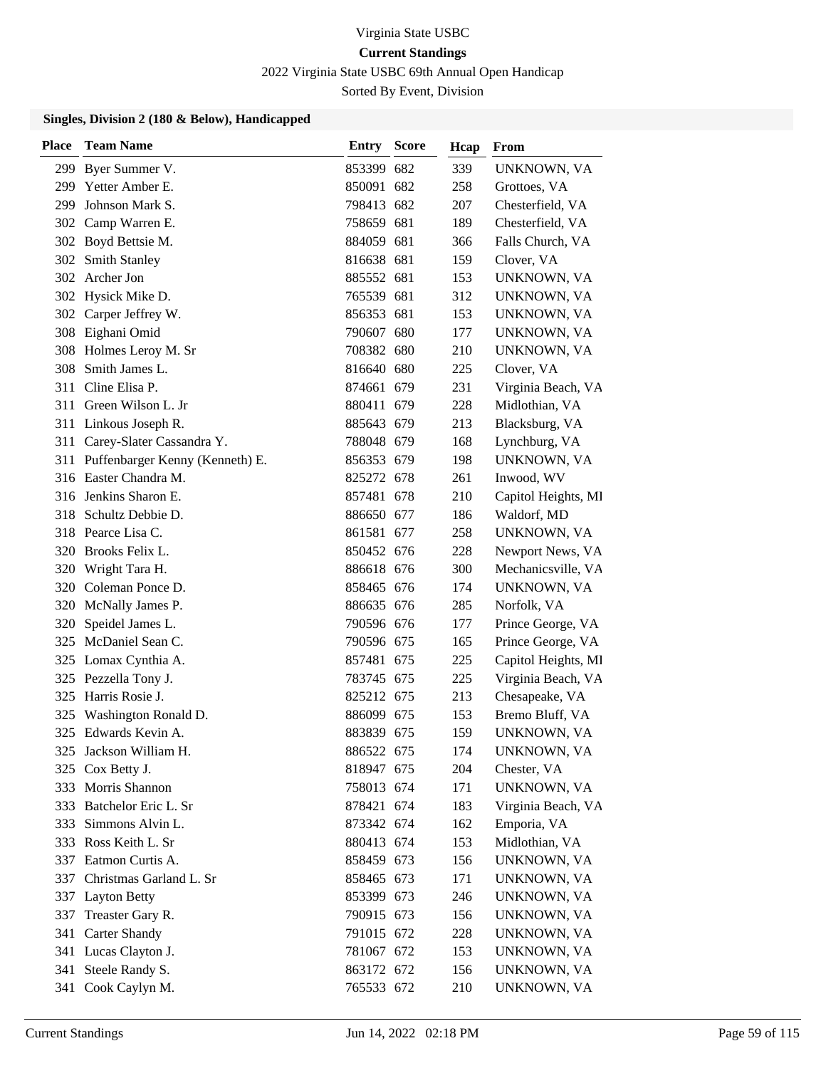2022 Virginia State USBC 69th Annual Open Handicap

Sorted By Event, Division

| Place | <b>Team Name</b>                    | Entry      | <b>Score</b> | Hcap | From                |
|-------|-------------------------------------|------------|--------------|------|---------------------|
| 299   | Byer Summer V.                      | 853399 682 |              | 339  | UNKNOWN, VA         |
|       | 299 Yetter Amber E.                 | 850091 682 |              | 258  | Grottoes, VA        |
| 299   | Johnson Mark S.                     | 798413 682 |              | 207  | Chesterfield, VA    |
|       | 302 Camp Warren E.                  | 758659 681 |              | 189  | Chesterfield, VA    |
|       | 302 Boyd Bettsie M.                 | 884059 681 |              | 366  | Falls Church, VA    |
| 302   | <b>Smith Stanley</b>                | 816638 681 |              | 159  | Clover, VA          |
|       | 302 Archer Jon                      | 885552 681 |              | 153  | UNKNOWN, VA         |
|       | 302 Hysick Mike D.                  | 765539 681 |              | 312  | UNKNOWN, VA         |
|       | 302 Carper Jeffrey W.               | 856353 681 |              | 153  | UNKNOWN, VA         |
|       | 308 Eighani Omid                    | 790607 680 |              | 177  | UNKNOWN, VA         |
|       | 308 Holmes Leroy M. Sr              | 708382 680 |              | 210  | UNKNOWN, VA         |
| 308   | Smith James L.                      | 816640 680 |              | 225  | Clover, VA          |
| 311   | Cline Elisa P.                      | 874661 679 |              | 231  | Virginia Beach, VA  |
|       | 311 Green Wilson L. Jr              | 880411 679 |              | 228  | Midlothian, VA      |
|       | 311 Linkous Joseph R.               | 885643 679 |              | 213  | Blacksburg, VA      |
|       | 311 Carey-Slater Cassandra Y.       | 788048 679 |              | 168  | Lynchburg, VA       |
|       | 311 Puffenbarger Kenny (Kenneth) E. | 856353 679 |              | 198  | UNKNOWN, VA         |
|       | 316 Easter Chandra M.               | 825272 678 |              | 261  | Inwood, WV          |
|       | 316 Jenkins Sharon E.               | 857481 678 |              | 210  | Capitol Heights, MI |
| 318   | Schultz Debbie D.                   | 886650 677 |              | 186  | Waldorf, MD         |
|       | 318 Pearce Lisa C.                  | 861581 677 |              | 258  | UNKNOWN, VA         |
| 320   | Brooks Felix L.                     | 850452 676 |              | 228  | Newport News, VA    |
|       | 320 Wright Tara H.                  | 886618 676 |              | 300  | Mechanicsville, VA  |
|       | 320 Coleman Ponce D.                | 858465 676 |              | 174  | UNKNOWN, VA         |
| 320   | McNally James P.                    | 886635 676 |              | 285  | Norfolk, VA         |
| 320   | Speidel James L.                    | 790596 676 |              | 177  | Prince George, VA   |
|       | 325 McDaniel Sean C.                | 790596 675 |              | 165  | Prince George, VA   |
|       | 325 Lomax Cynthia A.                | 857481 675 |              | 225  | Capitol Heights, MI |
|       | 325 Pezzella Tony J.                | 783745 675 |              | 225  | Virginia Beach, VA  |
| 325   | Harris Rosie J.                     | 825212 675 |              | 213  | Chesapeake, VA      |
| 325   | Washington Ronald D.                | 886099 675 |              | 153  | Bremo Bluff, VA     |
|       | 325 Edwards Kevin A.                | 883839 675 |              | 159  | UNKNOWN, VA         |
| 325   | Jackson William H.                  | 886522 675 |              | 174  | UNKNOWN, VA         |
| 325   | Cox Betty J.                        | 818947 675 |              | 204  | Chester, VA         |
|       | 333 Morris Shannon                  | 758013 674 |              | 171  | UNKNOWN, VA         |
|       | 333 Batchelor Eric L. Sr            | 878421 674 |              | 183  | Virginia Beach, VA  |
| 333   | Simmons Alvin L.                    | 873342 674 |              | 162  | Emporia, VA         |
| 333   | Ross Keith L. Sr                    | 880413 674 |              | 153  | Midlothian, VA      |
|       | 337 Eatmon Curtis A.                | 858459 673 |              | 156  | UNKNOWN, VA         |
| 337   | Christmas Garland L. Sr             | 858465 673 |              | 171  | UNKNOWN, VA         |
| 337   | <b>Layton Betty</b>                 | 853399 673 |              | 246  | UNKNOWN, VA         |
| 337   | Treaster Gary R.                    | 790915 673 |              | 156  | UNKNOWN, VA         |
|       | 341 Carter Shandy                   | 791015 672 |              | 228  | UNKNOWN, VA         |
|       | 341 Lucas Clayton J.                | 781067 672 |              | 153  | UNKNOWN, VA         |
| 341   | Steele Randy S.                     | 863172 672 |              | 156  | UNKNOWN, VA         |
| 341   | Cook Caylyn M.                      | 765533 672 |              | 210  | UNKNOWN, VA         |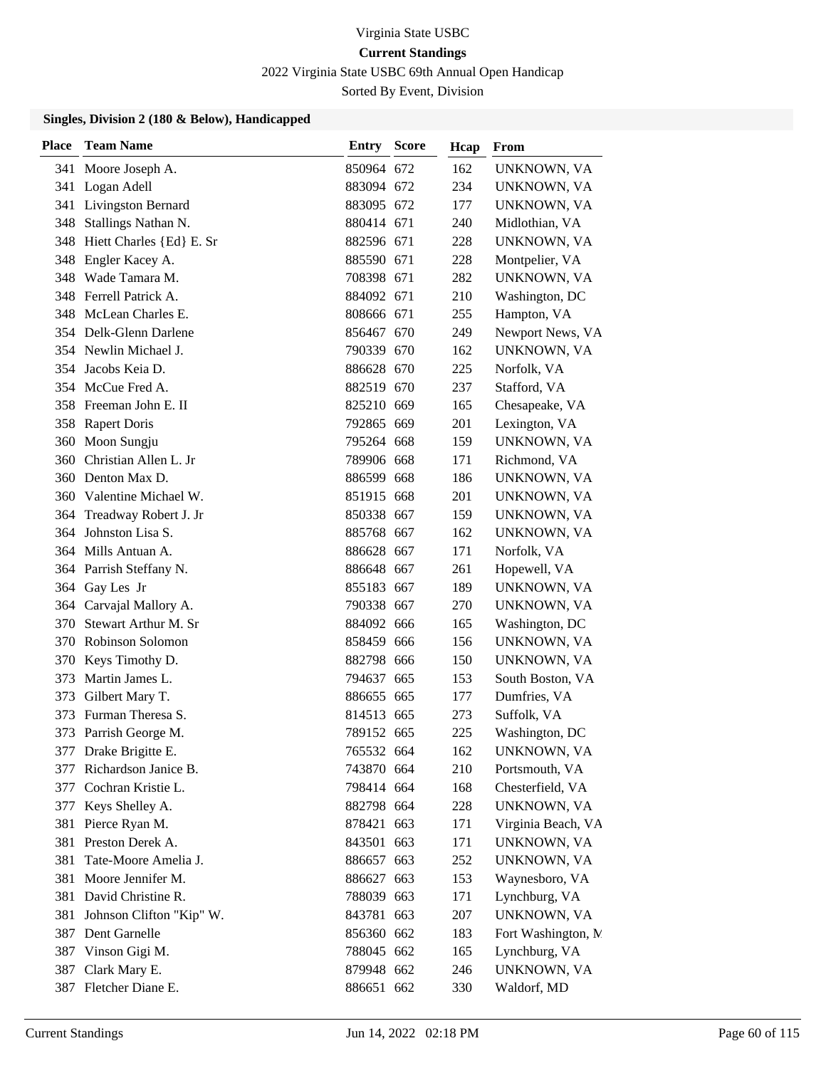2022 Virginia State USBC 69th Annual Open Handicap

Sorted By Event, Division

| <b>Place</b> | <b>Team Name</b>             | Entry      | <b>Score</b> | Hcap | From                |
|--------------|------------------------------|------------|--------------|------|---------------------|
|              | 341 Moore Joseph A.          | 850964 672 |              | 162  | UNKNOWN, VA         |
|              | 341 Logan Adell              | 883094 672 |              | 234  | UNKNOWN, VA         |
|              | 341 Livingston Bernard       | 883095 672 |              | 177  | <b>UNKNOWN, VA</b>  |
| 348          | Stallings Nathan N.          | 880414 671 |              | 240  | Midlothian, VA      |
|              | 348 Hiett Charles {Ed} E. Sr | 882596 671 |              | 228  | UNKNOWN, VA         |
| 348          | Engler Kacey A.              | 885590 671 |              | 228  | Montpelier, VA      |
|              | 348 Wade Tamara M.           | 708398 671 |              | 282  | UNKNOWN, VA         |
|              | 348 Ferrell Patrick A.       | 884092 671 |              | 210  | Washington, DC      |
|              | 348 McLean Charles E.        | 808666 671 |              | 255  | Hampton, VA         |
|              | 354 Delk-Glenn Darlene       | 856467 670 |              | 249  | Newport News, VA    |
|              | 354 Newlin Michael J.        | 790339 670 |              | 162  | UNKNOWN, VA         |
|              | 354 Jacobs Keia D.           | 886628 670 |              | 225  | Norfolk, VA         |
|              | 354 McCue Fred A.            | 882519 670 |              | 237  | Stafford, VA        |
|              | 358 Freeman John E. II       | 825210 669 |              | 165  | Chesapeake, VA      |
|              | 358 Rapert Doris             | 792865 669 |              | 201  | Lexington, VA       |
| 360          | Moon Sungju                  | 795264 668 |              | 159  | UNKNOWN, VA         |
| 360          | Christian Allen L. Jr        | 789906 668 |              | 171  | Richmond, VA        |
| 360          | Denton Max D.                | 886599 668 |              | 186  | UNKNOWN, VA         |
|              | 360 Valentine Michael W.     | 851915 668 |              | 201  | UNKNOWN, VA         |
|              | 364 Treadway Robert J. Jr    | 850338 667 |              | 159  | UNKNOWN, VA         |
| 364          | Johnston Lisa S.             | 885768 667 |              | 162  | UNKNOWN, VA         |
|              | 364 Mills Antuan A.          | 886628 667 |              | 171  | Norfolk, VA         |
|              | 364 Parrish Steffany N.      | 886648 667 |              | 261  | Hopewell, VA        |
|              | 364 Gay Les Jr               | 855183 667 |              | 189  | UNKNOWN, VA         |
| 364          | Carvajal Mallory A.          | 790338 667 |              | 270  | UNKNOWN, VA         |
| 370          | Stewart Arthur M. Sr         | 884092 666 |              | 165  | Washington, DC      |
|              | 370 Robinson Solomon         | 858459 666 |              | 156  | UNKNOWN, VA         |
| 370          | Keys Timothy D.              | 882798 666 |              | 150  | <b>UNKNOWN, VA</b>  |
| 373          | Martin James L.              | 794637 665 |              | 153  | South Boston, VA    |
| 373          | Gilbert Mary T.              | 886655 665 |              | 177  | Dumfries, VA        |
| 373          | Furman Theresa S.            | 814513 665 |              | 273  | Suffolk, VA         |
| 373          | Parrish George M.            | 789152 665 |              | 225  | Washington, DC      |
|              | 377 Drake Brigitte E.        | 765532 664 |              | 162  | UNKNOWN, VA         |
| 377          | Richardson Janice B.         | 743870 664 |              | 210  | Portsmouth, VA      |
|              | 377 Cochran Kristie L.       | 798414 664 |              | 168  | Chesterfield, VA    |
| 377          | Keys Shelley A.              | 882798 664 |              | 228  | UNKNOWN, VA         |
| 381          | Pierce Ryan M.               | 878421 663 |              | 171  | Virginia Beach, VA  |
| 381          | Preston Derek A.             | 843501 663 |              | 171  | UNKNOWN, VA         |
| 381          | Tate-Moore Amelia J.         | 886657 663 |              | 252  | UNKNOWN, VA         |
| 381          | Moore Jennifer M.            | 886627 663 |              | 153  | Waynesboro, VA      |
| 381          | David Christine R.           | 788039 663 |              | 171  | Lynchburg, VA       |
| 381          | Johnson Clifton "Kip" W.     | 843781 663 |              | 207  | UNKNOWN, VA         |
|              | 387 Dent Garnelle            | 856360 662 |              | 183  | Fort Washington, M. |
| 387          | Vinson Gigi M.               | 788045 662 |              | 165  | Lynchburg, VA       |
| 387          | Clark Mary E.                | 879948 662 |              | 246  | UNKNOWN, VA         |
|              | 387 Fletcher Diane E.        | 886651 662 |              | 330  | Waldorf, MD         |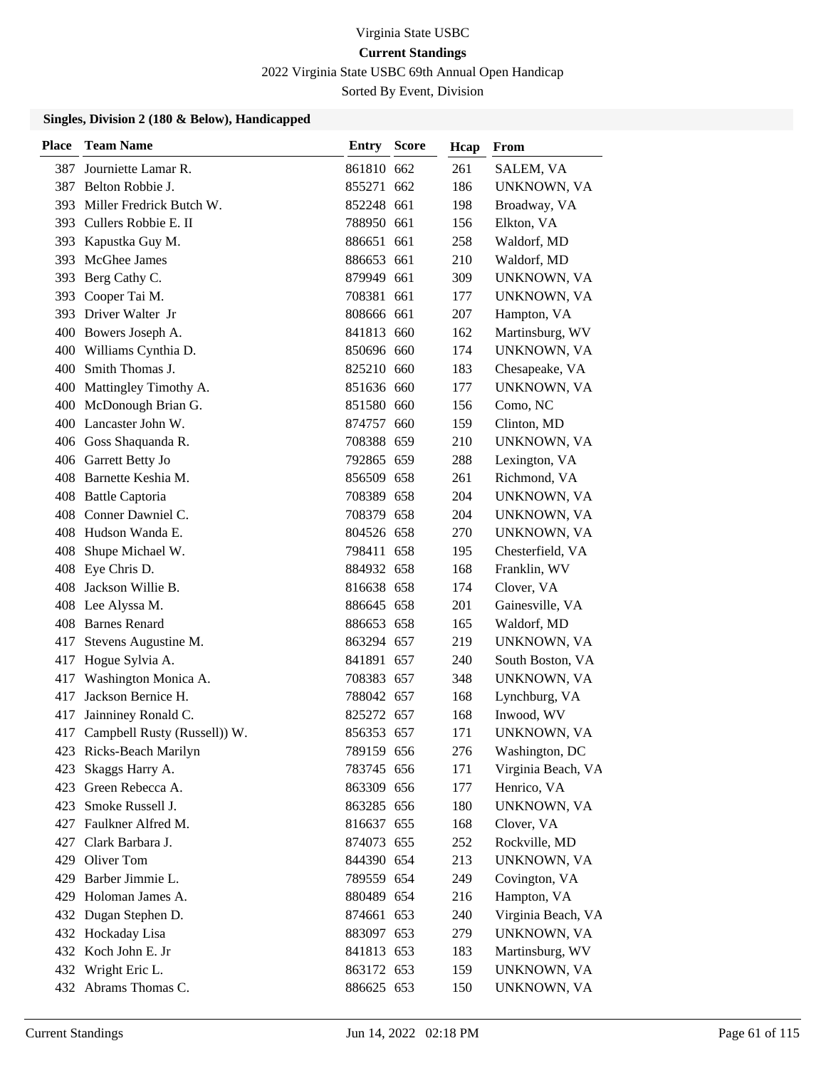2022 Virginia State USBC 69th Annual Open Handicap

Sorted By Event, Division

| <b>Place</b> | <b>Team Name</b>                 | Entry      | <b>Score</b> | Hcap | From               |
|--------------|----------------------------------|------------|--------------|------|--------------------|
| 387          | Journiette Lamar R.              | 861810 662 |              | 261  | SALEM, VA          |
| 387          | Belton Robbie J.                 | 855271 662 |              | 186  | UNKNOWN, VA        |
| 393          | Miller Fredrick Butch W.         | 852248 661 |              | 198  | Broadway, VA       |
|              | 393 Cullers Robbie E. II         | 788950 661 |              | 156  | Elkton, VA         |
| 393          | Kapustka Guy M.                  | 886651 661 |              | 258  | Waldorf, MD        |
| 393          | McGhee James                     | 886653 661 |              | 210  | Waldorf, MD        |
| 393          | Berg Cathy C.                    | 879949 661 |              | 309  | UNKNOWN, VA        |
|              | 393 Cooper Tai M.                | 708381 661 |              | 177  | UNKNOWN, VA        |
| 393          | Driver Walter Jr                 | 808666 661 |              | 207  | Hampton, VA        |
| 400          | Bowers Joseph A.                 | 841813 660 |              | 162  | Martinsburg, WV    |
| 400          | Williams Cynthia D.              | 850696 660 |              | 174  | UNKNOWN, VA        |
| 400          | Smith Thomas J.                  | 825210 660 |              | 183  | Chesapeake, VA     |
| 400          | Mattingley Timothy A.            | 851636 660 |              | 177  | UNKNOWN, VA        |
|              | 400 McDonough Brian G.           | 851580 660 |              | 156  | Como, NC           |
|              | 400 Lancaster John W.            | 874757 660 |              | 159  | Clinton, MD        |
|              | 406 Goss Shaquanda R.            | 708388 659 |              | 210  | UNKNOWN, VA        |
|              | 406 Garrett Betty Jo             | 792865 659 |              | 288  | Lexington, VA      |
|              | 408 Barnette Keshia M.           | 856509 658 |              | 261  | Richmond, VA       |
|              | 408 Battle Captoria              | 708389 658 |              | 204  | UNKNOWN, VA        |
|              | 408 Conner Dawniel C.            | 708379 658 |              | 204  | UNKNOWN, VA        |
| 408          | Hudson Wanda E.                  | 804526 658 |              | 270  | UNKNOWN, VA        |
| 408          | Shupe Michael W.                 | 798411 658 |              | 195  | Chesterfield, VA   |
| 408          | Eye Chris D.                     | 884932 658 |              | 168  | Franklin, WV       |
| 408          | Jackson Willie B.                | 816638 658 |              | 174  | Clover, VA         |
|              | 408 Lee Alyssa M.                | 886645 658 |              | 201  | Gainesville, VA    |
|              | 408 Barnes Renard                | 886653 658 |              | 165  | Waldorf, MD        |
| 417          | Stevens Augustine M.             | 863294 657 |              | 219  | UNKNOWN, VA        |
| 417          | Hogue Sylvia A.                  | 841891 657 |              | 240  | South Boston, VA   |
| 417          | Washington Monica A.             | 708383 657 |              | 348  | UNKNOWN, VA        |
| 417          | Jackson Bernice H.               | 788042 657 |              | 168  | Lynchburg, VA      |
| 417          | Jainniney Ronald C.              | 825272 657 |              | 168  | Inwood, WV         |
|              | 417 Campbell Rusty (Russell)) W. | 856353 657 |              | 171  | UNKNOWN, VA        |
|              | 423 Ricks-Beach Marilyn          | 789159 656 |              | 276  | Washington, DC     |
| 423          | Skaggs Harry A.                  | 783745 656 |              | 171  | Virginia Beach, VA |
|              | 423 Green Rebecca A.             | 863309 656 |              | 177  | Henrico, VA        |
|              | 423 Smoke Russell J.             | 863285 656 |              | 180  | UNKNOWN, VA        |
| 427          | Faulkner Alfred M.               | 816637 655 |              | 168  | Clover, VA         |
| 427          | Clark Barbara J.                 | 874073 655 |              | 252  | Rockville, MD      |
|              | 429 Oliver Tom                   | 844390 654 |              | 213  | UNKNOWN, VA        |
| 429          | Barber Jimmie L.                 | 789559 654 |              | 249  | Covington, VA      |
| 429          | Holoman James A.                 | 880489 654 |              | 216  | Hampton, VA        |
| 432          | Dugan Stephen D.                 | 874661 653 |              | 240  | Virginia Beach, VA |
|              | 432 Hockaday Lisa                | 883097 653 |              | 279  | UNKNOWN, VA        |
|              | 432 Koch John E. Jr              | 841813 653 |              | 183  | Martinsburg, WV    |
| 432          | Wright Eric L.                   | 863172 653 |              | 159  | UNKNOWN, VA        |
|              | 432 Abrams Thomas C.             | 886625 653 |              | 150  | UNKNOWN, VA        |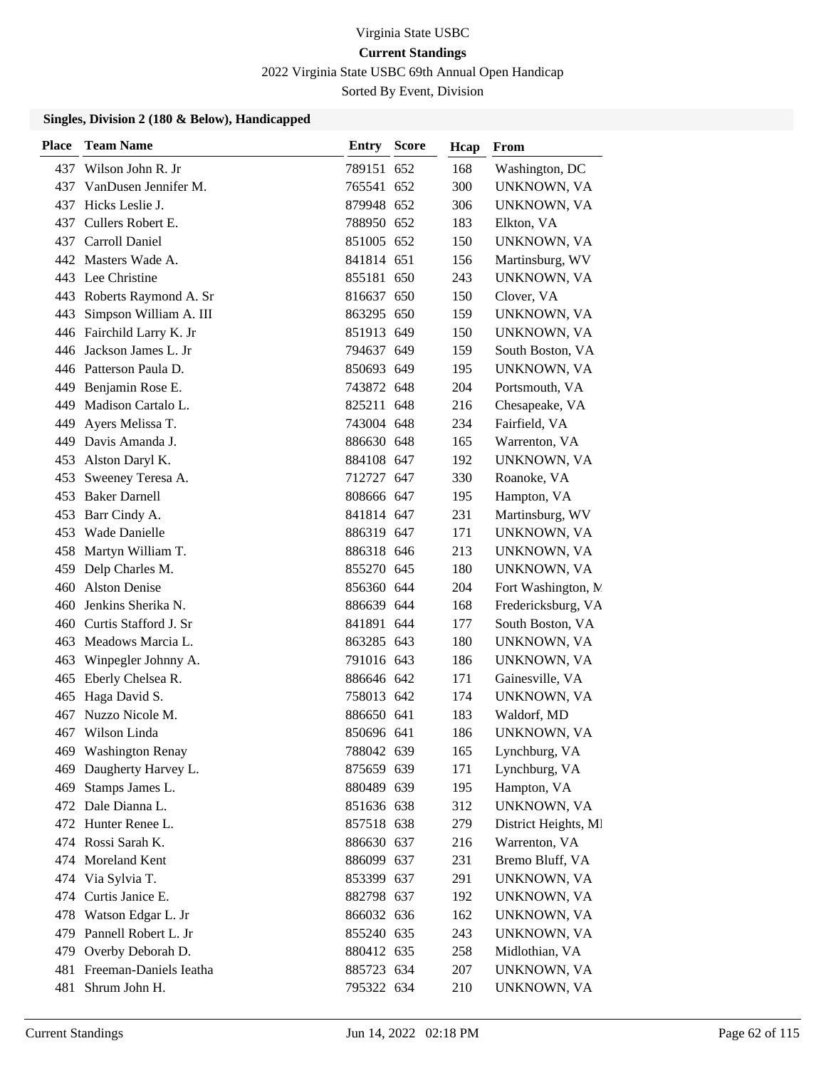2022 Virginia State USBC 69th Annual Open Handicap

Sorted By Event, Division

| <b>Place</b> | <b>Team Name</b>          | Entry      | <b>Score</b> | Hcap | From                 |
|--------------|---------------------------|------------|--------------|------|----------------------|
| 437          | Wilson John R. Jr         | 789151 652 |              | 168  | Washington, DC       |
| 437          | VanDusen Jennifer M.      | 765541 652 |              | 300  | UNKNOWN, VA          |
| 437          | Hicks Leslie J.           | 879948 652 |              | 306  | UNKNOWN, VA          |
|              | 437 Cullers Robert E.     | 788950 652 |              | 183  | Elkton, VA           |
|              | 437 Carroll Daniel        | 851005 652 |              | 150  | UNKNOWN, VA          |
|              | 442 Masters Wade A.       | 841814 651 |              | 156  | Martinsburg, WV      |
|              | 443 Lee Christine         | 855181 650 |              | 243  | UNKNOWN, VA          |
|              | 443 Roberts Raymond A. Sr | 816637 650 |              | 150  | Clover, VA           |
| 443          | Simpson William A. III    | 863295 650 |              | 159  | UNKNOWN, VA          |
|              | 446 Fairchild Larry K. Jr | 851913 649 |              | 150  | UNKNOWN, VA          |
| 446          | Jackson James L. Jr       | 794637 649 |              | 159  | South Boston, VA     |
|              | 446 Patterson Paula D.    | 850693 649 |              | 195  | UNKNOWN, VA          |
| 449          | Benjamin Rose E.          | 743872 648 |              | 204  | Portsmouth, VA       |
| 449          | Madison Cartalo L.        | 825211 648 |              | 216  | Chesapeake, VA       |
| 449          | Ayers Melissa T.          | 743004 648 |              | 234  | Fairfield, VA        |
| 449          | Davis Amanda J.           | 886630 648 |              | 165  | Warrenton, VA        |
| 453          | Alston Daryl K.           | 884108 647 |              | 192  | UNKNOWN, VA          |
| 453          | Sweeney Teresa A.         | 712727 647 |              | 330  | Roanoke, VA          |
| 453          | <b>Baker Darnell</b>      | 808666 647 |              | 195  | Hampton, VA          |
|              | 453 Barr Cindy A.         | 841814 647 |              | 231  | Martinsburg, WV      |
| 453          | Wade Danielle             | 886319 647 |              | 171  | UNKNOWN, VA          |
| 458          | Martyn William T.         | 886318 646 |              | 213  | UNKNOWN, VA          |
|              | 459 Delp Charles M.       | 855270 645 |              | 180  | UNKNOWN, VA          |
| 460          | <b>Alston Denise</b>      | 856360 644 |              | 204  | Fort Washington, N.  |
| 460          | Jenkins Sherika N.        | 886639 644 |              | 168  | Fredericksburg, VA   |
| 460          | Curtis Stafford J. Sr     | 841891 644 |              | 177  | South Boston, VA     |
|              | 463 Meadows Marcia L.     | 863285 643 |              | 180  | UNKNOWN, VA          |
| 463          | Winpegler Johnny A.       | 791016 643 |              | 186  | UNKNOWN, VA          |
| 465          | Eberly Chelsea R.         | 886646 642 |              | 171  | Gainesville, VA      |
| 465          | Haga David S.             | 758013 642 |              | 174  | UNKNOWN, VA          |
| 467          | Nuzzo Nicole M.           | 886650 641 |              | 183  | Waldorf, MD          |
| 467          | Wilson Linda              | 850696 641 |              | 186  | UNKNOWN, VA          |
|              | 469 Washington Renay      | 788042 639 |              | 165  | Lynchburg, VA        |
| 469          | Daugherty Harvey L.       | 875659 639 |              | 171  | Lynchburg, VA        |
| 469          | Stamps James L.           | 880489 639 |              | 195  | Hampton, VA          |
|              | 472 Dale Dianna L.        | 851636 638 |              | 312  | UNKNOWN, VA          |
|              | 472 Hunter Renee L.       | 857518 638 |              | 279  | District Heights, MI |
|              | 474 Rossi Sarah K.        | 886630 637 |              | 216  | Warrenton, VA        |
|              | 474 Moreland Kent         | 886099 637 |              | 231  | Bremo Bluff, VA      |
| 474          | Via Sylvia T.             | 853399 637 |              | 291  | UNKNOWN, VA          |
| 474          | Curtis Janice E.          | 882798 637 |              | 192  | UNKNOWN, VA          |
| 478          | Watson Edgar L. Jr        | 866032 636 |              | 162  | UNKNOWN, VA          |
| 479          | Pannell Robert L. Jr      | 855240 635 |              | 243  | UNKNOWN, VA          |
|              | 479 Overby Deborah D.     | 880412 635 |              | 258  | Midlothian, VA       |
| 481          | Freeman-Daniels Ieatha    | 885723 634 |              | 207  | UNKNOWN, VA          |
| 481          | Shrum John H.             | 795322 634 |              | 210  | UNKNOWN, VA          |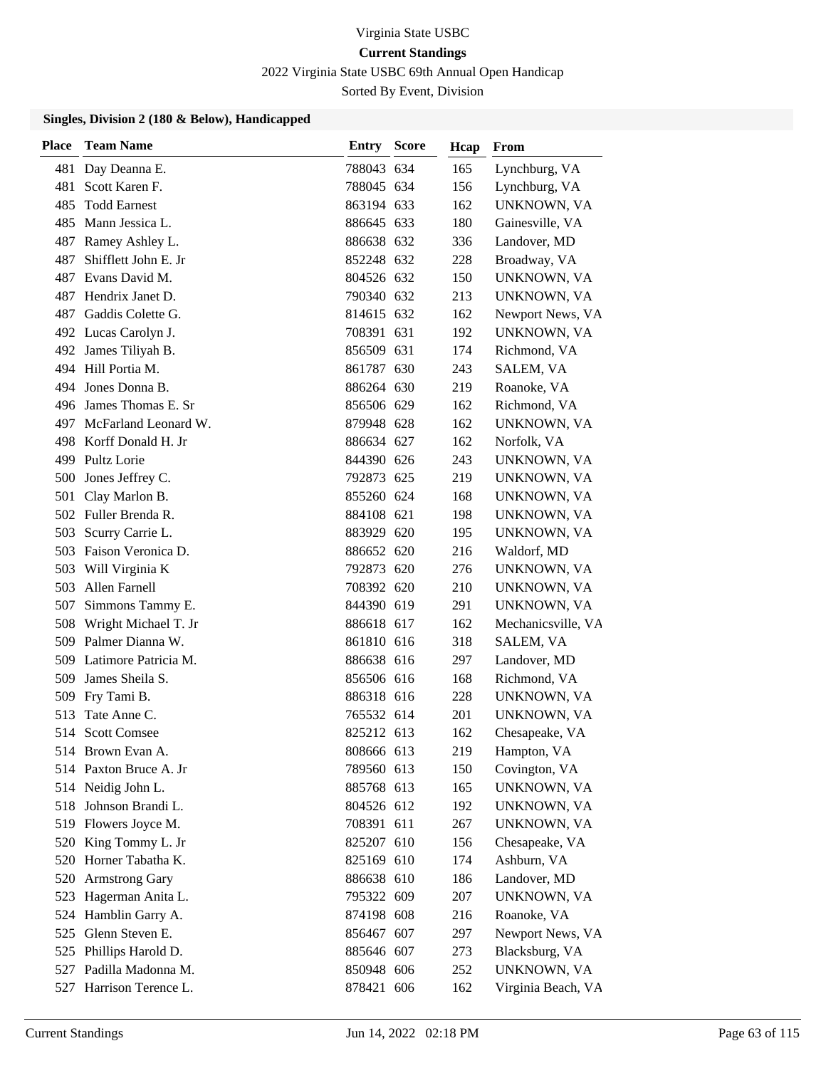2022 Virginia State USBC 69th Annual Open Handicap

Sorted By Event, Division

| Place | <b>Team Name</b>         | <b>Entry Score</b> | Hcap | From               |
|-------|--------------------------|--------------------|------|--------------------|
| 481   | Day Deanna E.            | 788043 634         | 165  | Lynchburg, VA      |
| 481   | Scott Karen F.           | 788045 634         | 156  | Lynchburg, VA      |
| 485   | <b>Todd Earnest</b>      | 863194 633         | 162  | UNKNOWN, VA        |
| 485   | Mann Jessica L.          | 886645 633         | 180  | Gainesville, VA    |
| 487   | Ramey Ashley L.          | 886638 632         | 336  | Landover, MD       |
| 487   | Shifflett John E. Jr     | 852248 632         | 228  | Broadway, VA       |
| 487   | Evans David M.           | 804526 632         | 150  | UNKNOWN, VA        |
| 487   | Hendrix Janet D.         | 790340 632         | 213  | UNKNOWN, VA        |
| 487 - | Gaddis Colette G.        | 814615 632         | 162  | Newport News, VA   |
|       | 492 Lucas Carolyn J.     | 708391 631         | 192  | UNKNOWN, VA        |
|       | 492 James Tiliyah B.     | 856509 631         | 174  | Richmond, VA       |
|       | 494 Hill Portia M.       | 861787 630         | 243  | SALEM, VA          |
|       | 494 Jones Donna B.       | 886264 630         | 219  | Roanoke, VA        |
|       | 496 James Thomas E. Sr   | 856506 629         | 162  | Richmond, VA       |
|       | 497 McFarland Leonard W. | 879948 628         | 162  | UNKNOWN, VA        |
|       | 498 Korff Donald H. Jr   | 886634 627         | 162  | Norfolk, VA        |
|       | 499 Pultz Lorie          | 844390 626         | 243  | UNKNOWN, VA        |
| 500   | Jones Jeffrey C.         | 792873 625         | 219  | UNKNOWN, VA        |
| 501   | Clay Marlon B.           | 855260 624         | 168  | UNKNOWN, VA        |
|       | 502 Fuller Brenda R.     | 884108 621         | 198  | UNKNOWN, VA        |
| 503   | Scurry Carrie L.         | 883929 620         | 195  | UNKNOWN, VA        |
| 503   | Faison Veronica D.       | 886652 620         | 216  | Waldorf, MD        |
| 503   | Will Virginia K          | 792873 620         | 276  | UNKNOWN, VA        |
| 503   | Allen Farnell            | 708392 620         | 210  | UNKNOWN, VA        |
| 507   | Simmons Tammy E.         | 844390 619         | 291  | UNKNOWN, VA        |
| 508   | Wright Michael T. Jr     | 886618 617         | 162  | Mechanicsville, VA |
| 509   | Palmer Dianna W.         | 861810 616         | 318  | SALEM, VA          |
| 509   | Latimore Patricia M.     | 886638 616         | 297  | Landover, MD       |
| 509   | James Sheila S.          | 856506 616         | 168  | Richmond, VA       |
| 509   | Fry Tami B.              | 886318 616         | 228  | UNKNOWN, VA        |
| 513   | Tate Anne C.             | 765532 614         | 201  | UNKNOWN, VA        |
| 514   | <b>Scott Comsee</b>      | 825212 613         | 162  | Chesapeake, VA     |
|       | 514 Brown Evan A.        | 808666 613         | 219  | Hampton, VA        |
|       | 514 Paxton Bruce A. Jr   | 789560 613         | 150  | Covington, VA      |
|       | 514 Neidig John L.       | 885768 613         | 165  | UNKNOWN, VA        |
| 518   | Johnson Brandi L.        | 804526 612         | 192  | UNKNOWN, VA        |
|       | 519 Flowers Joyce M.     | 708391 611         | 267  | UNKNOWN, VA        |
| 520   | King Tommy L. Jr         | 825207 610         | 156  | Chesapeake, VA     |
| 520   | Horner Tabatha K.        | 825169 610         | 174  | Ashburn, VA        |
| 520   | <b>Armstrong Gary</b>    | 886638 610         | 186  | Landover, MD       |
| 523   | Hagerman Anita L.        | 795322 609         | 207  | UNKNOWN, VA        |
| 524   | Hamblin Garry A.         | 874198 608         | 216  | Roanoke, VA        |
| 525   | Glenn Steven E.          | 856467 607         | 297  | Newport News, VA   |
|       | 525 Phillips Harold D.   | 885646 607         | 273  | Blacksburg, VA     |
| 527   | Padilla Madonna M.       | 850948 606         | 252  | UNKNOWN, VA        |
| 527   | Harrison Terence L.      | 878421 606         | 162  | Virginia Beach, VA |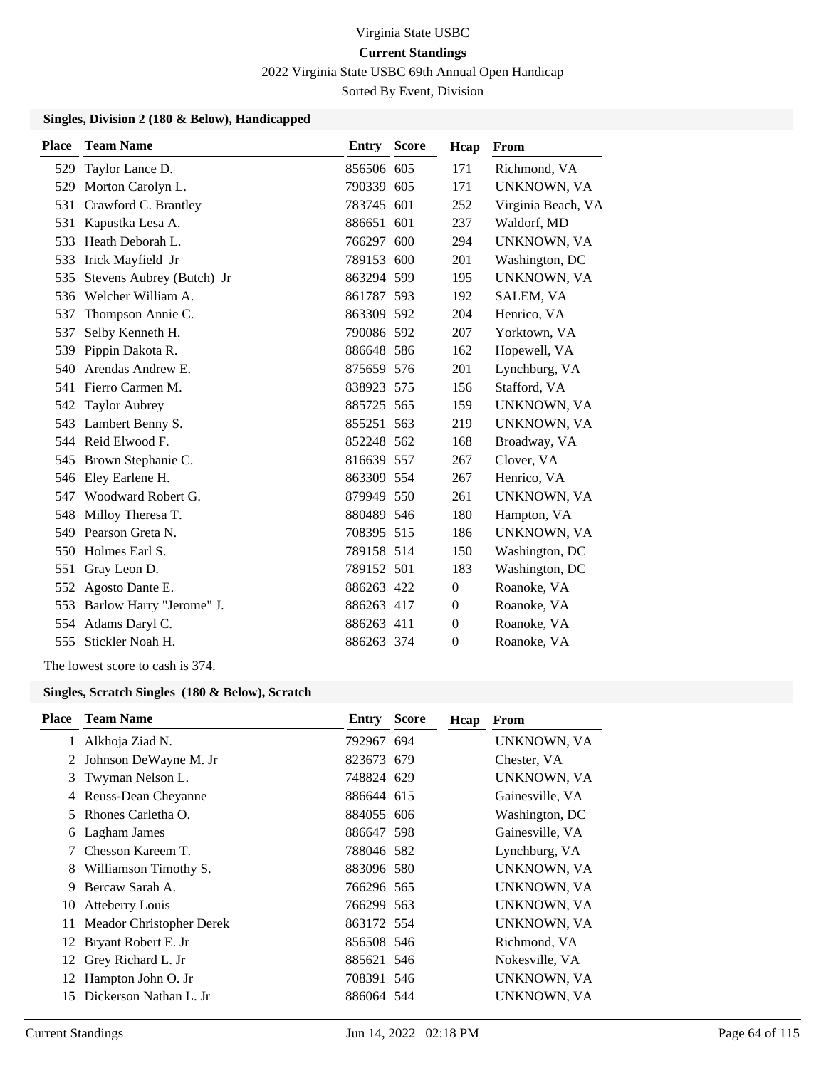2022 Virginia State USBC 69th Annual Open Handicap

Sorted By Event, Division

#### **Singles, Division 2 (180 & Below), Handicapped**

| <b>Place</b> | <b>Team Name</b>          | <b>Entry Score</b> | Hcap           | From               |
|--------------|---------------------------|--------------------|----------------|--------------------|
| 529          | Taylor Lance D.           | 856506 605         | 171            | Richmond, VA       |
| 529          | Morton Carolyn L.         | 790339 605         | 171            | UNKNOWN, VA        |
| 531          | Crawford C. Brantley      | 783745 601         | 252            | Virginia Beach, VA |
| 531          | Kapustka Lesa A.          | 886651 601         | 237            | Waldorf, MD        |
| 533          | Heath Deborah L.          | 766297 600         | 294            | UNKNOWN, VA        |
| 533          | Irick Mayfield Jr         | 789153 600         | 201            | Washington, DC     |
| 535          | Stevens Aubrey (Butch) Jr | 863294 599         | 195            | UNKNOWN, VA        |
| 536          | Welcher William A.        | 861787 593         | 192            | SALEM, VA          |
| 537          | Thompson Annie C.         | 863309 592         | 204            | Henrico, VA        |
| 537          | Selby Kenneth H.          | 790086 592         | 207            | Yorktown, VA       |
| 539          | Pippin Dakota R.          | 886648 586         | 162            | Hopewell, VA       |
| 540          | Arendas Andrew E.         | 875659 576         | 201            | Lynchburg, VA      |
| 541          | Fierro Carmen M.          | 838923 575         | 156            | Stafford, VA       |
| 542          | <b>Taylor Aubrey</b>      | 885725 565         | 159            | UNKNOWN, VA        |
| 543          | Lambert Benny S.          | 855251 563         | 219            | UNKNOWN, VA        |
|              | 544 Reid Elwood F.        | 852248 562         | 168            | Broadway, VA       |
| 545          | Brown Stephanie C.        | 816639 557         | 267            | Clover, VA         |
| 546          | Eley Earlene H.           | 863309 554         | 267            | Henrico, VA        |
| 547          | Woodward Robert G.        | 879949 550         | 261            | UNKNOWN, VA        |
| 548          | Milloy Theresa T.         | 880489 546         | 180            | Hampton, VA        |
| 549          | Pearson Greta N.          | 708395 515         | 186            | UNKNOWN, VA        |
| 550          | Holmes Earl S.            | 789158 514         | 150            | Washington, DC     |
| 551          | Gray Leon D.              | 789152 501         | 183            | Washington, DC     |
| 552          | Agosto Dante E.           | 886263 422         | $\overline{0}$ | Roanoke, VA        |
| 553          | Barlow Harry "Jerome" J.  | 886263 417         | $\Omega$       | Roanoke, VA        |
| 554          | Adams Daryl C.            | 886263 411         | $\Omega$       | Roanoke, VA        |
| 555          | Stickler Noah H.          | 886263 374         | $\Omega$       | Roanoke, VA        |

The lowest score to cash is 374.

### **Singles, Scratch Singles (180 & Below), Scratch**

| <b>Place</b> | <b>Team Name</b>         | <b>Entry Score</b> | Hcap | From            |
|--------------|--------------------------|--------------------|------|-----------------|
|              | Alkhoja Ziad N.          | 792967 694         |      | UNKNOWN, VA     |
|              | Johnson DeWayne M. Jr    | 823673 679         |      | Chester, VA     |
| 3            | Twyman Nelson L.         | 748824 629         |      | UNKNOWN, VA     |
|              | Reuss-Dean Cheyanne      | 886644 615         |      | Gainesville, VA |
| 5.           | Rhones Carletha O.       | 884055 606         |      | Washington, DC  |
| 6            | Lagham James             | 886647 598         |      | Gainesville, VA |
|              | Chesson Kareem T.        | 788046 582         |      | Lynchburg, VA   |
| 8            | Williamson Timothy S.    | 883096 580         |      | UNKNOWN, VA     |
| 9            | Bercaw Sarah A.          | 766296 565         |      | UNKNOWN, VA     |
| 10           | <b>Atteberry Louis</b>   | 766299 563         |      | UNKNOWN, VA     |
| 11           | Meador Christopher Derek | 863172 554         |      | UNKNOWN, VA     |
|              | 12 Bryant Robert E. Jr   | 856508 546         |      | Richmond, VA    |
|              | 12 Grey Richard L. Jr    | 885621 546         |      | Nokesville, VA  |
| 12           | Hampton John O. Jr       | 708391 546         |      | UNKNOWN, VA     |
| 15           | Dickerson Nathan L. Jr   | 886064 544         |      | UNKNOWN, VA     |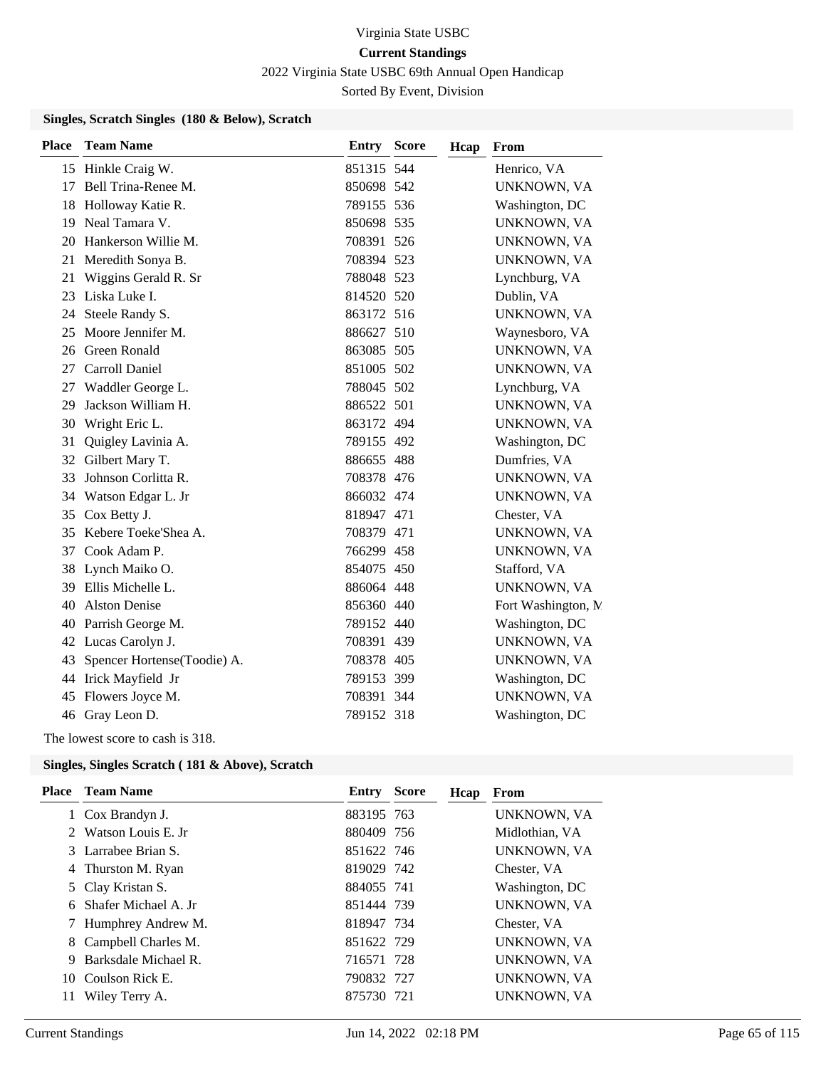2022 Virginia State USBC 69th Annual Open Handicap

Sorted By Event, Division

#### **Singles, Scratch Singles (180 & Below), Scratch**

| <b>Place</b> | <b>Team Name</b>               | Entry      | <b>Score</b><br>Hcap | From                |
|--------------|--------------------------------|------------|----------------------|---------------------|
|              | 15 Hinkle Craig W.             | 851315 544 |                      | Henrico, VA         |
| 17           | Bell Trina-Renee M.            | 850698 542 |                      | UNKNOWN, VA         |
| 18           | Holloway Katie R.              | 789155 536 |                      | Washington, DC      |
| 19           | Neal Tamara V.                 | 850698 535 |                      | UNKNOWN, VA         |
| 20           | Hankerson Willie M.            | 708391 526 |                      | UNKNOWN, VA         |
| 21           | Meredith Sonya B.              | 708394 523 |                      | UNKNOWN, VA         |
| 21           | Wiggins Gerald R. Sr           | 788048 523 |                      | Lynchburg, VA       |
| 23           | Liska Luke I.                  | 814520 520 |                      | Dublin, VA          |
| 24           | Steele Randy S.                | 863172 516 |                      | UNKNOWN, VA         |
| 25           | Moore Jennifer M.              | 886627 510 |                      | Waynesboro, VA      |
| 26           | <b>Green Ronald</b>            | 863085 505 |                      | UNKNOWN, VA         |
| 27           | Carroll Daniel                 | 851005 502 |                      | UNKNOWN, VA         |
| 27           | Waddler George L.              | 788045 502 |                      | Lynchburg, VA       |
| 29           | Jackson William H.             | 886522 501 |                      | UNKNOWN, VA         |
| 30           | Wright Eric L.                 | 863172 494 |                      | UNKNOWN, VA         |
| 31           | Quigley Lavinia A.             | 789155 492 |                      | Washington, DC      |
| 32           | Gilbert Mary T.                | 886655 488 |                      | Dumfries, VA        |
| 33           | Johnson Corlitta R.            | 708378 476 |                      | UNKNOWN, VA         |
| 34           | Watson Edgar L. Jr             | 866032 474 |                      | UNKNOWN, VA         |
| 35           | Cox Betty J.                   | 818947 471 |                      | Chester, VA         |
| 35           | Kebere Toeke'Shea A.           | 708379 471 |                      | UNKNOWN, VA         |
| 37           | Cook Adam P.                   | 766299 458 |                      | UNKNOWN, VA         |
| 38           | Lynch Maiko O.                 | 854075 450 |                      | Stafford, VA        |
| 39           | Ellis Michelle L.              | 886064 448 |                      | UNKNOWN, VA         |
| 40           | <b>Alston Denise</b>           | 856360 440 |                      | Fort Washington, N. |
| 40           | Parrish George M.              | 789152 440 |                      | Washington, DC      |
|              | 42 Lucas Carolyn J.            | 708391 439 |                      | UNKNOWN, VA         |
|              | 43 Spencer Hortense(Toodie) A. | 708378 405 |                      | UNKNOWN, VA         |
|              | 44 Irick Mayfield Jr           | 789153 399 |                      | Washington, DC      |
| 45           | Flowers Joyce M.               | 708391 344 |                      | <b>UNKNOWN, VA</b>  |
|              | 46 Gray Leon D.                | 789152 318 |                      | Washington, DC      |
|              |                                |            |                      |                     |

The lowest score to cash is 318.

| Place       | <b>Team Name</b>     | Entry      | Score | Hcap | From               |
|-------------|----------------------|------------|-------|------|--------------------|
|             | 1 Cox Brandyn J.     | 883195 763 |       |      | UNKNOWN, VA        |
| $2^{\circ}$ | Watson Louis E. Jr.  | 880409 756 |       |      | Midlothian, VA     |
|             | 3 Larrabee Brian S.  | 851622 746 |       |      | <b>UNKNOWN, VA</b> |
|             | 4 Thurston M. Ryan   | 819029 742 |       |      | Chester, VA        |
|             | 5 Clay Kristan S.    | 884055 741 |       |      | Washington, DC     |
| 6           | Shafer Michael A. Jr | 851444 739 |       |      | UNKNOWN, VA        |
|             | Humphrey Andrew M.   | 818947 734 |       |      | Chester, VA        |
| 8           | Campbell Charles M.  | 851622 729 |       |      | UNKNOWN, VA        |
| 9           | Barksdale Michael R. | 716571 728 |       |      | UNKNOWN, VA        |
| 10          | - Coulson Rick E.    | 790832 727 |       |      | <b>UNKNOWN, VA</b> |
| 11          | Wiley Terry A.       | 875730 721 |       |      | <b>UNKNOWN, VA</b> |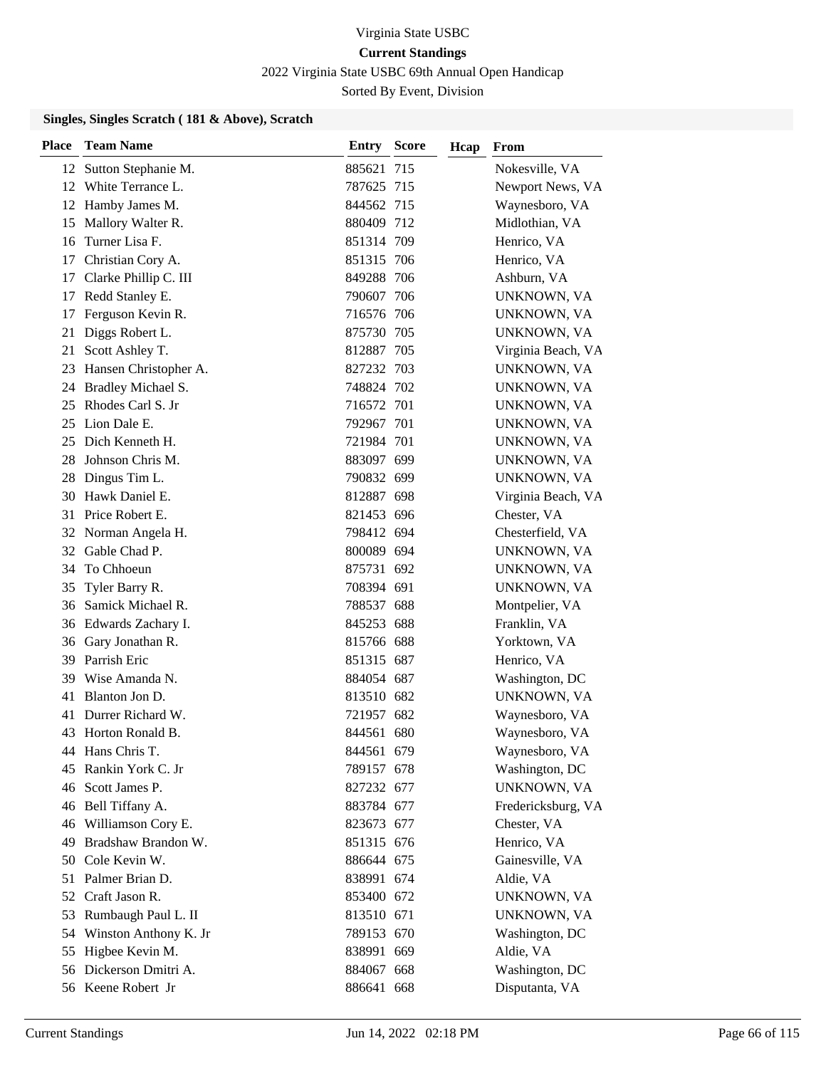2022 Virginia State USBC 69th Annual Open Handicap

Sorted By Event, Division

| <b>Place</b> | <b>Team Name</b>         | Entry      | <b>Score</b> | Hcap | From               |
|--------------|--------------------------|------------|--------------|------|--------------------|
|              | 12 Sutton Stephanie M.   | 885621     | 715          |      | Nokesville, VA     |
|              | 12 White Terrance L.     | 787625 715 |              |      | Newport News, VA   |
|              | 12 Hamby James M.        | 844562 715 |              |      | Waynesboro, VA     |
| 15           | Mallory Walter R.        | 880409 712 |              |      | Midlothian, VA     |
| 16           | Turner Lisa F.           | 851314 709 |              |      | Henrico, VA        |
| 17           | Christian Cory A.        | 851315 706 |              |      | Henrico, VA        |
| 17           | Clarke Phillip C. III    | 849288 706 |              |      | Ashburn, VA        |
| 17           | Redd Stanley E.          | 790607 706 |              |      | UNKNOWN, VA        |
| 17           | Ferguson Kevin R.        | 716576 706 |              |      | UNKNOWN, VA        |
| 21           | Diggs Robert L.          | 875730 705 |              |      | UNKNOWN, VA        |
| 21           | Scott Ashley T.          | 812887 705 |              |      | Virginia Beach, VA |
|              | 23 Hansen Christopher A. | 827232 703 |              |      | UNKNOWN, VA        |
|              | 24 Bradley Michael S.    | 748824 702 |              |      | UNKNOWN, VA        |
| 25           | Rhodes Carl S. Jr        | 716572 701 |              |      | UNKNOWN, VA        |
| 25           | Lion Dale E.             | 792967 701 |              |      | UNKNOWN, VA        |
|              | 25 Dich Kenneth H.       | 721984 701 |              |      | UNKNOWN, VA        |
| 28           | Johnson Chris M.         | 883097 699 |              |      | UNKNOWN, VA        |
| 28           | Dingus Tim L.            | 790832 699 |              |      | UNKNOWN, VA        |
| 30           | Hawk Daniel E.           | 812887 698 |              |      | Virginia Beach, VA |
|              | 31 Price Robert E.       | 821453 696 |              |      | Chester, VA        |
|              | 32 Norman Angela H.      | 798412 694 |              |      | Chesterfield, VA   |
| 32           | Gable Chad P.            | 800089 694 |              |      | UNKNOWN, VA        |
| 34           | To Chhoeun               | 875731 692 |              |      | UNKNOWN, VA        |
| 35           | Tyler Barry R.           | 708394 691 |              |      | UNKNOWN, VA        |
| 36           | Samick Michael R.        | 788537 688 |              |      | Montpelier, VA     |
|              | 36 Edwards Zachary I.    | 845253 688 |              |      | Franklin, VA       |
| 36           | Gary Jonathan R.         | 815766 688 |              |      | Yorktown, VA       |
|              | 39 Parrish Eric          | 851315 687 |              |      | Henrico, VA        |
| 39           | Wise Amanda N.           | 884054 687 |              |      | Washington, DC     |
| 41           | Blanton Jon D.           | 813510 682 |              |      | UNKNOWN, VA        |
| 41           | Durrer Richard W.        | 721957 682 |              |      | Waynesboro, VA     |
| 43           | Horton Ronald B.         | 844561 680 |              |      | Waynesboro, VA     |
|              | 44 Hans Chris T.         | 844561 679 |              |      | Waynesboro, VA     |
| 45           | Rankin York C. Jr        | 789157 678 |              |      | Washington, DC     |
| 46           | Scott James P.           | 827232 677 |              |      | UNKNOWN, VA        |
|              | 46 Bell Tiffany A.       | 883784 677 |              |      | Fredericksburg, VA |
| 46           | Williamson Cory E.       | 823673 677 |              |      | Chester, VA        |
| 49           | Bradshaw Brandon W.      | 851315 676 |              |      | Henrico, VA        |
| 50           | Cole Kevin W.            | 886644 675 |              |      | Gainesville, VA    |
|              | 51 Palmer Brian D.       | 838991 674 |              |      | Aldie, VA          |
| 52           | Craft Jason R.           | 853400 672 |              |      | UNKNOWN, VA        |
| 53           | Rumbaugh Paul L. II      | 813510 671 |              |      | UNKNOWN, VA        |
| 54           | Winston Anthony K. Jr    | 789153 670 |              |      | Washington, DC     |
|              | 55 Higbee Kevin M.       | 838991 669 |              |      | Aldie, VA          |
|              | 56 Dickerson Dmitri A.   | 884067 668 |              |      | Washington, DC     |
|              | 56 Keene Robert Jr       | 886641 668 |              |      | Disputanta, VA     |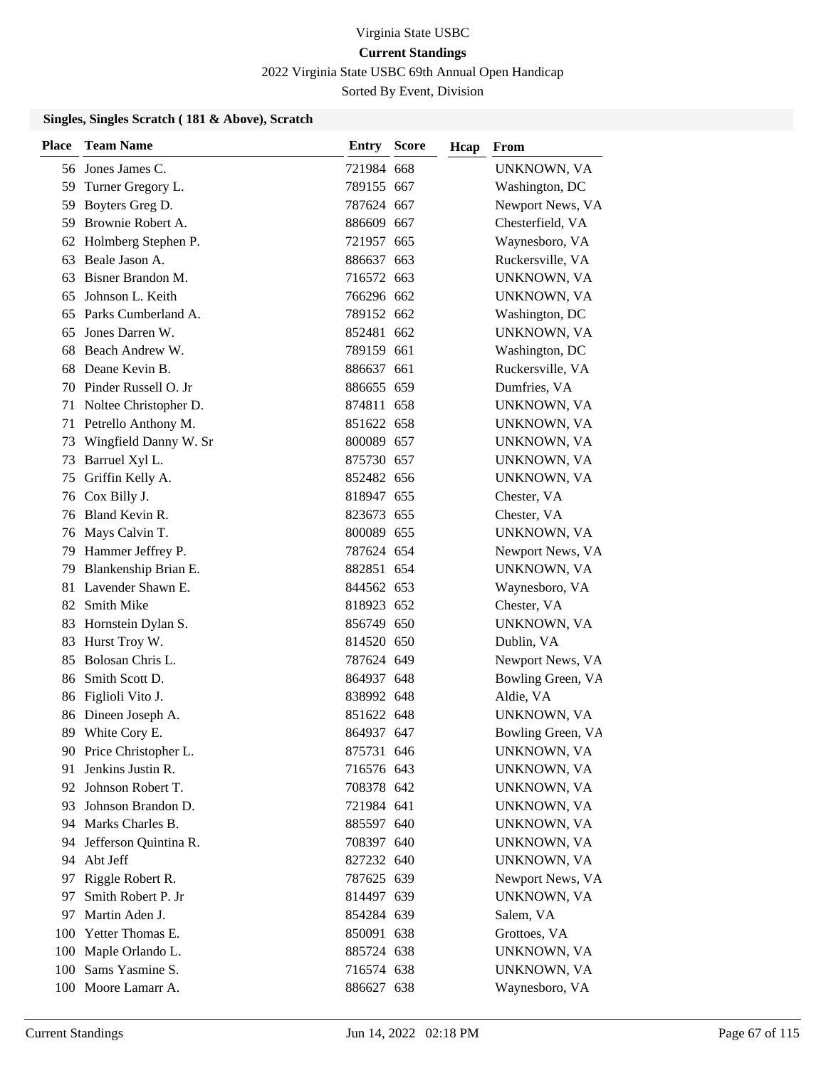2022 Virginia State USBC 69th Annual Open Handicap

Sorted By Event, Division

| <b>Place</b> | <b>Team Name</b>        | <b>Entry Score</b> | Hcap | From              |
|--------------|-------------------------|--------------------|------|-------------------|
|              | 56 Jones James C.       | 721984 668         |      | UNKNOWN, VA       |
| 59           | Turner Gregory L.       | 789155 667         |      | Washington, DC    |
| 59           | Boyters Greg D.         | 787624 667         |      | Newport News, VA  |
|              | 59 Brownie Robert A.    | 886609 667         |      | Chesterfield, VA  |
| 62           | Holmberg Stephen P.     | 721957 665         |      | Waynesboro, VA    |
| 63           | Beale Jason A.          | 886637 663         |      | Ruckersville, VA  |
| 63           | Bisner Brandon M.       | 716572 663         |      | UNKNOWN, VA       |
| 65           | Johnson L. Keith        | 766296 662         |      | UNKNOWN, VA       |
| 65           | Parks Cumberland A.     | 789152 662         |      | Washington, DC    |
| 65           | Jones Darren W.         | 852481 662         |      | UNKNOWN, VA       |
| 68           | Beach Andrew W.         | 789159 661         |      | Washington, DC    |
| 68           | Deane Kevin B.          | 886637 661         |      | Ruckersville, VA  |
| 70           | Pinder Russell O. Jr    | 886655 659         |      | Dumfries, VA      |
| 71           | Noltee Christopher D.   | 874811 658         |      | UNKNOWN, VA       |
| 71           | Petrello Anthony M.     | 851622 658         |      | UNKNOWN, VA       |
| 73           | Wingfield Danny W. Sr   | 800089 657         |      | UNKNOWN, VA       |
| 73           | Barruel Xyl L.          | 875730 657         |      | UNKNOWN, VA       |
| 75           | Griffin Kelly A.        | 852482 656         |      | UNKNOWN, VA       |
| 76           | Cox Billy J.            | 818947 655         |      | Chester, VA       |
|              | 76 Bland Kevin R.       | 823673 655         |      | Chester, VA       |
| 76           | Mays Calvin T.          | 800089 655         |      | UNKNOWN, VA       |
| 79           | Hammer Jeffrey P.       | 787624 654         |      | Newport News, VA  |
| 79           | Blankenship Brian E.    | 882851 654         |      | UNKNOWN, VA       |
| 81           | Lavender Shawn E.       | 844562 653         |      | Waynesboro, VA    |
| 82           | Smith Mike              | 818923 652         |      | Chester, VA       |
| 83           | Hornstein Dylan S.      | 856749 650         |      | UNKNOWN, VA       |
| 83           | Hurst Troy W.           | 814520 650         |      | Dublin, VA        |
| 85           | Bolosan Chris L.        | 787624 649         |      | Newport News, VA  |
| 86           | Smith Scott D.          | 864937 648         |      | Bowling Green, VA |
| 86           | Figlioli Vito J.        | 838992 648         |      | Aldie, VA         |
| 86           | Dineen Joseph A.        | 851622 648         |      | UNKNOWN, VA       |
|              | 89 White Cory E.        | 864937 647         |      | Bowling Green, VA |
|              | 90 Price Christopher L. | 875731 646         |      | UNKNOWN, VA       |
| 91           | Jenkins Justin R.       | 716576 643         |      | UNKNOWN, VA       |
| 92           | Johnson Robert T.       | 708378 642         |      | UNKNOWN, VA       |
| 93           | Johnson Brandon D.      | 721984 641         |      | UNKNOWN, VA       |
| 94           | Marks Charles B.        | 885597 640         |      | UNKNOWN, VA       |
| 94           | Jefferson Quintina R.   | 708397 640         |      | UNKNOWN, VA       |
| 94           | Abt Jeff                | 827232 640         |      | UNKNOWN, VA       |
| 97           | Riggle Robert R.        | 787625 639         |      | Newport News, VA  |
| 97           | Smith Robert P. Jr      | 814497 639         |      | UNKNOWN, VA       |
| 97           | Martin Aden J.          | 854284 639         |      | Salem, VA         |
| 100          | Yetter Thomas E.        | 850091 638         |      | Grottoes, VA      |
| 100          | Maple Orlando L.        | 885724 638         |      | UNKNOWN, VA       |
|              | 100 Sams Yasmine S.     | 716574 638         |      | UNKNOWN, VA       |
|              | 100 Moore Lamarr A.     | 886627 638         |      | Waynesboro, VA    |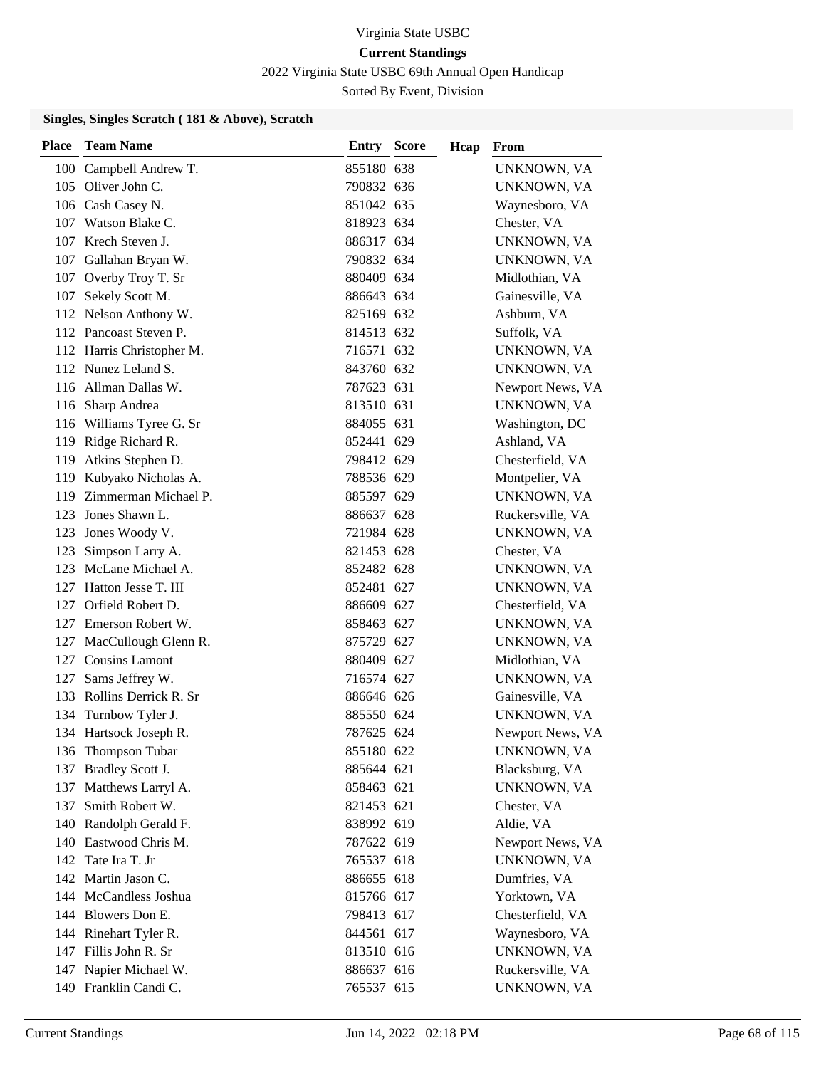2022 Virginia State USBC 69th Annual Open Handicap

Sorted By Event, Division

| <b>Place</b> | <b>Team Name</b>          | <b>Entry Score</b> | Hcap | From             |
|--------------|---------------------------|--------------------|------|------------------|
|              | 100 Campbell Andrew T.    | 855180 638         |      | UNKNOWN, VA      |
|              | 105 Oliver John C.        | 790832 636         |      | UNKNOWN, VA      |
|              | 106 Cash Casey N.         | 851042 635         |      | Waynesboro, VA   |
| 107          | Watson Blake C.           | 818923 634         |      | Chester, VA      |
|              | 107 Krech Steven J.       | 886317 634         |      | UNKNOWN, VA      |
|              | 107 Gallahan Bryan W.     | 790832 634         |      | UNKNOWN, VA      |
|              | 107 Overby Troy T. Sr     | 880409 634         |      | Midlothian, VA   |
|              | 107 Sekely Scott M.       | 886643 634         |      | Gainesville, VA  |
|              | 112 Nelson Anthony W.     | 825169 632         |      | Ashburn, VA      |
|              | 112 Pancoast Steven P.    | 814513 632         |      | Suffolk, VA      |
|              | 112 Harris Christopher M. | 716571 632         |      | UNKNOWN, VA      |
|              | 112 Nunez Leland S.       | 843760 632         |      | UNKNOWN, VA      |
|              | 116 Allman Dallas W.      | 787623 631         |      | Newport News, VA |
| 116          | Sharp Andrea              | 813510 631         |      | UNKNOWN, VA      |
|              | 116 Williams Tyree G. Sr  | 884055 631         |      | Washington, DC   |
|              | 119 Ridge Richard R.      | 852441 629         |      | Ashland, VA      |
| 119          | Atkins Stephen D.         | 798412 629         |      | Chesterfield, VA |
| 119          | Kubyako Nicholas A.       | 788536 629         |      | Montpelier, VA   |
| 119          | Zimmerman Michael P.      | 885597 629         |      | UNKNOWN, VA      |
| 123          | Jones Shawn L.            | 886637 628         |      | Ruckersville, VA |
| 123          | Jones Woody V.            | 721984 628         |      | UNKNOWN, VA      |
| 123          | Simpson Larry A.          | 821453 628         |      | Chester, VA      |
| 123          | McLane Michael A.         | 852482 628         |      | UNKNOWN, VA      |
| 127          | Hatton Jesse T. III       | 852481 627         |      | UNKNOWN, VA      |
|              | 127 Orfield Robert D.     | 886609 627         |      | Chesterfield, VA |
|              | 127 Emerson Robert W.     | 858463 627         |      | UNKNOWN, VA      |
| 127          | MacCullough Glenn R.      | 875729 627         |      | UNKNOWN, VA      |
|              | 127 Cousins Lamont        | 880409 627         |      | Midlothian, VA   |
| 127          | Sams Jeffrey W.           | 716574 627         |      | UNKNOWN, VA      |
|              | 133 Rollins Derrick R. Sr | 886646 626         |      | Gainesville, VA  |
| 134          | Turnbow Tyler J.          | 885550 624         |      | UNKNOWN, VA      |
|              | 134 Hartsock Joseph R.    | 787625 624         |      | Newport News, VA |
|              | 136 Thompson Tubar        | 855180 622         |      | UNKNOWN, VA      |
|              | 137 Bradley Scott J.      | 885644 621         |      | Blacksburg, VA   |
| 137          | Matthews Larryl A.        | 858463 621         |      | UNKNOWN, VA      |
| 137          | Smith Robert W.           | 821453 621         |      | Chester, VA      |
|              | 140 Randolph Gerald F.    | 838992 619         |      | Aldie, VA        |
|              | 140 Eastwood Chris M.     | 787622 619         |      | Newport News, VA |
|              | 142 Tate Ira T. Jr        | 765537 618         |      | UNKNOWN, VA      |
|              | 142 Martin Jason C.       | 886655 618         |      | Dumfries, VA     |
|              | 144 McCandless Joshua     | 815766 617         |      | Yorktown, VA     |
|              | 144 Blowers Don E.        | 798413 617         |      | Chesterfield, VA |
|              | 144 Rinehart Tyler R.     | 844561 617         |      | Waynesboro, VA   |
|              | 147 Fillis John R. Sr     | 813510 616         |      | UNKNOWN, VA      |
|              | 147 Napier Michael W.     | 886637 616         |      | Ruckersville, VA |
|              | 149 Franklin Candi C.     | 765537 615         |      | UNKNOWN, VA      |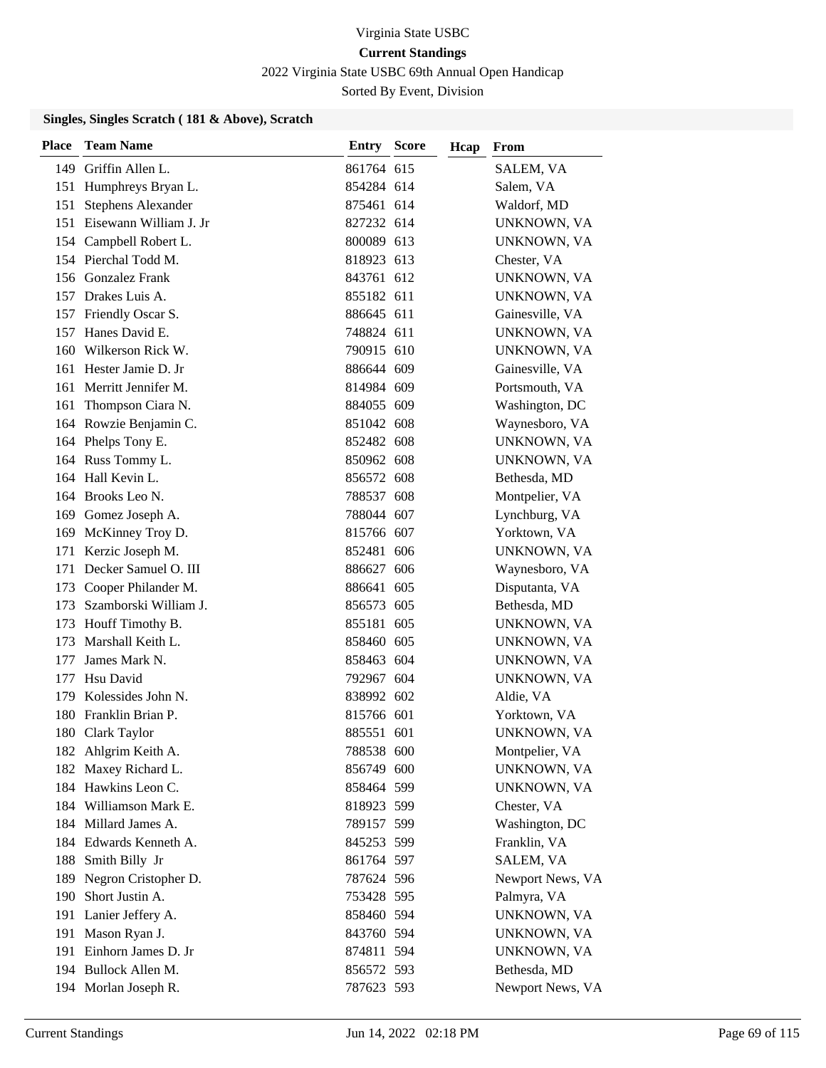2022 Virginia State USBC 69th Annual Open Handicap

Sorted By Event, Division

| <b>Place</b> | <b>Team Name</b>           | <b>Entry Score</b> | Hcap | From               |
|--------------|----------------------------|--------------------|------|--------------------|
|              | 149 Griffin Allen L.       | 861764 615         |      | SALEM, VA          |
|              | 151 Humphreys Bryan L.     | 854284 614         |      | Salem, VA          |
| 151          | <b>Stephens Alexander</b>  | 875461 614         |      | Waldorf, MD        |
|              | 151 Eisewann William J. Jr | 827232 614         |      | UNKNOWN, VA        |
|              | 154 Campbell Robert L.     | 800089 613         |      | UNKNOWN, VA        |
|              | 154 Pierchal Todd M.       | 818923 613         |      | Chester, VA        |
|              | 156 Gonzalez Frank         | 843761 612         |      | UNKNOWN, VA        |
|              | 157 Drakes Luis A.         | 855182 611         |      | UNKNOWN, VA        |
|              | 157 Friendly Oscar S.      | 886645 611         |      | Gainesville, VA    |
| 157          | Hanes David E.             | 748824 611         |      | UNKNOWN, VA        |
| 160          | Wilkerson Rick W.          | 790915 610         |      | UNKNOWN, VA        |
| 161          | Hester Jamie D. Jr         | 886644 609         |      | Gainesville, VA    |
| 161          | Merritt Jennifer M.        | 814984 609         |      | Portsmouth, VA     |
| 161          | Thompson Ciara N.          | 884055 609         |      | Washington, DC     |
|              | 164 Rowzie Benjamin C.     | 851042 608         |      | Waynesboro, VA     |
|              | 164 Phelps Tony E.         | 852482 608         |      | UNKNOWN, VA        |
|              | 164 Russ Tommy L.          | 850962 608         |      | <b>UNKNOWN, VA</b> |
|              | 164 Hall Kevin L.          | 856572 608         |      | Bethesda, MD       |
|              | 164 Brooks Leo N.          | 788537 608         |      | Montpelier, VA     |
|              | 169 Gomez Joseph A.        | 788044 607         |      | Lynchburg, VA      |
|              | 169 McKinney Troy D.       | 815766 607         |      | Yorktown, VA       |
| 171          | Kerzic Joseph M.           | 852481 606         |      | UNKNOWN, VA        |
| 171          | Decker Samuel O. III       | 886627 606         |      | Waynesboro, VA     |
|              | 173 Cooper Philander M.    | 886641 605         |      | Disputanta, VA     |
| 173          | Szamborski William J.      | 856573 605         |      | Bethesda, MD       |
| 173          | Houff Timothy B.           | 855181 605         |      | UNKNOWN, VA        |
| 173          | Marshall Keith L.          | 858460 605         |      | UNKNOWN, VA        |
| 177          | James Mark N.              | 858463 604         |      | UNKNOWN, VA        |
| 177          | Hsu David                  | 792967 604         |      | UNKNOWN, VA        |
| 179          | Kolessides John N.         | 838992 602         |      | Aldie, VA          |
| 180          | Franklin Brian P.          | 815766 601         |      | Yorktown, VA       |
| 180          | Clark Taylor               | 885551 601         |      | UNKNOWN, VA        |
|              | 182 Ahlgrim Keith A.       | 788538 600         |      | Montpelier, VA     |
|              | 182 Maxey Richard L.       | 856749 600         |      | UNKNOWN, VA        |
|              | 184 Hawkins Leon C.        | 858464 599         |      | UNKNOWN, VA        |
|              | 184 Williamson Mark E.     | 818923 599         |      | Chester, VA        |
|              | 184 Millard James A.       | 789157 599         |      | Washington, DC     |
|              | 184 Edwards Kenneth A.     | 845253 599         |      | Franklin, VA       |
| 188          | Smith Billy Jr             | 861764 597         |      | SALEM, VA          |
| 189          | Negron Cristopher D.       | 787624 596         |      | Newport News, VA   |
| 190          | Short Justin A.            | 753428 595         |      | Palmyra, VA        |
|              | 191 Lanier Jeffery A.      | 858460 594         |      | UNKNOWN, VA        |
|              | 191 Mason Ryan J.          | 843760 594         |      | UNKNOWN, VA        |
|              | 191 Einhorn James D. Jr    | 874811 594         |      | UNKNOWN, VA        |
|              | 194 Bullock Allen M.       | 856572 593         |      | Bethesda, MD       |
|              | 194 Morlan Joseph R.       | 787623 593         |      | Newport News, VA   |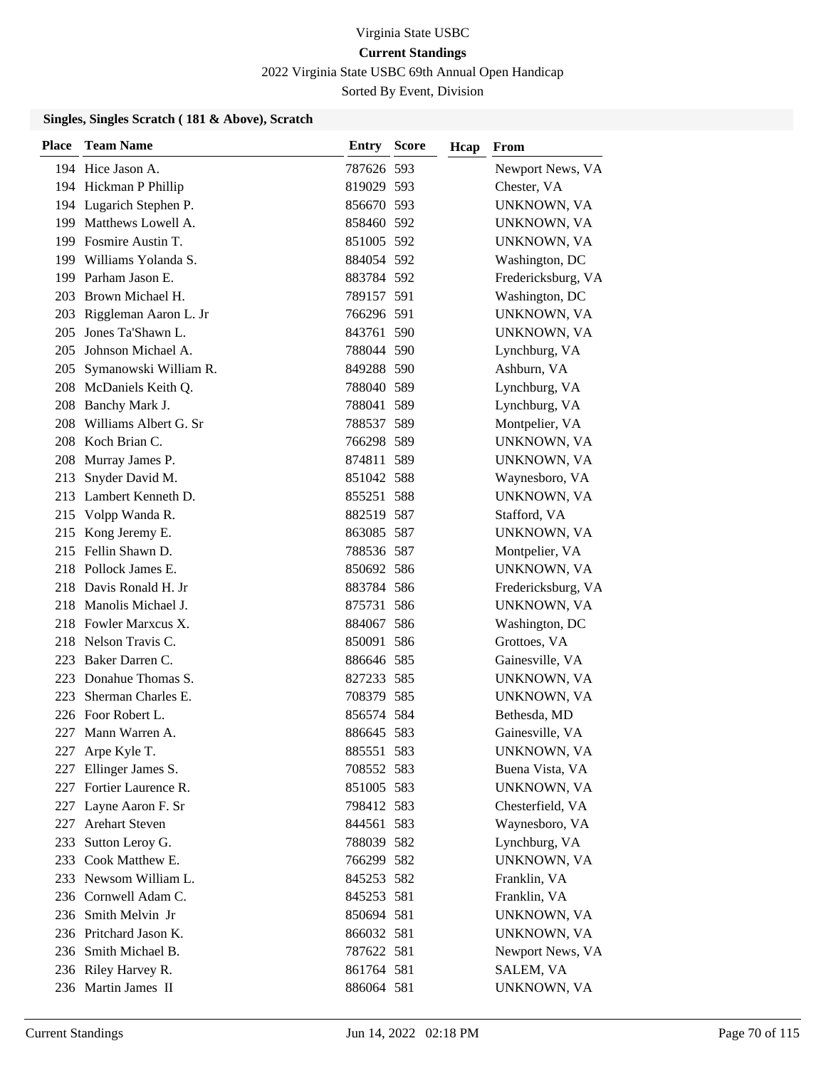2022 Virginia State USBC 69th Annual Open Handicap

Sorted By Event, Division

| Place | <b>Team Name</b>          | <b>Entry Score</b> | Hcap | From               |
|-------|---------------------------|--------------------|------|--------------------|
|       | 194 Hice Jason A.         | 787626 593         |      | Newport News, VA   |
|       | 194 Hickman P Phillip     | 819029 593         |      | Chester, VA        |
|       | 194 Lugarich Stephen P.   | 856670 593         |      | UNKNOWN, VA        |
|       | 199 Matthews Lowell A.    | 858460 592         |      | UNKNOWN, VA        |
|       | 199 Fosmire Austin T.     | 851005 592         |      | UNKNOWN, VA        |
|       | 199 Williams Yolanda S.   | 884054 592         |      | Washington, DC     |
|       | 199 Parham Jason E.       | 883784 592         |      | Fredericksburg, VA |
|       | 203 Brown Michael H.      | 789157 591         |      | Washington, DC     |
|       | 203 Riggleman Aaron L. Jr | 766296 591         |      | UNKNOWN, VA        |
| 205   | Jones Ta'Shawn L.         | 843761 590         |      | UNKNOWN, VA        |
| 205   | Johnson Michael A.        | 788044 590         |      | Lynchburg, VA      |
| 205   | Symanowski William R.     | 849288 590         |      | Ashburn, VA        |
|       | 208 McDaniels Keith Q.    | 788040 589         |      | Lynchburg, VA      |
| 208   | Banchy Mark J.            | 788041 589         |      | Lynchburg, VA      |
| 208   | Williams Albert G. Sr     | 788537 589         |      | Montpelier, VA     |
|       | 208 Koch Brian C.         | 766298 589         |      | UNKNOWN, VA        |
| 208   | Murray James P.           | 874811 589         |      | UNKNOWN, VA        |
| 213   | Snyder David M.           | 851042 588         |      | Waynesboro, VA     |
|       | 213 Lambert Kenneth D.    | 855251 588         |      | UNKNOWN, VA        |
|       | 215 Volpp Wanda R.        | 882519 587         |      | Stafford, VA       |
|       | 215 Kong Jeremy E.        | 863085 587         |      | UNKNOWN, VA        |
|       | 215 Fellin Shawn D.       | 788536 587         |      | Montpelier, VA     |
|       | 218 Pollock James E.      | 850692 586         |      | UNKNOWN, VA        |
|       | 218 Davis Ronald H. Jr    | 883784 586         |      | Fredericksburg, VA |
| 218   | Manolis Michael J.        | 875731 586         |      | UNKNOWN, VA        |
|       | 218 Fowler Marxcus X.     | 884067 586         |      | Washington, DC     |
|       | 218 Nelson Travis C.      | 850091 586         |      | Grottoes, VA       |
|       | 223 Baker Darren C.       | 886646 585         |      | Gainesville, VA    |
| 223   | Donahue Thomas S.         | 827233 585         |      | UNKNOWN, VA        |
| 223   | Sherman Charles E.        | 708379 585         |      | UNKNOWN, VA        |
|       | 226 Foor Robert L.        | 856574 584         |      | Bethesda, MD       |
| 227   | Mann Warren A.            | 886645 583         |      | Gainesville, VA    |
| 227   | Arpe Kyle T.              | 885551 583         |      | UNKNOWN, VA        |
| 227   | Ellinger James S.         | 708552 583         |      | Buena Vista, VA    |
|       | 227 Fortier Laurence R.   | 851005 583         |      | UNKNOWN, VA        |
|       | 227 Layne Aaron F. Sr     | 798412 583         |      | Chesterfield, VA   |
| 227   | <b>Arehart Steven</b>     | 844561 583         |      | Waynesboro, VA     |
| 233   | Sutton Leroy G.           | 788039 582         |      | Lynchburg, VA      |
| 233   | Cook Matthew E.           | 766299 582         |      | UNKNOWN, VA        |
|       | 233 Newsom William L.     | 845253 582         |      | Franklin, VA       |
|       | 236 Cornwell Adam C.      | 845253 581         |      | Franklin, VA       |
|       | 236 Smith Melvin Jr       | 850694 581         |      | UNKNOWN, VA        |
|       | 236 Pritchard Jason K.    | 866032 581         |      | UNKNOWN, VA        |
|       | 236 Smith Michael B.      | 787622 581         |      | Newport News, VA   |
|       | 236 Riley Harvey R.       | 861764 581         |      | SALEM, VA          |
|       | 236 Martin James II       | 886064 581         |      | UNKNOWN, VA        |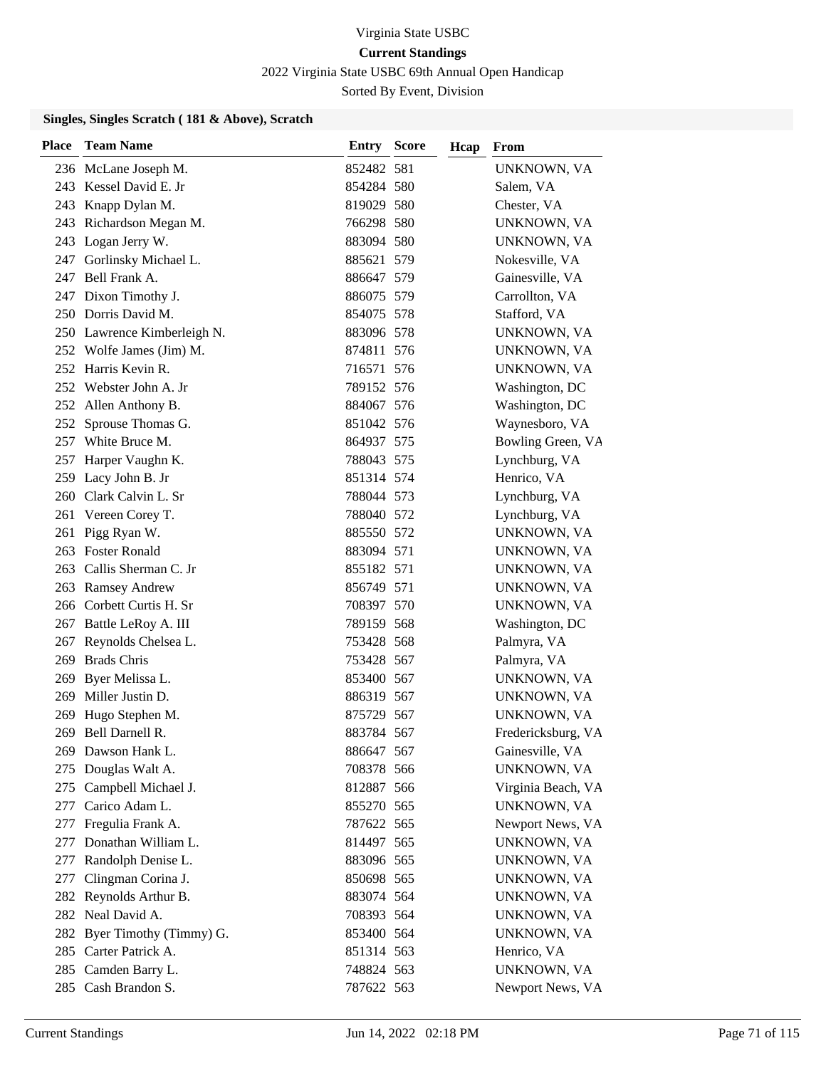2022 Virginia State USBC 69th Annual Open Handicap

Sorted By Event, Division

| Place | <b>Team Name</b>            | <b>Entry Score</b> | Hcap | From               |
|-------|-----------------------------|--------------------|------|--------------------|
|       | 236 McLane Joseph M.        | 852482 581         |      | UNKNOWN, VA        |
|       | 243 Kessel David E. Jr      | 854284 580         |      | Salem, VA          |
|       | 243 Knapp Dylan M.          | 819029 580         |      | Chester, VA        |
|       | 243 Richardson Megan M.     | 766298 580         |      | UNKNOWN, VA        |
|       | 243 Logan Jerry W.          | 883094 580         |      | UNKNOWN, VA        |
| 247   | Gorlinsky Michael L.        | 885621 579         |      | Nokesville, VA     |
|       | 247 Bell Frank A.           | 886647 579         |      | Gainesville, VA    |
|       | 247 Dixon Timothy J.        | 886075 579         |      | Carrollton, VA     |
|       | 250 Dorris David M.         | 854075 578         |      | Stafford, VA       |
|       | 250 Lawrence Kimberleigh N. | 883096 578         |      | UNKNOWN, VA        |
|       | 252 Wolfe James (Jim) M.    | 874811 576         |      | UNKNOWN, VA        |
|       | 252 Harris Kevin R.         | 716571 576         |      | UNKNOWN, VA        |
|       | 252 Webster John A. Jr      | 789152 576         |      | Washington, DC     |
|       | 252 Allen Anthony B.        | 884067 576         |      | Washington, DC     |
|       | 252 Sprouse Thomas G.       | 851042 576         |      | Waynesboro, VA     |
|       | 257 White Bruce M.          | 864937 575         |      | Bowling Green, VA  |
| 257   | Harper Vaughn K.            | 788043 575         |      | Lynchburg, VA      |
| 259   | Lacy John B. Jr             | 851314 574         |      | Henrico, VA        |
|       | 260 Clark Calvin L. Sr      | 788044 573         |      | Lynchburg, VA      |
|       | 261 Vereen Corey T.         | 788040 572         |      | Lynchburg, VA      |
| 261   | Pigg Ryan W.                | 885550 572         |      | UNKNOWN, VA        |
|       | 263 Foster Ronald           | 883094 571         |      | UNKNOWN, VA        |
|       | 263 Callis Sherman C. Jr    | 855182 571         |      | UNKNOWN, VA        |
|       | 263 Ramsey Andrew           | 856749 571         |      | UNKNOWN, VA        |
|       | 266 Corbett Curtis H. Sr    | 708397 570         |      | UNKNOWN, VA        |
|       | 267 Battle LeRoy A. III     | 789159 568         |      | Washington, DC     |
| 267   | Reynolds Chelsea L.         | 753428 568         |      | Palmyra, VA        |
|       | 269 Brads Chris             | 753428 567         |      | Palmyra, VA        |
|       | 269 Byer Melissa L.         | 853400 567         |      | UNKNOWN, VA        |
| 269   | Miller Justin D.            | 886319 567         |      | UNKNOWN, VA        |
| 269   | Hugo Stephen M.             | 875729 567         |      | UNKNOWN, VA        |
| 269   | Bell Darnell R.             | 883784 567         |      | Fredericksburg, VA |
|       | 269 Dawson Hank L.          | 886647 567         |      | Gainesville, VA    |
| 275   | Douglas Walt A.             | 708378 566         |      | UNKNOWN, VA        |
| 275   | Campbell Michael J.         | 812887 566         |      | Virginia Beach, VA |
|       | 277 Carico Adam L.          | 855270 565         |      | UNKNOWN, VA        |
| 277   | Fregulia Frank A.           | 787622 565         |      | Newport News, VA   |
| 277   | Donathan William L.         | 814497 565         |      | UNKNOWN, VA        |
| 277   | Randolph Denise L.          | 883096 565         |      | UNKNOWN, VA        |
| 277   | Clingman Corina J.          | 850698 565         |      | UNKNOWN, VA        |
|       | 282 Reynolds Arthur B.      | 883074 564         |      | UNKNOWN, VA        |
|       | 282 Neal David A.           | 708393 564         |      | UNKNOWN, VA        |
|       | 282 Byer Timothy (Timmy) G. | 853400 564         |      | UNKNOWN, VA        |
|       | 285 Carter Patrick A.       | 851314 563         |      | Henrico, VA        |
|       | 285 Camden Barry L.         | 748824 563         |      | UNKNOWN, VA        |
|       | 285 Cash Brandon S.         | 787622 563         |      | Newport News, VA   |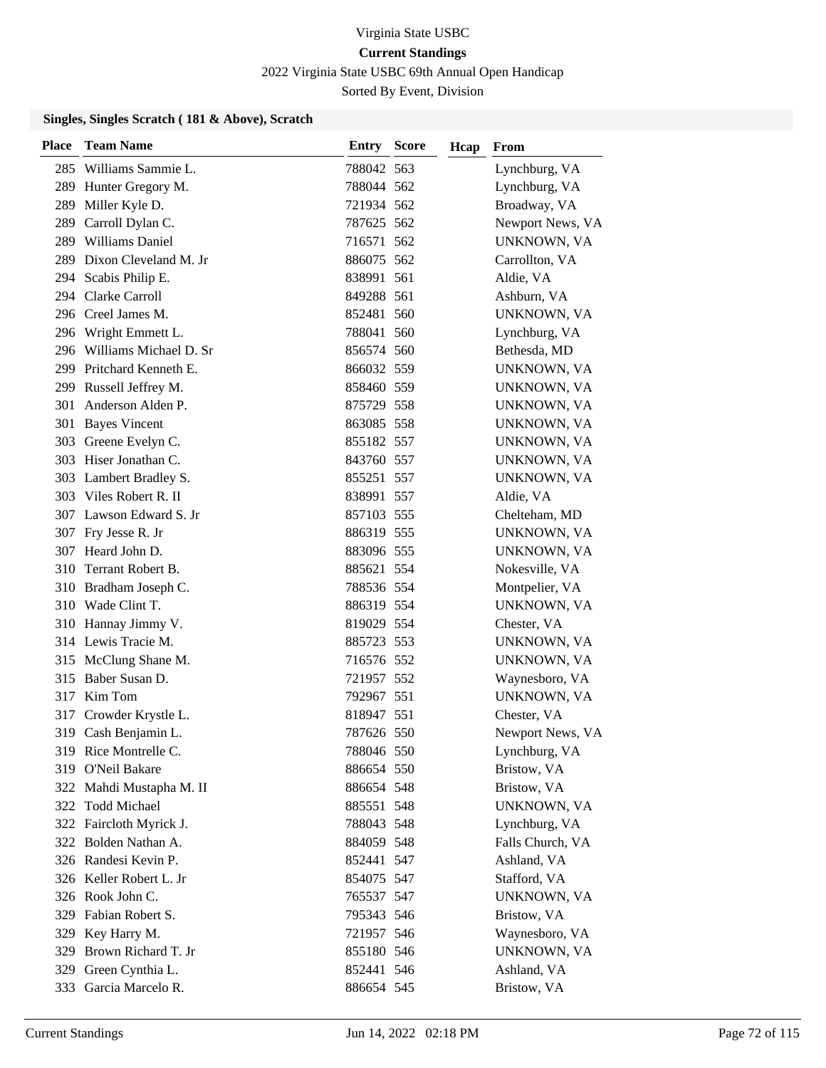2022 Virginia State USBC 69th Annual Open Handicap

Sorted By Event, Division

| <b>Place</b> | <b>Team Name</b>           | <b>Entry Score</b> | Hcap | From             |
|--------------|----------------------------|--------------------|------|------------------|
|              | 285 Williams Sammie L.     | 788042 563         |      | Lynchburg, VA    |
|              | 289 Hunter Gregory M.      | 788044 562         |      | Lynchburg, VA    |
|              | 289 Miller Kyle D.         | 721934 562         |      | Broadway, VA     |
|              | 289 Carroll Dylan C.       | 787625 562         |      | Newport News, VA |
|              | 289 Williams Daniel        | 716571 562         |      | UNKNOWN, VA      |
| 289          | Dixon Cleveland M. Jr      | 886075 562         |      | Carrollton, VA   |
|              | 294 Scabis Philip E.       | 838991 561         |      | Aldie, VA        |
|              | 294 Clarke Carroll         | 849288 561         |      | Ashburn, VA      |
|              | 296 Creel James M.         | 852481 560         |      | UNKNOWN, VA      |
| 296          | Wright Emmett L.           | 788041 560         |      | Lynchburg, VA    |
|              | 296 Williams Michael D. Sr | 856574 560         |      | Bethesda, MD     |
|              | 299 Pritchard Kenneth E.   | 866032 559         |      | UNKNOWN, VA      |
|              | 299 Russell Jeffrey M.     | 858460 559         |      | UNKNOWN, VA      |
| 301          | Anderson Alden P.          | 875729 558         |      | UNKNOWN, VA      |
|              | 301 Bayes Vincent          | 863085 558         |      | UNKNOWN, VA      |
|              | 303 Greene Evelyn C.       | 855182 557         |      | UNKNOWN, VA      |
|              | 303 Hiser Jonathan C.      | 843760 557         |      | UNKNOWN, VA      |
|              | 303 Lambert Bradley S.     | 855251 557         |      | UNKNOWN, VA      |
|              | 303 Viles Robert R. II     | 838991 557         |      | Aldie, VA        |
|              | 307 Lawson Edward S. Jr    | 857103 555         |      | Chelteham, MD    |
|              | 307 Fry Jesse R. Jr        | 886319 555         |      | UNKNOWN, VA      |
| 307          | Heard John D.              | 883096 555         |      | UNKNOWN, VA      |
| 310          | Terrant Robert B.          | 885621 554         |      | Nokesville, VA   |
|              | 310 Bradham Joseph C.      | 788536 554         |      | Montpelier, VA   |
|              | 310 Wade Clint T.          | 886319 554         |      | UNKNOWN, VA      |
|              | 310 Hannay Jimmy V.        | 819029 554         |      | Chester, VA      |
|              | 314 Lewis Tracie M.        | 885723 553         |      | UNKNOWN, VA      |
|              | 315 McClung Shane M.       | 716576 552         |      | UNKNOWN, VA      |
|              | 315 Baber Susan D.         | 721957 552         |      | Waynesboro, VA   |
|              | 317 Kim Tom                | 792967 551         |      | UNKNOWN, VA      |
| 317          | Crowder Krystle L.         | 818947 551         |      | Chester, VA      |
|              | 319 Cash Benjamin L.       | 787626 550         |      | Newport News, VA |
|              | 319 Rice Montrelle C.      | 788046 550         |      | Lynchburg, VA    |
|              | 319 O'Neil Bakare          | 886654 550         |      | Bristow, VA      |
|              | 322 Mahdi Mustapha M. II   | 886654 548         |      | Bristow, VA      |
|              | 322 Todd Michael           | 885551 548         |      | UNKNOWN, VA      |
|              | 322 Faircloth Myrick J.    | 788043 548         |      | Lynchburg, VA    |
|              | 322 Bolden Nathan A.       | 884059 548         |      | Falls Church, VA |
|              | 326 Randesi Kevin P.       | 852441 547         |      | Ashland, VA      |
|              | 326 Keller Robert L. Jr    | 854075 547         |      | Stafford, VA     |
|              | 326 Rook John C.           | 765537 547         |      | UNKNOWN, VA      |
|              | 329 Fabian Robert S.       | 795343 546         |      | Bristow, VA      |
|              | 329 Key Harry M.           | 721957 546         |      | Waynesboro, VA   |
|              | 329 Brown Richard T. Jr    | 855180 546         |      | UNKNOWN, VA      |
|              | 329 Green Cynthia L.       | 852441 546         |      | Ashland, VA      |
|              | 333 Garcia Marcelo R.      | 886654 545         |      | Bristow, VA      |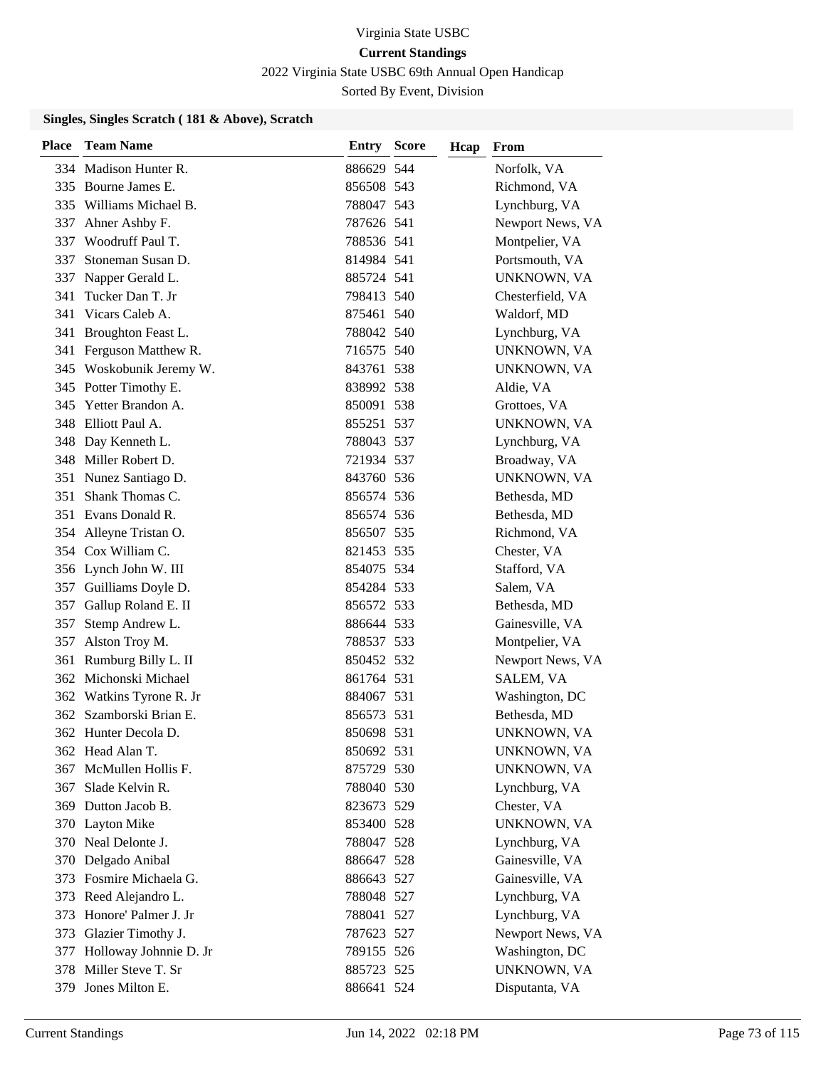2022 Virginia State USBC 69th Annual Open Handicap

Sorted By Event, Division

### **Singles, Singles Scratch ( 181 & Above), Scratch**

| <b>Place</b> | <b>Team Name</b>         | <b>Entry Score</b> | Hcap | From             |
|--------------|--------------------------|--------------------|------|------------------|
|              | 334 Madison Hunter R.    | 886629 544         |      | Norfolk, VA      |
|              | 335 Bourne James E.      | 856508 543         |      | Richmond, VA     |
|              | 335 Williams Michael B.  | 788047 543         |      | Lynchburg, VA    |
| 337          | Ahner Ashby F.           | 787626 541         |      | Newport News, VA |
| 337          | Woodruff Paul T.         | 788536 541         |      | Montpelier, VA   |
| 337          | Stoneman Susan D.        | 814984 541         |      | Portsmouth, VA   |
| 337          | Napper Gerald L.         | 885724 541         |      | UNKNOWN, VA      |
| 341          | Tucker Dan T. Jr         | 798413 540         |      | Chesterfield, VA |
| 341          | Vicars Caleb A.          | 875461 540         |      | Waldorf, MD      |
| 341          | Broughton Feast L.       | 788042 540         |      | Lynchburg, VA    |
|              | 341 Ferguson Matthew R.  | 716575 540         |      | UNKNOWN, VA      |
|              | 345 Woskobunik Jeremy W. | 843761 538         |      | UNKNOWN, VA      |
|              | 345 Potter Timothy E.    | 838992 538         |      | Aldie, VA        |
|              | 345 Yetter Brandon A.    | 850091 538         |      | Grottoes, VA     |
|              | 348 Elliott Paul A.      | 855251 537         |      | UNKNOWN, VA      |
|              | 348 Day Kenneth L.       | 788043 537         |      | Lynchburg, VA    |
|              | 348 Miller Robert D.     | 721934 537         |      | Broadway, VA     |
| 351          | Nunez Santiago D.        | 843760 536         |      | UNKNOWN, VA      |
| 351          | Shank Thomas C.          | 856574 536         |      | Bethesda, MD     |
|              | 351 Evans Donald R.      | 856574 536         |      | Bethesda, MD     |
|              | 354 Alleyne Tristan O.   | 856507 535         |      | Richmond, VA     |
|              | 354 Cox William C.       | 821453 535         |      | Chester, VA      |
|              | 356 Lynch John W. III    | 854075 534         |      | Stafford, VA     |
|              | 357 Guilliams Doyle D.   | 854284 533         |      | Salem, VA        |
| 357          | Gallup Roland E. II      | 856572 533         |      | Bethesda, MD     |
| 357          | Stemp Andrew L.          | 886644 533         |      | Gainesville, VA  |
|              | 357 Alston Troy M.       | 788537 533         |      | Montpelier, VA   |
| 361          | Rumburg Billy L. II      | 850452 532         |      | Newport News, VA |
|              | 362 Michonski Michael    | 861764 531         |      | SALEM, VA        |
|              | 362 Watkins Tyrone R. Jr | 884067 531         |      | Washington, DC   |
|              | 362 Szamborski Brian E.  | 856573 531         |      | Bethesda, MD     |
|              | 362 Hunter Decola D.     | 850698 531         |      | UNKNOWN, VA      |
|              | 362 Head Alan T.         | 850692 531         |      | UNKNOWN, VA      |
| 367          | McMullen Hollis F.       | 875729 530         |      | UNKNOWN, VA      |
| 367          | Slade Kelvin R.          | 788040 530         |      | Lynchburg, VA    |
|              | 369 Dutton Jacob B.      | 823673 529         |      | Chester, VA      |
|              | 370 Layton Mike          | 853400 528         |      | UNKNOWN, VA      |
|              | 370 Neal Delonte J.      | 788047 528         |      | Lynchburg, VA    |
|              | 370 Delgado Anibal       | 886647 528         |      | Gainesville, VA  |
|              | 373 Fosmire Michaela G.  | 886643 527         |      | Gainesville, VA  |
| 373          | Reed Alejandro L.        | 788048 527         |      | Lynchburg, VA    |
| 373          | Honore' Palmer J. Jr     | 788041 527         |      | Lynchburg, VA    |
|              | 373 Glazier Timothy J.   | 787623 527         |      | Newport News, VA |
| 377          | Holloway Johnnie D. Jr   | 789155 526         |      | Washington, DC   |
| 378          | Miller Steve T. Sr       | 885723 525         |      | UNKNOWN, VA      |
| 379          | Jones Milton E.          | 886641 524         |      | Disputanta, VA   |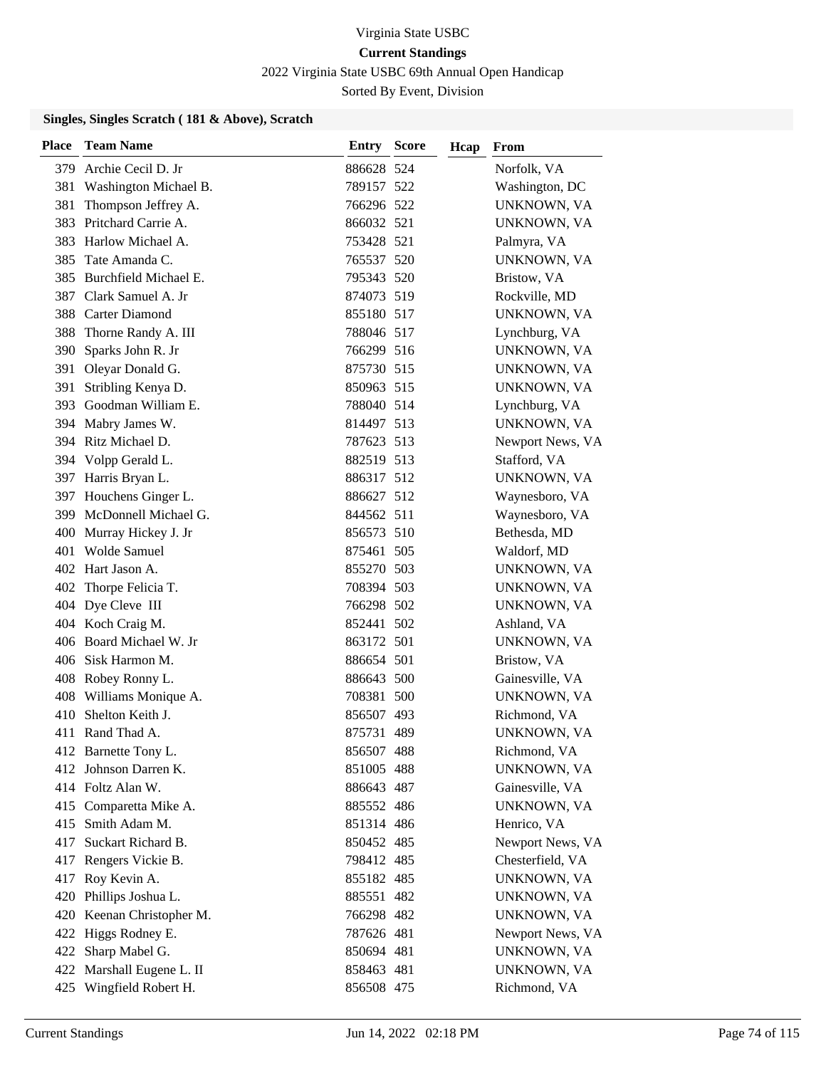2022 Virginia State USBC 69th Annual Open Handicap

Sorted By Event, Division

### **Singles, Singles Scratch ( 181 & Above), Scratch**

| <b>Place</b> | <b>Team Name</b>                                | <b>Entry Score</b>       | Hcap | From                            |
|--------------|-------------------------------------------------|--------------------------|------|---------------------------------|
| 379.         | Archie Cecil D. Jr                              | 886628 524               |      | Norfolk, VA                     |
| 381          | Washington Michael B.                           | 789157 522               |      | Washington, DC                  |
| 381          | Thompson Jeffrey A.                             | 766296 522               |      | UNKNOWN, VA                     |
| 383          | Pritchard Carrie A.                             | 866032 521               |      | UNKNOWN, VA                     |
| 383          | Harlow Michael A.                               | 753428 521               |      | Palmyra, VA                     |
| 385          | Tate Amanda C.                                  | 765537 520               |      | UNKNOWN, VA                     |
| 385          | Burchfield Michael E.                           | 795343 520               |      | Bristow, VA                     |
| 387          | Clark Samuel A. Jr                              | 874073 519               |      | Rockville, MD                   |
|              | 388 Carter Diamond                              | 855180 517               |      | UNKNOWN, VA                     |
| 388          | Thorne Randy A. III                             | 788046 517               |      | Lynchburg, VA                   |
| 390          | Sparks John R. Jr                               | 766299 516               |      | UNKNOWN, VA                     |
|              | 391 Oleyar Donald G.                            | 875730 515               |      | UNKNOWN, VA                     |
| 391          | Stribling Kenya D.                              | 850963 515               |      | UNKNOWN, VA                     |
|              | 393 Goodman William E.                          | 788040 514               |      | Lynchburg, VA                   |
|              | 394 Mabry James W.                              | 814497 513               |      | UNKNOWN, VA                     |
|              | 394 Ritz Michael D.                             | 787623 513               |      | Newport News, VA                |
|              | 394 Volpp Gerald L.                             | 882519 513               |      | Stafford, VA                    |
|              | 397 Harris Bryan L.                             | 886317 512               |      | UNKNOWN, VA                     |
|              | 397 Houchens Ginger L.                          | 886627 512               |      | Waynesboro, VA                  |
|              | 399 McDonnell Michael G.                        | 844562 511               |      | Waynesboro, VA                  |
| 400          | Murray Hickey J. Jr                             | 856573 510               |      | Bethesda, MD                    |
| 401          | Wolde Samuel                                    | 875461 505               |      | Waldorf, MD                     |
|              | 402 Hart Jason A.                               | 855270 503               |      | UNKNOWN, VA                     |
|              | 402 Thorpe Felicia T.                           | 708394 503               |      | UNKNOWN, VA                     |
|              | 404 Dye Cleve III                               | 766298 502               |      | UNKNOWN, VA                     |
|              | 404 Koch Craig M.                               | 852441 502               |      | Ashland, VA                     |
|              | 406 Board Michael W. Jr                         | 863172 501               |      | UNKNOWN, VA                     |
|              | 406 Sisk Harmon M.                              | 886654 501               |      | Bristow, VA                     |
|              | 408 Robey Ronny L.                              | 886643 500               |      | Gainesville, VA                 |
|              | 408 Williams Monique A.                         | 708381 500               |      | UNKNOWN, VA                     |
| 410          | Shelton Keith J.                                | 856507 493               |      | Richmond, VA                    |
|              | 411 Rand Thad A.                                | 875731 489               |      | UNKNOWN, VA                     |
|              | 412 Barnette Tony L.                            | 856507 488               |      | Richmond, VA                    |
|              | 412 Johnson Darren K.                           | 851005 488               |      | UNKNOWN, VA                     |
|              | 414 Foltz Alan W.                               | 886643 487               |      | Gainesville, VA                 |
|              | 415 Comparetta Mike A.                          | 885552 486               |      | UNKNOWN, VA                     |
|              | 415 Smith Adam M.                               | 851314 486               |      | Henrico, VA                     |
| 417          | Suckart Richard B.                              | 850452 485               |      | Newport News, VA                |
|              | 417 Rengers Vickie B.                           | 798412 485               |      | Chesterfield, VA                |
|              | 417 Roy Kevin A.                                | 855182 485               |      | UNKNOWN, VA                     |
| 420          | Phillips Joshua L.<br>420 Keenan Christopher M. | 885551 482               |      | UNKNOWN, VA                     |
|              | 422 Higgs Rodney E.                             | 766298 482<br>787626 481 |      | UNKNOWN, VA<br>Newport News, VA |
|              | 422 Sharp Mabel G.                              | 850694 481               |      | UNKNOWN, VA                     |
| 422          | Marshall Eugene L. II                           | 858463 481               |      | UNKNOWN, VA                     |
|              | 425 Wingfield Robert H.                         | 856508 475               |      | Richmond, VA                    |
|              |                                                 |                          |      |                                 |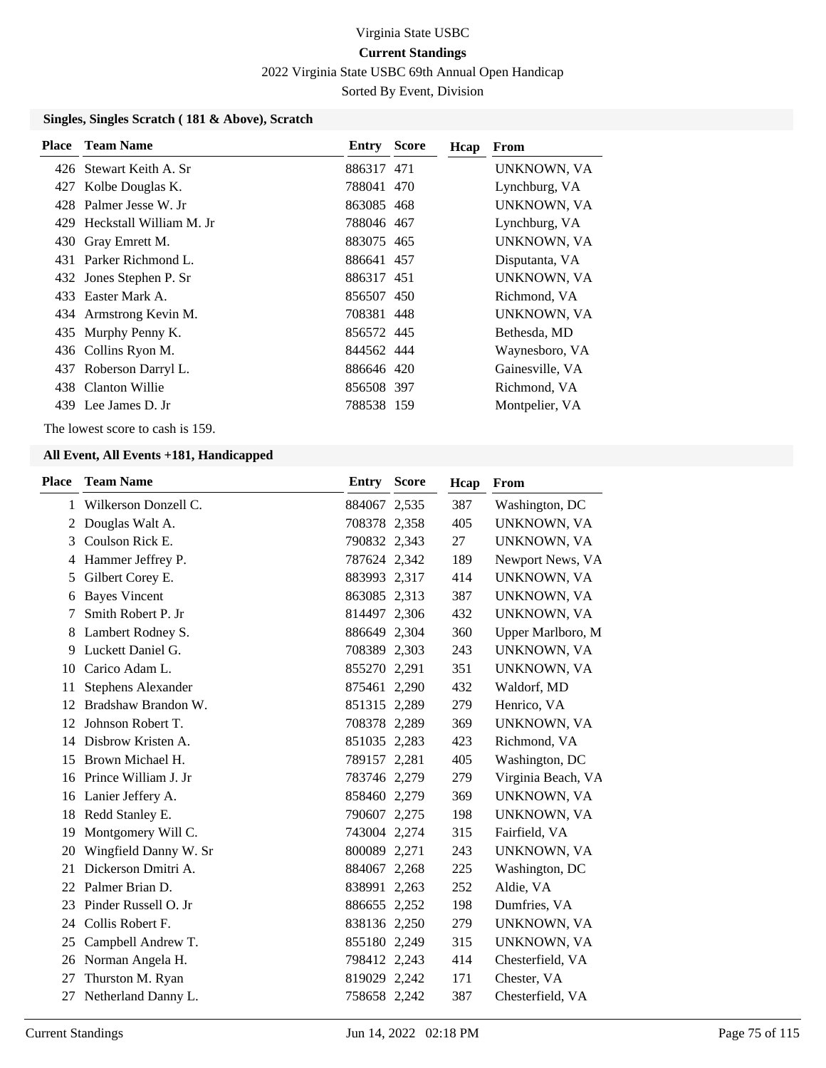2022 Virginia State USBC 69th Annual Open Handicap

Sorted By Event, Division

### **Singles, Singles Scratch ( 181 & Above), Scratch**

| <b>Place</b> Team Name      | Entry      | <b>Score</b> | Hcap | From            |
|-----------------------------|------------|--------------|------|-----------------|
| 426 Stewart Keith A. Sr     | 886317 471 |              |      | UNKNOWN, VA     |
| 427 Kolbe Douglas K.        | 788041 470 |              |      | Lynchburg, VA   |
| 428 Palmer Jesse W. Jr      | 863085 468 |              |      | UNKNOWN, VA     |
| 429 Heckstall William M. Jr | 788046 467 |              |      | Lynchburg, VA   |
| 430 Gray Emrett M.          | 883075 465 |              |      | UNKNOWN, VA     |
| 431 Parker Richmond L.      | 886641 457 |              |      | Disputanta, VA  |
| 432 Jones Stephen P. Sr     | 886317 451 |              |      | UNKNOWN, VA     |
| 433 Easter Mark A.          | 856507 450 |              |      | Richmond, VA    |
| 434 Armstrong Kevin M.      | 708381 448 |              |      | UNKNOWN, VA     |
| 435 Murphy Penny K.         | 856572 445 |              |      | Bethesda, MD    |
| 436 Collins Ryon M.         | 844562 444 |              |      | Waynesboro, VA  |
| 437 Roberson Darryl L.      | 886646 420 |              |      | Gainesville, VA |
| 438 Clanton Willie          | 856508 397 |              |      | Richmond, VA    |
| 439 Lee James D. Jr         | 788538 159 |              |      | Montpelier, VA  |

The lowest score to cash is 159.

| <b>Place</b> | <b>Team Name</b>          | <b>Entry</b> | <b>Score</b> | Hcap | From               |
|--------------|---------------------------|--------------|--------------|------|--------------------|
| $\mathbf{1}$ | Wilkerson Donzell C.      | 884067 2,535 |              | 387  | Washington, DC     |
| 2            | Douglas Walt A.           | 708378 2,358 |              | 405  | UNKNOWN, VA        |
| 3            | Coulson Rick E.           | 790832 2,343 |              | 27   | UNKNOWN, VA        |
| 4            | Hammer Jeffrey P.         | 787624 2,342 |              | 189  | Newport News, VA   |
| 5            | Gilbert Corey E.          | 883993 2,317 |              | 414  | UNKNOWN, VA        |
| 6            | <b>Bayes Vincent</b>      | 863085 2,313 |              | 387  | UNKNOWN, VA        |
| 7            | Smith Robert P. Jr        | 814497 2,306 |              | 432  | UNKNOWN, VA        |
| 8            | Lambert Rodney S.         | 886649 2,304 |              | 360  | Upper Marlboro, M  |
| 9            | Luckett Daniel G.         | 708389 2,303 |              | 243  | UNKNOWN, VA        |
| 10           | Carico Adam L.            | 855270 2,291 |              | 351  | UNKNOWN, VA        |
| 11           | <b>Stephens Alexander</b> | 875461 2,290 |              | 432  | Waldorf, MD        |
| 12           | Bradshaw Brandon W.       | 851315 2,289 |              | 279  | Henrico, VA        |
| 12           | Johnson Robert T.         | 708378 2,289 |              | 369  | UNKNOWN, VA        |
| 14           | Disbrow Kristen A.        | 851035 2,283 |              | 423  | Richmond, VA       |
| 15           | Brown Michael H.          | 789157 2,281 |              | 405  | Washington, DC     |
| 16           | Prince William J. Jr      | 783746 2,279 |              | 279  | Virginia Beach, VA |
| 16           | Lanier Jeffery A.         | 858460 2,279 |              | 369  | UNKNOWN, VA        |
| 18           | Redd Stanley E.           | 790607 2,275 |              | 198  | UNKNOWN, VA        |
| 19           | Montgomery Will C.        | 743004 2,274 |              | 315  | Fairfield, VA      |
| 20           | Wingfield Danny W. Sr     | 800089 2,271 |              | 243  | UNKNOWN, VA        |
| 21           | Dickerson Dmitri A.       | 884067 2,268 |              | 225  | Washington, DC     |
| 22           | Palmer Brian D.           | 838991 2,263 |              | 252  | Aldie, VA          |
| 23           | Pinder Russell O. Jr      | 886655 2,252 |              | 198  | Dumfries, VA       |
| 24           | Collis Robert F.          | 838136 2,250 |              | 279  | UNKNOWN, VA        |
| 25           | Campbell Andrew T.        | 855180 2,249 |              | 315  | UNKNOWN, VA        |
| 26           | Norman Angela H.          | 798412 2,243 |              | 414  | Chesterfield, VA   |
| 27           | Thurston M. Ryan          | 819029 2,242 |              | 171  | Chester, VA        |
| 27           | Netherland Danny L.       | 758658 2,242 |              | 387  | Chesterfield, VA   |
|              |                           |              |              |      |                    |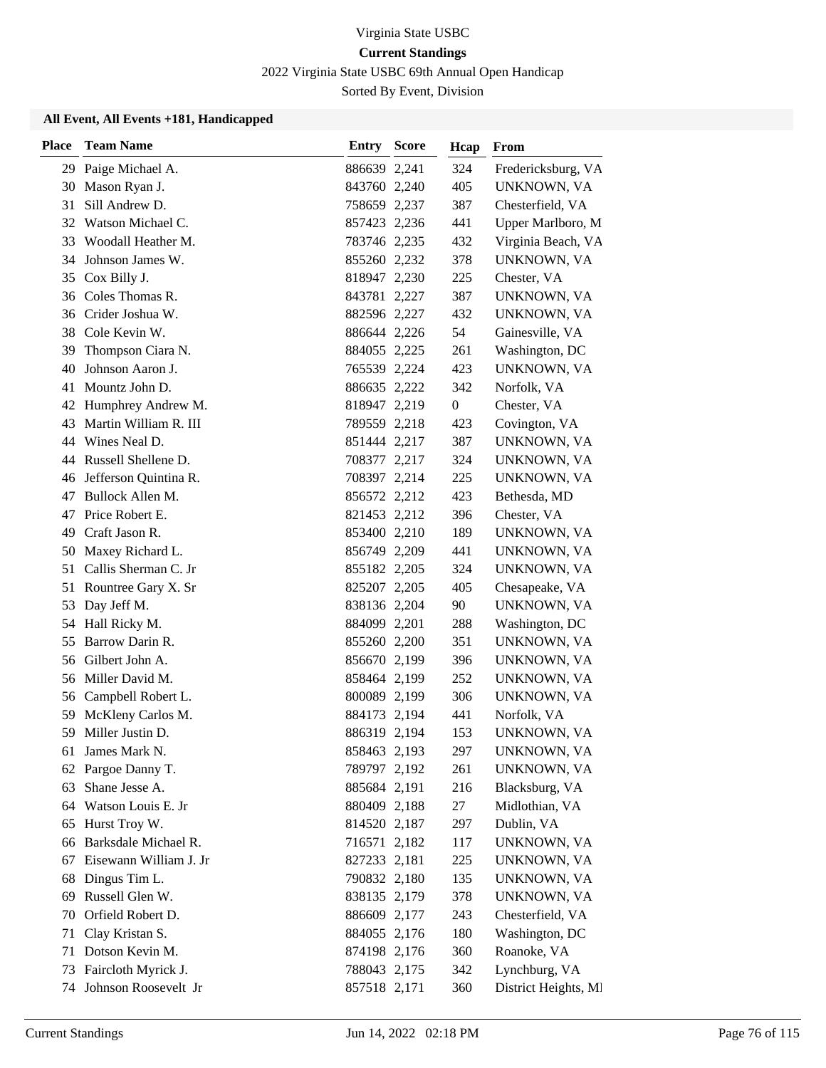2022 Virginia State USBC 69th Annual Open Handicap

Sorted By Event, Division

| <b>Place</b> | <b>Team Name</b>         | Entry        | <b>Score</b> | Hcap             | From                 |
|--------------|--------------------------|--------------|--------------|------------------|----------------------|
|              | 29 Paige Michael A.      | 886639 2,241 |              | 324              | Fredericksburg, VA   |
| 30           | Mason Ryan J.            | 843760 2,240 |              | 405              | UNKNOWN, VA          |
| 31           | Sill Andrew D.           | 758659 2,237 |              | 387              | Chesterfield, VA     |
|              | 32 Watson Michael C.     | 857423 2,236 |              | 441              | Upper Marlboro, M    |
|              | 33 Woodall Heather M.    | 783746 2,235 |              | 432              | Virginia Beach, VA   |
| 34           | Johnson James W.         | 855260 2,232 |              | 378              | UNKNOWN, VA          |
| 35           | Cox Billy J.             | 818947 2,230 |              | 225              | Chester, VA          |
|              | 36 Coles Thomas R.       | 843781 2,227 |              | 387              | UNKNOWN, VA          |
|              | 36 Crider Joshua W.      | 882596 2,227 |              | 432              | UNKNOWN, VA          |
| 38           | Cole Kevin W.            | 886644 2,226 |              | 54               | Gainesville, VA      |
| 39           | Thompson Ciara N.        | 884055 2,225 |              | 261              | Washington, DC       |
| 40           | Johnson Aaron J.         | 765539 2,224 |              | 423              | UNKNOWN, VA          |
| 41           | Mountz John D.           | 886635 2,222 |              | 342              | Norfolk, VA          |
| 42           | Humphrey Andrew M.       | 818947 2,219 |              | $\boldsymbol{0}$ | Chester, VA          |
| 43           | Martin William R. III    | 789559 2,218 |              | 423              | Covington, VA        |
|              | 44 Wines Neal D.         | 851444 2,217 |              | 387              | UNKNOWN, VA          |
|              | 44 Russell Shellene D.   | 708377 2,217 |              | 324              | UNKNOWN, VA          |
|              | 46 Jefferson Quintina R. | 708397 2,214 |              | 225              | UNKNOWN, VA          |
| 47           | Bullock Allen M.         | 856572 2,212 |              | 423              | Bethesda, MD         |
| 47           | Price Robert E.          | 821453 2,212 |              | 396              | Chester, VA          |
| 49           | Craft Jason R.           | 853400 2,210 |              | 189              | UNKNOWN, VA          |
| 50           | Maxey Richard L.         | 856749 2,209 |              | 441              | UNKNOWN, VA          |
| 51           | Callis Sherman C. Jr     | 855182 2,205 |              | 324              | UNKNOWN, VA          |
| 51           | Rountree Gary X. Sr      | 825207 2,205 |              | 405              | Chesapeake, VA       |
| 53           | Day Jeff M.              | 838136 2,204 |              | 90               | UNKNOWN, VA          |
| 54           | Hall Ricky M.            | 884099 2,201 |              | 288              | Washington, DC       |
| 55           | Barrow Darin R.          | 855260 2,200 |              | 351              | UNKNOWN, VA          |
|              | 56 Gilbert John A.       | 856670 2,199 |              | 396              | UNKNOWN, VA          |
|              | 56 Miller David M.       | 858464 2,199 |              | 252              | UNKNOWN, VA          |
|              | 56 Campbell Robert L.    | 800089 2,199 |              | 306              | UNKNOWN, VA          |
| 59           | McKleny Carlos M.        | 884173 2,194 |              | 441              | Norfolk, VA          |
| 59           | Miller Justin D.         | 886319 2,194 |              | 153              | UNKNOWN, VA          |
| 61           | James Mark N.            | 858463 2,193 |              | 297              | UNKNOWN, VA          |
| 62           | Pargoe Danny T.          | 789797 2,192 |              | 261              | UNKNOWN, VA          |
| 63           | Shane Jesse A.           | 885684 2,191 |              | 216              | Blacksburg, VA       |
| 64           | Watson Louis E. Jr       | 880409 2,188 |              | 27               | Midlothian, VA       |
| 65           | Hurst Troy W.            | 814520 2,187 |              | 297              | Dublin, VA           |
| 66           | Barksdale Michael R.     | 716571 2,182 |              | 117              | UNKNOWN, VA          |
| 67           | Eisewann William J. Jr   | 827233 2,181 |              | 225              | UNKNOWN, VA          |
| 68           | Dingus Tim L.            | 790832 2,180 |              | 135              | UNKNOWN, VA          |
| 69           | Russell Glen W.          | 838135 2,179 |              | 378              | UNKNOWN, VA          |
| 70           | Orfield Robert D.        | 886609 2,177 |              | 243              | Chesterfield, VA     |
| 71           | Clay Kristan S.          | 884055 2,176 |              | 180              | Washington, DC       |
| 71           | Dotson Kevin M.          | 874198 2,176 |              | 360              | Roanoke, VA          |
| 73           | Faircloth Myrick J.      | 788043 2,175 |              | 342              | Lynchburg, VA        |
| 74           | Johnson Roosevelt Jr     | 857518 2,171 |              | 360              | District Heights, MI |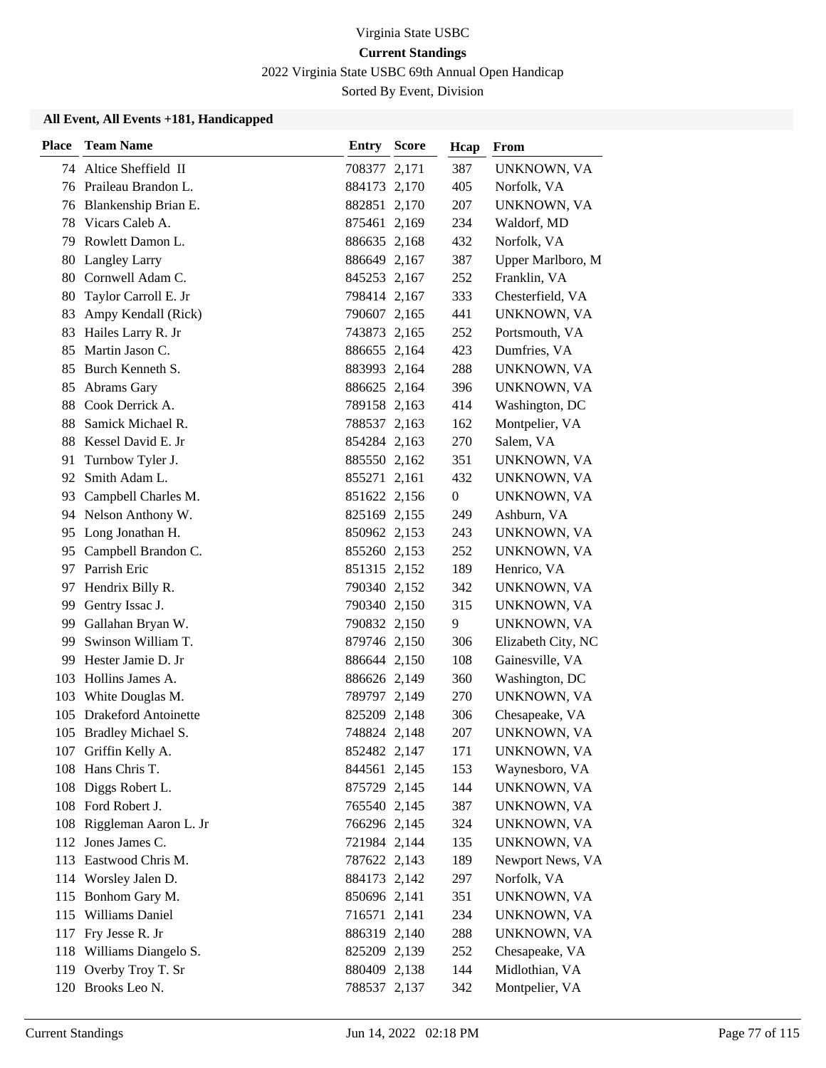2022 Virginia State USBC 69th Annual Open Handicap

Sorted By Event, Division

| <b>Place</b> | <b>Team Name</b>            | Entry        | <b>Score</b> | Hcap             | From               |
|--------------|-----------------------------|--------------|--------------|------------------|--------------------|
|              | 74 Altice Sheffield II      | 708377 2,171 |              | 387              | UNKNOWN, VA        |
|              | 76 Praileau Brandon L.      | 884173 2,170 |              | 405              | Norfolk, VA        |
|              | 76 Blankenship Brian E.     | 882851 2,170 |              | 207              | UNKNOWN, VA        |
| 78           | Vicars Caleb A.             | 875461 2,169 |              | 234              | Waldorf, MD        |
| 79           | Rowlett Damon L.            | 886635 2,168 |              | 432              | Norfolk, VA        |
| 80           | Langley Larry               | 886649 2,167 |              | 387              | Upper Marlboro, M  |
| 80           | Cornwell Adam C.            | 845253 2,167 |              | 252              | Franklin, VA       |
| 80           | Taylor Carroll E. Jr        | 798414 2,167 |              | 333              | Chesterfield, VA   |
| 83           | Ampy Kendall (Rick)         | 790607 2,165 |              | 441              | UNKNOWN, VA        |
| 83           | Hailes Larry R. Jr          | 743873 2,165 |              | 252              | Portsmouth, VA     |
| 85           | Martin Jason C.             | 886655 2,164 |              | 423              | Dumfries, VA       |
| 85           | Burch Kenneth S.            | 883993 2,164 |              | 288              | UNKNOWN, VA        |
| 85           | Abrams Gary                 | 886625 2,164 |              | 396              | UNKNOWN, VA        |
| 88           | Cook Derrick A.             | 789158 2,163 |              | 414              | Washington, DC     |
| 88           | Samick Michael R.           | 788537 2,163 |              | 162              | Montpelier, VA     |
|              | 88 Kessel David E. Jr       | 854284 2,163 |              | 270              | Salem, VA          |
| 91           | Turnbow Tyler J.            | 885550 2,162 |              | 351              | UNKNOWN, VA        |
| 92           | Smith Adam L.               | 855271 2,161 |              | 432              | UNKNOWN, VA        |
| 93           | Campbell Charles M.         | 851622 2,156 |              | $\boldsymbol{0}$ | UNKNOWN, VA        |
|              | 94 Nelson Anthony W.        | 825169 2,155 |              | 249              | Ashburn, VA        |
| 95           | Long Jonathan H.            | 850962 2,153 |              | 243              | UNKNOWN, VA        |
| 95           | Campbell Brandon C.         | 855260 2,153 |              | 252              | UNKNOWN, VA        |
| 97           | Parrish Eric                | 851315 2,152 |              | 189              | Henrico, VA        |
| 97           | Hendrix Billy R.            | 790340 2,152 |              | 342              | UNKNOWN, VA        |
| 99           | Gentry Issac J.             | 790340 2,150 |              | 315              | UNKNOWN, VA        |
| 99           | Gallahan Bryan W.           | 790832 2,150 |              | 9                | UNKNOWN, VA        |
| 99           | Swinson William T.          | 879746 2,150 |              | 306              | Elizabeth City, NC |
| 99           | Hester Jamie D. Jr          | 886644 2,150 |              | 108              | Gainesville, VA    |
| 103          | Hollins James A.            | 886626 2,149 |              | 360              | Washington, DC     |
| 103          | White Douglas M.            | 789797 2,149 |              | 270              | UNKNOWN, VA        |
| 105          | <b>Drakeford Antoinette</b> | 825209 2,148 |              | 306              | Chesapeake, VA     |
|              | 105 Bradley Michael S.      | 748824 2,148 |              | 207              | UNKNOWN, VA        |
|              | 107 Griffin Kelly A.        | 852482 2,147 |              | 171              | UNKNOWN, VA        |
|              | 108 Hans Chris T.           | 844561 2,145 |              | 153              | Waynesboro, VA     |
|              | 108 Diggs Robert L.         | 875729 2,145 |              | 144              | UNKNOWN, VA        |
|              | 108 Ford Robert J.          | 765540 2,145 |              | 387              | UNKNOWN, VA        |
|              | 108 Riggleman Aaron L. Jr   | 766296 2,145 |              | 324              | UNKNOWN, VA        |
|              | 112 Jones James C.          | 721984 2,144 |              | 135              | UNKNOWN, VA        |
| 113          | Eastwood Chris M.           | 787622 2,143 |              | 189              | Newport News, VA   |
|              | 114 Worsley Jalen D.        | 884173 2,142 |              | 297              | Norfolk, VA        |
| 115          | Bonhom Gary M.              | 850696 2,141 |              | 351              | UNKNOWN, VA        |
|              | 115 Williams Daniel         | 716571 2,141 |              | 234              | UNKNOWN, VA        |
| 117          | Fry Jesse R. Jr             | 886319 2,140 |              | 288              | UNKNOWN, VA        |
|              | 118 Williams Diangelo S.    | 825209 2,139 |              | 252              | Chesapeake, VA     |
| 119          | Overby Troy T. Sr           | 880409 2,138 |              | 144              | Midlothian, VA     |
|              | 120 Brooks Leo N.           | 788537 2,137 |              | 342              | Montpelier, VA     |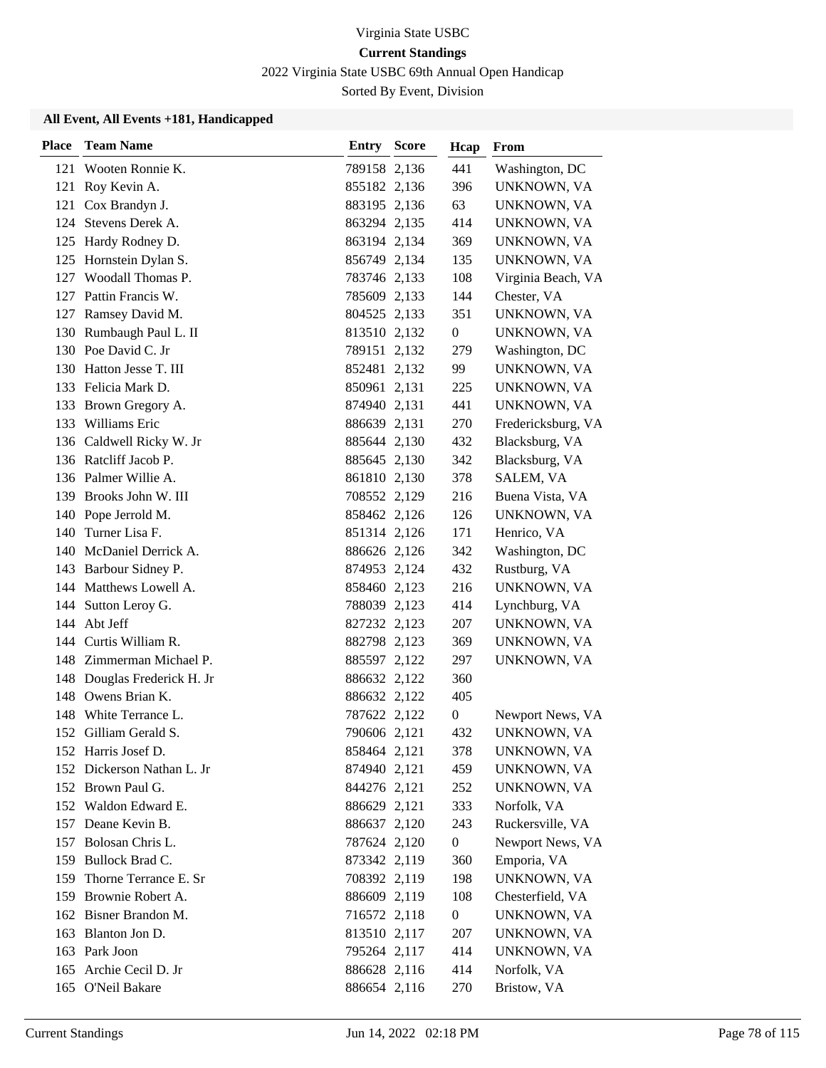2022 Virginia State USBC 69th Annual Open Handicap

Sorted By Event, Division

| <b>Place</b> | <b>Team Name</b>            | <b>Entry Score</b> | Hcap             | From               |
|--------------|-----------------------------|--------------------|------------------|--------------------|
|              | 121 Wooten Ronnie K.        | 789158 2,136       | 441              | Washington, DC     |
| 121          | Roy Kevin A.                | 855182 2,136       | 396              | UNKNOWN, VA        |
| 121          | Cox Brandyn J.              | 883195 2,136       | 63               | UNKNOWN, VA        |
| 124          | Stevens Derek A.            | 863294 2,135       | 414              | UNKNOWN, VA        |
|              | 125 Hardy Rodney D.         | 863194 2,134       | 369              | UNKNOWN, VA        |
|              | 125 Hornstein Dylan S.      | 856749 2,134       | 135              | UNKNOWN, VA        |
|              | 127 Woodall Thomas P.       | 783746 2,133       | 108              | Virginia Beach, VA |
|              | 127 Pattin Francis W.       | 785609 2,133       | 144              | Chester, VA        |
|              | 127 Ramsey David M.         | 804525 2,133       | 351              | UNKNOWN, VA        |
|              | 130 Rumbaugh Paul L. II     | 813510 2,132       | $\boldsymbol{0}$ | UNKNOWN, VA        |
|              | 130 Poe David C. Jr         | 789151 2,132       | 279              | Washington, DC     |
|              | 130 Hatton Jesse T. III     | 852481 2,132       | 99               | UNKNOWN, VA        |
|              | 133 Felicia Mark D.         | 850961 2,131       | 225              | UNKNOWN, VA        |
|              | 133 Brown Gregory A.        | 874940 2,131       | 441              | UNKNOWN, VA        |
|              | 133 Williams Eric           | 886639 2,131       | 270              | Fredericksburg, VA |
|              | 136 Caldwell Ricky W. Jr    | 885644 2,130       | 432              | Blacksburg, VA     |
|              | 136 Ratcliff Jacob P.       | 885645 2,130       | 342              | Blacksburg, VA     |
|              | 136 Palmer Willie A.        | 861810 2,130       | 378              | SALEM, VA          |
|              | 139 Brooks John W. III      | 708552 2,129       | 216              | Buena Vista, VA    |
|              | 140 Pope Jerrold M.         | 858462 2,126       | 126              | UNKNOWN, VA        |
| 140          | Turner Lisa F.              | 851314 2,126       | 171              | Henrico, VA        |
|              | 140 McDaniel Derrick A.     | 886626 2,126       | 342              | Washington, DC     |
|              | 143 Barbour Sidney P.       | 874953 2,124       | 432              | Rustburg, VA       |
|              | 144 Matthews Lowell A.      | 858460 2,123       | 216              | UNKNOWN, VA        |
|              | 144 Sutton Leroy G.         | 788039 2,123       | 414              | Lynchburg, VA      |
|              | 144 Abt Jeff                | 827232 2,123       | 207              | UNKNOWN, VA        |
| 144          | Curtis William R.           | 882798 2,123       | 369              | UNKNOWN, VA        |
|              | 148 Zimmerman Michael P.    | 885597 2,122       | 297              | UNKNOWN, VA        |
|              | 148 Douglas Frederick H. Jr | 886632 2,122       | 360              |                    |
| 148          | Owens Brian K.              | 886632 2,122       | 405              |                    |
| 148          | White Terrance L.           | 787622 2,122       | $\boldsymbol{0}$ | Newport News, VA   |
|              | 152 Gilliam Gerald S.       | 790606 2,121       | 432              | UNKNOWN, VA        |
|              | 152 Harris Josef D.         | 858464 2,121       | 378              | UNKNOWN, VA        |
|              | 152 Dickerson Nathan L. Jr  | 874940 2,121       | 459              | UNKNOWN, VA        |
|              | 152 Brown Paul G.           | 844276 2,121       | 252              | UNKNOWN, VA        |
|              | 152 Waldon Edward E.        | 886629 2,121       | 333              | Norfolk, VA        |
|              | 157 Deane Kevin B.          | 886637 2,120       | 243              | Ruckersville, VA   |
|              | 157 Bolosan Chris L.        | 787624 2,120       | $\boldsymbol{0}$ | Newport News, VA   |
| 159          | Bullock Brad C.             | 873342 2,119       | 360              | Emporia, VA        |
| 159          | Thorne Terrance E. Sr       | 708392 2,119       | 198              | UNKNOWN, VA        |
| 159          | Brownie Robert A.           | 886609 2,119       | 108              | Chesterfield, VA   |
|              | 162 Bisner Brandon M.       | 716572 2,118       | $\boldsymbol{0}$ | UNKNOWN, VA        |
|              | 163 Blanton Jon D.          | 813510 2,117       | 207              | UNKNOWN, VA        |
|              | 163 Park Joon               | 795264 2,117       | 414              | UNKNOWN, VA        |
|              | 165 Archie Cecil D. Jr      | 886628 2,116       | 414              | Norfolk, VA        |
|              | 165 O'Neil Bakare           | 886654 2,116       | 270              | Bristow, VA        |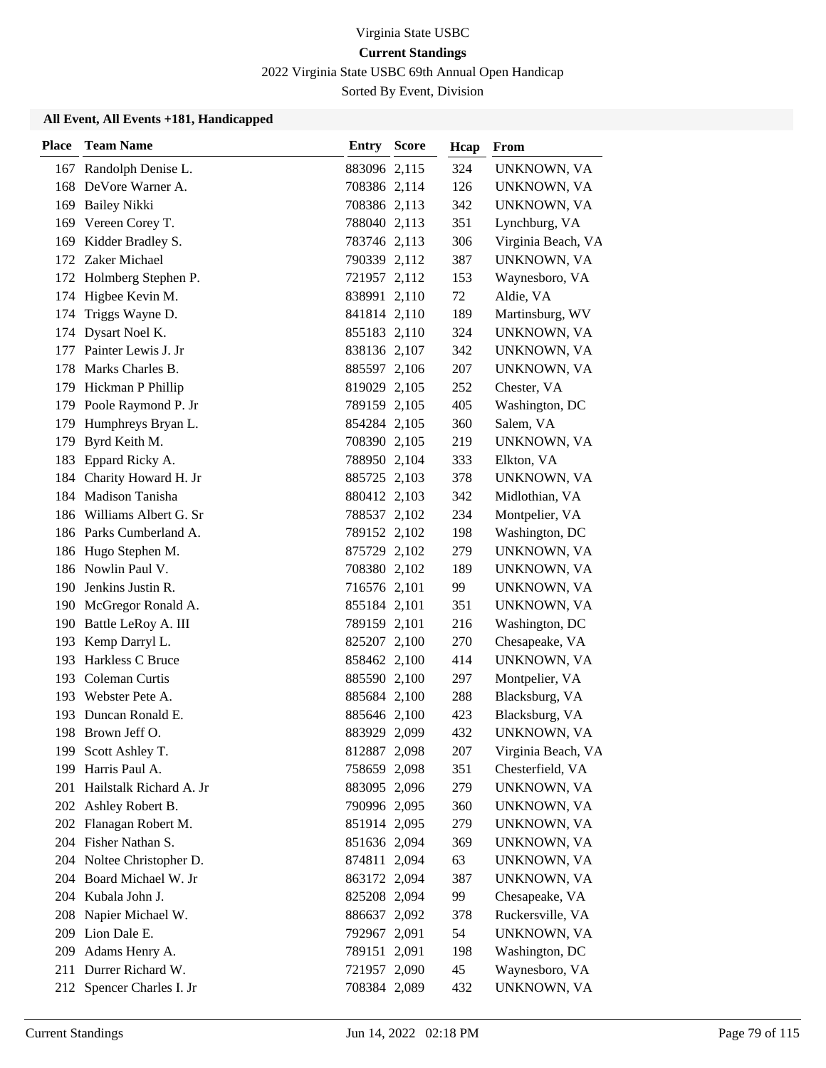2022 Virginia State USBC 69th Annual Open Handicap

Sorted By Event, Division

| <b>Place</b> | <b>Team Name</b>          | <b>Entry Score</b> | Hcap | From               |
|--------------|---------------------------|--------------------|------|--------------------|
| 167          | Randolph Denise L.        | 883096 2,115       | 324  | UNKNOWN, VA        |
| 168          | DeVore Warner A.          | 708386 2,114       | 126  | UNKNOWN, VA        |
| 169          | <b>Bailey Nikki</b>       | 708386 2,113       | 342  | UNKNOWN, VA        |
| 169          | Vereen Corey T.           | 788040 2,113       | 351  | Lynchburg, VA      |
|              | 169 Kidder Bradley S.     | 783746 2,113       | 306  | Virginia Beach, VA |
|              | 172 Zaker Michael         | 790339 2,112       | 387  | UNKNOWN, VA        |
|              | 172 Holmberg Stephen P.   | 721957 2,112       | 153  | Waynesboro, VA     |
|              | 174 Higbee Kevin M.       | 838991 2,110       | 72   | Aldie, VA          |
| 174          | Triggs Wayne D.           | 841814 2,110       | 189  | Martinsburg, WV    |
| 174          | Dysart Noel K.            | 855183 2,110       | 324  | UNKNOWN, VA        |
| 177          | Painter Lewis J. Jr       | 838136 2,107       | 342  | UNKNOWN, VA        |
| 178          | Marks Charles B.          | 885597 2,106       | 207  | UNKNOWN, VA        |
|              | 179 Hickman P Phillip     | 819029 2,105       | 252  | Chester, VA        |
|              | 179 Poole Raymond P. Jr   | 789159 2,105       | 405  | Washington, DC     |
|              | 179 Humphreys Bryan L.    | 854284 2,105       | 360  | Salem, VA          |
|              | 179 Byrd Keith M.         | 708390 2,105       | 219  | UNKNOWN, VA        |
| 183          | Eppard Ricky A.           | 788950 2,104       | 333  | Elkton, VA         |
| 184          | Charity Howard H. Jr      | 885725 2,103       | 378  | UNKNOWN, VA        |
|              | 184 Madison Tanisha       | 880412 2,103       | 342  | Midlothian, VA     |
|              | 186 Williams Albert G. Sr | 788537 2,102       | 234  | Montpelier, VA     |
|              | 186 Parks Cumberland A.   | 789152 2,102       | 198  | Washington, DC     |
| 186          | Hugo Stephen M.           | 875729 2,102       | 279  | UNKNOWN, VA        |
|              | 186 Nowlin Paul V.        | 708380 2,102       | 189  | UNKNOWN, VA        |
|              | 190 Jenkins Justin R.     | 716576 2,101       | 99   | UNKNOWN, VA        |
|              | 190 McGregor Ronald A.    | 855184 2,101       | 351  | UNKNOWN, VA        |
|              | 190 Battle LeRoy A. III   | 789159 2,101       | 216  | Washington, DC     |
| 193          | Kemp Darryl L.            | 825207 2,100       | 270  | Chesapeake, VA     |
|              | 193 Harkless C Bruce      | 858462 2,100       | 414  | UNKNOWN, VA        |
| 193          | Coleman Curtis            | 885590 2,100       | 297  | Montpelier, VA     |
|              | 193 Webster Pete A.       | 885684 2,100       | 288  | Blacksburg, VA     |
| 193          | Duncan Ronald E.          | 885646 2,100       | 423  | Blacksburg, VA     |
|              | 198 Brown Jeff O.         | 883929 2,099       | 432  | UNKNOWN, VA        |
|              | 199 Scott Ashley T.       | 812887 2,098       | 207  | Virginia Beach, VA |
| 199          | Harris Paul A.            | 758659 2,098       | 351  | Chesterfield, VA   |
| 201          | Hailstalk Richard A. Jr   | 883095 2,096       | 279  | UNKNOWN, VA        |
|              | 202 Ashley Robert B.      | 790996 2,095       | 360  | UNKNOWN, VA        |
|              | 202 Flanagan Robert M.    | 851914 2,095       | 279  | UNKNOWN, VA        |
|              | 204 Fisher Nathan S.      | 851636 2,094       | 369  | UNKNOWN, VA        |
|              | 204 Noltee Christopher D. | 874811 2,094       | 63   | UNKNOWN, VA        |
|              | 204 Board Michael W. Jr   | 863172 2,094       | 387  | UNKNOWN, VA        |
|              | 204 Kubala John J.        | 825208 2,094       | 99   | Chesapeake, VA     |
|              | 208 Napier Michael W.     | 886637 2,092       | 378  | Ruckersville, VA   |
|              | 209 Lion Dale E.          | 792967 2,091       | 54   | UNKNOWN, VA        |
| 209          | Adams Henry A.            | 789151 2,091       | 198  | Washington, DC     |
| 211          | Durrer Richard W.         | 721957 2,090       | 45   | Waynesboro, VA     |
| 212          | Spencer Charles I. Jr     | 708384 2,089       | 432  | UNKNOWN, VA        |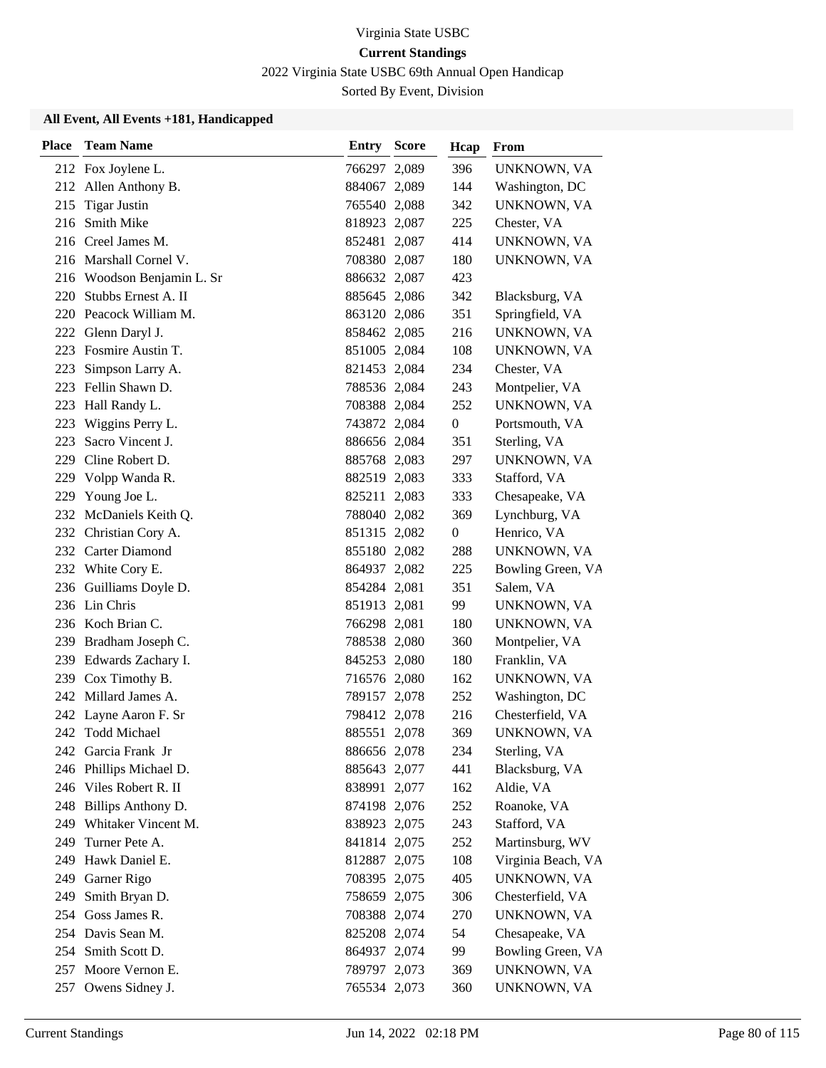2022 Virginia State USBC 69th Annual Open Handicap

Sorted By Event, Division

| Place | <b>Team Name</b>       | <b>Entry Score</b> | Hcap             | From               |
|-------|------------------------|--------------------|------------------|--------------------|
|       | 212 Fox Joylene L.     | 766297 2,089       | 396              | UNKNOWN, VA        |
|       | 212 Allen Anthony B.   | 884067 2,089       | 144              | Washington, DC     |
| 215   | <b>Tigar Justin</b>    | 765540 2,088       | 342              | UNKNOWN, VA        |
| 216   | Smith Mike             | 818923 2,087       | 225              | Chester, VA        |
|       | 216 Creel James M.     | 852481 2,087       | 414              | UNKNOWN, VA        |
|       | 216 Marshall Cornel V. | 708380 2,087       | 180              | UNKNOWN, VA        |
| 216   | Woodson Benjamin L. Sr | 886632 2,087       | 423              |                    |
| 220   | Stubbs Ernest A. II    | 885645 2,086       | 342              | Blacksburg, VA     |
|       | 220 Peacock William M. | 863120 2,086       | 351              | Springfield, VA    |
| 222   | Glenn Daryl J.         | 858462 2,085       | 216              | UNKNOWN, VA        |
| 223   | Fosmire Austin T.      | 851005 2,084       | 108              | UNKNOWN, VA        |
| 223   | Simpson Larry A.       | 821453 2,084       | 234              | Chester, VA        |
| 223   | Fellin Shawn D.        | 788536 2,084       | 243              | Montpelier, VA     |
| 223   | Hall Randy L.          | 708388 2,084       | 252              | UNKNOWN, VA        |
| 223   | Wiggins Perry L.       | 743872 2,084       | $\boldsymbol{0}$ | Portsmouth, VA     |
| 223   | Sacro Vincent J.       | 886656 2,084       | 351              | Sterling, VA       |
| 229   | Cline Robert D.        | 885768 2,083       | 297              | UNKNOWN, VA        |
| 229   | Volpp Wanda R.         | 882519 2,083       | 333              | Stafford, VA       |
| 229   | Young Joe L.           | 825211 2,083       | 333              | Chesapeake, VA     |
|       | 232 McDaniels Keith Q. | 788040 2,082       | 369              | Lynchburg, VA      |
|       | 232 Christian Cory A.  | 851315 2,082       | $\boldsymbol{0}$ | Henrico, VA        |
|       | 232 Carter Diamond     | 855180 2,082       | 288              | UNKNOWN, VA        |
|       | 232 White Cory E.      | 864937 2,082       | 225              | Bowling Green, VA  |
|       | 236 Guilliams Doyle D. | 854284 2,081       | 351              | Salem, VA          |
|       | 236 Lin Chris          | 851913 2,081       | 99               | UNKNOWN, VA        |
|       | 236 Koch Brian C.      | 766298 2,081       | 180              | UNKNOWN, VA        |
| 239   | Bradham Joseph C.      | 788538 2,080       | 360              | Montpelier, VA     |
| 239   | Edwards Zachary I.     | 845253 2,080       | 180              | Franklin, VA       |
| 239   | Cox Timothy B.         | 716576 2,080       | 162              | UNKNOWN, VA        |
|       | 242 Millard James A.   | 789157 2,078       | 252              | Washington, DC     |
|       | 242 Layne Aaron F. Sr  | 798412 2,078       | 216              | Chesterfield, VA   |
| 242   | Todd Michael           | 885551 2,078       | 369              | UNKNOWN, VA        |
| 242   | Garcia Frank Jr        | 886656 2,078       | 234              | Sterling, VA       |
| 246   | Phillips Michael D.    | 885643 2,077       | 441              | Blacksburg, VA     |
| 246   | Viles Robert R. II     | 838991 2,077       | 162              | Aldie, VA          |
| 248   | Billips Anthony D.     | 874198 2,076       | 252              | Roanoke, VA        |
| 249   | Whitaker Vincent M.    | 838923 2,075       | 243              | Stafford, VA       |
| 249   | Turner Pete A.         | 841814 2,075       | 252              | Martinsburg, WV    |
| 249   | Hawk Daniel E.         | 812887 2,075       | 108              | Virginia Beach, VA |
| 249   | Garner Rigo            | 708395 2,075       | 405              | UNKNOWN, VA        |
| 249   | Smith Bryan D.         | 758659 2,075       | 306              | Chesterfield, VA   |
| 254   | Goss James R.          | 708388 2,074       | 270              | UNKNOWN, VA        |
|       | 254 Davis Sean M.      | 825208 2,074       | 54               | Chesapeake, VA     |
| 254   | Smith Scott D.         | 864937 2,074       | 99               | Bowling Green, VA  |
| 257   | Moore Vernon E.        | 789797 2,073       | 369              | UNKNOWN, VA        |
| 257   | Owens Sidney J.        | 765534 2,073       | 360              | UNKNOWN, VA        |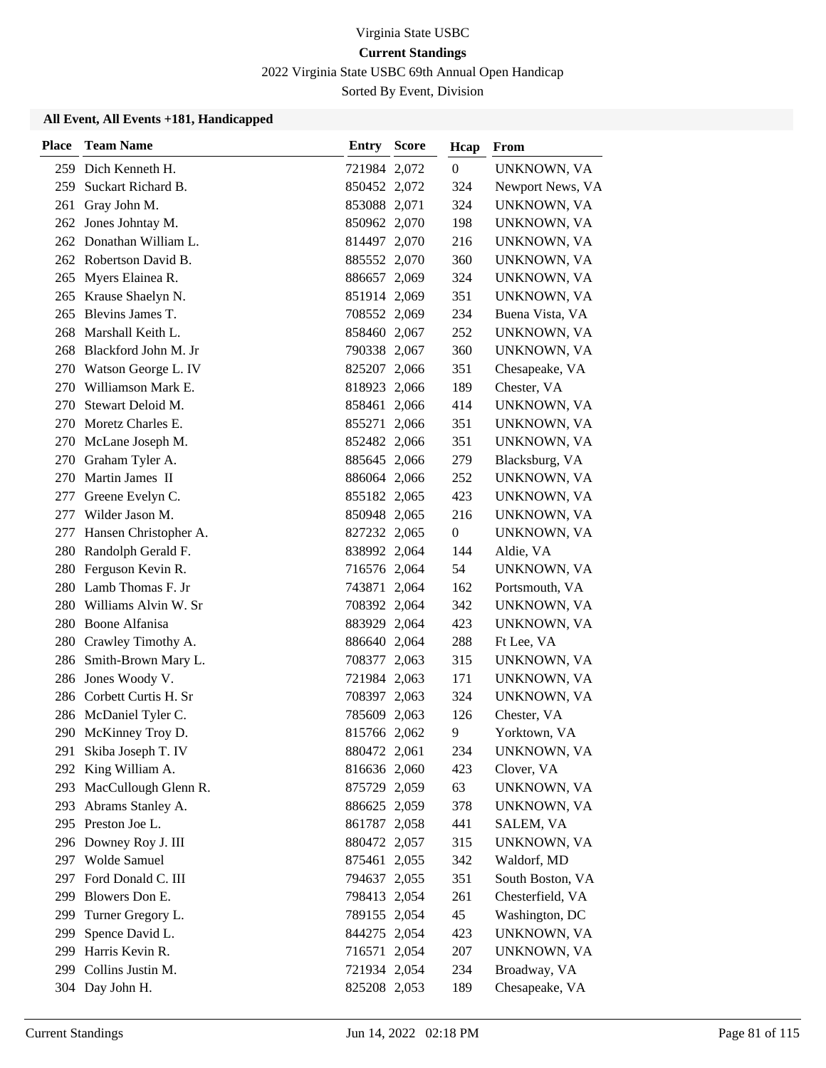2022 Virginia State USBC 69th Annual Open Handicap

Sorted By Event, Division

| <b>Place</b> | <b>Team Name</b>         | <b>Entry Score</b> | Hcap           | From             |
|--------------|--------------------------|--------------------|----------------|------------------|
| 259          | Dich Kenneth H.          | 721984 2,072       | $\mathbf{0}$   | UNKNOWN, VA      |
| 259          | Suckart Richard B.       | 850452 2,072       | 324            | Newport News, VA |
| 261          | Gray John M.             | 853088 2,071       | 324            | UNKNOWN, VA      |
|              | 262 Jones Johntay M.     | 850962 2,070       | 198            | UNKNOWN, VA      |
|              | 262 Donathan William L.  | 814497 2,070       | 216            | UNKNOWN, VA      |
|              | 262 Robertson David B.   | 885552 2,070       | 360            | UNKNOWN, VA      |
|              | 265 Myers Elainea R.     | 886657 2,069       | 324            | UNKNOWN, VA      |
|              | 265 Krause Shaelyn N.    | 851914 2,069       | 351            | UNKNOWN, VA      |
| 265          | Blevins James T.         | 708552 2,069       | 234            | Buena Vista, VA  |
| 268          | Marshall Keith L.        | 858460 2,067       | 252            | UNKNOWN, VA      |
|              | 268 Blackford John M. Jr | 790338 2,067       | 360            | UNKNOWN, VA      |
|              | 270 Watson George L. IV  | 825207 2,066       | 351            | Chesapeake, VA   |
| 270          | Williamson Mark E.       | 818923 2,066       | 189            | Chester, VA      |
| 270          | Stewart Deloid M.        | 858461 2,066       | 414            | UNKNOWN, VA      |
|              | 270 Moretz Charles E.    | 855271 2,066       | 351            | UNKNOWN, VA      |
|              | 270 McLane Joseph M.     | 852482 2,066       | 351            | UNKNOWN, VA      |
|              | 270 Graham Tyler A.      | 885645 2,066       | 279            | Blacksburg, VA   |
|              | 270 Martin James II      | 886064 2,066       | 252            | UNKNOWN, VA      |
| 277          | Greene Evelyn C.         | 855182 2,065       | 423            | UNKNOWN, VA      |
| 277          | Wilder Jason M.          | 850948 2,065       | 216            | UNKNOWN, VA      |
| 277          | Hansen Christopher A.    | 827232 2,065       | $\overline{0}$ | UNKNOWN, VA      |
| 280          | Randolph Gerald F.       | 838992 2,064       | 144            | Aldie, VA        |
| 280          | Ferguson Kevin R.        | 716576 2,064       | 54             | UNKNOWN, VA      |
|              | 280 Lamb Thomas F. Jr    | 743871 2,064       | 162            | Portsmouth, VA   |
| 280          | Williams Alvin W. Sr     | 708392 2,064       | 342            | UNKNOWN, VA      |
|              | 280 Boone Alfanisa       | 883929 2,064       | 423            | UNKNOWN, VA      |
| 280          | Crawley Timothy A.       | 886640 2,064       | 288            | Ft Lee, VA       |
| 286          | Smith-Brown Mary L.      | 708377 2,063       | 315            | UNKNOWN, VA      |
| 286          | Jones Woody V.           | 721984 2,063       | 171            | UNKNOWN, VA      |
|              | 286 Corbett Curtis H. Sr | 708397 2,063       | 324            | UNKNOWN, VA      |
|              | 286 McDaniel Tyler C.    | 785609 2,063       | 126            | Chester, VA      |
|              | 290 McKinney Troy D.     | 815766 2,062       | 9              | Yorktown, VA     |
| 291          | Skiba Joseph T. IV       | 880472 2,061       | 234            | UNKNOWN, VA      |
| 292          | King William A.          | 816636 2,060       | 423            | Clover, VA       |
| 293          | MacCullough Glenn R.     | 875729 2,059       | 63             | UNKNOWN, VA      |
|              | 293 Abrams Stanley A.    | 886625 2,059       | 378            | UNKNOWN, VA      |
|              | 295 Preston Joe L.       | 861787 2,058       | 441            | SALEM, VA        |
|              | 296 Downey Roy J. III    | 880472 2,057       | 315            | UNKNOWN, VA      |
| 297          | Wolde Samuel             | 875461 2,055       | 342            | Waldorf, MD      |
|              | 297 Ford Donald C. III   | 794637 2,055       | 351            | South Boston, VA |
| 299          | Blowers Don E.           | 798413 2,054       | 261            | Chesterfield, VA |
| 299          | Turner Gregory L.        | 789155 2,054       | 45             | Washington, DC   |
| 299          | Spence David L.          | 844275 2,054       | 423            | UNKNOWN, VA      |
|              | 299 Harris Kevin R.      | 716571 2,054       | 207            | UNKNOWN, VA      |
| 299          | Collins Justin M.        | 721934 2,054       | 234            | Broadway, VA     |
|              | 304 Day John H.          | 825208 2,053       | 189            | Chesapeake, VA   |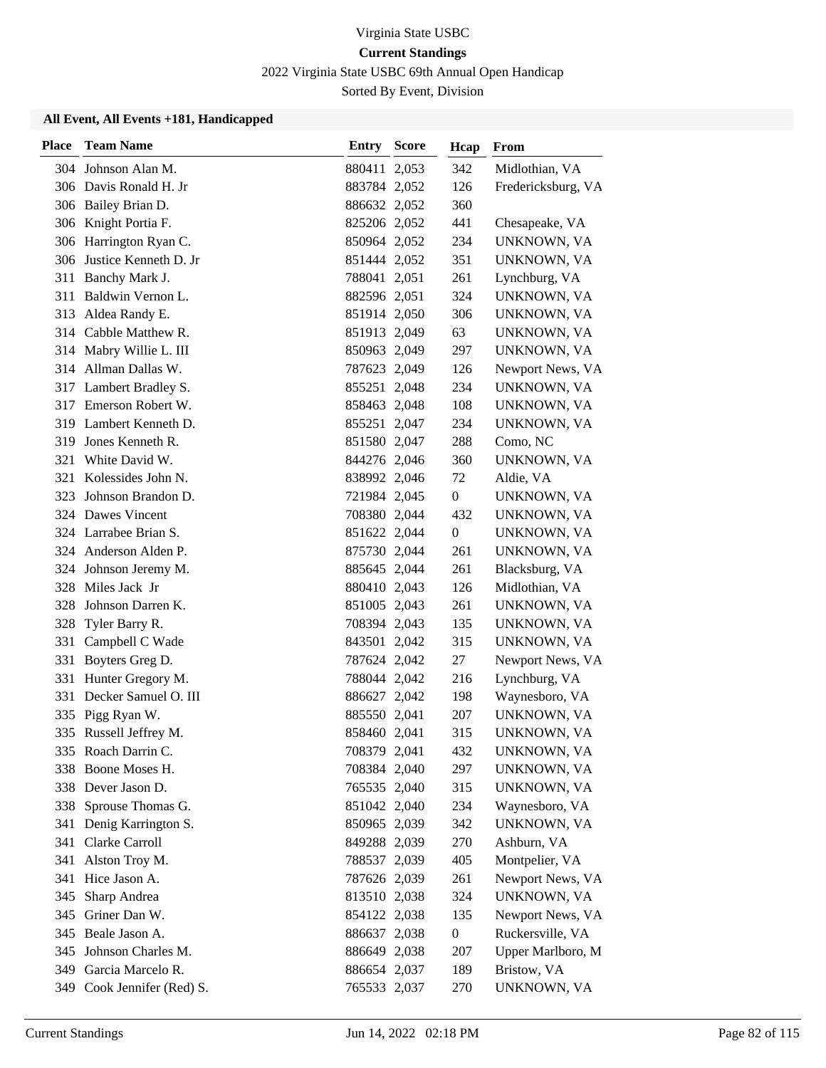2022 Virginia State USBC 69th Annual Open Handicap

Sorted By Event, Division

| <b>Place</b> | <b>Team Name</b>           | <b>Entry Score</b> | Hcap             | From               |
|--------------|----------------------------|--------------------|------------------|--------------------|
|              | 304 Johnson Alan M.        | 880411 2,053       | 342              | Midlothian, VA     |
|              | 306 Davis Ronald H. Jr     | 883784 2,052       | 126              | Fredericksburg, VA |
|              | 306 Bailey Brian D.        | 886632 2,052       | 360              |                    |
|              | 306 Knight Portia F.       | 825206 2,052       | 441              | Chesapeake, VA     |
|              | 306 Harrington Ryan C.     | 850964 2,052       | 234              | UNKNOWN, VA        |
|              | 306 Justice Kenneth D. Jr  | 851444 2,052       | 351              | UNKNOWN, VA        |
| 311          | Banchy Mark J.             | 788041 2,051       | 261              | Lynchburg, VA      |
| 311          | Baldwin Vernon L.          | 882596 2,051       | 324              | UNKNOWN, VA        |
| 313          | Aldea Randy E.             | 851914 2,050       | 306              | UNKNOWN, VA        |
|              | 314 Cabble Matthew R.      | 851913 2,049       | 63               | UNKNOWN, VA        |
|              | 314 Mabry Willie L. III    | 850963 2,049       | 297              | UNKNOWN, VA        |
|              | 314 Allman Dallas W.       | 787623 2,049       | 126              | Newport News, VA   |
|              | 317 Lambert Bradley S.     | 855251 2,048       | 234              | UNKNOWN, VA        |
|              | 317 Emerson Robert W.      | 858463 2,048       | 108              | UNKNOWN, VA        |
| 319          | Lambert Kenneth D.         | 855251 2,047       | 234              | UNKNOWN, VA        |
|              | 319 Jones Kenneth R.       | 851580 2,047       | 288              | Como, NC           |
| 321          | White David W.             | 844276 2,046       | 360              | UNKNOWN, VA        |
| 321          | Kolessides John N.         | 838992 2,046       | 72               | Aldie, VA          |
| 323          | Johnson Brandon D.         | 721984 2,045       | $\overline{0}$   | UNKNOWN, VA        |
|              | 324 Dawes Vincent          | 708380 2,044       | 432              | UNKNOWN, VA        |
|              | 324 Larrabee Brian S.      | 851622 2,044       | $\boldsymbol{0}$ | UNKNOWN, VA        |
|              | 324 Anderson Alden P.      | 875730 2,044       | 261              | UNKNOWN, VA        |
|              | 324 Johnson Jeremy M.      | 885645 2,044       | 261              | Blacksburg, VA     |
|              | 328 Miles Jack Jr          | 880410 2,043       | 126              | Midlothian, VA     |
| 328          | Johnson Darren K.          | 851005 2,043       | 261              | UNKNOWN, VA        |
| 328          | Tyler Barry R.             | 708394 2,043       | 135              | UNKNOWN, VA        |
| 331          | Campbell C Wade            | 843501 2,042       | 315              | UNKNOWN, VA        |
|              | 331 Boyters Greg D.        | 787624 2,042       | 27               | Newport News, VA   |
|              | 331 Hunter Gregory M.      | 788044 2,042       | 216              | Lynchburg, VA      |
| 331          | Decker Samuel O. III       | 886627 2,042       | 198              | Waynesboro, VA     |
|              | 335 Pigg Ryan W.           | 885550 2,041       | 207              | UNKNOWN, VA        |
|              | 335 Russell Jeffrey M.     | 858460 2,041       | 315              | UNKNOWN, VA        |
|              | 335 Roach Darrin C.        | 708379 2,041       | 432              | UNKNOWN, VA        |
|              | 338 Boone Moses H.         | 708384 2,040       | 297              | UNKNOWN, VA        |
|              | 338 Dever Jason D.         | 765535 2,040       | 315              | UNKNOWN, VA        |
| 338          | Sprouse Thomas G.          | 851042 2,040       | 234              | Waynesboro, VA     |
| 341          | Denig Karrington S.        | 850965 2,039       | 342              | UNKNOWN, VA        |
|              | 341 Clarke Carroll         | 849288 2,039       | 270              | Ashburn, VA        |
| 341          | Alston Troy M.             | 788537 2,039       | 405              | Montpelier, VA     |
|              | 341 Hice Jason A.          | 787626 2,039       | 261              | Newport News, VA   |
| 345          | Sharp Andrea               | 813510 2,038       | 324              | UNKNOWN, VA        |
|              | 345 Griner Dan W.          | 854122 2,038       | 135              | Newport News, VA   |
|              | 345 Beale Jason A.         | 886637 2,038       | $\boldsymbol{0}$ | Ruckersville, VA   |
| 345          | Johnson Charles M.         | 886649 2,038       | 207              | Upper Marlboro, M  |
|              | 349 Garcia Marcelo R.      | 886654 2,037       | 189              | Bristow, VA        |
|              | 349 Cook Jennifer (Red) S. | 765533 2,037       | 270              | UNKNOWN, VA        |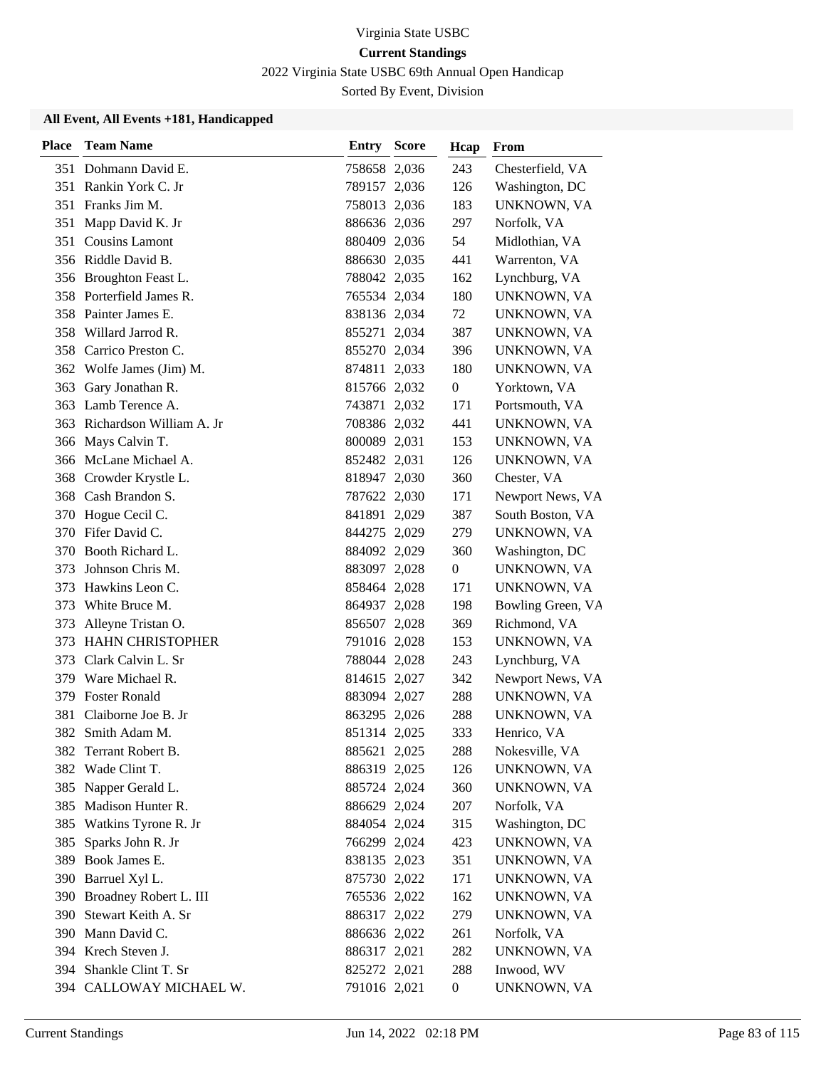2022 Virginia State USBC 69th Annual Open Handicap

Sorted By Event, Division

| <b>Place</b> | <b>Team Name</b>           | Entry        | <b>Score</b> | Hcap             | From              |
|--------------|----------------------------|--------------|--------------|------------------|-------------------|
|              | 351 Dohmann David E.       | 758658 2,036 |              | 243              | Chesterfield, VA  |
|              | 351 Rankin York C. Jr      | 789157 2,036 |              | 126              | Washington, DC    |
| 351          | Franks Jim M.              | 758013 2,036 |              | 183              | UNKNOWN, VA       |
| 351          | Mapp David K. Jr           | 886636 2,036 |              | 297              | Norfolk, VA       |
|              | 351 Cousins Lamont         | 880409 2,036 |              | 54               | Midlothian, VA    |
|              | 356 Riddle David B.        | 886630 2,035 |              | 441              | Warrenton, VA     |
|              | 356 Broughton Feast L.     | 788042 2,035 |              | 162              | Lynchburg, VA     |
|              | 358 Porterfield James R.   | 765534 2,034 |              | 180              | UNKNOWN, VA       |
| 358          | Painter James E.           | 838136 2,034 |              | 72               | UNKNOWN, VA       |
| 358          | Willard Jarrod R.          | 855271 2,034 |              | 387              | UNKNOWN, VA       |
| 358          | Carrico Preston C.         | 855270 2,034 |              | 396              | UNKNOWN, VA       |
|              | 362 Wolfe James (Jim) M.   | 874811 2,033 |              | 180              | UNKNOWN, VA       |
| 363          | Gary Jonathan R.           | 815766 2,032 |              | $\overline{0}$   | Yorktown, VA      |
| 363          | Lamb Terence A.            | 743871 2,032 |              | 171              | Portsmouth, VA    |
| 363          | Richardson William A. Jr   | 708386 2,032 |              | 441              | UNKNOWN, VA       |
|              | 366 Mays Calvin T.         | 800089 2,031 |              | 153              | UNKNOWN, VA       |
|              | 366 McLane Michael A.      | 852482 2,031 |              | 126              | UNKNOWN, VA       |
| 368          | Crowder Krystle L.         | 818947 2,030 |              | 360              | Chester, VA       |
| 368          | Cash Brandon S.            | 787622 2,030 |              | 171              | Newport News, VA  |
|              | 370 Hogue Cecil C.         | 841891 2,029 |              | 387              | South Boston, VA  |
| 370          | Fifer David C.             | 844275 2,029 |              | 279              | UNKNOWN, VA       |
| 370          | Booth Richard L.           | 884092 2,029 |              | 360              | Washington, DC    |
| 373          | Johnson Chris M.           | 883097 2,028 |              | $\overline{0}$   | UNKNOWN, VA       |
| 373          | Hawkins Leon C.            | 858464 2,028 |              | 171              | UNKNOWN, VA       |
| 373          | White Bruce M.             | 864937 2,028 |              | 198              | Bowling Green, VA |
| 373          | Alleyne Tristan O.         | 856507 2,028 |              | 369              | Richmond, VA      |
| 373          | <b>HAHN CHRISTOPHER</b>    | 791016 2,028 |              | 153              | UNKNOWN, VA       |
| 373          | Clark Calvin L. Sr         | 788044 2,028 |              | 243              | Lynchburg, VA     |
| 379          | Ware Michael R.            | 814615 2,027 |              | 342              | Newport News, VA  |
| 379          | <b>Foster Ronald</b>       | 883094 2,027 |              | 288              | UNKNOWN, VA       |
| 381          | Claiborne Joe B. Jr        | 863295 2,026 |              | 288              | UNKNOWN, VA       |
| 382          | Smith Adam M.              | 851314 2,025 |              | 333              | Henrico, VA       |
|              | 382 Terrant Robert B.      | 885621 2,025 |              | 288              | Nokesville, VA    |
|              | 382 Wade Clint T.          | 886319 2,025 |              | 126              | UNKNOWN, VA       |
| 385          | Napper Gerald L.           | 885724 2,024 |              | 360              | UNKNOWN, VA       |
|              | 385 Madison Hunter R.      | 886629 2,024 |              | 207              | Norfolk, VA       |
| 385          | Watkins Tyrone R. Jr       | 884054 2,024 |              | 315              | Washington, DC    |
| 385          | Sparks John R. Jr          | 766299 2,024 |              | 423              | UNKNOWN, VA       |
| 389          | Book James E.              | 838135 2,023 |              | 351              | UNKNOWN, VA       |
|              | 390 Barruel Xyl L.         | 875730 2,022 |              | 171              | UNKNOWN, VA       |
|              | 390 Broadney Robert L. III | 765536 2,022 |              | 162              | UNKNOWN, VA       |
|              | 390 Stewart Keith A. Sr    | 886317 2,022 |              | 279              | UNKNOWN, VA       |
|              | 390 Mann David C.          | 886636 2,022 |              | 261              | Norfolk, VA       |
|              | 394 Krech Steven J.        | 886317 2,021 |              | 282              | UNKNOWN, VA       |
|              | 394 Shankle Clint T. Sr    | 825272 2,021 |              | 288              | Inwood, WV        |
|              | 394 CALLOWAY MICHAEL W.    | 791016 2,021 |              | $\boldsymbol{0}$ | UNKNOWN, VA       |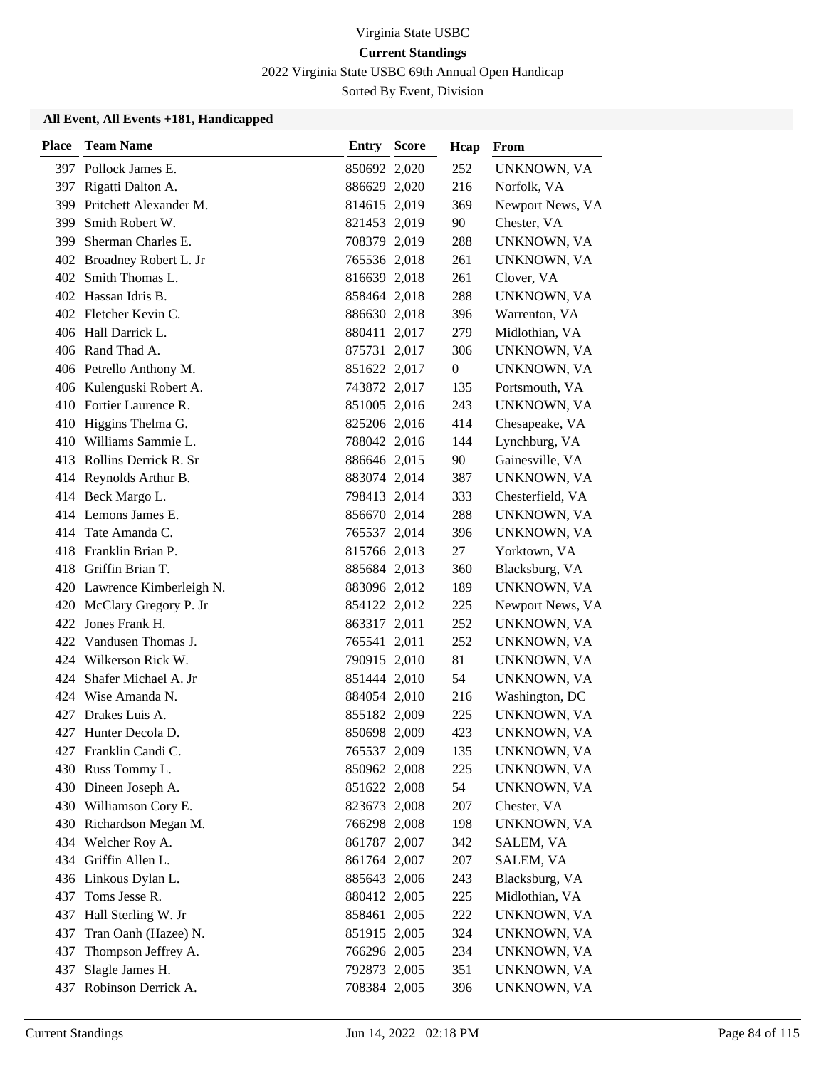2022 Virginia State USBC 69th Annual Open Handicap

Sorted By Event, Division

| <b>Place</b> | <b>Team Name</b>            | <b>Entry Score</b> | Hcap             | From             |
|--------------|-----------------------------|--------------------|------------------|------------------|
|              | 397 Pollock James E.        | 850692 2,020       | 252              | UNKNOWN, VA      |
|              | 397 Rigatti Dalton A.       | 886629 2,020       | 216              | Norfolk, VA      |
| 399          | Pritchett Alexander M.      | 814615 2,019       | 369              | Newport News, VA |
| 399          | Smith Robert W.             | 821453 2,019       | 90               | Chester, VA      |
| 399          | Sherman Charles E.          | 708379 2,019       | 288              | UNKNOWN, VA      |
|              | 402 Broadney Robert L. Jr   | 765536 2,018       | 261              | UNKNOWN, VA      |
|              | 402 Smith Thomas L.         | 816639 2,018       | 261              | Clover, VA       |
|              | 402 Hassan Idris B.         | 858464 2,018       | 288              | UNKNOWN, VA      |
|              | 402 Fletcher Kevin C.       | 886630 2,018       | 396              | Warrenton, VA    |
|              | 406 Hall Darrick L.         | 880411 2,017       | 279              | Midlothian, VA   |
|              | 406 Rand Thad A.            | 875731 2,017       | 306              | UNKNOWN, VA      |
|              | 406 Petrello Anthony M.     | 851622 2,017       | $\boldsymbol{0}$ | UNKNOWN, VA      |
|              | 406 Kulenguski Robert A.    | 743872 2,017       | 135              | Portsmouth, VA   |
|              | 410 Fortier Laurence R.     | 851005 2,016       | 243              | UNKNOWN, VA      |
|              | 410 Higgins Thelma G.       | 825206 2,016       | 414              | Chesapeake, VA   |
|              | 410 Williams Sammie L.      | 788042 2,016       | 144              | Lynchburg, VA    |
|              | 413 Rollins Derrick R. Sr   | 886646 2,015       | 90               | Gainesville, VA  |
|              | 414 Reynolds Arthur B.      | 883074 2,014       | 387              | UNKNOWN, VA      |
|              | 414 Beck Margo L.           | 798413 2,014       | 333              | Chesterfield, VA |
|              | 414 Lemons James E.         | 856670 2,014       | 288              | UNKNOWN, VA      |
|              | 414 Tate Amanda C.          | 765537 2,014       | 396              | UNKNOWN, VA      |
|              | 418 Franklin Brian P.       | 815766 2,013       | 27               | Yorktown, VA     |
|              | 418 Griffin Brian T.        | 885684 2,013       | 360              | Blacksburg, VA   |
|              | 420 Lawrence Kimberleigh N. | 883096 2,012       | 189              | UNKNOWN, VA      |
|              | 420 McClary Gregory P. Jr   | 854122 2,012       | 225              | Newport News, VA |
| 422          | Jones Frank H.              | 863317 2,011       | 252              | UNKNOWN, VA      |
|              | 422 Vandusen Thomas J.      | 765541 2,011       | 252              | UNKNOWN, VA      |
|              | 424 Wilkerson Rick W.       | 790915 2,010       | 81               | UNKNOWN, VA      |
| 424          | Shafer Michael A. Jr        | 851444 2,010       | 54               | UNKNOWN, VA      |
|              | 424 Wise Amanda N.          | 884054 2,010       | 216              | Washington, DC   |
|              | 427 Drakes Luis A.          | 855182 2,009       | 225              | UNKNOWN, VA      |
|              | 427 Hunter Decola D.        | 850698 2,009       | 423              | UNKNOWN, VA      |
|              | 427 Franklin Candi C.       | 765537 2,009       | 135              | UNKNOWN, VA      |
|              | 430 Russ Tommy L.           | 850962 2,008       | 225              | UNKNOWN, VA      |
|              | 430 Dineen Joseph A.        | 851622 2,008       | 54               | UNKNOWN, VA      |
|              | 430 Williamson Cory E.      | 823673 2,008       | 207              | Chester, VA      |
|              | 430 Richardson Megan M.     | 766298 2,008       | 198              | UNKNOWN, VA      |
|              | 434 Welcher Roy A.          | 861787 2,007       | 342              | SALEM, VA        |
|              | 434 Griffin Allen L.        | 861764 2,007       | 207              | SALEM, VA        |
|              | 436 Linkous Dylan L.        | 885643 2,006       | 243              | Blacksburg, VA   |
| 437          | Toms Jesse R.               | 880412 2,005       | 225              | Midlothian, VA   |
| 437          | Hall Sterling W. Jr         | 858461 2,005       | 222              | UNKNOWN, VA      |
| 437          | Tran Oanh (Hazee) N.        | 851915 2,005       | 324              | UNKNOWN, VA      |
| 437          | Thompson Jeffrey A.         | 766296 2,005       | 234              | UNKNOWN, VA      |
| 437          | Slagle James H.             | 792873 2,005       | 351              | UNKNOWN, VA      |
| 437          | Robinson Derrick A.         | 708384 2,005       | 396              | UNKNOWN, VA      |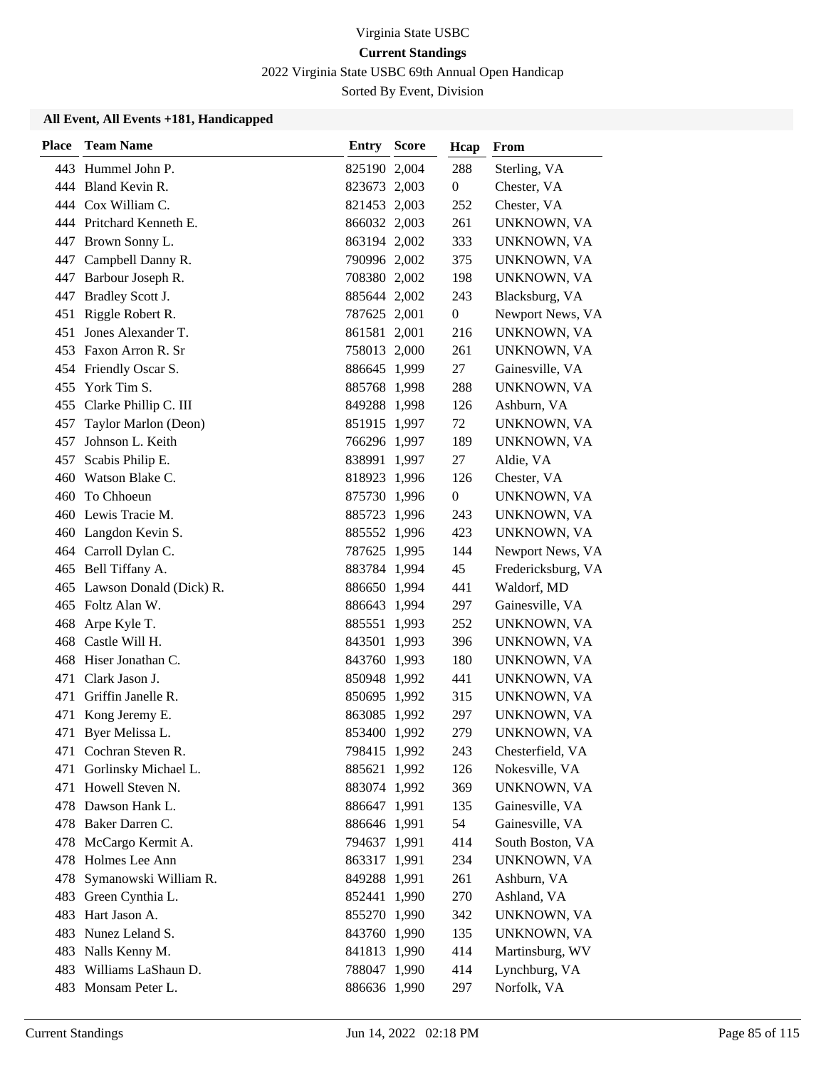2022 Virginia State USBC 69th Annual Open Handicap

Sorted By Event, Division

| <b>Place</b> | <b>Team Name</b>            | <b>Entry Score</b> | Hcap             | From               |
|--------------|-----------------------------|--------------------|------------------|--------------------|
|              | 443 Hummel John P.          | 825190 2,004       | 288              | Sterling, VA       |
|              | 444 Bland Kevin R.          | 823673 2,003       | $\boldsymbol{0}$ | Chester, VA        |
|              | 444 Cox William C.          | 821453 2,003       | 252              | Chester, VA        |
|              | 444 Pritchard Kenneth E.    | 866032 2,003       | 261              | UNKNOWN, VA        |
|              | 447 Brown Sonny L.          | 863194 2,002       | 333              | UNKNOWN, VA        |
| 447          | Campbell Danny R.           | 790996 2,002       | 375              | UNKNOWN, VA        |
| 447          | Barbour Joseph R.           | 708380 2,002       | 198              | UNKNOWN, VA        |
| 447          | Bradley Scott J.            | 885644 2,002       | 243              | Blacksburg, VA     |
| 451          | Riggle Robert R.            | 787625 2,001       | $\boldsymbol{0}$ | Newport News, VA   |
| 451          | Jones Alexander T.          | 861581 2,001       | 216              | UNKNOWN, VA        |
| 453          | Faxon Arron R. Sr           | 758013 2,000       | 261              | UNKNOWN, VA        |
|              | 454 Friendly Oscar S.       | 886645 1,999       | 27               | Gainesville, VA    |
| 455          | York Tim S.                 | 885768 1,998       | 288              | UNKNOWN, VA        |
| 455          | Clarke Phillip C. III       | 849288 1,998       | 126              | Ashburn, VA        |
| 457          | Taylor Marlon (Deon)        | 851915 1,997       | 72               | UNKNOWN, VA        |
| 457          | Johnson L. Keith            | 766296 1,997       | 189              | UNKNOWN, VA        |
| 457          | Scabis Philip E.            | 838991 1,997       | 27               | Aldie, VA          |
| 460          | Watson Blake C.             | 818923 1,996       | 126              | Chester, VA        |
| 460          | To Chhoeun                  | 875730 1,996       | $\boldsymbol{0}$ | UNKNOWN, VA        |
|              | 460 Lewis Tracie M.         | 885723 1,996       | 243              | UNKNOWN, VA        |
|              | 460 Langdon Kevin S.        | 885552 1,996       | 423              | UNKNOWN, VA        |
|              | 464 Carroll Dylan C.        | 787625 1,995       | 144              | Newport News, VA   |
|              | 465 Bell Tiffany A.         | 883784 1,994       | 45               | Fredericksburg, VA |
|              | 465 Lawson Donald (Dick) R. | 886650 1,994       | 441              | Waldorf, MD        |
|              | 465 Foltz Alan W.           | 886643 1,994       | 297              | Gainesville, VA    |
| 468          | Arpe Kyle T.                | 885551 1,993       | 252              | UNKNOWN, VA        |
| 468          | Castle Will H.              | 843501 1,993       | 396              | UNKNOWN, VA        |
|              | 468 Hiser Jonathan C.       | 843760 1,993       | 180              | UNKNOWN, VA        |
| 471          | Clark Jason J.              | 850948 1,992       | 441              | UNKNOWN, VA        |
| 471          | Griffin Janelle R.          | 850695 1,992       | 315              | UNKNOWN, VA        |
| 471          | Kong Jeremy E.              | 863085 1,992       | 297              | UNKNOWN, VA        |
|              | 471 Byer Melissa L.         | 853400 1,992       | 279              | UNKNOWN, VA        |
|              | 471 Cochran Steven R.       | 798415 1,992       | 243              | Chesterfield, VA   |
| 471          | Gorlinsky Michael L.        | 885621 1,992       | 126              | Nokesville, VA     |
|              | 471 Howell Steven N.        | 883074 1,992       | 369              | UNKNOWN, VA        |
|              | 478 Dawson Hank L.          | 886647 1,991       | 135              | Gainesville, VA    |
|              | 478 Baker Darren C.         | 886646 1,991       | 54               | Gainesville, VA    |
| 478          | McCargo Kermit A.           | 794637 1,991       | 414              | South Boston, VA   |
|              | 478 Holmes Lee Ann          | 863317 1,991       | 234              | UNKNOWN, VA        |
| 478          | Symanowski William R.       | 849288 1,991       | 261              | Ashburn, VA        |
| 483          | Green Cynthia L.            | 852441 1,990       | 270              | Ashland, VA        |
| 483          | Hart Jason A.               | 855270 1,990       | 342              | UNKNOWN, VA        |
| 483          | Nunez Leland S.             | 843760 1,990       | 135              | UNKNOWN, VA        |
| 483          | Nalls Kenny M.              | 841813 1,990       | 414              | Martinsburg, WV    |
| 483          | Williams LaShaun D.         | 788047 1,990       | 414              | Lynchburg, VA      |
|              | 483 Monsam Peter L.         | 886636 1,990       | 297              | Norfolk, VA        |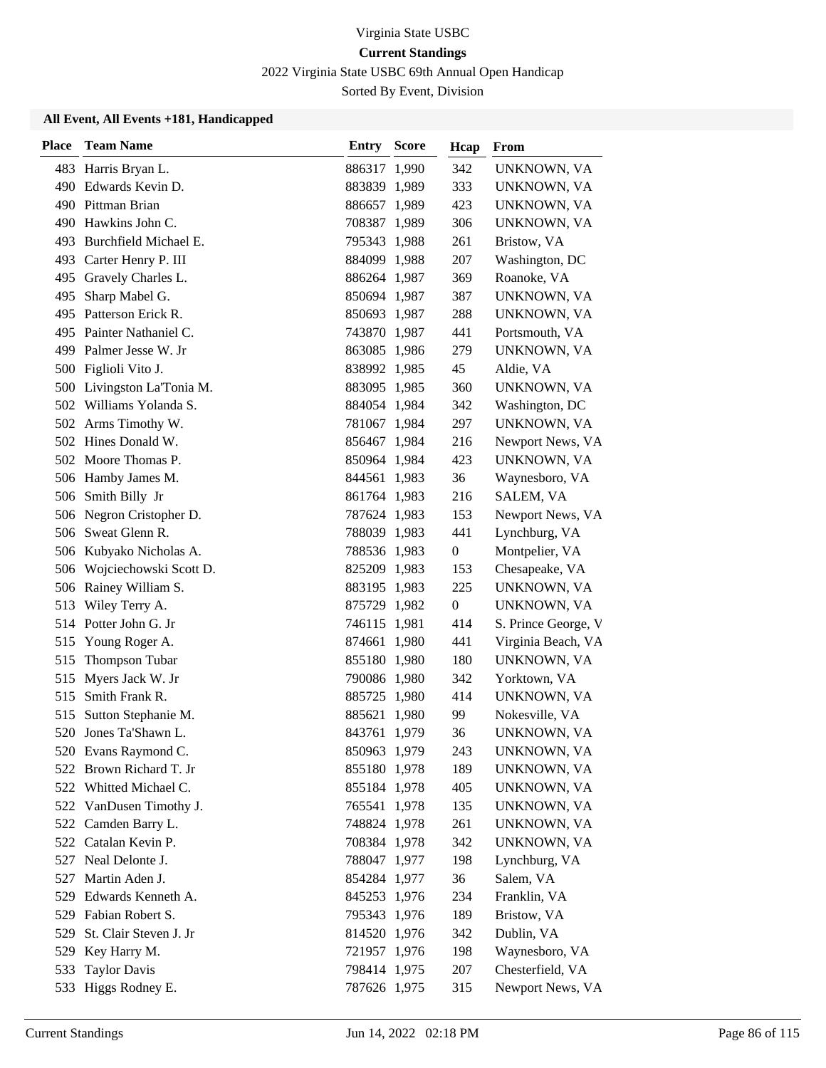2022 Virginia State USBC 69th Annual Open Handicap

Sorted By Event, Division

| <b>Place</b> | <b>Team Name</b>           | <b>Entry Score</b> | Hcap             | From                |
|--------------|----------------------------|--------------------|------------------|---------------------|
|              | 483 Harris Bryan L.        | 886317 1,990       | 342              | UNKNOWN, VA         |
|              | 490 Edwards Kevin D.       | 883839 1,989       | 333              | UNKNOWN, VA         |
|              | 490 Pittman Brian          | 886657 1,989       | 423              | UNKNOWN, VA         |
|              | 490 Hawkins John C.        | 708387 1,989       | 306              | UNKNOWN, VA         |
|              | 493 Burchfield Michael E.  | 795343 1,988       | 261              | Bristow, VA         |
|              | 493 Carter Henry P. III    | 884099 1,988       | 207              | Washington, DC      |
|              | 495 Gravely Charles L.     | 886264 1,987       | 369              | Roanoke, VA         |
| 495          | Sharp Mabel G.             | 850694 1,987       | 387              | UNKNOWN, VA         |
|              | 495 Patterson Erick R.     | 850693 1,987       | 288              | UNKNOWN, VA         |
|              | 495 Painter Nathaniel C.   | 743870 1,987       | 441              | Portsmouth, VA      |
| 499          | Palmer Jesse W. Jr         | 863085 1,986       | 279              | UNKNOWN, VA         |
|              | 500 Figlioli Vito J.       | 838992 1,985       | 45               | Aldie, VA           |
|              | 500 Livingston La'Tonia M. | 883095 1,985       | 360              | UNKNOWN, VA         |
|              | 502 Williams Yolanda S.    | 884054 1,984       | 342              | Washington, DC      |
|              | 502 Arms Timothy W.        | 781067 1,984       | 297              | UNKNOWN, VA         |
|              | 502 Hines Donald W.        | 856467 1,984       | 216              | Newport News, VA    |
|              | 502 Moore Thomas P.        | 850964 1,984       | 423              | UNKNOWN, VA         |
|              | 506 Hamby James M.         | 844561 1,983       | 36               | Waynesboro, VA      |
| 506          | Smith Billy Jr             | 861764 1,983       | 216              | SALEM, VA           |
|              | 506 Negron Cristopher D.   | 787624 1,983       | 153              | Newport News, VA    |
|              | 506 Sweat Glenn R.         | 788039 1,983       | 441              | Lynchburg, VA       |
| 506          | Kubyako Nicholas A.        | 788536 1,983       | $\boldsymbol{0}$ | Montpelier, VA      |
| 506          | Wojciechowski Scott D.     | 825209 1,983       | 153              | Chesapeake, VA      |
|              | 506 Rainey William S.      | 883195 1,983       | 225              | UNKNOWN, VA         |
| 513          | Wiley Terry A.             | 875729 1,982       | $\mathbf{0}$     | UNKNOWN, VA         |
| 514          | Potter John G. Jr          | 746115 1,981       | 414              | S. Prince George, V |
| 515          | Young Roger A.             | 874661 1,980       | 441              | Virginia Beach, VA  |
| 515          | Thompson Tubar             | 855180 1,980       | 180              | UNKNOWN, VA         |
| 515          | Myers Jack W. Jr           | 790086 1,980       | 342              | Yorktown, VA        |
| 515          | Smith Frank R.             | 885725 1,980       | 414              | UNKNOWN, VA         |
| 515          | Sutton Stephanie M.        | 885621 1,980       | 99               | Nokesville, VA      |
| 520          | Jones Ta'Shawn L.          | 843761 1,979       | 36               | UNKNOWN, VA         |
|              | 520 Evans Raymond C.       | 850963 1,979       | 243              | UNKNOWN, VA         |
| 522          | Brown Richard T. Jr        | 855180 1,978       | 189              | UNKNOWN, VA         |
|              | 522 Whitted Michael C.     | 855184 1,978       | 405              | UNKNOWN, VA         |
|              | 522 VanDusen Timothy J.    | 765541 1,978       | 135              | UNKNOWN, VA         |
|              | 522 Camden Barry L.        | 748824 1,978       | 261              | UNKNOWN, VA         |
| 522          | Catalan Kevin P.           | 708384 1,978       | 342              | UNKNOWN, VA         |
| 527          | Neal Delonte J.            | 788047 1,977       | 198              | Lynchburg, VA       |
| 527          | Martin Aden J.             | 854284 1,977       | 36               | Salem, VA           |
| 529          | Edwards Kenneth A.         | 845253 1,976       | 234              | Franklin, VA        |
| 529          | Fabian Robert S.           | 795343 1,976       | 189              | Bristow, VA         |
| 529          | St. Clair Steven J. Jr     | 814520 1,976       | 342              | Dublin, VA          |
| 529          | Key Harry M.               | 721957 1,976       | 198              | Waynesboro, VA      |
| 533          | <b>Taylor Davis</b>        | 798414 1,975       | 207              | Chesterfield, VA    |
| 533          | Higgs Rodney E.            | 787626 1,975       | 315              | Newport News, VA    |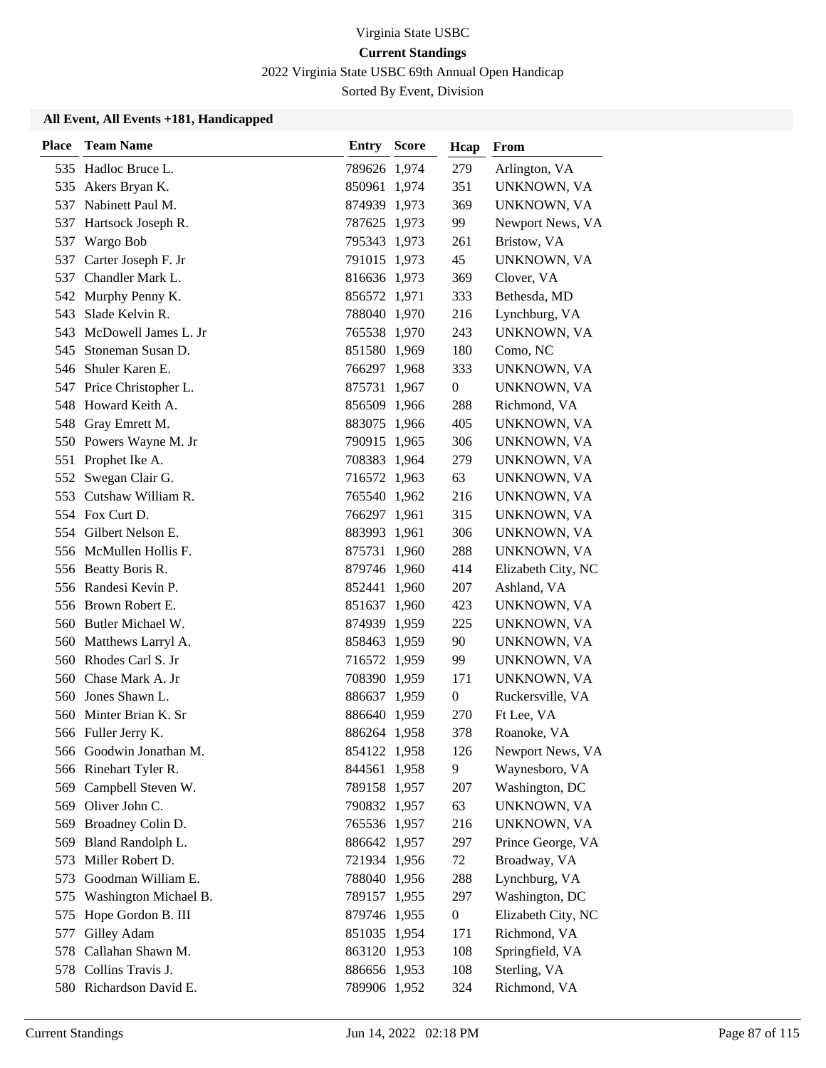2022 Virginia State USBC 69th Annual Open Handicap

Sorted By Event, Division

| <b>Place</b> | <b>Team Name</b>         | <b>Entry Score</b> | Hcap             | From               |
|--------------|--------------------------|--------------------|------------------|--------------------|
|              | 535 Hadloc Bruce L.      | 789626 1,974       | 279              | Arlington, VA      |
| 535          | Akers Bryan K.           | 850961 1,974       | 351              | UNKNOWN, VA        |
| 537          | Nabinett Paul M.         | 874939 1,973       | 369              | UNKNOWN, VA        |
| 537          | Hartsock Joseph R.       | 787625 1,973       | 99               | Newport News, VA   |
| 537          | Wargo Bob                | 795343 1,973       | 261              | Bristow, VA        |
| 537          | Carter Joseph F. Jr      | 791015 1,973       | 45               | UNKNOWN, VA        |
| 537          | Chandler Mark L.         | 816636 1,973       | 369              | Clover, VA         |
|              | 542 Murphy Penny K.      | 856572 1,971       | 333              | Bethesda, MD       |
| 543          | Slade Kelvin R.          | 788040 1,970       | 216              | Lynchburg, VA      |
| 543          | McDowell James L. Jr     | 765538 1,970       | 243              | UNKNOWN, VA        |
| 545          | Stoneman Susan D.        | 851580 1,969       | 180              | Como, NC           |
| 546          | Shuler Karen E.          | 766297 1,968       | 333              | UNKNOWN, VA        |
|              | 547 Price Christopher L. | 875731 1,967       | $\boldsymbol{0}$ | UNKNOWN, VA        |
| 548          | Howard Keith A.          | 856509 1,966       | 288              | Richmond, VA       |
|              | 548 Gray Emrett M.       | 883075 1,966       | 405              | UNKNOWN, VA        |
|              | 550 Powers Wayne M. Jr   | 790915 1,965       | 306              | UNKNOWN, VA        |
| 551          | Prophet Ike A.           | 708383 1,964       | 279              | UNKNOWN, VA        |
| 552          | Swegan Clair G.          | 716572 1,963       | 63               | UNKNOWN, VA        |
| 553          | Cutshaw William R.       | 765540 1,962       | 216              | UNKNOWN, VA        |
|              | 554 Fox Curt D.          | 766297 1,961       | 315              | UNKNOWN, VA        |
|              | 554 Gilbert Nelson E.    | 883993 1,961       | 306              | UNKNOWN, VA        |
|              | 556 McMullen Hollis F.   | 875731 1,960       | 288              | UNKNOWN, VA        |
|              | 556 Beatty Boris R.      | 879746 1,960       | 414              | Elizabeth City, NC |
|              | 556 Randesi Kevin P.     | 852441 1,960       | 207              | Ashland, VA        |
|              | 556 Brown Robert E.      | 851637 1,960       | 423              | UNKNOWN, VA        |
|              | 560 Butler Michael W.    | 874939 1,959       | 225              | UNKNOWN, VA        |
|              | 560 Matthews Larryl A.   | 858463 1,959       | 90               | UNKNOWN, VA        |
|              | 560 Rhodes Carl S. Jr    | 716572 1,959       | 99               | UNKNOWN, VA        |
| 560          | Chase Mark A. Jr         | 708390 1,959       | 171              | UNKNOWN, VA        |
| 560          | Jones Shawn L.           | 886637 1,959       | $\boldsymbol{0}$ | Ruckersville, VA   |
| 560          | Minter Brian K. Sr       | 886640 1,959       | 270              | Ft Lee, VA         |
|              | 566 Fuller Jerry K.      | 886264 1,958       | 378              | Roanoke, VA        |
|              | 566 Goodwin Jonathan M.  | 854122 1,958       | 126              | Newport News, VA   |
|              | 566 Rinehart Tyler R.    | 844561 1,958       | 9                | Waynesboro, VA     |
| 569          | Campbell Steven W.       | 789158 1,957       | 207              | Washington, DC     |
|              | 569 Oliver John C.       | 790832 1,957       | 63               | UNKNOWN, VA        |
|              | 569 Broadney Colin D.    | 765536 1,957       | 216              | UNKNOWN, VA        |
|              | 569 Bland Randolph L.    | 886642 1,957       | 297              | Prince George, VA  |
| 573          | Miller Robert D.         | 721934 1,956       | 72               | Broadway, VA       |
| 573          | Goodman William E.       | 788040 1,956       | 288              | Lynchburg, VA      |
| 575          | Washington Michael B.    | 789157 1,955       | 297              | Washington, DC     |
| 575          | Hope Gordon B. III       | 879746 1,955       | $\boldsymbol{0}$ | Elizabeth City, NC |
| 577          | Gilley Adam              | 851035 1,954       | 171              | Richmond, VA       |
|              | 578 Callahan Shawn M.    | 863120 1,953       | 108              | Springfield, VA    |
|              | 578 Collins Travis J.    | 886656 1,953       | 108              | Sterling, VA       |
|              | 580 Richardson David E.  | 789906 1,952       | 324              | Richmond, VA       |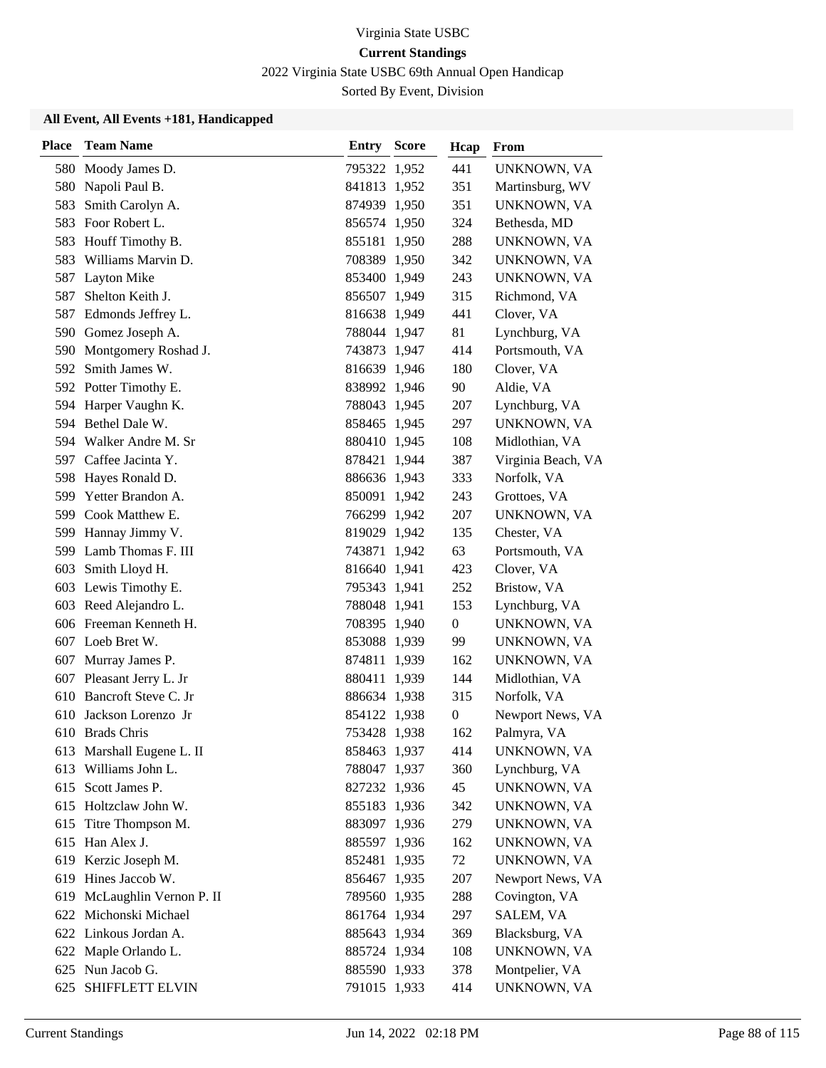2022 Virginia State USBC 69th Annual Open Handicap

Sorted By Event, Division

| <b>Place</b> | <b>Team Name</b>          | <b>Entry Score</b> | Hcap             | From               |
|--------------|---------------------------|--------------------|------------------|--------------------|
|              | 580 Moody James D.        | 795322 1,952       | 441              | UNKNOWN, VA        |
| 580          | Napoli Paul B.            | 841813 1,952       | 351              | Martinsburg, WV    |
| 583          | Smith Carolyn A.          | 874939 1,950       | 351              | UNKNOWN, VA        |
| 583          | Foor Robert L.            | 856574 1,950       | 324              | Bethesda, MD       |
| 583          | Houff Timothy B.          | 855181 1,950       | 288              | UNKNOWN, VA        |
| 583          | Williams Marvin D.        | 708389 1,950       | 342              | UNKNOWN, VA        |
| 587          | Layton Mike               | 853400 1,949       | 243              | UNKNOWN, VA        |
| 587          | Shelton Keith J.          | 856507 1,949       | 315              | Richmond, VA       |
| 587          | Edmonds Jeffrey L.        | 816638 1,949       | 441              | Clover, VA         |
|              | 590 Gomez Joseph A.       | 788044 1,947       | 81               | Lynchburg, VA      |
| 590          | Montgomery Roshad J.      | 743873 1,947       | 414              | Portsmouth, VA     |
| 592          | Smith James W.            | 816639 1,946       | 180              | Clover, VA         |
|              | 592 Potter Timothy E.     | 838992 1,946       | 90               | Aldie, VA          |
| 594          | Harper Vaughn K.          | 788043 1,945       | 207              | Lynchburg, VA      |
| 594          | Bethel Dale W.            | 858465 1,945       | 297              | UNKNOWN, VA        |
|              | 594 Walker Andre M. Sr    | 880410 1,945       | 108              | Midlothian, VA     |
|              | 597 Caffee Jacinta Y.     | 878421 1,944       | 387              | Virginia Beach, VA |
| 598          | Hayes Ronald D.           | 886636 1,943       | 333              | Norfolk, VA        |
| 599          | Yetter Brandon A.         | 850091 1,942       | 243              | Grottoes, VA       |
|              | 599 Cook Matthew E.       | 766299 1,942       | 207              | UNKNOWN, VA        |
| 599          | Hannay Jimmy V.           | 819029 1,942       | 135              | Chester, VA        |
| 599          | Lamb Thomas F. III        | 743871 1,942       | 63               | Portsmouth, VA     |
| 603          | Smith Lloyd H.            | 816640 1,941       | 423              | Clover, VA         |
|              | 603 Lewis Timothy E.      | 795343 1,941       | 252              | Bristow, VA        |
|              | 603 Reed Alejandro L.     | 788048 1,941       | 153              | Lynchburg, VA      |
|              | 606 Freeman Kenneth H.    | 708395 1,940       | $\overline{0}$   | UNKNOWN, VA        |
|              | 607 Loeb Bret W.          | 853088 1,939       | 99               | UNKNOWN, VA        |
|              | 607 Murray James P.       | 874811 1,939       | 162              | UNKNOWN, VA        |
|              | 607 Pleasant Jerry L. Jr  | 880411 1,939       | 144              | Midlothian, VA     |
|              | 610 Bancroft Steve C. Jr  | 886634 1,938       | 315              | Norfolk, VA        |
| 610          | Jackson Lorenzo Jr        | 854122 1,938       | $\boldsymbol{0}$ | Newport News, VA   |
|              | 610 Brads Chris           | 753428 1,938       | 162              | Palmyra, VA        |
|              | 613 Marshall Eugene L. II | 858463 1,937       | 414              | UNKNOWN, VA        |
| 613          | Williams John L.          | 788047 1,937       | 360              | Lynchburg, VA      |
| 615          | Scott James P.            | 827232 1,936       | 45               | UNKNOWN, VA        |
|              | 615 Holtzclaw John W.     | 855183 1,936       | 342              | UNKNOWN, VA        |
|              | 615 Titre Thompson M.     | 883097 1,936       | 279              | UNKNOWN, VA        |
|              | 615 Han Alex J.           | 885597 1,936       | 162              | UNKNOWN, VA        |
| 619          | Kerzic Joseph M.          | 852481 1,935       | 72               | UNKNOWN, VA        |
|              | 619 Hines Jaccob W.       | 856467 1,935       | 207              | Newport News, VA   |
| 619          | McLaughlin Vernon P. II   | 789560 1,935       | 288              | Covington, VA      |
| 622          | Michonski Michael         | 861764 1,934       | 297              | SALEM, VA          |
|              | 622 Linkous Jordan A.     | 885643 1,934       | 369              | Blacksburg, VA     |
|              | 622 Maple Orlando L.      | 885724 1,934       | 108              | UNKNOWN, VA        |
|              | 625 Nun Jacob G.          | 885590 1,933       | 378              | Montpelier, VA     |
| 625          | SHIFFLETT ELVIN           | 791015 1,933       | 414              | UNKNOWN, VA        |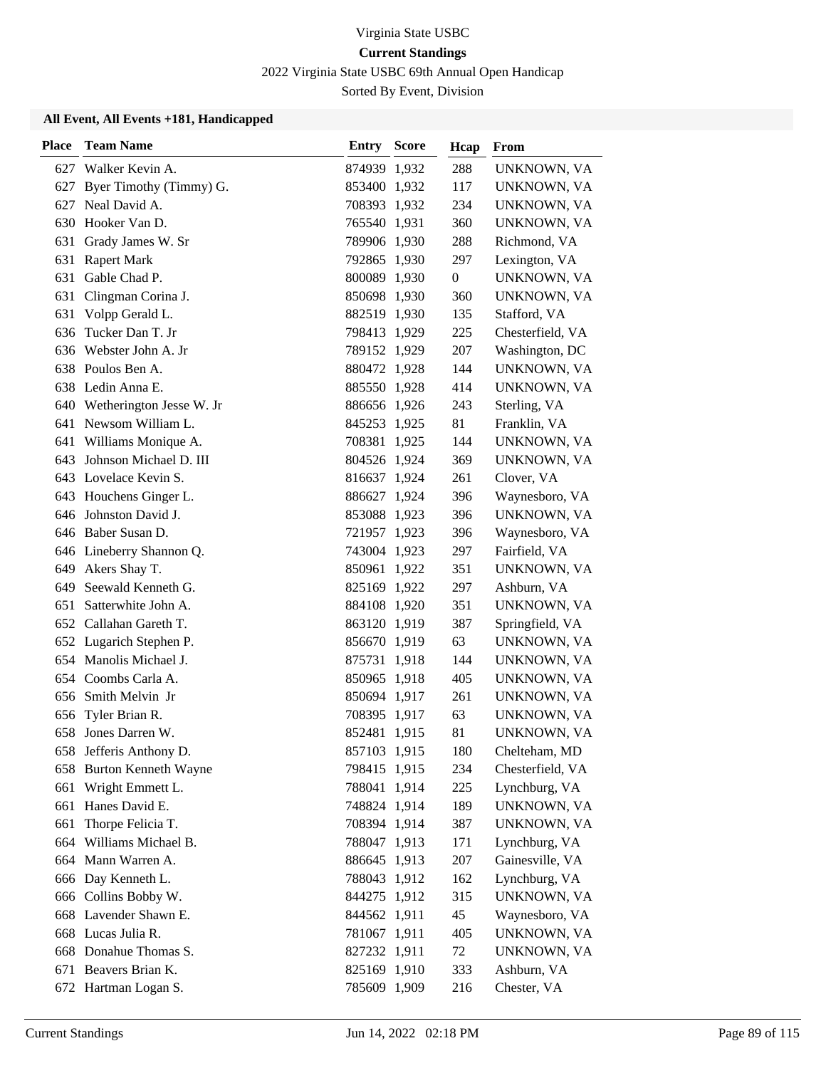2022 Virginia State USBC 69th Annual Open Handicap

Sorted By Event, Division

| <b>Place</b> | <b>Team Name</b>             | <b>Entry Score</b> | Hcap           | From             |
|--------------|------------------------------|--------------------|----------------|------------------|
|              | 627 Walker Kevin A.          | 874939 1,932       | 288            | UNKNOWN, VA      |
| 627          | Byer Timothy (Timmy) G.      | 853400 1,932       | 117            | UNKNOWN, VA      |
| 627          | Neal David A.                | 708393 1,932       | 234            | UNKNOWN, VA      |
|              | 630 Hooker Van D.            | 765540 1,931       | 360            | UNKNOWN, VA      |
| 631          | Grady James W. Sr            | 789906 1,930       | 288            | Richmond, VA     |
| 631          | <b>Rapert Mark</b>           | 792865 1,930       | 297            | Lexington, VA    |
| 631          | Gable Chad P.                | 800089 1,930       | $\overline{0}$ | UNKNOWN, VA      |
|              | 631 Clingman Corina J.       | 850698 1,930       | 360            | UNKNOWN, VA      |
| 631          | Volpp Gerald L.              | 882519 1,930       | 135            | Stafford, VA     |
| 636          | Tucker Dan T. Jr             | 798413 1,929       | 225            | Chesterfield, VA |
| 636          | Webster John A. Jr           | 789152 1,929       | 207            | Washington, DC   |
|              | 638 Poulos Ben A.            | 880472 1,928       | 144            | UNKNOWN, VA      |
|              | 638 Ledin Anna E.            | 885550 1,928       | 414            | UNKNOWN, VA      |
|              | 640 Wetherington Jesse W. Jr | 886656 1,926       | 243            | Sterling, VA     |
|              | 641 Newsom William L.        | 845253 1,925       | 81             | Franklin, VA     |
|              | 641 Williams Monique A.      | 708381 1,925       | 144            | UNKNOWN, VA      |
| 643          | Johnson Michael D. III       | 804526 1,924       | 369            | UNKNOWN, VA      |
|              | 643 Lovelace Kevin S.        | 816637 1,924       | 261            | Clover, VA       |
|              | 643 Houchens Ginger L.       | 886627 1,924       | 396            | Waynesboro, VA   |
|              | 646 Johnston David J.        | 853088 1,923       | 396            | UNKNOWN, VA      |
|              | 646 Baber Susan D.           | 721957 1,923       | 396            | Waynesboro, VA   |
|              | 646 Lineberry Shannon Q.     | 743004 1,923       | 297            | Fairfield, VA    |
| 649          | Akers Shay T.                | 850961 1,922       | 351            | UNKNOWN, VA      |
| 649          | Seewald Kenneth G.           | 825169 1,922       | 297            | Ashburn, VA      |
| 651          | Satterwhite John A.          | 884108 1,920       | 351            | UNKNOWN, VA      |
| 652          | Callahan Gareth T.           | 863120 1,919       | 387            | Springfield, VA  |
|              | 652 Lugarich Stephen P.      | 856670 1,919       | 63             | UNKNOWN, VA      |
|              | 654 Manolis Michael J.       | 875731 1,918       | 144            | UNKNOWN, VA      |
|              | 654 Coombs Carla A.          | 850965 1,918       | 405            | UNKNOWN, VA      |
| 656          | Smith Melvin Jr              | 850694 1,917       | 261            | UNKNOWN, VA      |
| 656          | Tyler Brian R.               | 708395 1,917       | 63             | UNKNOWN, VA      |
| 658          | Jones Darren W.              | 852481 1,915       | 81             | UNKNOWN, VA      |
|              | 658 Jefferis Anthony D.      | 857103 1,915       | 180            | Chelteham, MD    |
|              | 658 Burton Kenneth Wayne     | 798415 1,915       | 234            | Chesterfield, VA |
| 661          | Wright Emmett L.             | 788041 1,914       | 225            | Lynchburg, VA    |
| 661          | Hanes David E.               | 748824 1,914       | 189            | UNKNOWN, VA      |
| 661          | Thorpe Felicia T.            | 708394 1,914       | 387            | UNKNOWN, VA      |
| 664          | Williams Michael B.          | 788047 1,913       | 171            | Lynchburg, VA    |
|              | 664 Mann Warren A.           | 886645 1,913       | 207            | Gainesville, VA  |
|              | 666 Day Kenneth L.           | 788043 1,912       | 162            | Lynchburg, VA    |
| 666          | Collins Bobby W.             | 844275 1,912       | 315            | UNKNOWN, VA      |
|              | 668 Lavender Shawn E.        | 844562 1,911       | 45             | Waynesboro, VA   |
|              | 668 Lucas Julia R.           | 781067 1,911       | 405            | UNKNOWN, VA      |
|              | 668 Donahue Thomas S.        | 827232 1,911       | 72             | UNKNOWN, VA      |
|              | 671 Beavers Brian K.         | 825169 1,910       | 333            | Ashburn, VA      |
|              | 672 Hartman Logan S.         | 785609 1,909       | 216            | Chester, VA      |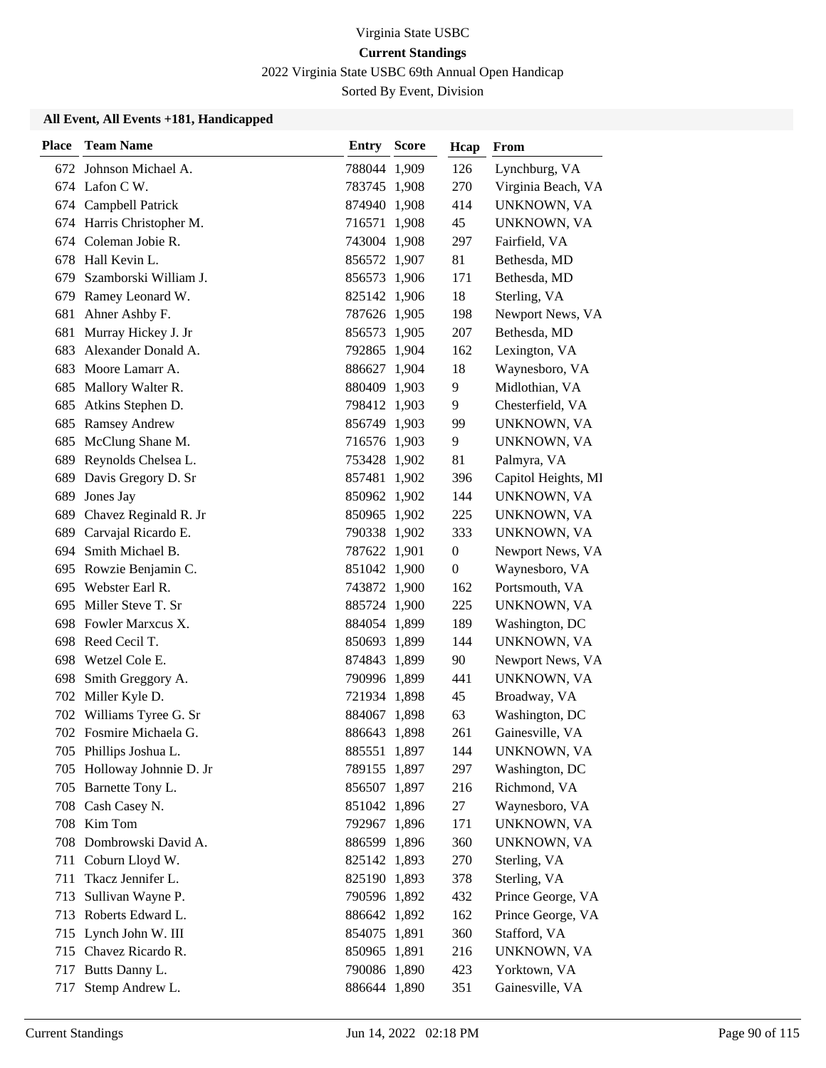2022 Virginia State USBC 69th Annual Open Handicap

Sorted By Event, Division

| <b>Place</b> | <b>Team Name</b>           | Entry        | <b>Score</b> | Hcap             | From                |
|--------------|----------------------------|--------------|--------------|------------------|---------------------|
|              | 672 Johnson Michael A.     | 788044 1,909 |              | 126              | Lynchburg, VA       |
|              | 674 Lafon C W.             | 783745 1,908 |              | 270              | Virginia Beach, VA  |
|              | 674 Campbell Patrick       | 874940 1,908 |              | 414              | UNKNOWN, VA         |
|              | 674 Harris Christopher M.  | 716571 1,908 |              | 45               | UNKNOWN, VA         |
|              | 674 Coleman Jobie R.       | 743004 1,908 |              | 297              | Fairfield, VA       |
| 678          | Hall Kevin L.              | 856572 1,907 |              | 81               | Bethesda, MD        |
| 679          | Szamborski William J.      | 856573 1,906 |              | 171              | Bethesda, MD        |
|              | 679 Ramey Leonard W.       | 825142 1,906 |              | 18               | Sterling, VA        |
| 681          | Ahner Ashby F.             | 787626 1,905 |              | 198              | Newport News, VA    |
| 681          | Murray Hickey J. Jr        | 856573 1,905 |              | 207              | Bethesda, MD        |
| 683          | Alexander Donald A.        | 792865 1,904 |              | 162              | Lexington, VA       |
| 683          | Moore Lamarr A.            | 886627 1,904 |              | 18               | Waynesboro, VA      |
| 685          | Mallory Walter R.          | 880409 1,903 |              | 9                | Midlothian, VA      |
| 685          | Atkins Stephen D.          | 798412 1,903 |              | 9                | Chesterfield, VA    |
| 685          | <b>Ramsey Andrew</b>       | 856749 1,903 |              | 99               | UNKNOWN, VA         |
|              | 685 McClung Shane M.       | 716576 1,903 |              | 9                | UNKNOWN, VA         |
| 689          | Reynolds Chelsea L.        | 753428 1,902 |              | 81               | Palmyra, VA         |
| 689          | Davis Gregory D. Sr        | 857481 1,902 |              | 396              | Capitol Heights, MI |
| 689          | Jones Jay                  | 850962 1,902 |              | 144              | UNKNOWN, VA         |
|              | 689 Chavez Reginald R. Jr  | 850965 1,902 |              | 225              | UNKNOWN, VA         |
|              | 689 Carvajal Ricardo E.    | 790338 1,902 |              | 333              | UNKNOWN, VA         |
| 694          | Smith Michael B.           | 787622 1,901 |              | $\theta$         | Newport News, VA    |
| 695          | Rowzie Benjamin C.         | 851042 1,900 |              | $\boldsymbol{0}$ | Waynesboro, VA      |
|              | 695 Webster Earl R.        | 743872 1,900 |              | 162              | Portsmouth, VA      |
| 695          | Miller Steve T. Sr         | 885724 1,900 |              | 225              | UNKNOWN, VA         |
| 698          | Fowler Marxcus X.          | 884054 1,899 |              | 189              | Washington, DC      |
|              | 698 Reed Cecil T.          | 850693 1,899 |              | 144              | UNKNOWN, VA         |
| 698          | Wetzel Cole E.             | 874843 1,899 |              | 90               | Newport News, VA    |
| 698          | Smith Greggory A.          | 790996 1,899 |              | 441              | UNKNOWN, VA         |
| 702          | Miller Kyle D.             | 721934 1,898 |              | 45               | Broadway, VA        |
|              | 702 Williams Tyree G. Sr   | 884067 1,898 |              | 63               | Washington, DC      |
|              | 702 Fosmire Michaela G.    | 886643 1,898 |              | 261              | Gainesville, VA     |
|              | 705 Phillips Joshua L.     | 885551 1,897 |              | 144              | UNKNOWN, VA         |
|              | 705 Holloway Johnnie D. Jr | 789155 1,897 |              | 297              | Washington, DC      |
|              | 705 Barnette Tony L.       | 856507 1,897 |              | 216              | Richmond, VA        |
|              | 708 Cash Casey N.          | 851042 1,896 |              | 27               | Waynesboro, VA      |
|              | 708 Kim Tom                | 792967 1,896 |              | 171              | UNKNOWN, VA         |
|              | 708 Dombrowski David A.    | 886599 1,896 |              | 360              | UNKNOWN, VA         |
|              | 711 Coburn Lloyd W.        | 825142 1,893 |              | 270              | Sterling, VA        |
| 711          | Tkacz Jennifer L.          | 825190 1,893 |              | 378              | Sterling, VA        |
| 713          | Sullivan Wayne P.          | 790596 1,892 |              | 432              | Prince George, VA   |
|              | 713 Roberts Edward L.      | 886642 1,892 |              | 162              | Prince George, VA   |
|              | 715 Lynch John W. III      | 854075 1,891 |              | 360              | Stafford, VA        |
|              | 715 Chavez Ricardo R.      | 850965 1,891 |              | 216              | UNKNOWN, VA         |
|              | 717 Butts Danny L.         | 790086 1,890 |              | 423              | Yorktown, VA        |
| 717          | Stemp Andrew L.            | 886644 1,890 |              | 351              | Gainesville, VA     |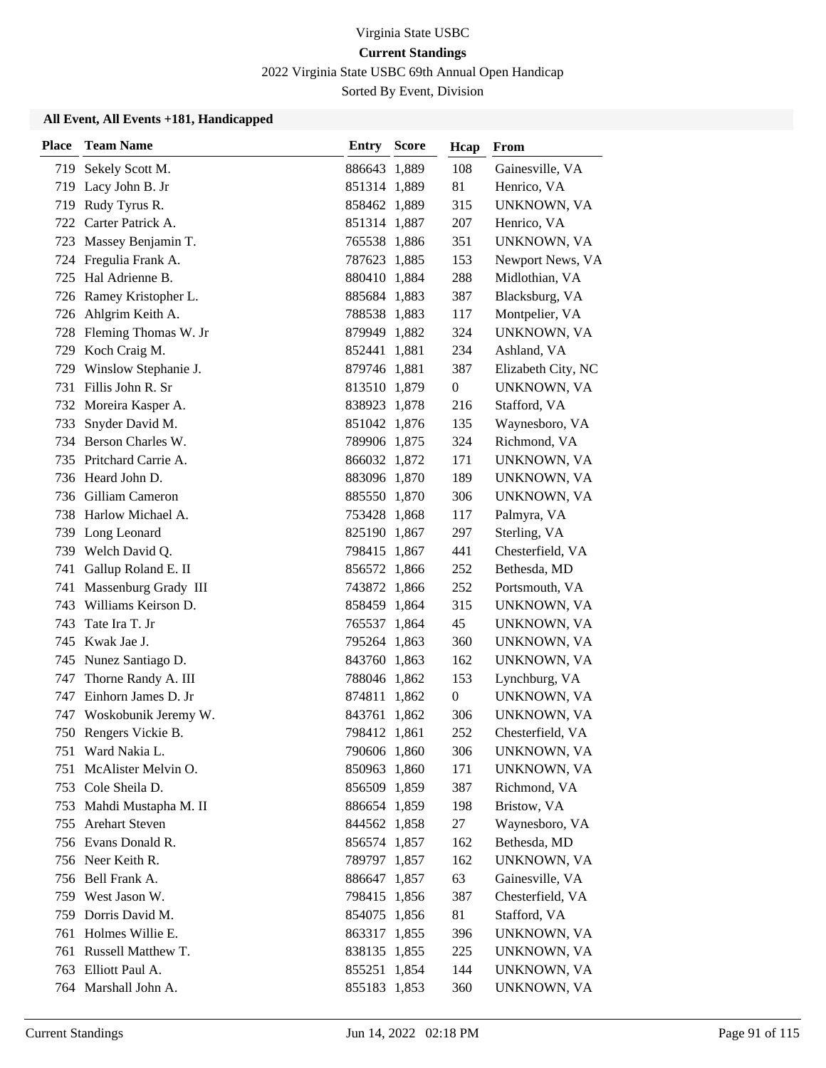2022 Virginia State USBC 69th Annual Open Handicap

Sorted By Event, Division

| <b>Place</b> | <b>Team Name</b>         | <b>Entry Score</b> | Hcap             | From               |
|--------------|--------------------------|--------------------|------------------|--------------------|
| 719          | Sekely Scott M.          | 886643 1,889       | 108              | Gainesville, VA    |
| 719          | Lacy John B. Jr          | 851314 1,889       | 81               | Henrico, VA        |
|              | 719 Rudy Tyrus R.        | 858462 1,889       | 315              | UNKNOWN, VA        |
|              | 722 Carter Patrick A.    | 851314 1,887       | 207              | Henrico, VA        |
| 723          | Massey Benjamin T.       | 765538 1,886       | 351              | UNKNOWN, VA        |
| 724          | Fregulia Frank A.        | 787623 1,885       | 153              | Newport News, VA   |
| 725          | Hal Adrienne B.          | 880410 1,884       | 288              | Midlothian, VA     |
|              | 726 Ramey Kristopher L.  | 885684 1,883       | 387              | Blacksburg, VA     |
|              | 726 Ahlgrim Keith A.     | 788538 1,883       | 117              | Montpelier, VA     |
|              | 728 Fleming Thomas W. Jr | 879949 1,882       | 324              | UNKNOWN, VA        |
|              | 729 Koch Craig M.        | 852441 1,881       | 234              | Ashland, VA        |
|              | 729 Winslow Stephanie J. | 879746 1,881       | 387              | Elizabeth City, NC |
| 731          | Fillis John R. Sr        | 813510 1,879       | $\overline{0}$   | UNKNOWN, VA        |
| 732          | Moreira Kasper A.        | 838923 1,878       | 216              | Stafford, VA       |
| 733          | Snyder David M.          | 851042 1,876       | 135              | Waynesboro, VA     |
|              | 734 Berson Charles W.    | 789906 1,875       | 324              | Richmond, VA       |
| 735          | Pritchard Carrie A.      | 866032 1,872       | 171              | UNKNOWN, VA        |
|              | 736 Heard John D.        | 883096 1,870       | 189              | UNKNOWN, VA        |
| 736          | Gilliam Cameron          | 885550 1,870       | 306              | UNKNOWN, VA        |
|              | 738 Harlow Michael A.    | 753428 1,868       | 117              | Palmyra, VA        |
|              | 739 Long Leonard         | 825190 1,867       | 297              | Sterling, VA       |
|              | 739 Welch David Q.       | 798415 1,867       | 441              | Chesterfield, VA   |
| 741          | Gallup Roland E. II      | 856572 1,866       | 252              | Bethesda, MD       |
|              | 741 Massenburg Grady III | 743872 1,866       | 252              | Portsmouth, VA     |
| 743          | Williams Keirson D.      | 858459 1,864       | 315              | UNKNOWN, VA        |
| 743          | Tate Ira T. Jr           | 765537 1,864       | 45               | UNKNOWN, VA        |
|              | 745 Kwak Jae J.          | 795264 1,863       | 360              | UNKNOWN, VA        |
|              | 745 Nunez Santiago D.    | 843760 1,863       | 162              | UNKNOWN, VA        |
| 747          | Thorne Randy A. III      | 788046 1,862       | 153              | Lynchburg, VA      |
| 747          | Einhorn James D. Jr      | 874811 1,862       | $\boldsymbol{0}$ | UNKNOWN, VA        |
| 747          | Woskobunik Jeremy W.     | 843761 1,862       | 306              | UNKNOWN, VA        |
|              | 750 Rengers Vickie B.    | 798412 1,861       | 252              | Chesterfield, VA   |
|              | 751 Ward Nakia L.        | 790606 1,860       | 306              | UNKNOWN, VA        |
| 751          | McAlister Melvin O.      | 850963 1,860       | 171              | UNKNOWN, VA        |
|              | 753 Cole Sheila D.       | 856509 1,859       | 387              | Richmond, VA       |
|              | 753 Mahdi Mustapha M. II | 886654 1,859       | 198              | Bristow, VA        |
|              | 755 Arehart Steven       | 844562 1,858       | 27               | Waynesboro, VA     |
|              | 756 Evans Donald R.      | 856574 1,857       | 162              | Bethesda, MD       |
|              | 756 Neer Keith R.        | 789797 1,857       | 162              | UNKNOWN, VA        |
|              | 756 Bell Frank A.        | 886647 1,857       | 63               | Gainesville, VA    |
|              | 759 West Jason W.        | 798415 1,856       | 387              | Chesterfield, VA   |
|              | 759 Dorris David M.      | 854075 1,856       | 81               | Stafford, VA       |
|              | 761 Holmes Willie E.     | 863317 1,855       | 396              | UNKNOWN, VA        |
|              | 761 Russell Matthew T.   | 838135 1,855       | 225              | UNKNOWN, VA        |
|              | 763 Elliott Paul A.      | 855251 1,854       | 144              | UNKNOWN, VA        |
|              | 764 Marshall John A.     | 855183 1,853       | 360              | UNKNOWN, VA        |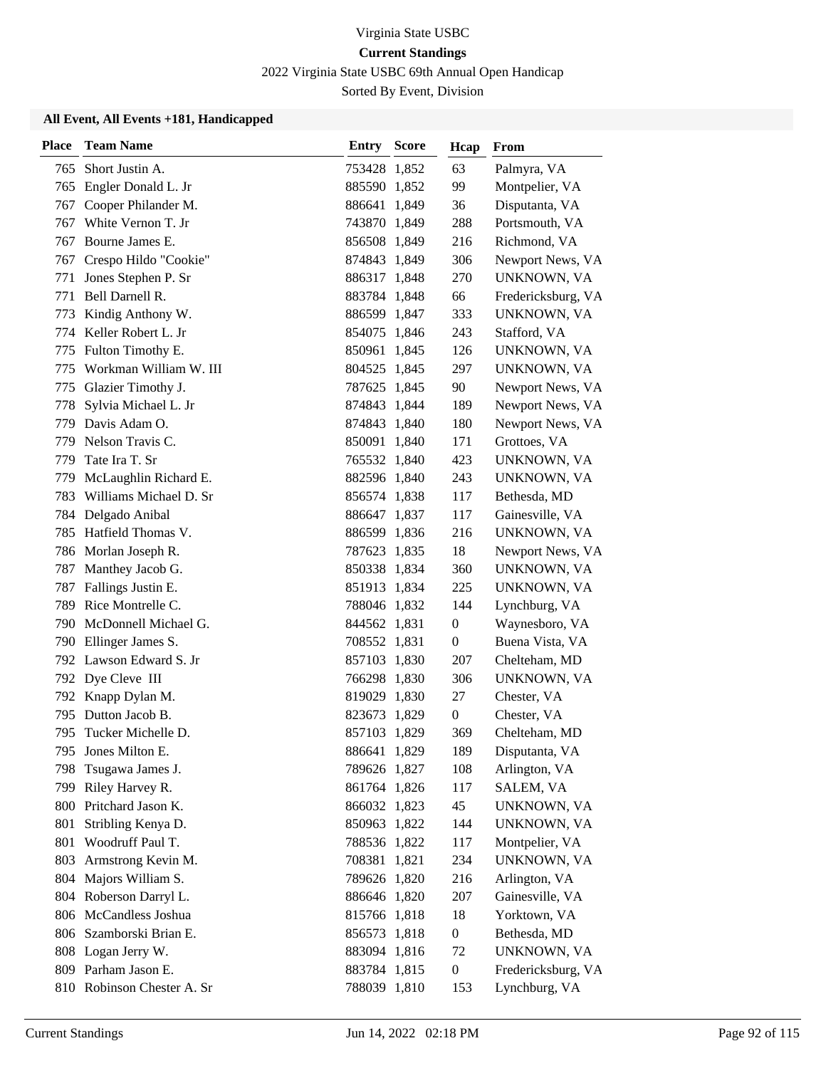2022 Virginia State USBC 69th Annual Open Handicap

Sorted By Event, Division

| <b>Place</b> | <b>Team Name</b>           | Entry        | <b>Score</b> | Hcap             | From               |
|--------------|----------------------------|--------------|--------------|------------------|--------------------|
| 765          | Short Justin A.            | 753428 1,852 |              | 63               | Palmyra, VA        |
|              | 765 Engler Donald L. Jr    | 885590 1,852 |              | 99               | Montpelier, VA     |
| 767          | Cooper Philander M.        | 886641 1,849 |              | 36               | Disputanta, VA     |
| 767          | White Vernon T. Jr         | 743870 1,849 |              | 288              | Portsmouth, VA     |
| 767          | Bourne James E.            | 856508 1,849 |              | 216              | Richmond, VA       |
| 767          | Crespo Hildo "Cookie"      | 874843 1,849 |              | 306              | Newport News, VA   |
| 771          | Jones Stephen P. Sr        | 886317 1,848 |              | 270              | UNKNOWN, VA        |
| 771          | Bell Darnell R.            | 883784 1,848 |              | 66               | Fredericksburg, VA |
| 773          | Kindig Anthony W.          | 886599 1,847 |              | 333              | UNKNOWN, VA        |
|              | 774 Keller Robert L. Jr    | 854075 1,846 |              | 243              | Stafford, VA       |
| 775          | Fulton Timothy E.          | 850961 1,845 |              | 126              | UNKNOWN, VA        |
| 775          | Workman William W. III     | 804525 1,845 |              | 297              | UNKNOWN, VA        |
| 775          | Glazier Timothy J.         | 787625 1,845 |              | 90               | Newport News, VA   |
| 778          | Sylvia Michael L. Jr       | 874843 1,844 |              | 189              | Newport News, VA   |
| 779          | Davis Adam O.              | 874843 1,840 |              | 180              | Newport News, VA   |
| 779          | Nelson Travis C.           | 850091 1,840 |              | 171              | Grottoes, VA       |
| 779          | Tate Ira T. Sr             | 765532 1,840 |              | 423              | UNKNOWN, VA        |
| 779          | McLaughlin Richard E.      | 882596 1,840 |              | 243              | UNKNOWN, VA        |
| 783          | Williams Michael D. Sr     | 856574 1,838 |              | 117              | Bethesda, MD       |
| 784          | Delgado Anibal             | 886647 1,837 |              | 117              | Gainesville, VA    |
| 785          | Hatfield Thomas V.         | 886599 1,836 |              | 216              | UNKNOWN, VA        |
|              | 786 Morlan Joseph R.       | 787623 1,835 |              | 18               | Newport News, VA   |
| 787          | Manthey Jacob G.           | 850338 1,834 |              | 360              | UNKNOWN, VA        |
|              | 787 Fallings Justin E.     | 851913 1,834 |              | 225              | UNKNOWN, VA        |
| 789          | Rice Montrelle C.          | 788046 1,832 |              | 144              | Lynchburg, VA      |
| 790          | McDonnell Michael G.       | 844562 1,831 |              | $\boldsymbol{0}$ | Waynesboro, VA     |
| 790          | Ellinger James S.          | 708552 1,831 |              | $\boldsymbol{0}$ | Buena Vista, VA    |
|              | 792 Lawson Edward S. Jr    | 857103 1,830 |              | 207              | Chelteham, MD      |
|              | 792 Dye Cleve III          | 766298 1,830 |              | 306              | UNKNOWN, VA        |
| 792          | Knapp Dylan M.             | 819029 1,830 |              | 27               | Chester, VA        |
| 795          | Dutton Jacob B.            | 823673 1,829 |              | 0                | Chester, VA        |
|              | 795 Tucker Michelle D.     | 857103 1,829 |              | 369              | Chelteham, MD      |
| 795.         | Jones Milton E.            | 886641 1,829 |              | 189              | Disputanta, VA     |
| 798          | Tsugawa James J.           | 789626 1,827 |              | 108              | Arlington, VA      |
| 799          | Riley Harvey R.            | 861764 1,826 |              | 117              | SALEM, VA          |
|              | 800 Pritchard Jason K.     | 866032 1,823 |              | 45               | UNKNOWN, VA        |
| 801          | Stribling Kenya D.         | 850963 1,822 |              | 144              | UNKNOWN, VA        |
| 801          | Woodruff Paul T.           | 788536 1,822 |              | 117              | Montpelier, VA     |
| 803          | Armstrong Kevin M.         | 708381 1,821 |              | 234              | UNKNOWN, VA        |
|              | 804 Majors William S.      | 789626 1,820 |              | 216              | Arlington, VA      |
|              | 804 Roberson Darryl L.     | 886646 1,820 |              | 207              | Gainesville, VA    |
|              | 806 McCandless Joshua      | 815766 1,818 |              | 18               | Yorktown, VA       |
|              | 806 Szamborski Brian E.    | 856573 1,818 |              | $\boldsymbol{0}$ | Bethesda, MD       |
|              | 808 Logan Jerry W.         | 883094 1,816 |              | 72               | UNKNOWN, VA        |
|              | 809 Parham Jason E.        | 883784 1,815 |              | $\boldsymbol{0}$ | Fredericksburg, VA |
|              | 810 Robinson Chester A. Sr | 788039 1,810 |              | 153              | Lynchburg, VA      |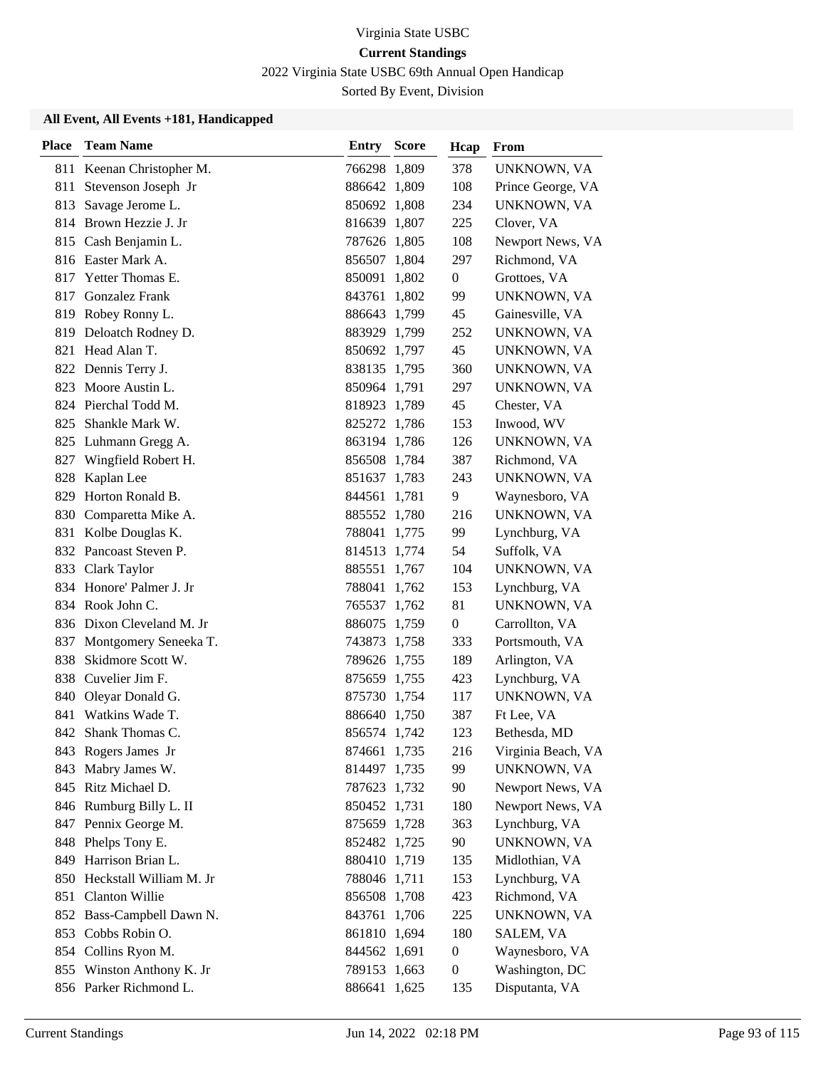2022 Virginia State USBC 69th Annual Open Handicap

Sorted By Event, Division

| Place | <b>Team Name</b>          | <b>Entry Score</b> | Hcap             | From               |
|-------|---------------------------|--------------------|------------------|--------------------|
|       | 811 Keenan Christopher M. | 766298 1,809       | 378              | UNKNOWN, VA        |
| 811   | Stevenson Joseph Jr       | 886642 1,809       | 108              | Prince George, VA  |
| 813   | Savage Jerome L.          | 850692 1,808       | 234              | UNKNOWN, VA        |
|       | 814 Brown Hezzie J. Jr    | 816639 1,807       | 225              | Clover, VA         |
|       | 815 Cash Benjamin L.      | 787626 1,805       | 108              | Newport News, VA   |
|       | 816 Easter Mark A.        | 856507 1,804       | 297              | Richmond, VA       |
| 817   | Yetter Thomas E.          | 850091 1,802       | $\mathbf{0}$     | Grottoes, VA       |
| 817   | Gonzalez Frank            | 843761 1,802       | 99               | UNKNOWN, VA        |
|       | 819 Robey Ronny L.        | 886643 1,799       | 45               | Gainesville, VA    |
|       | 819 Deloatch Rodney D.    | 883929 1,799       | 252              | UNKNOWN, VA        |
|       | 821 Head Alan T.          | 850692 1,797       | 45               | UNKNOWN, VA        |
|       | 822 Dennis Terry J.       | 838135 1,795       | 360              | UNKNOWN, VA        |
|       | 823 Moore Austin L.       | 850964 1,791       | 297              | UNKNOWN, VA        |
|       | 824 Pierchal Todd M.      | 818923 1,789       | 45               | Chester, VA        |
| 825   | Shankle Mark W.           | 825272 1,786       | 153              | Inwood, WV         |
|       | 825 Luhmann Gregg A.      | 863194 1,786       | 126              | UNKNOWN, VA        |
|       | 827 Wingfield Robert H.   | 856508 1,784       | 387              | Richmond, VA       |
| 828   | Kaplan Lee                | 851637 1,783       | 243              | UNKNOWN, VA        |
| 829   | Horton Ronald B.          | 844561 1,781       | 9                | Waynesboro, VA     |
|       | 830 Comparetta Mike A.    | 885552 1,780       | 216              | UNKNOWN, VA        |
|       | 831 Kolbe Douglas K.      | 788041 1,775       | 99               | Lynchburg, VA      |
|       | 832 Pancoast Steven P.    | 814513 1,774       | 54               | Suffolk, VA        |
| 833   | Clark Taylor              | 885551 1,767       | 104              | UNKNOWN, VA        |
|       | 834 Honore' Palmer J. Jr  | 788041 1,762       | 153              | Lynchburg, VA      |
|       | 834 Rook John C.          | 765537 1,762       | 81               | UNKNOWN, VA        |
|       | 836 Dixon Cleveland M. Jr | 886075 1,759       | $\overline{0}$   | Carrollton, VA     |
| 837   | Montgomery Seneeka T.     | 743873 1,758       | 333              | Portsmouth, VA     |
| 838   | Skidmore Scott W.         | 789626 1,755       | 189              | Arlington, VA      |
| 838   | Cuvelier Jim F.           | 875659 1,755       | 423              | Lynchburg, VA      |
| 840   | Oleyar Donald G.          | 875730 1,754       | 117              | UNKNOWN, VA        |
| 841   | Watkins Wade T.           | 886640 1,750       | 387              | Ft Lee, VA         |
|       | 842 Shank Thomas C.       | 856574 1,742       | 123              | Bethesda, MD       |
|       | 843 Rogers James Jr       | 874661 1,735       | 216              | Virginia Beach, VA |
| 843   | Mabry James W.            | 814497 1,735       | 99               | UNKNOWN, VA        |
|       | 845 Ritz Michael D.       | 787623 1,732       | 90               | Newport News, VA   |
|       | 846 Rumburg Billy L. II   | 850452 1,731       | 180              | Newport News, VA   |
|       | 847 Pennix George M.      | 875659 1,728       | 363              | Lynchburg, VA      |
|       | 848 Phelps Tony E.        | 852482 1,725       | 90               | UNKNOWN, VA        |
| 849   | Harrison Brian L.         | 880410 1,719       | 135              | Midlothian, VA     |
| 850   | Heckstall William M. Jr   | 788046 1,711       | 153              | Lynchburg, VA      |
| 851   | Clanton Willie            | 856508 1,708       | 423              | Richmond, VA       |
|       | 852 Bass-Campbell Dawn N. | 843761 1,706       | 225              | UNKNOWN, VA        |
| 853   | Cobbs Robin O.            | 861810 1,694       | 180              | SALEM, VA          |
|       | 854 Collins Ryon M.       | 844562 1,691       | $\boldsymbol{0}$ | Waynesboro, VA     |
|       | 855 Winston Anthony K. Jr | 789153 1,663       | $\boldsymbol{0}$ | Washington, DC     |
|       | 856 Parker Richmond L.    | 886641 1,625       | 135              | Disputanta, VA     |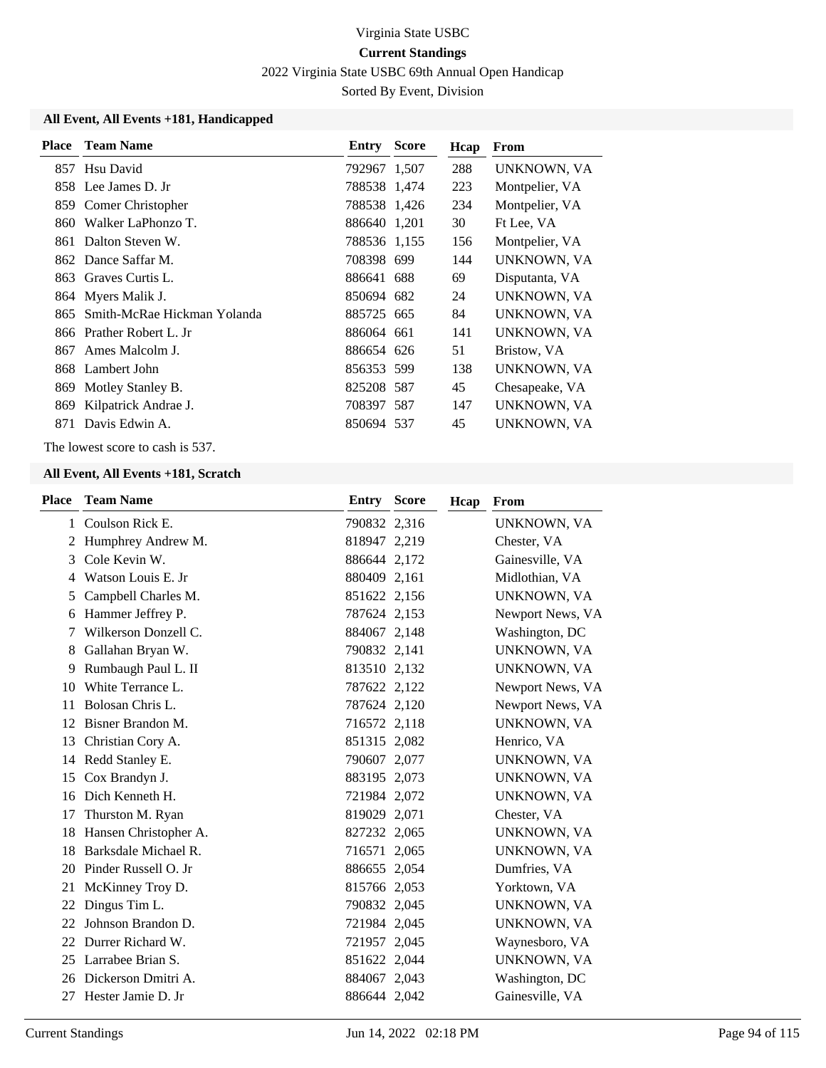2022 Virginia State USBC 69th Annual Open Handicap

Sorted By Event, Division

### **All Event, All Events +181, Handicapped**

| <b>Place</b> | <b>Team Name</b>            | Entry        | Score | Hcap | From           |
|--------------|-----------------------------|--------------|-------|------|----------------|
| 857          | Hsu David                   | 792967 1,507 |       | 288  | UNKNOWN, VA    |
|              | 858 Lee James D. Jr         | 788538 1,474 |       | 223  | Montpelier, VA |
|              | 859 Comer Christopher       | 788538 1,426 |       | 234  | Montpelier, VA |
| 860          | Walker LaPhonzo T.          | 886640 1,201 |       | 30   | Ft Lee, VA     |
|              | 861 Dalton Steven W.        | 788536 1,155 |       | 156  | Montpelier, VA |
|              | 862 Dance Saffar M.         | 708398 699   |       | 144  | UNKNOWN, VA    |
|              | 863 Graves Curtis L.        | 886641 688   |       | 69   | Disputanta, VA |
|              | 864 Myers Malik J.          | 850694 682   |       | 24   | UNKNOWN, VA    |
| 865          | Smith-McRae Hickman Yolanda | 885725 665   |       | 84   | UNKNOWN, VA    |
|              | 866 Prather Robert L. Jr    | 886064 661   |       | 141  | UNKNOWN, VA    |
| 867          | Ames Malcolm J.             | 886654 626   |       | 51   | Bristow, VA    |
|              | 868 Lambert John            | 856353 599   |       | 138  | UNKNOWN, VA    |
| 869          | Motley Stanley B.           | 825208 587   |       | 45   | Chesapeake, VA |
| 869          | Kilpatrick Andrae J.        | 708397 587   |       | 147  | UNKNOWN, VA    |
| 871          | Davis Edwin A.              | 850694 537   |       | 45   | UNKNOWN, VA    |

The lowest score to cash is 537.

| <b>Place</b> | <b>Team Name</b>      | Entry        | <b>Score</b> | Hcap | From               |
|--------------|-----------------------|--------------|--------------|------|--------------------|
| $\mathbf{1}$ | Coulson Rick E.       | 790832 2,316 |              |      | UNKNOWN, VA        |
| 2            | Humphrey Andrew M.    | 818947 2,219 |              |      | Chester, VA        |
| 3            | Cole Kevin W.         | 886644 2,172 |              |      | Gainesville, VA    |
| 4            | Watson Louis E. Jr.   | 880409 2,161 |              |      | Midlothian, VA     |
| 5            | Campbell Charles M.   | 851622 2,156 |              |      | UNKNOWN, VA        |
| 6            | Hammer Jeffrey P.     | 787624 2,153 |              |      | Newport News, VA   |
|              | Wilkerson Donzell C.  | 884067 2,148 |              |      | Washington, DC     |
| 8            | Gallahan Bryan W.     | 790832 2,141 |              |      | UNKNOWN, VA        |
| 9            | Rumbaugh Paul L. II   | 813510 2,132 |              |      | <b>UNKNOWN, VA</b> |
| 10           | White Terrance L.     | 787622 2,122 |              |      | Newport News, VA   |
| 11           | Bolosan Chris L.      | 787624 2,120 |              |      | Newport News, VA   |
| 12           | Bisner Brandon M.     | 716572 2,118 |              |      | UNKNOWN, VA        |
| 13           | Christian Cory A.     | 851315 2,082 |              |      | Henrico, VA        |
| 14           | Redd Stanley E.       | 790607 2,077 |              |      | UNKNOWN, VA        |
| 15           | Cox Brandyn J.        | 883195 2,073 |              |      | UNKNOWN, VA        |
| 16           | Dich Kenneth H.       | 721984 2,072 |              |      | UNKNOWN, VA        |
| 17           | Thurston M. Ryan      | 819029 2,071 |              |      | Chester, VA        |
| 18           | Hansen Christopher A. | 827232 2,065 |              |      | UNKNOWN, VA        |
| 18           | Barksdale Michael R.  | 716571 2,065 |              |      | UNKNOWN, VA        |
| 20           | Pinder Russell O. Jr  | 886655 2,054 |              |      | Dumfries, VA       |
| 21           | McKinney Troy D.      | 815766 2,053 |              |      | Yorktown, VA       |
| 22           | Dingus Tim L.         | 790832 2,045 |              |      | UNKNOWN, VA        |
| 22           | Johnson Brandon D.    | 721984 2,045 |              |      | UNKNOWN, VA        |
| 22           | Durrer Richard W.     | 721957 2,045 |              |      | Waynesboro, VA     |
| 25           | Larrabee Brian S.     | 851622 2,044 |              |      | UNKNOWN, VA        |
| 26           | Dickerson Dmitri A.   | 884067 2,043 |              |      | Washington, DC     |
| 27           | Hester Jamie D. Jr    | 886644 2,042 |              |      | Gainesville, VA    |
|              |                       |              |              |      |                    |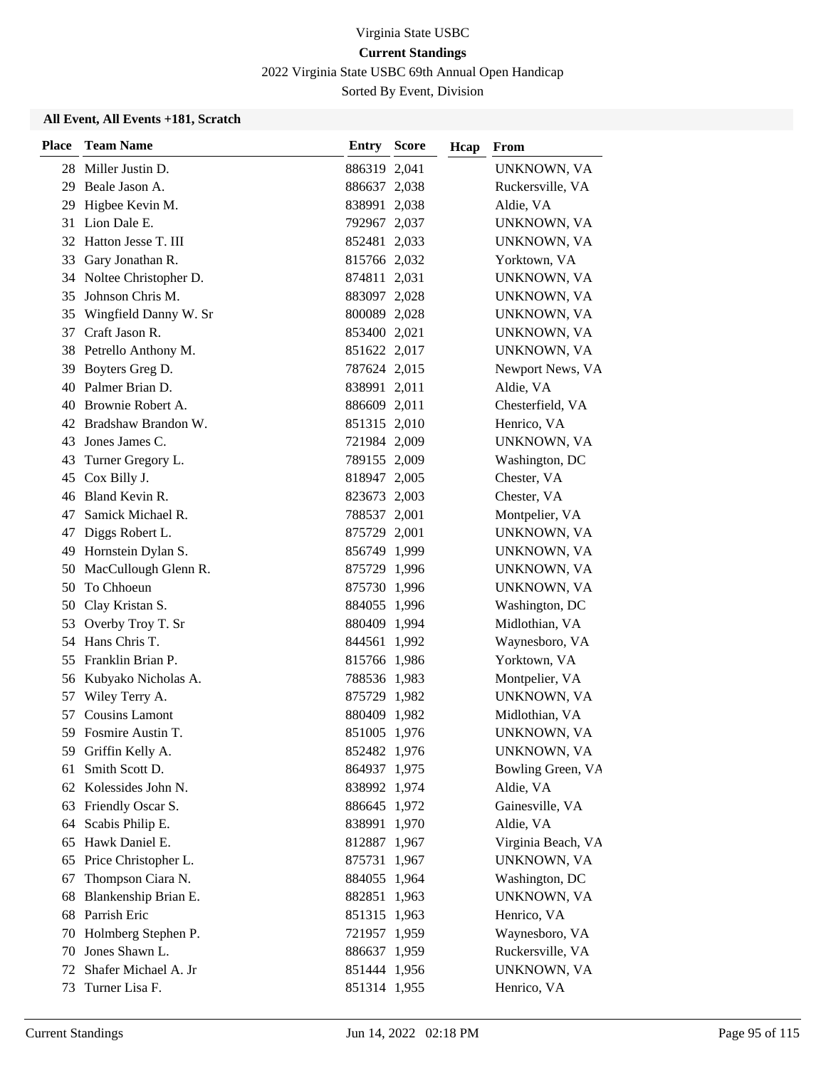2022 Virginia State USBC 69th Annual Open Handicap

Sorted By Event, Division

| <b>Place</b> | <b>Team Name</b>       | Entry        | <b>Score</b> | Hcap | From               |
|--------------|------------------------|--------------|--------------|------|--------------------|
|              | 28 Miller Justin D.    | 886319 2,041 |              |      | UNKNOWN, VA        |
| 29           | Beale Jason A.         | 886637 2,038 |              |      | Ruckersville, VA   |
| 29           | Higbee Kevin M.        | 838991 2,038 |              |      | Aldie, VA          |
| 31           | Lion Dale E.           | 792967 2,037 |              |      | UNKNOWN, VA        |
|              | 32 Hatton Jesse T. III | 852481 2,033 |              |      | UNKNOWN, VA        |
| 33           | Gary Jonathan R.       | 815766 2,032 |              |      | Yorktown, VA       |
| 34           | Noltee Christopher D.  | 874811 2,031 |              |      | UNKNOWN, VA        |
| 35           | Johnson Chris M.       | 883097 2,028 |              |      | UNKNOWN, VA        |
| 35           | Wingfield Danny W. Sr  | 800089 2,028 |              |      | UNKNOWN, VA        |
| 37           | Craft Jason R.         | 853400 2,021 |              |      | UNKNOWN, VA        |
| 38           | Petrello Anthony M.    | 851622 2,017 |              |      | UNKNOWN, VA        |
|              | 39 Boyters Greg D.     | 787624 2,015 |              |      | Newport News, VA   |
|              | 40 Palmer Brian D.     | 838991 2,011 |              |      | Aldie, VA          |
|              | 40 Brownie Robert A.   | 886609 2,011 |              |      | Chesterfield, VA   |
|              | 42 Bradshaw Brandon W. | 851315 2,010 |              |      | Henrico, VA        |
| 43           | Jones James C.         | 721984 2,009 |              |      | UNKNOWN, VA        |
| 43           | Turner Gregory L.      | 789155 2,009 |              |      | Washington, DC     |
| 45           | Cox Billy J.           | 818947 2,005 |              |      | Chester, VA        |
|              | 46 Bland Kevin R.      | 823673 2,003 |              |      | Chester, VA        |
| 47           | Samick Michael R.      | 788537 2,001 |              |      | Montpelier, VA     |
| 47           | Diggs Robert L.        | 875729 2,001 |              |      | UNKNOWN, VA        |
|              | 49 Hornstein Dylan S.  | 856749 1,999 |              |      | UNKNOWN, VA        |
| 50           | MacCullough Glenn R.   | 875729 1,996 |              |      | UNKNOWN, VA        |
| 50           | To Chhoeun             | 875730 1,996 |              |      | UNKNOWN, VA        |
| 50           | Clay Kristan S.        | 884055 1,996 |              |      | Washington, DC     |
| 53           | Overby Troy T. Sr      | 880409 1,994 |              |      | Midlothian, VA     |
| 54           | Hans Chris T.          | 844561 1,992 |              |      | Waynesboro, VA     |
| 55           | Franklin Brian P.      | 815766 1,986 |              |      | Yorktown, VA       |
|              | 56 Kubyako Nicholas A. | 788536 1,983 |              |      | Montpelier, VA     |
| 57           | Wiley Terry A.         | 875729 1,982 |              |      | UNKNOWN, VA        |
| 57           | <b>Cousins Lamont</b>  | 880409 1,982 |              |      | Midlothian, VA     |
|              | 59 Fosmire Austin T.   | 851005 1,976 |              |      | UNKNOWN, VA        |
|              | 59 Griffin Kelly A.    | 852482 1,976 |              |      | UNKNOWN, VA        |
| 61           | Smith Scott D.         | 864937 1,975 |              |      | Bowling Green, VA  |
| 62           | Kolessides John N.     | 838992 1,974 |              |      | Aldie, VA          |
| 63           | Friendly Oscar S.      | 886645 1,972 |              |      | Gainesville, VA    |
| 64           | Scabis Philip E.       | 838991 1,970 |              |      | Aldie, VA          |
| 65           | Hawk Daniel E.         | 812887 1,967 |              |      | Virginia Beach, VA |
| 65           | Price Christopher L.   | 875731       | 1,967        |      | UNKNOWN, VA        |
| 67           | Thompson Ciara N.      | 884055 1,964 |              |      | Washington, DC     |
| 68           | Blankenship Brian E.   | 882851 1,963 |              |      | UNKNOWN, VA        |
| 68           | Parrish Eric           | 851315 1,963 |              |      | Henrico, VA        |
| 70           | Holmberg Stephen P.    | 721957 1,959 |              |      | Waynesboro, VA     |
| 70           | Jones Shawn L.         | 886637 1,959 |              |      | Ruckersville, VA   |
| 72           | Shafer Michael A. Jr   | 851444 1,956 |              |      | UNKNOWN, VA        |
| 73           | Turner Lisa F.         | 851314 1,955 |              |      | Henrico, VA        |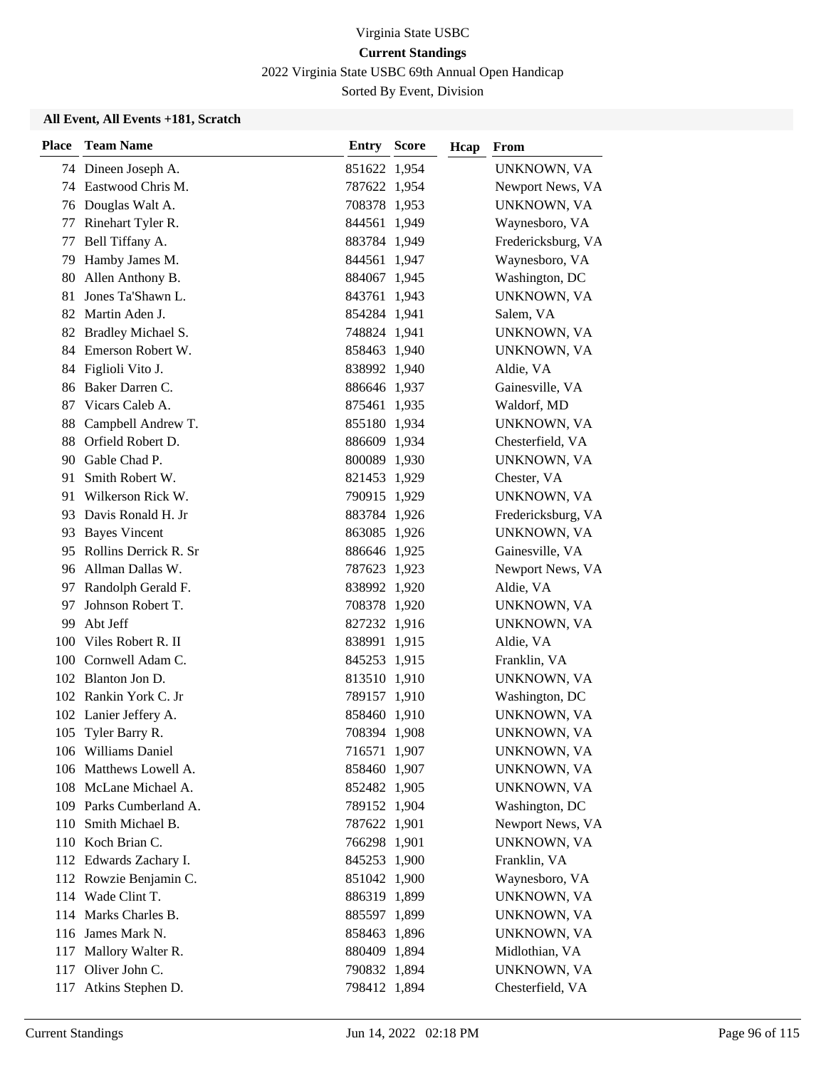2022 Virginia State USBC 69th Annual Open Handicap

Sorted By Event, Division

| <b>Place</b> | <b>Team Name</b>         | Entry        | <b>Score</b> | Hcap | From               |
|--------------|--------------------------|--------------|--------------|------|--------------------|
|              | 74 Dineen Joseph A.      | 851622 1,954 |              |      | UNKNOWN, VA        |
|              | 74 Eastwood Chris M.     | 787622 1,954 |              |      | Newport News, VA   |
|              | 76 Douglas Walt A.       | 708378 1,953 |              |      | UNKNOWN, VA        |
| 77           | Rinehart Tyler R.        | 844561 1,949 |              |      | Waynesboro, VA     |
| 77           | Bell Tiffany A.          | 883784 1,949 |              |      | Fredericksburg, VA |
| 79           | Hamby James M.           | 844561 1,947 |              |      | Waynesboro, VA     |
| 80           | Allen Anthony B.         | 884067 1,945 |              |      | Washington, DC     |
| 81           | Jones Ta'Shawn L.        | 843761 1,943 |              |      | UNKNOWN, VA        |
|              | 82 Martin Aden J.        | 854284 1,941 |              |      | Salem, VA          |
| 82           | Bradley Michael S.       | 748824 1,941 |              |      | UNKNOWN, VA        |
| 84           | Emerson Robert W.        | 858463 1,940 |              |      | UNKNOWN, VA        |
| 84           | Figlioli Vito J.         | 838992 1,940 |              |      | Aldie, VA          |
|              | 86 Baker Darren C.       | 886646 1,937 |              |      | Gainesville, VA    |
| 87           | Vicars Caleb A.          | 875461 1,935 |              |      | Waldorf, MD        |
| 88           | Campbell Andrew T.       | 855180 1,934 |              |      | UNKNOWN, VA        |
|              | 88 Orfield Robert D.     | 886609 1,934 |              |      | Chesterfield, VA   |
|              | 90 Gable Chad P.         | 800089 1,930 |              |      | UNKNOWN, VA        |
| 91           | Smith Robert W.          | 821453 1,929 |              |      | Chester, VA        |
| 91           | Wilkerson Rick W.        | 790915 1,929 |              |      | UNKNOWN, VA        |
|              | 93 Davis Ronald H. Jr    | 883784 1,926 |              |      | Fredericksburg, VA |
|              | 93 Bayes Vincent         | 863085 1,926 |              |      | UNKNOWN, VA        |
|              | 95 Rollins Derrick R. Sr | 886646 1,925 |              |      | Gainesville, VA    |
|              | 96 Allman Dallas W.      | 787623 1,923 |              |      | Newport News, VA   |
|              | 97 Randolph Gerald F.    | 838992 1,920 |              |      | Aldie, VA          |
| 97           | Johnson Robert T.        | 708378 1,920 |              |      | UNKNOWN, VA        |
| 99           | Abt Jeff                 | 827232 1,916 |              |      | UNKNOWN, VA        |
|              | 100 Viles Robert R. II   | 838991 1,915 |              |      | Aldie, VA          |
|              | 100 Cornwell Adam C.     | 845253 1,915 |              |      | Franklin, VA       |
|              | 102 Blanton Jon D.       | 813510 1,910 |              |      | UNKNOWN, VA        |
|              | 102 Rankin York C. Jr    | 789157 1,910 |              |      | Washington, DC     |
|              | 102 Lanier Jeffery A.    | 858460 1,910 |              |      | UNKNOWN, VA        |
|              | 105 Tyler Barry R.       | 708394 1,908 |              |      | UNKNOWN, VA        |
|              | 106 Williams Daniel      | 716571 1,907 |              |      | UNKNOWN, VA        |
|              | 106 Matthews Lowell A.   | 858460 1,907 |              |      | UNKNOWN, VA        |
|              | 108 McLane Michael A.    | 852482 1,905 |              |      | UNKNOWN, VA        |
|              | 109 Parks Cumberland A.  | 789152 1,904 |              |      | Washington, DC     |
|              | 110 Smith Michael B.     | 787622 1,901 |              |      | Newport News, VA   |
|              | 110 Koch Brian C.        | 766298 1,901 |              |      | UNKNOWN, VA        |
|              | 112 Edwards Zachary I.   | 845253 1,900 |              |      | Franklin, VA       |
|              | 112 Rowzie Benjamin C.   | 851042 1,900 |              |      | Waynesboro, VA     |
|              | 114 Wade Clint T.        | 886319 1,899 |              |      | UNKNOWN, VA        |
|              | 114 Marks Charles B.     | 885597 1,899 |              |      | UNKNOWN, VA        |
|              | 116 James Mark N.        | 858463 1,896 |              |      | UNKNOWN, VA        |
|              | 117 Mallory Walter R.    | 880409 1,894 |              |      | Midlothian, VA     |
| 117          | Oliver John C.           | 790832 1,894 |              |      | UNKNOWN, VA        |
| 117          | Atkins Stephen D.        | 798412 1,894 |              |      | Chesterfield, VA   |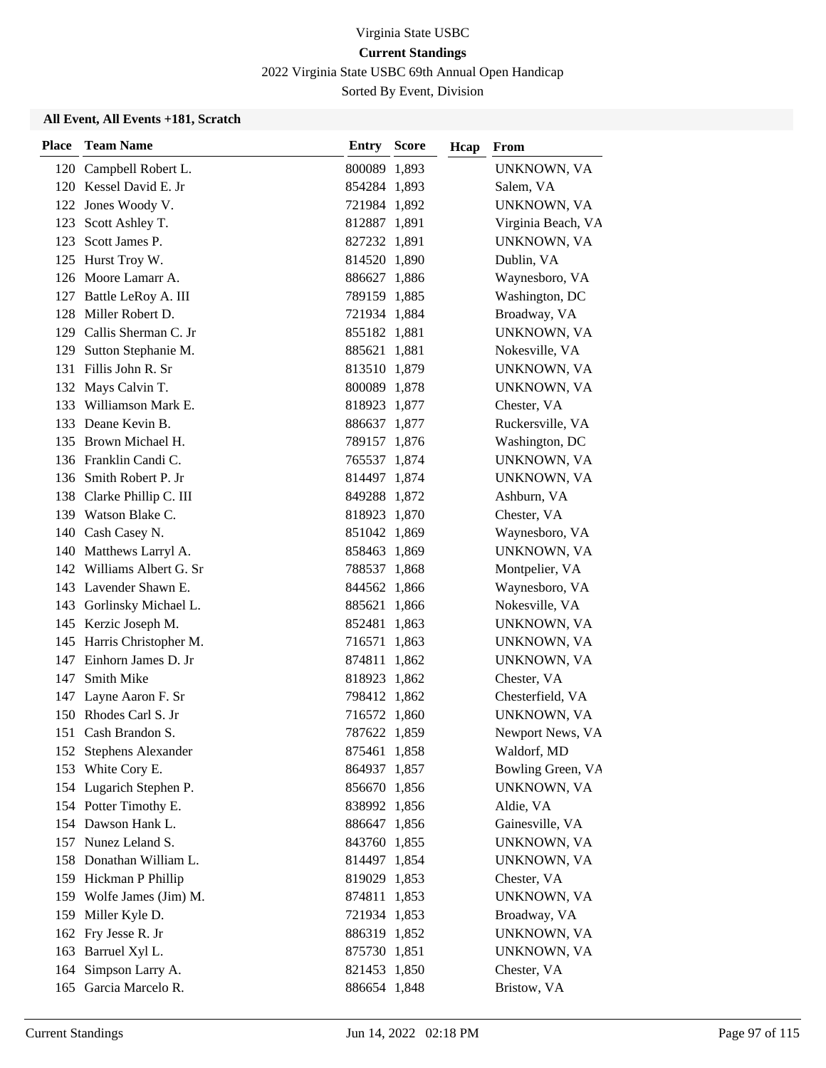2022 Virginia State USBC 69th Annual Open Handicap

Sorted By Event, Division

| <b>Place</b> | <b>Team Name</b>                                  | <b>Entry Score</b>           | Hcap | From                       |
|--------------|---------------------------------------------------|------------------------------|------|----------------------------|
|              | 120 Campbell Robert L.                            | 800089 1,893                 |      | UNKNOWN, VA                |
|              | 120 Kessel David E. Jr                            | 854284 1,893                 |      | Salem, VA                  |
|              | 122 Jones Woody V.                                | 721984 1,892                 |      | UNKNOWN, VA                |
|              | 123 Scott Ashley T.                               | 812887 1,891                 |      | Virginia Beach, VA         |
|              | 123 Scott James P.                                | 827232 1,891                 |      | UNKNOWN, VA                |
|              | 125 Hurst Troy W.                                 | 814520 1,890                 |      | Dublin, VA                 |
|              | 126 Moore Lamarr A.                               | 886627 1,886                 |      | Waynesboro, VA             |
|              | 127 Battle LeRoy A. III                           | 789159 1,885                 |      | Washington, DC             |
|              | 128 Miller Robert D.                              | 721934 1,884                 |      | Broadway, VA               |
|              | 129 Callis Sherman C. Jr                          | 855182 1,881                 |      | UNKNOWN, VA                |
| 129          | Sutton Stephanie M.                               | 885621 1,881                 |      | Nokesville, VA             |
|              | 131 Fillis John R. Sr                             | 813510 1,879                 |      | UNKNOWN, VA                |
|              | 132 Mays Calvin T.                                | 800089 1,878                 |      | UNKNOWN, VA                |
|              | 133 Williamson Mark E.                            | 818923 1,877                 |      | Chester, VA                |
|              | 133 Deane Kevin B.                                | 886637 1,877                 |      | Ruckersville, VA           |
|              | 135 Brown Michael H.                              | 789157 1,876                 |      | Washington, DC             |
|              | 136 Franklin Candi C.                             | 765537 1,874                 |      | UNKNOWN, VA                |
|              | 136 Smith Robert P. Jr                            | 814497 1,874                 |      | UNKNOWN, VA                |
|              | 138 Clarke Phillip C. III                         | 849288 1,872                 |      | Ashburn, VA                |
|              | 139 Watson Blake C.                               | 818923 1,870                 |      | Chester, VA                |
|              | 140 Cash Casey N.                                 | 851042 1,869                 |      | Waynesboro, VA             |
|              | 140 Matthews Larryl A.                            | 858463 1,869                 |      | UNKNOWN, VA                |
|              | 142 Williams Albert G. Sr                         | 788537 1,868                 |      | Montpelier, VA             |
|              | 143 Lavender Shawn E.                             | 844562 1,866                 |      | Waynesboro, VA             |
|              | 143 Gorlinsky Michael L.                          | 885621 1,866                 |      | Nokesville, VA             |
|              | 145 Kerzic Joseph M.                              | 852481 1,863                 |      | UNKNOWN, VA                |
|              | 145 Harris Christopher M.                         | 716571 1,863                 |      | UNKNOWN, VA                |
|              | 147 Einhorn James D. Jr                           | 874811 1,862                 |      | UNKNOWN, VA                |
| 147          | <b>Smith Mike</b>                                 | 818923 1,862                 |      | Chester, VA                |
|              | 147 Layne Aaron F. Sr                             | 798412 1,862                 |      | Chesterfield, VA           |
|              | 150 Rhodes Carl S. Jr                             | 716572 1,860                 |      | UNKNOWN, VA                |
|              | 151 Cash Brandon S.                               | 787622 1,859                 |      | Newport News, VA           |
|              | 152 Stephens Alexander                            | 875461 1,858                 |      | Waldorf, MD                |
|              | 153 White Cory E.                                 | 864937 1,857                 |      | Bowling Green, VA          |
|              | 154 Lugarich Stephen P.                           | 856670 1,856                 |      | UNKNOWN, VA                |
|              | 154 Potter Timothy E.                             | 838992 1,856                 |      | Aldie, VA                  |
|              | 154 Dawson Hank L.<br>157 Nunez Leland S.         | 886647 1,856                 |      | Gainesville, VA            |
|              | 158 Donathan William L.                           | 843760 1,855                 |      | UNKNOWN, VA                |
|              |                                                   | 814497 1,854                 |      | UNKNOWN, VA                |
|              | 159 Hickman P Phillip<br>159 Wolfe James (Jim) M. | 819029 1,853<br>874811 1,853 |      | Chester, VA<br>UNKNOWN, VA |
|              | 159 Miller Kyle D.                                | 721934 1,853                 |      | Broadway, VA               |
|              | 162 Fry Jesse R. Jr                               | 886319 1,852                 |      | UNKNOWN, VA                |
|              | 163 Barruel Xyl L.                                | 875730 1,851                 |      | UNKNOWN, VA                |
|              | 164 Simpson Larry A.                              | 821453 1,850                 |      | Chester, VA                |
|              | 165 Garcia Marcelo R.                             | 886654 1,848                 |      | Bristow, VA                |
|              |                                                   |                              |      |                            |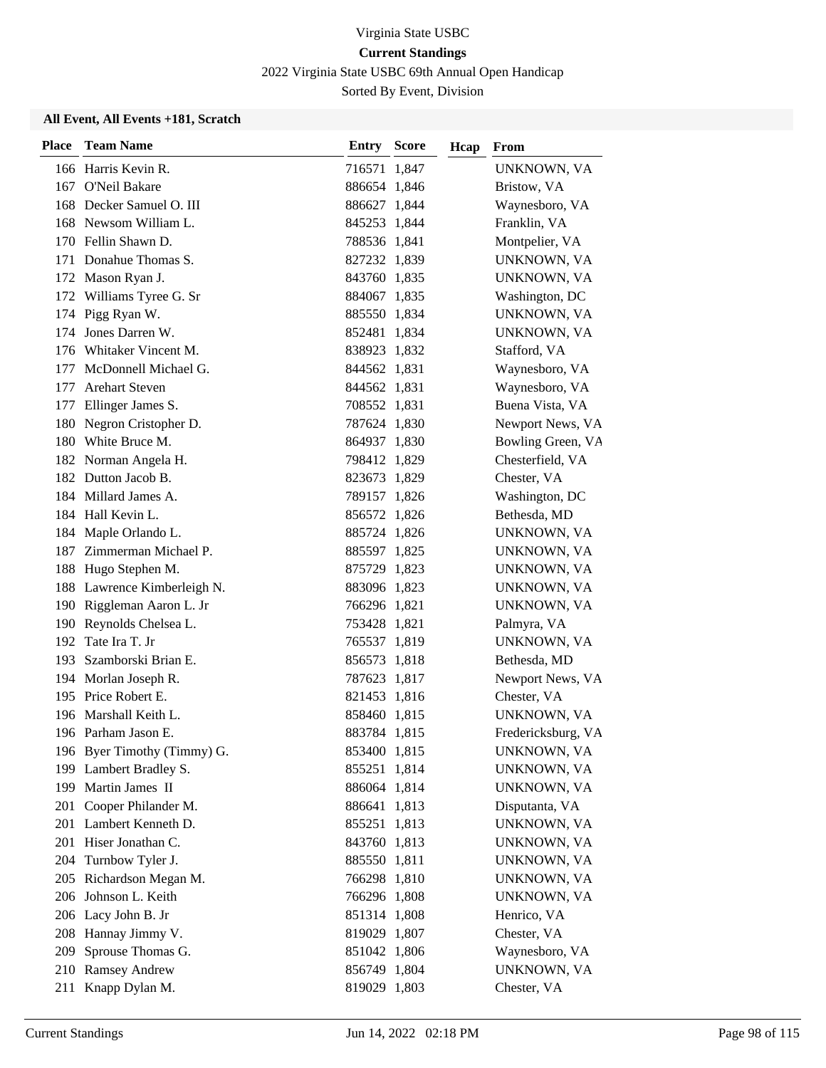2022 Virginia State USBC 69th Annual Open Handicap

Sorted By Event, Division

| <b>Place</b> | <b>Team Name</b>            | <b>Entry Score</b> | Hcap | From               |
|--------------|-----------------------------|--------------------|------|--------------------|
|              | 166 Harris Kevin R.         | 716571 1,847       |      | UNKNOWN, VA        |
|              | 167 O'Neil Bakare           | 886654 1,846       |      | Bristow, VA        |
|              | 168 Decker Samuel O. III    | 886627 1,844       |      | Waynesboro, VA     |
|              | 168 Newsom William L.       | 845253 1,844       |      | Franklin, VA       |
|              | 170 Fellin Shawn D.         | 788536 1,841       |      | Montpelier, VA     |
|              | 171 Donahue Thomas S.       | 827232 1,839       |      | UNKNOWN, VA        |
|              | 172 Mason Ryan J.           | 843760 1,835       |      | UNKNOWN, VA        |
|              | 172 Williams Tyree G. Sr    | 884067 1,835       |      | Washington, DC     |
|              | 174 Pigg Ryan W.            | 885550 1,834       |      | UNKNOWN, VA        |
| 174          | Jones Darren W.             | 852481 1,834       |      | UNKNOWN, VA        |
|              | 176 Whitaker Vincent M.     | 838923 1,832       |      | Stafford, VA       |
|              | 177 McDonnell Michael G.    | 844562 1,831       |      | Waynesboro, VA     |
| 177          | <b>Arehart Steven</b>       | 844562 1,831       |      | Waynesboro, VA     |
|              | 177 Ellinger James S.       | 708552 1,831       |      | Buena Vista, VA    |
|              | 180 Negron Cristopher D.    | 787624 1,830       |      | Newport News, VA   |
|              | 180 White Bruce M.          | 864937 1,830       |      | Bowling Green, VA  |
|              | 182 Norman Angela H.        | 798412 1,829       |      | Chesterfield, VA   |
|              | 182 Dutton Jacob B.         | 823673 1,829       |      | Chester, VA        |
|              | 184 Millard James A.        | 789157 1,826       |      | Washington, DC     |
|              | 184 Hall Kevin L.           | 856572 1,826       |      | Bethesda, MD       |
|              | 184 Maple Orlando L.        | 885724 1,826       |      | UNKNOWN, VA        |
|              | 187 Zimmerman Michael P.    | 885597 1,825       |      | UNKNOWN, VA        |
|              | 188 Hugo Stephen M.         | 875729 1,823       |      | UNKNOWN, VA        |
|              | 188 Lawrence Kimberleigh N. | 883096 1,823       |      | UNKNOWN, VA        |
|              | 190 Riggleman Aaron L. Jr   | 766296 1,821       |      | UNKNOWN, VA        |
|              | 190 Reynolds Chelsea L.     | 753428 1,821       |      | Palmyra, VA        |
|              | 192 Tate Ira T. Jr          | 765537 1,819       |      | UNKNOWN, VA        |
|              | 193 Szamborski Brian E.     | 856573 1,818       |      | Bethesda, MD       |
|              | 194 Morlan Joseph R.        | 787623 1,817       |      | Newport News, VA   |
|              | 195 Price Robert E.         | 821453 1,816       |      | Chester, VA        |
|              | 196 Marshall Keith L.       | 858460 1,815       |      | UNKNOWN, VA        |
|              | 196 Parham Jason E.         | 883784 1,815       |      | Fredericksburg, VA |
|              | 196 Byer Timothy (Timmy) G. | 853400 1,815       |      | UNKNOWN, VA        |
|              | 199 Lambert Bradley S.      | 855251 1,814       |      | UNKNOWN, VA        |
| 199          | Martin James II             | 886064 1,814       |      | UNKNOWN, VA        |
|              | 201 Cooper Philander M.     | 886641 1,813       |      | Disputanta, VA     |
|              | 201 Lambert Kenneth D.      | 855251 1,813       |      | UNKNOWN, VA        |
|              | 201 Hiser Jonathan C.       | 843760 1,813       |      | UNKNOWN, VA        |
| 204          | Turnbow Tyler J.            | 885550 1,811       |      | UNKNOWN, VA        |
|              | 205 Richardson Megan M.     | 766298 1,810       |      | UNKNOWN, VA        |
|              | 206 Johnson L. Keith        | 766296 1,808       |      | UNKNOWN, VA        |
|              | 206 Lacy John B. Jr         | 851314 1,808       |      | Henrico, VA        |
|              | 208 Hannay Jimmy V.         | 819029 1,807       |      | Chester, VA        |
| 209          | Sprouse Thomas G.           | 851042 1,806       |      | Waynesboro, VA     |
|              | 210 Ramsey Andrew           | 856749 1,804       |      | UNKNOWN, VA        |
|              | 211 Knapp Dylan M.          | 819029 1,803       |      | Chester, VA        |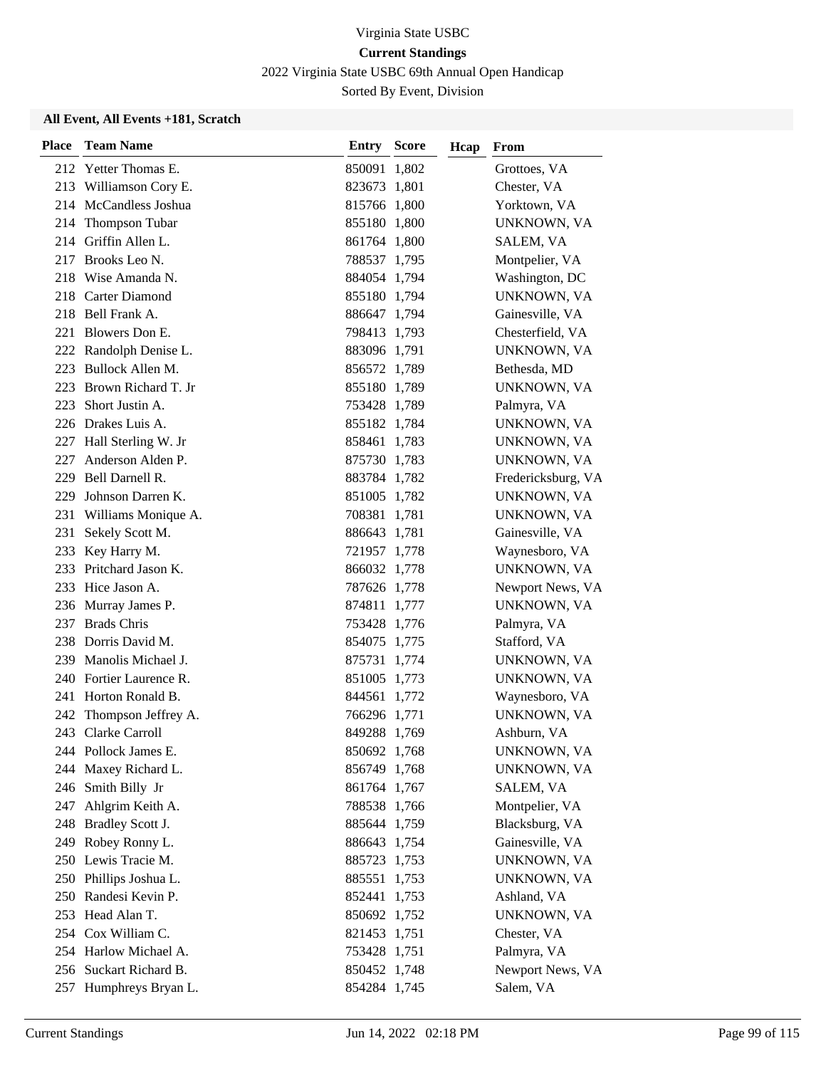2022 Virginia State USBC 69th Annual Open Handicap

Sorted By Event, Division

| <b>Place</b> | <b>Team Name</b>        | <b>Entry Score</b> | Hcap | From               |
|--------------|-------------------------|--------------------|------|--------------------|
|              | 212 Yetter Thomas E.    | 850091 1,802       |      | Grottoes, VA       |
|              | 213 Williamson Cory E.  | 823673 1,801       |      | Chester, VA        |
|              | 214 McCandless Joshua   | 815766 1,800       |      | Yorktown, VA       |
|              | 214 Thompson Tubar      | 855180 1,800       |      | UNKNOWN, VA        |
|              | 214 Griffin Allen L.    | 861764 1,800       |      | SALEM, VA          |
| 217          | Brooks Leo N.           | 788537 1,795       |      | Montpelier, VA     |
|              | 218 Wise Amanda N.      | 884054 1,794       |      | Washington, DC     |
|              | 218 Carter Diamond      | 855180 1,794       |      | UNKNOWN, VA        |
|              | 218 Bell Frank A.       | 886647 1,794       |      | Gainesville, VA    |
|              | 221 Blowers Don E.      | 798413 1,793       |      | Chesterfield, VA   |
|              | 222 Randolph Denise L.  | 883096 1,791       |      | UNKNOWN, VA        |
|              | 223 Bullock Allen M.    | 856572 1,789       |      | Bethesda, MD       |
|              | 223 Brown Richard T. Jr | 855180 1,789       |      | UNKNOWN, VA        |
| 223          | Short Justin A.         | 753428 1,789       |      | Palmyra, VA        |
|              | 226 Drakes Luis A.      | 855182 1,784       |      | UNKNOWN, VA        |
|              | 227 Hall Sterling W. Jr | 858461 1,783       |      | UNKNOWN, VA        |
| 227          | Anderson Alden P.       | 875730 1,783       |      | UNKNOWN, VA        |
|              | 229 Bell Darnell R.     | 883784 1,782       |      | Fredericksburg, VA |
| 229          | Johnson Darren K.       | 851005 1,782       |      | UNKNOWN, VA        |
| 231          | Williams Monique A.     | 708381 1,781       |      | UNKNOWN, VA        |
| 231          | Sekely Scott M.         | 886643 1,781       |      | Gainesville, VA    |
| 233          | Key Harry M.            | 721957 1,778       |      | Waynesboro, VA     |
| 233          | Pritchard Jason K.      | 866032 1,778       |      | UNKNOWN, VA        |
|              | 233 Hice Jason A.       | 787626 1,778       |      | Newport News, VA   |
|              | 236 Murray James P.     | 874811 1,777       |      | UNKNOWN, VA        |
| 237          | <b>Brads Chris</b>      | 753428 1,776       |      | Palmyra, VA        |
|              | 238 Dorris David M.     | 854075 1,775       |      | Stafford, VA       |
|              | 239 Manolis Michael J.  | 875731 1,774       |      | UNKNOWN, VA        |
|              | 240 Fortier Laurence R. | 851005 1,773       |      | UNKNOWN, VA        |
|              | 241 Horton Ronald B.    | 844561 1,772       |      | Waynesboro, VA     |
| 242          | Thompson Jeffrey A.     | 766296 1,771       |      | UNKNOWN, VA        |
|              | 243 Clarke Carroll      | 849288 1,769       |      | Ashburn, VA        |
|              | 244 Pollock James E.    | 850692 1,768       |      | UNKNOWN, VA        |
|              | 244 Maxey Richard L.    | 856749 1,768       |      | UNKNOWN, VA        |
| 246          | Smith Billy Jr          | 861764 1,767       |      | SALEM, VA          |
|              | 247 Ahlgrim Keith A.    | 788538 1,766       |      | Montpelier, VA     |
|              | 248 Bradley Scott J.    | 885644 1,759       |      | Blacksburg, VA     |
|              | 249 Robey Ronny L.      | 886643 1,754       |      | Gainesville, VA    |
|              | 250 Lewis Tracie M.     | 885723 1,753       |      | UNKNOWN, VA        |
|              | 250 Phillips Joshua L.  | 885551 1,753       |      | UNKNOWN, VA        |
|              | 250 Randesi Kevin P.    | 852441 1,753       |      | Ashland, VA        |
|              | 253 Head Alan T.        | 850692 1,752       |      | UNKNOWN, VA        |
|              | 254 Cox William C.      | 821453 1,751       |      | Chester, VA        |
|              | 254 Harlow Michael A.   | 753428 1,751       |      | Palmyra, VA        |
|              | 256 Suckart Richard B.  | 850452 1,748       |      | Newport News, VA   |
|              | 257 Humphreys Bryan L.  | 854284 1,745       |      | Salem, VA          |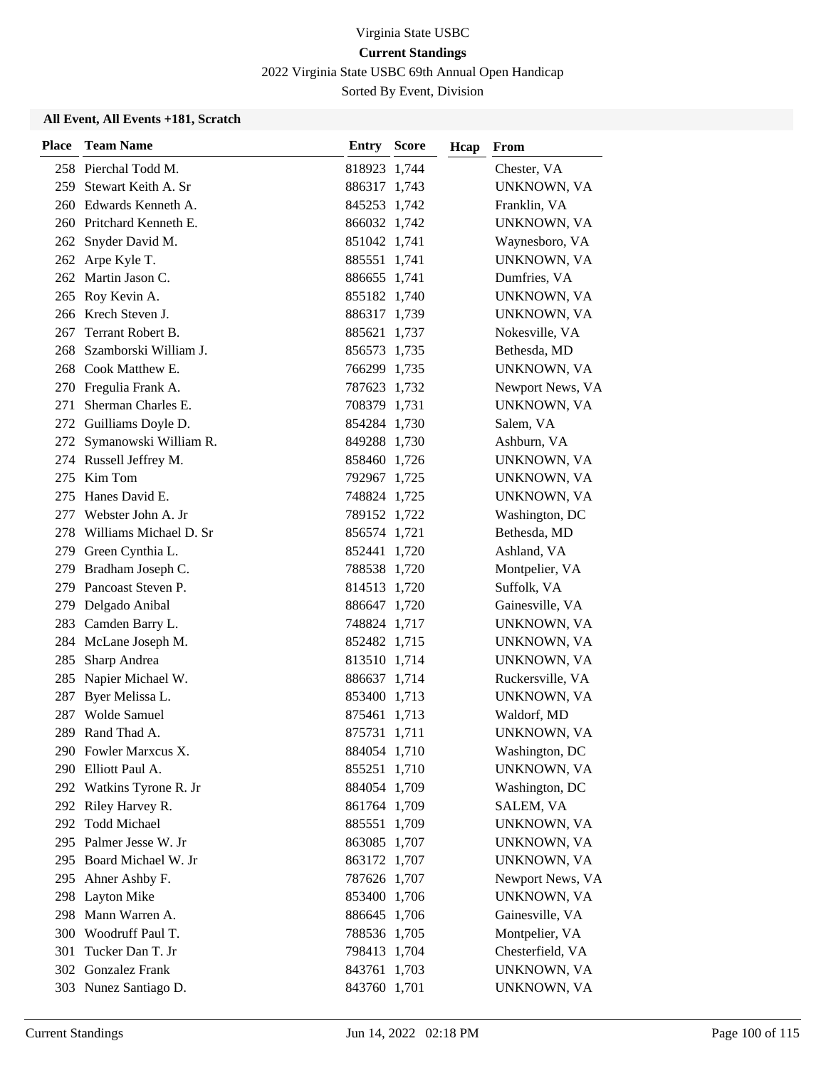2022 Virginia State USBC 69th Annual Open Handicap

Sorted By Event, Division

| <b>Place</b> | <b>Team Name</b>          | <b>Entry Score</b> | Hcap | From             |
|--------------|---------------------------|--------------------|------|------------------|
|              | 258 Pierchal Todd M.      | 818923 1,744       |      | Chester, VA      |
| 259          | Stewart Keith A. Sr       | 886317 1,743       |      | UNKNOWN, VA      |
| 260          | Edwards Kenneth A.        | 845253 1,742       |      | Franklin, VA     |
|              | 260 Pritchard Kenneth E.  | 866032 1,742       |      | UNKNOWN, VA      |
| 262          | Snyder David M.           | 851042 1,741       |      | Waynesboro, VA   |
| 262          | Arpe Kyle T.              | 885551 1,741       |      | UNKNOWN, VA      |
|              | 262 Martin Jason C.       | 886655 1,741       |      | Dumfries, VA     |
|              | 265 Roy Kevin A.          | 855182 1,740       |      | UNKNOWN, VA      |
|              | 266 Krech Steven J.       | 886317 1,739       |      | UNKNOWN, VA      |
| 267          | Terrant Robert B.         | 885621 1,737       |      | Nokesville, VA   |
| 268          | Szamborski William J.     | 856573 1,735       |      | Bethesda, MD     |
|              | 268 Cook Matthew E.       | 766299 1,735       |      | UNKNOWN, VA      |
|              | 270 Fregulia Frank A.     | 787623 1,732       |      | Newport News, VA |
| 271          | Sherman Charles E.        | 708379 1,731       |      | UNKNOWN, VA      |
|              | 272 Guilliams Doyle D.    | 854284 1,730       |      | Salem, VA        |
|              | 272 Symanowski William R. | 849288 1,730       |      | Ashburn, VA      |
|              | 274 Russell Jeffrey M.    | 858460 1,726       |      | UNKNOWN, VA      |
| 275          | Kim Tom                   | 792967 1,725       |      | UNKNOWN, VA      |
| 275          | Hanes David E.            | 748824 1,725       |      | UNKNOWN, VA      |
|              | 277 Webster John A. Jr    | 789152 1,722       |      | Washington, DC   |
| 278.         | Williams Michael D. Sr    | 856574 1,721       |      | Bethesda, MD     |
|              | 279 Green Cynthia L.      | 852441 1,720       |      | Ashland, VA      |
| 279          | Bradham Joseph C.         | 788538 1,720       |      | Montpelier, VA   |
| 279          | Pancoast Steven P.        | 814513 1,720       |      | Suffolk, VA      |
|              | 279 Delgado Anibal        | 886647 1,720       |      | Gainesville, VA  |
|              | 283 Camden Barry L.       | 748824 1,717       |      | UNKNOWN, VA      |
| 284          | McLane Joseph M.          | 852482 1,715       |      | UNKNOWN, VA      |
| 285          | Sharp Andrea              | 813510 1,714       |      | UNKNOWN, VA      |
| 285          | Napier Michael W.         | 886637 1,714       |      | Ruckersville, VA |
| 287          | Byer Melissa L.           | 853400 1,713       |      | UNKNOWN, VA      |
| 287          | <b>Wolde Samuel</b>       | 875461 1,713       |      | Waldorf, MD      |
|              | 289 Rand Thad A.          | 875731 1,711       |      | UNKNOWN, VA      |
|              | 290 Fowler Marxcus X.     | 884054 1,710       |      | Washington, DC   |
|              | 290 Elliott Paul A.       | 855251 1,710       |      | UNKNOWN, VA      |
|              | 292 Watkins Tyrone R. Jr  | 884054 1,709       |      | Washington, DC   |
|              | 292 Riley Harvey R.       | 861764 1,709       |      | SALEM, VA        |
|              | 292 Todd Michael          | 885551 1,709       |      | UNKNOWN, VA      |
|              | 295 Palmer Jesse W. Jr    | 863085 1,707       |      | UNKNOWN, VA      |
|              | 295 Board Michael W. Jr   | 863172 1,707       |      | UNKNOWN, VA      |
|              | 295 Ahner Ashby F.        | 787626 1,707       |      | Newport News, VA |
|              | 298 Layton Mike           | 853400 1,706       |      | UNKNOWN, VA      |
| 298          | Mann Warren A.            | 886645 1,706       |      | Gainesville, VA  |
| 300          | Woodruff Paul T.          | 788536 1,705       |      | Montpelier, VA   |
| 301          | Tucker Dan T. Jr          | 798413 1,704       |      | Chesterfield, VA |
|              | 302 Gonzalez Frank        | 843761 1,703       |      | UNKNOWN, VA      |
|              | 303 Nunez Santiago D.     | 843760 1,701       |      | UNKNOWN, VA      |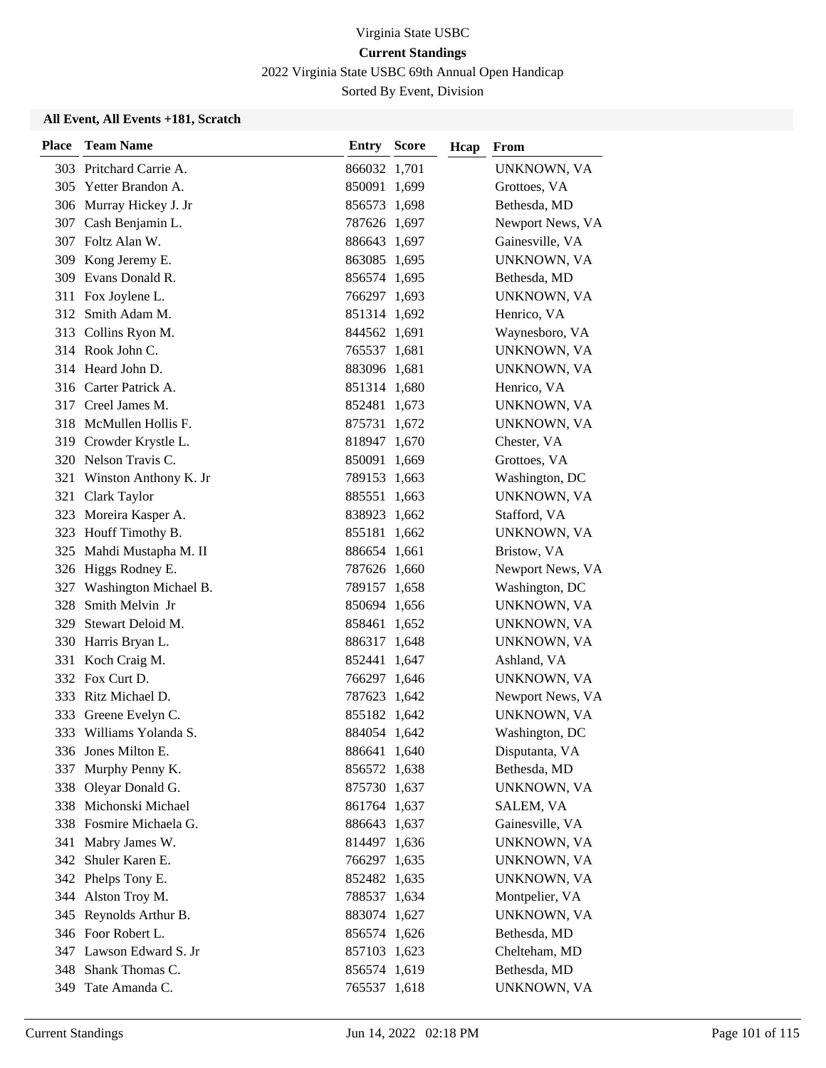2022 Virginia State USBC 69th Annual Open Handicap

Sorted By Event, Division

| <b>Place</b> | <b>Team Name</b>          | <b>Entry Score</b> | Hcap | From             |
|--------------|---------------------------|--------------------|------|------------------|
|              | 303 Pritchard Carrie A.   | 866032 1,701       |      | UNKNOWN, VA      |
|              | 305 Yetter Brandon A.     | 850091 1,699       |      | Grottoes, VA     |
|              | 306 Murray Hickey J. Jr   | 856573 1,698       |      | Bethesda, MD     |
|              | 307 Cash Benjamin L.      | 787626 1,697       |      | Newport News, VA |
|              | 307 Foltz Alan W.         | 886643 1,697       |      | Gainesville, VA  |
|              | 309 Kong Jeremy E.        | 863085 1,695       |      | UNKNOWN, VA      |
|              | 309 Evans Donald R.       | 856574 1,695       |      | Bethesda, MD     |
|              | 311 Fox Joylene L.        | 766297 1,693       |      | UNKNOWN, VA      |
|              | 312 Smith Adam M.         | 851314 1,692       |      | Henrico, VA      |
|              | 313 Collins Ryon M.       | 844562 1,691       |      | Waynesboro, VA   |
|              | 314 Rook John C.          | 765537 1,681       |      | UNKNOWN, VA      |
|              | 314 Heard John D.         | 883096 1,681       |      | UNKNOWN, VA      |
|              | 316 Carter Patrick A.     | 851314 1,680       |      | Henrico, VA      |
|              | 317 Creel James M.        | 852481 1,673       |      | UNKNOWN, VA      |
|              | 318 McMullen Hollis F.    | 875731 1,672       |      | UNKNOWN, VA      |
|              | 319 Crowder Krystle L.    | 818947 1,670       |      | Chester, VA      |
|              | 320 Nelson Travis C.      | 850091 1,669       |      | Grottoes, VA     |
| 321          | Winston Anthony K. Jr     | 789153 1,663       |      | Washington, DC   |
| 321          | Clark Taylor              | 885551 1,663       |      | UNKNOWN, VA      |
|              | 323 Moreira Kasper A.     | 838923 1,662       |      | Stafford, VA     |
|              | 323 Houff Timothy B.      | 855181 1,662       |      | UNKNOWN, VA      |
|              | 325 Mahdi Mustapha M. II  | 886654 1,661       |      | Bristow, VA      |
|              | 326 Higgs Rodney E.       | 787626 1,660       |      | Newport News, VA |
|              | 327 Washington Michael B. | 789157 1,658       |      | Washington, DC   |
| 328          | Smith Melvin Jr           | 850694 1,656       |      | UNKNOWN, VA      |
| 329          | Stewart Deloid M.         | 858461 1,652       |      | UNKNOWN, VA      |
|              | 330 Harris Bryan L.       | 886317 1,648       |      | UNKNOWN, VA      |
|              | 331 Koch Craig M.         | 852441 1,647       |      | Ashland, VA      |
|              | 332 Fox Curt D.           | 766297 1,646       |      | UNKNOWN, VA      |
|              | 333 Ritz Michael D.       | 787623 1,642       |      | Newport News, VA |
| 333          | Greene Evelyn C.          | 855182 1,642       |      | UNKNOWN, VA      |
| 333          | Williams Yolanda S.       | 884054 1,642       |      | Washington, DC   |
|              | 336 Jones Milton E.       | 886641 1,640       |      | Disputanta, VA   |
| 337          | Murphy Penny K.           | 856572 1,638       |      | Bethesda, MD     |
|              | 338 Oleyar Donald G.      | 875730 1,637       |      | UNKNOWN, VA      |
|              | 338 Michonski Michael     | 861764 1,637       |      | SALEM, VA        |
|              | 338 Fosmire Michaela G.   | 886643 1,637       |      | Gainesville, VA  |
| 341          | Mabry James W.            | 814497 1,636       |      | UNKNOWN, VA      |
|              | 342 Shuler Karen E.       | 766297 1,635       |      | UNKNOWN, VA      |
|              | 342 Phelps Tony E.        | 852482 1,635       |      | UNKNOWN, VA      |
| 344          | Alston Troy M.            | 788537 1,634       |      | Montpelier, VA   |
|              | 345 Reynolds Arthur B.    | 883074 1,627       |      | UNKNOWN, VA      |
|              | 346 Foor Robert L.        | 856574 1,626       |      | Bethesda, MD     |
|              | 347 Lawson Edward S. Jr   | 857103 1,623       |      | Chelteham, MD    |
|              | 348 Shank Thomas C.       | 856574 1,619       |      | Bethesda, MD     |
| 349          | Tate Amanda C.            | 765537 1,618       |      | UNKNOWN, VA      |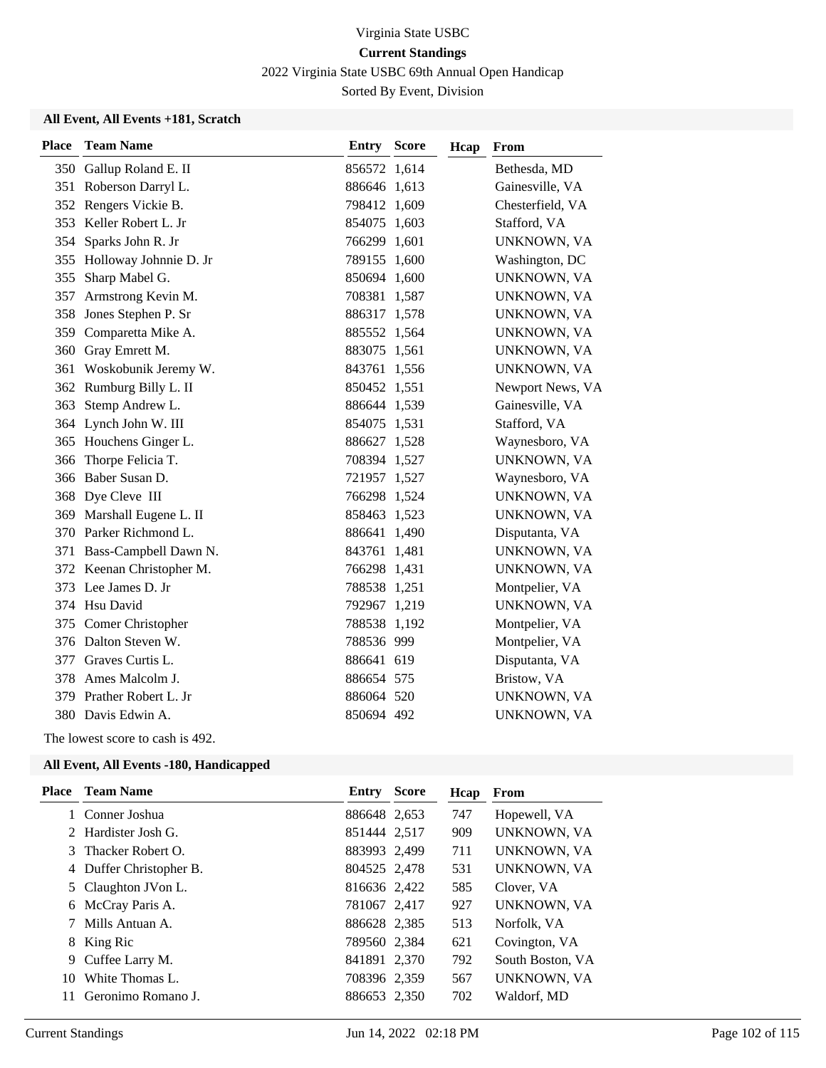2022 Virginia State USBC 69th Annual Open Handicap

Sorted By Event, Division

### **All Event, All Events +181, Scratch**

| <b>Place</b> | <b>Team Name</b>        | Entry        | <b>Score</b> | Hcap | From             |
|--------------|-------------------------|--------------|--------------|------|------------------|
|              | 350 Gallup Roland E. II | 856572 1,614 |              |      | Bethesda, MD     |
| 351          | Roberson Darryl L.      | 886646 1,613 |              |      | Gainesville, VA  |
| 352          | Rengers Vickie B.       | 798412 1,609 |              |      | Chesterfield, VA |
| 353          | Keller Robert L. Jr     | 854075 1,603 |              |      | Stafford, VA     |
| 354          | Sparks John R. Jr       | 766299 1,601 |              |      | UNKNOWN, VA      |
| 355          | Holloway Johnnie D. Jr  | 789155 1,600 |              |      | Washington, DC   |
| 355          | Sharp Mabel G.          | 850694 1,600 |              |      | UNKNOWN, VA      |
| 357          | Armstrong Kevin M.      | 708381       | 1,587        |      | UNKNOWN, VA      |
| 358          | Jones Stephen P. Sr     | 886317       | 1,578        |      | UNKNOWN, VA      |
| 359          | Comparetta Mike A.      | 885552 1,564 |              |      | UNKNOWN, VA      |
|              | 360 Gray Emrett M.      | 883075 1,561 |              |      | UNKNOWN, VA      |
| 361          | Woskobunik Jeremy W.    | 843761 1,556 |              |      | UNKNOWN, VA      |
| 362          | Rumburg Billy L. II     | 850452 1,551 |              |      | Newport News, VA |
| 363          | Stemp Andrew L.         | 886644 1,539 |              |      | Gainesville, VA  |
|              | 364 Lynch John W. III   | 854075 1,531 |              |      | Stafford, VA     |
|              | 365 Houchens Ginger L.  | 886627 1,528 |              |      | Waynesboro, VA   |
| 366          | Thorpe Felicia T.       | 708394 1,527 |              |      | UNKNOWN, VA      |
| 366          | Baber Susan D.          | 721957 1,527 |              |      | Waynesboro, VA   |
| 368          | Dye Cleve III           | 766298 1,524 |              |      | UNKNOWN, VA      |
| 369          | Marshall Eugene L. II   | 858463 1,523 |              |      | UNKNOWN, VA      |
|              | 370 Parker Richmond L.  | 886641 1,490 |              |      | Disputanta, VA   |
| 371          | Bass-Campbell Dawn N.   | 843761       | 1,481        |      | UNKNOWN, VA      |
| 372          | Keenan Christopher M.   | 766298 1,431 |              |      | UNKNOWN, VA      |
| 373          | Lee James D. Jr         | 788538 1,251 |              |      | Montpelier, VA   |
| 374          | Hsu David               | 792967 1,219 |              |      | UNKNOWN, VA      |
| 375          | Comer Christopher       | 788538 1,192 |              |      | Montpelier, VA   |
|              | 376 Dalton Steven W.    | 788536 999   |              |      | Montpelier, VA   |
| 377          | Graves Curtis L.        | 886641 619   |              |      | Disputanta, VA   |
| 378          | Ames Malcolm J.         | 886654 575   |              |      | Bristow, VA      |
| 379          | Prather Robert L. Jr    | 886064 520   |              |      | UNKNOWN, VA      |
|              | 380 Davis Edwin A.      | 850694 492   |              |      | UNKNOWN, VA      |
|              |                         |              |              |      |                  |

The lowest score to cash is 492.

| Place | <b>Team Name</b>        | Entry        | <b>Score</b> | Hcap | From               |
|-------|-------------------------|--------------|--------------|------|--------------------|
|       | Conner Joshua           | 886648 2,653 |              | 747  | Hopewell, VA       |
| 2     | Hardister Josh G.       | 851444 2,517 |              | 909  | <b>UNKNOWN, VA</b> |
| 3     | Thacker Robert O.       | 883993 2,499 |              | 711  | UNKNOWN, VA        |
|       | 4 Duffer Christopher B. | 804525 2,478 |              | 531  | UNKNOWN, VA        |
|       | 5 Claughton JVon L.     | 816636 2,422 |              | 585  | Clover, VA         |
| 6     | McCray Paris A.         | 781067 2,417 |              | 927  | UNKNOWN, VA        |
|       | Mills Antuan A.         | 886628 2,385 |              | 513  | Norfolk, VA        |
| 8     | King Ric                | 789560 2,384 |              | 621  | Covington, VA      |
|       | 9 Cuffee Larry M.       | 841891 2,370 |              | 792  | South Boston, VA   |
| 10    | White Thomas L.         | 708396 2,359 |              | 567  | UNKNOWN, VA        |
| 11    | Geronimo Romano J.      | 886653 2,350 |              | 702  | Waldorf, MD        |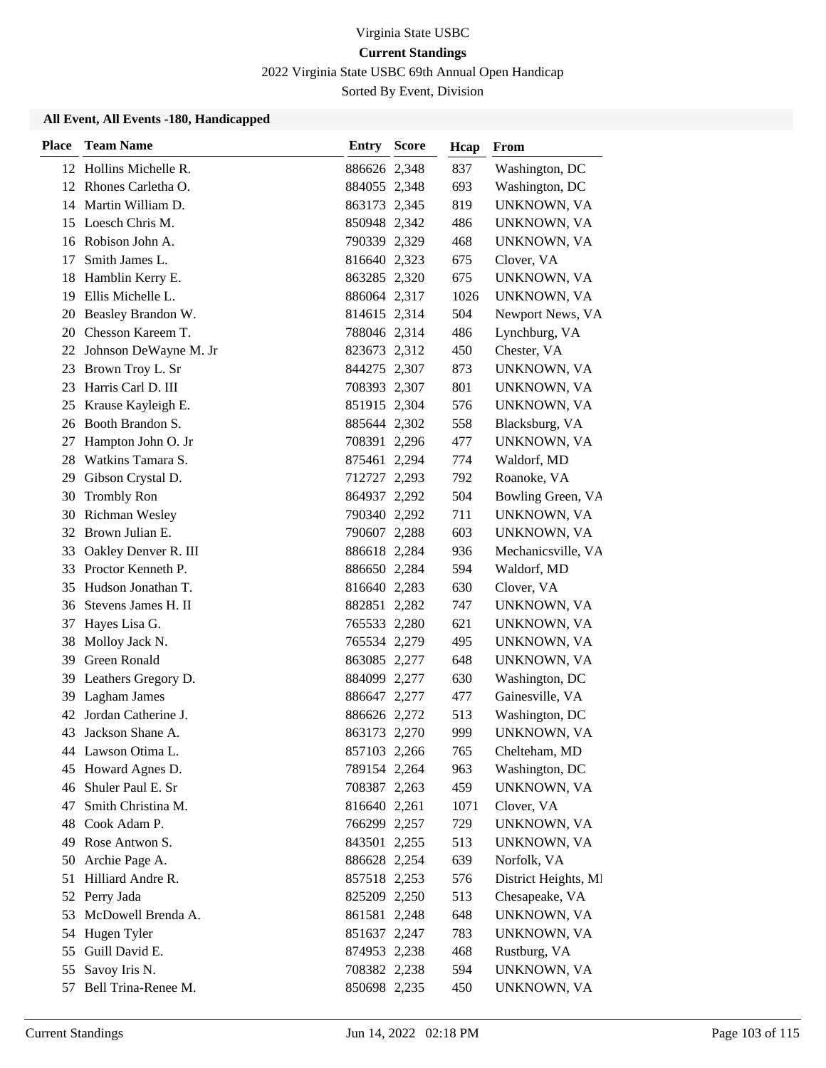2022 Virginia State USBC 69th Annual Open Handicap

Sorted By Event, Division

| <b>Place</b> | <b>Team Name</b>         | Entry        | <b>Score</b> | Hcap | From                 |
|--------------|--------------------------|--------------|--------------|------|----------------------|
|              | 12 Hollins Michelle R.   | 886626 2,348 |              | 837  | Washington, DC       |
|              | 12 Rhones Carletha O.    | 884055 2,348 |              | 693  | Washington, DC       |
|              | 14 Martin William D.     | 863173 2,345 |              | 819  | UNKNOWN, VA          |
|              | 15 Loesch Chris M.       | 850948 2,342 |              | 486  | UNKNOWN, VA          |
|              | 16 Robison John A.       | 790339 2,329 |              | 468  | UNKNOWN, VA          |
| 17           | Smith James L.           | 816640 2,323 |              | 675  | Clover, VA           |
| 18           | Hamblin Kerry E.         | 863285 2,320 |              | 675  | UNKNOWN, VA          |
|              | 19 Ellis Michelle L.     | 886064 2,317 |              | 1026 | UNKNOWN, VA          |
| 20           | Beasley Brandon W.       | 814615 2,314 |              | 504  | Newport News, VA     |
|              | 20 Chesson Kareem T.     | 788046 2,314 |              | 486  | Lynchburg, VA        |
|              | 22 Johnson DeWayne M. Jr | 823673 2,312 |              | 450  | Chester, VA          |
| 23           | Brown Troy L. Sr         | 844275 2,307 |              | 873  | UNKNOWN, VA          |
| 23           | Harris Carl D. III       | 708393 2,307 |              | 801  | UNKNOWN, VA          |
| 25           | Krause Kayleigh E.       | 851915 2,304 |              | 576  | UNKNOWN, VA          |
|              | 26 Booth Brandon S.      | 885644 2,302 |              | 558  | Blacksburg, VA       |
| 27           | Hampton John O. Jr       | 708391 2,296 |              | 477  | UNKNOWN, VA          |
| 28           | Watkins Tamara S.        | 875461 2,294 |              | 774  | Waldorf, MD          |
| 29           | Gibson Crystal D.        | 712727 2,293 |              | 792  | Roanoke, VA          |
| 30           | <b>Trombly Ron</b>       | 864937 2,292 |              | 504  | Bowling Green, VA    |
| 30           | Richman Wesley           | 790340 2,292 |              | 711  | UNKNOWN, VA          |
|              | 32 Brown Julian E.       | 790607 2,288 |              | 603  | UNKNOWN, VA          |
| 33           | Oakley Denver R. III     | 886618 2,284 |              | 936  | Mechanicsville, VA   |
| 33           | Proctor Kenneth P.       | 886650 2,284 |              | 594  | Waldorf, MD          |
| 35           | Hudson Jonathan T.       | 816640 2,283 |              | 630  | Clover, VA           |
| 36           | Stevens James H. II      | 882851 2,282 |              | 747  | UNKNOWN, VA          |
| 37           | Hayes Lisa G.            | 765533 2,280 |              | 621  | UNKNOWN, VA          |
| 38           | Molloy Jack N.           | 765534 2,279 |              | 495  | UNKNOWN, VA          |
|              | 39 Green Ronald          | 863085 2,277 |              | 648  | UNKNOWN, VA          |
|              | 39 Leathers Gregory D.   | 884099 2,277 |              | 630  | Washington, DC       |
| 39           | Lagham James             | 886647 2,277 |              | 477  | Gainesville, VA      |
| 42           | Jordan Catherine J.      | 886626 2,272 |              | 513  | Washington, DC       |
| 43           | Jackson Shane A.         | 863173 2,270 |              | 999  | UNKNOWN, VA          |
|              | 44 Lawson Otima L.       | 857103 2,266 |              | 765  | Chelteham, MD        |
| 45           | Howard Agnes D.          | 789154 2,264 |              | 963  | Washington, DC       |
| 46           | Shuler Paul E. Sr        | 708387 2,263 |              | 459  | UNKNOWN, VA          |
| 47           | Smith Christina M.       | 816640 2,261 |              | 1071 | Clover, VA           |
|              | 48 Cook Adam P.          | 766299 2,257 |              | 729  | UNKNOWN, VA          |
| 49           | Rose Antwon S.           | 843501 2,255 |              | 513  | UNKNOWN, VA          |
| 50           | Archie Page A.           | 886628 2,254 |              | 639  | Norfolk, VA          |
| 51           | Hilliard Andre R.        | 857518 2,253 |              | 576  | District Heights, MI |
|              | 52 Perry Jada            | 825209 2,250 |              | 513  | Chesapeake, VA       |
| 53           | McDowell Brenda A.       | 861581 2,248 |              | 648  | UNKNOWN, VA          |
| 54           | Hugen Tyler              | 851637 2,247 |              | 783  | UNKNOWN, VA          |
| 55           | Guill David E.           | 874953 2,238 |              | 468  | Rustburg, VA         |
| 55           | Savoy Iris N.            | 708382 2,238 |              | 594  | UNKNOWN, VA          |
| 57           | Bell Trina-Renee M.      | 850698 2,235 |              | 450  | UNKNOWN, VA          |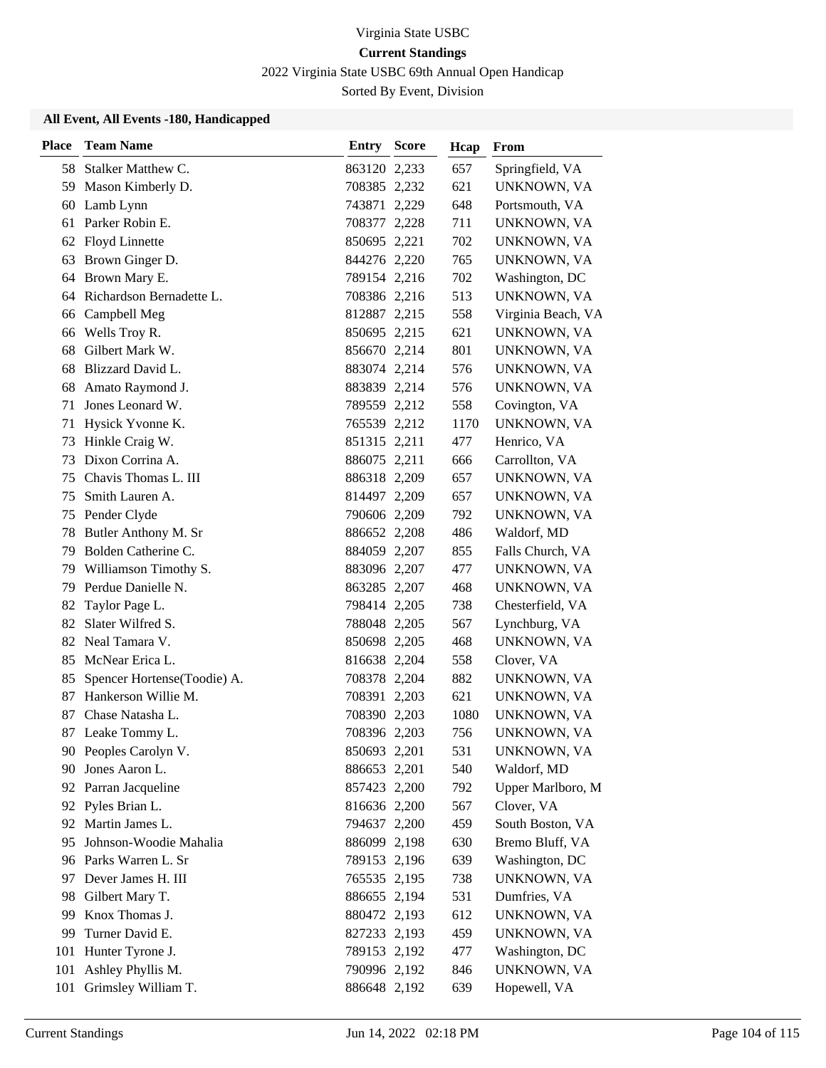2022 Virginia State USBC 69th Annual Open Handicap

Sorted By Event, Division

| <b>Place</b> | <b>Team Name</b>            | <b>Entry Score</b> | Hcap | From               |
|--------------|-----------------------------|--------------------|------|--------------------|
|              | 58 Stalker Matthew C.       | 863120 2,233       | 657  | Springfield, VA    |
| 59           | Mason Kimberly D.           | 708385 2,232       | 621  | UNKNOWN, VA        |
| 60           | Lamb Lynn                   | 743871 2,229       | 648  | Portsmouth, VA     |
| 61           | Parker Robin E.             | 708377 2,228       | 711  | UNKNOWN, VA        |
|              | 62 Floyd Linnette           | 850695 2,221       | 702  | UNKNOWN, VA        |
| 63           | Brown Ginger D.             | 844276 2,220       | 765  | UNKNOWN, VA        |
| 64           | Brown Mary E.               | 789154 2,216       | 702  | Washington, DC     |
|              | 64 Richardson Bernadette L. | 708386 2,216       | 513  | UNKNOWN, VA        |
| 66           | Campbell Meg                | 812887 2,215       | 558  | Virginia Beach, VA |
| 66           | Wells Troy R.               | 850695 2,215       | 621  | UNKNOWN, VA        |
| 68           | Gilbert Mark W.             | 856670 2,214       | 801  | UNKNOWN, VA        |
| 68           | Blizzard David L.           | 883074 2,214       | 576  | UNKNOWN, VA        |
| 68           | Amato Raymond J.            | 883839 2,214       | 576  | UNKNOWN, VA        |
| 71           | Jones Leonard W.            | 789559 2,212       | 558  | Covington, VA      |
| 71           | Hysick Yvonne K.            | 765539 2,212       | 1170 | UNKNOWN, VA        |
| 73           | Hinkle Craig W.             | 851315 2,211       | 477  | Henrico, VA        |
| 73           | Dixon Corrina A.            | 886075 2,211       | 666  | Carrollton, VA     |
| 75           | Chavis Thomas L. III        | 886318 2,209       | 657  | UNKNOWN, VA        |
| 75           | Smith Lauren A.             | 814497 2,209       | 657  | UNKNOWN, VA        |
| 75           | Pender Clyde                | 790606 2,209       | 792  | UNKNOWN, VA        |
| 78           | Butler Anthony M. Sr        | 886652 2,208       | 486  | Waldorf, MD        |
| 79           | Bolden Catherine C.         | 884059 2,207       | 855  | Falls Church, VA   |
| 79           | Williamson Timothy S.       | 883096 2,207       | 477  | UNKNOWN, VA        |
| 79           | Perdue Danielle N.          | 863285 2,207       | 468  | UNKNOWN, VA        |
| 82           | Taylor Page L.              | 798414 2,205       | 738  | Chesterfield, VA   |
| 82           | Slater Wilfred S.           | 788048 2,205       | 567  | Lynchburg, VA      |
|              | 82 Neal Tamara V.           | 850698 2,205       | 468  | UNKNOWN, VA        |
|              | 85 McNear Erica L.          | 816638 2,204       | 558  | Clover, VA         |
| 85           | Spencer Hortense(Toodie) A. | 708378 2,204       | 882  | UNKNOWN, VA        |
| 87           | Hankerson Willie M.         | 708391 2,203       | 621  | UNKNOWN, VA        |
| 87           | Chase Natasha L.            | 708390 2,203       | 1080 | UNKNOWN, VA        |
|              | 87 Leake Tommy L.           | 708396 2,203       | 756  | UNKNOWN, VA        |
|              | 90 Peoples Carolyn V.       | 850693 2,201       | 531  | UNKNOWN, VA        |
| 90           | Jones Aaron L.              | 886653 2,201       | 540  | Waldorf, MD        |
|              | 92 Parran Jacqueline        | 857423 2,200       | 792  | Upper Marlboro, M  |
|              | 92 Pyles Brian L.           | 816636 2,200       | 567  | Clover, VA         |
|              | 92 Martin James L.          | 794637 2,200       | 459  | South Boston, VA   |
| 95           | Johnson-Woodie Mahalia      | 886099 2,198       | 630  | Bremo Bluff, VA    |
|              | 96 Parks Warren L. Sr       | 789153 2,196       | 639  | Washington, DC     |
|              | 97 Dever James H. III       | 765535 2,195       | 738  | UNKNOWN, VA        |
| 98           | Gilbert Mary T.             | 886655 2,194       | 531  | Dumfries, VA       |
| 99           | Knox Thomas J.              | 880472 2,193       | 612  | UNKNOWN, VA        |
| 99           | Turner David E.             | 827233 2,193       | 459  | UNKNOWN, VA        |
| 101          | Hunter Tyrone J.            | 789153 2,192       | 477  | Washington, DC     |
| 101          | Ashley Phyllis M.           | 790996 2,192       | 846  | UNKNOWN, VA        |
|              | 101 Grimsley William T.     | 886648 2,192       | 639  | Hopewell, VA       |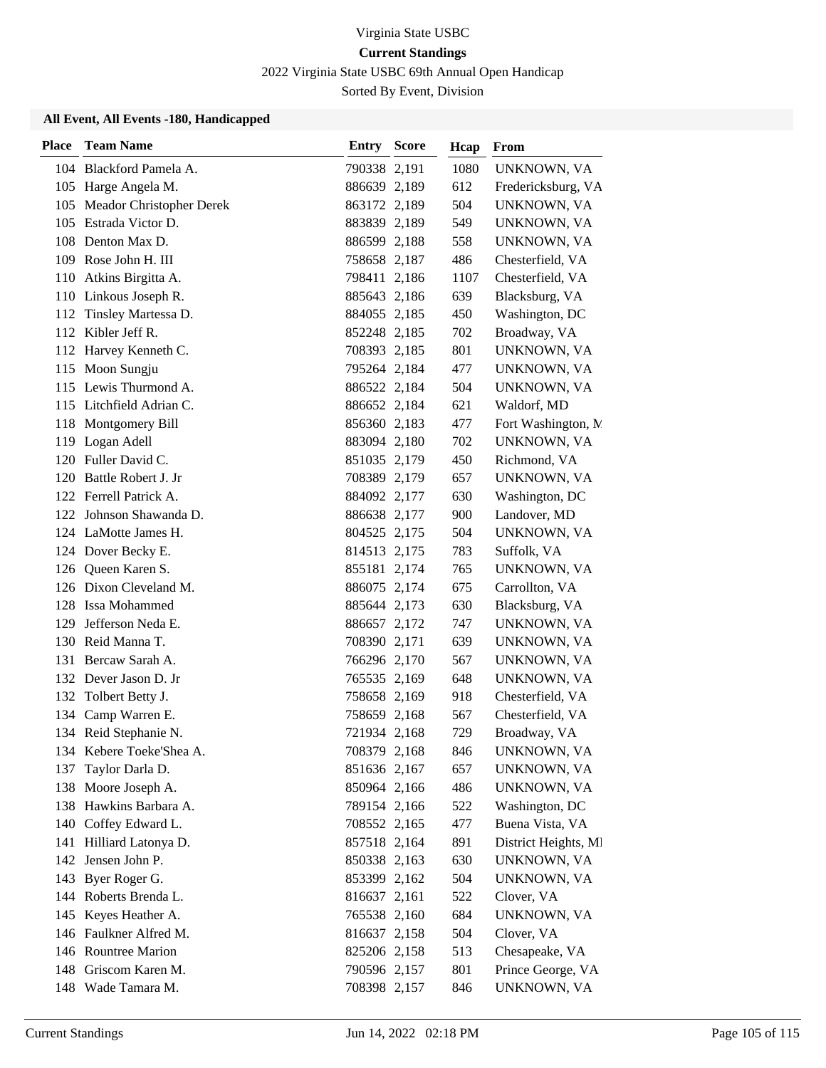2022 Virginia State USBC 69th Annual Open Handicap

Sorted By Event, Division

| <b>Place</b> | <b>Team Name</b>             | Entry        | <b>Score</b> | Hcap | From                 |
|--------------|------------------------------|--------------|--------------|------|----------------------|
|              | 104 Blackford Pamela A.      | 790338 2,191 |              | 1080 | UNKNOWN, VA          |
|              | 105 Harge Angela M.          | 886639 2,189 |              | 612  | Fredericksburg, VA   |
|              | 105 Meador Christopher Derek | 863172 2,189 |              | 504  | UNKNOWN, VA          |
|              | 105 Estrada Victor D.        | 883839 2,189 |              | 549  | UNKNOWN, VA          |
|              | 108 Denton Max D.            | 886599 2,188 |              | 558  | UNKNOWN, VA          |
|              | 109 Rose John H. III         | 758658 2,187 |              | 486  | Chesterfield, VA     |
|              | 110 Atkins Birgitta A.       | 798411 2,186 |              | 1107 | Chesterfield, VA     |
|              | 110 Linkous Joseph R.        | 885643 2,186 |              | 639  | Blacksburg, VA       |
|              | 112 Tinsley Martessa D.      | 884055 2,185 |              | 450  | Washington, DC       |
|              | 112 Kibler Jeff R.           | 852248 2,185 |              | 702  | Broadway, VA         |
|              | 112 Harvey Kenneth C.        | 708393 2,185 |              | 801  | UNKNOWN, VA          |
|              | 115 Moon Sungju              | 795264 2,184 |              | 477  | UNKNOWN, VA          |
|              | 115 Lewis Thurmond A.        | 886522 2,184 |              | 504  | UNKNOWN, VA          |
|              | 115 Litchfield Adrian C.     | 886652 2,184 |              | 621  | Waldorf, MD          |
|              | 118 Montgomery Bill          | 856360 2,183 |              | 477  | Fort Washington, N.  |
|              | 119 Logan Adell              | 883094 2,180 |              | 702  | UNKNOWN, VA          |
|              | 120 Fuller David C.          | 851035 2,179 |              | 450  | Richmond, VA         |
|              | 120 Battle Robert J. Jr      | 708389 2,179 |              | 657  | UNKNOWN, VA          |
|              | 122 Ferrell Patrick A.       | 884092 2,177 |              | 630  | Washington, DC       |
|              | 122 Johnson Shawanda D.      | 886638 2,177 |              | 900  | Landover, MD         |
|              | 124 LaMotte James H.         | 804525 2,175 |              | 504  | UNKNOWN, VA          |
|              | 124 Dover Becky E.           | 814513 2,175 |              | 783  | Suffolk, VA          |
|              | 126 Queen Karen S.           | 855181 2,174 |              | 765  | UNKNOWN, VA          |
|              | 126 Dixon Cleveland M.       | 886075 2,174 |              | 675  | Carrollton, VA       |
|              | 128 Issa Mohammed            | 885644 2,173 |              | 630  | Blacksburg, VA       |
| 129          | Jefferson Neda E.            | 886657 2,172 |              | 747  | UNKNOWN, VA          |
|              | 130 Reid Manna T.            | 708390 2,171 |              | 639  | UNKNOWN, VA          |
|              | 131 Bercaw Sarah A.          | 766296 2,170 |              | 567  | UNKNOWN, VA          |
|              | 132 Dever Jason D. Jr        | 765535 2,169 |              | 648  | UNKNOWN, VA          |
|              | 132 Tolbert Betty J.         | 758658 2,169 |              | 918  | Chesterfield, VA     |
| 134          | Camp Warren E.               | 758659 2,168 |              | 567  | Chesterfield, VA     |
|              | 134 Reid Stephanie N.        | 721934 2,168 |              | 729  | Broadway, VA         |
|              | 134 Kebere Toeke'Shea A.     | 708379 2,168 |              | 846  | UNKNOWN, VA          |
| 137          | Taylor Darla D.              | 851636 2,167 |              | 657  | UNKNOWN, VA          |
| 138          | Moore Joseph A.              | 850964 2,166 |              | 486  | UNKNOWN, VA          |
| 138          | Hawkins Barbara A.           | 789154 2,166 |              | 522  | Washington, DC       |
|              | 140 Coffey Edward L.         | 708552 2,165 |              | 477  | Buena Vista, VA      |
|              | 141 Hilliard Latonya D.      | 857518 2,164 |              | 891  | District Heights, MI |
|              | 142 Jensen John P.           | 850338 2,163 |              | 630  | UNKNOWN, VA          |
|              | 143 Byer Roger G.            | 853399 2,162 |              | 504  | UNKNOWN, VA          |
|              | 144 Roberts Brenda L.        | 816637 2,161 |              | 522  | Clover, VA           |
|              | 145 Keyes Heather A.         | 765538 2,160 |              | 684  | UNKNOWN, VA          |
|              | 146 Faulkner Alfred M.       | 816637 2,158 |              | 504  | Clover, VA           |
|              | 146 Rountree Marion          | 825206 2,158 |              | 513  | Chesapeake, VA       |
|              | 148 Griscom Karen M.         | 790596 2,157 |              | 801  | Prince George, VA    |
|              | 148 Wade Tamara M.           | 708398 2,157 |              | 846  | UNKNOWN, VA          |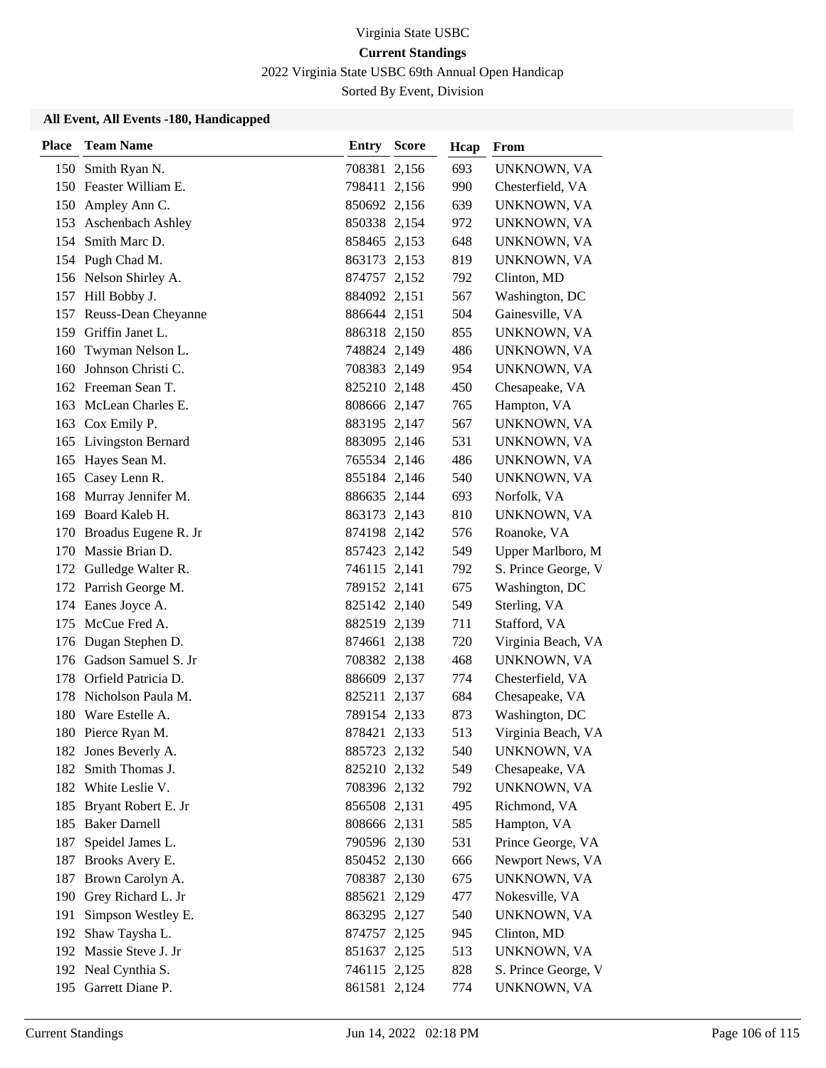2022 Virginia State USBC 69th Annual Open Handicap

Sorted By Event, Division

| <b>Place</b> | <b>Team Name</b>         | <b>Entry Score</b> | Hcap | From                |
|--------------|--------------------------|--------------------|------|---------------------|
| 150          | Smith Ryan N.            | 708381 2,156       | 693  | UNKNOWN, VA         |
|              | 150 Feaster William E.   | 798411 2,156       | 990  | Chesterfield, VA    |
| 150          | Ampley Ann C.            | 850692 2,156       | 639  | UNKNOWN, VA         |
| 153          | <b>Aschenbach Ashley</b> | 850338 2,154       | 972  | UNKNOWN, VA         |
| 154          | Smith Marc D.            | 858465 2,153       | 648  | UNKNOWN, VA         |
|              | 154 Pugh Chad M.         | 863173 2,153       | 819  | UNKNOWN, VA         |
|              | 156 Nelson Shirley A.    | 874757 2,152       | 792  | Clinton, MD         |
|              | 157 Hill Bobby J.        | 884092 2,151       | 567  | Washington, DC      |
|              | 157 Reuss-Dean Cheyanne  | 886644 2,151       | 504  | Gainesville, VA     |
| 159          | Griffin Janet L.         | 886318 2,150       | 855  | UNKNOWN, VA         |
| 160          | Twyman Nelson L.         | 748824 2,149       | 486  | UNKNOWN, VA         |
| 160          | Johnson Christi C.       | 708383 2,149       | 954  | UNKNOWN, VA         |
|              | 162 Freeman Sean T.      | 825210 2,148       | 450  | Chesapeake, VA      |
| 163          | McLean Charles E.        | 808666 2,147       | 765  | Hampton, VA         |
|              | 163 Cox Emily P.         | 883195 2,147       | 567  | UNKNOWN, VA         |
|              | 165 Livingston Bernard   | 883095 2,146       | 531  | UNKNOWN, VA         |
| 165          | Hayes Sean M.            | 765534 2,146       | 486  | UNKNOWN, VA         |
| 165          | Casey Lenn R.            | 855184 2,146       | 540  | UNKNOWN, VA         |
| 168          | Murray Jennifer M.       | 886635 2,144       | 693  | Norfolk, VA         |
| 169          | Board Kaleb H.           | 863173 2,143       | 810  | UNKNOWN, VA         |
| 170          | Broadus Eugene R. Jr     | 874198 2,142       | 576  | Roanoke, VA         |
| 170          | Massie Brian D.          | 857423 2,142       | 549  | Upper Marlboro, M   |
|              | 172 Gulledge Walter R.   | 746115 2,141       | 792  | S. Prince George, V |
|              | 172 Parrish George M.    | 789152 2,141       | 675  | Washington, DC      |
|              | 174 Eanes Joyce A.       | 825142 2,140       | 549  | Sterling, VA        |
| 175          | McCue Fred A.            | 882519 2,139       | 711  | Stafford, VA        |
| 176          | Dugan Stephen D.         | 874661 2,138       | 720  | Virginia Beach, VA  |
|              | 176 Gadson Samuel S. Jr  | 708382 2,138       | 468  | UNKNOWN, VA         |
|              | 178 Orfield Patricia D.  | 886609 2,137       | 774  | Chesterfield, VA    |
| 178          | Nicholson Paula M.       | 825211 2,137       | 684  | Chesapeake, VA      |
| 180          | Ware Estelle A.          | 789154 2,133       | 873  | Washington, DC      |
|              | 180 Pierce Ryan M.       | 878421 2,133       | 513  | Virginia Beach, VA  |
|              | 182 Jones Beverly A.     | 885723 2,132       | 540  | UNKNOWN, VA         |
| 182          | Smith Thomas J.          | 825210 2,132       | 549  | Chesapeake, VA      |
|              | 182 White Leslie V.      | 708396 2,132       | 792  | UNKNOWN, VA         |
|              | 185 Bryant Robert E. Jr  | 856508 2,131       | 495  | Richmond, VA        |
|              | 185 Baker Darnell        | 808666 2,131       | 585  | Hampton, VA         |
| 187          | Speidel James L.         | 790596 2,130       | 531  | Prince George, VA   |
|              | 187 Brooks Avery E.      | 850452 2,130       | 666  | Newport News, VA    |
|              | 187 Brown Carolyn A.     | 708387 2,130       | 675  | UNKNOWN, VA         |
|              | 190 Grey Richard L. Jr   | 885621 2,129       | 477  | Nokesville, VA      |
| 191          | Simpson Westley E.       | 863295 2,127       | 540  | UNKNOWN, VA         |
| 192          | Shaw Taysha L.           | 874757 2,125       | 945  | Clinton, MD         |
|              | 192 Massie Steve J. Jr   | 851637 2,125       | 513  | UNKNOWN, VA         |
|              | 192 Neal Cynthia S.      | 746115 2,125       | 828  | S. Prince George, V |
|              | 195 Garrett Diane P.     | 861581 2,124       | 774  | UNKNOWN, VA         |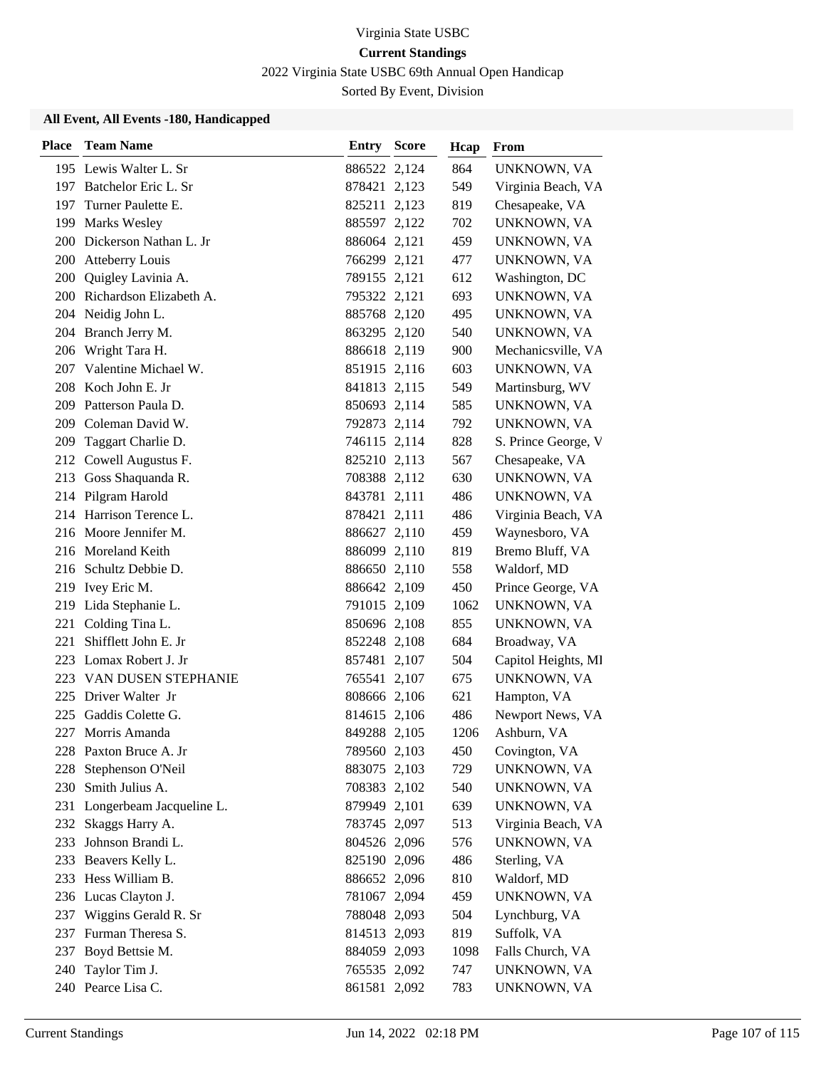2022 Virginia State USBC 69th Annual Open Handicap

Sorted By Event, Division

| <b>Place</b> | <b>Team Name</b>            | <b>Entry Score</b> | Hcap | From                |
|--------------|-----------------------------|--------------------|------|---------------------|
|              | 195 Lewis Walter L. Sr      | 886522 2,124       | 864  | UNKNOWN, VA         |
|              | 197 Batchelor Eric L. Sr    | 878421 2,123       | 549  | Virginia Beach, VA  |
| 197          | Turner Paulette E.          | 825211 2,123       | 819  | Chesapeake, VA      |
|              | 199 Marks Wesley            | 885597 2,122       | 702  | UNKNOWN, VA         |
|              | 200 Dickerson Nathan L. Jr  | 886064 2,121       | 459  | UNKNOWN, VA         |
| 200          | <b>Atteberry Louis</b>      | 766299 2,121       | 477  | UNKNOWN, VA         |
| 200          | Quigley Lavinia A.          | 789155 2,121       | 612  | Washington, DC      |
|              | 200 Richardson Elizabeth A. | 795322 2,121       | 693  | UNKNOWN, VA         |
|              | 204 Neidig John L.          | 885768 2,120       | 495  | UNKNOWN, VA         |
|              | 204 Branch Jerry M.         | 863295 2,120       | 540  | UNKNOWN, VA         |
| 206          | Wright Tara H.              | 886618 2,119       | 900  | Mechanicsville, VA  |
| 207          | Valentine Michael W.        | 851915 2,116       | 603  | UNKNOWN, VA         |
|              | 208 Koch John E. Jr         | 841813 2,115       | 549  | Martinsburg, WV     |
|              | 209 Patterson Paula D.      | 850693 2,114       | 585  | UNKNOWN, VA         |
| 209          | Coleman David W.            | 792873 2,114       | 792  | UNKNOWN, VA         |
|              | 209 Taggart Charlie D.      | 746115 2,114       | 828  | S. Prince George, V |
|              | 212 Cowell Augustus F.      | 825210 2,113       | 567  | Chesapeake, VA      |
|              | 213 Goss Shaquanda R.       | 708388 2,112       | 630  | UNKNOWN, VA         |
|              | 214 Pilgram Harold          | 843781 2,111       | 486  | UNKNOWN, VA         |
|              | 214 Harrison Terence L.     | 878421 2,111       | 486  | Virginia Beach, VA  |
|              | 216 Moore Jennifer M.       | 886627 2,110       | 459  | Waynesboro, VA      |
|              | 216 Moreland Keith          | 886099 2,110       | 819  | Bremo Bluff, VA     |
| 216          | Schultz Debbie D.           | 886650 2,110       | 558  | Waldorf, MD         |
|              | 219 Ivey Eric M.            | 886642 2,109       | 450  | Prince George, VA   |
|              | 219 Lida Stephanie L.       | 791015 2,109       | 1062 | UNKNOWN, VA         |
| 221          | Colding Tina L.             | 850696 2,108       | 855  | UNKNOWN, VA         |
| 221          | Shifflett John E. Jr        | 852248 2,108       | 684  | Broadway, VA        |
|              | 223 Lomax Robert J. Jr      | 857481 2,107       | 504  | Capitol Heights, MI |
|              | 223 VAN DUSEN STEPHANIE     | 765541 2,107       | 675  | UNKNOWN, VA         |
|              | 225 Driver Walter Jr        | 808666 2,106       | 621  | Hampton, VA         |
| 225          | Gaddis Colette G.           | 814615 2,106       | 486  | Newport News, VA    |
| 227          | Morris Amanda               | 849288 2,105       | 1206 | Ashburn, VA         |
|              | 228 Paxton Bruce A. Jr      | 789560 2,103       | 450  | Covington, VA       |
| 228          | Stephenson O'Neil           | 883075 2,103       | 729  | UNKNOWN, VA         |
| 230          | Smith Julius A.             | 708383 2,102       | 540  | UNKNOWN, VA         |
| 231          | Longerbeam Jacqueline L.    | 879949 2,101       | 639  | UNKNOWN, VA         |
|              | 232 Skaggs Harry A.         | 783745 2,097       | 513  | Virginia Beach, VA  |
| 233          | Johnson Brandi L.           | 804526 2,096       | 576  | UNKNOWN, VA         |
| 233          | Beavers Kelly L.            | 825190 2,096       | 486  | Sterling, VA        |
|              | 233 Hess William B.         | 886652 2,096       | 810  | Waldorf, MD         |
|              | 236 Lucas Clayton J.        | 781067 2,094       | 459  | UNKNOWN, VA         |
|              | 237 Wiggins Gerald R. Sr    | 788048 2,093       | 504  | Lynchburg, VA       |
|              | 237 Furman Theresa S.       | 814513 2,093       | 819  | Suffolk, VA         |
|              | 237 Boyd Bettsie M.         | 884059 2,093       | 1098 | Falls Church, VA    |
| 240          | Taylor Tim J.               | 765535 2,092       | 747  | UNKNOWN, VA         |
|              | 240 Pearce Lisa C.          | 861581 2,092       | 783  | UNKNOWN, VA         |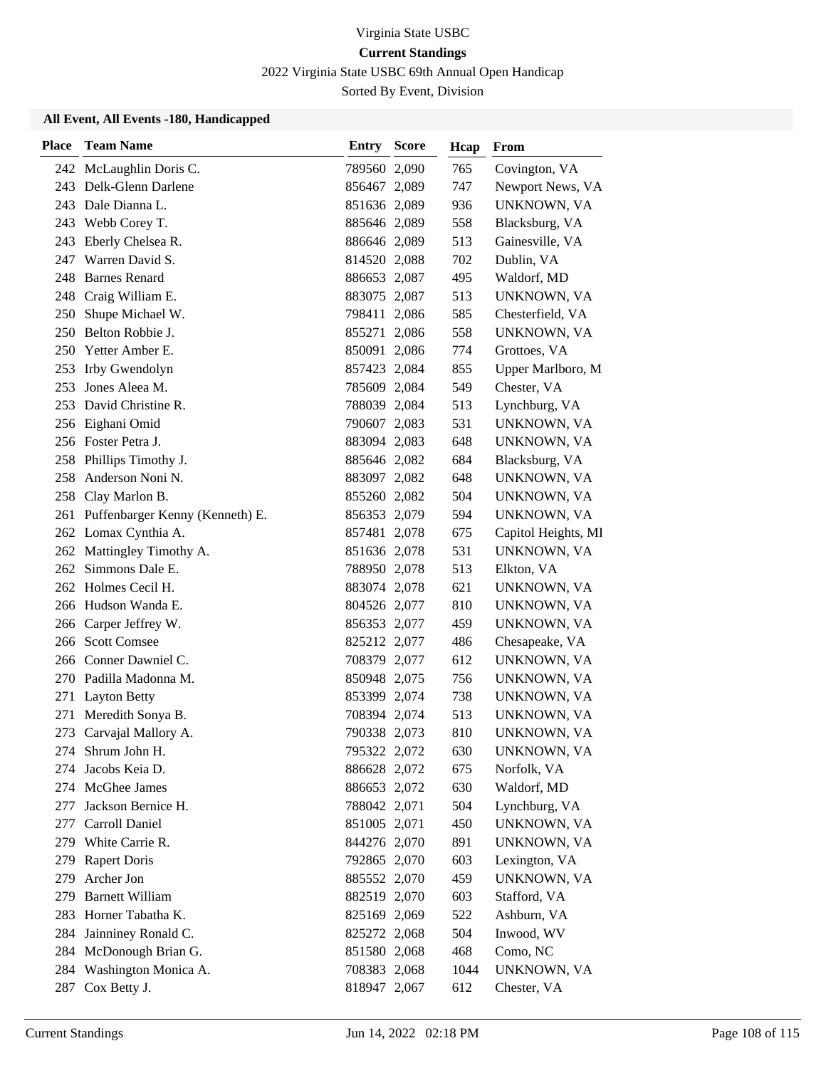2022 Virginia State USBC 69th Annual Open Handicap

Sorted By Event, Division

| Place | <b>Team Name</b>                    | Entry        | <b>Score</b> | Hcap | From                |
|-------|-------------------------------------|--------------|--------------|------|---------------------|
|       | 242 McLaughlin Doris C.             | 789560 2,090 |              | 765  | Covington, VA       |
|       | 243 Delk-Glenn Darlene              | 856467 2,089 |              | 747  | Newport News, VA    |
| 243   | Dale Dianna L.                      | 851636 2,089 |              | 936  | UNKNOWN, VA         |
|       | 243 Webb Corey T.                   | 885646 2,089 |              | 558  | Blacksburg, VA      |
|       | 243 Eberly Chelsea R.               | 886646 2,089 |              | 513  | Gainesville, VA     |
|       | 247 Warren David S.                 | 814520 2,088 |              | 702  | Dublin, VA          |
| 248   | <b>Barnes Renard</b>                | 886653 2,087 |              | 495  | Waldorf, MD         |
|       | 248 Craig William E.                | 883075 2,087 |              | 513  | UNKNOWN, VA         |
| 250   | Shupe Michael W.                    | 798411 2,086 |              | 585  | Chesterfield, VA    |
|       | 250 Belton Robbie J.                | 855271 2,086 |              | 558  | UNKNOWN, VA         |
| 250   | Yetter Amber E.                     | 850091 2,086 |              | 774  | Grottoes, VA        |
|       | 253 Irby Gwendolyn                  | 857423 2,084 |              | 855  | Upper Marlboro, M   |
| 253   | Jones Aleea M.                      | 785609 2,084 |              | 549  | Chester, VA         |
| 253   | David Christine R.                  | 788039 2,084 |              | 513  | Lynchburg, VA       |
|       | 256 Eighani Omid                    | 790607 2,083 |              | 531  | UNKNOWN, VA         |
|       | 256 Foster Petra J.                 | 883094 2,083 |              | 648  | UNKNOWN, VA         |
|       | 258 Phillips Timothy J.             | 885646 2,082 |              | 684  | Blacksburg, VA      |
| 258   | Anderson Noni N.                    | 883097 2,082 |              | 648  | UNKNOWN, VA         |
|       | 258 Clay Marlon B.                  | 855260 2,082 |              | 504  | UNKNOWN, VA         |
|       | 261 Puffenbarger Kenny (Kenneth) E. | 856353 2,079 |              | 594  | UNKNOWN, VA         |
|       | 262 Lomax Cynthia A.                | 857481 2,078 |              | 675  | Capitol Heights, MI |
| 262   | Mattingley Timothy A.               | 851636 2,078 |              | 531  | UNKNOWN, VA         |
| 262   | Simmons Dale E.                     | 788950 2,078 |              | 513  | Elkton, VA          |
|       | 262 Holmes Cecil H.                 | 883074 2,078 |              | 621  | UNKNOWN, VA         |
|       | 266 Hudson Wanda E.                 | 804526 2,077 |              | 810  | UNKNOWN, VA         |
|       | 266 Carper Jeffrey W.               | 856353 2,077 |              | 459  | UNKNOWN, VA         |
| 266   | <b>Scott Comsee</b>                 | 825212 2,077 |              | 486  | Chesapeake, VA      |
|       | 266 Conner Dawniel C.               | 708379 2,077 |              | 612  | UNKNOWN, VA         |
|       | 270 Padilla Madonna M.              | 850948 2,075 |              | 756  | UNKNOWN, VA         |
| 271   | Layton Betty                        | 853399 2,074 |              | 738  | UNKNOWN, VA         |
| 271   | Meredith Sonya B.                   | 708394 2,074 |              | 513  | UNKNOWN, VA         |
|       | 273 Carvajal Mallory A.             | 790338 2,073 |              | 810  | UNKNOWN, VA         |
| 274   | Shrum John H.                       | 795322 2,072 |              | 630  | UNKNOWN, VA         |
| 274   | Jacobs Keia D.                      | 886628 2,072 |              | 675  | Norfolk, VA         |
| 274   | McGhee James                        | 886653 2,072 |              | 630  | Waldorf, MD         |
| 277   | Jackson Bernice H.                  | 788042 2,071 |              | 504  | Lynchburg, VA       |
| 277   | Carroll Daniel                      | 851005 2,071 |              | 450  | UNKNOWN, VA         |
|       | 279 White Carrie R.                 | 844276 2,070 |              | 891  | UNKNOWN, VA         |
| 279   | <b>Rapert Doris</b>                 | 792865 2,070 |              | 603  | Lexington, VA       |
| 279   | Archer Jon                          | 885552 2,070 |              | 459  | UNKNOWN, VA         |
| 279   | <b>Barnett William</b>              | 882519 2,070 |              | 603  | Stafford, VA        |
| 283   | Horner Tabatha K.                   | 825169 2,069 |              | 522  | Ashburn, VA         |
| 284   | Jainniney Ronald C.                 | 825272 2,068 |              | 504  | Inwood, WV          |
| 284   | McDonough Brian G.                  | 851580 2,068 |              | 468  | Como, NC            |
|       | 284 Washington Monica A.            | 708383 2,068 |              | 1044 | UNKNOWN, VA         |
| 287   | Cox Betty J.                        | 818947 2,067 |              | 612  | Chester, VA         |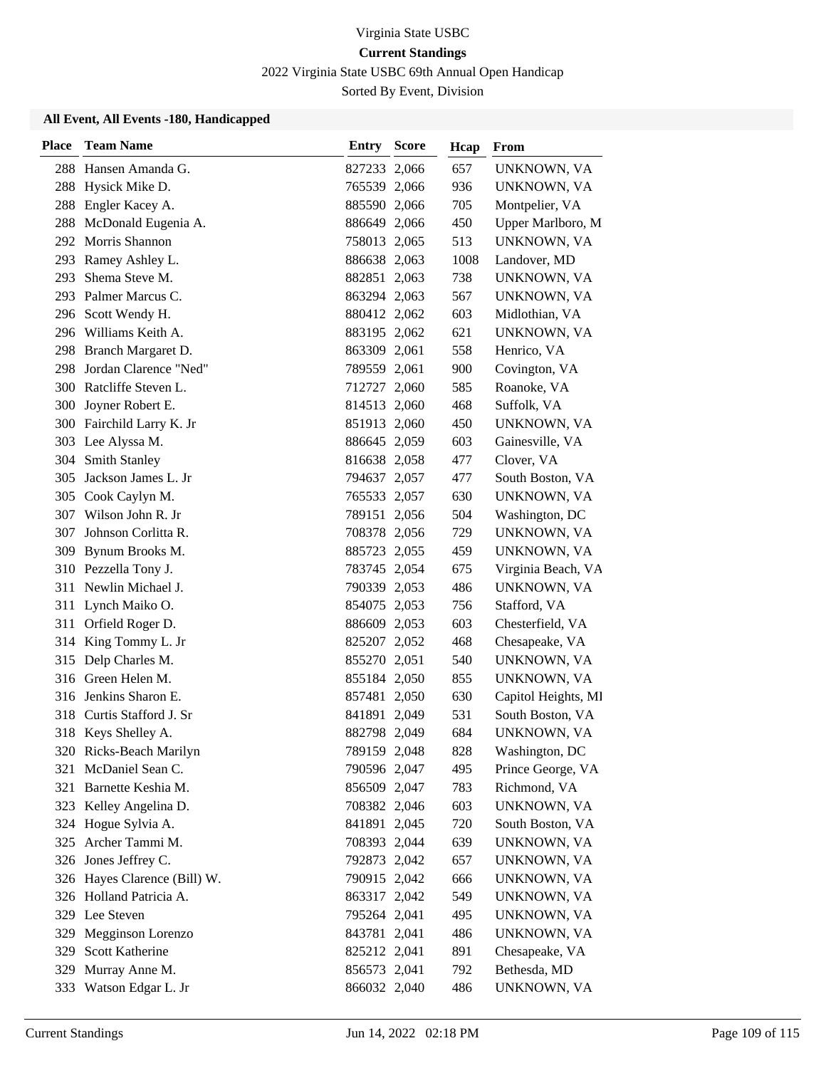2022 Virginia State USBC 69th Annual Open Handicap

Sorted By Event, Division

| <b>Place</b> | <b>Team Name</b>             | Entry        | <b>Score</b> | Hcap | From                |
|--------------|------------------------------|--------------|--------------|------|---------------------|
|              | 288 Hansen Amanda G.         | 827233 2,066 |              | 657  | UNKNOWN, VA         |
| 288          | Hysick Mike D.               | 765539 2,066 |              | 936  | UNKNOWN, VA         |
| 288          | Engler Kacey A.              | 885590 2,066 |              | 705  | Montpelier, VA      |
|              | 288 McDonald Eugenia A.      | 886649 2,066 |              | 450  | Upper Marlboro, M   |
|              | 292 Morris Shannon           | 758013 2,065 |              | 513  | UNKNOWN, VA         |
| 293          | Ramey Ashley L.              | 886638 2,063 |              | 1008 | Landover, MD        |
| 293          | Shema Steve M.               | 882851 2,063 |              | 738  | UNKNOWN, VA         |
|              | 293 Palmer Marcus C.         | 863294 2,063 |              | 567  | UNKNOWN, VA         |
|              | 296 Scott Wendy H.           | 880412 2,062 |              | 603  | Midlothian, VA      |
|              | 296 Williams Keith A.        | 883195 2,062 |              | 621  | UNKNOWN, VA         |
|              | 298 Branch Margaret D.       | 863309 2,061 |              | 558  | Henrico, VA         |
|              | 298 Jordan Clarence "Ned"    | 789559 2,061 |              | 900  | Covington, VA       |
|              | 300 Ratcliffe Steven L.      | 712727 2,060 |              | 585  | Roanoke, VA         |
| 300          | Joyner Robert E.             | 814513 2,060 |              | 468  | Suffolk, VA         |
|              | 300 Fairchild Larry K. Jr    | 851913 2,060 |              | 450  | UNKNOWN, VA         |
|              | 303 Lee Alyssa M.            | 886645 2,059 |              | 603  | Gainesville, VA     |
| 304          | Smith Stanley                | 816638 2,058 |              | 477  | Clover, VA          |
| 305          | Jackson James L. Jr          | 794637 2,057 |              | 477  | South Boston, VA    |
|              | 305 Cook Caylyn M.           | 765533 2,057 |              | 630  | UNKNOWN, VA         |
|              | 307 Wilson John R. Jr        | 789151 2,056 |              | 504  | Washington, DC      |
| 307          | Johnson Corlitta R.          | 708378 2,056 |              | 729  | UNKNOWN, VA         |
| 309          | Bynum Brooks M.              | 885723 2,055 |              | 459  | UNKNOWN, VA         |
|              | 310 Pezzella Tony J.         | 783745 2,054 |              | 675  | Virginia Beach, VA  |
| 311          | Newlin Michael J.            | 790339 2,053 |              | 486  | UNKNOWN, VA         |
|              | 311 Lynch Maiko O.           | 854075 2,053 |              | 756  | Stafford, VA        |
| 311          | Orfield Roger D.             | 886609 2,053 |              | 603  | Chesterfield, VA    |
|              | 314 King Tommy L. Jr         | 825207 2,052 |              | 468  | Chesapeake, VA      |
|              | 315 Delp Charles M.          | 855270 2,051 |              | 540  | UNKNOWN, VA         |
|              | 316 Green Helen M.           | 855184 2,050 |              | 855  | UNKNOWN, VA         |
|              | 316 Jenkins Sharon E.        | 857481 2,050 |              | 630  | Capitol Heights, MI |
|              | 318 Curtis Stafford J. Sr    | 841891 2,049 |              | 531  | South Boston, VA    |
|              | 318 Keys Shelley A.          | 882798 2,049 |              | 684  | UNKNOWN, VA         |
|              | 320 Ricks-Beach Marilyn      | 789159 2,048 |              | 828  | Washington, DC      |
| 321          | McDaniel Sean C.             | 790596 2,047 |              | 495  | Prince George, VA   |
| 321          | Barnette Keshia M.           | 856509 2,047 |              | 783  | Richmond, VA        |
|              | 323 Kelley Angelina D.       | 708382 2,046 |              | 603  | UNKNOWN, VA         |
|              | 324 Hogue Sylvia A.          | 841891 2,045 |              | 720  | South Boston, VA    |
|              | 325 Archer Tammi M.          | 708393 2,044 |              | 639  | UNKNOWN, VA         |
|              | 326 Jones Jeffrey C.         | 792873 2,042 |              | 657  | UNKNOWN, VA         |
|              | 326 Hayes Clarence (Bill) W. | 790915 2,042 |              | 666  | UNKNOWN, VA         |
|              | 326 Holland Patricia A.      | 863317 2,042 |              | 549  | UNKNOWN, VA         |
|              | 329 Lee Steven               | 795264 2,041 |              | 495  | UNKNOWN, VA         |
| 329          | Megginson Lorenzo            | 843781 2,041 |              | 486  | UNKNOWN, VA         |
| 329          | Scott Katherine              | 825212 2,041 |              | 891  | Chesapeake, VA      |
| 329          | Murray Anne M.               | 856573 2,041 |              | 792  | Bethesda, MD        |
|              | 333 Watson Edgar L. Jr       | 866032 2,040 |              | 486  | UNKNOWN, VA         |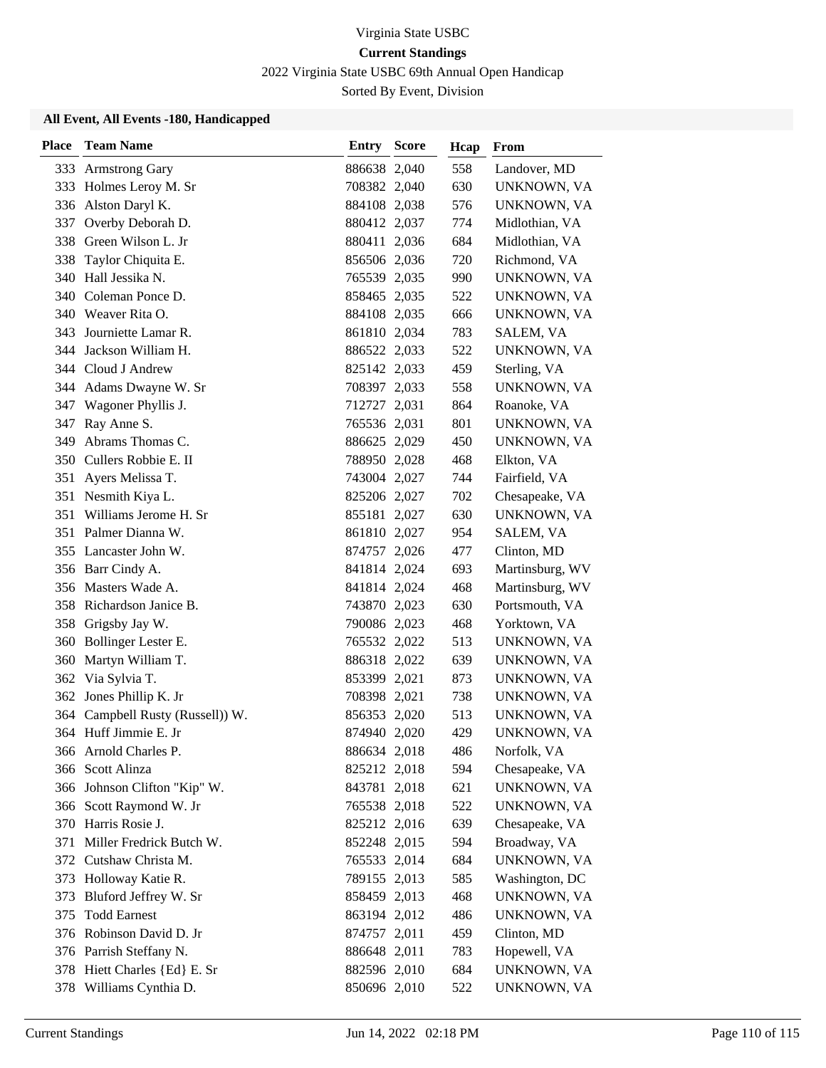2022 Virginia State USBC 69th Annual Open Handicap

Sorted By Event, Division

| <b>Place</b> | <b>Team Name</b>             | <b>Entry Score</b> | Hcap | From            |
|--------------|------------------------------|--------------------|------|-----------------|
| 333          | <b>Armstrong Gary</b>        | 886638 2,040       | 558  | Landover, MD    |
| 333          | Holmes Leroy M. Sr           | 708382 2,040       | 630  | UNKNOWN, VA     |
| 336          | Alston Daryl K.              | 884108 2,038       | 576  | UNKNOWN, VA     |
| 337          | Overby Deborah D.            | 880412 2,037       | 774  | Midlothian, VA  |
|              | 338 Green Wilson L. Jr       | 880411 2,036       | 684  | Midlothian, VA  |
| 338          | Taylor Chiquita E.           | 856506 2,036       | 720  | Richmond, VA    |
| 340          | Hall Jessika N.              | 765539 2,035       | 990  | UNKNOWN, VA     |
|              | 340 Coleman Ponce D.         | 858465 2,035       | 522  | UNKNOWN, VA     |
|              | 340 Weaver Rita O.           | 884108 2,035       | 666  | UNKNOWN, VA     |
| 343          | Journiette Lamar R.          | 861810 2,034       | 783  | SALEM, VA       |
| 344          | Jackson William H.           | 886522 2,033       | 522  | UNKNOWN, VA     |
|              | 344 Cloud J Andrew           | 825142 2,033       | 459  | Sterling, VA    |
|              | 344 Adams Dwayne W. Sr       | 708397 2,033       | 558  | UNKNOWN, VA     |
| 347          | Wagoner Phyllis J.           | 712727 2,031       | 864  | Roanoke, VA     |
| 347          | Ray Anne S.                  | 765536 2,031       | 801  | UNKNOWN, VA     |
| 349          | Abrams Thomas C.             | 886625 2,029       | 450  | UNKNOWN, VA     |
|              | 350 Cullers Robbie E. II     | 788950 2,028       | 468  | Elkton, VA      |
| 351          | Ayers Melissa T.             | 743004 2,027       | 744  | Fairfield, VA   |
| 351          | Nesmith Kiya L.              | 825206 2,027       | 702  | Chesapeake, VA  |
| 351          | Williams Jerome H. Sr        | 855181 2,027       | 630  | UNKNOWN, VA     |
| 351          | Palmer Dianna W.             | 861810 2,027       | 954  | SALEM, VA       |
| 355          | Lancaster John W.            | 874757 2,026       | 477  | Clinton, MD     |
|              | 356 Barr Cindy A.            | 841814 2,024       | 693  | Martinsburg, WV |
|              | 356 Masters Wade A.          | 841814 2,024       | 468  | Martinsburg, WV |
|              | 358 Richardson Janice B.     | 743870 2,023       | 630  | Portsmouth, VA  |
| 358          | Grigsby Jay W.               | 790086 2,023       | 468  | Yorktown, VA    |
| 360          | Bollinger Lester E.          | 765532 2,022       | 513  | UNKNOWN, VA     |
| 360          | Martyn William T.            | 886318 2,022       | 639  | UNKNOWN, VA     |
|              | 362 Via Sylvia T.            | 853399 2,021       | 873  | UNKNOWN, VA     |
| 362          | Jones Phillip K. Jr          | 708398 2,021       | 738  | UNKNOWN, VA     |
| 364          | Campbell Rusty (Russell)) W. | 856353 2,020       | 513  | UNKNOWN, VA     |
|              | 364 Huff Jimmie E. Jr        | 874940 2,020       | 429  | UNKNOWN, VA     |
|              | 366 Arnold Charles P.        | 886634 2,018       | 486  | Norfolk, VA     |
| 366          | Scott Alinza                 | 825212 2,018       | 594  | Chesapeake, VA  |
|              | 366 Johnson Clifton "Kip" W. | 843781 2,018       | 621  | UNKNOWN, VA     |
|              | 366 Scott Raymond W. Jr      | 765538 2,018       | 522  | UNKNOWN, VA     |
|              | 370 Harris Rosie J.          | 825212 2,016       | 639  | Chesapeake, VA  |
| 371          | Miller Fredrick Butch W.     | 852248 2,015       | 594  | Broadway, VA    |
|              | 372 Cutshaw Christa M.       | 765533 2,014       | 684  | UNKNOWN, VA     |
|              | 373 Holloway Katie R.        | 789155 2,013       | 585  | Washington, DC  |
| 373          | Bluford Jeffrey W. Sr        | 858459 2,013       | 468  | UNKNOWN, VA     |
| 375          | <b>Todd Earnest</b>          | 863194 2,012       | 486  | UNKNOWN, VA     |
|              | 376 Robinson David D. Jr     | 874757 2,011       | 459  | Clinton, MD     |
|              | 376 Parrish Steffany N.      | 886648 2,011       | 783  | Hopewell, VA    |
|              | 378 Hiett Charles {Ed} E. Sr | 882596 2,010       | 684  | UNKNOWN, VA     |
|              | 378 Williams Cynthia D.      | 850696 2,010       | 522  | UNKNOWN, VA     |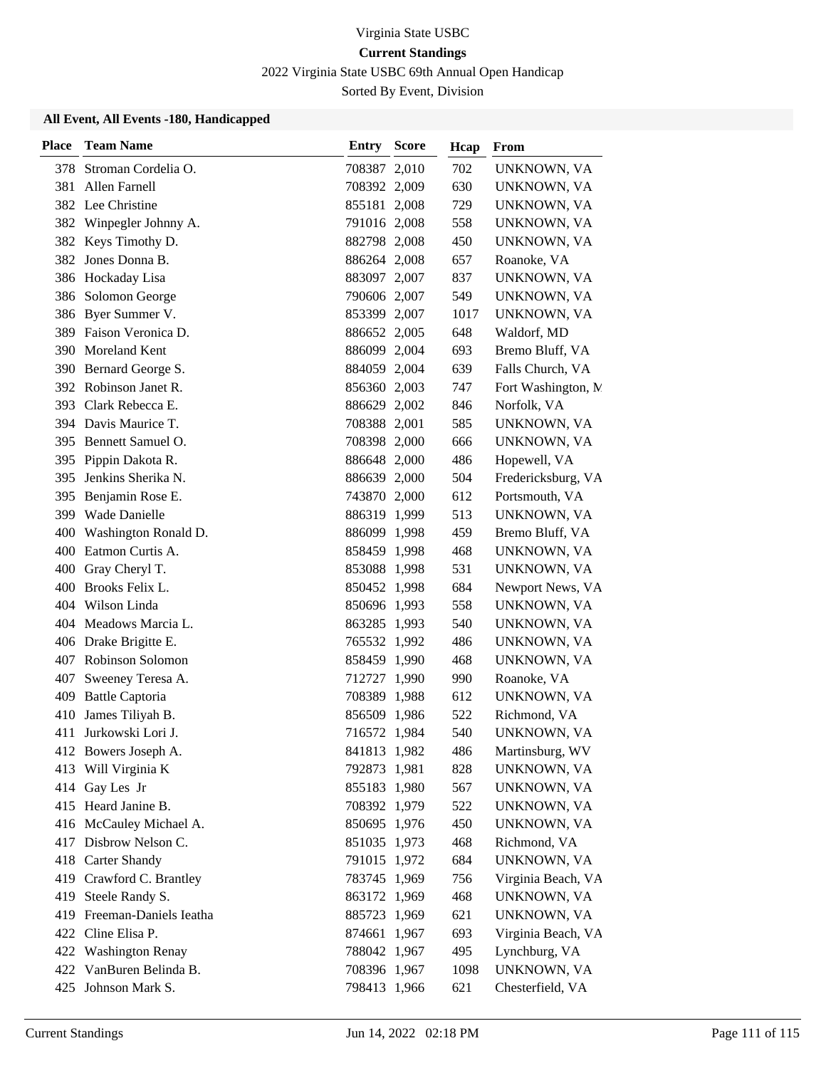2022 Virginia State USBC 69th Annual Open Handicap

Sorted By Event, Division

| <b>Place</b> | <b>Team Name</b>           | <b>Entry Score</b> | Hcap | From                |
|--------------|----------------------------|--------------------|------|---------------------|
| 378          | Stroman Cordelia O.        | 708387 2,010       | 702  | UNKNOWN, VA         |
| 381          | Allen Farnell              | 708392 2,009       | 630  | UNKNOWN, VA         |
|              | 382 Lee Christine          | 855181 2,008       | 729  | UNKNOWN, VA         |
|              | 382 Winpegler Johnny A.    | 791016 2,008       | 558  | UNKNOWN, VA         |
|              | 382 Keys Timothy D.        | 882798 2,008       | 450  | UNKNOWN, VA         |
| 382          | Jones Donna B.             | 886264 2,008       | 657  | Roanoke, VA         |
|              | 386 Hockaday Lisa          | 883097 2,007       | 837  | UNKNOWN, VA         |
|              | 386 Solomon George         | 790606 2,007       | 549  | UNKNOWN, VA         |
|              | 386 Byer Summer V.         | 853399 2,007       | 1017 | UNKNOWN, VA         |
|              | 389 Faison Veronica D.     | 886652 2,005       | 648  | Waldorf, MD         |
| 390          | Moreland Kent              | 886099 2,004       | 693  | Bremo Bluff, VA     |
|              | 390 Bernard George S.      | 884059 2,004       | 639  | Falls Church, VA    |
|              | 392 Robinson Janet R.      | 856360 2,003       | 747  | Fort Washington, M. |
|              | 393 Clark Rebecca E.       | 886629 2,002       | 846  | Norfolk, VA         |
|              | 394 Davis Maurice T.       | 708388 2,001       | 585  | UNKNOWN, VA         |
|              | 395 Bennett Samuel O.      | 708398 2,000       | 666  | UNKNOWN, VA         |
| 395          | Pippin Dakota R.           | 886648 2,000       | 486  | Hopewell, VA        |
| 395          | Jenkins Sherika N.         | 886639 2,000       | 504  | Fredericksburg, VA  |
| 395          | Benjamin Rose E.           | 743870 2,000       | 612  | Portsmouth, VA      |
|              | 399 Wade Danielle          | 886319 1,999       | 513  | UNKNOWN, VA         |
|              | 400 Washington Ronald D.   | 886099 1,998       | 459  | Bremo Bluff, VA     |
| 400          | Eatmon Curtis A.           | 858459 1,998       | 468  | UNKNOWN, VA         |
|              | 400 Gray Cheryl T.         | 853088 1,998       | 531  | UNKNOWN, VA         |
|              | 400 Brooks Felix L.        | 850452 1,998       | 684  | Newport News, VA    |
|              | 404 Wilson Linda           | 850696 1,993       | 558  | UNKNOWN, VA         |
|              | 404 Meadows Marcia L.      | 863285 1,993       | 540  | UNKNOWN, VA         |
|              | 406 Drake Brigitte E.      | 765532 1,992       | 486  | UNKNOWN, VA         |
|              | 407 Robinson Solomon       | 858459 1,990       | 468  | UNKNOWN, VA         |
| 407          | Sweeney Teresa A.          | 712727 1,990       | 990  | Roanoke, VA         |
| 409          | <b>Battle Captoria</b>     | 708389 1,988       | 612  | UNKNOWN, VA         |
| 410          | James Tiliyah B.           | 856509 1,986       | 522  | Richmond, VA        |
| 411          | Jurkowski Lori J.          | 716572 1,984       | 540  | UNKNOWN, VA         |
|              | 412 Bowers Joseph A.       | 841813 1,982       | 486  | Martinsburg, WV     |
|              | 413 Will Virginia K        | 792873 1,981       | 828  | UNKNOWN, VA         |
|              | 414 Gay Les Jr             | 855183 1,980       | 567  | UNKNOWN, VA         |
|              | 415 Heard Janine B.        | 708392 1,979       | 522  | UNKNOWN, VA         |
|              | 416 McCauley Michael A.    | 850695 1,976       | 450  | UNKNOWN, VA         |
|              | 417 Disbrow Nelson C.      | 851035 1,973       | 468  | Richmond, VA        |
|              | 418 Carter Shandy          | 791015 1,972       | 684  | UNKNOWN, VA         |
|              | 419 Crawford C. Brantley   | 783745 1,969       | 756  | Virginia Beach, VA  |
|              | 419 Steele Randy S.        | 863172 1,969       | 468  | UNKNOWN, VA         |
|              | 419 Freeman-Daniels Ieatha | 885723 1,969       | 621  | UNKNOWN, VA         |
|              | 422 Cline Elisa P.         | 874661 1,967       | 693  | Virginia Beach, VA  |
|              | 422 Washington Renay       | 788042 1,967       | 495  | Lynchburg, VA       |
|              | 422 VanBuren Belinda B.    | 708396 1,967       | 1098 | UNKNOWN, VA         |
|              | 425 Johnson Mark S.        | 798413 1,966       | 621  | Chesterfield, VA    |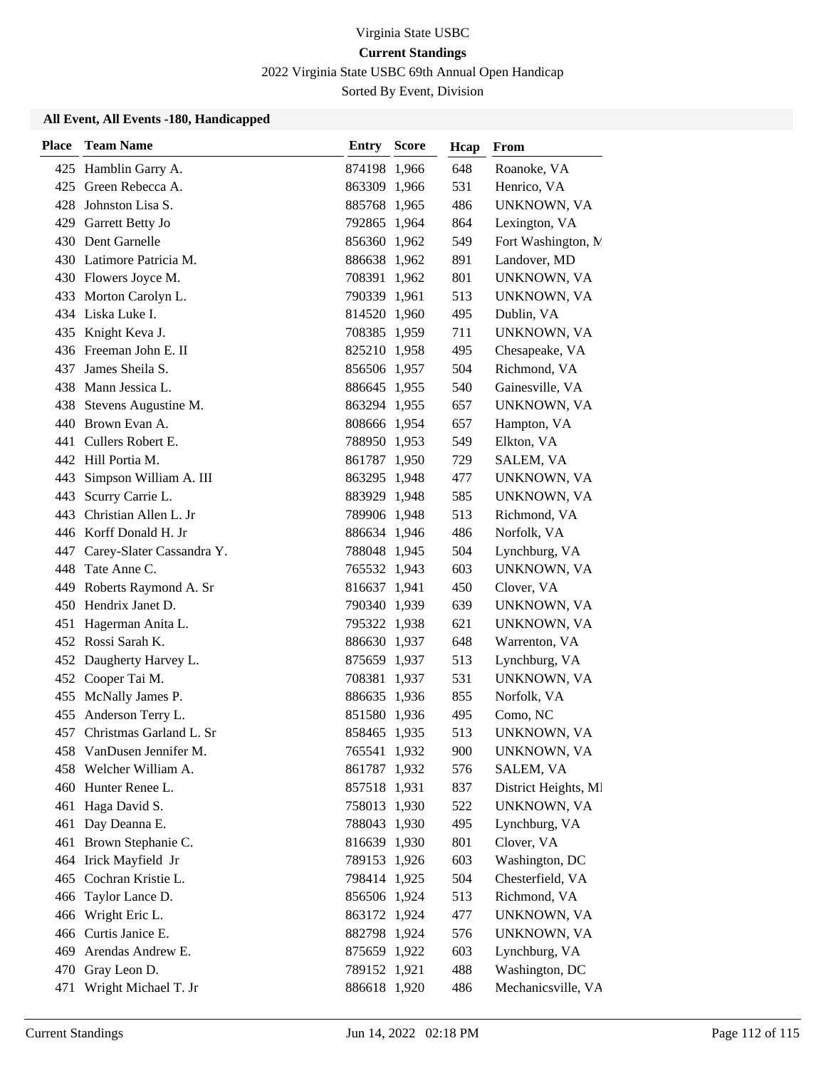2022 Virginia State USBC 69th Annual Open Handicap

Sorted By Event, Division

| <b>Place</b> | <b>Team Name</b>            | <b>Entry Score</b> | Hcap | From                 |
|--------------|-----------------------------|--------------------|------|----------------------|
|              | 425 Hamblin Garry A.        | 874198 1,966       | 648  | Roanoke, VA          |
| 425          | Green Rebecca A.            | 863309 1,966       | 531  | Henrico, VA          |
| 428          | Johnston Lisa S.            | 885768 1,965       | 486  | UNKNOWN, VA          |
|              | 429 Garrett Betty Jo        | 792865 1,964       | 864  | Lexington, VA        |
|              | 430 Dent Garnelle           | 856360 1,962       | 549  | Fort Washington, M   |
|              | 430 Latimore Patricia M.    | 886638 1,962       | 891  | Landover, MD         |
|              | 430 Flowers Joyce M.        | 708391 1,962       | 801  | UNKNOWN, VA          |
|              | 433 Morton Carolyn L.       | 790339 1,961       | 513  | UNKNOWN, VA          |
|              | 434 Liska Luke I.           | 814520 1,960       | 495  | Dublin, VA           |
|              | 435 Knight Keva J.          | 708385 1,959       | 711  | UNKNOWN, VA          |
|              | 436 Freeman John E. II      | 825210 1,958       | 495  | Chesapeake, VA       |
| 437          | James Sheila S.             | 856506 1,957       | 504  | Richmond, VA         |
| 438          | Mann Jessica L.             | 886645 1,955       | 540  | Gainesville, VA      |
|              | 438 Stevens Augustine M.    | 863294 1,955       | 657  | UNKNOWN, VA          |
|              | 440 Brown Evan A.           | 808666 1,954       | 657  | Hampton, VA          |
|              | 441 Cullers Robert E.       | 788950 1,953       | 549  | Elkton, VA           |
|              | 442 Hill Portia M.          | 861787 1,950       | 729  | SALEM, VA            |
| 443          | Simpson William A. III      | 863295 1,948       | 477  | UNKNOWN, VA          |
| 443          | Scurry Carrie L.            | 883929 1,948       | 585  | UNKNOWN, VA          |
|              | 443 Christian Allen L. Jr   | 789906 1,948       | 513  | Richmond, VA         |
|              | 446 Korff Donald H. Jr      | 886634 1,946       | 486  | Norfolk, VA          |
| 447          | Carey-Slater Cassandra Y.   | 788048 1,945       | 504  | Lynchburg, VA        |
| 448          | Tate Anne C.                | 765532 1,943       | 603  | UNKNOWN, VA          |
|              | 449 Roberts Raymond A. Sr   | 816637 1,941       | 450  | Clover, VA           |
|              | 450 Hendrix Janet D.        | 790340 1,939       | 639  | UNKNOWN, VA          |
| 451          | Hagerman Anita L.           | 795322 1,938       | 621  | UNKNOWN, VA          |
|              | 452 Rossi Sarah K.          | 886630 1,937       | 648  | Warrenton, VA        |
|              | 452 Daugherty Harvey L.     | 875659 1,937       | 513  | Lynchburg, VA        |
|              | 452 Cooper Tai M.           | 708381 1,937       | 531  | UNKNOWN, VA          |
| 455          | McNally James P.            | 886635 1,936       | 855  | Norfolk, VA          |
| 455          | Anderson Terry L.           | 851580 1,936       | 495  | Como, NC             |
|              | 457 Christmas Garland L. Sr | 858465 1,935       | 513  | UNKNOWN, VA          |
|              | 458 VanDusen Jennifer M.    | 765541 1,932       | 900  | UNKNOWN, VA          |
|              | 458 Welcher William A.      | 861787 1,932       | 576  | SALEM, VA            |
|              | 460 Hunter Renee L.         | 857518 1,931       | 837  | District Heights, MI |
|              | 461 Haga David S.           | 758013 1,930       | 522  | UNKNOWN, VA          |
|              | 461 Day Deanna E.           | 788043 1,930       | 495  | Lynchburg, VA        |
|              | 461 Brown Stephanie C.      | 816639 1,930       | 801  | Clover, VA           |
|              | 464 Irick Mayfield Jr       | 789153 1,926       | 603  | Washington, DC       |
|              | 465 Cochran Kristie L.      | 798414 1,925       | 504  | Chesterfield, VA     |
|              | 466 Taylor Lance D.         | 856506 1,924       | 513  | Richmond, VA         |
| 466          | Wright Eric L.              | 863172 1,924       | 477  | UNKNOWN, VA          |
|              | 466 Curtis Janice E.        | 882798 1,924       | 576  | UNKNOWN, VA          |
|              | 469 Arendas Andrew E.       | 875659 1,922       | 603  | Lynchburg, VA        |
|              | 470 Gray Leon D.            | 789152 1,921       | 488  | Washington, DC       |
| 471          | Wright Michael T. Jr        | 886618 1,920       | 486  | Mechanicsville, VA   |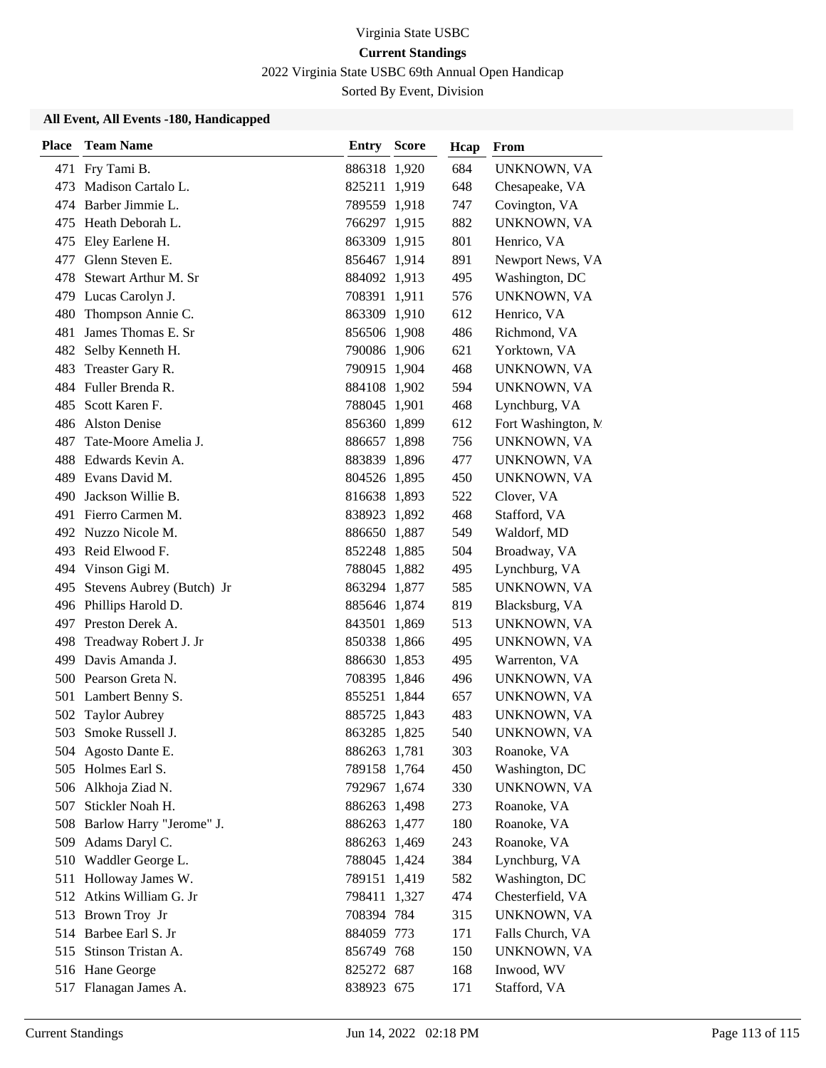2022 Virginia State USBC 69th Annual Open Handicap

Sorted By Event, Division

| Place | <b>Team Name</b>          | <b>Entry Score</b> | Hcap | From                |
|-------|---------------------------|--------------------|------|---------------------|
| 471   | Fry Tami B.               | 886318 1,920       | 684  | UNKNOWN, VA         |
| 473   | Madison Cartalo L.        | 825211 1,919       | 648  | Chesapeake, VA      |
|       | 474 Barber Jimmie L.      | 789559 1,918       | 747  | Covington, VA       |
| 475   | Heath Deborah L.          | 766297 1,915       | 882  | UNKNOWN, VA         |
| 475   | Eley Earlene H.           | 863309 1,915       | 801  | Henrico, VA         |
| 477   | Glenn Steven E.           | 856467 1,914       | 891  | Newport News, VA    |
| 478   | Stewart Arthur M. Sr      | 884092 1,913       | 495  | Washington, DC      |
|       | 479 Lucas Carolyn J.      | 708391 1,911       | 576  | UNKNOWN, VA         |
| 480   | Thompson Annie C.         | 863309 1,910       | 612  | Henrico, VA         |
| 481   | James Thomas E. Sr        | 856506 1,908       | 486  | Richmond, VA        |
| 482   | Selby Kenneth H.          | 790086 1,906       | 621  | Yorktown, VA        |
| 483   | Treaster Gary R.          | 790915 1,904       | 468  | UNKNOWN, VA         |
| 484   | Fuller Brenda R.          | 884108 1,902       | 594  | UNKNOWN, VA         |
| 485   | Scott Karen F.            | 788045 1,901       | 468  | Lynchburg, VA       |
| 486   | <b>Alston Denise</b>      | 856360 1,899       | 612  | Fort Washington, N. |
| 487   | Tate-Moore Amelia J.      | 886657 1,898       | 756  | UNKNOWN, VA         |
| 488   | Edwards Kevin A.          | 883839 1,896       | 477  | UNKNOWN, VA         |
| 489   | Evans David M.            | 804526 1,895       | 450  | UNKNOWN, VA         |
| 490   | Jackson Willie B.         | 816638 1,893       | 522  | Clover, VA          |
|       | 491 Fierro Carmen M.      | 838923 1,892       | 468  | Stafford, VA        |
|       | 492 Nuzzo Nicole M.       | 886650 1,887       | 549  | Waldorf, MD         |
| 493.  | Reid Elwood F.            | 852248 1,885       | 504  | Broadway, VA        |
|       | 494 Vinson Gigi M.        | 788045 1,882       | 495  | Lynchburg, VA       |
| 495   | Stevens Aubrey (Butch) Jr | 863294 1,877       | 585  | UNKNOWN, VA         |
| 496   | Phillips Harold D.        | 885646 1,874       | 819  | Blacksburg, VA      |
| 497   | Preston Derek A.          | 843501 1,869       | 513  | UNKNOWN, VA         |
| 498   | Treadway Robert J. Jr     | 850338 1,866       | 495  | UNKNOWN, VA         |
|       | 499 Davis Amanda J.       | 886630 1,853       | 495  | Warrenton, VA       |
|       | 500 Pearson Greta N.      | 708395 1,846       | 496  | UNKNOWN, VA         |
| 501   | Lambert Benny S.          | 855251 1,844       | 657  | UNKNOWN, VA         |
|       | 502 Taylor Aubrey         | 885725 1,843       | 483  | UNKNOWN, VA         |
| 503   | Smoke Russell J.          | 863285 1,825       | 540  | UNKNOWN, VA         |
|       | 504 Agosto Dante E.       | 886263 1,781       | 303  | Roanoke, VA         |
|       | 505 Holmes Earl S.        | 789158 1,764       | 450  | Washington, DC      |
|       | 506 Alkhoja Ziad N.       | 792967 1,674       | 330  | UNKNOWN, VA         |
| 507   | Stickler Noah H.          | 886263 1,498       | 273  | Roanoke, VA         |
| 508   | Barlow Harry "Jerome" J.  | 886263 1,477       | 180  | Roanoke, VA         |
| 509   | Adams Daryl C.            | 886263 1,469       | 243  | Roanoke, VA         |
| 510   | Waddler George L.         | 788045 1,424       | 384  | Lynchburg, VA       |
| 511   | Holloway James W.         | 789151 1,419       | 582  | Washington, DC      |
| 512   | Atkins William G. Jr      | 798411 1,327       | 474  | Chesterfield, VA    |
|       | 513 Brown Troy Jr         | 708394 784         | 315  | UNKNOWN, VA         |
|       | 514 Barbee Earl S. Jr     | 884059 773         | 171  | Falls Church, VA    |
| 515   | Stinson Tristan A.        | 856749 768         | 150  | UNKNOWN, VA         |
|       | 516 Hane George           | 825272 687         | 168  | Inwood, WV          |
|       | 517 Flanagan James A.     | 838923 675         | 171  | Stafford, VA        |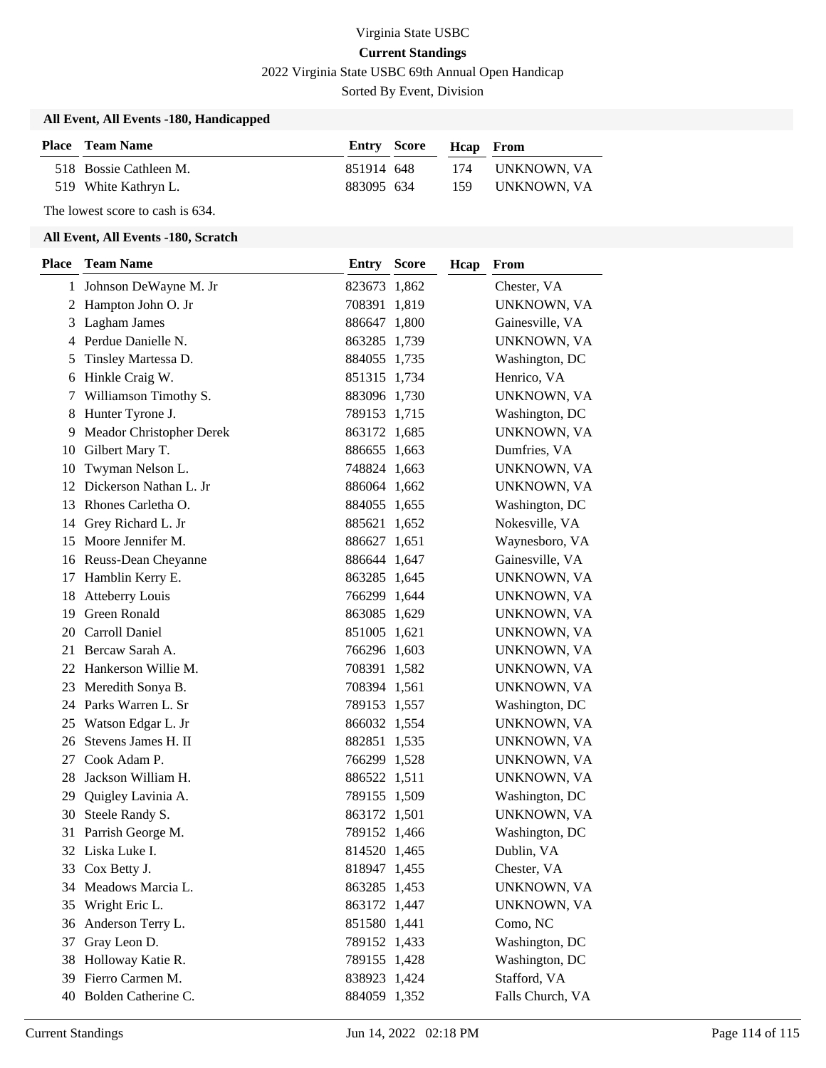## Virginia State USBC **Current Standings** 2022 Virginia State USBC 69th Annual Open Handicap

Sorted By Event, Division

#### **All Event, All Events -180, Handicapped**

| <b>Place</b> Team Name |            | Entry Score Heap From |                 |
|------------------------|------------|-----------------------|-----------------|
| 518 Bossie Cathleen M. | 851914 648 |                       | 174 UNKNOWN, VA |
| 519 White Kathryn L.   | 883095 634 |                       | 159 UNKNOWN, VA |

The lowest score to cash is 634.

### **All Event, All Events -180, Scratch**

| Place | <b>Team Name</b>         | Entry        | <b>Score</b> | Hcap | From             |
|-------|--------------------------|--------------|--------------|------|------------------|
|       | 1 Johnson DeWayne M. Jr  | 823673 1,862 |              |      | Chester, VA      |
| 2     | Hampton John O. Jr       | 708391 1,819 |              |      | UNKNOWN, VA      |
| 3     | Lagham James             | 886647 1,800 |              |      | Gainesville, VA  |
|       | 4 Perdue Danielle N.     | 863285 1,739 |              |      | UNKNOWN, VA      |
| 5     | Tinsley Martessa D.      | 884055 1,735 |              |      | Washington, DC   |
| 6     | Hinkle Craig W.          | 851315 1,734 |              |      | Henrico, VA      |
| 7     | Williamson Timothy S.    | 883096 1,730 |              |      | UNKNOWN, VA      |
|       | 8 Hunter Tyrone J.       | 789153 1,715 |              |      | Washington, DC   |
| 9     | Meador Christopher Derek | 863172 1,685 |              |      | UNKNOWN, VA      |
| 10    | Gilbert Mary T.          | 886655 1,663 |              |      | Dumfries, VA     |
| 10    | Twyman Nelson L.         | 748824 1,663 |              |      | UNKNOWN, VA      |
| 12    | Dickerson Nathan L. Jr   | 886064 1,662 |              |      | UNKNOWN, VA      |
| 13    | Rhones Carletha O.       | 884055 1,655 |              |      | Washington, DC   |
| 14    | Grey Richard L. Jr       | 885621 1,652 |              |      | Nokesville, VA   |
| 15    | Moore Jennifer M.        | 886627 1,651 |              |      | Waynesboro, VA   |
|       | 16 Reuss-Dean Cheyanne   | 886644 1,647 |              |      | Gainesville, VA  |
|       | 17 Hamblin Kerry E.      | 863285 1,645 |              |      | UNKNOWN, VA      |
| 18    | <b>Atteberry Louis</b>   | 766299 1,644 |              |      | UNKNOWN, VA      |
| 19    | <b>Green Ronald</b>      | 863085 1,629 |              |      | UNKNOWN, VA      |
| 20    | Carroll Daniel           | 851005 1,621 |              |      | UNKNOWN, VA      |
| 21    | Bercaw Sarah A.          | 766296 1,603 |              |      | UNKNOWN, VA      |
| 22    | Hankerson Willie M.      | 708391 1,582 |              |      | UNKNOWN, VA      |
| 23    | Meredith Sonya B.        | 708394 1,561 |              |      | UNKNOWN, VA      |
|       | 24 Parks Warren L. Sr    | 789153 1,557 |              |      | Washington, DC   |
| 25    | Watson Edgar L. Jr       | 866032 1,554 |              |      | UNKNOWN, VA      |
| 26    | Stevens James H. II      | 882851 1,535 |              |      | UNKNOWN, VA      |
| 27    | Cook Adam P.             | 766299 1,528 |              |      | UNKNOWN, VA      |
| 28    | Jackson William H.       | 886522 1,511 |              |      | UNKNOWN, VA      |
| 29    | Quigley Lavinia A.       | 789155 1,509 |              |      | Washington, DC   |
| 30    | Steele Randy S.          | 863172 1,501 |              |      | UNKNOWN, VA      |
| 31    | Parrish George M.        | 789152 1,466 |              |      | Washington, DC   |
|       | 32 Liska Luke I.         | 814520 1,465 |              |      | Dublin, VA       |
|       | 33 Cox Betty J.          | 818947 1,455 |              |      | Chester, VA      |
| 34    | Meadows Marcia L.        | 863285 1,453 |              |      | UNKNOWN, VA      |
| 35    | Wright Eric L.           | 863172 1,447 |              |      | UNKNOWN, VA      |
|       | 36 Anderson Terry L.     | 851580 1,441 |              |      | Como, NC         |
| 37    | Gray Leon D.             | 789152 1,433 |              |      | Washington, DC   |
|       | 38 Holloway Katie R.     | 789155 1,428 |              |      | Washington, DC   |
|       | 39 Fierro Carmen M.      | 838923 1,424 |              |      | Stafford, VA     |
|       | 40 Bolden Catherine C.   | 884059 1,352 |              |      | Falls Church, VA |